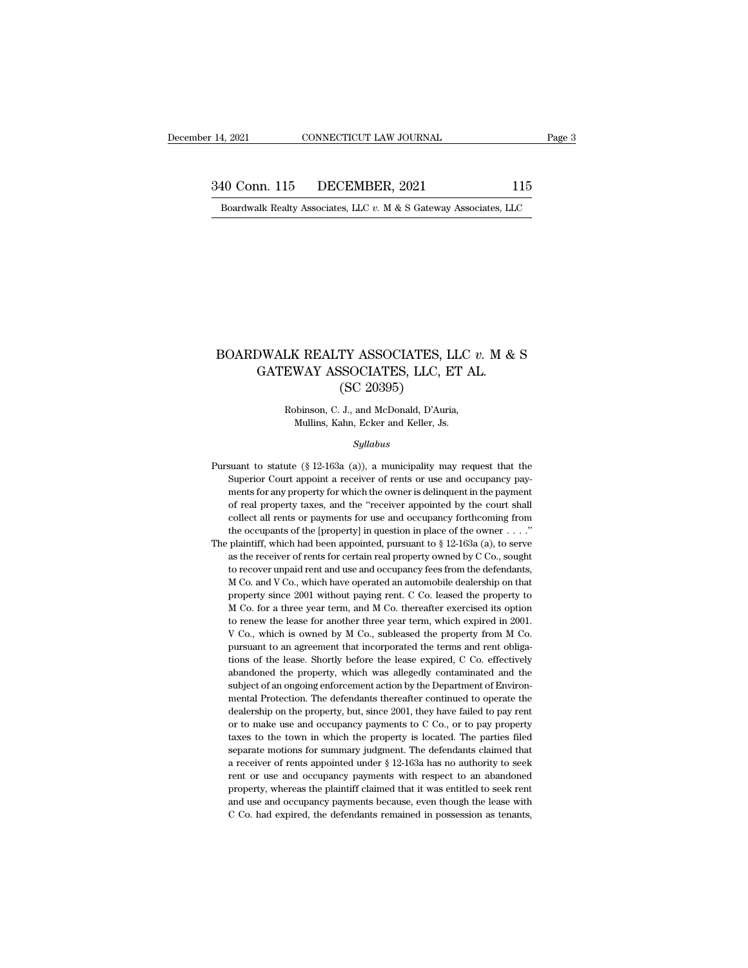14, 2021 CONNECTICUT LAW JOURNAL Page 3<br>340 Conn. 115 DECEMBER, 2021 115<br>Boardwalk Realty Associates, LLC v. M & S Gateway Associates, LLC 1, 2021 CONNECTICUT LAW JOURNAL Page 3<br>10 Conn. 115 DECEMBER, 2021 115<br>Boardwalk Realty Associates, LLC *v.* M & S Gateway Associates, LLC

## BOARDWALK REALTY ASSOCIATES, LLC *v.* M & S<br>GATEWAY ASSOCIATES, LLC, ET AL.  ${\small \textbf{OWALK REALTY ASSOCIATES, LLC } v. \text{ M} \& \\ {\small \textbf{GATEWAY ASSOCIATES, LLC, ET AL.}} \\ {\small \textbf{(SC 20395)}} \\$ TY ASSOCIATES, I<br>SSOCIATES, LLC, E<br>(SC 20395)<br>J., and McDonald, D'Auri BOARDWALK REALTY ASSOCIATES, LLC v. M & S<br>GATEWAY ASSOCIATES, LLC, ET AL.<br>(SC 20395)<br>Robinson, C. J., and McDonald, D'Auria,<br>Mullins, Kahn, Ecker and Keller, Js. GATEWAY ASSOCIATES, LLC, ET AL.

### *Syllabus*

Robinson, C. J., and McDonald, D'Auria,<br>Mullins, Kahn, Ecker and Keller, Js.<br>Syllabus<br>Pursuant to statute (§ 12-163a (a)), a municipality may request that the<br>Superior Court appoint a receiver of rents or use and occupancy Robinson, C. J., and McDonald, D'Auria,<br>Mullins, Kahn, Ecker and Keller, Js.<br>Syllabus<br>Suant to statute (§ 12-163a (a)), a municipality may request that the<br>Superior Court appoint a receiver of rents or use and occupancy pa Mullins, Kahn, Ecker and Keller, Js.<br>
Syllabus<br>
suant to statute (§ 12-163a (a)), a municipality may request that the<br>
Superior Court appoint a receiver of rents or use and occupancy pay-<br>
ments for any property for which  $Syllabus$ <br>suant to statute (§ 12-163a (a)), a municipality may request that the<br>Superior Court appoint a receiver of rents or use and occupancy pay-<br>ments for any property for which the owner is delinquent in the payment<br>of symaous<br>suant to statute (§ 12-163a (a)), a municipality may request that the<br>Superior Court appoint a receiver of rents or use and occupancy pay-<br>ments for any property for which the owner is delinquent in the payment<br>of suant to statute (§ 12-163a (a)), a municipality may request that the Superior Court appoint a receiver of rents or use and occupancy payments for any property for which the owner is delinquent in the payment of real prop Superior Court appoint a receiver of rents or use and occupancy payments for any property for which the owner is delinquent in the payment of real property taxes, and the "receiver appointed by the court shall collect all ments for any property for which the owner is delinquent in the payment of real property taxes, and the "receiver appointed by the court shall collect all rents or payments for use and occupancy forthcoming from the occup of real property taxes, and the "receiver appointed by the court shall collect all rents or payments for use and occupancy forthcoming from the occupants of the [property] in question in place of the owner . . . ." plaint collect all rents or payments for use and occupancy forthcoming from the occupants of the [property] in question in place of the owner . . . . " plaintiff, which had been appointed, pursuant to  $\S$  12-163a (a), to serve a the occupants of the [property] in question in place of the owner  $\dots$ " plaintiff, which had been appointed, pursuant to § 12-163a (a), to serve as the receiver of rents for certain real property owned by C Co., sought to plaintiff, which had been appointed, pursuant to § 12-163a (a), to serve as the receiver of rents for certain real property owned by C Co., sought to recover unpaid rent and use and occupancy fees from the defendants, M Co as the receiver of rents for certain real property owned by C Co., sought to recover unpaid rent and use and occupancy fees from the defendants, M Co. and V Co., which have operated an automobile dealership on that propert to recover unpaid rent and use and occupancy fees from the defendants, M Co. and V Co., which have operated an automobile dealership on that property since 2001 without paying rent. C Co. leased the property to M Co. for a to recover unpaid rent and use and occupancy fees from the defendants, M Co. and V Co., which have operated an automobile dealership on that property since 2001 without paying rent. C Co. leased the property to M Co. for property since 2001 without paying rent. C Co. leased the property to M Co. for a three year term, and M Co. thereafter exercised its option to renew the lease for another three year term, which expired in 2001. V Co., whi  $\overline{M}$  Co. for a three year term, and  $\overline{M}$  Co. thereafter exercised its option to renew the lease for another three year term, which expired in 2001.  $\overline{V}$  Co., which is owned by  $\overline{M}$  Co., subleased the prope to renew the lease for another three year term, which expired in 2001. V Co., which is owned by M Co., subleased the property from M Co. pursuant to an agreement that incorporated the terms and rent obligations of the lea V Co., which is owned by M Co., subleased the property from M Co.<br>pursuant to an agreement that incorporated the terms and rent obliga-<br>tions of the lease. Shortly before the lease expired, C Co. effectively<br>abandoned the pursuant to an agreement that incorporated the terms and rent obligations of the lease. Shortly before the lease expired, C Co. effectively abandoned the property, which was allegedly contaminated and the subject of an ong tions of the lease. Shortly before the lease expired, C Co. effectively abandoned the property, which was allegedly contaminated and the subject of an ongoing enforcement action by the Department of Environmental Protectio abandoned the property, which was allegedly contaminated and the subject of an ongoing enforcement action by the Department of Environmental Protection. The defendants thereafter continued to operate the dealership on the subject of an ongoing enforcement action by the Department of Environmental Protection. The defendants thereafter continued to operate the dealership on the property, but, since 2001, they have failed to pay rent or to ma mental Protection. The defendants thereafter continued to operate the dealership on the property, but, since 2001, they have failed to pay rent or to make use and occupancy payments to C Co., or to pay property taxes to th dealership on the property, but, since 2001, they have failed to pay rent or to make use and occupancy payments to C Co., or to pay property taxes to the town in which the property is located. The parties filed separate mo or to make use and occupancy payments to C Co., or to pay property taxes to the town in which the property is located. The parties filed separate motions for summary judgment. The defendants claimed that a receiver of rent taxes to the town in which the property is located. The parties filed separate motions for summary judgment. The defendants claimed that a receiver of rents appointed under  $\S 12$ -163a has no authority to seek rent or use taxes to the town in which the property is located. The parties filed separate motions for summary judgment. The defendants claimed that a receiver of rents appointed under  $\S 12-163a$  has no authority to seek rent or use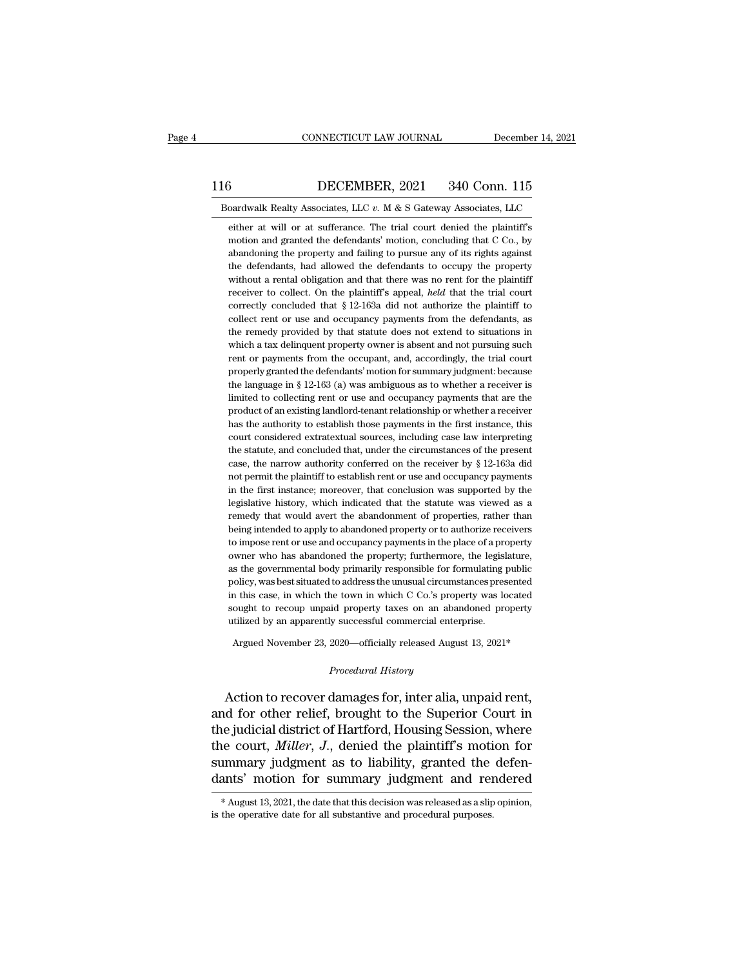# EXECUTE CONNECTICUT LAW JOURNAL December 14, 2021<br>116 DECEMBER, 2021 340 Conn. 115<br>Boardwalk Realty Associates, LLC v. M & S Gateway Associates, LLC CONNECTICUT LAW JOURNAL December 14, 2021<br>16 DECEMBER, 2021 340 Conn. 115<br>Boardwalk Realty Associates, LLC *v.* M & S Gateway Associates, LLC<br>either at will or at sufferance. The trial court denied the plaintiff's

EXEMBER, 2021 340 Conn. 115<br>
oardwalk Realty Associates, LLC  $v$ . M & S Gateway Associates, LLC<br>
either at will or at sufferance. The trial court denied the plaintiff's<br>
motion and granted the defendants' motion, concludi **DECEMBER, 2021** 340 Conn. 115<br>
coardwalk Realty Associates, LLC  $v$ . M & S Gateway Associates, LLC<br>
either at will or at sufferance. The trial court denied the plaintiff's<br>
motion and granted the defendants' motion, conc  $\frac{3}{20}$  DECEMBER, 2021 340 Conn. 115<br>
boardwalk Realty Associates, LLC v. M & S Gateway Associates, LLC<br>
either at will or at sufferance. The trial court denied the plaintiff's<br>
motion and granted the defendants' motio oardwalk Realty Associates, LLC  $v$ . M  $\&$  S Gateway Associates, LLC either at will or at sufferance. The trial court denied the plaintiff's motion and granted the defendants' motion, concluding that C Co., by abandoning oardwalk Realty Associates, LLC  $v$ . M & S Gateway Associates, LLC either at will or at sufferance. The trial court denied the plaintiff's motion and granted the defendants' motion, concluding that C Co., by abandoning th either at will or at sufferance. The trial court denied the plaintiff's motion and granted the defendants' motion, concluding that C Co., by abandoning the property and failing to pursue any of its rights against the defen motion and granted the defendants' motion, concluding that  $\overline{C}$  Co., by abandoning the property and failing to pursue any of its rights against the defendants, had allowed the defendants to occupy the property without abandoning the property and failing to pursue any of its rights against<br>the defendants, had allowed the defendants to occupy the property<br>without a rental obligation and that there was no rent for the plaintiff<br>receiver to the defendants, had allowed the defendants to occupy the property<br>without a rental obligation and that there was no rent for the plaintiff<br>receiver to collect. On the plaintiff's appeal, *held* that the trial court<br>correc without a rental obligation and that there was no rent for the plaintiff receiver to collect. On the plaintiff's appeal, *held* that the trial court correctly concluded that  $\S$  12-163a did not authorize the plaintiff to receiver to collect. On the plaintiff's appeal, *held* that the trial court correctly concluded that § 12-163a did not authorize the plaintiff to collect rent or use and occupancy payments from the defendants, as the remed correctly concluded that  $\S$  12-163a did not authorize the plaintiff to collect rent or use and occupancy payments from the defendants, as the remedy provided by that statute does not extend to situations in which a tax d collect rent or use and occupancy payments from the defendants, as<br>the remedy provided by that statute does not extend to situations in<br>which a tax delinquent property owner is absent and not pursuing such<br>rent or payments the remedy provided by that statute does not extend to situations in which a tax delinquent property owner is absent and not pursuing such rent or payments from the occupant, and, accordingly, the trial court properly gran which a tax delinquent property owner is absent and not pursuing such<br>rent or payments from the occupant, and, accordingly, the trial court<br>properly granted the defendants' motion for summary judgment: because<br>the language rent or payments from the occupant, and, accordingly, the trial court<br>properly granted the defendants' motion for summary judgment: because<br>the language in § 12-163 (a) was ambiguous as to whether a receiver is<br>limited to properly granted the defendants' motion for summary judgment: because<br>the language in § 12-163 (a) was ambiguous as to whether a receiver is<br>limited to collecting rent or use and occupancy payments that are the<br>product of the language in § 12-163 (a) was ambiguous as to whether a receiver is<br>limited to collecting rent or use and occupancy payments that are the<br>product of an existing landlord-tenant relationship or whether a receiver<br>has th limited to collecting rent or use and occupancy payments that are the product of an existing landlord-tenant relationship or whether a receiver has the authority to establish those payments in the first instance, this cou product of an existing landlord-tenant relationship or whether a receiver<br>has the authority to establish those payments in the first instance, this<br>court considered extratextual sources, including case law interpreting<br>th has the authority to establish those payments in the first instance, this court considered extratextual sources, including case law interpreting the statute, and concluded that, under the circumstances of the present case court considered extratextual sources, including case law interpreting<br>the statute, and concluded that, under the circumstances of the present<br>case, the narrow authority conferred on the receiver by § 12-163a did<br>not permi the statute, and concluded that, under the circumstances of the present case, the narrow authority conferred on the receiver by § 12-163a did not permit the plaintiff to establish rent or use and occupancy payments in the the statute, and concluded that, under the circumstances of the present case, the narrow authority conferred on the receiver by  $\S$  12-163a did not permit the plaintiff to establish rent or use and occupancy payments in t not permit the plaintiff to establish rent or use and occupancy payments<br>in the first instance; moreover, that conclusion was supported by the<br>legislative history, which indicated that the statute was viewed as a<br>remedy th in the first instance; moreover, that conclusion was supported by the legislative history, which indicated that the statute was viewed as a remedy that would avert the abandonment of properties, rather than being intended legislative history, which indicated that the statute was viewed as a remedy that would avert the abandonment of properties, rather than being intended to apply to abandoned property or to authorize receivers to impose ren remedy that would avert the abandonment of properties, rather than<br>being intended to apply to abandoned property or to authorize receivers<br>to impose rent or use and occupancy payments in the place of a property<br>owner who h being intended to apply to abandoned property or to authorize receivers<br>to impose rent or use and occupancy payments in the place of a property<br>owner who has abandoned the property; furthermore, the legislature,<br>as the gov to impose rent or use and occupancy payments in the place of a property owner who has abandoned the property; furthermore, the legislature, as the governmental body primarily responsible for formulating public policy, was owner who has abandoned the property; furthermore, the legislature, as the governmental body primarily responsible for formulating public policy, was best situated to address the unusual circumstances presented in this ca s the governmental body printarity responsible for formulating public<br>olicy, was best situated to address the unusual circumstances presented<br>a this case, in which the town in which C Co.'s property was located<br>ought to re % sought to recoup unpaid property taxes on an abandoned property<br>
utilized by an apparently successful commercial enterprise.<br> *Argued November 23, 2020—officially released August 13, 2021\**<br> *Procedural History*<br> **Action** 

In this case, in which the town in which C co. S property was located<br>sought to recoup unpaid property taxes on an abandoned property<br>utilized by an apparently successful commercial enterprise.<br>Argued November 23, 2020—off utilized by an apparently successful commercial enterprise.<br>
Argued November 23, 2020—officially released August 13, 2021\*<br>
Procedural History<br>
Action to recover damages for, inter alia, unpaid rent,<br>
and for other relief, Argued November 23, 2020—officially released August 13, 2021\*<br>
Procedural History<br>
Action to recover damages for, inter alia, unpaid rent,<br>
and for other relief, brought to the Superior Court in<br>
the judicial district of H *Procedural History*<br>*Procedural History*<br>Action to recover damages for, inter alia, unpaid rent,<br>and for other relief, brought to the Superior Court in<br>the judicial district of Hartford, Housing Session, where<br>the court, Frocedural History<br>Action to recover damages for, inter alia, unpaid rent,<br>and for other relief, brought to the Superior Court in<br>the judicial district of Hartford, Housing Session, where<br>the court, *Miller*, J., denied th Action to recover damages for, inter alia, unpaid rent,<br>and for other relief, brought to the Superior Court in<br>the judicial district of Hartford, Housing Session, where<br>the court, *Miller*, *J*., denied the plaintiff's mot the judicial district of Hartford, Housing Session, where<br>the court, *Miller*, *J*., denied the plaintiff's motion for<br>summary judgment as to liability, granted the defen-<br>dants' motion for summary judgment and rendered<br>dants' motion for summary judgment and rendered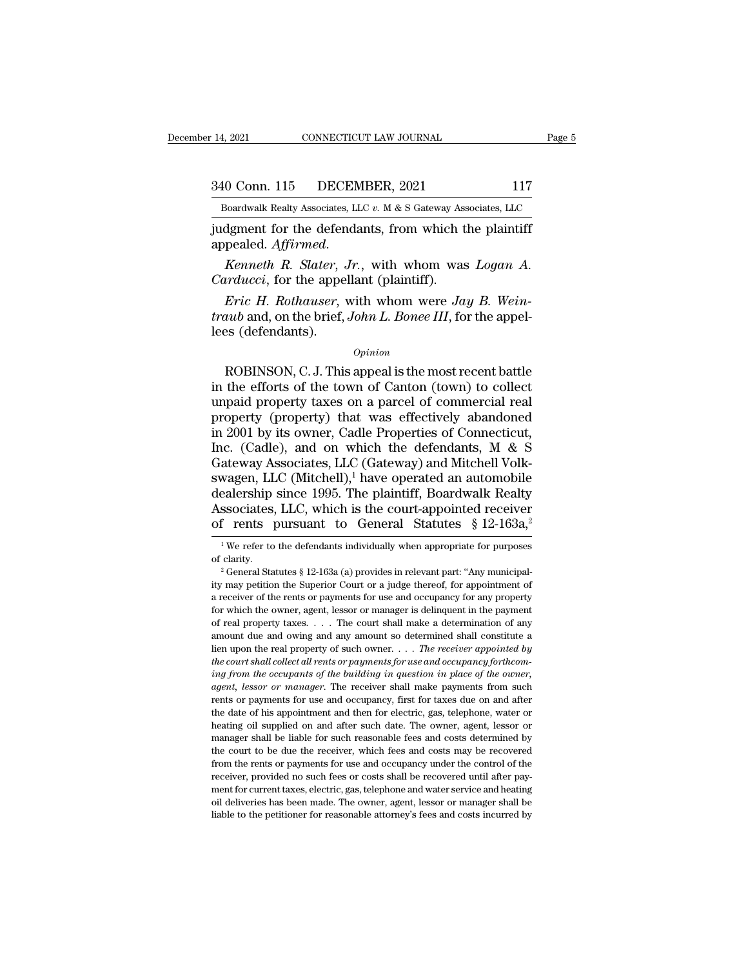14, 2021 CONNECTICUT LAW JOURNAL Page 5<br>340 Conn. 115 DECEMBER, 2021 117<br>Boardwalk Realty Associates, LLC v. M & S Gateway Associates, LLC December 14, 2021 CONNECTICUT LAW JOURNAL Page 5<br>340 Conn. 115 DECEMBER, 2021 117<br>Boardwalk Realty Associates, LLC *v.* M & S Gateway Associates, LLC<br>judgment for the defendants, from which the plaintiff

14, 2021 CONNECTICUT LAW JOURNAL Page!<br>
340 Conn. 115 DECEMBER, 2021 117<br>
Boardwalk Realty Associates, LLC v. M & S Gateway Associates, LLC<br>
judgment for the defendants, from which the plaintiff<br>
appealed. Affirmed. appealed. *Affirmed.* **Against Realty Associates, LLC v. M & S Gateway Associates, LLC**<br> **Appealed. Affirmed.** *Kenneth R. Slater, Jr.*, with whom was *Logan A.*<br> *Carducci*, for the appellant (plaintiff). <sup>240</sup> Conn. 115 DECEMBER, 2021<br>
<sup>Boardwalk Realty Associates, LLC v. M & S Gateway Associates<br>
judgment for the defendants, from which t<br>
appealed. *Affirmed*.<br> *Kenneth R. Slater, Jr.*, with whom was<br> *Carducci*, for the </sup>

*Eric H. Rothauser, LLC v. M & S Gateway Associates, LLC*<br>dgment for the defendants, from which the plaintiff<br>pealed. *Affirmed.*<br>*Kenneth R. Slater, Jr.*, with whom was *Logan A.*<br>*Irducci*, for the appellant (plaintiff). *traub* appealed. Affirmed.<br> *Kenneth R. Slater, Jr.*, with whom was *Logan A.*<br> *Carducci*, for the appellant (plaintiff).<br> *Eric H. Rothauser*, with whom were *Jay B. Weintraub* and, on the brief, *John L. Bonee III*, fo degree to the determined appealed. Affirmed.<br>
Kenneth R. Slater, Carducci, for the appear Eric H. Rothauser, vertuab and, on the brief, lees (defendants). Fric H. Rothauser, with whom were Jay B. Wein-<br>
Fric H. Rothauser, with whom were Jay B. Wein-<br>
uub and, on the brief, John L. Bonee III, for the appel-<br>
es (defendants).<br>  $\frac{Opinion}{100}$ <br>
ROBINSON, C. J. This appeal is the

### *Opinion*

*Eric H. Rothauser*, with whom were *Jay B. Weintraub* and, on the brief, *John L. Bonee III*, for the appel-<br>lees (defendants).<br>*Opinion*<br>ROBINSON, C. J. This appeal is the most recent battle<br>in the efforts of the town o *ETIC H. Kolnduser*, with wholf were *Jay B. Wentraub* and, on the brief, *John L. Bonee III*, for the appel-<br>lees (defendants).<br>*Opinion*<br>ROBINSON, C. J. This appeal is the most recent battle<br>in the efforts of the town o *Property* and, on the brief, *John L. Bonee III*, for the appel-<br>lees (defendants).<br>*Opinion*<br>ROBINSON, C. J. This appeal is the most recent battle<br>in the efforts of the town of Canton (town) to collect<br>unpaid property t <sup>Opinion</sup><br>
ROBINSON, C. J. This appeal is the most recent battle<br>
in the efforts of the town of Canton (town) to collect<br>
unpaid property taxes on a parcel of commercial real<br>
property (property) that was effectively aban *Opinion*<br>
ROBINSON, C. J. This appeal is the most recent battle<br>
in the efforts of the town of Canton (town) to collect<br>
unpaid property taxes on a parcel of commercial real<br>
property (property) that was effectively aban ROBINSON, C. J. This appeal is the most recent battle<br>in the efforts of the town of Canton (town) to collect<br>unpaid property taxes on a parcel of commercial real<br>property (property) that was effectively abandoned<br>in 2001 in the efforts of the town of Canton (town) to collect<br>unpaid property taxes on a parcel of commercial real<br>property (property) that was effectively abandoned<br>in 2001 by its owner, Cadle Properties of Connecticut,<br>Inc. (C unpaid property taxes on a parcel of commercial real<br>property (property) that was effectively abandoned<br>in 2001 by its owner, Cadle Properties of Connecticut,<br>Inc. (Cadle), and on which the defendants, M & S<br>Gateway Associ property (property) that was effectively abandoned<br>in 2001 by its owner, Cadle Properties of Connecticut,<br>Inc. (Cadle), and on which the defendants, M & S<br>Gateway Associates, LLC (Gateway) and Mitchell Volk-<br>swagen, LLC ( in 2001 by its owner, Cadle Properties of Connecticut,<br>Inc. (Cadle), and on which the defendants, M & S<br>Gateway Associates, LLC (Gateway) and Mitchell Volk-<br>swagen, LLC (Mitchell),<sup>1</sup> have operated an automobile<br>dealershi wagen, LLC (Mitchell),<sup>1</sup> have operated an automobile ealership since 1995. The plaintiff, Boardwalk Realty ssociates, LLC, which is the court-appointed receiver f rents pursuant to General Statutes § 12-163a,<sup>2</sup><br><sup>1</sup> We r dealership since 1995. The plaintiff, Boardwalk Realty<br>Associates, LLC, which is the court-appointed receiver<br>of rents pursuant to General Statutes § 12-163a,<sup>2</sup><br><sup>1</sup>We refer to the defendants individually when appropriate

of rents pursuant to General Statutes § 12-163a,<sup>2</sup><br><sup>1</sup>We refer to the defendants individually when appropriate for purposes<br>of clarity.<sup>2</sup> General Statutes § 12-163a (a) provides in relevant part: "Any municipal-<br>ity may a receiver of the defendants individually when appropriate for purposes<br>of clarity.<br> $\alpha^2$  General Statutes § 12-163a (a) provides in relevant part: "Any municipal-<br>ity may petition the Superior Court or a judge thereof, <sup>1</sup> We refer to the defendants individually when appropriate for purposes of clarity.<br>
<sup>2</sup> General Statutes § 12-163a (a) provides in relevant part: "Any municipality may petition the Superior Court or a judge thereof, fo of clarity.<br>
<sup>2</sup> General Statutes § 12-163a (a) provides in relevant part: "Any municipal-<br>
ity may petition the Superior Court or a judge thereof, for appointment of<br>
a receiver of the rents or payments for use and occupa <sup>2</sup> General Statutes § 12-163a (a) provides in relevant part: "Any municipality may petition the Superior Court or a judge thereof, for appointment of a receiver of the rents or payments for use and occupancy for any prop lity may petition the Superior Court or a judge thereof, for appointment of a receiver of the rents or payments for use and occupancy for any property for which the owner, agent, lessor or manager is delinquent in the paym a receiver of the rents or payments for use and occupancy for any property for which the owner, agent, lessor or manager is delinquent in the payment of real property taxes.  $\ldots$  The court shall make a determination of a *ing from the occupants of the court shall make a determination of real property taxes.* . . . The court shall make a determination of any amount due and owing and any amount so determined shall constitute a lien upon the *agent, degree in* and a solution of real property taxes. . . . The court shall make a determination of any amount due and owing and any amount so determined shall constitute a lien upon the receiver of such owner. . . . T From the early and any amount so determined shall constitute a<br>lien upon the real property of such owner. . . . The receiver appointed by<br>the court shall collect all rents or payments for use and occupancy forthcom-<br>ing f the date of his appointed by the date of his approximate the court shall collect all rents or payments for use and occupancy forthcoming from the occupants of the building in question in place of the owner, agent, lessor o the court shall collect all rents or payments for use and occupancy forthcoming from the occupants of the building in question in place of the owner, agent, lessor or manager. The receiver shall make payments from such ren ing from the occupants of the building in question in place of the owner, agent, lessor or manager. The receiver shall make payments from such rents or payments for use and occupancy, first for taxes due on and after the d *the court is a search of manager.* The receiver shall make payments from such rents or payments for use and occupancy, first for taxes due on and after the date of his appointment and then for electric, gas, telephone, wa from the rents or payments for use and occupancy, first for taxes due on and after<br>the date of his appointment and then for electric, gas, telephone, water or<br>heating oil supplied on and after such date. The owner, agent, rents or payments for use and occupancy, first for taxes due on and after<br>the date of his appointment and then for electric, gas, telephone, water or<br>heating oil supplied on and after such date. The owner, agent, lessor or ment for current for current for current for current for current for current and after such date. The owner, agent, lessor or manager shall be liable for such reasonable fees and costs determined by the court to be due the manager shall be liable for such reasonable fees and costs determined by the court to be due the receiver, which fees and costs may be recovered from the rents or payments for use and occupancy under the control of the rec the court to be due the receiver, which fees and costs may be recovered from the rents or payments for use and occupancy under the control of the receiver, provided no such fees or costs shall be recovered until after paym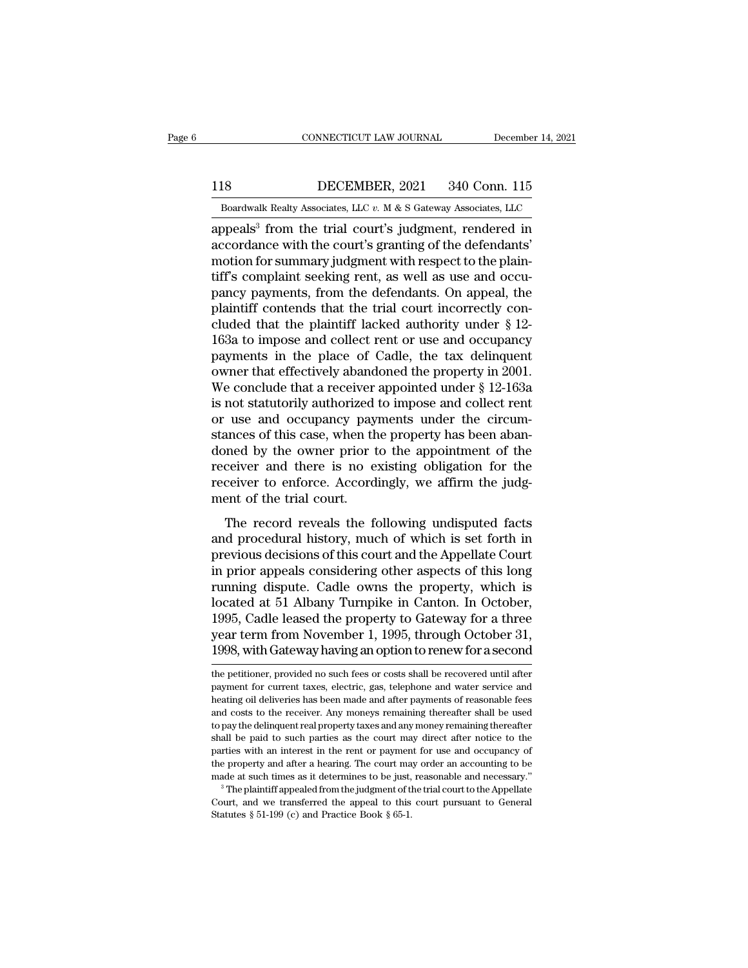EXECUTE CONNECTICUT LAW JOURNAL December 14, 2021<br>118 DECEMBER, 2021 340 Conn. 115<br>Boardwalk Realty Associates, LLC v. M & S Gateway Associates, LLC

CONNECTICUT LAW JOURNAL December 14, 2021<br>118 DECEMBER, 2021 340 Conn. 115<br>Boardwalk Realty Associates, LLC *v.* M & S Gateway Associates, LLC<br>appeals<sup>3</sup> from the trial court's judgment, rendered in CONNECTICUT LAW JOURNAL December 14, 2021<br>
118 DECEMBER, 2021 340 Conn. 115<br>
Boardwalk Realty Associates, LLC  $v$ . M & S Gateway Associates, LLC<br>
appeals<sup>3</sup> from the trial court's judgment, rendered in<br>
accordance with th 118 DECEMBER, 2021 340 Conn. 115<br>Boardwalk Realty Associates, LLC v. M & S Gateway Associates, LLC<br>appeals<sup>3</sup> from the trial court's judgment, rendered in<br>accordance with the court's granting of the defendants'<br>motion for 118 DECEMBER, 2021 340 Conn. 115<br>Boardwalk Realty Associates, LLC  $v$ . M & S Gateway Associates, LLC<br>appeals<sup>3</sup> from the trial court's judgment, rendered in<br>accordance with the court's granting of the defendants'<br>motion f 118 DECEMBER, 2021 340 Conn. 115<br>
Boardwalk Realty Associates, LLC  $v$ . M & S Gateway Associates, LLC<br>
appeals<sup>3</sup> from the trial court's judgment, rendered in<br>
accordance with the court's granting of the defendants'<br>
moti Boardwalk Realty Associates, LLC  $v$ . M & S Gateway Associates, LLC<br>appeals<sup>3</sup> from the trial court's judgment, rendered in<br>accordance with the court's granting of the defendants'<br>motion for summary judgment with respect Boardwalk Realty Associates, LLC  $v$ . M & S Gateway Associates, LLC<br>appeals<sup>3</sup> from the trial court's judgment, rendered in<br>accordance with the court's granting of the defendants'<br>motion for summary judgment with respect appeals<sup>3</sup> from the trial court's judgment, rendered in<br>accordance with the court's granting of the defendants'<br>motion for summary judgment with respect to the plain-<br>tiff's complaint seeking rent, as well as use and occuaccordance with the court's granting of the defendants'<br>motion for summary judgment with respect to the plain-<br>tiff's complaint seeking rent, as well as use and occu-<br>pancy payments, from the defendants. On appeal, the<br>pla motion for summary judgment with respect to the plain-<br>tiff's complaint seeking rent, as well as use and occu-<br>pancy payments, from the defendants. On appeal, the<br>plaintiff contends that the trial court incorrectly con-<br>c tiff's complaint seeking rent, as well as use and occupancy payments, from the defendants. On appeal, the plaintiff contends that the trial court incorrectly concluded that the plaintiff lacked authority under § 12-163a to pancy payments, from the defendants. On appeal, the plaintiff contends that the trial court incorrectly concluded that the plaintiff lacked authority under  $\S$  12-163a to impose and collect rent or use and occupancy payme plaintiff contends that the trial court incorrectly concluded that the plaintiff lacked authority under § 12-163a to impose and collect rent or use and occupancy payments in the place of Cadle, the tax delinquent owner tha cluded that the plaintiff lacked authority under § 12-163a to impose and collect rent or use and occupancy<br>payments in the place of Cadle, the tax delinquent<br>owner that effectively abandoned the property in 2001.<br>We conclu 163a to impose and collect rent or use and occupancy<br>payments in the place of Cadle, the tax delinquent<br>owner that effectively abandoned the property in 2001.<br>We conclude that a receiver appointed under  $\S$  12-163a<br>is not payments in the place of Cadle, the tax delinquent<br>owner that effectively abandoned the property in 2001.<br>We conclude that a receiver appointed under § 12-163a<br>is not statutorily authorized to impose and collect rent<br>or us owner that effectively abandoned the property in 2001.<br>We conclude that a receiver appointed under § 12-163a<br>is not statutorily authorized to impose and collect rent<br>or use and occupancy payments under the circum-<br>stances We conclude that a receiver appointed under  $\S$  12-163a<br>is not statutorily authorized to impose and collect rent<br>or use and occupancy payments under the circum-<br>stances of this case, when the property has been aban-<br>doned is not statutorily authorized<br>or use and occupancy pay<br>stances of this case, when th<br>doned by the owner prior t<br>receiver and there is no e<br>receiver to enforce. Accord<br>ment of the trial court.<br>The record reveals the fo and occupancy payments under the encum-<br>ances of this case, when the property has been aban-<br>ned by the owner prior to the appointment of the<br>ceiver and there is no existing obligation for the<br>ceiver to enforce. Accordingl stances of ans ease, when are property has seen as<br>doned by the owner prior to the appointment of the<br>receiver and there is no existing obligation for the<br>receiver to enforce. Accordingly, we affirm the judg-<br>ment of the t

previous decisions of the distribution of the receiver and there is no existing obligation for the receiver to enforce. Accordingly, we affirm the judgment of the trial court.<br>The record reveals the following undisputed fa receiver and affect is no existing obigation for all<br>receiver to enforce. Accordingly, we affirm the judg-<br>ment of the trial court.<br>The record reveals the following undisputed facts<br>and procedural history, much of which is receiver to emore. Accordingly, we amily the judgement of the trial court.<br>The record reveals the following undisputed facts<br>and procedural history, much of which is set forth in<br>previous decisions of this court and the Ap The record reveals the following undisputed facts<br>and procedural history, much of which is set forth in<br>previous decisions of this court and the Appellate Court<br>in prior appeals considering other aspects of this long<br>runni The record reveals the following undisputed facts<br>and procedural history, much of which is set forth in<br>previous decisions of this court and the Appellate Court<br>in prior appeals considering other aspects of this long<br>runni and procedural history, much of which is set forth in<br>previous decisions of this court and the Appellate Court<br>in prior appeals considering other aspects of this long<br>running dispute. Cadle owns the property, which is<br>loca previous decisions of this court and the Appellate Court<br>in prior appeals considering other aspects of this long<br>running dispute. Cadle owns the property, which is<br>located at 51 Albany Turnpike in Canton. In October,<br>1995, located at 51 Albany Turnpike in Canton. In October, 1995, Cadle leased the property to Gateway for a three year term from November 1, 1995, through October 31, 1998, with Gateway having an option to renew for a second the 1995, Cadle leased the property to Gateway for a three<br>year term from November 1, 1995, through October 31,<br>1998, with Gateway having an option to renew for a second<br>the petitioner, provided no such fees or costs shall be

year term from November 1, 1995, through October 31, 1998, with Gateway having an option to renew for a second<br>the petitioner, provided no such fees or costs shall be recovered until after<br>payment for current taxes, electr 1998, with Gateway having an option to renew for a second<br>the petitioner, provided no such fees or costs shall be recovered until after<br>payment for current taxes, electric, gas, telephone and water service and<br>heating oil heating oil deliveries has been made and after payments of reasonable fees<br>and costs to the receiver. Any moneys remaining thereafter shall be used<br>to pay the delinquent real property taxes and any money remaining thereaft the petitioner, provided no such fees or costs shall be recovered until after payment for current taxes, electric, gas, telephone and water service and heating oil deliveries has been made and after payments of reasonable payment for current taxes, electric, gas, telephone and water service and heating oil deliveries has been made and after payments of reasonable fees and costs to the receiver. Any moneys remaining thereafter shall be used Fusting oil deliveries has been made and after payments of reasonable fees and costs to the receiver. Any moneys remaining thereafter shall be used to pay the delinquent real property taxes and any money remaining thereaft made costs to the receiver. Any moneys remaining thereafter shall be used to pay the delinquent real property taxes and any money remaining thereafter shall be paid to such parties as the court may direct after notice to t Example paid to such parties as the court may direct after notice to the parties with an interest in the rent or payment for use and occupancy of the property and after a hearing. The court may order an accounting to be m parties with an interest in the rent or payment<br>the property and after a hearing. The court ma<br>made at such times as it determines to be just,<br> $3$  The plaintiff appealed from the judgment of the<br>Court, and we transferred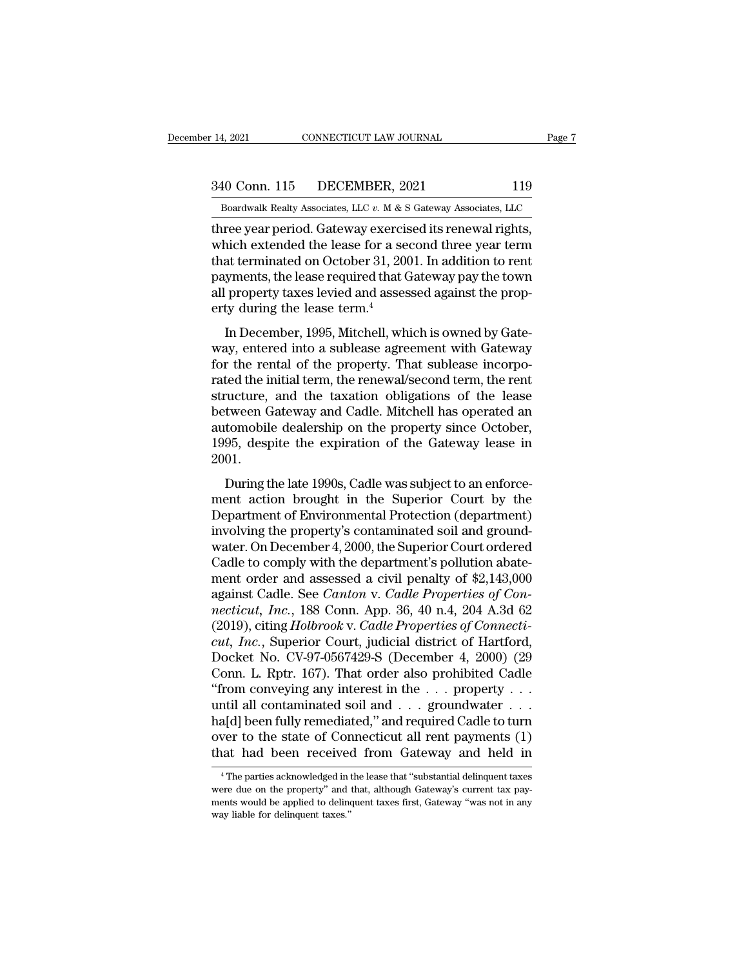14, 2021 CONNECTICUT LAW JOURNAL Page 7<br>340 Conn. 115 DECEMBER, 2021 119<br>Boardwalk Realty Associates, LLC v. M & S Gateway Associates, LLC

December 14, 2021 CONNECTICUT LAW JOURNAL Page 7<br>340 Conn. 115 DECEMBER, 2021 119<br>Boardwalk Realty Associates, LLC *v.* M & S Gateway Associates, LLC<br>three year period. Gateway exercised its renewal rights, 14, 2021 CONNECTICUT LAW JOURNAL Pag<br>
340 Conn. 115 DECEMBER, 2021 119<br>
Boardwalk Realty Associates, LLC  $v$ . M & S Gateway Associates, LLC<br>
three year period. Gateway exercised its renewal rights,<br>
which extended the lea  $\frac{340 \text{ Conn. } 115 \qquad \text{DECEMBER, } 2021 \qquad \qquad 119}{\text{Boardwalk Realty Associates, } \text{LLC } v \text{. } M \& S \text{ Gateway Associates, } \text{LLC}}$ <br>three year period. Gateway exercised its renewal rights,<br>which extended the lease for a second three year term<br>that terminated on Octo 340 Conn. 115 DECEMBER, 2021 119<br>
Boardwalk Realty Associates, LLC  $v$ . M & S Gateway Associates, LLC<br>
three year period. Gateway exercised its renewal rights,<br>
which extended the lease for a second three year term<br>
that 340 Conn. 115 DECEMBER, 2021 119<br>
Boardwalk Realty Associates, LLC  $v$ . M & S Gateway Associates, LLC<br>
three year period. Gateway exercised its renewal rights,<br>
which extended the lease for a second three year term<br>
that Boardwalk Realty Associates, LLC  $v$ . M & S Gateway Associates, LLC<br>three year period. Gateway exercised its renewal rights,<br>which extended the lease for a second three year term<br>that terminated on October 31, 2001. In ad Boardwalk Realty Associates, LLC  $v$ . M  $\&$  S<br>three year period. Gateway exercis<br>which extended the lease for a see<br>that terminated on October 31, 200<br>payments, the lease required that C<br>all property taxes levied and ass In December, 1995, Mitchell, which is owned by Gate-<br>and terminated on October 31, 2001. In addition to rent<br>yments, the lease required that Gateway pay the town<br>property taxes levied and assessed against the prop-<br>ty duri which extended the lease for a second three year term<br>that terminated on October 31, 2001. In addition to rent<br>payments, the lease required that Gateway pay the town<br>all property taxes levied and assessed against the prop

For the rental of october 31, 2001. In addition to rent<br>payments, the lease required that Gateway pay the town<br>all property taxes levied and assessed against the prop-<br>erty during the lease term.<sup>4</sup><br>In December, 1995, Mitc payments, the rease required that date way pay the town<br>all property taxes levied and assessed against the prop-<br>erty during the lease term.<sup>4</sup><br>In December, 1995, Mitchell, which is owned by Gate-<br>way, entered into a suble an property taxes review and assessed against the property during the lease term.<sup>4</sup><br>In December, 1995, Mitchell, which is owned by Gate-<br>way, entered into a sublease agreement with Gateway<br>for the rental of the property. In December, 1995, Mitchell, which is owned by Gate-<br>way, entered into a sublease agreement with Gateway<br>for the rental of the property. That sublease incorpo-<br>rated the initial term, the renewal/second term, the rent<br>stru In December, 1995, Mitchell, which is owned by Gate-<br>way, entered into a sublease agreement with Gateway<br>for the rental of the property. That sublease incorpo-<br>rated the initial term, the renewal/second term, the rent<br>stru way, entered into a sublease agreement with Gateway<br>for the rental of the property. That sublease incorpo-<br>rated the initial term, the renewal/second term, the rent<br>structure, and the taxation obligations of the lease<br>betw 2001. Exercise in the late 1990s, Cadle Was second term, the refinite transfer to the late the distribution of the late to an enforce-<br>195, despite the expiration of the Gateway lease in 01.<br>During the late 1990s, Cadle was subj between Gateway and Cadle. Mitchell has operated an<br>automobile dealership on the property since October,<br>1995, despite the expiration of the Gateway lease in<br>2001.<br>During the late 1990s, Cadle was subject to an enforce-<br>me

Between Gateway and Cadie. Interior has operated an<br>automobile dealership on the property since October,<br>1995, despite the expiration of the Gateway lease in<br>2001.<br>During the late 1990s, Cadle was subject to an enforce-<br>me Figure 2000.<br>
1995, despite the expiration of the Gateway lease in<br>
2001.<br>
During the late 1990s, Cadle was subject to an enforce-<br>
ment action brought in the Superior Court by the<br>
Department of Environmental Protection ( During the late 1990s, Cadle was subject to an enforce-<br>ment action brought in the Superior Court by the<br>Department of Environmental Protection (department)<br>involving the property's contaminated soil and ground-<br>water. On During the late 1990s, Cadle was subject to an enforce-<br>ment action brought in the Superior Court by the<br>Department of Environmental Protection (department)<br>involving the property's contaminated soil and ground-<br>water. On During the late 1990s, Cadle was subject to an enforce-<br>ment action brought in the Superior Court by the<br>Department of Environmental Protection (department)<br>involving the property's contaminated soil and ground-<br>water. On ment action brought in the Superior Court by the<br>Department of Environmental Protection (department)<br>involving the property's contaminated soil and ground-<br>water. On December 4, 2000, the Superior Court ordered<br>Cadle to co Department of Environmental Protection (department)<br>involving the property's contaminated soil and ground-<br>water. On December 4, 2000, the Superior Court ordered<br>Cadle to comply with the department's pollution abate-<br>ment involving the property's contaminated soil and ground-<br>water. On December 4, 2000, the Superior Court ordered<br>Cadle to comply with the department's pollution abate-<br>ment order and assessed a civil penalty of \$2,143,000<br>aga water. On December 4, 2000, the Superior Court ordered<br>Cadle to comply with the department's pollution abate-<br>ment order and assessed a civil penalty of \$2,143,000<br>against Cadle. See *Canton* v. *Cadle Properties of Con-<br>n* Cadle to comply with the department's pollution abatement order and assessed a civil penalty of \$2,143,000 against Cadle. See *Canton v. Cadle Properties of Connecticut, Inc.*, 188 Conn. App. 36, 40 n.4, 204 A.3d 62 (2019) ment order and assessed a civil penalty of \$2,143,000<br>against Cadle. See *Canton v. Cadle Properties of Con-*<br>*necticut, Inc.*, 188 Conn. App. 36, 40 n.4, 204 A.3d 62<br>(2019), citing Holbrook v. Cadle Properties of Connecti against Cadle. See *Canton* v. *Cadle Properties of Connecticut, Inc.*, 188 Conn. App. 36, 40 n.4, 204 A.3d 62 (2019), citing *Holbrook* v. *Cadle Properties of Connecticut, Inc.*, Superior Court, judicial district of Hart mecticut, Inc., 188 Conn. App. 36, 40 n.4, 204 A.3d 62 (2019), citing *Holbrook v. Cadle Properties of Connecticut, Inc.*, Superior Court, judicial district of Hartford, Docket No. CV-97-0567429-S (December 4, 2000) (29 C (2019), citing *Holbrook* v. *Cadle Properties of Connecticut, Inc.*, Superior Court, judicial district of Hartford, Docket No. CV-97-0567429-S (December 4, 2000) (29 Conn. L. Rptr. 167). That order also prohibited Cadle cut, Inc., Superior Court, judicial district of Hartford,<br>Docket No. CV-97-0567429-S (December 4, 2000) (29<br>Conn. L. Rptr. 167). That order also prohibited Cadle<br>"from conveying any interest in the . . . property . . .<br>un Docket No. CV-97-0567429-S (December 4, 2000) (29<br>Conn. L. Rptr. 167). That order also prohibited Cadle<br>"from conveying any interest in the . . . property . . .<br>until all contaminated soil and . . . groundwater . . .<br>ha[d] 14 The parties acknowledged in the lease that "substantial delinquent taxes"<br>The parties acknowledged in the lease that "substantial delinquent taxes"<br>The parties acknowledged in the lease that "substantial delinquent taxe ha[d] been fully remediated," and required Cadle to turn<br>over to the state of Connecticut all rent payments (1)<br>that had been received from Gateway and held in<br><sup>4</sup>The parties acknowledged in the lease that "substantial del

over to the state of Connecticut all rent payments (1) that had been received from Gateway and held in  $\overline{ }^*$ The parties acknowledged in the lease that "substantial delinquent taxes were due on the property" and that, a that had been received<br>
<sup>4</sup> The parties acknowledged in<br>
were due on the property" and<br>
ments would be applied to deling<br>
way liable for delinquent taxes."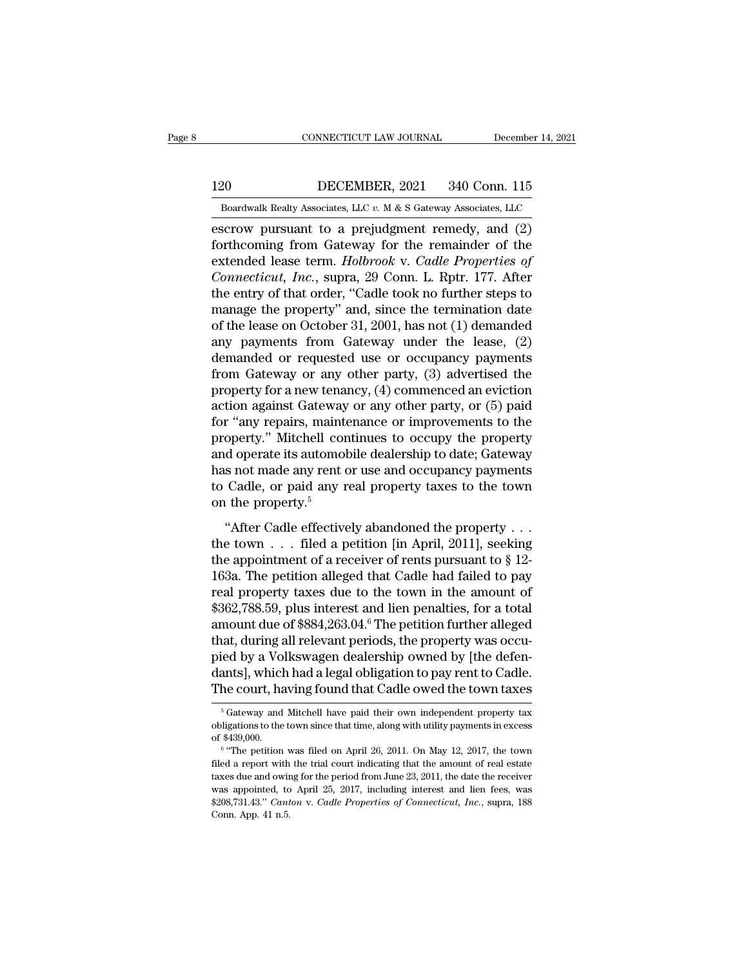EXECUTE CONNECTICUT LAW JOURNAL December 14, 2021<br>120 DECEMBER, 2021 340 Conn. 115<br>Boardwalk Realty Associates, LLC v. M & S Gateway Associates, LLC

CONNECTICUT LAW JOURNAL December 14, 2021<br>120 DECEMBER, 2021 340 Conn. 115<br>Boardwalk Realty Associates, LLC *v.* M & S Gateway Associates, LLC<br>escrow pursuant to a prejudgment remedy, and (2) EXECTIVE CONNECTICUT LAW JOURNAL December 14, 2021<br>
20 DECEMBER, 2021 340 Conn. 115<br>
Boardwalk Realty Associates, LLC v. M & S Gateway Associates, LLC<br>
ESCREENT READER READER AND SECTION PURSUAL PROPERTY OF A CONTROLLER CO Forthcoming from Gateway for the remainder of the extended lease term. Holbrook v. Cadle Properties of Commetication of the remainder of the commetication of the remainder of the extended lease term. Holbrook v. Cadle Prop 120 DECEMBER, 2021 340 Conn. 115<br>
Boardwalk Realty Associates, LLC v. M & S Gateway Associates, LLC<br>
escrow pursuant to a prejudgment remedy, and (2)<br>
forthcoming from Gateway for the remainder of the<br>
extended lease term. **CONNET 120** DECEMBER, 2021 340 Conn. 115<br> *Conditional Boardwalk Realty Associates, LLC v. M & S Gateway Associates, LLC*<br> **Consection** Extended lease term. *Holbrook v. Cadle Properties of Connecticut, Inc., supra, 29 Co* Boardwalk Realty Associates, LLC  $v$ . M & S Gateway Associates, LLC<br>escrow pursuant to a prejudgment remedy, and (2)<br>forthcoming from Gateway for the remainder of the<br>extended lease term. *Holbrook* v. *Cadle Properties o* boardwark Realty Associates, LLC  $v$ . M & S Galeway Associates, LLC<br>escrow pursuant to a prejudgment remedy, and (2)<br>forthcoming from Gateway for the remainder of the<br>extended lease term. *Holbrook* v. *Cadle Properties o* escrow pursuant to a prejudgment remedy, and  $(2)$ <br>forthcoming from Gateway for the remainder of the<br>extended lease term. *Holbrook* v. *Cadle Properties of*<br>*Connecticut, Inc.*, supra, 29 Conn. L. Rptr. 177. After<br>the en forthcoming from Gateway for the remainder of the extended lease term. *Holbrook* v. *Cadle Properties of Connecticut, Inc.*, supra, 29 Conn. L. Rptr. 177. After the entry of that order, "Cadle took no further steps to extended lease term. *Holbrook* v. *Cadle Properties of*<br>Connecticut, Inc., supra, 29 Conn. L. Rptr. 177. After<br>the entry of that order, "Cadle took no further steps to<br>manage the property" and, since the termination date Connecticut, Inc., supra, 29 Conn. L. Rptr. 177. After<br>the entry of that order, "Cadle took no further steps to<br>manage the property" and, since the termination date<br>of the lease on October 31, 2001, has not (1) demanded<br>a the entry of that order, "Cadle took no further steps to<br>manage the property" and, since the termination date<br>of the lease on October 31, 2001, has not (1) demanded<br>any payments from Gateway under the lease, (2)<br>demanded o manage the property" and, since the termination date<br>of the lease on October 31, 2001, has not (1) demanded<br>any payments from Gateway under the lease, (2)<br>demanded or requested use or occupancy payments<br>from Gateway or any of the lease on October 31, 2001, has not (1) demanded<br>any payments from Gateway under the lease, (2)<br>demanded or requested use or occupancy payments<br>from Gateway or any other party, (3) advertised the<br>property for a new t any payments from Gateway under the lease, (2)<br>demanded or requested use or occupancy payments<br>from Gateway or any other party, (3) advertised the<br>property for a new tenancy, (4) commenced an eviction<br>action against Gatewa demanded or requested use or occupancy payments<br>from Gateway or any other party, (3) advertised the<br>property for a new tenancy, (4) commenced an eviction<br>action against Gateway or any other party, or (5) paid<br>for "any repa from Gateway or any other party,  $(3)$  advertised the<br>property for a new tenancy,  $(4)$  commenced an eviction<br>action against Gateway or any other party, or  $(5)$  paid<br>for "any repairs, maintenance or improvements to the<br>p property for a new tenancy, (4) commenced an eviction<br>action against Gateway or any other party, or (5) paid<br>for "any repairs, maintenance or improvements to the<br>property." Mitchell continues to occupy the property<br>and ope action against Gateway<br>for "any repairs, maint<br>property." Mitchell cor<br>and operate its automol<br>has not made any rent of<br>to Cadle, or paid any r<br>on the property.<sup>5</sup><br>"After Cadle effective They continues to accupy the property<br>
doperty." Mitchell continues to occupy the property<br>
doperate its automobile dealership to date; Gateway<br>
s not made any rent or use and occupancy payments<br>
Cadle, or paid any real p and operate its automobile dealership to date; Gateway<br>has not made any rent or use and occupancy payments<br>to Cadle, or paid any real property taxes to the town<br>on the property.<sup>5</sup><br>"After Cadle effectively abandoned the p

the appearance is alto interesting to differently absorbed payments<br>to Cadle, or paid any real property taxes to the town<br>on the property.<sup>5</sup><br>"After Cadle effectively abandoned the property  $\dots$ <br>the town  $\dots$  filed a peti 163 Ros make any rent of asset and occupancy payments<br>to Cadle, or paid any real property taxes to the town<br>on the property.<sup>5</sup><br>"After Cadle effectively abandoned the property . . .<br>the town . . . filed a petition [in Apr or balance of property.<sup>5</sup><br>
"After Cadle effectively abandoned the property . . .<br>
the town . . . filed a petition [in April, 2011], seeking<br>
the appointment of a receiver of rents pursuant to § 12-<br>
163a. The petition al "After Cadle effectively abandoned the property . . . the town . . . filed a petition [in April, 2011], seeking the appointment of a receiver of rents pursuant to  $\S$  12-163a. The petition alleged that Cadle had failed to "After Cadle effectively abandoned the property . . .<br>the town . . . filed a petition [in April, 2011], seeking<br>the appointment of a receiver of rents pursuant to  $\S$  12-<br>163a. The petition alleged that Cadle had failed t the town  $\ldots$  filed a petition [in April, 2011], seeking<br>the appointment of a receiver of rents pursuant to § 12-<br>163a. The petition alleged that Cadle had failed to pay<br>real property taxes due to the town in the amount the appointment of a receiver of rents pursuant to  $\S$  12-163a. The petition alleged that Cadle had failed to pay<br>real property taxes due to the town in the amount of<br>\$362,788.59, plus interest and lien penalties, for a t 163a. The petition alleged that Cadle had failed to pay<br>real property taxes due to the town in the amount of<br>\$362,788.59, plus interest and lien penalties, for a total<br>amount due of \$884,263.04.<sup>6</sup> The petition further all real property taxes due to the town in the amount of \$362,788.59, plus interest and lien penalties, for a total amount due of \$884,263.04.<sup>6</sup> The petition further alleged that, during all relevant periods, the property was at, during all relevant periods, the property was occu-<br>ied by a Volkswagen dealership owned by [the defen-<br>ants], which had a legal obligation to pay rent to Cadle.<br>he court, having found that Cadle owed the town taxes<br><sup>5</sup> pied by a Volkswagen dealership owned by [the defendants], which had a legal obligation to pay rent to Cadle.<br>The court, having found that Cadle owed the town taxes<br><sup>5</sup> Gateway and Mitchell have paid their own independent

dants], which had a legal obligation to pay rent to Cadle.<br>The court, having found that Cadle owed the town taxes<br> $\frac{1}{6}$  Gateway and Mitchell have paid their own independent property tax<br>obligations to the town since t The petition was filed on April 26, 2011. On May 12, 2017, the town are distinguished on April 26, 2011. On May 12, 2017, the town are approximate that time, along with utility payments in excess 439,000.<br>"The petition was

File Court, itavity found that Cattle Owed the town taxes<br>  $\frac{1}{6}$  Gateway and Mitchell have paid their own independent property tax<br>
obligations to the town since that time, along with utility payments in excess<br>
of \$4 <sup>5</sup> Gateway and Mitchell have paid their own independent property tax obligations to the town since that time, along with utility payments in excess of \$439,000.<br><sup>6</sup> "The petition was filed on April 26, 2011. On May 12, 2 obligations to the town since that time, along with utility payments in excess of \$439,000.<br>
"The petition was filed on April 26, 2011. On May 12, 2017, the town filed a report with the trial court indicating that the amo of \$439,000.<br>
<sup>6</sup> "The petition was filed on April 26, 2011. On May 12, 2017, the town<br>
filed a report with the trial court indicating that the amount of real estate<br>
taxes due and owing for the period from June 23, 2011,  $6$  "The petition was filed on April 26, 2011. On May 12, 2017, the town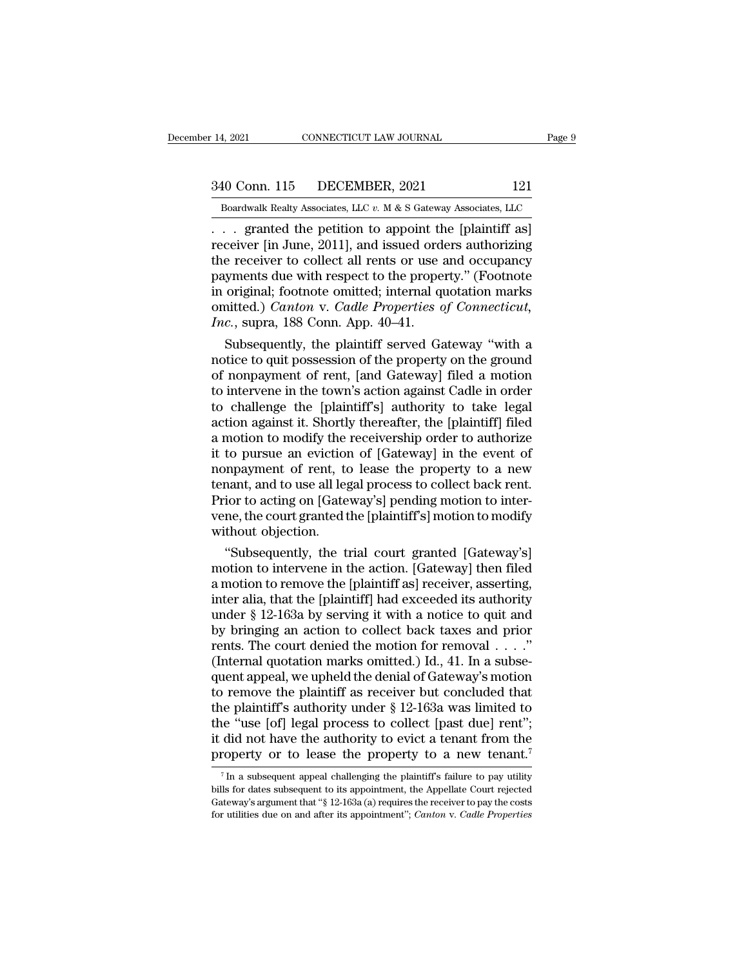14, 2021 CONNECTICUT LAW JOURNAL Page 9<br>340 Conn. 115 DECEMBER, 2021 121<br>Boardwalk Realty Associates, LLC v. M & S Gateway Associates, LLC

December 14, 2021 CONNECTICUT LAW JOURNAL Page 9<br>
340 Conn. 115 DECEMBER, 2021 121<br>
Boardwalk Realty Associates, LLC *v.* M & S Gateway Associates, LLC<br>
. . . granted the petition to appoint the [plaintiff as] <sup>14, 2021</sup> CONNECTICUT LAW JOURNAL Page!<br>
<sup>240</sup> Conn. 115 DECEMBER, 2021 <sup>121</sup><br>
<sup>26</sup> Boardwalk Realty Associates, LLC *v.* M & S Gateway Associates, LLC<br>
. . . granted the petition to appoint the [plaintiff as]<br>
2011, and Free Connection 2011<br>
The Search Connection 2011<br>
The Search Connection 2011<br>
Search Connectiver (in June, 2011), and issued orders authorizing<br>
the receiver to collect all rents or use and occupancy<br>
The Search Connective 340 Conn. 115 DECEMBER, 2021 121<br>
Boardwalk Realty Associates, LLC  $v$ . M & S Gateway Associates, LLC<br>
... granted the petition to appoint the [plaintiff as]<br>
receiver [in June, 2011], and issued orders authorizing<br>
the r 340 Conn. 115 DECEMBER, 2021 121<br>
Boardwalk Realty Associates, LLC  $v$ . M & S Gateway Associates, LLC<br>
... granted the petition to appoint the [plaintiff as]<br>
receiver [in June, 2011], and issued orders authorizing<br>
the r Boardwalk Realty Associates, LLC  $v$ . M & S Gateway Associates, LLC<br>
... granted the petition to appoint the [plaintiff as]<br>
receiver [in June, 2011], and issued orders authorizing<br>
the receiver to collect all rents or us Boardwalk Realty Associates, LLC v. M & S Gateway Associates, LLC<br>
. . . granted the petition to appoint the [plaintiff as]<br>
receiver [in June, 2011], and issued orders authorizing<br>
the receiver to collect all rents or use *Inc.*, stranged the petition to appoint the receiver [in June, 2011], and issued ord the receiver to collect all rents or use appayments due with respect to the proper in original; footnote omitted; internal quantited.) ceiver [in June, 2011], and issued orders authorizing<br>e receiver to collect all rents or use and occupancy<br>yments due with respect to the property." (Footnote<br>original; footnote omitted; internal quotation marks<br>aitted.) the receiver to collect all rents or use and occupancy<br>payments due with respect to the property." (Footnote<br>in original; footnote omitted; internal quotation marks<br>omitted.) *Canton* v. *Cadle Properties of Connecticut*,<br>

payments due with respect to the property." (Footnote<br>in original; footnote omitted; internal quotation marks<br>omitted.) *Canton* v. *Cadle Properties of Connecticut*,<br>*Inc.*, supra, 188 Conn. App. 40–41.<br>Subsequently, the in original; footnote omitted; internal quotation marks<br>omitted.) *Canton* v. *Cadle Properties of Connecticut,*<br>*Inc.*, supra, 188 Conn. App. 40–41.<br>Subsequently, the plaintiff served Gateway "with a<br>notice to quit posses omitted.) Canton v. Cadle Properties of Connecticut,<br>Inc., supra, 188 Conn. App. 40–41.<br>Subsequently, the plaintiff served Gateway "with a<br>notice to quit possession of the property on the ground<br>of nonpayment of rent, [and Friest, supra, 188 Conn. App. 40–41.<br>
Subsequently, the plaintiff served Gateway "with a<br>
notice to quit possession of the property on the ground<br>
of nonpayment of rent, [and Gateway] filed a motion<br>
to intervene in the to Subsequently, the plaintiff served Gateway "with a<br>notice to quit possession of the property on the ground<br>of nonpayment of rent, [and Gateway] filed a motion<br>to intervene in the town's action against Cadle in order<br>to cha notice to quit possession of the property on the ground<br>of nonpayment of rent, [and Gateway] filed a motion<br>to intervene in the town's action against Cadle in order<br>to challenge the [plaintiff's] authority to take legal<br>ac of nonpayment of rent, [and Gateway] filed a motion<br>to intervene in the town's action against Cadle in order<br>to challenge the [plaintiff's] authority to take legal<br>action against it. Shortly thereafter, the [plaintiff] fil to intervene in the town's action against Cadle in order<br>to challenge the [plaintiff's] authority to take legal<br>action against it. Shortly thereafter, the [plaintiff] filed<br>a motion to modify the receivership order to auth to challenge the [plaintiff's] authority to take legal<br>action against it. Shortly thereafter, the [plaintiff] filed<br>a motion to modify the receivership order to authorize<br>it to pursue an eviction of [Gateway] in the event action against it. Shortly thereafter, the [plaintiff] filed<br>a motion to modify the receivership order to authorize<br>it to pursue an eviction of [Gateway] in the event of<br>nonpayment of rent, to lease the property to a new<br>t a motion to modify the<br>it to pursue an eviction<br>nonpayment of rent, to<br>tenant, and to use all leg<br>Prior to acting on [Gate<br>vene, the court granted t<br>without objection.<br>"Subsequently, the t to pursue an eviction of [Gateway] in the event of<br>
impayment of rent, to lease the property to a new<br>
nant, and to use all legal process to collect back rent.<br>
ior to acting on [Gateway's] pending motion to inter-<br>
ne, th monpayment of rent, to lease the property to a new<br>tenant, and to use all legal process to collect back rent.<br>Prior to acting on [Gateway's] pending motion to inter-<br>vene, the court granted the [plaintiff's] motion to modi

tenant, and to use all legal process to collect back rent.<br>Prior to acting on [Gateway's] pending motion to inter-<br>vene, the court granted the [plaintiff's] motion to modify<br>without objection.<br>"Subsequently, the trial cour Prior to acting on [Gateway's] pending motion to inter-<br>vene, the court granted the [plaintiff's] motion to modify<br>without objection.<br>"Subsequently, the trial court granted [Gateway's]<br>motion to intervene in the action. [G vene, the court granted the [plaintiff s] motion to modify<br>without objection.<br>"Subsequently, the trial court granted [Gateway's]<br>motion to intervene in the action. [Gateway] then filed<br>a motion to remove the [plaintiff as] without objection.<br>
"Subsequently, the trial court granted [Gateway's]<br>
motion to intervene in the action. [Gateway] then filed<br>
a motion to remove the [plaintiff as] receiver, asserting,<br>
inter alia, that the [plaintiff] "Subsequently, the trial court granted [Gateway's]<br>motion to intervene in the action. [Gateway] then filed<br>a motion to remove the [plaintiff as] receiver, asserting,<br>inter alia, that the [plaintiff] had exceeded its autho motion to intervene in the action. [Gateway] then filed<br>a motion to remove the [plaintiff as] receiver, asserting,<br>inter alia, that the [plaintiff] had exceeded its authority<br>under § 12-163a by serving it with a notice to a motion to remove the [plaintiff as] receiver, asserting,<br>inter alia, that the [plaintiff] had exceeded its authority<br>under § 12-163a by serving it with a notice to quit and<br>by bringing an action to collect back taxes an inter alia, that the [plaintiff] had exceeded its authority<br>under § 12-163a by serving it with a notice to quit and<br>by bringing an action to collect back taxes and prior<br>rents. The court denied the motion for removal  $\ldots$ under § 12-163a by serving it with a notice to quit and<br>by bringing an action to collect back taxes and prior<br>rents. The court denied the motion for removal  $\dots$ ."<br>(Internal quotation marks omitted.) Id., 41. In a subse-<br> by bringing an action to collect back taxes and prior<br>rents. The court denied the motion for removal . . . ."<br>(Internal quotation marks omitted.) Id., 41. In a subse-<br>quent appeal, we upheld the denial of Gateway's motion rents. The court denied the motion for removal . . . ."<br>(Internal quotation marks omitted.) Id., 41. In a subsequent appeal, we upheld the denial of Gateway's motion<br>to remove the plaintiff as receiver but concluded that<br> (Internal quotation marks omitted.) Id., 41. In a subsequent appeal, we upheld the denial of Gateway's motion to remove the plaintiff as receiver but concluded that the plaintiff's authority under  $\S$  12-163a was limited ie plaintiff's authority under § 12-163a was limited to<br>he "use [of] legal process to collect [past due] rent";<br>did not have the authority to evict a tenant from the<br>roperty or to lease the property to a new tenant.<sup>7</sup><br> $\$ the "use [of] legal process to collect [past due] rent";<br>it did not have the authority to evict a tenant from the<br>property or to lease the property to a new tenant.<sup>7</sup><br> $\frac{7}{1}$  In a subsequent appeal challenging the plai property or to lease the property to a new tenant.<sup>7</sup>

it did not have the authority to evict a tenant from the property or to lease the property to a new tenant.<sup>7</sup><br> $\frac{7}{1}$  In a subsequent appeal challenging the plaintiff's failure to pay utility bills for dates subsequent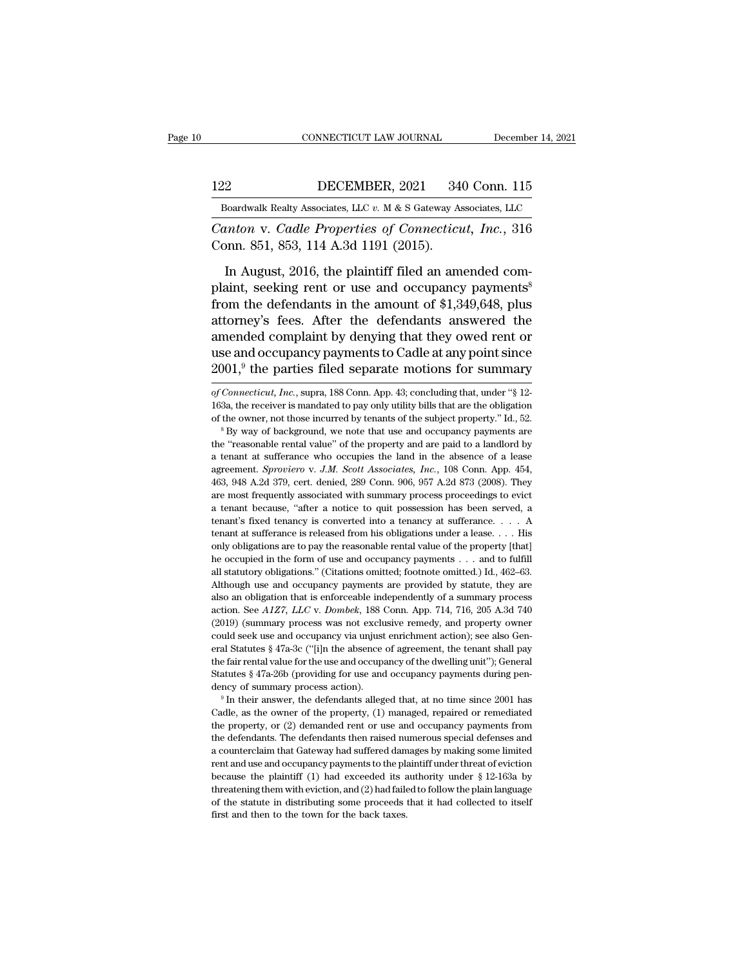122 CONNECTICUT LAW JOURNAL December 14, 2021<br>122 DECEMBER, 2021 340 Conn. 115<br>123 DECEMBER, 2021 340 Conn. 115 EXECUTE CONNECTICUT LAW JOURNAL December 14, 2021<br>122 DECEMBER, 2021 340 Conn. 115<br>Boardwalk Realty Associates, LLC *v.* M & S Gateway Associates, LLC

*CONNECTICUT LAW JOURNAL* December 14, 2021<br> **CALL BOAT DECEMBER, 2021** 340 Conn. 115<br> **CALL BOAT DECEMBER, 2021** 340 Conn. 115<br> *CAND V. Cadle Properties of Connecticut, Inc.*, 316<br>
Conn. 851, 853, 114 A.3d 1191 (2015). 122 DECEMBER, 2021 34<br>
Boardwalk Realty Associates, LLC v. M & S Gateway As<br>
Canton v. Cadle Properties of Connecticu<br>
Conn. 851, 853, 114 A.3d 1191 (2015).<br>
In August, 2016, the plaintiff filed an am

DECEMBER, 2021 340 Conn. 115<br>
Boardwalk Realty Associates, LLC v. M & S Gateway Associates, LLC<br>
unton v. Cadle Properties of Connecticut, Inc., 316<br>
Inn. 851, 853, 114 A.3d 1191 (2015).<br>
In August, 2016, the plaintiff fil DECEMBER, 2021 340 COMI. 113<br>
Boardwalk Realty Associates, LLC v. M & S Gateway Associates, LLC<br>
Canton v. Cadle Properties of Connecticut, Inc., 316<br>
Conn. 851, 853, 114 A.3d 1191 (2015).<br>
In August, 2016, the plaintiff Boardwalk Realty Associates, LLC v. M & S Gateway Associates, LLC<br>
Canton v. Cadle Properties of Connecticut, Inc., 316<br>
Conn. 851, 853, 114 A.3d 1191 (2015).<br>
In August, 2016, the plaintiff filed an amended com-<br>
plaint, Canton v. Cadle Properties of Connecticut, Inc., 316<br>Conn. 851, 853, 114 A.3d 1191 (2015).<br>In August, 2016, the plaintiff filed an amended com-<br>plaint, seeking rent or use and occupancy payments<sup>8</sup><br>from the defendants in Conn. 851, 853, 114 A.3d 1191 (2015).<br>
In August, 2016, the plaintiff filed an amended complaint, seeking rent or use and occupancy payments<sup>8</sup><br>
from the defendants in the amount of \$1,349,648, plus<br>
attorney's fees. Afte In August, 2016, the plaintiff filed an amended complaint, seeking rent or use and occupancy payments<sup>8</sup> from the defendants in the amount of \$1,349,648, plus attorney's fees. After the defendants answered the amended com In August, 2016, the plaintiff filed an amended complaint, seeking rent or use and occupancy payments<sup>8</sup> from the defendants in the amount of \$1,349,648, plus attorney's fees. After the defendants answered the amended com attorney s rees. After the derendants answered the<br>amended complaint by denying that they owed rent or<br>use and occupancy payments to Cadle at any point since<br> $2001$ ,<sup>9</sup> the parties filed separate motions for summary<br>of *Co* amended complaint by denying that they owed rent or<br>use and occupancy payments to Cadle at any point since<br> $2001$ ,<sup>9</sup> the parties filed separate motions for summary<br>of *Connecticut*, *Inc.*, supra, 188 Conn. App. 43; conc

use and occupancy payments to Cadle at any point since  $2001$ ,<sup>9</sup> the parties filed separate motions for summary of *Connecticut*, *Inc.*, supra, 188 Conn. App. 43; concluding that, under "§ 12-163a, the receiver is manda

 $\frac{1}{2001}$ , the parties fied separate filotions for summary<br>of *Connecticut*, *Inc.*, supra, 188 Conn. App. 43; concluding that, under "§ 12-<br>163a, the receiver is mandated to pay only utility bills that are the obligat a tenant at sufferance who occupies the land in the absence of a lease agreement. Sproviero v. J.M. Scott Associates,  $\ln c$ ,  $108$  Conn. App. 43; Concluding that are the obligation of the owner, not those incurred by tena 163a, the receiver is mandated to pay only utility bills that are the obligation of the owner, not those incurred by tenants of the subject property." Id., 52.<br><sup>8</sup> By way of background, we note that use and occupancy payme for the owner, not those incurred by tenants of the subject property." Id., 52.<br>
<sup>8</sup> By way of background, we note that use and occupancy payments are<br>
the "reasonable rental value" of the property and are paid to a landlo <sup>a</sup> By way of background, we note that use and occupancy payments are the "reasonable rental value" of the property and are paid to a landlord by a tenant at sufferance who occupies the land in the absence of a lease agre <sup>2</sup> tensonable rental value" of the property and are paid to a landlord by a tenant at sufferance who occupies the land in the absence of a lease agreement. *Sproviero* v. *J.M. Scott Associates, Inc.*, 108 Conn. App. 454 a tenant at sufferance who occupies the land in the absence of a lease agreement. *Sproviero* v. *J.M. Scott Associates, Inc.*, 108 Conn. App. 454, 463, 948 A.2d 379, cert. denied, 289 Conn. 906, 957 A.2d 873 (2008). They agreement. *Sproviero* v. *J.M. Scott Associates, Inc.*, 108 Conn. App. 454, 463, 948 A.2d 379, cert. denied, 289 Conn. 906, 957 A.2d 873 (2008). They are most frequently associated with summary process proceedings to evic 463, 948 A.2d 379, cert. denied, 289 Conn. 906, 957 A.2d 873 (2008). They are most frequently associated with summary process proceedings to evict a tenant because, "after a notice to quit possession has been served, a te he occupied in the form of use and occupancy payments . . . . A denant's fixed tenancy is converted into a tenancy at sufferance. . . . A tenant's fixed tenancy is converted into a tenancy at sufferance. . . . A tenant at a tenant because, "after a notice to quit possession has been served, a tenant's fixed tenancy is converted into a tenancy at sufferance. . . . A tenant at sufferance is released from his obligations under a lease. . . . H **EXECUTE:** the tenant's fixed tenancy is converted into a tenancy at sufferance.  $\ldots$  A tenant at sufferance is released from his obligations under a lease.  $\ldots$  His only obligations are to pay the reasonable rental val tenant at sufferance is released from his obligations under a lease.  $\ldots$  His only obligations are to pay the reasonable rental value of the property [that] he occupied in the form of use and occupancy payments  $\ldots$  and only obligations are to pay the reasonable rental value of the property [that]<br>he occupied in the form of use and occupancy payments . . . and to fulfill<br>all statutory obligations." (Citations omitted; footnote omitted.) I The occupied in the form of use and occupancy payments  $\ldots$  and to fulfill all statutory obligations." (Citations omitted; footnote omitted.) Id., 462–63. Although use and occupancy payments are provided by statute, they he occupied in the form of use and occupancy payments . . . and to fulfill all statutory obligations." (Citations omitted; footnote omitted.) Id., 462–63. Although use and occupancy payments are provided by statute, they are diffulned by statute, they are also an obligation that is enforceable independently of a summary process action. See  $A1Z7$ ,  $LLC$  v. Dombek, 188 Conn. App. 714, 716, 205 A.3d 740 (2019) (summary process was not exclus Fair rental value for the use and occupancy of the dwelling unity process<br>action. See A1Z7, LLC v. Dombek, 188 Conn. App. 714, 716, 205 A.3d 740<br>(2019) (summary process was not exclusive remedy, and property owner<br>could s action. See A1Z7, LLC v. Dombek, 188 Conn. App. 714, 716, 205 A.3d 740 (2019) (summary process was not exclusive remedy, and property owner could seek use and occupancy via unjust enrichment action); see also General Stat (2019) (summary process was not exclusive remedy, and property over<br>could seek use and occupancy via unjust enrichment action); see also General Statutes § 47a-3c ("[i]n the absence of agreement, the tenant shall pay<br>the eral Statutes § 47a-3c ("[i]n the absence of agreement, the tenant shall pay<br>the fair rental value for the use and occupancy of the dwelling unit"); General<br>Statutes § 47a-26b (providing for use and occupancy payments dur

the fair rental value for the use and occupancy of the dwelling unit"); General Statutes § 47a-26b (providing for use and occupancy payments during pendency of summary process action).<br><sup>9</sup> In their answer, the defendants a Statutes § 47a-26b (providing for use and occupancy payments during pendency of summary process action).<br>
<sup>9</sup> In their answer, the defendants alleged that, at no time since 2001 has Cadle, as the owner of the property,  $($ dency of summary process action).<br>
<sup>9</sup> In their answer, the defendants alleged that, at no time since 2001 has<br>
Cadle, as the owner of the property, (1) managed, repaired or remediated<br>
the property, or (2) demanded rent o <sup>1</sup> In their answer, the defendants alleged that, at no time since 2001 has Cadle, as the owner of the property, (1) managed, repaired or remediated the property, or (2) demanded rent or use and occupancy payments from th Cadle, as the owner of the property, (1) managed, repaired or remediated the property, or (2) demanded rent or use and occupancy payments from the defendants. The defendants then raised numerous special defenses and a cou the property, or (2) demanded rent or use and occupancy payments from<br>the defendants. The defendants then raised numerous special defenses and<br>a counterclaim that Gateway had suffered damages by making some limited<br>rent a the property, or (2) demanded rent or use and occupancy payments from<br>the defendants. The defendants then raised numerous special defenses and<br>a counterclaim that Gateway had suffered damages by making some limited<br>rent a a counterclaim that Gateway had suffered damages by making some limited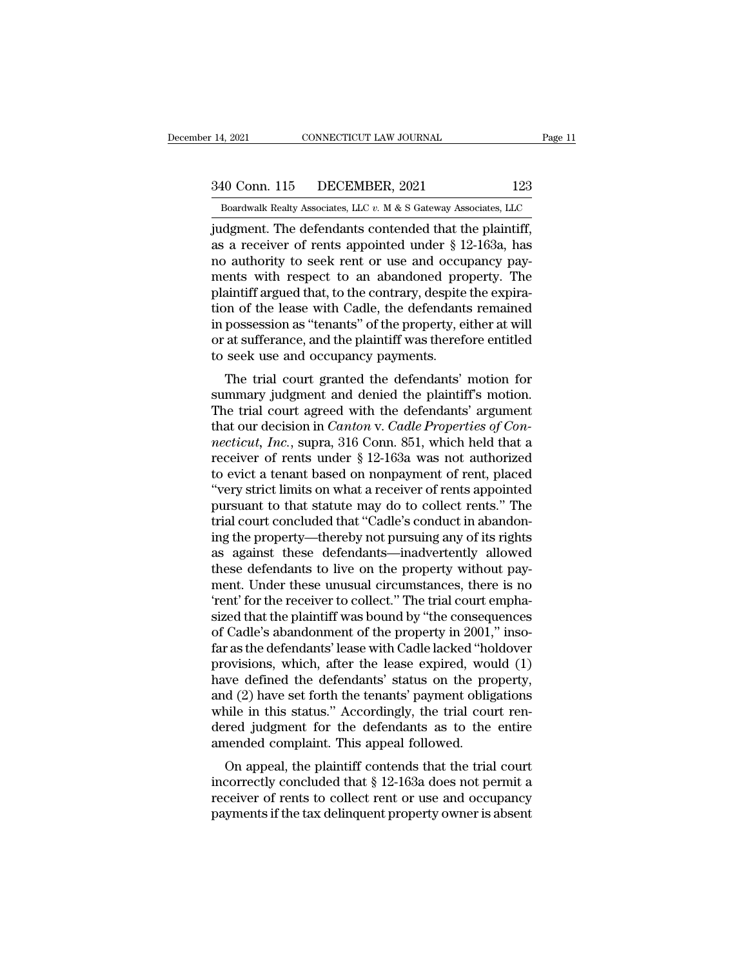14, 2021 CONNECTICUT LAW JOURNAL Page 11<br>340 Conn. 115 DECEMBER, 2021 123<br>Boardwalk Realty Associates, LLC v. M & S Gateway Associates, LLC

Bolden Boardwalk Realty Associates, LLC *v.* M & S Gateway Associates, LLC indigment. The defendants contended that the plaintiff, 14, 2021 CONNECTICUT LAW JOURNAL Page<br>
340 Conn. 115 DECEMBER, 2021 123<br>
Boardwalk Realty Associates, LLC  $v$ . M & S Gateway Associates, LLC<br>
judgment. The defendants contended that the plaintiff,<br>
as a receiver of rents 340 Conn. 115 DECEMBER, 2021 123<br>
Boardwalk Realty Associates, LLC v. M & S Gateway Associates, LLC<br>
judgment. The defendants contended that the plaintiff,<br>
as a receiver of rents appointed under § 12-163a, has<br>
no authori 340 Conn. 115 DECEMBER, 2021 123<br>
Boardwalk Realty Associates, LLC  $v$ . M & S Gateway Associates, LLC<br>
judgment. The defendants contended that the plaintiff,<br>
as a receiver of rents appointed under  $\S$  12-163a, has<br>
no au 340 Conn. 115 DECEMBER, 2021 123<br>
Boardwalk Realty Associates, LLC  $v$ . M & S Gateway Associates, LLC<br>
judgment. The defendants contended that the plaintiff,<br>
as a receiver of rents appointed under  $\S$  12-163a, has<br>
no au Boardwalk Realty Associates, LLC  $v$ . M & S Gateway Associates, LLC judgment. The defendants contended that the plaintiff, as a receiver of rents appointed under  $\S$  12-163a, has no authority to seek rent or use and occup Boardwalk Realty Associates, LLC v. M & S Gateway Associates, LLC<br>judgment. The defendants contended that the plaintiff,<br>as a receiver of rents appointed under § 12-163a, has<br>no authority to seek rent or use and occupancy judgment. The defendants contended that the plaintiff,<br>as a receiver of rents appointed under § 12-163a, has<br>no authority to seek rent or use and occupancy pay-<br>ments with respect to an abandoned property. The<br>plaintiff ar as a receiver of rents appointed under § 12-163a, has<br>no authority to seek rent or use and occupancy pay-<br>ments with respect to an abandoned property. The<br>plaintiff argued that, to the contrary, despite the expira-<br>tion of no authority to seek rent or use and occu<br>ments with respect to an abandoned pro<br>plaintiff argued that, to the contrary, despite<br>tion of the lease with Cadle, the defendant<br>in possession as "tenants" of the property, e<br>or First with respect to an abandoned property. The aintiff argued that, to the contrary, despite the expiral on of the lease with Cadle, the defendants remained possession as "tenants" of the property, either at will at suff plantiff argued that, to the contrary, despite the expiration of the lease with Cadle, the defendants remained<br>in possession as "tenants" of the property, either at will<br>or at sufferance, and the plaintiff was therefore en

in possession as "tenants" of the property, either at will<br>or at sufferance, and the plaintiff was therefore entitled<br>to seek use and occupancy payments.<br>The trial court granted the defendants' motion for<br>summary judgment In possession as tenants of the property, entier at will<br>or at sufferance, and the plaintiff was therefore entitled<br>to seek use and occupancy payments.<br>The trial court granted the defendants' motion for<br>summary judgment an or at surfrance, and the plaintiff was therefore entitied<br>to seek use and occupancy payments.<br>The trial court granted the defendants' motion for<br>summary judgment and denied the plaintiff's motion.<br>The trial court agreed wi The trial court granted the defendants' motion for<br>summary judgment and denied the plaintiff's motion.<br>The trial court agreed with the defendants' argument<br>that our decision in *Canton* v. *Cadle Properties of Con-<br>nectic* The trial court granted the defendants' motion for<br>summary judgment and denied the plaintiff's motion.<br>The trial court agreed with the defendants' argument<br>that our decision in *Canton* v. *Cadle Properties of Con-<br>nectic* summary judgment and denied the plaintiff's motion.<br>The trial court agreed with the defendants' argument<br>that our decision in *Canton* v. *Cadle Properties of Con-<br>necticut, Inc.*, supra, 316 Conn. 851, which held that a<br>r The trial court agreed with the defendants' argument<br>that our decision in *Canton* v. *Cadle Properties of Con-*<br>*necticut, Inc.*, supra, 316 Conn. 851, which held that a<br>receiver of rents under  $\S$  12-163a was not author that our decision in *Canton* v. *Cadle Properties of Connecticut, Inc.*, supra, 316 Conn. 851, which held that a receiver of rents under § 12-163a was not authorized to evict a tenant based on nonpayment of rent, placed " mecticut, Inc., supra, 316 Conn. 851, which held that a<br>receiver of rents under § 12-163a was not authorized<br>to evict a tenant based on nonpayment of rent, placed<br>"very strict limits on what a receiver of rents appointed<br>p receiver of rents under § 12-163a was not authorized<br>to evict a tenant based on nonpayment of rent, placed<br>"very strict limits on what a receiver of rents appointed<br>pursuant to that statute may do to collect rents." The<br>tr to evict a tenant based on nonpayment of rent, placed<br>"very strict limits on what a receiver of rents appointed<br>pursuant to that statute may do to collect rents." The<br>trial court concluded that "Cadle's conduct in abandon-"very strict limits on what a receiver of rents appointed<br>pursuant to that statute may do to collect rents." The<br>trial court concluded that "Cadle's conduct in abandon-<br>ing the property—thereby not pursuing any of its righ pursuant to that statute may do to collect rents." The<br>trial court concluded that "Cadle's conduct in abandon-<br>ing the property—thereby not pursuing any of its rights<br>as against these defendants—inadvertently allowed<br>these trial court concluded that "Cadle's conduct in abandon-<br>ing the property—thereby not pursuing any of its rights<br>as against these defendants—inadvertently allowed<br>these defendants to live on the property without pay-<br>ment. ing the property—thereby not pursuing any of its rights<br>as against these defendants—inadvertently allowed<br>these defendants to live on the property without pay-<br>ment. Under these unusual circumstances, there is no<br>'rent' fo as against these defendants—inadvertently allowed<br>these defendants to live on the property without pay-<br>ment. Under these unusual circumstances, there is no<br>'rent' for the receiver to collect.'' The trial court empha-<br>size these defendants to live on the property without payment. Under these unusual circumstances, there is no<br>'rent' for the receiver to collect." The trial court empha-<br>sized that the plaintiff was bound by "the consequences<br>o ment. Under these unusual circumstances, there is no<br>
"rent" for the receiver to collect." The trial court empha-<br>
sized that the plaintiff was bound by "the consequences<br>
of Cadle's abandonment of the property in 2001," i " "rent" for the receiver to collect." The trial court emphasized that the plaintiff was bound by "the consequences of Cadle's abandonment of the property in 2001," insofar as the defendants' lease with Cadle lacked "holdo sized that the plaintiff was bound by "the consequences<br>of Cadle's abandonment of the property in 2001," inso-<br>far as the defendants' lease with Cadle lacked "holdover<br>provisions, which, after the lease expired, would (1)<br> of Cadle's abandonment of the property in 2001," inso-<br>far as the defendants' lease with Cadle lacked "holdover<br>provisions, which, after the lease expired, would (1)<br>have defined the defendants' status on the property,<br>and far as the defendants' lease with Cadle lacked "hoprovisions, which, after the lease expired, wou have defined the defendants' status on the prodecal (2) have set forth the tenants' payment oblig while in this status." Acc by defined the defendants' status on the property,<br>
d (2) have set forth the tenants' payment obligations<br>
ile in this status." Accordingly, the trial court ren-<br>
red judgment for the defendants as to the entire<br>
nended c rave defined the defendants status on the property,<br>and (2) have set forth the tenants' payment obligations<br>while in this status." Accordingly, the trial court ren-<br>dered judgment for the defendants as to the entire<br>amend

and ( $2$ ) have set forth the tenants payment obigations<br>while in this status." Accordingly, the trial court ren-<br>dered judgment for the defendants as to the entire<br>amended complaint. This appeal followed.<br>On appeal, the p while in this status. Accordingly, the that court reflected judgment for the defendants as to the entire amended complaint. This appeal followed.<br>On appeal, the plaintiff contends that the trial court incorrectly conclude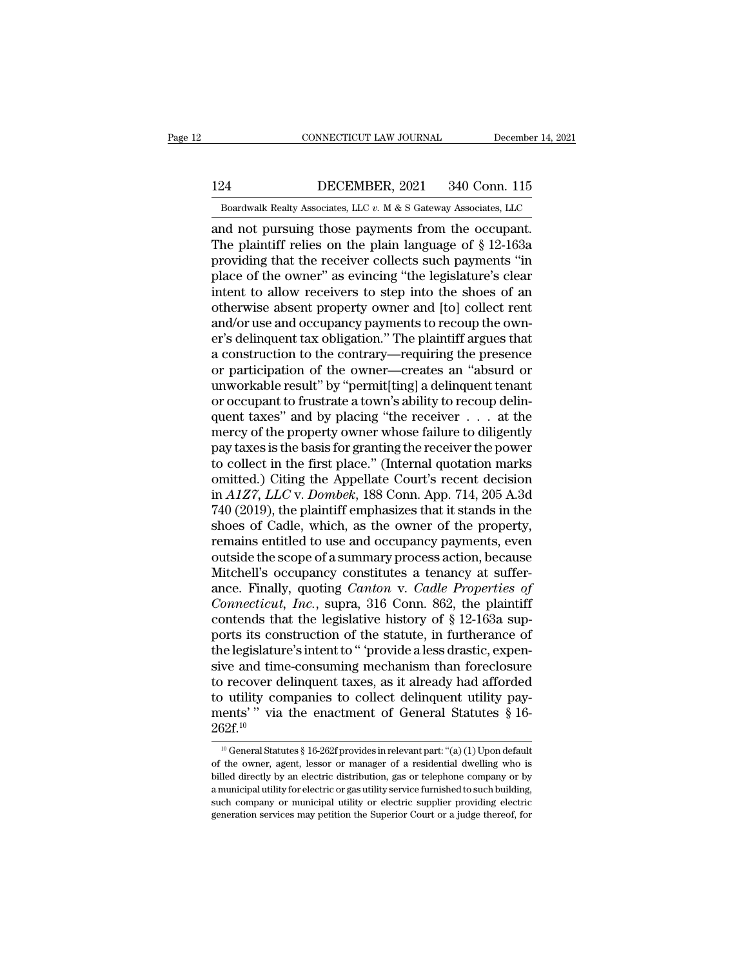# EXECUTE CONNECTICUT LAW JOURNAL December 14, 2021<br>124 DECEMBER, 2021 340 Conn. 115<br>Boardwalk Realty Associates, LLC v. M & S Gateway Associates, LLC

CONNECTICUT LAW JOURNAL December 14, 2021<br>124 DECEMBER, 2021 340 Conn. 115<br>Boardwalk Realty Associates, LLC *v.* M & S Gateway Associates, LLC<br>and not pursuing those payments from the occupant. CONNECTICUT LAW JOURNAL December 14, 20<br>
124 DECEMBER, 2021 340 Conn. 115<br>
Boardwalk Realty Associates, LLC  $v$ . M & S Gateway Associates, LLC<br>
and not pursuing those payments from the occupant.<br>
The plaintiff relies on t DECEMBER, 2021 340 Conn. 115<br>
Boardwalk Realty Associates, LLC v. M & S Gateway Associates, LLC<br>
and not pursuing those payments from the occupant.<br>
The plaintiff relies on the plain language of § 12-163a<br>
providing that t 124 DECEMBER, 2021 340 Conn. 115<br>
Boardwalk Realty Associates, LLC  $v$ . M & S Gateway Associates, LLC<br>
and not pursuing those payments from the occupant.<br>
The plaintiff relies on the plain language of  $\S$  12-163a<br>
providi 124 DECEMBER, 2021 340 Conn. 115<br>
Boardwalk Realty Associates, LLC  $v$ . M & S Gateway Associates, LLC<br>
and not pursuing those payments from the occupant.<br>
The plaintiff relies on the plain language of  $\S$  12-163a<br>
providi Boardwalk Realty Associates, LLC  $v$ . M & S Gateway Associates, LLC<br>and not pursuing those payments from the occupant.<br>The plaintiff relies on the plain language of  $\S$  12-163a<br>providing that the receiver collects such pa Boardwalk Realty Associates, LLC  $v$ . M & S Gateway Associates, LLC<br>and not pursuing those payments from the occupant.<br>The plaintiff relies on the plain language of  $\S$  12-163a<br>providing that the receiver collects such pa The plaintiff relies on the plain language of  $\S$  12-163a<br>providing that the receiver collects such payments "in<br>place of the owner" as evincing "the legislature's clear<br>intent to allow receivers to step into the shoes of The plaintiff relies on the plain language of  $\S$  12-163a<br>providing that the receiver collects such payments "in<br>place of the owner" as evincing "the legislature's clear<br>intent to allow receivers to step into the shoes of providing that the receiver collects such payments "in<br>place of the owner" as evincing "the legislature's clear<br>intent to allow receivers to step into the shoes of an<br>otherwise absent property owner and [to] collect rent<br>a place of the owner" as evincing "the legislature's clear<br>intent to allow receivers to step into the shoes of an<br>otherwise absent property owner and [to] collect rent<br>and/or use and occupancy payments to recoup the own-<br>er' intent to allow receivers to step into the shoes of an<br>otherwise absent property owner and [to] collect rent<br>and/or use and occupancy payments to recoup the own-<br>er's delinquent tax obligation." The plaintiff argues that<br>a a construction to the contrary—requiring the presence<br>or participation of the owner—creates an "absurd or<br>unworkable result" by "permit[ting] a delinquent tenant<br>or occupant to frustrate a town's ability to recoup delin-<br>q and/or use and occupancy payments to recoup the own-<br>er's delinquent tax obligation." The plaintiff argues that<br>a construction to the contrary—requiring the presence<br>or participation of the owner—creates an "absurd or<br>unwo er's delinquent tax obligation." The plaintiff argues that<br>a construction to the contrary—requiring the presence<br>or participation of the owner—creates an "absurd or<br>unworkable result" by "permit[ting] a delinquent tenant<br>o a construction to the contrary—requiring the presence<br>or participation of the owner—creates an "absurd or<br>unworkable result" by "permit[ting] a delinquent tenant<br>or occupant to frustrate a town's ability to recoup delin-<br>q or participation of the owner—creates an "absurd or<br>unworkable result" by "permit[ting] a delinquent tenant<br>or occupant to frustrate a town's ability to recoup delin-<br>quent taxes" and by placing "the receiver  $\dots$  at the<br> unworkable result" by "permit[ting] a delinquent tenant<br>or occupant to frustrate a town's ability to recoup delin-<br>quent taxes" and by placing "the receiver  $\ldots$  at the<br>mercy of the property owner whose failure to dilige or occupant to frustrate a town's ability to recoup delin-<br>quent taxes" and by placing "the receiver . . . at the<br>mercy of the property owner whose failure to diligently<br>pay taxes is the basis for granting the receiver the quent taxes" and by placing "the receiver . . . at the<br>mercy of the property owner whose failure to diligently<br>pay taxes is the basis for granting the receiver the power<br>to collect in the first place." (Internal quotation mercy of the property owner whose failure to diligently<br>pay taxes is the basis for granting the receiver the power<br>to collect in the first place." (Internal quotation marks<br>omitted.) Citing the Appellate Court's recent dec pay taxes is the basis for granting the receiver the power<br>to collect in the first place." (Internal quotation marks<br>omitted.) Citing the Appellate Court's recent decision<br>in A1Z7, LLC v. Dombek, 188 Conn. App. 714, 205 A. to collect in the first place." (Internal quotation marks<br>omitted.) Citing the Appellate Court's recent decision<br>in  $A1Z7$ ,  $LLC$  v. Dombek, 188 Conn. App. 714, 205 A.3d<br>740 (2019), the plaintiff emphasizes that it stands omitted.) Citing the Appellate Court's recent decision<br>in *A1Z7*, *LLC* v. *Dombek*, 188 Conn. App. 714, 205 A.3d<br>740 (2019), the plaintiff emphasizes that it stands in the<br>shoes of Cadle, which, as the owner of the proper in *A1Z7*, *LLC* v. *Dombek*, 188 Conn. App. 714, 205 A.3d 740 (2019), the plaintiff emphasizes that it stands in the shoes of Cadle, which, as the owner of the property, remains entitled to use and occupancy payments, eve 740 (2019), the plaintiff emphasizes that it stands in the shoes of Cadle, which, as the owner of the property, remains entitled to use and occupancy payments, even outside the scope of a summary process action, because Mi shoes of Cadle, which, as the owner of the property,<br>remains entitled to use and occupancy payments, even<br>outside the scope of a summary process action, because<br>Mitchell's occupancy constitutes a tenancy at suffer-<br>ance. F remains entitled to use and occupancy payments, even<br>outside the scope of a summary process action, because<br>Mitchell's occupancy constitutes a tenancy at suffer-<br>ance. Finally, quoting *Canton* v. *Cadle Properties of*<br>*Co* outside the scope of a summary process action, because<br>Mitchell's occupancy constitutes a tenancy at suffer-<br>ance. Finally, quoting *Canton* v. *Cadle Properties of*<br>*Connecticut, Inc.*, supra, 316 Conn. 862, the plaintiff Mitchell's occupancy constitutes a tenancy at suffer-<br>ance. Finally, quoting *Canton* v. *Cadle Properties of*<br>*Connecticut, Inc.*, supra, 316 Conn. 862, the plaintiff<br>contends that the legislative history of § 12-163a sup ance. Finally, quoting *Canton* v. *Cadle Properties of*<br>Connecticut, Inc., supra, 316 Conn. 862, the plaintiff<br>contends that the legislative history of  $\S$  12-163a sup-<br>ports its construction of the statute, in furtheran Connecticut, Inc., supra, 316 Conn. 862, the plaintiff<br>contends that the legislative history of  $\S$  12-163a sup-<br>ports its construction of the statute, in furtherance of<br>the legislature's intent to "provide a less drastic contends that the legislative history of  $\S$  12-163a supports its construction of the statute, in furtherance of the legislature's intent to "provide a less drastic, expensive and time-consuming mechanism than foreclosure 262f.<sup>10</sup> 10 Fecover delinquent taxes, as it already had afforded<br>
10 utility companies to collect delinquent utility pay-<br>
10  $\frac{1}{22}$ f.<sup>10</sup><br>
10 General Statutes § 16-262f provides in relevant part: "(a) (1) Upon default<br>
10 the to utility companies to collect delinquent utility pay-<br>ments'" via the enactment of General Statutes § 16-<br>262f.<sup>10</sup><br><sup>10</sup> General Statutes § 16-262f provides in relevant part: "(a) (1) Upon default<br>of the owner, agent, l

ments' " via the enactment of General Statutes § 16-<br>  $262f^{10}$ <br>
<sup>10</sup> General Statutes § 16-262f provides in relevant part: "(a) (1) Upon default<br>
of the owner, agent, lessor or manager of a residential dwelling who is<br> 262f.<sup>10</sup><br><sup>10</sup> General Statutes § 16-262f provides in relevant part: "(a) (1) Upon default<br>of the owner, agent, lessor or manager of a residential dwelling who is<br>billed directly by an electric distribution, gas or teleph  $\frac{2021.7}{10}$  General Statutes § 16-262f provides in relevant part: "(a) (1) Upon default of the owner, agent, lessor or manager of a residential dwelling who is billed directly by an electric distribution, gas or telep <sup>10</sup> General Statutes § 16-262f provides in relevant part: "(a) (1) Upon default of the owner, agent, lessor or manager of a residential dwelling who is billed directly by an electric distribution, gas or telephone compan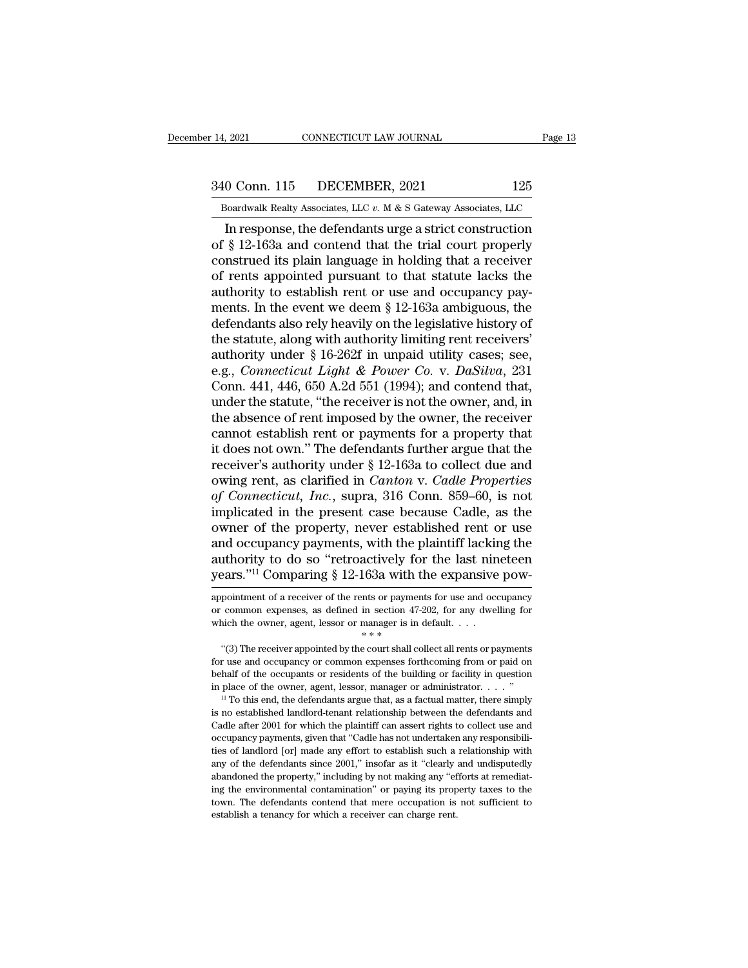# 14, 2021 CONNECTICUT LAW JOURNAL Page 13<br>340 Conn. 115 DECEMBER, 2021 125<br>Boardwalk Realty Associates, LLC v. M & S Gateway Associates, LLC

Bolden 14, 2021 CONNECTICUT LAW JOURNAL Page 13<br>
340 Conn. 115 DECEMBER, 2021 125<br>
Boardwalk Realty Associates, LLC *v.* M & S Gateway Associates, LLC<br>
In response, the defendants urge a strict construction 2021 CONNECTICUT LAW JOURNAL Page 13<br>
0 Conn. 115 DECEMBER, 2021 125<br>
Boardwalk Realty Associates, LLC  $v$ . M & S Gateway Associates, LLC<br>
In response, the defendants urge a strict construction<br>
§ 12-163a and contend that 340 Conn. 115 DECEMBER, 2021 125<br>
Boardwalk Realty Associates, LLC v. M & S Gateway Associates, LLC<br>
In response, the defendants urge a strict construction<br>
of § 12-163a and contend that the trial court properly<br>
construed 340 Conn. 115 DECEMBER, 2021 125<br>
Boardwalk Realty Associates, LLC  $v$ . M & S Gateway Associates, LLC<br>
In response, the defendants urge a strict construction<br>
of § 12-163a and contend that the trial court properly<br>
constr 340 Conn. 115 DECEMBER, 2021 125<br>
Boardwalk Realty Associates, LLC  $v$ . M & S Gateway Associates, LLC<br>
In response, the defendants urge a strict construction<br>
of § 12-163a and contend that the trial court properly<br>
constr Boardwalk Realty Associates, LLC  $v$ . M & S Gateway Associates, LLC<br>In response, the defendants urge a strict construction<br>of § 12-163a and contend that the trial court properly<br>construed its plain language in holding tha Boardwalk Realty Associates, LLC  $v$ . M & S Gateway Associates, LLC<br>In response, the defendants urge a strict construction<br>of § 12-163a and contend that the trial court properly<br>construed its plain language in holding tha In response, the defendants urge a strict construction<br>of  $\S$  12-163a and contend that the trial court properly<br>construed its plain language in holding that a receiver<br>of rents appointed pursuant to that statute lacks the of § 12-163a and contend that the trial court properly<br>construed its plain language in holding that a receiver<br>of rents appointed pursuant to that statute lacks the<br>authority to establish rent or use and occupancy pay-<br>me construed its plain language in holding that a receiver<br>of rents appointed pursuant to that statute lacks the<br>authority to establish rent or use and occupancy pay-<br>ments. In the event we deem § 12-163a ambiguous, the<br>defe of rents appointed pursuant to that statute lacks the<br>authority to establish rent or use and occupancy pay-<br>ments. In the event we deem § 12-163a ambiguous, the<br>defendants also rely heavily on the legislative history of<br>th authority to establish rent or use and occupancy payments. In the event we deem § 12-163a ambiguous, the defendants also rely heavily on the legislative history of the statute, along with authority limiting rent receivers' ments. In the event we deem § 12-163a ambiguous, the<br>defendants also rely heavily on the legislative history of<br>the statute, along with authority limiting rent receivers'<br>authority under § 16-262f in unpaid utility cases; defendants also rely heavily on the legislative history of<br>the statute, along with authority limiting rent receivers'<br>authority under  $\S$  16-262f in unpaid utility cases; see,<br>e.g., *Connecticut Light & Power Co.* v. *DaS* the statute, along with authority limiting rent receivers'<br>authority under § 16-262f in unpaid utility cases; see,<br>e.g., *Connecticut Light & Power Co.* v. *DaSilva*, 231<br>Conn. 441, 446, 650 A.2d 551 (1994); and contend t authority under § 16-262f in unpaid utility cases; see,<br>e.g., *Connecticut Light & Power Co.* v. *DaSilva*, 231<br>Conn. 441, 446, 650 A.2d 551 (1994); and contend that,<br>under the statute, "the receiver is not the owner, and e.g., *Connecticut Light & Power Co. v. DaSilva*, 231<br>Conn. 441, 446, 650 A.2d 551 (1994); and contend that,<br>under the statute, "the receiver is not the owner, and, in<br>the absence of rent imposed by the owner, the receive Conn. 441, 446, 650 A.2d 551 (1994); and contend that,<br>under the statute, "the receiver is not the owner, and, in<br>the absence of rent imposed by the owner, the receiver<br>cannot establish rent or payments for a property that under the statute, "the receiver is not the owner, and, in<br>the absence of rent imposed by the owner, the receiver<br>cannot establish rent or payments for a property that<br>it does not own." The defendants further argue that th the absence of rent imposed by the owner, the receiver<br>cannot establish rent or payments for a property that<br>it does not own." The defendants further argue that the<br>receiver's authority under  $\S$  12-163a to collect due an cannot establish rent or payments for a property that<br>it does not own." The defendants further argue that the<br>receiver's authority under  $\S$  12-163a to collect due and<br>owing rent, as clarified in *Canton* v. *Cadle Proper* it does not own." The defendants further argue that the receiver's authority under  $\S$  12-163a to collect due and owing rent, as clarified in *Canton v. Cadle Properties* of *Connecticut*, *Inc.*, supra, 316 Conn. 859–60, receiver's authority under § 12-163a to collect due and<br>owing rent, as clarified in *Canton v. Cadle Properties*<br>of *Connecticut*, *Inc.*, supra, 316 Conn. 859–60, is not<br>implicated in the present case because Cadle, as th owing rent, as clarified in *Canton* v. *Cadle Properties*<br>of *Connecticut*, *Inc.*, supra, 316 Conn. 859–60, is not<br>implicated in the present case because Cadle, as the<br>owner of the property, never established rent or use owner of the property, never established rent or use<br>and occupancy payments, with the plaintiff lacking the<br>authority to do so "retroactively for the last nineteen<br>years."<sup>11</sup> Comparing § 12-163a with the expansive pow-<br>ap and occupancy payments, with the plaintiff lacking the authority to do so "retroactively for the last nineteen years."<sup>11</sup> Comparing  $\S$  12-163a with the expansive pow-appointment of a receiver of the rents or payments fo

authority to do so "retroactively for the last nineteen<br>years."<sup>11</sup> Comparing § 12-163a with the expansive pow-<br>appointment of a receiver of the rents or payments for use and occupancy<br>or common expenses, as defined in se EXECTS. COMPATING 8 12-1058 WILL THE EXPANSIVE POW-<br>
pointment of a receiver of the rents or payments for use and occupancy<br>
common expenses, as defined in section 47-202, for any dwelling for<br>
it is the court shall collec

appointment of a receiver of the rents or payments for use and occupancy<br>or common expenses, as defined in section  $47-202$ , for any dwelling for<br>which the owner, agent, lessor or manager is in default....<br>"(3) The receiv behalf of the overlapses, as defined in section  $47-202$ , for any dwelling for which the owner, agent, lessor or manager is in default....<br>
"(3) The receiver appointed by the court shall collect all rents or payments for which the owner, agent, lessor or manager is in default. . . .<br>
"(3) The receiver appointed by the court shall collect all rents or payments<br>
for use and occupancy or common expenses forthcoming from or paid on<br>
behalf of "(3) The receiver appointed by the court shall collect all rents or payments for use and occupancy or common expenses forthcoming from or paid on behalf of the occupants or residents of the building or facility in questio

For use and occupancy or common expenses forthcoming from or paid on behalf of the occupants or residents of the building or facility in question in place of the owner, agent, lessor, manager or administrator.  $\dots$  "<br><sup>11</sup> behalf of the occupants or residents of the building or facility in question in place of the owner, agent, lessor, manager or administrator.  $\ldots$  "  $\cdots$  " To this end, the defendants argue that, as a factual matter, the in place of the owner, agent, lessor, manager or administrator.  $\ldots$  "<br><sup>11</sup> To this end, the defendants argue that, as a factual matter, there simply<br>is no established landlord-tenant relationship between the defendants any to the defendants argue that, as a factual matter, there simply<br>in To this end, the defendants argue that, as a factual matter, there simply<br>is no established landlord-tenant relationship between the defendants and<br>Cc is no established landlord-tenant relationship between the defendants and Cadle after 2001 for which the plaintiff can assert rights to collect use and occupancy payments, given that "Cadle has not undertaken any responsib ing the environmental contamination'' or paying its property and occupancy payments, given that "Cadle has not undertaken any responsibilities of landlord [or] made any effort to establish such a relationship with any of t occupancy payments, given that "Cadle has not undertaken any responsibilities of landlord [or] made any effort to establish such a relationship with any of the defendants since 2001," insofar as it "clearly and undisputedl occupancy payments, given that "Cadle has not undertaken any responsibilities of landlord [or] made any effort to establish such a relationship with any of the defendants since 2001," insofar as it "clearly and undisputedl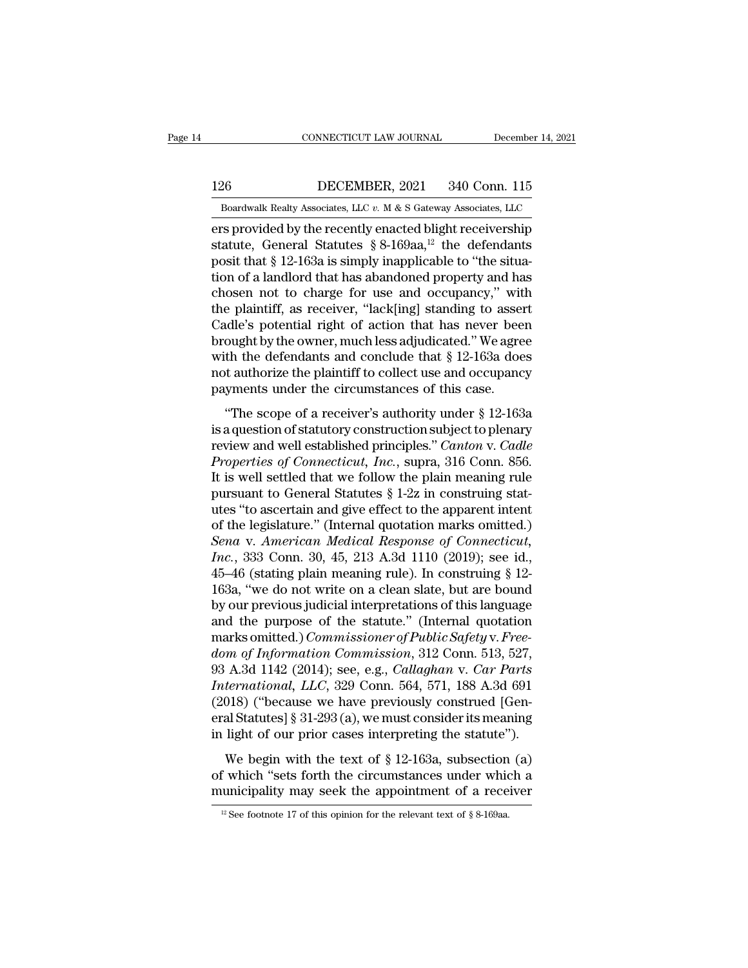EXECUTE CONNECTICUT LAW JOURNAL December 14, 2021<br>126 DECEMBER, 2021 340 Conn. 115<br>Boardwalk Realty Associates, LLC v. M & S Gateway Associates, LLC EXECUTE CONNECTICUT LAW JOURNAL December 14, 2021<br>126 DECEMBER, 2021 340 Conn. 115<br>Boardwalk Realty Associates, LLC *v.* M & S Gateway Associates, LLC

CONNECTICUT LAW JOURNAL December 14, 2021<br>
126 DECEMBER, 2021 340 Conn. 115<br>
Boardwalk Realty Associates, LLC v. M & S Gateway Associates, LLC<br>
ers provided by the recently enacted blight receivership<br>
statute, General St 126 DECEMBER, 2021 340 Conn. 115<br>Boardwalk Realty Associates, LLC  $v$ . M & S Gateway Associates, LLC<br>ers provided by the recently enacted blight receivership<br>statute, General Statutes § 8-169aa,<sup>12</sup> the defendants<br>posit t ers provided by the recently enacted blight receivership statute, General Statutes  $\S 8{\text -}169$ aa,<sup>12</sup> the defendants posit that  $\S 12{\text -}163$ a is simply inapplicable to "the situation of a landlord that has abandoned pro 126 DECEMBER, 2021 340 Conn. 115<br>
Boardwalk Realty Associates, LLC  $v$ . M & S Gateway Associates, LLC<br>
ers provided by the recently enacted blight receivership<br>
statute, General Statutes § 8-169aa,<sup>12</sup> the defendants<br>
pos Boardwalk Realty Associates, LLC v. M & S Gateway Associates, LLC<br>ers provided by the recently enacted blight receivership<br>statute, General Statutes § 8-169aa,<sup>12</sup> the defendants<br>posit that § 12-163a is simply inapplicable Boardwalk Realty Associates, LLC v. M & S Gateway Associates, LLC<br>
ers provided by the recently enacted blight receivership<br>
statute, General Statutes § 8-169aa,<sup>12</sup> the defendants<br>
posit that § 12-163a is simply inapplic ers provided by the recently enacted blight receivership<br>statute, General Statutes § 8-169aa,<sup>12</sup> the defendants<br>posit that § 12-163a is simply inapplicable to "the situa-<br>tion of a landlord that has abandoned property an statute, General Statutes § 8-169aa,<sup>12</sup> the defendants<br>posit that § 12-163a is simply inapplicable to "the situa-<br>tion of a landlord that has abandoned property and has<br>chosen not to charge for use and occupancy," with<br>t posit that § 12-163a is simply inapplicable to "the situation of a landlord that has abandoned property and has<br>chosen not to charge for use and occupancy," with<br>the plaintiff, as receiver, "lack[ing] standing to assert<br>Ca tion of a landlord that has abandoned property and has<br>chosen not to charge for use and occupancy," with<br>the plaintiff, as receiver, "lack[ing] standing to assert<br>Cadle's potential right of action that has never been<br>broug the plaintiff, as receiver, "lack[ing] standing to assert Cadle's potential right of action that has never been brought by the owner, much less adjudicated." We agree with the defendants and conclude that  $\S$  12-163a does dle's potential right of action that has never been<br>ought by the owner, much less adjudicated." We agree<br>th the defendants and conclude that  $\S 12$ -163a does<br>it authorize the plaintiff to collect use and occupancy<br>yments brought by the owner, much less adjudicated." We agree<br>with the defendants and conclude that  $\S$  12-163a does<br>not authorize the plaintiff to collect use and occupancy<br>payments under the circumstances of this case.<br>"The sc

revigintly are owner, indefines adjudicated. We agree<br>with the defendants and conclude that § 12-163a does<br>not authorize the plaintiff to collect use and occupancy<br>payments under the circumstances of this case.<br>"The scope *Properties of Connections* and concluded that  $\frac{1}{2}$  and occupancy<br>payments under the circumstances of this case.<br>"The scope of a receiver's authority under  $\frac{1}{2}$  12-163a<br>is a question of statutory construction sub payments under the circumstances of this case.<br>
"The scope of a receiver's authority under § 12-163a<br>
is a question of statutory construction subject to plenary<br>
review and well established principles." *Canton* v. *Cadle* "The scope of a receiver's authority under  $\S$  12-163a<br>is a question of statutory construction subject to plenary<br>review and well established principles." *Canton v. Cadle*<br>Properties of Connecticut, Inc., supra, 316 Conn "The scope of a receiver's authority under  $\S$  12-163a<br>is a question of statutory construction subject to plenary<br>review and well established principles." *Canton* v. *Cadle*<br>Properties of Connecticut, Inc., supra, 316 Co is a question of statutory construction subject to plenary<br>review and well established principles." *Canton* v. *Cadle*<br>Properties of Connecticut, Inc., supra, 316 Conn. 856.<br>It is well settled that we follow the plain me *Froperties of Connecticut, Inc., supra, 316 Conn. 856.*<br>*Properties of Connecticut, Inc., supra, 316 Conn. 856.*<br>*It is well settled that we follow the plain meaning rule*<br>*pursuant to General Statutes § 1-2z in construin Properties of Connecticut, Inc.*, supra, 316 Conn. 856.<br>It is well settled that we follow the plain meaning rule<br>pursuant to General Statutes § 1-2z in construing stat-<br>utes "to ascertain and give effect to the apparent i It is well settled that we follow the plain meaning rule<br>pursuant to General Statutes  $\S 1-2z$  in construing stat-<br>utes "to ascertain and give effect to the apparent intent<br>of the legislature." (Internal quotation marks o pursuant to General Statutes § 1-2z in construing stat-<br>utes "to ascertain and give effect to the apparent intent<br>of the legislature." (Internal quotation marks omitted.)<br>Sena v. American Medical Response of Connecticut,<br>I utes "to ascertain and give effect to the apparent intent<br>of the legislature." (Internal quotation marks omitted.)<br>Sena v. American Medical Response of Connecticut,<br>Inc., 333 Conn. 30, 45, 213 A.3d 1110 (2019); see id.,<br>45 of the legislature." (Internal quotation marks omitted.)<br> *Sena* v. *American Medical Response of Connecticut,*<br> *Inc.*, 333 Conn. 30, 45, 213 A.3d 1110 (2019); see id.,<br>
45–46 (stating plain meaning rule). In construing Sena v. American Medical Response of Connecticut,<br>Inc., 333 Conn. 30, 45, 213 A.3d 1110 (2019); see id.,<br>45–46 (stating plain meaning rule). In construing § 12-<br>163a, "we do not write on a clean slate, but are bound<br>by our *Inc.*, 333 Conn. 30, 45, 213 A.3d 1110 (2019); see id., 45–46 (stating plain meaning rule). In construing § 12-163a, "we do not write on a clean slate, but are bound by our previous judicial interpretations of this langua 45–46 (stating plain meaning rule). In construing § 12-<br>163a, "we do not write on a clean slate, but are bound<br>by our previous judicial interpretations of this language<br>and the purpose of the statute." (Internal quotation<br> 163a, "we do not write on a clean slate, but are bound<br>by our previous judicial interpretations of this language<br>and the purpose of the statute." (Internal quotation<br>marks omitted.) *Commissioner of Public Safety v. Free-<br>* by our previous judicial interpretations of this language<br>and the purpose of the statute." (Internal quotation<br>marks omitted.) *Commissioner of Public Safety v. Free-<br>dom of Information Commission*, 312 Conn. 513, 527,<br>93 and the purpose of the statute." (Internal quotation<br>marks omitted.) *Commissioner of Public Safety v. Free-*<br>dom of Information Commission, 312 Conn. 513, 527,<br>93 A.3d 1142 (2014); see, e.g., *Callaghan v. Car Parts*<br>Inte marks omitted.) *Commissioner of Public Safety v. Free-dom of Information Commission*, 312 Conn. 513, 527, 93 A.3d 1142 (2014); see, e.g., *Callaghan v. Car Parts International, LLC*, 329 Conn. 564, 571, 188 A.3d 691 (201 Meantain Schmitten, S12 Schn, S13, S21,<br>A.3d 1142 (2014); see, e.g., *Callaghan v. Car Parts*<br>termational, LLC, 329 Conn. 564, 571, 188 A.3d 691<br>018) ("because we have previously construed [Gen-<br>al Statutes] § 31-293 (a), International, LLC, 329 Conn. 564, 571, 188 A.3d 691<br>(2018) ("because we have previously construed [General Statutes] § 31-293 (a), we must consider its meaning<br>in light of our prior cases interpreting the statute").<br>We b (2018) ("because we have previously construed [General Statutes] § 31-293 (a), we must consider its meaning in light of our prior cases interpreting the statute").<br>We begin with the text of § 12-163a, subsection (a) of wh

We begin with the text of § 12-163a, subsection (a) of which "sets forth the circumstances under which a municipality may seek the appointment of a receiver  $\frac{12 \text{ See footnote 17 of this opinion for the relevant text of § 8-169aa}}$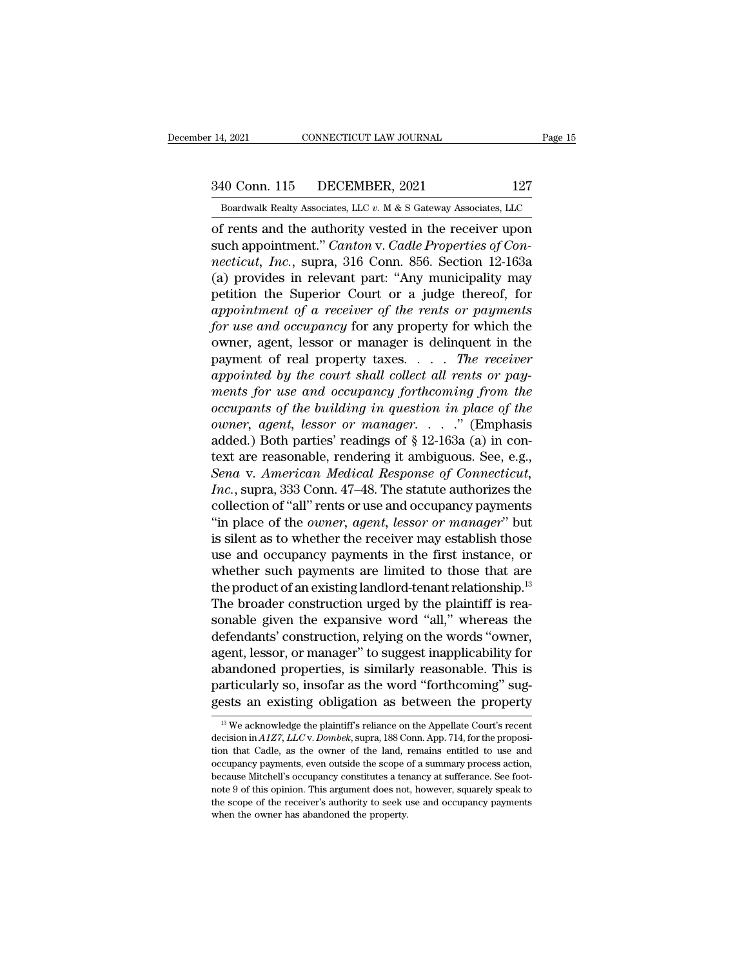14, 2021 CONNECTICUT LAW JOURNAL Page 15<br>340 Conn. 115 DECEMBER, 2021 127<br>Boardwalk Realty Associates, LLC v. M & S Gateway Associates, LLC

Bolden Boardwalk Realty Associates, LLC *v.* M & S Gateway Associates, LLC of rents and the authority vested in the receiver upon 14, 2021 CONNECTICUT LAW JOURNAL Page 15<br>
340 Conn. 115 DECEMBER, 2021 127<br>
Boardwalk Realty Associates, LLC v. M & S Gateway Associates, LLC<br>
of rents and the authority vested in the receiver upon<br>
such appointment." Cant 340 Conn. 115 DECEMBER, 2021 127<br>
Boardwalk Realty Associates, LLC v. M & S Gateway Associates, LLC<br>
of rents and the authority vested in the receiver upon<br>
such appointment.'' *Canton* v. *Cadle Properties of Con-*<br> *nect* <sup>340</sup> Conn. 115 DECEMBER, 2021 127<br> *Boardwalk Realty Associates, LLC v. M & S Gateway Associates, LLC*<br>
of rents and the authority vested in the receiver upon<br>
such appointment." *Canton v. Cadle Properties of Con-*<br> *nec* 340 Conn. 115 DECEMBER, 2021 127<br>
Boardwalk Realty Associates, LLC  $v$ . M & S Gateway Associates, LLC<br>
of rents and the authority vested in the receiver upon<br>
such appointment." *Canton* v. *Cadle Properties of Con-*<br> *ne* Boardwalk Realty Associates, LLC  $v$ . M & S Gateway Associates, LLC<br>of rents and the authority vested in the receiver upon<br>such appointment." Canton v. Cadle Properties of Con-<br>necticut, Inc., supra, 316 Conn. 856. Sectio **boardwark readly Associates, LLC v. M & S Gateway Associates, LLC**<br>
of rents and the authority vested in the receiver upon<br>
such appointment." *Canton* v. *Cadle Properties of Con-*<br> *necticut, Inc.*, supra, 316 Conn. 856 of rents and the authority vested in the receiver upon<br>such appointment." *Canton* v. *Cadle Properties of Con-*<br>*necticut, Inc.*, supra, 316 Conn. 856. Section 12-163a<br>(a) provides in relevant part: "Any municipality may<br> such appointment." *Canton* v. *Cadle Properties of Connecticut, Inc.*, supra, 316 Conn. 856. Section 12-163a<br>(a) provides in relevant part: "Any municipality may<br>petition the Superior Court or a judge thereof, for<br>*appoin* necticut, *Inc.*, supra, 316 Conn. 856. Section 12-163a<br>(a) provides in relevant part: "Any municipality may<br>petition the Superior Court or a judge thereof, for<br>appointment of a receiver of the rents or payments<br>for use an (a) provides in relevant part: "Any municipality may<br>petition the Superior Court or a judge thereof, for<br>*appointment of a receiver of the rents or payments*<br>*for use and occupancy* for any property for which the<br>owner, ag petition the Superior Court or a judge thereof, for<br>appointment of a receiver of the rents or payments<br>for use and occupancy for any property for which the<br>owner, agent, lessor or manager is delinquent in the<br>payment of re *appointment of a receiver of the rents or payments*<br>for use and occupancy for any property for which the<br>owner, agent, lessor or manager is delinquent in the<br>payment of real property taxes.... The receiver<br>appointed by th *for use and occupancy* for any property for which the<br>
owner, agent, lessor or manager is delinquent in the<br>
payment of real property taxes.... *The receiver*<br> *appointed by the court shall collect all rents or pay-*<br> *me* owner, agent, lessor or manager is delinquent in the<br>payment of real property taxes.... The receiver<br>appointed by the court shall collect all rents or pay-<br>ments for use and occupancy forthcoming from the<br>occupants of the payment of real property taxes.  $\ldots$  The receiver<br>appointed by the court shall collect all rents or pay-<br>ments for use and occupancy forthcoming from the<br>occupants of the building in question in place of the<br>owner, agent *Senalistical different and occupancy forthcoming from the* occupants of the building in question in place of the owner, agent, lessor or manager....." (Emphasis added.) Both parties' readings of § 12-163a (a) in context a ments for use and occupancy forthcoming from the<br>occupants of the building in question in place of the<br>owner, agent, lessor or manager. . . . ." (Emphasis<br>added.) Both parties' readings of § 12-163a (a) in con-<br>text are re occupants of the building in question in place of the<br>owner, agent, lessor or manager. . . . ." (Emphasis<br>added.) Both parties' readings of § 12-163a (a) in con-<br>text are reasonable, rendering it ambiguous. See, e.g.,<br>Sen owner, agent, lessor or manager. . . . ." (Emphasis added.) Both parties' readings of § 12-163a (a) in context are reasonable, rendering it ambiguous. See, e.g., *Sena v. American Medical Response of Connecticut, Inc.*, su added.) Both parties' readings of § 12-163a (a) in con-<br>text are reasonable, rendering it ambiguous. See, e.g.,<br>*Sena v. American Medical Response of Connecticut,*<br>*Inc.*, supra, 333 Conn. 47–48. The statute authorizes the text are reasonable, rendering it ambiguous. See, e.g.,<br>Sena v. American Medical Response of Connecticut,<br>Inc., supra, 333 Conn. 47–48. The statute authorizes the<br>collection of "all" rents or use and occupancy payments<br>"in Sena v. American Medical Response of Connecticut,<br>Inc., supra, 333 Conn. 47–48. The statute authorizes the<br>collection of "all" rents or use and occupancy payments<br>"in place of the *owner*, *agent*, *lessor or manager*" bu *Inc.*, supra, 333 Conn. 47–48. The statute authorizes the collection of "all" rents or use and occupancy payments "in place of the *owner*, *agent*, *lessor or manager*" but is silent as to whether the receiver may estab collection of "all" rents or use and occupancy payments<br>"in place of the *owner*, *agent*, *lessor or manager*" but<br>is silent as to whether the receiver may establish those<br>use and occupancy payments in the first instance "in place of the *owner*, *agent*, *lessor or manager*" but<br>is silent as to whether the receiver may establish those<br>use and occupancy payments in the first instance, or<br>whether such payments are limited to those that are is silent as to whether the receiver may establish those<br>use and occupancy payments in the first instance, or<br>whether such payments are limited to those that are<br>the product of an existing landlord-tenant relationship.<sup>13</sup> use and occupancy payments in the first instance, or<br>whether such payments are limited to those that are<br>the product of an existing landlord-tenant relationship.<sup>13</sup><br>The broader construction urged by the plaintiff is rea-<br> whether such payments are limited to those that are<br>the product of an existing landlord-tenant relationship.<sup>13</sup><br>The broader construction urged by the plaintiff is rea-<br>sonable given the expansive word "all," whereas the<br>d the product of an existing landlord-tenant relationship.<sup>13</sup><br>The broader construction urged by the plaintiff is rea-<br>sonable given the expansive word "all," whereas the<br>defendants' construction, relying on the words "owner The broader construction urged by the plaintiff is reasonable given the expansive word "all," whereas the defendants' construction, relying on the words "owner, agent, lessor, or manager" to suggest inapplicability for ab Exercised properties, is similarly reasonable. This is<br>articularly so, insofar as the word "forthcoming" sug-<br>ests an existing obligation as between the property<br><sup>13</sup> We acknowledge the plaintiff's reliance on the Appellat abandoned properties, is similarly reasonable. This is<br>particularly so, insofar as the word "forthcoming" sug-<br>gests an existing obligation as between the property<br> $\frac{13}{12}$  We acknowledge the plaintiff's reliance on the

particularly so, insofar as the word "forthcoming" suggests an existing obligation as between the property  $\frac{18}{10}$  We acknowledge the plaintiff's reliance on the Appellate Court's recent decision in A1Z7, LLC v. Dombe gests an existing obligation as between the property<br>
<sup>13</sup> We acknowledge the plaintiff's reliance on the Appellate Court's recent<br>
decision in  $A1Z7$ ,  $LLCv$ . Dombek, supra, 188 Conn. App. 714, for the proposi-<br>
tion that <sup>13</sup> We acknowledge the plaintiff's reliance on the Appellate Court's recent decision in  $A1Z7$ ,  $LLCv$ . *Dombek*, supra, 188 Conn. App. 714, for the proposition that Cadle, as the owner of the land, remains entitled to us <sup>13</sup> We acknowledge the plaintiff's reliance on the Appellate Court's recent decision in  $A1Z7$ ,  $LLC$  v.  $Dombek$ , supra, 188 Conn. App. 714, for the proposition that Cadle, as the owner of the land, remains entitled to use decision in  $A1Z7$ ,  $LLCv$ . Dombek, supra, 188 Conn. App. 714, for the proposition that Cadle, as the owner of the land, remains entitled to use and occupancy payments, even outside the scope of a summary process action, b tion that Cadle, as the owner of the land, remains entitled to use and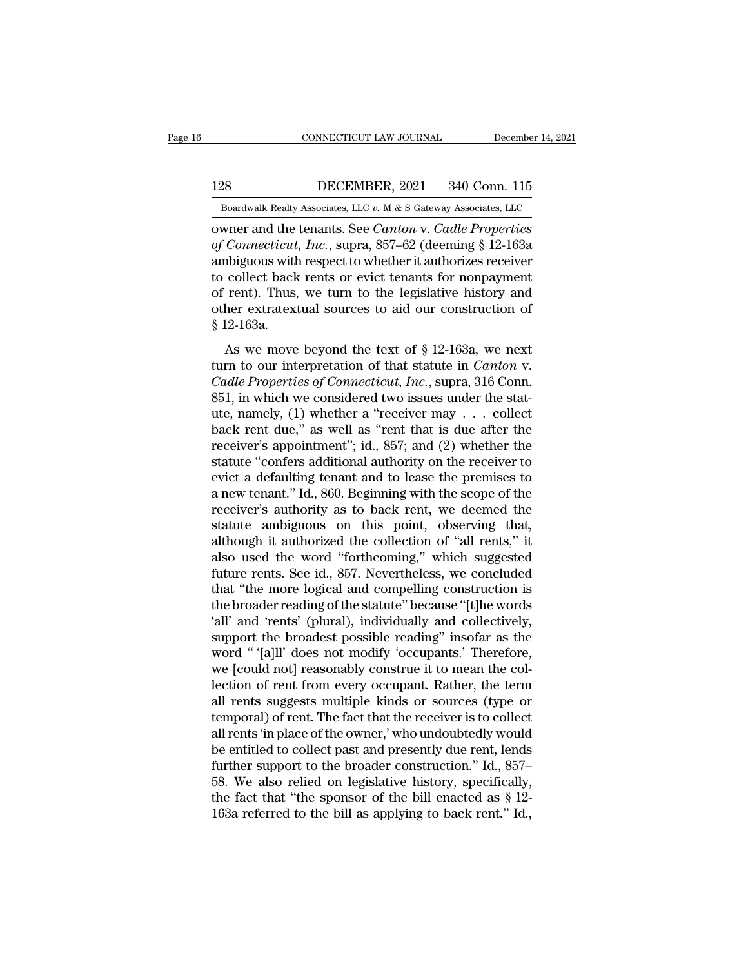128 CONNECTICUT LAW JOURNAL December 14, 2021<br>128 DECEMBER, 2021 340 Conn. 115<br>Boardwalk Realty Associates, LLC v. M & S Gateway Associates, LLC

CONNECTICUT LAW JOURNAL December 14, 2021<br>128 DECEMBER, 2021 340 Conn. 115<br>Boardwalk Realty Associates, LLC *v.* M & S Gateway Associates, LLC<br>0 owner and the tenants. See *Canton v. Cadle Properties* CONNECTICUT LAW JOURNAL December 14, 2021<br>
128 DECEMBER, 2021 340 Conn. 115<br>
Boardwalk Realty Associates, LLC v. M & S Gateway Associates, LLC<br>
cowner and the tenants. See *Canton* v. *Cadle Properties*<br>
of *Connecticut*, **DECEMBER, 2021** 340 Conn. 115<br> *Boardwalk Realty Associates, LLC v. M & S Gateway Associates, LLC*<br> **owner and the tenants. See** *Canton v. Cadle Properties*<br> *of Connecticut, Inc., supra, 857–62 (deeming § 12-163a*<br> *amb* 128 DECEMBER, 2021 340 Conn. 115<br>
Boardwalk Realty Associates, LLC  $v$ . M & S Gateway Associates, LLC<br>
owner and the tenants. See *Canton* v. *Cadle Properties*<br>
of *Connecticut*, *Inc.*, supra, 857–62 (deeming § 12-163a<br> 128 DECEMBER, 2021 340 Conn. 115<br>
Boardwalk Realty Associates, LLC v. M & S Gateway Associates, LLC<br>
owner and the tenants. See *Canton* v. *Cadle Properties*<br>
of *Connecticut*, *Inc.*, supra, 857–62 (deeming § 12-163a<br>
a Boardwalk Realty Associates, LLC v. M & S Gateway Associates, LLC<br>
owner and the tenants. See *Canton* v. *Cadle Properties*<br>
of *Connecticut*, *Inc.*, supra, 857–62 (deeming § 12-163a<br>
ambiguous with respect to whether i Boardwalk Realty Associates, LLC v. M & S Gateway Associates, LLC<br>
owner and the tenants. See *Canton* v. *Cadle Properties*<br>
of *Connecticut*, *Inc.*, supra, 857–62 (deeming § 12-163a<br>
ambiguous with respect to whether i % owner and the<br>*of Connecticut*<br>ambiguous with<br>to collect back<br>of rent). Thus,<br>other extratext<br>§ 12-163a.<br>As we move biguous with respect to whether it authorizes receiver<br>collect back rents or evict tenants for nonpayment<br>rent). Thus, we turn to the legislative history and<br>her extratextual sources to aid our construction of<br>12-163a.<br>As to collect back rents or evict tenants for nonpayment<br>of rent). Thus, we turn to the legislative history and<br>other extratextual sources to aid our construction of<br>§ 12-163a.<br>As we move beyond the text of § 12-163a, we next

*Calcularies of Connect back rension evect tendings for honpdynich*<br> *Cadler* extratextual sources to aid our construction of<br>  $\S$  12-163a.<br>
As we move beyond the text of  $\S$  12-163a, we next<br>
turn to our interpretation of 861 Fency. Thus, we can be are registrate instery and<br>other extratextual sources to aid our construction of<br>8 12-163a.<br>As we move beyond the text of § 12-163a, we next<br>turn to our interpretation of that statute in *Canton* Solid the characteristic solid to the construction of<br>  $\$$  12-163a.<br>
As we move beyond the text of  $\S$  12-163a, we next<br>
turn to our interpretation of that statute in *Canton* v.<br> *Cadle Properties of Connecticut, Inc.*, As we move beyond the text of § 12-163a, we next<br>turn to our interpretation of that statute in *Canton v*.<br>*Cadle Properties of Connecticut, Inc.*, supra, 316 Conn.<br>851, in which we considered two issues under the stat-<br>u As we move beyond the text of § 12-163a, we next<br>turn to our interpretation of that statute in *Canton* v.<br>*Cadle Properties of Connecticut, Inc.*, supra, 316 Conn.<br>851, in which we considered two issues under the stat-<br>u turn to our interpretation of that statute in *Canton* v.<br> *Cadle Properties of Connecticut, Inc.*, supra, 316 Conn.<br>
851, in which we considered two issues under the stat-<br>
ute, namely, (1) whether a "receiver may  $\ldots$  Cadle Properties of Connecticut, Inc., supra, 316 Conn.<br>851, in which we considered two issues under the stat-<br>ute, namely, (1) whether a "receiver may  $\ldots$  collect<br>back rent due," as well as "rent that is due after the<br> 851, in which we considered two issues under the stat-<br>ute, namely, (1) whether a "receiver may  $\ldots$  collect<br>back rent due," as well as "rent that is due after the<br>receiver's appointment"; id., 857; and (2) whether the<br>s ute, namely, (1) whether a "receiver may  $\ldots$  collect<br>back rent due," as well as "rent that is due after the<br>receiver's appointment"; id., 857; and (2) whether the<br>statute "confers additional authority on the receiver to back rent due," as well as "rent that is due after the receiver's appointment"; id., 857; and (2) whether the statute "confers additional authority on the receiver to evict a defaulting tenant and to lease the premises to receiver's appointment"; id., 857; and (2) whether the<br>statute "confers additional authority on the receiver to<br>evict a defaulting tenant and to lease the premises to<br>a new tenant." Id., 860. Beginning with the scope of th statute "confers additional authority on the receiver to<br>evict a defaulting tenant and to lease the premises to<br>a new tenant." Id., 860. Beginning with the scope of the<br>receiver's authority as to back rent, we deemed the<br>s evict a defaulting tenant and to lease the premises to<br>a new tenant." Id., 860. Beginning with the scope of the<br>receiver's authority as to back rent, we deemed the<br>statute ambiguous on this point, observing that,<br>although a new tenant." Id., 860. Beginning with the scope of the<br>receiver's authority as to back rent, we deemed the<br>statute ambiguous on this point, observing that,<br>although it authorized the collection of "all rents," it<br>also us receiver's authority as to back rent, we deemed the<br>statute ambiguous on this point, observing that,<br>although it authorized the collection of "all rents," it<br>also used the word "forthcoming," which suggested<br>future rents. statute ambiguous on this point, observing that,<br>although it authorized the collection of "all rents," it<br>also used the word "forthcoming," which suggested<br>future rents. See id., 857. Nevertheless, we concluded<br>that "the m although it authorized the collection of "all rents," it<br>also used the word "forthcoming," which suggested<br>future rents. See id., 857. Nevertheless, we concluded<br>that "the more logical and compelling construction is<br>the br also used the word "forthcoming," which suggested<br>future rents. See id., 857. Nevertheless, we concluded<br>that "the more logical and compelling construction is<br>the broader reading of the statute" because "[t]he words<br>'all' future rents. See id., 857. Nevertheless, we concluded<br>that "the more logical and compelling construction is<br>the broader reading of the statute" because "[t]he words<br>'all' and 'rents' (plural), individually and collectivel that "the more logical and compelling construction is<br>the broader reading of the statute" because "[t]he words<br>'all' and 'rents' (plural), individually and collectively,<br>support the broadest possible reading" insofar as th the broader reading of the statute" because "[t]he words<br>'all' and 'rents' (plural), individually and collectively,<br>support the broadest possible reading" insofar as the<br>word "'[a]ll' does not modify 'occupants.' Therefore 'all' and 'rents' (plural), individually and collectively,<br>support the broadest possible reading" insofar as the<br>word "'[a]ll' does not modify 'occupants.' Therefore,<br>we [could not] reasonably construe it to mean the col-<br> support the broadest possible reading" insofar as the<br>word "'[a]ll' does not modify 'occupants.' Therefore,<br>we [could not] reasonably construe it to mean the col-<br>lection of rent from every occupant. Rather, the term<br>all r word " '[a]ll' does not modify 'occupants.' Therefore,<br>we [could not] reasonably construe it to mean the col-<br>lection of rent from every occupant. Rather, the term<br>all rents suggests multiple kinds or sources (type or<br>temp we [could not] reasonably construe it to mean the collection of rent from every occupant. Rather, the term<br>all rents suggests multiple kinds or sources (type or<br>temporal) of rent. The fact that the receiver is to collect<br>a lection of rent from every occupant. Rather, the term<br>all rents suggests multiple kinds or sources (type or<br>temporal) of rent. The fact that the receiver is to collect<br>all rents 'in place of the owner,' who undoubtedly wo all rents suggests multiple kinds or sources (type or<br>temporal) of rent. The fact that the receiver is to collect<br>all rents 'in place of the owner,' who undoubtedly would<br>be entitled to collect past and presently due rent, temporal) of rent. The fact that the receiver is to collect<br>all rents 'in place of the owner,' who undoubtedly would<br>be entitled to collect past and presently due rent, lends<br>further support to the broader construction." I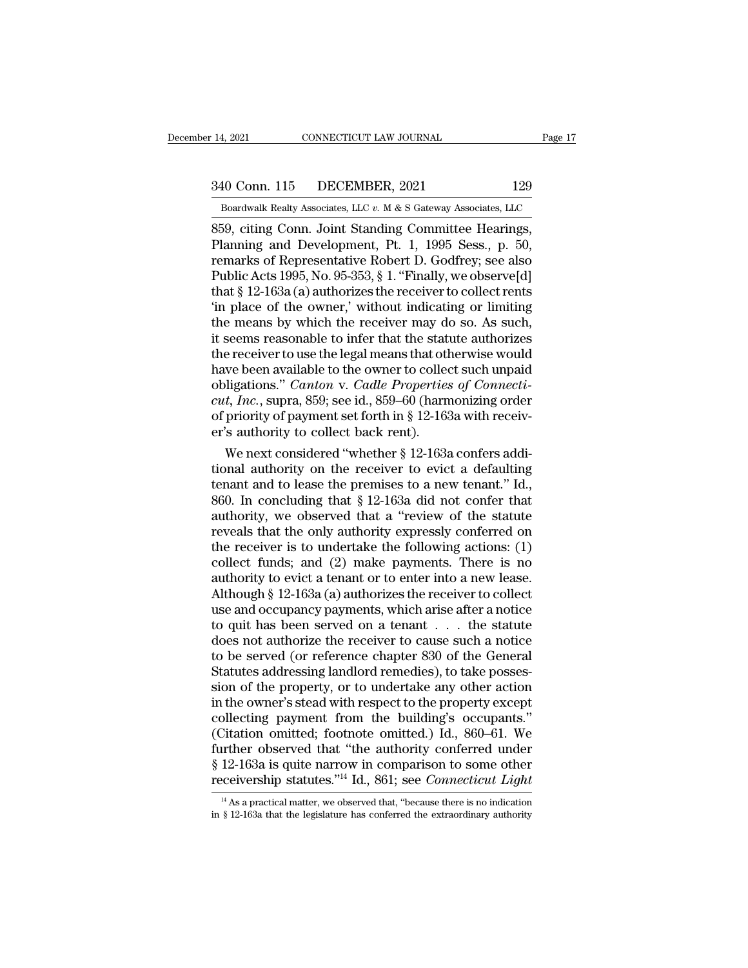# 14, 2021 CONNECTICUT LAW JOURNAL Page 17<br>340 Conn. 115 DECEMBER, 2021 129<br>Boardwalk Realty Associates, LLC v. M & S Gateway Associates, LLC

Bolden 14, 2021 CONNECTICUT LAW JOURNAL Page 17<br>
340 Conn. 115 DECEMBER, 2021 129<br>
Boardwalk Realty Associates, LLC *v.* M & S Gateway Associates, LLC<br>
859, citing Conn. Joint Standing Committee Hearings, 14, 2021 CONNECTICUT LAW JOURNAL Page<br>
340 Conn. 115 DECEMBER, 2021 129<br>
Boardwalk Realty Associates, LLC v. M & S Gateway Associates, LLC<br>
859, citing Conn. Joint Standing Committee Hearings,<br>
Planning and Development, Pt 340 Conn. 115 DECEMBER, 2021 129<br>
Boardwalk Realty Associates, LLC v. M & S Gateway Associates, LLC<br>
859, citing Conn. Joint Standing Committee Hearings,<br>
Planning and Development, Pt. 1, 1995 Sess., p. 50,<br>
remarks of Rep 340 Conn. 115 DECEMBER, 2021 129<br>
Boardwalk Realty Associates, LLC v. M & S Gateway Associates, LLC<br>
859, citing Conn. Joint Standing Committee Hearings,<br>
Planning and Development, Pt. 1, 1995 Sess., p. 50,<br>
remarks of Re 340 Conn. 115 DECEMBER, 2021 129<br>
Boardwalk Realty Associates, LLC v. M & S Gateway Associates, LLC<br>
859, citing Conn. Joint Standing Committee Hearings,<br>
Planning and Development, Pt. 1, 1995 Sess., p. 50,<br>
remarks of Rep Boardwalk Realty Associates, LLC  $v$ . M & S Gateway Associates, LLC<br>859, citing Conn. Joint Standing Committee Hearings,<br>Planning and Development, Pt. 1, 1995 Sess., p. 50,<br>remarks of Representative Robert D. Godfrey; see Boardwalk Realty Associates, LLC  $v$ . M & S Gateway Associates, LLC<br>
859, citing Conn. Joint Standing Committee Hearings,<br>
Planning and Development, Pt. 1, 1995 Sess., p. 50,<br>
remarks of Representative Robert D. Godfrey; 859, citing Conn. Joint Standing Committee Hearings,<br>Planning and Development, Pt. 1, 1995 Sess., p. 50,<br>remarks of Representative Robert D. Godfrey; see also<br>Public Acts 1995, No. 95-353, § 1. "Finally, we observe[d]<br>that Planning and Development, Pt. 1, 1995 Sess., p. 50,<br>remarks of Representative Robert D. Godfrey; see also<br>Public Acts 1995, No. 95-353, § 1. "Finally, we observe[d]<br>that § 12-163a (a) authorizes the receiver to collect ren remarks of Representative Robert D. Godfrey; see also<br>Public Acts 1995, No. 95-353, § 1. "Finally, we observe[d]<br>that § 12-163a (a) authorizes the receiver to collect rents<br>"in place of the owner," without indicating or li Public Acts 1995, No. 95-353, § 1. "Finally, we observe[d]<br>that § 12-163a (a) authorizes the receiver to collect rents<br>'in place of the owner,' without indicating or limiting<br>the means by which the receiver may do so. As that  $\S$  12-163a (a) authorizes the receiver to collect rents<br>
"in place of the owner," without indicating or limiting<br>
the means by which the receiver may do so. As such,<br>
it seems reasonable to infer that the statute au 'in place of the owner,' without indicating or limiting<br>the means by which the receiver may do so. As such,<br>it seems reasonable to infer that the statute authorizes<br>the receiver to use the legal means that otherwise would the means by which the receiver may do so. As such, it seems reasonable to infer that the statute authorizes the receiver to use the legal means that otherwise would have been available to the owner to collect such unpaid it seems reasonable to infer that the stat<br>the receiver to use the legal means that otl<br>have been available to the owner to collec<br>obligations." *Canton* v. *Cadle Properties*<br>*cut, Inc.*, supra, 859; see id., 859–60 (harn e receiver to use the legal means that otherwise would<br>we been available to the owner to collect such unpaid<br>ligations." *Canton v. Cadle Properties of Connecti-<br>t, Inc.*, supra, 859; see id., 859–60 (harmonizing order<br>pri have been available to the owner to collect such unpaid<br>obligations." *Canton* v. *Cadle Properties of Connecti-*<br>*cut, Inc.*, supra, 859; see id., 859–60 (harmonizing order<br>of priority of payment set forth in § 12-163a w

obligations." Canton v. Cadle Properties of Connecticut, Inc., supra, 859; see id., 859–60 (harmonizing order of priority of payment set forth in § 12-163a with receiver's authority to collect back rent).<br>We next consider cut, Inc., supra, 859; see 1d., 859–60 (harmonizing order<br>of priority of payment set forth in § 12-163a with receiv-<br>er's authority to collect back rent).<br>We next considered "whether § 12-163a confers addi-<br>tional authori of priority of payment set forth in § 12-163a with receiver's authority to collect back rent).<br>We next considered "whether § 12-163a confers additional authority on the receiver to evict a defaulting<br>tenant and to lease th er's authority to collect back rent).<br>
We next considered "whether § 12-163a confers additional authority on the receiver to evict a defaulting<br>
tenant and to lease the premises to a new tenant." Id.,<br>
860. In concluding We next considered "whether  $\S$  12-163a confers additional authority on the receiver to evict a defaulting<br>tenant and to lease the premises to a new tenant." Id.,<br>860. In concluding that  $\S$  12-163a did not confer that<br>au tional authority on the receiver to evict a defaulting<br>tenant and to lease the premises to a new tenant." Id.,<br>860. In concluding that  $\S$  12-163a did not confer that<br>authority, we observed that a "review of the statute<br>r tenant and to lease the premises to a new tenant." Id., 860. In concluding that  $\S$  12-163a did not confer that authority, we observed that a "review of the statute reveals that the only authority expressly conferred on t 860. In concluding that  $\S$  12-163a did not confer that<br>authority, we observed that a "review of the statute<br>reveals that the only authority expressly conferred on<br>the receiver is to undertake the following actions: (1)<br>c authority, we observed that a "review of the statute<br>reveals that the only authority expressly conferred on<br>the receiver is to undertake the following actions: (1)<br>collect funds; and (2) make payments. There is no<br>authori reveals that the only authority expressly conferred on<br>the receiver is to undertake the following actions: (1)<br>collect funds; and (2) make payments. There is no<br>authority to evict a tenant or to enter into a new lease.<br>Alt the receiver is to undertake the following actions: (1)<br>collect funds; and (2) make payments. There is no<br>authority to evict a tenant or to enter into a new lease.<br>Although § 12-163a (a) authorizes the receiver to collect<br> collect funds; and (2) make payments. There is no<br>authority to evict a tenant or to enter into a new lease.<br>Although § 12-163a (a) authorizes the receiver to collect<br>use and occupancy payments, which arise after a notice<br>t authority to evict a tenant or to enter into a new lease.<br>Although § 12-163a (a) authorizes the receiver to collect<br>use and occupancy payments, which arise after a notice<br>to quit has been served on a tenant . . . the statu Although § 12-163a (a) authorizes the receiver to collect<br>use and occupancy payments, which arise after a notice<br>to quit has been served on a tenant  $\ldots$  the statute<br>does not authorize the receiver to cause such a notice use and occupancy payments, which arise after a notice<br>to quit has been served on a tenant . . . the statute<br>does not authorize the receiver to cause such a notice<br>to be served (or reference chapter 830 of the General<br>Stat to quit has been served on a tenant . . . the statute<br>does not authorize the receiver to cause such a notice<br>to be served (or reference chapter 830 of the General<br>Statutes addressing landlord remedies), to take posses-<br>sio does not authorize the receiver to cause such a notice<br>to be served (or reference chapter 830 of the General<br>Statutes addressing landlord remedies), to take posses-<br>sion of the property, or to undertake any other action<br>in to be served (or reference chapter 830 of the General<br>Statutes addressing landlord remedies), to take posses-<br>sion of the property, or to undertake any other action<br>in the owner's stead with respect to the property except Statutes addressing landlord remedies), to take possession of the property, or to undertake any other action<br>in the owner's stead with respect to the property except<br>collecting payment from the building's occupants."<br>(Cit sion of the property, or to undertake any other action<br>in the owner's stead with respect to the property except<br>collecting payment from the building's occupants."<br>(Citation omitted; footnote omitted.) Id., 860–61. We<br>furth Citation omitted; footnote omitted.) Id., 860–61. We<br>urther observed that "the authority conferred under<br>12-163a is quite narrow in comparison to some other<br>eceivership statutes."<sup>14</sup> Id., 861; see *Connecticut Light*<br> $\frac$ further observed that "the authority conferred under  $\S$  12-163a is quite narrow in comparison to some other receivership statutes."<sup>14</sup> Id., 861; see *Connecticut Light*  $\frac{14 \text{ As a practical matter, we observed that, "because there is no indication in § 12-163a that the legislature has conferred the extraordinary authority.$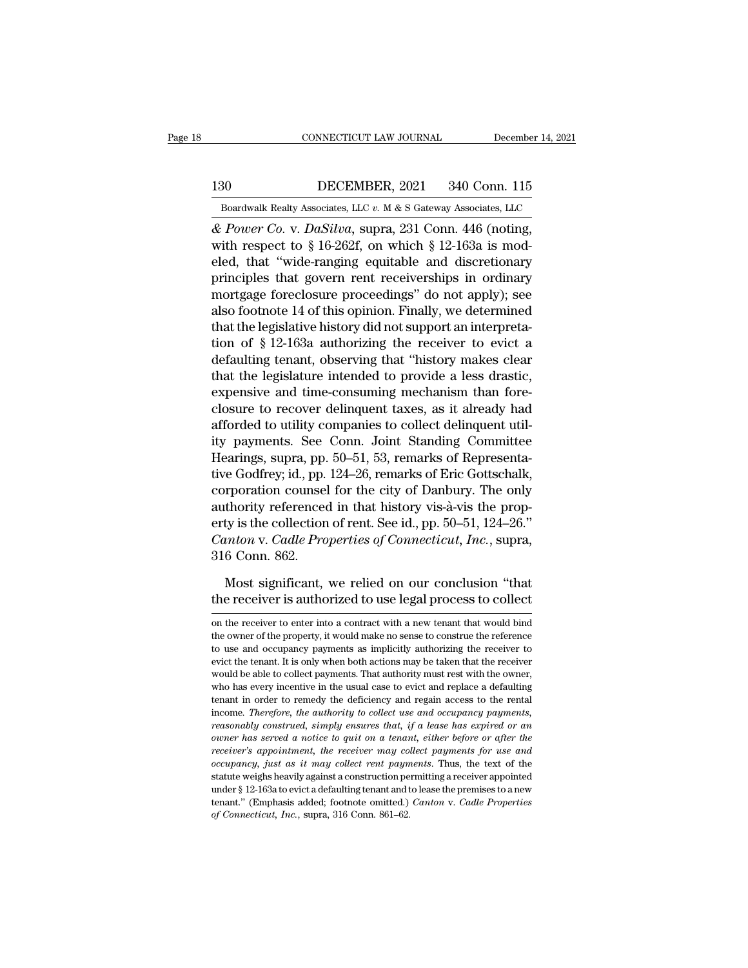# EXECUTE CONNECTICUT LAW JOURNAL December 14, 2021<br>130 DECEMBER, 2021 340 Conn. 115<br>Boardwalk Realty Associates, LLC v. M & S Gateway Associates, LLC

CONNECTICUT LAW JOURNAL December 14, 2021<br>
Boardwalk Realty Associates, LLC *v.* M & S Gateway Associates, LLC <br>
& Power Co. v. DaSilva, supra, 231 Conn. 446 (noting, *CONNECTICUT LAW JOURNAL* December 14, 2<br> **130** DECEMBER, 2021 340 Conn. 115<br> *Boardwalk Realty Associates, LLC v. M & S Gateway Associates, LLC*<br> *& Power Co. v. DaSilva, supra, 231 Conn. 446 (noting, with respect to § 16* 130 DECEMBER, 2021 340 Conn. 115<br>
Boardwalk Realty Associates, LLC v. M & S Gateway Associates, LLC<br>
& Power Co. v. DaSilva, supra, 231 Conn. 446 (noting,<br>
with respect to § 16-262f, on which § 12-163a is mod-<br>
eled, that 130 DECEMBER, 2021 340 Conn. 115<br>
Boardwalk Realty Associates, LLC v. M & S Gateway Associates, LLC<br>  $\&$  Power Co. v. DaSilva, supra, 231 Conn. 446 (noting,<br>
with respect to § 16-262f, on which § 12-163a is mod-<br>
eled, t 130 DECEMBER, 2021 340 Conn. 115<br>
Boardwalk Realty Associates, LLC v. M & S Gateway Associates, LLC<br>  $\&$  Power Co. v. DaSilva, supra, 231 Conn. 446 (noting,<br>
with respect to § 16-262f, on which § 12-163a is mod-<br>
eled, t Boardwalk Realty Associates, LLC  $v$ . M & S Gateway Associates, LLC<br>  $\&$  Power Co. v. DaSilva, supra, 231 Conn. 446 (noting,<br>
with respect to § 16-262f, on which § 12-163a is mod-<br>
eled, that "wide-ranging equitable and **Boardwark healty Associates, LEC 7. In & 3 Gateway Associates, LEC & Power Co. v. DaSilva, supra, 231 Conn. 446 (noting, with respect to § 16-262f, on which § 12-163a is modeled, that "wide-ranging equitable and discreti** & *Power Co.* v. *DaSilva*, supra, 231 Conn. 446 (noting, with respect to § 16-262f, on which § 12-163a is modeled, that "wide-ranging equitable and discretionary principles that govern rent receiverships in ordinary mort with respect to § 16-262f, on which § 12-163a is modeled, that "wide-ranging equitable and discretionary<br>principles that govern rent receiverships in ordinary<br>mortgage foreclosure proceedings" do not apply); see<br>also footn eled, that "wide-ranging equitable and discretionary<br>principles that govern rent receiverships in ordinary<br>mortgage foreclosure proceedings" do not apply); see<br>also footnote 14 of this opinion. Finally, we determined<br>that principles that govern rent receiverships in ordinary<br>mortgage foreclosure proceedings" do not apply); see<br>also footnote 14 of this opinion. Finally, we determined<br>that the legislative history did not support an interpreta mortgage foreclosure proceedings" do not apply); see<br>also footnote 14 of this opinion. Finally, we determined<br>that the legislative history did not support an interpreta-<br>tion of § 12-163a authorizing the receiver to evict also footnote 14 of this opinion. Finally, we determined<br>that the legislative history did not support an interpreta-<br>tion of § 12-163a authorizing the receiver to evict a<br>defaulting tenant, observing that "history makes cl that the legislative history did not support an interpreta-<br>tion of § 12-163a authorizing the receiver to evict a<br>defaulting tenant, observing that "history makes clear<br>that the legislature intended to provide a less drast tion of § 12-163a authorizing the receiver to evict a<br>defaulting tenant, observing that "history makes clear<br>that the legislature intended to provide a less drastic,<br>expensive and time-consuming mechanism than fore-<br>closu defaulting tenant, observing that "history makes clear<br>that the legislature intended to provide a less drastic,<br>expensive and time-consuming mechanism than fore-<br>closure to recover delinquent taxes, as it already had<br>affor that the legislature intended to provide a less drastic,<br>expensive and time-consuming mechanism than fore-<br>closure to recover delinquent taxes, as it already had<br>afforded to utility companies to collect delinquent util-<br>it expensive and time-consuming mechanism than fore-<br>closure to recover delinquent taxes, as it already had<br>afforded to utility companies to collect delinquent util-<br>ity payments. See Conn. Joint Standing Committee<br>Hearings, closure to recover delinquent taxes, as it already had<br>afforded to utility companies to collect delinquent util-<br>ity payments. See Conn. Joint Standing Committee<br>Hearings, supra, pp. 50–51, 53, remarks of Representa-<br>tive afforded to utility companies to collect delinquent util-<br>ity payments. See Conn. Joint Standing Committee<br>Hearings, supra, pp. 50–51, 53, remarks of Representa-<br>tive Godfrey; id., pp. 124–26, remarks of Eric Gottschalk,<br>c ity payments. See Conn. Joint Standing Committee<br>Hearings, supra, pp. 50–51, 53, remarks of Representa-<br>tive Godfrey; id., pp. 124–26, remarks of Eric Gottschalk,<br>corporation counsel for the city of Danbury. The only<br>autho Hearings, supra, pp.<br>tive Godfrey; id., pp.<br>corporation counsel<br>authority reference<br>erty is the collection<br>*Canton* v. *Cadle Pro*<br>316 Conn. 862.<br>Most significant, reporation counsel for the city of Danbury. The only<br>thority referenced in that history vis-à-vis the prop-<br>ty is the collection of rent. See id., pp. 50–51, 124–26."<br>inton v. Cadle Properties of Connecticut, Inc., supra,<br> authority referenced in that history vis-à-vis the property is the collection of rent. See id., pp. 50–51, 124–26."<br>Canton v. Cadle Properties of Connecticut, Inc., supra,<br>316 Conn. 862.<br>Most significant, we relied on our

316 Conn. 862.<br>
Most significant, we relied on our conclusion "that<br>
the receiver is authorized to use legal process to collect<br>
on the receiver to enter into a contract with a new tenant that would bind<br>
the owner of the

Most significant, we relied on our conclusion "that<br>the receiver is authorized to use legal process to collect<br>on the receiver to enter into a contract with a new tenant that would bind<br>the owner of the property, it would Most significant, we relied on our conclusion "that<br>the receiver is authorized to use legal process to collect<br>on the receiver to enter into a contract with a new tenant that would bind<br>the owner of the property, it would the receiver is authorized to use legal process to collect<br>on the receiver to enter into a contract with a new tenant that would bind<br>the owner of the property, it would make no sense to construe the reference<br>to use and o where the effect is authorized to use legal process to concert<br>on the receiver to enter into a contract with a new tenant that would bind<br>the owner of the property, it would make no sense to construe the reference<br>to use a on the receiver to enter into a contract with a new tenant that would bind<br>the owner of the property, it would make no sense to construe the reference<br>to use and occupancy payments as implicitly authorizing the receiver<br>to the owner of the property, it would make no sense to construe the reference<br>to use and occupancy payments as implicitly authorizing the receiver to<br>evict the tenant. It is only when both actions may be taken that the recei income and occupancy payments as implicitly authorizing the receiver to evict the tenant. It is only when both actions may be taken that the receiver would be able to collect payments. That authority must rest with the own *reasonably construed, simply ensures to method attention may be taken that the receiver would be able to collect payments. That authority must rest with the owner, who has every incentive in the usual case to evict and re owould be able to collect payments. That authority must rest with the owner,* who has every incentive in the usual case to evict and replace a defaulting tenant in order to remedy the deficiency and regain access to the r *receiver's appointment, the receiver may collect payments,* who has every incentive in the usual case to evict and replace a defaulting tenant in order to remedy the deficiency and regain access to the rental income. Ther *occupancy, fust as it may collect rent payments*, *occupancy payments*, *reasonably construed, simply ensures that, if a lease has expired or an occupancy payments, reasonably construed, simply ensures that, if a lease* income. Therefore, the authority to collect use and occupancy payments, ireas<br>onably construed, simply ensures that, if a lease has expired or an<br>owner has served a notice to quit on a tenant, either before or after the<br>r reasonably construed, simply ensures that, if a lease has expired or an<br>vener has served a notice to quit on a tenant, either before or after the<br>receiver's appointment, the receiver may collect payments for use and<br>occup reasonably construed, simply ensures that, if a lease has expired or an owner has served a notice to quit on a tenant, either before or after the receiver's appointment, the receiver may collect payments for use and occupa *receiver's appointment, the receiver may collect payments for use and*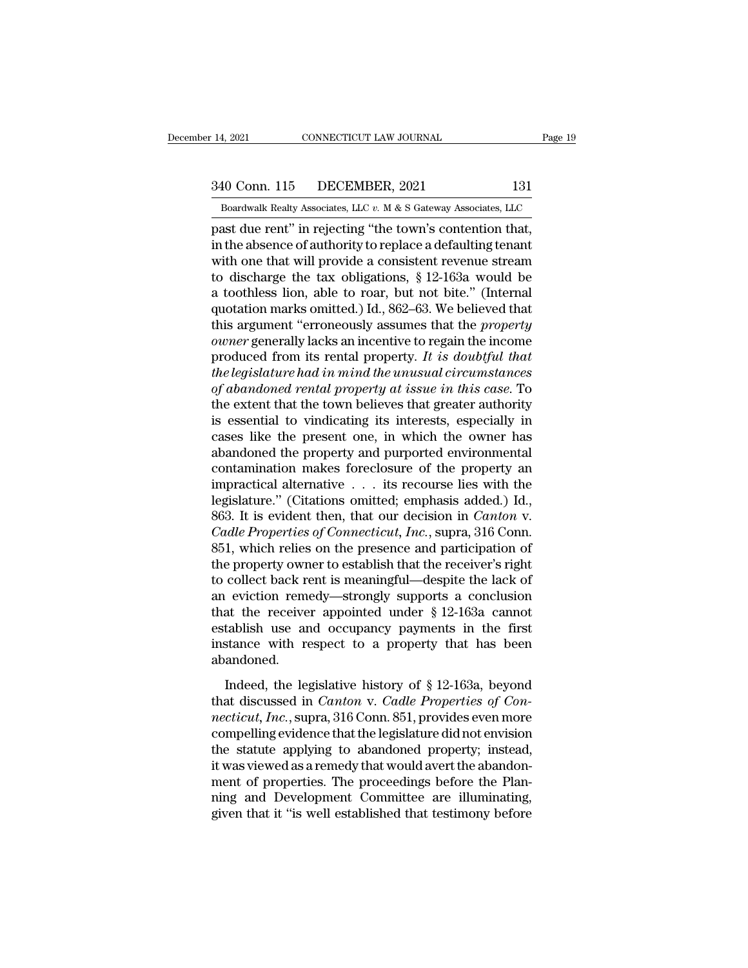# 14, 2021 CONNECTICUT LAW JOURNAL Page 19<br>340 Conn. 115 DECEMBER, 2021 131<br>Boardwalk Realty Associates, LLC v. M & S Gateway Associates, LLC

December 14, 2021 CONNECTICUT LAW JOURNAL Page 19<br>340 Conn. 115 DECEMBER, 2021 131<br>Boardwalk Realty Associates, LLC *v.* M & S Gateway Associates, LLC<br>past due rent" in rejecting "the town's contention that, 14, 2021 CONNECTICUT LAW JOURNAL Page<br>  $\frac{340 \text{ Conn. } 115 \qquad \text{DECEMBER, } 2021 \qquad \qquad 131}{\text{Boardwalk Realty Associates, } \text{LLC } v. \text{ M & S Gateway Associates, } \text{LLC}}$ <br>
past due rent'' in rejecting "the town's contention that,<br>
in the absence of authority to replace a 340 Conn. 115 DECEMBER, 2021 131<br>Boardwalk Realty Associates, LLC  $v$ . M & S Gateway Associates, LLC<br>past due rent" in rejecting "the town's contention that,<br>in the absence of authority to replace a defaulting tenant<br>with 340 Conn. 115 DECEMBER, 2021 131<br>
Boardwalk Realty Associates, LLC  $v$ . M & S Gateway Associates, LLC<br>
past due rent" in rejecting "the town's contention that,<br>
in the absence of authority to replace a defaulting tenant<br> 340 Conn. 115 DECEMBER, 2021 131<br>
Boardwalk Realty Associates, LLC  $v$ . M & S Gateway Associates, LLC<br>
past due rent" in rejecting "the town's contention that,<br>
in the absence of authority to replace a defaulting tenant<br> Boardwalk Realty Associates, LLC  $v$ . M & S Gateway Associates, LLC<br>past due rent" in rejecting "the town's contention that,<br>in the absence of authority to replace a defaulting tenant<br>with one that will provide a consiste Boardwalk Realty Associates, LLC v. M & S Gateway Associates, LLC<br>past due rent" in rejecting "the town's contention that,<br>in the absence of authority to replace a defaulting tenant<br>with one that will provide a consistent past due rent" in rejecting "the town's contention that,<br>in the absence of authority to replace a defaulting tenant<br>with one that will provide a consistent revenue stream<br>to discharge the tax obligations, § 12-163a would b in the absence of authority to replace a defaulting tenant<br>with one that will provide a consistent revenue stream<br>to discharge the tax obligations, § 12-163a would be<br>a toothless lion, able to roar, but not bite." (Interna with one that will provide a consistent revenue stream<br>to discharge the tax obligations,  $\S$  12-163a would be<br>a toothless lion, able to roar, but not bite." (Internal<br>quotation marks omitted.) Id., 862–63. We believed tha to discharge the tax obligations, § 12-163a would be<br>a toothless lion, able to roar, but not bite." (Internal<br>quotation marks omitted.) Id., 862–63. We believed that<br>this argument "erroneously assumes that the *property*<br> a toothless lion, able to roar, but not bite." (Internal<br>quotation marks omitted.) Id., 862–63. We believed that<br>this argument "erroneously assumes that the *property*<br>*owner* generally lacks an incentive to regain the inc quotation marks omitted.) Id., 862–63. We believed that<br>this argument "erroneously assumes that the *property*<br>owner generally lacks an incentive to regain the income<br>produced from its rental property. It is doubtful that<br> this argument "erroneously assumes that the *property*<br>owner generally lacks an incentive to regain the income<br>produced from its rental property. It is doubtful that<br>the legislature had in mind the unusual circumstances<br>o owner generally lacks an incentive to regain the income<br>produced from its rental property. It is doubtful that<br>the legislature had in mind the unusual circumstances<br>of abandoned rental property at issue in this case. To<br>th produced from its rental property. It is doubtful that<br>the legislature had in mind the unusual circumstances<br>of abandoned rental property at issue in this case. To<br>the extent that the town believes that greater authority<br> the legislature had in mind the unusual circumstances<br>of abandoned rental property at issue in this case. To<br>the extent that the town believes that greater authority<br>is essential to vindicating its interests, especially i of abandoned rental property at issue in this case. To<br>the extent that the town believes that greater authority<br>is essential to vindicating its interests, especially in<br>cases like the present one, in which the owner has<br>a the extent that the town believes that greater authority<br>is essential to vindicating its interests, especially in<br>cases like the present one, in which the owner has<br>abandoned the property and purported environmental<br>conta is essential to vindicating its interests, especially in cases like the present one, in which the owner has abandoned the property and purported environmental contamination makes foreclosure of the property an impractical cases like the present one, in which the owner has<br>abandoned the property and purported environmental<br>contamination makes foreclosure of the property an<br>impractical alternative . . . its recourse lies with the<br>legislature. abandoned the property and purported environmental<br>contamination makes foreclosure of the property an<br>impractical alternative  $\dots$  its recourse lies with the<br>legislature." (Citations omitted; emphasis added.) Id.,<br>863. It contamination makes foreclosure of the property an impractical alternative . . . its recourse lies with the legislature." (Citations omitted; emphasis added.) Id., 863. It is evident then, that our decision in *Canton* v. impractical alternative  $\ldots$  its recourse lies with the legislature." (Citations omitted; emphasis added.) Id., 863. It is evident then, that our decision in *Canton* v. *Cadle Properties of Connecticut, Inc.*, supra, 31 legislature." (Citations omitted; emphasis added.) Id.,<br>863. It is evident then, that our decision in *Canton* v.<br>*Cadle Properties of Connecticut, Inc.*, supra, 316 Conn.<br>851, which relies on the presence and participati 863. It is evident then, that our decision in *Canton* v.<br>Cadle Properties of Connecticut, Inc., supra, 316 Conn.<br>851, which relies on the presence and participation of<br>the property owner to establish that the receiver's Cadle Properties of Connecticut, Inc., supra, 316 Conn.<br>851, which relies on the presence and participation of<br>the property owner to establish that the receiver's right<br>to collect back rent is meaningful—despite the lack 851, which relies on the presence and participation of<br>the property owner to establish that the receiver's right<br>to collect back rent is meaningful—despite the lack of<br>an eviction remedy—strongly supports a conclusion<br>tha abandoned. Indeed, the legislative history of § 12-163a, beyond<br>at the receiver appointed under § 12-163a cannot<br>tablish use and occupancy payments in the first<br>stance with respect to a property that has been<br>andoned.<br>Indeed, the le that the receiver appointed under § 12-163a cannot<br>establish use and occupancy payments in the first<br>instance with respect to a property that has been<br>abandoned.<br>Indeed, the legislative history of § 12-163a, beyond<br>that di

establish use and occupancy payments in the first<br>instance with respect to a property that has been<br>abandoned.<br>Indeed, the legislative history of § 12-163a, beyond<br>that discussed in *Canton* v. *Cadle Properties of Con-<br>ne* instance with respect to a property that has been<br>abandoned.<br>Indeed, the legislative history of § 12-163a, beyond<br>that discussed in *Canton* v. *Cadle Properties of Con-<br>necticut, Inc.*, supra, 316 Conn. 851, provides eve the statute applying to a property and rate seen<br>abandoned.<br>
Indeed, the legislative history of § 12-163a, beyond<br>
that discussed in *Canton v. Cadle Properties of Con-*<br> *necticut, Inc.*, supra, 316 Conn. 851, provides e Indeed, the legislative history of  $\S$  12-163a, beyond<br>that discussed in *Canton v. Cadle Properties of Con-*<br>*necticut, Inc.*, supra, 316 Conn. 851, provides even more<br>compelling evidence that the legislature did not env Indeed, the legislative history of § 12-163a, beyond<br>that discussed in *Canton* v. *Cadle Properties of Con-*<br>*necticut, Inc.*, supra, 316 Conn. 851, provides even more<br>compelling evidence that the legislature did not env that discussed in *Canton* v. *Cadle Properties of Connecticut, Inc.*, supra, 316 Conn. 851, provides even more compelling evidence that the legislature did not envision the statute applying to abandoned property; instead, necticut, Inc., supra, 316 Conn. 851, provides even more compelling evidence that the legislature did not envision<br>the statute applying to abandoned property; instead,<br>it was viewed as a remedy that would avert the abandon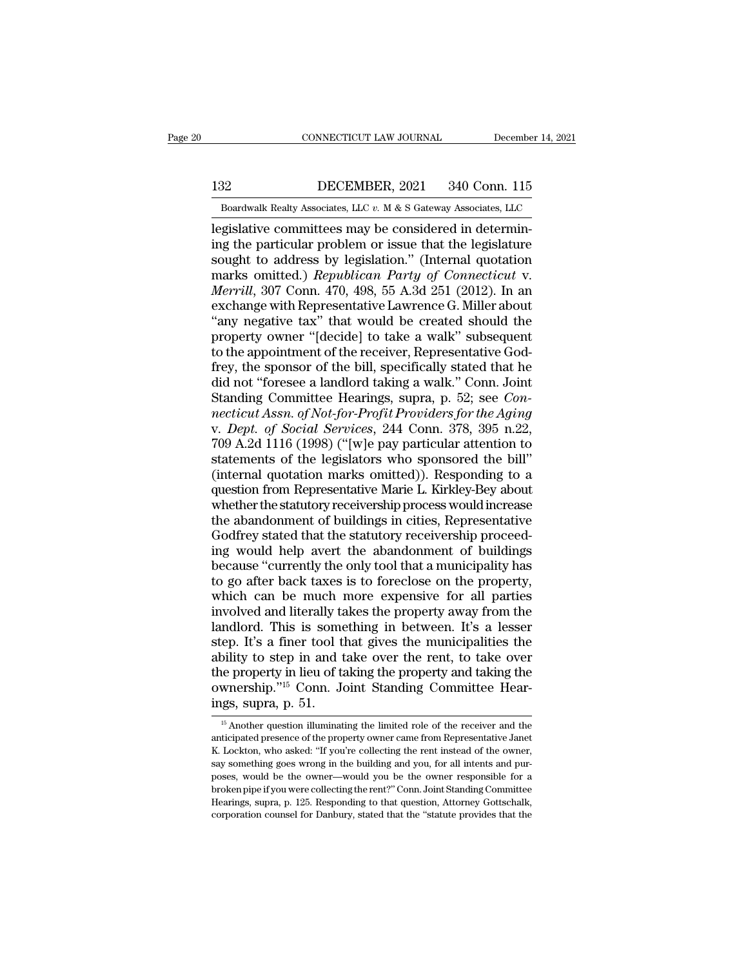EXECUTE CONNECTICUT LAW JOURNAL December 14, 2021<br>132 DECEMBER, 2021 340 Conn. 115<br>Boardwalk Realty Associates, LLC v. M & S Gateway Associates, LLC EXECUTE CONNECTICUT LAW JOURNAL December 14, 2021<br>Boardwalk Realty Associates, LLC *v.* M & S Gateway Associates, LLC  $\overline{C}$ 

legislative committees may be considered in determining the particular problem or issue that the legislature sought to address by legislation." (Internal quotation ISP INTER 1921 1940 Conn. 115<br>
Boardwalk Realty Associates, LLC v. M & S Gateway Associates, LLC<br>
legislative committees may be considered in determin-<br>
ing the particular problem or issue that the legislature<br>
sought to a 132 DECEMBER, 2021 340 Conn. 115<br>
Boardwalk Realty Associates, LLC v. M & S Gateway Associates, LLC<br>
legislative committees may be considered in determin-<br>
ing the particular problem or issue that the legislature<br>
sought DECEMBER, 2021 340 Conn. 115<br>
Boardwalk Realty Associates, LLC v. M & S Gateway Associates, LLC<br>
legislative committees may be considered in determin-<br>
ing the particular problem or issue that the legislature<br>
sought to ad *Bachmolit, 2021 GTO COM. 119*<br> *Boardwalk Realty Associates, LLC v. M & S Gateway Associates, LLC*<br>
legislative committees may be considered in determin-<br>
ing the particular problem or issue that the legislature<br>
sought Boardwalk Realty Associates, LLC  $v$ . M & S Gateway Associates, LLC<br>legislative committees may be considered in determin-<br>ing the particular problem or issue that the legislature<br>sought to address by legislation." (Intern legislative committees may be considered in determining the particular problem or issue that the legislature<br>sought to address by legislation." (Internal quotation marks omitted.) *Republican Party of Connecticut v.*<br>*Merr* ing the particular problem or issue that the legislature<br>sought to address by legislation." (Internal quotation<br>marks omitted.) *Republican Party of Connecticut v.*<br>*Merrill*, 307 Conn. 470, 498, 55 A.3d 251 (2012). In an<br> sought to address by legislation." (Internal quotation<br>marks omitted.) *Republican Party of Connecticut v.*<br>*Merrill*, 307 Conn. 470, 498, 55 A.3d 251 (2012). In an<br>exchange with Representative Lawrence G. Miller about<br>"an marks omitted.) *Republican Party of Connecticut v.*<br> *Merrill*, 307 Conn. 470, 498, 55 A.3d 251 (2012). In an<br>
exchange with Representative Lawrence G. Miller about<br>
"any negative tax" that would be created should the<br>
p *Merrill*, 307 Conn. 470, 498, 55 A.3d 251 (2012). In an exchange with Representative Lawrence G. Miller about "any negative tax" that would be created should the property owner "[decide] to take a walk" subsequent to the exchange with Representative Lawrence G. Miller about<br>"any negative tax" that would be created should the<br>property owner "[decide] to take a walk" subsequent<br>to the appointment of the receiver, Representative God-<br>frey, th "any negative tax" that would be created should the<br>property owner "[decide] to take a walk" subsequent<br>to the appointment of the receiver, Representative God-<br>frey, the sponsor of the bill, specifically stated that he<br>did property owner "[decide] to take a walk" subsequent<br>to the appointment of the receiver, Representative God-<br>frey, the sponsor of the bill, specifically stated that he<br>did not "foresee a landlord taking a walk." Conn. Joint to the appointment of the receiver, Representative God-<br>frey, the sponsor of the bill, specifically stated that he<br>did not "foresee a landlord taking a walk." Conn. Joint<br>Standing Committee Hearings, supra, p. 52; see *Con* frey, the sponsor of the bill, specifically stated that he<br>did not "foresee a landlord taking a walk." Conn. Joint<br>Standing Committee Hearings, supra, p. 52; see *Con-<br>necticut Assn. of Not-for-Profit Providers for the Agi* did not "foresee a landlord taking a walk." Conn. Joint<br>Standing Committee Hearings, supra, p. 52; see *Con-<br>necticut Assn. of Not-for-Profit Providers for the Aging*<br>v. *Dept. of Social Services*, 244 Conn. 378, 395 n.22, Standing Committee Hearings, supra, p. 52; see *Connecticut Assn. of Not-for-Profit Providers for the Aging*<br>v. *Dept. of Social Services*, 244 Conn. 378, 395 n.22,<br>709 A.2d 1116 (1998) ("[w]e pay particular attention to<br>s necticut Assn. of Not-for-Profit Providers for the Aging<br>v. Dept. of Social Services, 244 Conn. 378, 395 n.22,<br>709 A.2d 1116 (1998) ("[w]e pay particular attention to<br>statements of the legislators who sponsored the bill"<br>( v. *Dept. of Social Services*, 244 Conn. 378, 395 n.22, 709 A.2d 1116 (1998) ("[w]e pay particular attention to statements of the legislators who sponsored the bill" (internal quotation marks omitted)). Responding to a que v. *Dept. of Social Services*, 244 Conn. 378, 395 n.22, 709 A.2d 1116 (1998) ("[w]e pay particular attention to statements of the legislators who sponsored the bill" (internal quotation marks omitted)). Responding to a que statements of the legislators who sponsored the bill"<br>(internal quotation marks omitted)). Responding to a<br>question from Representative Marie L. Kirkley-Bey about<br>whether the statutory receivership process would increase<br>t (internal quotation marks omitted)). Responding to a<br>question from Representative Marie L. Kirkley-Bey about<br>whether the statutory receivership process would increase<br>the abandonment of buildings in cities, Representative<br> question from Representative Marie L. Kirkley-Bey about<br>whether the statutory receivership process would increase<br>the abandonment of buildings in cities, Representative<br>Godfrey stated that the statutory receivership procee whether the statutory receivership process would increase<br>the abandonment of buildings in cities, Representative<br>Godfrey stated that the statutory receivership proceed-<br>ing would help avert the abandonment of buildings<br>bec the abandonment of buildings in cities, Representative<br>Godfrey stated that the statutory receivership proceed-<br>ing would help avert the abandonment of buildings<br>because "currently the only tool that a municipality has<br>to g Godfrey stated that the statutory receivership proceeding<br>ing would help avert the abandonment of buildings<br>because "currently the only tool that a municipality has<br>to go after back taxes is to foreclose on the property,<br>w ing would help avert the abandonment of buildings<br>because "currently the only tool that a municipality has<br>to go after back taxes is to foreclose on the property,<br>which can be much more expensive for all parties<br>involved a because "currently the only tool that a municipality has<br>to go after back taxes is to foreclose on the property,<br>which can be much more expensive for all parties<br>involved and literally takes the property away from the<br>land to go after back taxes is to foreclose on the property,<br>which can be much more expensive for all parties<br>involved and literally takes the property away from the<br>landlord. This is something in between. It's a lesser<br>step. I which can be much more expensive for all parties<br>involved and literally takes the property away from the<br>landlord. This is something in between. It's a lesser<br>step. It's a finer tool that gives the municipalities the<br>abil involved and literally ta<br>landlord. This is some<br>step. It's a finer tool tl<br>ability to step in and t<br>the property in lieu of ta<br>ownership."<sup>15</sup> Conn. Jo<br>ings, supra, p. 51. bility to step in and take over the rent, to take over<br>ne property in lieu of taking the property and taking the<br>wnership."<sup>15</sup> Conn. Joint Standing Committee Hear-<br>gs, supra, p. 51.<br><sup>15</sup> Another question illuminating the the property in lieu of taking the property and taking the ownership."<sup>15</sup> Conn. Joint Standing Committee Hearings, supra, p. 51.<br><sup>15</sup> Another question illuminating the limited role of the receiver and the anticipated pres

ownership."<sup>15</sup> Conn. Joint Standing Committee Hearings, supra, p. 51.<br>
<sup>15</sup> Another question illuminating the limited role of the receiver and the anticipated presence of the property owner came from Representative Janet ings, supra, p. 51.<br>
<sup>15</sup> Another question illuminating the limited role of the receiver and the anticipated presence of the property owner came from Representative Janet K. Lockton, who asked: "If you're collecting the r mgs, supra, p. 91.<br>  $\frac{15}{15}$  Another question illuminating the limited role of the receiver and the anticipated presence of the property owner came from Representative Janet K. Lockton, who asked: "If you're collecting <sup>15</sup> Another question illuminating the limited role of the receiver and the anticipated presence of the property owner came from Representative Janet K. Lockton, who asked: "If you're collecting the rent instead of the ow anticipated presence of the property owner came from Representative Janet K. Lockton, who asked: "If you're collecting the rent instead of the owner, say something goes wrong in the building and you, for all intents and pu K. Lockton, who asked: "If you're collecting the rent instead of the owner,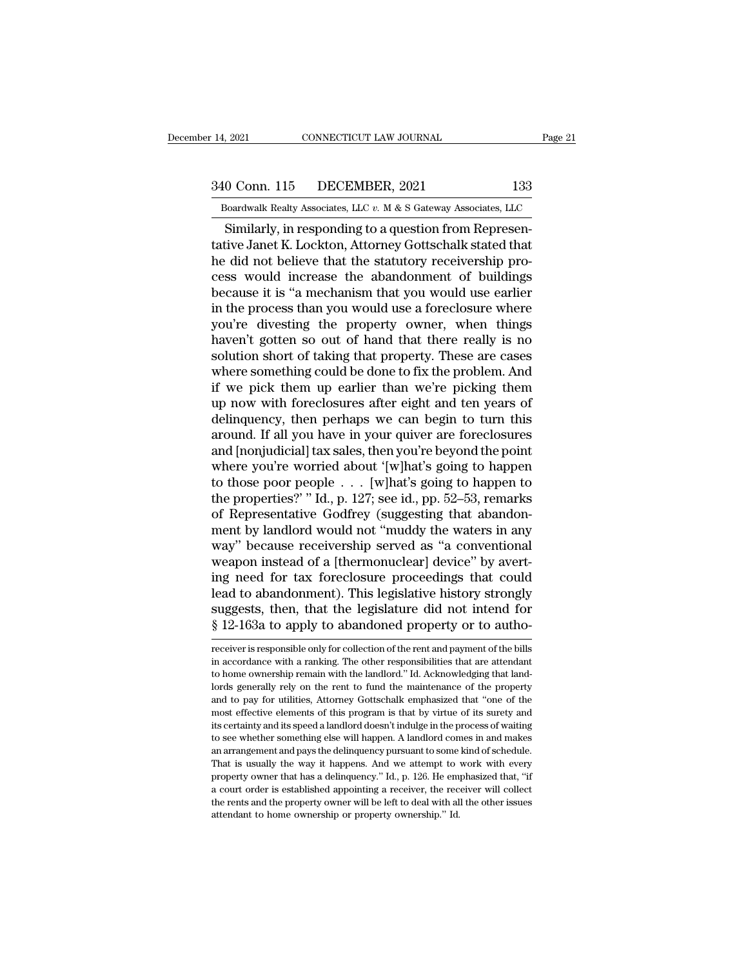# 14, 2021 CONNECTICUT LAW JOURNAL Page 21<br>340 Conn. 115 DECEMBER, 2021 133<br>Boardwalk Realty Associates, LLC v. M & S Gateway Associates, LLC

December 14, 2021 CONNECTICUT LAW JOURNAL Page 21<br>
340 Conn. 115 DECEMBER, 2021 133<br>
Boardwalk Realty Associates, LLC *v.* M & S Gateway Associates, LLC<br>
Similarly, in responding to a question from Represen-SIMILARY OF CONNECTICUT LAW JOURNAL<br>
Similarly, in responding to a question from Represen-<br>
Similarly, in responding to a question from Represen-<br>
Live Janet K. Lockton, Attorney Gottschalk stated that<br>
did not believe tha  $\frac{340 \text{ Conn. } 115 \qquad \text{DECEMBER, } 2021 \qquad \qquad 133}$ <br>Boardwalk Realty Associates, LLC v. M & S Gateway Associates, LLC<br>Similarly, in responding to a question from Representative Janet K. Lockton, Attorney Gottschalk stated that<br>  $\frac{340 \text{ Conn. } 115 \qquad \text{DECEMBER, } 2021 \qquad 133 \qquad \text{Boardwalk Realty Associates, } \text{LLC } v. \text{ M} \& S \text{ Gateway Associates, } \text{LLC} \qquad \text{Similarly, in responding to a question from Representative Janet K. Lockton, Attorney Gottschalk stated that he did not believe that the statutory receiving process would increase the abandonment of buildings because it is "a mechanism that you would use earlier.}$ 340 Conn. 115 DECEMBER, 2021 133<br>
Boardwalk Realty Associates, LLC  $v$ . M & S Gateway Associates, LLC<br>
Similarly, in responding to a question from Represen-<br>
tative Janet K. Lockton, Attorney Gottschalk stated that<br>
the d Boardwalk Realty Associates, LLC  $v$ . M & S Gateway Associates, LLC<br>Similarly, in responding to a question from Represen-<br>tative Janet K. Lockton, Attorney Gottschalk stated that<br>he did not believe that the statutory rece Boardwalk Realty Associates, LLC  $v$ . M & S Gateway Associates, LLC<br>
Similarly, in responding to a question from Representative Janet K. Lockton, Attorney Gottschalk stated that<br>
the did not believe that the statutory rec Similarly, in responding to a question from Representative Janet K. Lockton, Attorney Gottschalk stated that<br>he did not believe that the statutory receivership process would increase the abandonment of buildings<br>because it tative Janet K. Lockton, Attorney Gottschalk stated that<br>he did not believe that the statutory receivership pro-<br>cess would increase the abandonment of buildings<br>because it is "a mechanism that you would use earlier<br>in the he did not believe that the statutory receivership process would increase the abandonment of buildings<br>because it is "a mechanism that you would use earlier<br>in the process than you would use a foreclosure where<br>you're dive cess would increase the abandonment of buildings<br>because it is "a mechanism that you would use earlier<br>in the process than you would use a foreclosure where<br>you're divesting the property owner, when things<br>haven't gotten s because it is "a mechanism that you would use earlier<br>in the process than you would use a foreclosure where<br>you're divesting the property owner, when things<br>haven't gotten so out of hand that there really is no<br>solution sh in the process than you would use a foreclosure where<br>you're divesting the property owner, when things<br>haven't gotten so out of hand that there really is no<br>solution short of taking that property. These are cases<br>where som you're divesting the property owner, when things<br>haven't gotten so out of hand that there really is no<br>solution short of taking that property. These are cases<br>where something could be done to fix the problem. And<br>if we pic haven't gotten so out of hand that there really is no<br>solution short of taking that property. These are cases<br>where something could be done to fix the problem. And<br>if we pick them up earlier than we're picking them<br>up now solution short of taking that property. These are cases<br>where something could be done to fix the problem. And<br>if we pick them up earlier than we're picking them<br>up now with foreclosures after eight and ten years of<br>delinqu where something could be done to fix the problem. And<br>if we pick them up earlier than we're picking them<br>up now with foreclosures after eight and ten years of<br>delinquency, then perhaps we can begin to turn this<br>around. If if we pick them up earlier than we're picking them<br>up now with foreclosures after eight and ten years of<br>delinquency, then perhaps we can begin to turn this<br>around. If all you have in your quiver are foreclosures<br>and [nonj up now with foreclosures after eight and ten years of<br>delinquency, then perhaps we can begin to turn this<br>around. If all you have in your quiver are foreclosures<br>and [nonjudicial] tax sales, then you're beyond the point<br>wh delinquency, then perhaps we can begin to turn this<br>around. If all you have in your quiver are foreclosures<br>and [nonjudicial] tax sales, then you're beyond the point<br>where you're worried about '[w]hat's going to happen<br>to around. If all you have in your quiver are foreclosures<br>and [nonjudicial] tax sales, then you're beyond the point<br>where you're worried about '[w]hat's going to happen<br>to those poor people . . . [w]hat's going to happen to<br> and [nonjudicial] tax sales, then you're beyond the point<br>where you're worried about '[w]hat's going to happen<br>to those poor people  $\dots$  [w]hat's going to happen to<br>the properties?' "Id., p. 127; see id., pp. 52–53, remar where you're worried about '[w]hat's going to happen<br>to those poor people  $\ldots$  [w]hat's going to happen to<br>the properties?' " Id., p. 127; see id., pp. 52–53, remarks<br>of Representative Godfrey (suggesting that abandon-<br>m to those poor people  $\ldots$  [w]hat's going to happen to<br>the properties?' "Id., p. 127; see id., pp. 52–53, remarks<br>of Representative Godfrey (suggesting that abandon-<br>ment by landlord would not "muddy the waters in any<br>way the properties?" Id., p. 127; see id., pp. 52–53, remarks<br>of Representative Godfrey (suggesting that abandon-<br>ment by landlord would not "muddy the waters in any<br>way" because receivership served as "a conventional<br>weapon i of Representative Godfrey (suggesting that abandon-<br>ment by landlord would not "muddy the waters in any<br>way" because receivership served as "a conventional<br>weapon instead of a [thermonuclear] device" by avert-<br>ing need for ment by landlord would not "muddy the waters in any<br>way" because receivership served as "a conventional<br>weapon instead of a [thermonuclear] device" by avert-<br>ing need for tax foreclosure proceedings that could<br>lead to aban ing need for tax foreclosure proceedings that could<br>lead to abandonment). This legislative history strongly<br>suggests, then, that the legislature did not intend for<br> $\S 12$ -163a to apply to abandoned property or to autho-<br>r lead to abandonment). This legislative history strongly<br>suggests, then, that the legislature did not intend for<br>§ 12-163a to apply to abandoned property or to autho-<br>receiver is responsible only for collection of the rent

suggests, then, that the legislature did not intend for § 12-163a to apply to abandoned property or to authometeriever is responsible only for collection of the rent and payment of the bills in accordance with a ranking. T  $\frac{1}{8}$  12-163a to apply to abandoned property or to autho-<br>ecceiver is responsible only for collection of the rent and payment of the bills<br>in accordance with a ranking. The other responsibilities that are attendant<br>to and to apply to abandoned property of to author-<br>
receiver is responsible only for collection of the rent and payment of the bills<br>
in accordance with a ranking. The other responsibilities that are attendant<br>
to home owner receiver is responsible only for collection of the rent and payment of the bills<br>in accordance with a ranking. The other responsibilities that are attendant<br>to home ownership remain with the landlord." Id. Acknowledging th in accordance with a ranking. The other responsibilities that are attendant to home ownership remain with the landlord." Id. Acknowledging that landlords generally rely on the rent to fund the maintenance of the property a to home ownership remain with the landlord." Id. Acknowledging that land-<br>lords generally rely on the rent to fund the maintenance of the property<br>and to pay for utilities, Attorney Gottschalk emphasized that "one of the<br>m and a generally rely on the rent to fund the maintenance of the property and to pay for utilities, Attorney Gottschalk emphasized that "one of the most effective elements of this program is that by virtue of its surety and and to pay for utilities, Attorney Gottschalk emphasized that "one of the most effective elements of this program is that by virtue of its surety and its certainty and its speed a landlord doesn't indulge in the process of most effective elements of this program is that by virtue of its surety and its certainty and its speed a landlord doesn't indulge in the process of waiting to see whether something else will happen. A landlord comes in an its certainty and its speed a landlord doesn't indulge in the process of waiting<br>to see whether something else will happen. A landlord comes in and makes<br>an arrangement and pays the delinquency pursuant to some kind of sch to see whether something else will happen. A landlord comes in and makes an arrangement and pays the delinquency pursuant to some kind of schedule.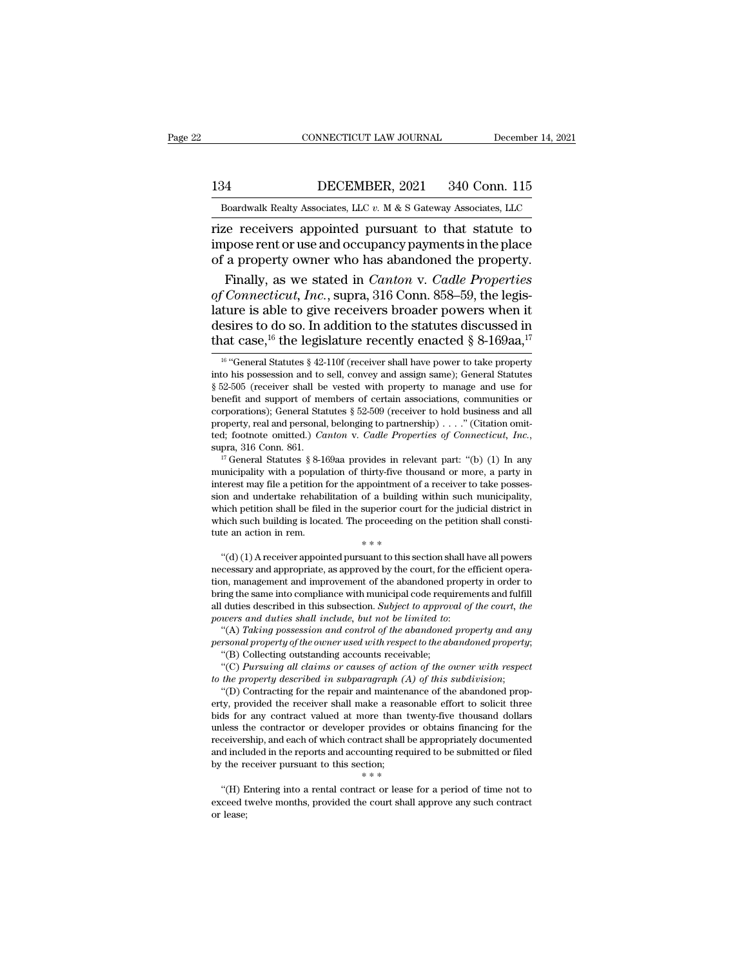EXECUTE CONNECTICUT LAW JOURNAL December 14, 2021<br>134 DECEMBER, 2021 340 Conn. 115<br>Boardwalk Realty Associates, LLC v. M & S Gateway Associates, LLC

CONNECTICUT LAW JOURNAL December 14, 2021<br>134 DECEMBER, 2021 340 Conn. 115<br>Boardwalk Realty Associates, LLC *v.* M & S Gateway Associates, LLC<br>12 Prize receivers appointed pursuant to that statute to  $\begin{tabular}{ll} \multicolumn{1}{l}{{\small \textbf{COMRECTICUT LAW JOURNAL}}} & \multicolumn{1}{l}{\small \textbf{December 14, 2021}}\\ \hline \multicolumn{1}{l}{\small \textbf{B}oardwalk Realty Associates, LLC $v$. M & S Gateway Associates, LLC} \\ \hline \multicolumn{1}{l}{\small \textbf{Boardwalk Realty Associates, LLC $v$. M & S Gateway Associates, LLC} \\ \hline \multicolumn{1}{l}{\small \textbf{rize receivers appointed pursuit to that statue to} \\ \hline \textbf{impose rent or use and occupancy payments in the place} \\ \hline \textbf{of a property owner who has abandoned the property} \end{tabular}$ 134 DECEMBER, 2021 340 Conn. 115<br>
Boardwalk Realty Associates, LLC v. M & S Gateway Associates, LLC<br>
Tize receivers appointed pursuant to that statute to<br>
impose rent or use and occupancy payments in the place<br>
of a proper 134 DECEMBER, 2021 340 Conn. 115<br>
Boardwalk Realty Associates, LLC  $v$ . M & S Gateway Associates, LLC<br>
rize receivers appointed pursuant to that statute to<br>
impose rent or use and occupancy payments in the place<br>
of a pro Finally, Associates, LLC v. M & S Gateway Associates, LLC<br>
Electric receivers appointed pursuant to that statute to<br>
pose rent or use and occupancy payments in the place<br>
a property owner who has abandoned the property.<br>
F

**Boardwalk Realty Associates, LLC v. M & S Gateway Associates, LLC**<br> **rize receivers appointed pursuant to that statute to**<br>
impose rent or use and occupancy payments in the place<br>
of a property owner who has abandoned the boardwark nearly Associates, LEC v. M & S Galeway Associates, LEC<br>
rize receivers appointed pursuant to that statute to<br>
impose rent or use and occupancy payments in the place<br>
of a property owner who has abandoned the pr rize receivers appointed pursuant to that statute to<br>impose rent or use and occupancy payments in the place<br>of a property owner who has abandoned the property.<br>Finally, as we stated in *Canton v. Cadle Properties*<br>of *Con* impose rent or use and occupancy payments in the place<br>of a property owner who has abandoned the property.<br>Finally, as we stated in *Canton* v. *Cadle Properties*<br>of *Connecticut*, *Inc.*, supra, 316 Conn. 858–59, the leg *of Connecticut, Inc.*, supra, 316 Conn. 858–59, the legis-<br>lature is able to give receivers broader powers when it<br>desires to do so. In addition to the statutes discussed in<br>that case, <sup>16</sup> the legislature recently enact lature is able to give receivers broader powers when it desires to do so. In addition to the statutes discussed in that case, <sup>16</sup> the legislature recently enacted § 8-169aa,<sup>17</sup><sup>16</sup> "General Statutes § 42-110f (receiver

which petition shall be filed in the superior court for the judicial district in<br>which such building is located. The proceeding on the petition shall constitute an action in rem.<br> $**$ <br> $``(d) (1)$  A receiver appointed pursuan which such building is located. The proceeding on the petition shall constitute an action in rem.<br>  $**$ <br>
"(d) (1) A receiver appointed pursuant to this section shall have all powers<br>
necessary and appropriate, as approved which such building is located. The proceeding on the petition shall consult<br>tute an action in rem.<br> $**$ <br> $*(d)$  (1) A receiver appointed pursuant to this section shall have all powers<br>necessary and appropriate, as approved <sup>4</sup> \* \* \* <br>
(d) (1) A receiver appointed pursuant to this section shall have all powers<br>
necessary and appropriate, as approved by the court, for the efficient opera-<br>
tion, management and improvement of the abandoned prop <sup>\*\*\*</sup><br> *powers appointed pursuant to this section shall himecessary and appropriate, as approved by the court, for the e<br>
tion, management and improvement of the abandoned proper<br>
bring the same into compliance with munici* (a) (1) A receiver appointed pursuant to this section snall nave all powers<br>cessary and appropriate, as approved by the court, for the efficient opera-<br>m, management and improvement of the abandoned property in order to<br>in *personal appropriate, as approved by the court, for the efficient operation, management and improvement of the abandoned property in order to bring the same into compliance with municipal code requirements and fulfill all* of the same into compliance with municipal code requires the same into compliance with municipal code required that during during accounts and during the standard with respect to the abraham account of the abandoned recei ing the same into compliance with municipal code requirements and fulfill<br>duties described in this subsection. Subject to approval of the court, the<br>wers and duties shall include, but not be limited to:<br>"(A) Taking possess

powers and duties shall include, but not be limited to:<br>
"(A) Taking possession and control of the abandoned property and any<br>
personal property of the owner used with respect to the abandoned property;<br>
"(B) Collecting ou

personal property of the owner used with respect to the abandoned property;<br>
"(B) Collecting outstanding accounts receivable;<br>
"(C) Pursuing all claims or causes of action of the owner with respect<br>
to the property descri (A) Taking possession and control of the doandoned property and any<br>personal property of the owner used with respect to the abandoned property;<br>"(B) Collecting outstanding accounts receivable;<br>"(C) Pursuing all claims or personal property of the owner used with respect to the dodndoned property;<br>
"(B) Collecting outstanding accounts receivable;<br>
"(C) Pursuing all claims or causes of action of the owner with respect<br>
to the property describ (B) Collecting outstanding accounts receivable;<br>
"(C) Pursuing all claims or causes of action of the owner with respect<br>
to the property described in subparagraph (A) of this subdivision;<br>
"(D) Contracting for the repair (C) Pursuring all claims or causes of action of the owner with respect<br>to the property described in subparagraph (A) of this subdivision;<br>"(D) Contracting for the repair and maintenance of the abandoned prop-<br>erty, provid to the property aescribed in subparagraph  $(A)$  of this subdivision;<br>"(D) Contracting for the repair and maintenance of the abandoned property, provided the receiver shall make a reasonable effort to solicit three<br>bids for (*b*) contracting for the repair and maintenant<br>erty, provided the receiver shall make a reasonal<br>bids for any contract valued at more than twe<br>unless the contractor or developer provides or<br>receivership, and each of whic It is so the contract valued at more than twenty-live thousand dollars<br>less the contractor or developer provides or obtains financing for the<br>ceivership, and each of which contract shall be appropriately documented<br>d inclu determination of developer provides of obtains infiniting for the receivership, and each of which contract shall be appropriately documented and included in the reports and accounting required to be submitted or filed by t receivership, and each of which contract shall be appropriately documented<br>and included in the reports and accounting required to be submitted or filed<br>by the receiver pursuant to this section;<br> $**$ <br>"(H) Entering into a re

desires to do so. In addition to the statutes discussed in<br>that case,<sup>16</sup> the legislature recently enacted § 8-169aa,<sup>17</sup><br><sup>16</sup> "General Statutes § 42-110f (receiver shall have power to take property<br>into his possession an desires to do so. In addition to the statutes discussed in<br>that case,<sup>16</sup> the legislature recently enacted § 8-169aa,<sup>17</sup><br><sup>16</sup> "General Statutes § 42-110f (receiver shall have power to take property<br>into his possession an that case,<sup>10</sup> the legislature recently enacted § 8-169aa,<sup>17</sup><br><sup>16</sup> <sup>46</sup> <sup>46</sup> Ceneral Statutes § 42-110f (receiver shall have power to take property<br>into his possession and to sell, convey and assign same); General Statut <sup>16</sup> "General Statutes § 42-110f (receiver shall have power to take property into his possession and to sell, convey and assign same); General Statutes § 52-505 (receiver shall be vested with property to manage and use fo <sup>to</sup> "General statutes § 42-110t (receiver shall have power to take property<br>into his possession and to sell, convey and assign same); General Statutes<br>§ 52-505 (receiver shall be vested with property to manage and use for benent and support of members of certain associations, communities or corporations); General Statutes § 52-509 (receiver to hold business and all property, real and personal, belonging to partnership) . . . ." (Citation o

corporations); General Statutes  $\frac{1}{8}$  52-509 (receiver to noid business and all property, real and personal, belonging to partnership) . . . " (Citation omitted; footnote omitted.) *Canton* v. *Cadle Properties of Con* property, real and personal, belonging to partnership) . . . . (Citation omitted; footnote omitted.) *Canton* v. *Cadle Properties of Connecticut, Inc.*, supra, 316 Conn. 861.<br><sup>17</sup> General Statutes § 8-169aa provides in r Lear, isolation shall be filed in the superior of the petition shall be filed in the superior of thirty-five thousand or more, a party in municipality with a population of thirty-five thousand or more, a party in interest supra, 310 Conn. 861.<br><sup>17</sup> General Statutes § 8-169aa provides in relevant part: "(b) (1) In any<br>municipality with a population of thirty-five thousand or more, a party in<br>interest may file a petition for the appointment  $\alpha$  General Statutes  $\gamma$  8-109aa provides in relevant<br>municipality with a population of thirty-five tho<br>interest may file a petition for the appointment of<br>sion and undertake rehabilitation of a building<br>which petition Erest may me a peution for the appointment or a receiver to take possession and undertake rehabilitation of a building within such municipality, inch petition shall be filed in the superior court for the judicial district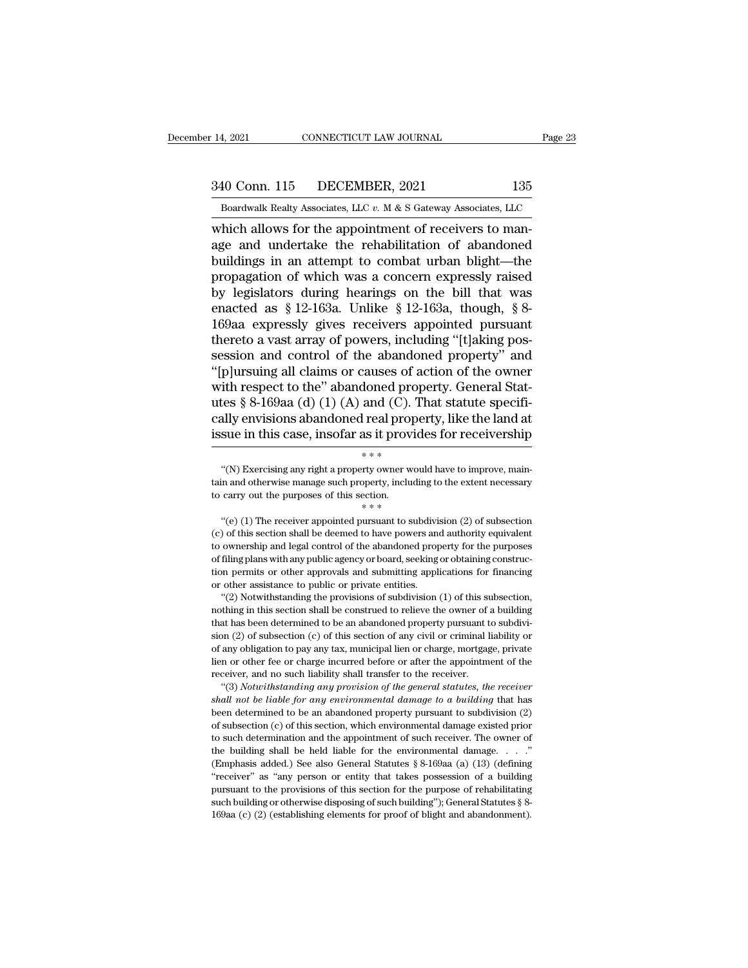# 14, 2021 CONNECTICUT LAW JOURNAL Page 23<br>340 Conn. 115 DECEMBER, 2021 135<br>Boardwalk Realty Associates, LLC v. M & S Gateway Associates, LLC

Bolden Boardwalk Realty Associates, LLC *v.* M & S Gateway Associates, LLC which allows for the appointment of receivers to man-14, 2021 CONNECTICUT LAW JOURNAL<br>
340 Conn. 115 DECEMBER, 2021 135<br>
Boardwalk Realty Associates, LLC v. M & S Gateway Associates, LLC<br>
which allows for the appointment of receivers to man-<br>
age and undertake the rehabilita 340 Conn. 115 DECEMBER, 2021 135<br>
Boardwalk Realty Associates, LLC v. M & S Gateway Associates, LLC<br>
which allows for the appointment of receivers to man-<br>
age and undertake the rehabilitation of abandoned<br>
buildings in an  $\frac{340 \text{ Conn. } 115 \qquad \text{DECEMBER, } 2021 \qquad 135}{\text{Boardwalk Really Associates, } \text{LLC } v. \text{ M} \& S \text{ Gateway Associates, } \text{LLC}}$ <br>which allows for the appointment of receivers to manage and undertake the rehabilitation of abandoned<br>buildings in an attempt to combat ur 340 Conn. 115 DECEMBER, 2021 135<br>
Boardwalk Realty Associates, LLC  $v$ . M & S Gateway Associates, LLC<br>
which allows for the appointment of receivers to man-<br>
age and undertake the rehabilitation of abandoned<br>
buildings in Boardwalk Realty Associates, LLC  $v$ . M & S Gateway Associates, LLC<br>which allows for the appointment of receivers to man-<br>age and undertake the rehabilitation of abandoned<br>buildings in an attempt to combat urban blight—th Boardwalk Realty Associates, LLC  $v$ . M & S Gateway Associates, LLC<br>which allows for the appointment of receivers to man-<br>age and undertake the rehabilitation of abandoned<br>buildings in an attempt to combat urban blight—th which allows for the appointment of receivers to manage and undertake the rehabilitation of abandoned<br>buildings in an attempt to combat urban blight—the<br>propagation of which was a concern expressly raised<br>by legislators du age and undertake the rehabilitation of abandoned<br>buildings in an attempt to combat urban blight—the<br>propagation of which was a concern expressly raised<br>by legislators during hearings on the bill that was<br>enacted as § 12-1 buildings in an attempt to combat urban blight—the<br>propagation of which was a concern expressly raised<br>by legislators during hearings on the bill that was<br>enacted as § 12-163a. Unlike § 12-163a, though, § 8-<br>169aa expressl propagation of which was a concern expressly raised<br>by legislators during hearings on the bill that was<br>enacted as § 12-163a. Unlike § 12-163a, though, § 8-<br>169aa expressly gives receivers appointed pursuant<br>thereto a vas by legislators during hearings on the bill that was<br>enacted as § 12-163a. Unlike § 12-163a, though, § 8-<br>169aa expressly gives receivers appointed pursuant<br>thereto a vast array of powers, including "[t]aking pos-<br>session a enacted as § 12-163a. Unlike § 12-163a, though, § 8-169aa expressly gives receivers appointed pursuant<br>thereto a vast array of powers, including "[t]aking possession and control of the abandoned property" and<br>"[p]ursuing 169aa expressly gives receivers appointed pursuant<br>thereto a vast array of powers, including "[t]aking pos-<br>session and control of the abandoned property" and<br>"[p]ursuing all claims or causes of action of the owner<br>with re thereto a vast array of powers, including "[t]aking possession and control of the abandoned property" and "[p]ursuing all claims or causes of action of the owner with respect to the" abandoned property. General Statutes § doned prop<br>and (C). T<br>real propo<br>as it provid<br>\*\*\*\*<br>ty owner wo tes § 8-169aa (d) (1) (A) and (C). That statute specifi-<br>ally envisions abandoned real property, like the land at<br>sue in this case, insofar as it provides for receivership<br>\*\*\*<br>"(N) Exercising any right a property owner wou

cally envisions abandoned real property, like the land at<br>issue in this case, insofar as it provides for receivership<br>\*\*\*<br>"(N) Exercising any right a property owner would have to improve, main-<br>tain and otherwise manage su to carry out this case, insofar as it provides<br>  $* * *$ <br>
"(N) Exercising any right a property owner workin and otherwise manage such property, including to carry out the purposes of this section.<br>
"(e) (1) The receiver appo \*\*\*<br>
"(N) Exercising any right a property owner would have to improve, main-<br>
in and otherwise manage such property, including to the extent necessary<br>
carry out the purposes of this section.<br>
\*\*\*<br>
"(e) (1) The receiver ap

"(N) Exercising any right a property owner would have to improve, maintain and otherwise manage such property, including to the extent necessary to carry out the purposes of this section.<br>  $***$ <br>
"(e) (1) The receiver appoi tain and otherwise manage such property, including to the extent necessary<br>to carry out the purposes of this section.<br> $***$ <br> $*(e) (1)$  The receiver appointed pursuant to subdivision (2) of subsection<br>(c) of this section shal of filing plans with any public agency or board, seeking or obtaining to the purposes of this section.<br>  $**$ <br>  $``(e) (1)$  The receiver appointed pursuant to subdivision (2) of subsection<br>  $(e)$  of this section shall be deemed the carry out one parposes or all  $**$ <br>
" $**$ <br>
"(e) (1) The receiver appointed pursuant to subdivision (2) of subsection<br>
(c) of this section shall be deemed to have powers and authority equivalent<br>
to ownership and legal c "(e) (1) The receiver appointed pursuant to subdivi(c) of this section shall be deemed to have powers an<br>to ownership and legal control of the abandoned prop<br>of filing plans with any public agency or board, seeking<br>tion p (2) Of this section shall be deemed to have powers and authority equivalent ownership and legal control of the abandoned property for the purposes filing plans with any public agency or board, seeking or obtaining construc to ownership and legal control of the abandoned property for the purposes of filing plans with any public agency or board, seeking or obtaining construction permits or other approvals and submitting applications for financ

of filing plans with any public agency or board, seeking or obtaining construction permits or other approvals and submitting applications for financing or other assistance to public or private entities. "(2) Notwithstandin similar or other approvals and submitting applications for financing<br>or other assistance to public or private entities.<br>"(2) Notwithstanding the provisions of subdivision (1) of this subsection,<br>nothing in this section sh or other assistance to public or private entities.<br>
"(2) Notwithstanding the provisions of subdivision (1) of this subsection,<br>
nothing in this section shall be construed to relieve the owner of a building<br>
that has been d "(2) Notwithstanding the provisions of subdivision (1) of this subsection, "(2) Notwithstanding the provisions of subdivision (1) of this subsection, nothing in this section shall be construed to relieve the owner of a bu "(2) Notwithstanding the provisions of subdivision (1) of this subsection, nothing in this section shall be construed to relieve the owner of a building that has been determined to be an abandoned property pursuant to sub at has been determined to be an abandoned property pursuant to subdivi-<br>on (2) of subsection (c) of this section of any civil or criminal liability or<br>any obligation to pay any tax, municipal lien or charge, mortgage, priv **shall not be liable for any environmental damage to a building to be an abundanced property paradiate is statured in the of any obligation to pay any tax, municipal lien or charge, mortgage, private lien or other fee or c** 

between the order of any obligation to pay any tax, municipal lien or charge, mortgage, private lien or other fee or charge incurred before or after the appointment of the receiver, and no such liability shall transfer to lien or other fee or charge incurred before or after the appointment of the receiver, and no such liability shall transfer to the receiver. "(3) *Notwithstanding any provision of the general statutes, the receiver shall n* receiver, and no such liability shall transfer to the receiver.<br>
"(3) Notwithstanding any provision of the general statutes, the receiver<br>
shall not be liable for any environmental damage to a building that has<br>
been dete (3) Notwithstanding any provision of the general statutes, the receiver shall not be liable for any environmental damage to a building that has been determined to be an abandoned property pursuant to subdivision (2) of su shall not be liable for any environmental damage to a building that has<br>been determined to be an abandoned property pursuant to subdivision (2)<br>of subsection (c) of this section, which environmental damage existed prior<br>t been determined to be an abandoned property pursuant to subdivision (2) of subsection (c) of this section, which environmental damage existed prior to such determination and the appointment of such receiver. The owner of pursuant (c) of this section, which environmental damage existed prior<br>of subsection (c) of this section, which environmental damage existed prior<br>to such determination and the appointment of such receiver. The owner of<br>t to such determination and the appointment of such receiver. The owner of the building shall be held liable for the environmental damage. . . . ." (Emphasis added.) See also General Statutes § 8-169aa (a) (13) (defining "r the building shall be held liable for the environmental damage.  $\ldots$ ."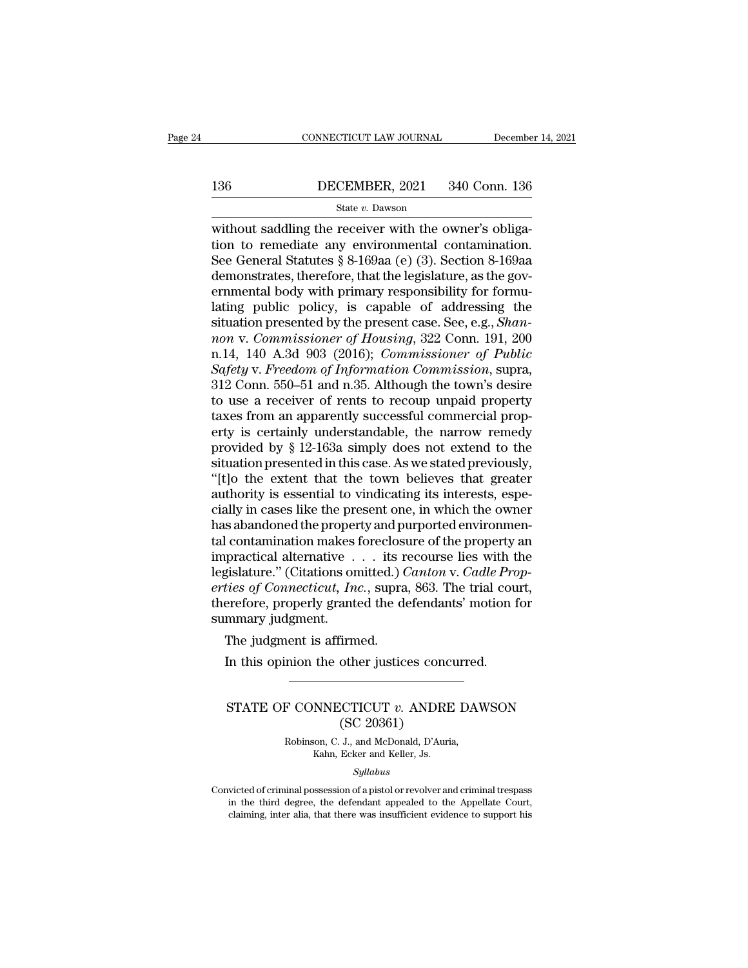# EXECUTE CONNECTICUT LAW JOURNAL December 14, 2021<br>136 DECEMBER, 2021 340 Conn. 136<br>State v. Dawson

### State *v.* Dawson

CONNECTICUT LAW JOURNAL December<br>136 DECEMBER, 2021 340 Conn. 136<br>5 State v. Dawson<br>without saddling the receiver with the owner's obliga-<br>tion to remediate any environmental contamination.<br>Soo Gonoral Statutes  $8, 8, 160$ 136 DECEMBER, 2021 340 Conn. 136<br>
State v. Dawson<br>
without saddling the receiver with the owner's obliga-<br>
tion to remediate any environmental contamination.<br>
See General Statutes § 8-169aa (e) (3). Section 8-169aa<br>
demons 136 DECEMBER, 2021 340 Conn. 136<br>
State v. Dawson<br>
without saddling the receiver with the owner's obliga-<br>
tion to remediate any environmental contamination.<br>
See General Statutes § 8-169aa (e) (3). Section 8-169aa<br>
demon 136 DECEMBER, 2021 340 Conn. 136<br>
State v. Dawson<br>
without saddling the receiver with the owner's obliga-<br>
tion to remediate any environmental contamination.<br>
See General Statutes § 8-169aa (e) (3). Section 8-169aa<br>
demon EXEMENT, 2021 910 COM. 199<br>State v. Dawson<br>without saddling the receiver with the owner's obliga-<br>tion to remediate any environmental contamination.<br>See General Statutes § 8-169aa (e) (3). Section 8-169aa<br>demonstrates, th State v. Dawson<br>without saddling the receiver with the owner's obliga-<br>tion to remediate any environmental contamination.<br>See General Statutes § 8-169aa (e) (3). Section 8-169aa<br>demonstrates, therefore, that the legislatu without saddling the receiver with the owner's obligation to remediate any environmental contamination.<br>See General Statutes § 8-169aa (e) (3). Section 8-169aa<br>demonstrates, therefore, that the legislature, as the gov-<br>ern *non* to remediate any environmental contamination.<br>
See General Statutes § 8-169aa (e) (3). Section 8-169aa<br>
demonstrates, therefore, that the legislature, as the governmental body with primary responsibility for formulat See General Statutes § 8-169aa (e) (3). Section 8-169aa<br>demonstrates, therefore, that the legislature, as the gov-<br>ernmental body with primary responsibility for formu-<br>lating public policy, is capable of addressing the<br>si demonstrates, therefore, that the legislature, as the governmental body with primary responsibility for formulating public policy, is capable of addressing the situation presented by the present case. See, e.g., *Shannon v* ernmental body with primary responsibility for formulating public policy, is capable of addressing the situation presented by the present case. See, e.g., *Shannon v. Commissioner of Housing*, 322 Conn. 191, 200 n.14, 140 lating public policy, is capable of addressing the<br>situation presented by the present case. See, e.g., *Shan-<br>non v. Commissioner of Housing*, 322 Conn. 191, 200<br>n.14, 140 A.3d 903 (2016); *Commissioner of Public*<br>*Safety* situation presented by the present case. See, e.g., *Shannon v. Commissioner of Housing*, 322 Conn. 191, 200 n.14, 140 A.3d 903 (2016); *Commissioner of Public* Safety v. Freedom of Information Commission, supra, 312 Conn. non v. Commissioner of Housing, 322 Conn. 191, 200<br>n.14, 140 A.3d 903 (2016); Commissioner of Public<br>Safety v. Freedom of Information Commission, supra,<br>312 Conn. 550–51 and n.35. Although the town's desire<br>to use a receiv n.14, 140 A.3d 903 (2016); *Commissioner of Public*<br>Safety v. Freedom of Information Commission, supra,<br>312 Conn. 550–51 and n.35. Although the town's desire<br>to use a receiver of rents to recoup unpaid property<br>taxes from Safety v. Freedom of Information Commission, supra, 312 Conn. 550–51 and n.35. Although the town's desire<br>to use a receiver of rents to recoup unpaid property<br>taxes from an apparently successful commercial property<br>is cer 312 Conn. 550–51 and n.35. Although the town's desire<br>to use a receiver of rents to recoup unpaid property<br>taxes from an apparently successful commercial prop-<br>erty is certainly understandable, the narrow remedy<br>provided to use a receiver of rents to recoup unpaid property<br>taxes from an apparently successful commercial prop-<br>erty is certainly understandable, the narrow remedy<br>provided by § 12-163a simply does not extend to the<br>situation pr taxes from an apparently successful commercial property is certainly understandable, the narrow remedy<br>provided by § 12-163a simply does not extend to the<br>situation presented in this case. As we stated previously,<br>"[t]o th erty is certainly understandable, the narrow remedy<br>provided by § 12-163a simply does not extend to the<br>situation presented in this case. As we stated previously,<br>"[t]o the extent that the town believes that greater<br>author provided by § 12-163a simply does not extend to the<br>situation presented in this case. As we stated previously,<br>"[t]o the extent that the town believes that greater<br>authority is essential to vindicating its interests, espe situation presented in this case. As we stated previously,<br>"[t]o the extent that the town believes that greater<br>authority is essential to vindicating its interests, espe-<br>cially in cases like the present one, in which the "[t]o the extent that the town believes that greater<br>authority is essential to vindicating its interests, espe-<br>cially in cases like the present one, in which the owner<br>has abandoned the property and purported environmenauthority is essential to vindicating its interests, especially in cases like the present one, in which the owner<br>has abandoned the property and purported environmental contamination makes foreclosure of the property an<br>im cially in cases like the present one, in which the owner<br>has abandoned the property and purported environmen-<br>tal contamination makes foreclosure of the property an<br>impractical alternative  $\dots$  its recourse lies with the<br> has abandoned the proper<br>tal contamination makes<br>impractical alternative<br>legislature." (Citations on<br>*erties of Connecticut, In*<br>therefore, properly grant<br>summary judgment.<br>The judgment is affirm I contamination makes foreclosi<br>practical alternative  $\ldots$  its regislature." (Citations omitted.) C<br>*ties of Connecticut*, *Inc.*, supra<br>erefore, properly granted the de<br>mmary judgment.<br>The judgment is affirmed.<br>In this gislature." (Citations omitted.) *Canton* v. *Cadle Pro*<br>gislature." (Citations omitted.) *Canton* v. *Cadle Pro*<br>ties of Connecticut, Inc., supra, 863. The trial courred<br>mmary judgment.<br>The judgment is affirmed.<br>In this o

## mmary judgment.<br>The judgment is affirmed.<br>In this opinion the other justices concurred.<br>STATE OF CONNECTICUT *v*. ANDRE DAWSON (SC 20361) Firmed.<br>
other justices conce<br>
(SC 20361)<br>
J., and McDonald, D'Auri<br>
Ecker and Keller Js F CONNECTICUT *v*. ANDRE DA<br>
(SC 20361)<br>
Robinson, C. J., and McDonald, D'Auria,<br>
Kahn, Ecker and Keller, Js. NNECTICUT v. ANDRE<br>
(SC 20361)<br>
son, C. J., and McDonald, D'Auris<br>
Kahn, Ecker and Keller, Js.<br>
Syllabus

### *Syllabus*

(SC 20361)<br>
Robinson, C. J., and McDonald, D'Auria,<br>
Kahn, Ecker and Keller, Js.<br>
Syllabus<br>
Convicted of criminal possession of a pistol or revolver and criminal trespass<br>
in the third degree, the defendant appealed to th Robinson, C. J., and McDonald, D'Auria,<br>Kahn, Ecker and Keller, Js.<br>Syllabus<br>victed of criminal possession of a pistol or revolver and criminal trespass<br>in the third degree, the defendant appealed to the Appellate Court,<br>c Robinson, C. J., and McDonald, D'Auria,<br>Kahn, Ecker and Keller, Js.<br>Syllabus<br>Convicted of criminal possession of a pistol or revolver and criminal trespass<br>in the third degree, the defendant appealed to the Appellate Court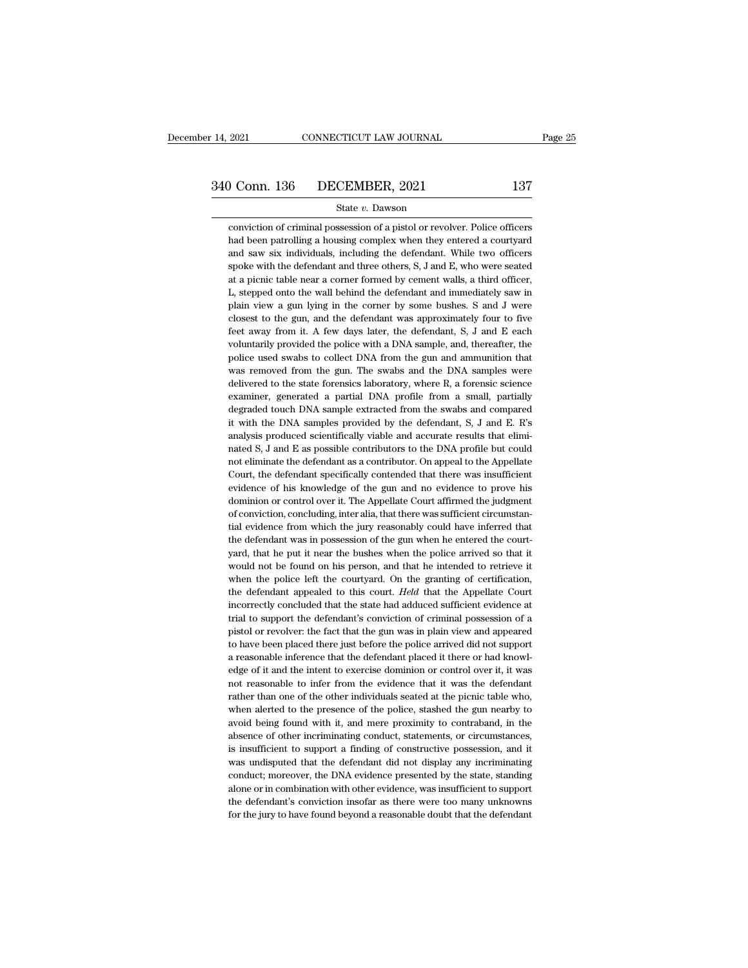### State *v.* Dawson

Conviction of criminal possession of a pistol or revolver. Police officers<br>had been patrolling a housing complex when they entered a courtyard **had been patrolling a housing complex when they entered a courtyard and saw six individuals, including the defendant.** While two officers and saw six individuals, including the defendant. While two officers and saw six individuals, including the defendant. While two officers spoke with the defendant and three others, S, J and E, who were seated State v. Dawson<br>
spoke with the defendant and possession of a pistol or revolver. Police officers<br>
had been patrolling a housing complex when they entered a courty<br>
and saw six individuals, including the defendant. While t State  $v$ . Dawson<br>
state  $v$ . Dawson<br>
conviction of criminal possession of a pistol or revolver. Police officers<br>
had been patrolling a housing complex when they entered a courty<br>ard<br>
and saw six individuals, including th conviction of criminal possession of a pistol or revolver. Police officers<br>had been patrolling a housing complex when they entered a courtyard<br>and saw six individuals, including the defendant. While two officers<br>spoke with had been patrolling a housing complex when they entered a courtyard<br>and saw six individuals, including the defendant. While two officers<br>spoke with the defendant and three others, S, J and E, who were seated<br>at a picnic ta and saw six individuals, including the defendant. While two officers spoke with the defendant and three others, S, J and E, who were seated at a picnic table near a corner formed by cement walls, a third officer, L, steppe spoke with the defendant and three others, S, J and E, who were seated<br>at a picnic table near a corner formed by cement walls, a third officer,<br>L, stepped onto the wall behind the defendant and immediately saw in<br>plain vie at a picnic table near a corner formed by cement walls, a third officer, L, stepped onto the wall behind the defendant and immediately saw in plain view a gun lying in the corner by some bushes. S and J were closest to the at a picnic table near a corner formed by cement walls, a third officer, L, stepped onto the wall behind the defendant and immediately saw in plain view a gun lying in the corner by some bushes. S and J were closest to th plain view a gun lying in the corner by some bushes. S and J were closest to the gun, and the defendant was approximately four to five feet away from it. A few days later, the defendant, S, J and E each voluntarily provide closest to the gun, and the defendant was approximately four to five<br>feet away from it. A few days later, the defendant, S, J and E each<br>voluntarily provided the police with a DNA sample, and, thereafter, the<br>police used s feet away from it. A few days later, the defendant, S, J and E each voluntarily provided the police with a DNA sample, and, thereafter, the police used swabs to collect DNA from the gun and ammunition that was removed from voluntarily provided the police with a DNA sample, and, thereafter, the police used swabs to collect DNA from the gun and ammunition that was removed from the gun. The swabs and the DNA samples were delivered to the state police used swabs to collect DNA from the gun and ammunition that was removed from the gun. The swabs and the DNA samples were delivered to the state forensics laboratory, where R, a forensic science examiner, generated a was removed from the gun. The swabs and the DNA samples were delivered to the state forensics laboratory, where R, a forensic science examiner, generated a partial DNA profile from a small, partially degraded touch DNA sa delivered to the state forensics laboratory, where R, a forensic science examiner, generated a partial DNA profile from a small, partially degraded touch DNA sample extracted from the swabs and compared it with the DNA sam examiner, generated a partial DNA profile from a small, partially<br>degraded touch DNA sample extracted from the swabs and compared<br>it with the DNA samples provided by the defendant, S, J and E. R's<br>analysis produced scienti degraded touch DNA sample extracted from the swabs and compared<br>it with the DNA samples provided by the defendant, S, J and E. R's<br>analysis produced scientifically viable and accurate results that elimi-<br>nated S, J and E a it with the DNA samples provided by the defendant, S, J and E. R's<br>analysis produced scientifically viable and accurate results that elimi-<br>nated S, J and E as possible contributors to the DNA profile but could<br>not elimina analysis produced scientifically viable and accurate results that eliminated S, J and E as possible contributors to the DNA profile but could not eliminate the defendant as a contributor. On appeal to the Appellate Court, nated S, J and E as possible contributors to the DNA profile but could<br>not eliminate the defendant as a contributor. On appeal to the Appellate<br>Court, the defendant specifically contended that there was insufficient<br>eviden not eliminate the defendant as a contributor. On appeal to the Appellate Court, the defendant specifically contended that there was insufficient evidence of his knowledge of the gun and no evidence to prove his dominion or Court, the defendant specifically contended that there was insufficient evidence of his knowledge of the gun and no evidence to prove his dominion or control over it. The Appellate Court affirmed the judgment of conviction evidence of his knowledge of the gun and no evidence to prove his dominion or control over it. The Appellate Court affirmed the judgment of conviction, concluding, inter alia, that there was sufficient circumstantial evide dominion or control over it. The Appellate Court affirmed the judgment of conviction, concluding, inter alia, that there was sufficient circumstantial evidence from which the jury reasonably could have inferred that the de of conviction, concluding, inter alia, that there was sufficient circumstantial evidence from which the jury reasonably could have inferred that the defendant was in possession of the gun when he entered the courtyard, tha tial evidence from which the jury reasonably could have inferred that<br>the defendant was in possession of the gun when he entered the court-<br>yard, that he put it near the bushes when the police arrived so that it<br>would not the defendant was in possession of the gun when he entered the court-<br>yard, that he put it near the bushes when the police arrived so that it<br>would not be found on his person, and that he intended to retrieve it<br>when the p yard, that he put it near the bushes when the police arrived so that it would not be found on his person, and that he intended to retrieve it when the police left the courtyard. On the granting of certification, the defend would not be found on his person, and that he intended to retrieve it when the police left the courtyard. On the granting of certification, the defendant appealed to this court. *Held* that the Appellate Court incorrectly when the police left the courtyard. On the granting of certification,<br>the defendant appealed to this court. Held that the Appellate Court<br>incorrectly concluded that the state had adduced sufficient evidence at<br>trial to sup when the police left the courty<br>ard. On the granting of certification, the defendant appealed to this court.<br>Held that the Appellate Court incorrectly concluded that the state had adduced sufficient evidence at trial to s incorrectly concluded that the state had adduced sufficient evidence at trial to support the defendant's conviction of criminal possession of a pistol or revolver: the fact that the gun was in plain view and appeared to ha trial to support the defendant's conviction of criminal possession of a pistol or revolver: the fact that the gun was in plain view and appeared to have been placed there just before the police arrived did not support a re pistol or revolver: the fact that the gun was in plain view and appeared to have been placed there just before the police arrived did not support a reasonable inference that the defendant placed it there or had knowledge o to have been placed there just before the police arrived did not support a reasonable inference that the defendant placed it there or had knowledge of it and the intent to exercise dominion or control over it, it was not r a reasonable inference that the defendant placed it there or had knowledge of it and the intent to exercise dominion or control over it, it was not reasonable to infer from the evidence that it was the defendant rather tha edge of it and the intent to exercise dominion or control over it, it was not reasonable to infer from the evidence that it was the defendant rather than one of the other individuals seated at the picnic table who, when al not reasonable to infer from the evidence that it was the defendant rather than one of the other individuals seated at the picnic table who, when alerted to the presence of the police, stashed the gun nearby to avoid being rather than one of the other individuals seated at the picnic table who, when alerted to the presence of the police, stashed the gun nearby to avoid being found with it, and mere proximity to contraband, in the absence of when alerted to the presence of the police, stashed the gun nearby to avoid being found with it, and mere proximity to contraband, in the absence of other incriminating conduct, statements, or circumstances, is insufficien avoid being found with it, and mere proximity to contraband, in the absence of other incriminating conduct, statements, or circumstances, is insufficient to support a finding of constructive possession, and it was undisput absence of other incriminating conduct, statements, or circumstances,<br>is insufficient to support a finding of constructive possession, and it<br>was undisputed that the defendant did not display any incriminating<br>conduct; mor is insufficient to support a finding of constructive possession, and it was undisputed that the defendant did not display any incriminating conduct; moreover, the DNA evidence presented by the state, standing alone or in c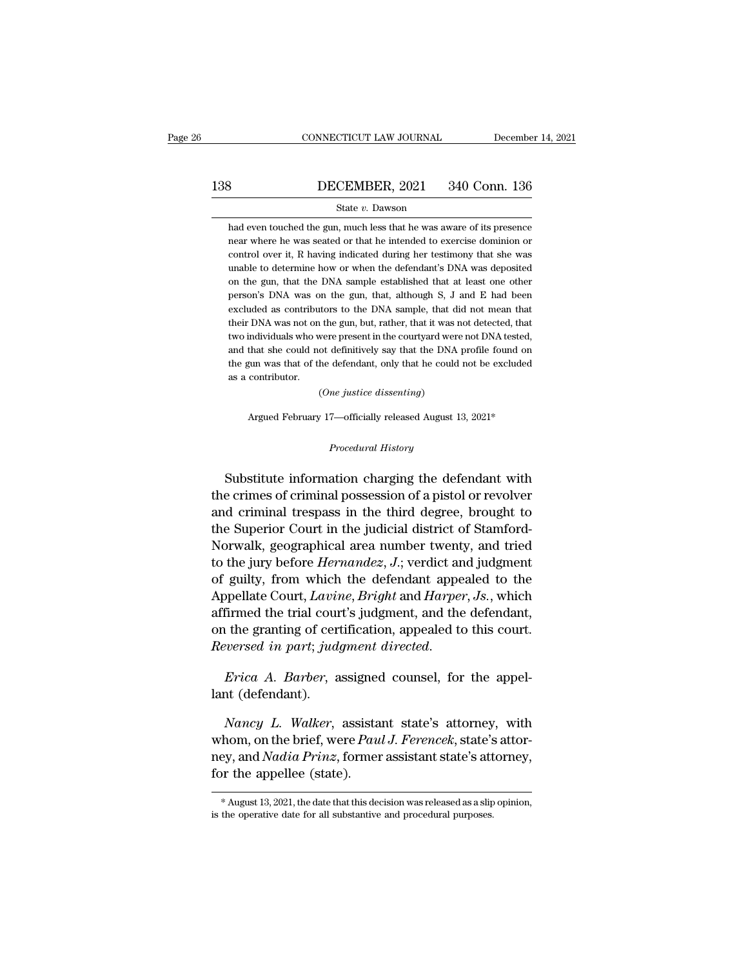# EXECUTE CONNECTICUT LAW JOURNAL December 14, 2021<br>138 DECEMBER, 2021 340 Conn. 136<br>State v. Dawson

### State *v.* Dawson

340 Conn. 136<br>
State v. Dawson<br>
had even touched the gun, much less that he was aware of its presence<br>
hear where he was seated or that he intended to exercise dominion or **SECEMBER, 2021** 340 Conn. 136<br>
State v. Dawson<br>
had even touched the gun, much less that he was aware of its presence<br>
near where he was seated or that he intended to exercise dominion or<br>
control over it, R having indic **ECEMBER, 2021** 340 Conn. 136<br>
State  $v$ . Dawson<br>
had even touched the gun, much less that he was aware of its presence<br>
near where he was seated or that he intended to exercise dominion or<br>
control over it, R having indi State  $v$ . Dawson<br>had even touched the gun, much less that he was aware of its presence<br>near where he was seated or that he intended to exercise dominion or<br>control over it, R having indicated during her testimony that sh state  $v$ . Dawson<br>had even touched the gun, much less that he was aware of its presence<br>near where he was seated or that he intended to exercise dominion or<br>control over it, R having indicated during her testimony that sh had even touched the gun, much less that he was aware of its presence<br>near where he was seated or that he intended to exercise dominion or<br>control over it, R having indicated during her testimony that she was<br>unable to det near where he was seated or that he intended to exercise dominion or control over it, R having indicated during her testimony that she was unable to determine how or when the defendant's DNA was deposited on the gun, that unable to determine how or when the defendant's DNA was deposited<br>on the gun, that the DNA sample established that at least one other<br>person's DNA was on the gun, that, although S, J and E had been<br>excluded as contributors unable to determine how or when the defendant's DNA was deposited<br>on the gun, that the DNA sample established that at least one other<br>person's DNA was on the gun, that, although S, J and E had been<br>excluded as contributors on the gun, that the DNA sample established that at least one other<br>person's DNA was on the gun, that, although S, J and E had been<br>excluded as contributors to the DNA sample, that did not mean that<br>their DNA was not on th person's DNA was on the gun, that, although S, J and E had been excluded as contributors to the DNA sample, that did not mean that their DNA was not on the gun, but, rather, that it was not detected, that two individuals w excluded as contribut<br>their DNA was not on<br>two individuals who w<br>and that she could no<br>the gun was that of th<br>as a contributor. (*o*ne gun, but, rather, that it was a were present in the courtyard were the definitively say that the DNA he defendant, only that he could (*One justice dissenting*) %that she could not definitively say that the DNA profile found on<br>gun was that of the defendant, only that he could not be excluded<br>contributor.<br> $(One\;just\;design)$  Argued February 17—officially released August 13, 2021\*

*(One justice dissenting)*<br>Argued February 17—officially released August 13, 2021\*<br>*Procedural History* 

Substitute information charging the defendant with<br>extinted a control of the defendant of the defendant with<br>extend the defendant with<br>externes of criminal possession of a pistol or revolver<br>degring the charging the defend (one justice asseming)<br>
Argued February 17—officially released August 13, 2021\*<br>
Procedural History<br>
Substitute information charging the defendant with<br>
the criminal criminal possession of a pistol or revolver<br>
and crimina Argued February 17—officially released August 13, 2021\*<br>
Procedural History<br>
Substitute information charging the defendant with<br>
the crimes of criminal possession of a pistol or revolver<br>
and criminal trespass in the third *Procedural History*<br>Substitute information charging the defendant with<br>the crimes of criminal possession of a pistol or revolver<br>and criminal trespass in the third degree, brought to<br>the Superior Court in the judicial dis *Procedural History*<br>
Substitute information charging the defendant with<br>
the crimes of criminal possession of a pistol or revolver<br>
and criminal trespass in the third degree, brought to<br>
the Superior Court in the judicial Substitute information charging the defendant with<br>the crimes of criminal possession of a pistol or revolver<br>and criminal trespass in the third degree, brought to<br>the Superior Court in the judicial district of Stamford-<br>No substitute information charging the defendant with<br>the crimes of criminal possession of a pistol or revolver<br>and criminal trespass in the third degree, brought to<br>the Superior Court in the judicial district of Stamford-<br>N the crimes of criminal possession of a pistol or revolver<br>and criminal trespass in the third degree, brought to<br>the Superior Court in the judicial district of Stamford-<br>Norwalk, geographical area number twenty, and tried<br>t and criminal trespass in the third degree, brought to<br>the Superior Court in the judicial district of Stamford-<br>Norwalk, geographical area number twenty, and tried<br>to the jury before *Hernandez*, J.; verdict and judgment<br>of the superior Court in the judicial district of stamford-<br>Norwalk, geographical area number twenty, and tried<br>to the jury before *Hernandez*, J.; verdict and judgment<br>of guilty, from which the defendant appealed to the<br>Appe *Reversion: Reversed in particular area number twenty, and tried* to the jury before *Hernandez, J.*; verdict and judgment of guilty, from which the defendant appealed to the Appellate Court, *Lavine*, *Bright* and *Harp* Appellate Court, *Lavin*<br>affirmed the trial cour<br>on the granting of cerr<br>*Reversed in part; jud<sub>;</sub><br><i>Erica A. Barber*, a<br>lant (defendant).<br>*Nancu L. Walker*.

*Nancy L. Walker, assigned to this court.*<br> *Nancy L. Walker, assigned counsel, for the appel-*<br> *Nancy L. Walker, assistant state's attorney, with*<br> *Nancy L. Walker, assistant state's attorney, with*<br> *Nancy L. Walker, a* Reversed in part; judgment directed.<br>
Frica A. Barber, assigned counsel, for the appel-<br>
lant (defendant).<br> *Nancy L. Walker*, assistant state's attorney, with<br>
whom, on the brief, were *Paul J. Ferencek*, state's attor-<br> *Erica A. Barber*, assigned counsel, for the appel-<br>lant (defendant).<br>*Nancy L. Walker*, assistant state's attorney, with<br>whom, on the brief, were *Paul J. Ferencek*, state's attor-<br>ney, and *Nadia Prinz*, former assistant *Erica A. Barber*, assigned counsel, for the appel-<br>lant (defendant).<br> *Nancy L. Walker*, assistant state's attorney, with<br>
whom, on the brief, were *Paul J. Ferencek*, state's attor-<br>
ney, and *Nadia Prinz*, former assis whom, on the brief, were *Paul J. Ferencek*, state's attorney,<br>ney, and *Nadia Prinz*, former assistant state's attorney,<br>for the appellee (state).<br> $*$  August 13, 2021, the date that this decision was released as a slip o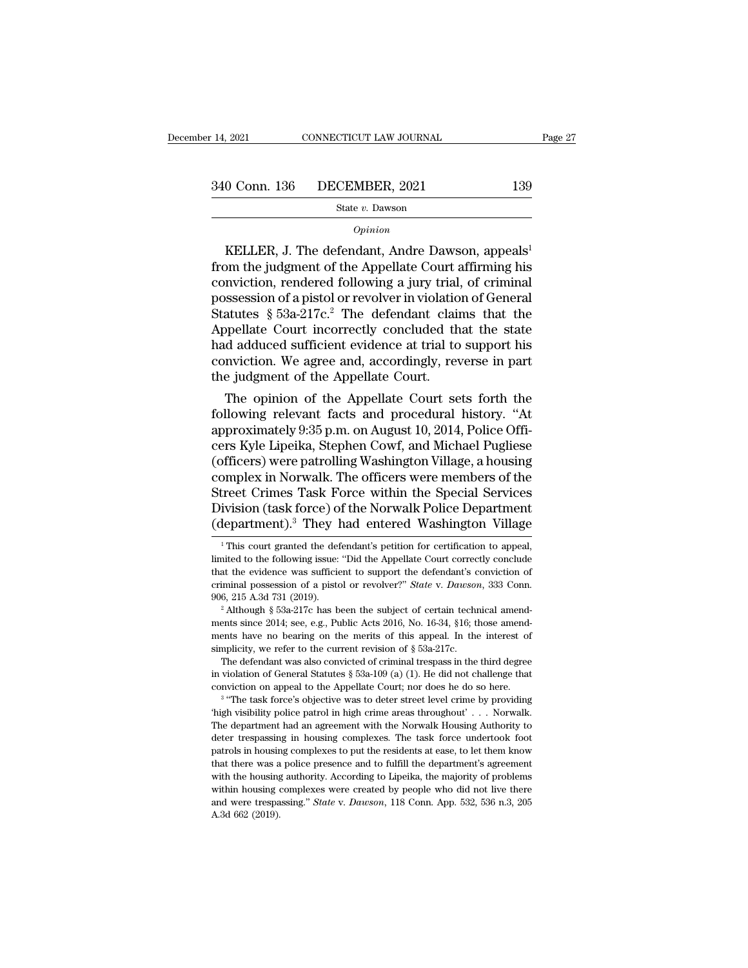## State *v.* Dawson

### *Opinion*

 $\begin{array}{r} 0 \text{ Conn. } 136 \hspace{1.5cm} \text{DECEMBER, } 2021 \hspace{1.5cm} 139 \ \text{State } v. \text{ Dawson} \end{array}$ <br>  $\begin{array}{r} \text{Distance} \\ \text{Definition} \end{array}$ <br>
NELLER, J. The defendant, Andre Dawson, appeals<sup>1</sup><br>
Network the Appellate Court affirming his must the appellate Court  $\begin{array}{r} \text{340 Conn. 136} \quad \text{DECEMBER, 2021} \quad \text{139} \ \text{State } v. \text{ Dawson} \quad \text{0} \ \text{0} \ \text{0} \ \text{0} \ \text{0} \ \text{0} \ \text{0} \ \text{0} \ \text{0} \ \text{0} \ \text{0} \ \text{0} \ \text{0} \ \text{0} \ \text{0} \ \text{0} \ \text{0} \ \text{0} \ \text{0} \ \text{0} \ \text{0} \ \text{0} \ \text{0} \ \text{0} \ \text{0} \ \text{0} \ \text{0}$ 340 Conn. 136 DECEMBER, 2021 139<br>
State v. Dawson<br>
Opinion<br>
Copinion<br>
Copinion<br>
Copinion<br>
Copinion<br>
Copinion<br>
Stellar Court affirming his<br>
conviction, rendered following a jury trial, of criminal<br>
possession of a pistol o State v. Dawson<br>
State v. Dawson<br>
Opinion<br>
KELLER, J. The defendant, Andre Dawson, appeals<sup>1</sup><br>
from the judgment of the Appellate Court affirming his<br>
conviction, rendered following a jury trial, of criminal<br>
possession o  $\omega_{pinion}$ <br>
Statutes & 53a-217c.<sup>2</sup> The defendant, Andre Dawson, appeals<sup>1</sup><br>
from the judgment of the Appellate Court affirming his<br>
conviction, rendered following a jury trial, of criminal<br>
possession of a pistol or revolv *Opinion*<br>
KELLER, J. The defendant, Andre Dawson, appeals<sup>1</sup><br>
from the judgment of the Appellate Court affirming his<br>
conviction, rendered following a jury trial, of criminal<br>
possession of a pistol or revolver in violat KELLER, J. The defendant, Andre Dawson, appeals<sup>1</sup><br>from the judgment of the Appellate Court affirming his<br>conviction, rendered following a jury trial, of criminal<br>possession of a pistol or revolver in violation of General from the judgment of the Appellate Court affirming his conviction, rendered following a jury trial, of criminal possession of a pistol or revolver in violation of General Statutes  $\S$  53a-217c.<sup>2</sup> The defendant claims tha conviction, rendered following a jury trial<br>possession of a pistol or revolver in violatio<br>Statutes § 53a-217c.<sup>2</sup> The defendant clain<br>Appellate Court incorrectly concluded th<br>had adduced sufficient evidence at trial to<br>co ssession or a pistol or revolver in violation or General<br>atutes § 53a-217c.<sup>2</sup> The defendant claims that the<br>ppellate Court incorrectly concluded that the state<br>d adduced sufficient evidence at trial to support his<br>nvicti statutes  $\frac{1}{2}$  soa-217c.<sup>2</sup> The defendant claims that the state<br>Appellate Court incorrectly concluded that the state<br>had adduced sufficient evidence at trial to support his<br>conviction. We agree and, accordingly, rever

Appellate Court incorrectly concluded that the state<br>had adduced sufficient evidence at trial to support his<br>conviction. We agree and, accordingly, reverse in part<br>the judgment of the Appellate Court.<br>The opinion of the Ap nad adduced sumcient evidence at trial to support his<br>conviction. We agree and, accordingly, reverse in part<br>the judgment of the Appellate Court.<br>The opinion of the Appellate Court sets forth the<br>following relevant facts a conviction. We agree and, accordingly, reverse in part<br>the judgment of the Appellate Court.<br>The opinion of the Appellate Court sets forth the<br>following relevant facts and procedural history. "At<br>approximately 9:35 p.m. on the judgment of the Appellate Court.<br>The opinion of the Appellate Court sets forth the<br>following relevant facts and procedural history. "At<br>approximately 9:35 p.m. on August 10, 2014, Police Offi-<br>cers Kyle Lipeika, Stephe The opinion of the Appellate Court sets forth the<br>following relevant facts and procedural history. "At<br>approximately 9:35 p.m. on August 10, 2014, Police Offi-<br>cers Kyle Lipeika, Stephen Cowf, and Michael Pugliese<br>(officer following relevant facts and procedural history. "At approximately 9:35 p.m. on August 10, 2014, Police Officers Kyle Lipeika, Stephen Cowf, and Michael Pugliese (officers) were patrolling Washington Village, a housing com approximately 9:35 p.m. on August 10, 2014, Police Officers Kyle Lipeika, Stephen Cowf, and Michael Pugliese (officers) were patrolling Washington Village, a housing complex in Norwalk. The officers were members of the Str by omplex in Norwalk. The officers were members of the treet Crimes Task Force within the Special Services ivision (task force) of the Norwalk Police Department lepartment).<sup>3</sup> They had entered Washington Village <sup>1</sup>This c Street Crimes Task Force within the Special Services<br>Division (task force) of the Norwalk Police Department<br>(department).<sup>3</sup> They had entered Washington Village<br><sup>1</sup>This court granted the defendant's petition for certificat

conviction on appeal to the Appellate Court; nor does he do so here.<br><sup>3</sup> "The task force's objective was to deter street level crime by providing that shave no bearing on the merits of this appeal. In the interest of plicity, we refer to the current revision of § 53a-217c.<br>The defendant was also convicted of criminal trespass in the third degree riolation of Genera

simplicity, we refer to the current revision of § 53a-217c.<br>The defendant was also convicted of criminal trespass in the third degree<br>in violation of General Statutes § 53a-109 (a) (1). He did not challenge that<br>convictio The defendant was also convicted of criminal trespass in the third degree<br>in violation of General Statutes  $\S$  53a-109 (a) (1). He did not challenge that<br>conviction on appeal to the Appellate Court; nor does he do so here in violation of General Statutes § 53a-109 (a) (1). He did not challenge that conviction on appeal to the Appellate Court; nor does he do so here.<br><sup>3</sup> "The task force's objective was to deter street level crime by providi monorition on appeal to the Appellate Court; nor does he do so here.<br>
<sup>3</sup> "The task force's objective was to deter street level crime by providing thigh visibility police patrol in high crime areas throughout' . . . Norwa <sup>3</sup> "The task force's objective was to deter street level crime by providing 'high visibility police patrol in high crime areas throughout' . . . Norwalk. The department had an agreement with the Norwalk Housing Authority "The department had an agreement with the Norwalk Housing Authority of the department had an agreement with the Norwalk Housing Authority to deter trespassing in housing complexes. The task force undertook foot patrols in The department had an agreement with the Norwalk Housing Authority to deter trespassing in housing complexes. The task force undertook foot patrols in housing complexes to put the residents at ease, to let them know that and were trespassing in housing complexes. The task force undertook foot patrols in housing complexes to put the residents at ease, to let them know that there was a police presence and to fulfill the department's agreemen deter trespassing in housing complexes. The task force undertook foot patrols in housing complexes to put the residents at ease, to let them know that there was a police presence and to fulfill the department's agreement

Division (task force) of the Norwalk Police Department (department).<sup>3</sup> They had entered Washington Village  $\frac{1}{1}$ This court granted the defendant's petition for certification to appeal, limited to the following issue: Criminal possession of a pistol or revolver?" *State* v. *Dawson*, 333 Conn.<br>
This court granted the defendant's petition for certification to appeal,<br>
limited to the following issue: "Did the Appellate Court correctly con They Tradition of Washington Vinage<br>
This court granted the defendant's petition for certification to appeal,<br>
limited to the following issue: "Did the Appellate Court correctly conclude<br>
that the evidence was sufficient <sup>1</sup> This court granted the defendant's petition for certification to appeal, limited to the following issue: "Did the Appellate Court correctly conclude that the evidence was sufficient to support the defendant's convicti

mental to evidence was sufficient to support the defendant's conviction of<br>criminal possession of a pistol or revolver?" *State v. Dawson*, 333 Conn.<br>906, 215 A.3d 731 (2019).<br><sup>2</sup> Although § 53a-217c has been the subject criminal possession of a pistol or revolver?" *State* v. *Dawson*, 333 Conn.<br>906, 215 A.3d 731 (2019).<br><sup>2</sup> Although § 53a-217c has been the subject of certain technical amend-<br>ments since 2014; see, e.g., Public Acts 2016 6, 215 A.3d 731 (2019).<br>
<sup>2</sup> Although § 53a-217c has been the subject of certain technical amend-<br>
<sup>2</sup> Although § 53a-217c has been the subject of certain technical amend-<br>
ents since 2014; see, e.g., Public Acts 2016, No <sup>2</sup> Although § 53a-217c has been the subject of certain technical amendments since 2014; see, e.g., Public Acts 2016, No. 16-34, §16; those amendments have no bearing on the merits of this appeal. In the interest of simpl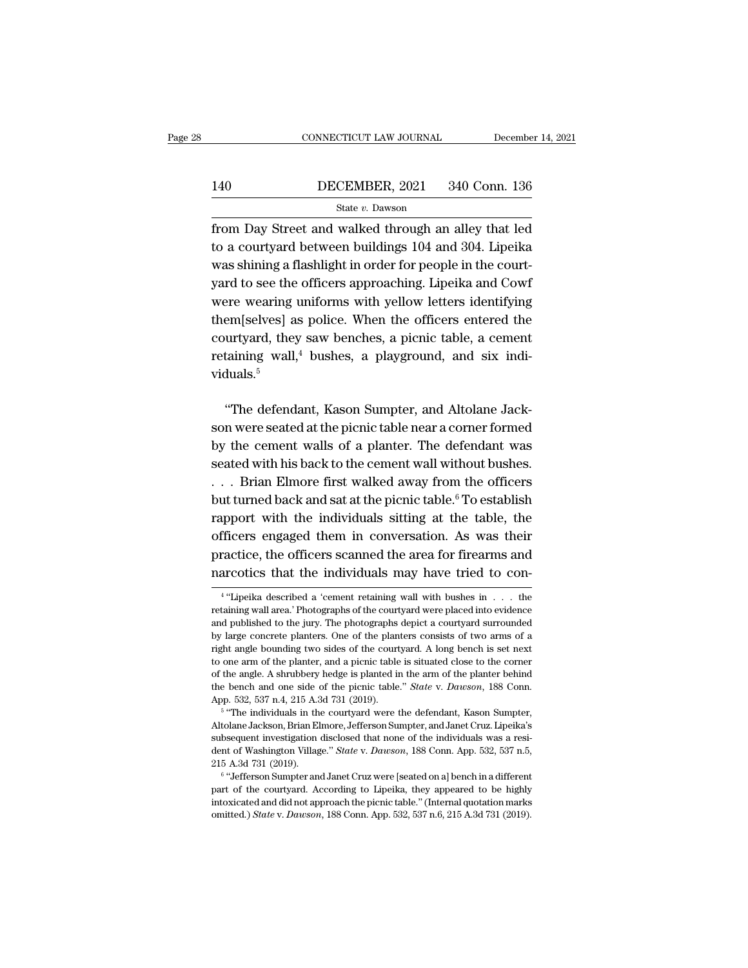# EXECUTE CONNECTICUT LAW JOURNAL December 14, 2021<br>140 DECEMBER, 2021 340 Conn. 136<br>State v. Dawson State *v.* Dawson

FROMMETICUT LAW JOURNAL December 14, 2021<br>140 DECEMBER, 2021 340 Conn. 136<br>5 State v. Dawson<br>from Day Street and walked through an alley that led<br>to a courtyard between buildings 104 and 304. Lipeika 140 DECEMBER, 2021 340 Conn. 136<br>
State v. Dawson<br>
from Day Street and walked through an alley that led<br>
to a courtyard between buildings 104 and 304. Lipeika<br>
was shining a flashlight in order for people in the court-Matter Was shining a flashlight in order for people in the courty<br>and matter in our shining a flashlight in order for people in the court-<br>yard to see the officers approaching. Lipeika and Cowf<br>was shining a flashlight in 140 DECEMBER, 2021 340 Conn. 136<br>  $\frac{\text{State } v. \text{ Dawson}}{\text{from Day Street and walked through an alloy that led to a courtyard between buildings 104 and 304. Lipeika}$ <br>
was shining a flashlight in order for people in the court-<br>
yard to see the officers approaching. Lipeika and Cowf<br>
were wearing uniform State v. Dawson<br>from Day Street and walked through an alley that led<br>to a courtyard between buildings 104 and 304. Lipeika<br>was shining a flashlight in order for people in the court-<br>yard to see the officers approaching. L from Day Street and walked through an alley that led<br>to a courtyard between buildings 104 and 304. Lipeika<br>was shining a flashlight in order for people in the court-<br>yard to see the officers approaching. Lipeika and Cowf<br>w to a courtyard between buildings 104 and 304. Lipeika<br>was shining a flashlight in order for people in the court-<br>yard to see the officers approaching. Lipeika and Cowf<br>were wearing uniforms with yellow letters identifying<br> was shining a flashlight in order for people in the court-<br>yard to see the officers approaching. Lipeika and Cowf<br>were wearing uniforms with yellow letters identifying<br>them[selves] as police. When the officers entered the<br> viduals.<sup>5</sup> em[selves] as police. When the officers entered the<br>
urtyard, they saw benches, a picnic table, a cement<br>
taining wall,<sup>4</sup> bushes, a playground, and six indi-<br>
duals.<sup>5</sup><br>
"The defendant, Kason Sumpter, and Altolane Jack-<br>

courtyard, they saw benches, a picnic table, a cement<br>retaining wall,<sup>4</sup> bushes, a playground, and six indi-<br>viduals.<sup>5</sup><br>"The defendant, Kason Sumpter, and Altolane Jack-<br>son were seated at the picnic table near a corner retaining wall,<sup>4</sup> bushes, a playground, and six individuals.<sup>5</sup><br>"The defendant, Kason Sumpter, and Altolane Jackson were seated at the picnic table near a corner formed<br>by the cement walls of a planter. The defendant was<br> viduals.<sup>5</sup><br>
"The defendant, Kason Sumpter, and Altolane Jackson were seated at the picnic table near a corner formed<br>
by the cement walls of a planter. The defendant was<br>
seated with his back to the cement wall without b "The defendant, Kason Sumpter, and Altolane Jackson were seated at the picnic table near a corner formed<br>by the cement walls of a planter. The defendant was<br>seated with his back to the cement wall without bushes.<br>. . . Br "The defendant, Kason Sumpter, and Altolane Jackson were seated at the picnic table near a corner formed<br>by the cement walls of a planter. The defendant was<br>seated with his back to the cement wall without bushes.<br>. . . Br son were seated at the picnic table near a corner formed<br>by the cement walls of a planter. The defendant was<br>seated with his back to the cement wall without bushes.<br>. . . Brian Elmore first walked away from the officers<br>bu by the cement walls of a planter. The defendant was<br>seated with his back to the cement wall without bushes.<br>... Brian Elmore first walked away from the officers<br>but turned back and sat at the picnic table.<sup>6</sup> To establish seated with his back to the cement wall without bushes.<br>
. . . Brian Elmore first walked away from the officers<br>
but turned back and sat at the picnic table.<sup>6</sup> To establish<br>
rapport with the individuals sitting at the tab ... Brian Elmore first walked away from the officers<br>but turned back and sat at the picnic table.<sup>6</sup> To establish<br>rapport with the individuals sitting at the table, the<br>officers engaged them in conversation. As was their<br> rapport with the individuals sitting at the table, the officers engaged them in conversation. As was their practice, the officers scanned the area for firearms and narcotics that the individuals may have tried to con-<br> $\frac$ 

<sup>&</sup>lt;sup>4</sup> "Lipeika described a 'cement retaining wall with bushes in . . . the practice, the officers scanned the area for firearms and narcotics that the individuals may have tried to con-<br> $\overline{ }$ <sup>4</sup> "Lipeika described a 'cement retaining wall with bushes in  $\dots$  the retaining wall area.' Photograp practice, the officers scanned the area for firearms and narcotics that the individuals may have tried to con-<br><sup>4</sup> "Lipeika described a 'cement retaining wall with bushes in  $\dots$  the retaining wall area.' Photographs of t marcotics that the individuals may have tried to con-<br> $\overline{ }$ <sup>4</sup> "Lipeika described a 'cement retaining wall with bushes in . . . the retaining wall area.' Photographs of the courtyard were placed into evidence and publis <sup>4</sup> "Lipeika described a 'cement retaining wall with bushes in  $\ldots$  the retaining wall area.' Photographs of the courtyard were placed into evidence and published to the jury. The photographs depict a courtyard surrounde <sup>4</sup> "Lipeika described a 'cement retaining wall with bushes in . . . the retaining wall area.' Photographs of the courtyard were placed into evidence and published to the jury. The photographs depict a courtyard surrounde retaining wall area.' Photographs of the courtyard were placed into evidence and published to the jury. The photographs depict a courtyard surrounded by large concrete planters. One of the planters consists of two arms of and published to the jury. The photographs depict a courtyard surrounded by large concrete planters. One of the planters consists of two arms of a right angle bounding two sides of the courtyard. A long bench is set next t by large concrete planters. One of the plan<br>by large concrete planters. One of the plan<br>right angle bounding two sides of the court<br>to one arm of the planter, and a picnic table<br>of the angle. A shrubbery hedge is planted i the individuals in the courtyard. A long bench is set next angle bounding two sides of the courtyard. A long bench is set next one arm of the planter, and a picnic table is situated close to the corner he angle. A shrubber From earm of the planter, and a picnic table is situated close to the corner of the angle. A shrubbery hedge is planted in the arm of the planter behind the bench and one side of the picnic table." *State v. Dawson*, 188

of the angle. A shrubbery hedge is planted in the arm of the planter behind the bench and one side of the picnic table." *State* v. *Dawson*, 188 Conn. App. 532, 537 n.4, 215 A.3d 731 (2019).<br>
<sup>5</sup> "The individuals in the the bench and one side of the picnic table." *State* v. *Dawson*, 188 Conn.<br>App. 532, 537 n.4, 215 A.3d 731 (2019).<br><sup>5</sup> "The individuals in the courtyard were the defendant, Kason Sumpter,<br>Altolane Jackson, Brian Elmore, J App. 532, 537 n.4, 215 A.3d 731 (2019).<br>  $\frac{5}{12}$  "The individuals in the courty<br>ard were the defendant, Kason Sumpter, Altolane Jackson, Brian Elmore, Jefferson Sumpter, and Janet Cruz. Lipeika's<br>
subsequent investigat  $^\circ$  "The individuals in the courty<br>ard were the defendant, Kason Sumpter, Altolane Jackson, Brian Elmore, Jefferson Sumpter, and Janet Cruz. Lipeika's subsequent investigation disclosed that none of the individuals was a Altolane Jackson, Brian Elmore, Jefferson Sumpter, and Janet Cruz. Lipeika's<br>subsequent investigation disclosed that none of the individuals was a resi-<br>dent of Washington Village." *State v. Dawson*, 188 Conn. App. 532, 5

intoxicated and did not approach the picnic table.'' (Internal marks are resident of Washington Village.'' *State* v. *Dawson*, 188 Conn. App. 532, 537 n.5, 215 A.3d 731 (2019).<br>
<sup>6</sup> "Jefferson Sumpter and Janet Cruz were dent of Washington Village." *State* v. *Dawson*, 188 Conn. App. 532, 537 n.5, 215 A.3d 731 (2019).<br><sup>6</sup> "Jefferson Sumpter and Janet Cruz were [seated on a] bench in a different part of the courtyard. According to Lipeika,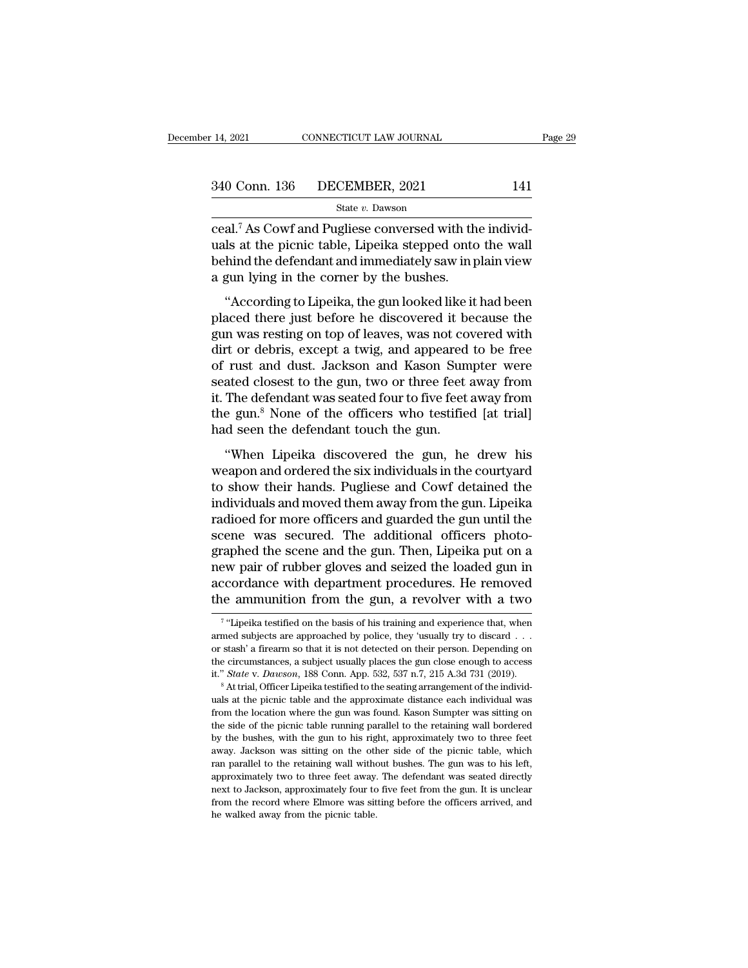State *v.* Dawson

connectricut LAW JOURNAL<br>
340 Conn. 136 DECEMBER, 2021 141<br>
<sup>21</sup> State v. Dawson<br>
21.<sup>7</sup> As Cowf and Pugliese conversed with the individ-<br>
21.<sup>7</sup> As Cowf and Pugliese conversed with the individ-<br>
21.8 at the picnic table,  $\frac{340 \text{ Conn. } 136 \qquad \text{DECEMBER, } 2021 \qquad \qquad 141}{\text{State } v. \text{ Dawson}}$ <br>
ceal.<sup>7</sup> As Cowf and Pugliese conversed with the individuals at the picnic table, Lipeika stepped onto the wall<br>
behind the defendant and immediately saw in plain 340 Conn. 136 DECEMBER, 2021 141<br>
State v. Dawson<br>
ceal.<sup>7</sup> As Cowf and Pugliese conversed with the individuals at the picnic table, Lipeika stepped onto the wall<br>
behind the defendant and immediately saw in plain view<br>
a 340 Conn. 136 DECEMBER, 2021<br>  $\frac{\text{State } v. \text{ Dawson}}{\text{ceal.}^7 \text{ As} \text{Cowf and Pugliese} \text{ conversed with the } u \text{als at the } p \text{icic table, Lipeika stepped onto behind the defendant and immediately saw in p a gun lying in the corner by the bushes. \n``According to Lipeika, the gun looked like it$ State v. Dawson<br>
al.<sup>7</sup> As Cowf and Pugliese conversed with the individ-<br>
ls at the picnic table, Lipeika stepped onto the wall<br>
hind the defendant and immediately saw in plain view<br>
gun lying in the corner by the bushes. ceal.<sup>7</sup> As Cowf and Pugliese conversed with the individuals at the picnic table, Lipeika stepped onto the wall<br>behind the defendant and immediately saw in plain view<br>a gun lying in the corner by the bushes.<br>"According to

restaint the solutional rangiese conversed with the matrix<br>uals at the picnic table, Lipeika stepped onto the wall<br>behind the defendant and immediately saw in plain view<br>a gun lying in the corner by the bushes.<br>"According diale as are preme asset, in period stepped since are wantified behind the defendant and immediately saw in plain view<br>a gun lying in the corner by the bushes.<br>"According to Lipeika, the gun looked like it had been<br>placed a gun lying in the corner by the bushes.<br>
"According to Lipeika, the gun looked like it had been<br>
placed there just before he discovered it because the<br>
gun was resting on top of leaves, was not covered with<br>
dirt or debri "According to Lipeika, the gun looked like it had been<br>placed there just before he discovered it because the<br>gun was resting on top of leaves, was not covered with<br>dirt or debris, except a twig, and appeared to be free<br>of "According to Lipeika, the gun looked like it had been<br>placed there just before he discovered it because the<br>gun was resting on top of leaves, was not covered with<br>dirt or debris, except a twig, and appeared to be free<br>of placed there just before he discovered it because the<br>gun was resting on top of leaves, was not covered with<br>dirt or debris, except a twig, and appeared to be free<br>of rust and dust. Jackson and Kason Sumpter were<br>seated cl gun was resting on top of leaves, was not co<br>dirt or debris, except a twig, and appeared<br>of rust and dust. Jackson and Kason Sum<br>seated closest to the gun, two or three feet<br>it. The defendant was seated four to five feet<br>t The discovered the gun, and appearance of the contract rust and dust. Jackson and Kason Sumpter were<br>ated closest to the gun, two or three feet away from<br>The defendant was seated four to five feet away from<br>e gun.<sup>8</sup> None or rast and dast, sackson and nason sample. Were<br>seated closest to the gun, two or three feet away from<br>it. The defendant was seated four to five feet away from<br>the gun.<sup>8</sup> None of the officers who testified [at trial]<br>had

it. The defendant was seated four to five feet away from<br>the gun.<sup>8</sup> None of the officers who testified [at trial]<br>had seen the defendant touch the gun.<br>"When Lipeika discovered the gun, he drew his<br>weapon and ordered the In the gun.<sup>8</sup> None of the officers who testified [at trial]<br>had seen the defendant touch the gun.<br>"When Lipeika discovered the gun, he drew his<br>weapon and ordered the six individuals in the courtyard<br>to show their hands. radio seen the defendant touch the gun.<br>
"When Lipeika discovered the gun, he drew his<br>
weapon and ordered the six individuals in the courtyard<br>
to show their hands. Pugliese and Cowf detained the<br>
individuals and moved th When Lipeika discovered the gan.<br>
"When Lipeika discovered the gun, he drew his<br>
weapon and ordered the six individuals in the courtyard<br>
to show their hands. Pugliese and Cowf detained the<br>
individuals and moved them away "When Lipeika discovered the gun, he drew his<br>weapon and ordered the six individuals in the courtyard<br>to show their hands. Pugliese and Cowf detained the<br>individuals and moved them away from the gun. Lipeika<br>radioed for mo weapon and ordered the six individuals in the courtyard<br>to show their hands. Pugliese and Cowf detained the<br>individuals and moved them away from the gun. Lipeika<br>radioed for more officers and guarded the gun until the<br>scen to show their hands. Pugliese and Cowf detained the<br>individuals and moved them away from the gun. Lipeika<br>radioed for more officers and guarded the gun until the<br>scene was secured. The additional officers photo-<br>graphed th individuals and moved them away from the gun. Lipeika<br>radioed for more officers and guarded the gun until the<br>scene was secured. The additional officers photo-<br>graphed the scene and the gun. Then, Lipeika put on a<br>new pair aphed the scene and the gun. Then, Lipeika put on a<br>w pair of rubber gloves and seized the loaded gun in<br>cordance with department procedures. He removed<br>a ammunition from the gun, a revolver with a two<br>"Lipeika testified o new pair of rubber gloves and seized the loaded gun in accordance with department procedures. He removed the ammunition from the gun, a revolver with a two  $\frac{1}{\sqrt{2}}$  "Lipeika testified on the basis of his training and e

<sup>&</sup>lt;sup>7</sup> "Lipeika testified on the basis of his training and experience that, when accordance with department procedures. He removed<br>the ammunition from the gun, a revolver with a two<br> $\frac{1}{\sqrt{2}}$  figure it is not detected on the basis of his training and experience that, when<br>armed subjects are approac the ammunition from the gun, a revolver with a two  $\frac{1}{\sqrt{2}}$  "Lipeika testified on the basis of his training and experience that, when armed subjects are approached by police, they 'usually try to discard . . . or stas <sup>7</sup> "Lipeika testified on the basis of his training and experience that, when armed subjects are approached by police, they 'usually try to discard . . . or stash' a firearm so that it is not detected on their person. Depe armed subjects are approached by police, they 'usually try to discard . . . or stash' a firearm so that it is not detected on their person. Depending on the circumstances, a subject usually places the gun close enough to

or stash' a firearm so that it is not detected on their person. Depending on<br>the circumstances, a subject usually places the gun close enough to access<br>it." *State* v. *Dawson*, 188 Conn. App. 532, 537 n.7, 215 A.3d 731 (2 the circumstances, a subject usually places the gun close enough to access it." *State* v. *Dawson*, 188 Conn. App. 532, 537 n.7, 215 A.3d 731 (2019).<br><sup>8</sup> At trial, Officer Lipeika testified to the seating arrangement of it." *State* v. *Dawson*, 188 Conn. App. 532, 537 n.7, 215 A.3d 731 (2019).<br>
<sup>8</sup> At trial, Officer Lipeika testified to the seating arrangement of the individuals at the picnic table and the approximate distance each indi a was sitted to the seating arrangement of the individuals at the picnic table and the approximate distance each individual was from the location where the gun was found. Kason Sumpter was sitting on the side of the picnic ran parallel to the retaining wall without bushes. The gun was from the location where the gun was found. Kason Sumpter was sitting on the side of the picnic table running parallel to the retaining wall bordered by the bus about the location where the gun was found. Kason Sumpter was sitting on the side of the picnic table running parallel to the retaining wall bordered by the bushes, with the gun to his right, approximately two to three fee the side of the picnic table running parallel to the retaining wall bordered<br>by the bushes, with the gun to his right, approximately two to three feet<br>away. Jackson was sitting on the other side of the picnic table, which<br> from the bushes, with the gun to his right, approximately two to three feet away. Jackson was sitting on the other side of the picnic table, which ran parallel to the retaining wall without bushes. The gun was to his left, away. Jackson was sitting on the other side of the picnic table, which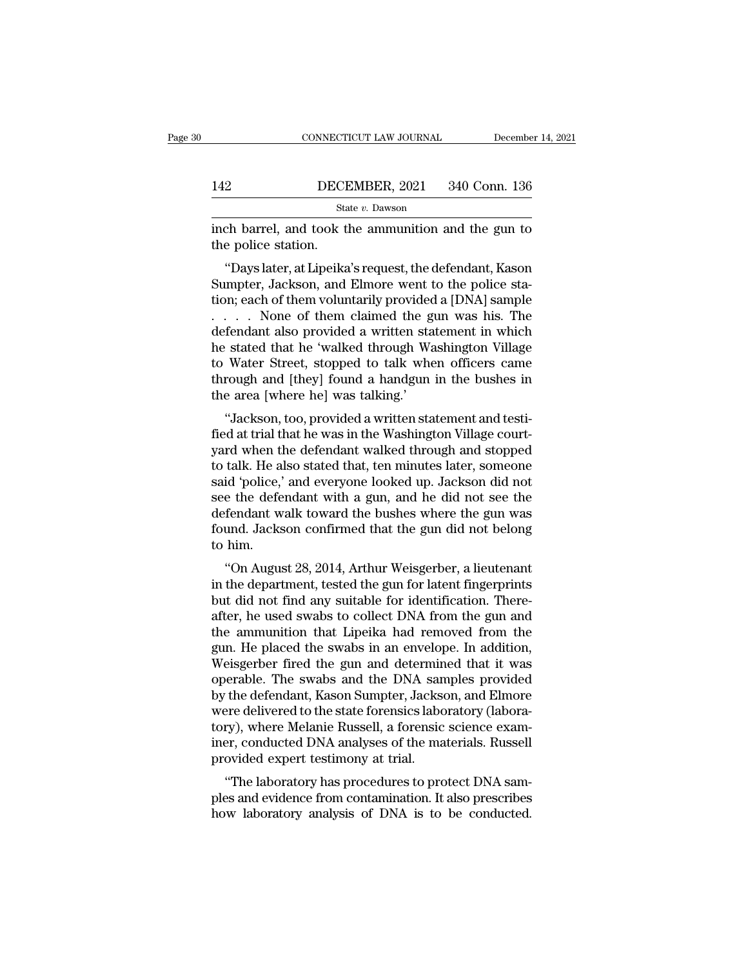|     | CONNECTICUT LAW JOURNAL | December 14, 2021 |
|-----|-------------------------|-------------------|
|     |                         |                   |
| 142 | DECEMBER, 2021          | 340 Conn. 136     |
|     | State v. Dawson         |                   |

CONNECTICUT LAW JOURNAL December 14, 2021<br>142 DECEMBER, 2021 340 Conn. 136<br>5tate v. Dawson<br>110 State v. Dawson<br>110 State v. Dawson<br>110 December 1, and took the ammunition and the gun to<br>110 the police station. 142 DECI<br>
Sta<br>
inch barrel, and took t<br>
the police station.<br>
"Days later, at Lipeika

''Days later, at Lipeika's request, the defendant, Kason  $\frac{\text{BECEMBER, 2021}}{\text{State } v. \text{ Dawson}}$ <br>
State  $v. \text{ Dawson}}$ <br>
inch barrel, and took the ammunition and the gun to<br>
the police station.<br>
"Days later, at Lipeika's request, the defendant, Kason<br>
Sumpter, Jackson, and Elmore went to the State v. Dawson<br>
inch barrel, and took the ammunition and the gun to<br>
the police station.<br>
"Days later, at Lipeika's request, the defendant, Kason<br>
Sumpter, Jackson, and Elmore went to the police sta-<br>
tion; each of them inch barrel, and took the ammunition and the gun to<br>the police station.<br>"Days later, at Lipeika's request, the defendant, Kason<br>Sumpter, Jackson, and Elmore went to the police sta-<br>tion; each of them voluntarily provided a ment barier, and took the anninumformand the guirtor<br>the police station.<br>"Days later, at Lipeika's request, the defendant, Kason<br>Sumpter, Jackson, and Elmore went to the police sta-<br>tion; each of them voluntarily provided "Days later, at Lipeika's request, the defendant, Kason<br>Sumpter, Jackson, and Elmore went to the police station; each of them voluntarily provided a [DNA] sample<br>.....None of them claimed the gun was his. The<br>defendant als "Days later, at Lipeika's request, the defendant, Kason<br>Sumpter, Jackson, and Elmore went to the police station; each of them voluntarily provided a [DNA] sample<br> $\ldots$  . None of them claimed the gun was his. The<br>defendant Sumpter, Jackson, and Elmore went to the police station; each of them voluntarily provided a [DNA] sample . . . . . None of them claimed the gun was his. The defendant also provided a written statement in which he stated tion; each of them voluntarily provide<br>  $\ldots$   $\ldots$  None of them claimed the g<br>
defendant also provided a written sta<br>
he stated that he 'walked through Wa<br>
to Water Street, stopped to talk whe<br>
through and [they] found a The stated that he 'walked through Washington Village<br>
Fendant also provided a written statement in which<br>
stated that he 'walked through Washington Village<br>
Water Street, stopped to talk when officers came<br>
rough and [the detendant also provided a written statement in which<br>he stated that he 'walked through Washington Village<br>to Water Street, stopped to talk when officers came<br>through and [they] found a handgun in the bushes in<br>the area [wh

re stated that he wanked through washington vinage<br>to Water Street, stopped to talk when officers came<br>through and [they] found a handgun in the bushes in<br>the area [where he] was talking.'<br>"Jackson, too, provided a written to water street, stopped to tank when oncers caller<br>through and [they] found a handgun in the bushes in<br>the area [where he] was talking.'<br>"Jackson, too, provided a written statement and testi-<br>fied at trial that he was in said the area [where he] was talking.'<br>the area [where he] was talking.'<br>"Jackson, too, provided a written statement and testi-<br>fied at trial that he was in the Washington Village court-<br>yard when the defendant walked thro "Jackson, too, provided a written statement and testi-<br>fied at trial that he was in the Washington Village court-<br>yard when the defendant walked through and stopped<br>to talk. He also stated that, ten minutes later, someone<br> "Jackson, too, provided a written statement and testi-<br>fied at trial that he was in the Washington Village court-<br>yard when the defendant walked through and stopped<br>to talk. He also stated that, ten minutes later, someone<br> fied at trial that he was in the Washington Village court-<br>yard when the defendant walked through and stopped<br>to talk. He also stated that, ten minutes later, someone<br>said 'police,' and everyone looked up. Jackson did not<br> yard when tl<br>to talk. He a<br>said 'police,'<br>see the defe<br>defendant w<br>found. Jacks<br>to him.<br>''On Augus taik. He also stated that, ten nimities later, someone<br>
id 'police,' and everyone looked up. Jackson did not<br>
e the defendant with a gun, and he did not see the<br>
fendant walk toward the bushes where the gun was<br>
und. Jacks sald police, and everyone looked up. Jackson did not<br>see the defendant with a gun, and he did not see the<br>defendant walk toward the bushes where the gun was<br>found. Jackson confirmed that the gun did not belong<br>to him.<br>"On

see the defendant what a gun, and he did not see the<br>defendant walk toward the bushes where the gun was<br>found. Jackson confirmed that the gun did not belong<br>to him.<br>"On August 28, 2014, Arthur Weisgerber, a lieutenant<br>in t defendant wark toward the busites where the gun was<br>found. Jackson confirmed that the gun did not belong<br>to him.<br>"On August 28, 2014, Arthur Weisgerber, a lieutenant<br>in the department, tested the gun for latent fingerprint to him.<br>
"On August 28, 2014, Arthur Weisgerber, a lieutenant<br>
in the department, tested the gun for latent fingerprints<br>
but did not find any suitable for identification. There-<br>
after, he used swabs to collect DNA from t "On August 28, 2014, Arthur Weisgerber, a lieutenant<br>in the department, tested the gun for latent fingerprints<br>but did not find any suitable for identification. There-<br>after, he used swabs to collect DNA from the gun and<br> "On August 28, 2014, Arthur Weisgerber, a lieutenant<br>in the department, tested the gun for latent fingerprints<br>but did not find any suitable for identification. There-<br>after, he used swabs to collect DNA from the gun and<br> in the department, tested the gun for latent fingerprints<br>but did not find any suitable for identification. There-<br>after, he used swabs to collect DNA from the gun and<br>the ammunition that Lipeika had removed from the<br>gun. but did not find any suitable for identification. There-<br>after, he used swabs to collect DNA from the gun and<br>the ammunition that Lipeika had removed from the<br>gun. He placed the swabs in an envelope. In addition,<br>Weisgerbe after, he used swabs to collect DNA from the gun and<br>the ammunition that Lipeika had removed from the<br>gun. He placed the swabs in an envelope. In addition,<br>Weisgerber fired the gun and determined that it was<br>operable. The the ammunition that Lipeika had removed from the<br>gun. He placed the swabs in an envelope. In addition,<br>Weisgerber fired the gun and determined that it was<br>operable. The swabs and the DNA samples provided<br>by the defendant, gun. He placed the swabs in an envelope. In addition,<br>Weisgerber fired the gun and determined that it was<br>operable. The swabs and the DNA samples provided<br>by the defendant, Kason Sumpter, Jackson, and Elmore<br>were delivered Weisgerber fired the gun and determin<br>operable. The swabs and the DNA san<br>by the defendant, Kason Sumpter, Jackse<br>were delivered to the state forensics labo<br>tory), where Melanie Russell, a forensic<br>iner, conducted DNA anal The swabs and the DNA samples provided<br>
the defendant, Kason Sumpter, Jackson, and Elmore<br>
ere delivered to the state forensics laboratory (labora-<br>
ry), where Melanie Russell, a forensic science exam-<br>
examer, conducted D by the defendant, Kason Sumpter, Jackson, and Emore<br>were delivered to the state forensics laboratory (labora-<br>tory), where Melanie Russell, a forensic science exam-<br>iner, conducted DNA analyses of the materials. Russell<br>pr were denvered to the state forensics laboratory (laboratory), where Melanie Russell, a forensic science examiner, conducted DNA analyses of the materials. Russell provided expert testimony at trial.<br>"The laboratory has pro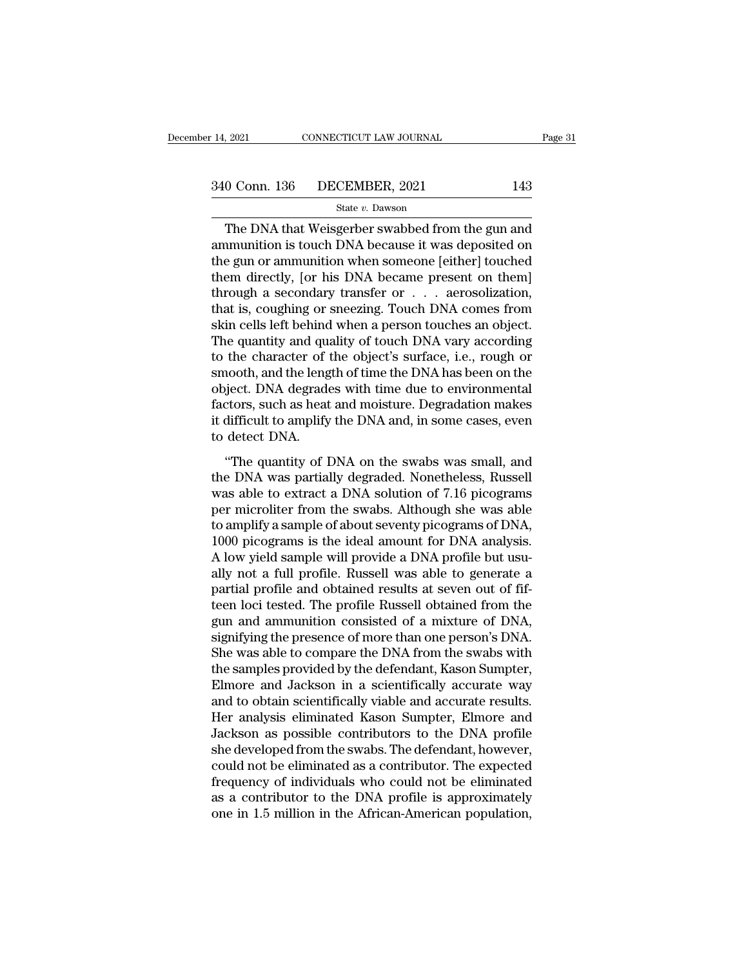### State *v.* Dawson

 $\begin{array}{ll}\n 0.2021 \quad \text{CONPECTICUT LAW JOURNAL} \quad \text{Page 31}\ \hline\n 0.0 \quad \text{Conn. } 136 \quad \text{DECEMBER, } 2021 \quad \text{143}\ \text{State } v. \text{ Dawson}\n\end{array}$ The DNA that Weisgerber swabbed from the gun and munition is touch DNA because it was deposited on  $\frac{340 \text{ Conn. } 136 \qquad \text{DECEMBER, } 2021 \qquad \qquad 143}{\text{State } v. \text{ Dawson}}$ <br>The DNA that Weisgerber swabbed from the gun and ammunition is touch DNA because it was deposited on the gun or ammunition when someone [either] touched them direc 340 Conn. 136 DECEMBER, 2021 143<br>
State v. Dawson<br>
The DNA that Weisgerber swabbed from the gun and<br>
ammunition is touch DNA because it was deposited on<br>
the gun or ammunition when someone [either] touched<br>
them directly, 340 Conn. 136 DECEMBER, 2021 143<br>
State v. Dawson<br>
The DNA that Weisgerber swabbed from the gun and<br>
ammunition is touch DNA because it was deposited on<br>
the gun or ammunition when someone [either] touched<br>
them directly, The DNA that Weisgerber swabbed from the gun and<br>ammunition is touch DNA because it was deposited on<br>the gun or ammunition when someone [either] touched<br>them directly, [or his DNA became present on them]<br>through a seconda state v. Dawson<br>The DNA that Weisgerber swabbed from the gun and<br>ammunition is touch DNA because it was deposited on<br>the gun or ammunition when someone [either] touched<br>them directly, [or his DNA became present on them]<br>t The DNA that Weisgerber swabbed from the gun and<br>ammunition is touch DNA because it was deposited on<br>the gun or ammunition when someone [either] touched<br>them directly, [or his DNA became present on them]<br>through a secondar ammunition is touch DNA because it was deposited on<br>the gun or ammunition when someone [either] touched<br>them directly, [or his DNA became present on them]<br>through a secondary transfer or . . . aerosolization,<br>that is, coug the gun or ammunition when someone [either] touched<br>them directly, [or his DNA became present on them]<br>through a secondary transfer or . . . aerosolization,<br>that is, coughing or sneezing. Touch DNA comes from<br>skin cells le them directly, [or his DNA became present on them]<br>through a secondary transfer or . . . aerosolization,<br>that is, coughing or sneezing. Touch DNA comes from<br>skin cells left behind when a person touches an object.<br>The quant through a secondary transfer or  $\ldots$  a erosolization,<br>that is, coughing or sneezing. Touch DNA comes from<br>skin cells left behind when a person touches an object.<br>The quantity and quality of touch DNA vary according<br>to th that is, coughing or sneezing. Touch DNA comes from<br>skin cells left behind when a person touches an object.<br>The quantity and quality of touch DNA vary according<br>to the character of the object's surface, i.e., rough or<br>smoo skin cells left behind when a person touches an object.<br>The quantity and quality of touch DNA vary according<br>to the character of the object's surface, i.e., rough or<br>smooth, and the length of time the DNA has been on the<br>o The quantity and quantity and quantity and the leng<br>smooth, and the leng<br>object. DNA degrade<br>factors, such as heat<br>it difficult to amplify<br>to detect DNA.<br>"The quantity of I and the different of the suggests same to the position, and the length of time the DNA has been on the sigent. DNA degrades with time due to environmental etors, such as heat and moisture. Degradation makes difficult to am object. DNA degrades with time due to environmental<br>factors, such as heat and moisture. Degradation makes<br>it difficult to amplify the DNA and, in some cases, even<br>to detect DNA.<br>"The quantity of DNA on the swabs was small,

factors, such as heat and moisture. Degradation makes<br>it difficult to amplify the DNA and, in some cases, even<br>to detect DNA.<br>"The quantity of DNA on the swabs was small, and<br>the DNA was partially degraded. Nonetheless, R it difficult to amplify the DNA and, in some cases, even<br>to detect DNA.<br>"The quantity of DNA on the swabs was small, and<br>the DNA was partially degraded. Nonetheless, Russell<br>was able to extract a DNA solution of 7.16 picog to detect DNA.<br>
"The quantity of DNA on the swabs was small, and<br>
the DNA was partially degraded. Nonetheless, Russell<br>
was able to extract a DNA solution of 7.16 picograms<br>
per microliter from the swabs. Although she was "The quantity of DNA on the swabs was small, and<br>the DNA was partially degraded. Nonetheless, Russell<br>was able to extract a DNA solution of 7.16 picograms<br>per microliter from the swabs. Although she was able<br>to amplify a s "The quantity of DNA on the swabs was small, and<br>the DNA was partially degraded. Nonetheless, Russell<br>was able to extract a DNA solution of 7.16 picograms<br>per microliter from the swabs. Although she was able<br>to amplify a s the DNA was partially degraded. Nonetheless, Russell<br>was able to extract a DNA solution of 7.16 picograms<br>per microliter from the swabs. Although she was able<br>to amplify a sample of about seventy picograms of DNA,<br>1000 pic was able to extract a DNA solution of 7.16 picograms<br>per microliter from the swabs. Although she was able<br>to amplify a sample of about seventy picograms of DNA,<br>1000 picograms is the ideal amount for DNA analysis.<br>A low yi per microliter from the swabs. Although she was able<br>to amplify a sample of about seventy picograms of DNA,<br>1000 picograms is the ideal amount for DNA analysis.<br>A low yield sample will provide a DNA profile but usu-<br>ally n to amplify a sample of about seventy picograms of DNA,<br>1000 picograms is the ideal amount for DNA analysis.<br>A low yield sample will provide a DNA profile but usu-<br>ally not a full profile. Russell was able to generate a<br>par 1000 picograms is the ideal amount for DNA analysis.<br>A low yield sample will provide a DNA profile but usu-<br>ally not a full profile. Russell was able to generate a<br>partial profile and obtained results at seven out of fif-<br> A low yield sample will provide a DNA profile but usu-<br>ally not a full profile. Russell was able to generate a<br>partial profile and obtained results at seven out of fif-<br>teen loci tested. The profile Russell obtained from t ally not a full profile. Russell was able to generate a<br>partial profile and obtained results at seven out of fif-<br>teen loci tested. The profile Russell obtained from the<br>gun and ammunition consisted of a mixture of DNA,<br>si partial profile and obtained results at seven out of fif-<br>teen loci tested. The profile Russell obtained from the<br>gun and ammunition consisted of a mixture of DNA,<br>signifying the presence of more than one person's DNA.<br>She teen loci tested. The profile Russell obtained from the<br>gun and ammunition consisted of a mixture of DNA,<br>signifying the presence of more than one person's DNA.<br>She was able to compare the DNA from the swabs with<br>the sampl gun and ammunition consisted of a mixture of DNA,<br>signifying the presence of more than one person's DNA.<br>She was able to compare the DNA from the swabs with<br>the samples provided by the defendant, Kason Sumpter,<br>Elmore and signifying the presence of more than one person's DNA.<br>She was able to compare the DNA from the swabs with<br>the samples provided by the defendant, Kason Sumpter,<br>Elmore and Jackson in a scientifically accurate way<br>and to ob She was able to compare the DNA from the swabs with<br>the samples provided by the defendant, Kason Sumpter,<br>Elmore and Jackson in a scientifically accurate way<br>and to obtain scientifically viable and accurate results.<br>Her an the samples provided by the defendant, Kason Sumpter,<br>Elmore and Jackson in a scientifically accurate way<br>and to obtain scientifically viable and accurate results.<br>Her analysis eliminated Kason Sumpter, Elmore and<br>Jackson Elmore and Jackson in a scientifically accurate way<br>and to obtain scientifically viable and accurate results.<br>Her analysis eliminated Kason Sumpter, Elmore and<br>Jackson as possible contributors to the DNA profile<br>she develo and to obtain scientifically viable and accurate results.<br>Her analysis eliminated Kason Sumpter, Elmore and<br>Jackson as possible contributors to the DNA profile<br>she developed from the swabs. The defendant, however,<br>could no Her analysis eliminated Kason Sumpter, Elmore and<br>Jackson as possible contributors to the DNA profile<br>she developed from the swabs. The defendant, however,<br>could not be eliminated as a contributor. The expected<br>frequency o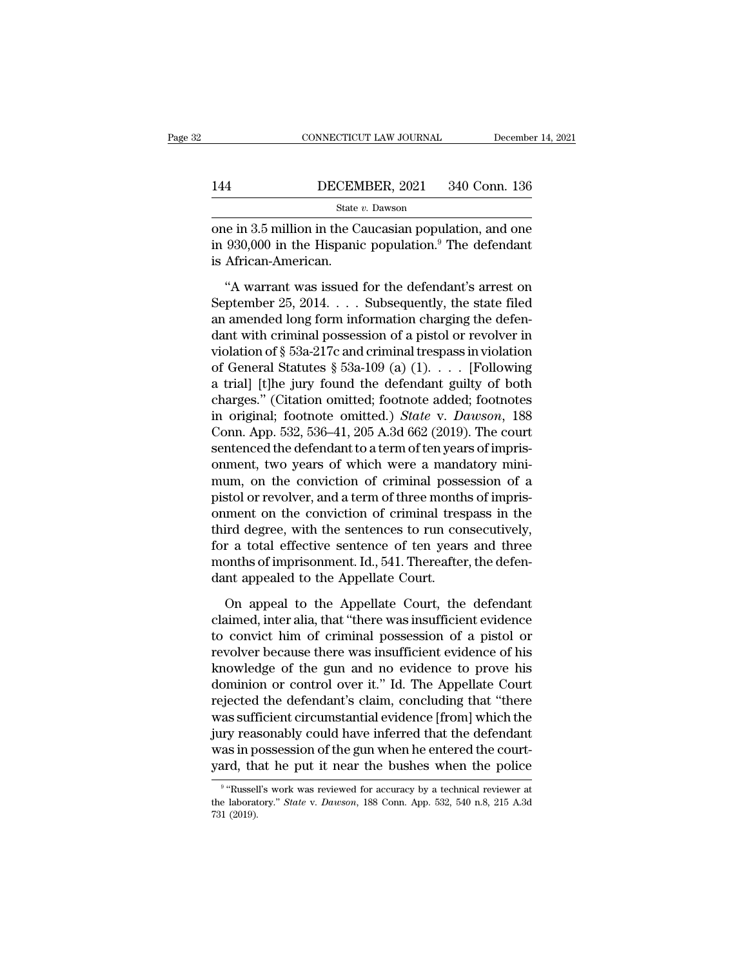# EXECUTE CONNECTICUT LAW JOURNAL December 14, 2021<br>144 DECEMBER, 2021 340 Conn. 136<br>State v. Dawson State *v.* Dawson

CONNECTICUT LAW JOURNAL December 14, 2021<br>
144 DECEMBER, 2021 340 Conn. 136<br>
<sup>State v.</sup> Dawson<br>
one in 3.5 million in the Caucasian population, and one<br>
in 930,000 in the Hispanic population.<sup>9</sup> The defendant<br>
is African **in 144 DECEMBER**, 2021 340 Conn. 136<br> **EXECUBER** State v. Dawson<br>
one in 3.5 million in the Caucasian population, and one<br>
in 930,000 in the Hispanic population.<sup>9</sup> The defendant<br>
is African-American. 144 DECEM<br>
State<br>
one in 3.5 million in the Cain<br>
1930,000 in the Hispanic<br>
is African-American.<br>
"A warrant was issued <sup>4</sup><br>
State *v*. Dawson<br>
Re in 3.5 million in the Caucasian population, and one<br>
930,000 in the Hispanic population.<sup>9</sup> The defendant<br>
African-American.<br>
"A warrant was issued for the defendant's arrest on<br>
ptember 25, 201

September 25, 2014. . . . Subsequently, the state filed one in 3.5 million in the Caucasian population, and one<br>in 930,000 in the Hispanic population.<sup>9</sup> The defendant<br>is African-American.<br>"A warrant was issued for the defendant's arrest on<br>September 25, 2014.... Subsequently, in 930,000 in the Hispanic population.<sup>9</sup> The defendant<br>is African-American.<br>"A warrant was issued for the defendant's arrest on<br>September 25, 2014.... Subsequently, the state filed<br>an amended long form information chargi is African-American.<br>
"A warrant was issued for the defendant's arrest on<br>
September 25, 2014.... Subsequently, the state filed<br>
an amended long form information charging the defen-<br>
dant with criminal possession of a pis <sup>1</sup> The Martin Controller and September 25, 2014. . . . Subsequently, the state filed an amended long form information charging the defendant with criminal possession of a pistol or revolver in violation of § 53a-217c and "A warrant was issued for the defendant's arrest on<br>September 25, 2014.... Subsequently, the state filed<br>an amended long form information charging the defen-<br>dant with criminal possession of a pistol or revolver in<br>violat September 25, 2014. . . . Subsequently, the state filed<br>an amended long form information charging the defen-<br>dant with criminal possession of a pistol or revolver in<br>violation of § 53a-217c and criminal trespass in violat an amended long form information charging the defen-<br>dant with criminal possession of a pistol or revolver in<br>violation of § 53a-217c and criminal trespass in violation<br>of General Statutes § 53a-109 (a) (1). . . . . [Follo dant with criminal possession of a pistol or revolver in violation of § 53a-217c and criminal trespass in violation of General Statutes § 53a-109 (a)  $(1)$ . . . . [Following a trial] [t]he jury found the defendant guilty violation of § 53a-217c and criminal trespass in violation<br>of General Statutes § 53a-109 (a) (1). . . . [Following<br>a trial] [t]he jury found the defendant guilty of both<br>charges." (Citation omitted; footnote added; footno of General Statutes § 53a-109 (a) (1). . . . . [Following<br>a trial] [t]he jury found the defendant guilty of both<br>charges." (Citation omitted; footnote added; footnotes<br>in original; footnote omitted.) *State* v. *Dawson*, a trial] [t]he jury found the defendant guilty of both<br>charges." (Citation omitted; footnote added; footnotes<br>in original; footnote omitted.) *State* v. *Dawson*, 188<br>Conn. App. 532, 536–41, 205 A.3d 662 (2019). The court<br> charges." (Citation omitted; footnote added; footnotes<br>in original; footnote omitted.) *State* v. *Dawson*, 188<br>Conn. App. 532, 536–41, 205 A.3d 662 (2019). The court<br>sentenced the defendant to a term of ten years of impri in original; footnote omitted.) *State* v. *Dawson*, 188<br>Conn. App. 532, 536–41, 205 A.3d 662 (2019). The court<br>sentenced the defendant to a term of ten years of impris-<br>onment, two years of which were a mandatory mini-<br>m Conn. App. 532, 536–41, 205 A.3d 662 (2019). The court<br>sentenced the defendant to a term of ten years of impris-<br>onment, two years of which were a mandatory mini-<br>mum, on the conviction of criminal possession of a<br>pistol sentenced the defendant to a term of ten years of impris-<br>onment, two years of which were a mandatory mini-<br>mum, on the conviction of criminal possession of a<br>pistol or revolver, and a term of three months of impris-<br>onmen onment, two years of which were a mandatory mini-<br>mum, on the conviction of criminal possession of a<br>pistol or revolver, and a term of three months of impris-<br>onment on the conviction of criminal trespass in the<br>third degr mum, on the conviction of criminal possepistol or revolver, and a term of three month<br>onment on the conviction of criminal tres<br>third degree, with the sentences to run cor<br>for a total effective sentence of ten years<br>months ment on the conviction of criminal trespass in the<br>ird degree, with the sentences to run consecutively,<br>r a total effective sentence of ten years and three<br>onths of imprisonment. Id., 541. Thereafter, the defen-<br>nt appeale third degree, with the sentences to run consecutively,<br>for a total effective sentence of ten years and three<br>months of imprisonment. Id., 541. Thereafter, the defen-<br>dant appealed to the Appellate Court.<br>On appeal to the A

for a total effective sentence of ten years and three<br>months of imprisonment. Id., 541. Thereafter, the defen-<br>dant appealed to the Appellate Court.<br>On appeal to the Appellate Court, the defendant<br>claimed, inter alia, tha months of imprisonment. Id., 541. Thereafter, the defendant appealed to the Appellate Court.<br>On appeal to the Appellate Court, the defendant claimed, inter alia, that "there was insufficient evidence to convict him of crim dant appealed to the Appellate Court.<br>
On appeal to the Appellate Court, the defendant<br>
claimed, inter alia, that "there was insufficient evidence<br>
to convict him of criminal possession of a pistol or<br>
revolver because the On appeal to the Appellate Court, the defendant<br>claimed, inter alia, that "there was insufficient evidence<br>to convict him of criminal possession of a pistol or<br>revolver because there was insufficient evidence of his<br>knowle On appeal to the Appellate Court, the defendant<br>
claimed, inter alia, that "there was insufficient evidence<br>
to convict him of criminal possession of a pistol or<br>
revolver because there was insufficient evidence of his<br>
kn claimed, inter alia, that "there was insufficient evidence<br>to convict him of criminal possession of a pistol or<br>revolver because there was insufficient evidence of his<br>knowledge of the gun and no evidence to prove his<br>domi to convict him of criminal possession of a pistol or<br>revolver because there was insufficient evidence of his<br>knowledge of the gun and no evidence to prove his<br>dominion or control over it." Id. The Appellate Court<br>rejected revolver because there was insufficient evidence of his<br>knowledge of the gun and no evidence to prove his<br>dominion or control over it." Id. The Appellate Court<br>rejected the defendant's claim, concluding that "there<br>was suf knowledge of the gun and no evidence to prove his<br>dominion or control over it." Id. The Appellate Court<br>rejected the defendant's claim, concluding that "there<br>was sufficient circumstantial evidence [from] which the<br>jury r is surflictent circumstantial evidence [from] which the<br>'y reasonably could have inferred that the defendant<br>is in possession of the gun when he entered the court-<br>d, that he put it near the bushes when the police<br>"Russell jury reasonably could have inferred that the defendant<br>was in possession of the gun when he entered the court-<br>yard, that he put it near the bushes when the police<br><sup>9</sup> "Russell's work was reviewed for accuracy by a technic was in p<br>yard, th<br><sup>9</sup> "Russel<br>the laborat<br>731 (2019).

<sup>&</sup>lt;sup>9</sup> "Russell's work was reviewed for accuracy by a technical reviewer at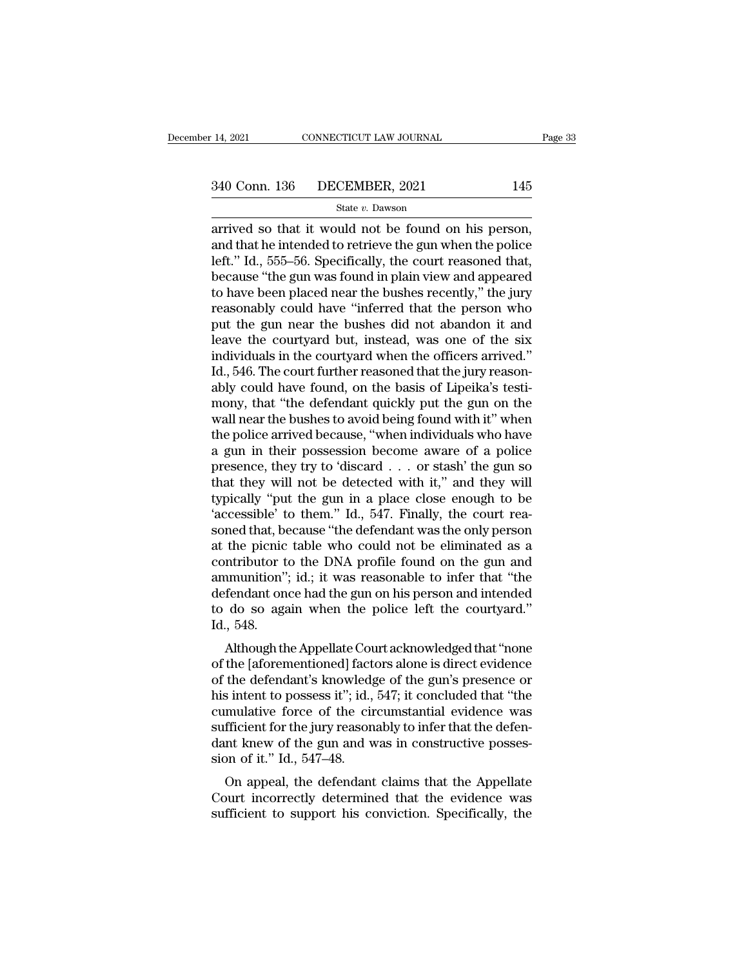### State *v.* Dawson

14, 2021 CONNECTICUT LAW JOURNAL Page<br>  $\frac{340 \text{ Conn. } 136 \qquad \text{DECEMBER, } 2021 \qquad \qquad 145}{\text{State } v. \text{ Dawson}}$ <br>
arrived so that it would not be found on his person,<br>
and that he intended to retrieve the gun when the police<br>
loft" Id. 5 340 Conn. 136 DECEMBER, 2021 145<br>State v. Dawson<br>arrived so that it would not be found on his person,<br>and that he intended to retrieve the gun when the police<br>left." Id., 555–56. Specifically, the court reasoned that,<br>hoca 340 Conn. 136 DECEMBER, 2021 145<br>
State v. Dawson<br>
arrived so that it would not be found on his person,<br>
and that he intended to retrieve the gun when the police<br>
left." Id., 555–56. Specifically, the court reasoned that,  $\begin{array}{ll}\n & \text{B40 Conn.} \text{ 136} & \text{DECEMBER, 2021} & \text{145} \\
 \hline\n & \text{State } v. \text{ Dawson} \\
 \hline\n & \text{array} \text{ \text{ 145} } \text{ \text{ 45} } \text{ \text{ 46} } \text{ \text{ 47} } \text{ \text{ 48} } \text{ \text{ 48} } \text{ \text{ 48} } \text{ \text{ 48} } \text{ \text{ 48} } \text{ \text{ 48} } \text{ \text{ 48} } \text{ \text{ 49$ State v. Dawson<br>
State v. Dawson<br>
arrived so that it would not be found on his person,<br>
and that he intended to retrieve the gun when the police<br>
left." Id., 555–56. Specifically, the court reasoned that,<br>
because "the gu state v. Dawson<br>arrived so that it would not be found on his person,<br>and that he intended to retrieve the gun when the police<br>left." Id., 555–56. Specifically, the court reasoned that,<br>because "the gun was found in plain arrived so that it would not be found on his person,<br>and that he intended to retrieve the gun when the police<br>left." Id., 555–56. Specifically, the court reasoned that,<br>because "the gun was found in plain view and appeared and that he intended to retrieve the gun when the police<br>left." Id., 555–56. Specifically, the court reasoned that,<br>because "the gun was found in plain view and appeared<br>to have been placed near the bushes recently," the j left." Id., 555–56. Specifically, the court reasoned that,<br>because "the gun was found in plain view and appeared<br>to have been placed near the bushes recently," the jury<br>reasonably could have "inferred that the person who<br>p because "the gun was found in plain view and appeared<br>to have been placed near the bushes recently," the jury<br>reasonably could have "inferred that the person who<br>put the gun near the bushes did not abandon it and<br>leave the to have been placed near the bushes recently," the jury<br>reasonably could have "inferred that the person who<br>put the gun near the bushes did not abandon it and<br>leave the courtyard but, instead, was one of the six<br>individual reasonably could have "inferred that the person who<br>put the gun near the bushes did not abandon it and<br>leave the courtyard but, instead, was one of the six<br>individuals in the courtyard when the officers arrived."<br>Id., 546. put the gun near the bushes did not abandon it and<br>leave the courtyard but, instead, was one of the six<br>individuals in the courtyard when the officers arrived."<br>Id., 546. The court further reasoned that the jury reason-<br>ab leave the courtyard but, instead, was one of the six<br>individuals in the courtyard when the officers arrived."<br>Id., 546. The court further reasoned that the jury reason-<br>ably could have found, on the basis of Lipeika's test individuals in the courtyard when the officers arrived."<br>Id., 546. The court further reasoned that the jury reason-<br>ably could have found, on the basis of Lipeika's testi-<br>mony, that "the defendant quickly put the gun on t Id., 546. The court further reasoned that the jury reasonably could have found, on the basis of Lipeika's testi-<br>mony, that "the defendant quickly put the gun on the<br>wall near the bushes to avoid being found with it" when<br> ably could have found, on the basis of Lipeika's testi-<br>mony, that "the defendant quickly put the gun on the<br>wall near the bushes to avoid being found with it" when<br>the police arrived because, "when individuals who have<br>a mony, that "the defendant quickly put the gun on the<br>wall near the bushes to avoid being found with it" when<br>the police arrived because, "when individuals who have<br>a gun in their possession become aware of a police<br>presenc wall near the bushes to avoid being found with it" when<br>the police arrived because, "when individuals who have<br>a gun in their possession become aware of a police<br>presence, they try to 'discard  $\ldots$  or stash' the gun so<br>t the police arrived because, "when individuals who have<br>a gun in their possession become aware of a police<br>presence, they try to 'discard  $\ldots$  or stash' the gun so<br>that they will not be detected with it," and they will<br>ty a gun in their possession become aware of a police<br>presence, they try to 'discard . . . or stash' the gun so<br>that they will not be detected with it," and they will<br>typically "put the gun in a place close enough to be<br>"acc presence, they try to 'discard . . . or stash' the gun so<br>that they will not be detected with it," and they will<br>typically "put the gun in a place close enough to be<br>'accessible' to them." Id., 547. Finally, the court reathat they will not be detected with it," and they will<br>typically "put the gun in a place close enough to be<br>'accessible' to them." Id., 547. Finally, the court rea-<br>soned that, because "the defendant was the only person<br>at typically "put the gun in a place close enough to be<br>"accessible" to them." Id., 547. Finally, the court rea-<br>soned that, because "the defendant was the only person<br>at the picnic table who could not be eliminated as a<br>cont 'accessible' to them." Id., 547. Finally, the court reasoned that, because "the defendant was the only person at the picnic table who could not be eliminated as a contributor to the DNA profile found on the gun and ammunit soned that, beat the picnic<br>at the picnic<br>contributor t<br>ammunition''<br>defendant on<br>to do so aga<br>Id., 548.<br>Although th the picture who could not be eminifaced as a<br>ntributor to the DNA profile found on the gun and<br>munition"; id.; it was reasonable to infer that "the<br>fendant once had the gun on his person and intended<br>do so again when the p contributor to the DNA profile found off the guit and<br>ammunition"; id.; it was reasonable to infer that "the<br>defendant once had the gun on his person and intended<br>to do so again when the police left the courtyard."<br>Id., 54

animum.com , id., it was reasonable to inter that the<br>defendant once had the gun on his person and intended<br>to do so again when the police left the courtyard."<br>Id., 548.<br>Although the Appellate Court acknowledged that "none defendant once had the gun on his person and intended<br>to do so again when the police left the courtyard."<br>Id., 548.<br>Although the Appellate Court acknowledged that "none<br>of the [aforementioned] factors alone is direct evide Id., 548.<br>Id., 548.<br>Although the Appellate Court acknowledged that "none<br>of the [aforementioned] factors alone is direct evidence<br>of the defendant's knowledge of the gun's presence or<br>his intent to possess it"; id., 547; i Although the Appellate Court acknowledged that "none<br>of the [aforementioned] factors alone is direct evidence<br>of the defendant's knowledge of the gun's presence or<br>his intent to possess it"; id., 547; it concluded that "t Although the Appellate Court acknowledged that "none<br>of the [aforementioned] factors alone is direct evidence<br>of the defendant's knowledge of the gun's presence or<br>his intent to possess it"; id., 547; it concluded that "th of the [aforementioned] fact<br>of the defendant's knowledg<br>his intent to possess it"; id.,<br>cumulative force of the cir<br>sufficient for the jury reason<br>dant knew of the gun and w<br>sion of it." Id., 547–48.<br>On appeal, the defend Intertuant Schowledge of the gains presence of<br>
sintent to possess it"; id., 547; it concluded that "the<br>
mulative force of the circumstantial evidence was<br>
fficient for the jury reasonably to infer that the defen-<br>
nt kne First incorrectly determined that the evidence was<br>sufficient for the jury reasonably to infer that the defen-<br>dant knew of the gun and was in constructive posses-<br>sion of it." Id., 547–48.<br>On appeal, the defendant claims culturality force of the circumstantial evidence was<br>sufficient for the jury reasonably to infer that the defen-<br>dant knew of the gun and was in constructive posses-<br>sion of it." Id., 547–48.<br>On appeal, the defendant claim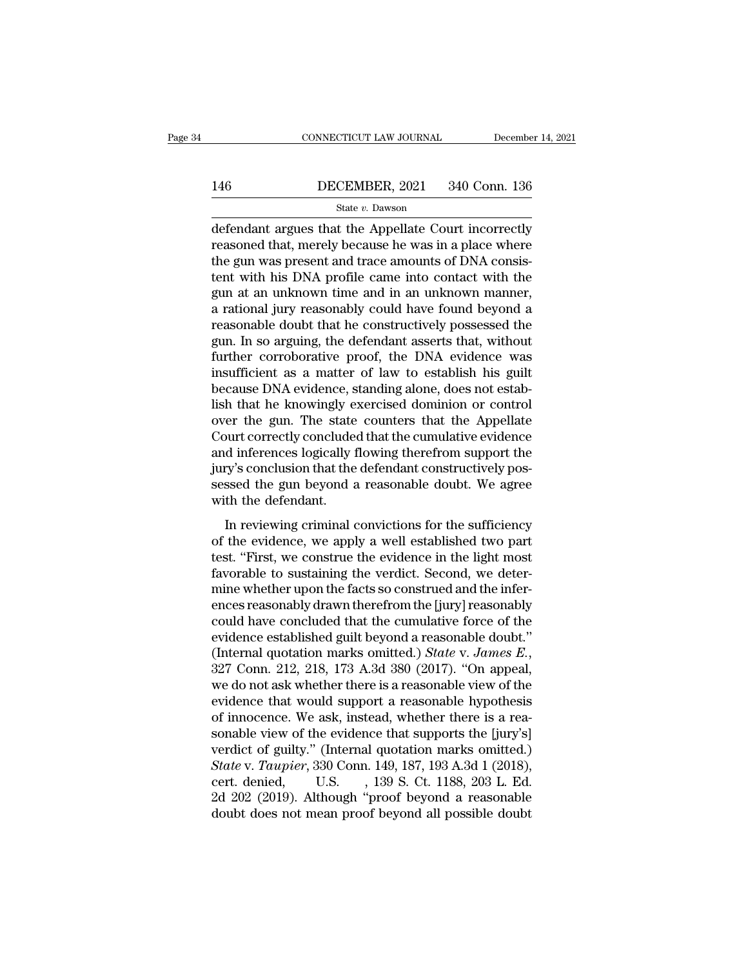# EXECUTE CONNECTICUT LAW JOURNAL December 14, 2021<br>146 DECEMBER, 2021 340 Conn. 136<br>State v. Dawson

### State *v.* Dawson

 $\begin{tabular}{ll} \multicolumn{1}{l}{{\small \textbf{COMPECTICUT LAW JOURNAL}}} & \multicolumn{1}{l}{\small \textbf{December 14, 2021}}\\ \hline & \multicolumn{1}{l}{\small \textbf{BECEMBER, 2021}} & \multicolumn{1}{l}{\small \textbf{340 Conn. 136}}\\ & \multicolumn{1}{l}{\small \textbf{State $v$. Dawson}}\\ \hline & \multicolumn{1}{l}{\small \textbf{defendant argues that the Appellate Court incorrectly} }\\ \hline \textbf{reasonable that, merely because he was in a place where} \\ \hline \end{tabular}$ 146 DECEMBER, 2021 340 Conn. 136<br>
State v. Dawson<br>
defendant argues that the Appellate Court incorrectly<br>
reasoned that, merely because he was in a place where<br>
the gun was present and trace amounts of DNA consis-<br>
tort wi 146 DECEMBER, 2021 340 Conn. 136<br>
State v. Dawson<br>
defendant argues that the Appellate Court incorrectly<br>
reasoned that, merely because he was in a place where<br>
the gun was present and trace amounts of DNA consis-<br>
tent w 146 DECEMBER, 2021 340 Conn. 136<br>
State v. Dawson<br>
defendant argues that the Appellate Court incorrectly<br>
reasoned that, merely because he was in a place where<br>
the gun was present and trace amounts of DNA consis-<br>
tent w  $\begin{array}{l} \hline \text{State } v. \text{ Dawson} \end{array}$  defendant argues that the Appellate Court incorrectly reasoned that, merely because he was in a place where the gun was present and trace amounts of DNA consistent with his DNA profile came state v. Dawson<br>defendant argues that the Appellate Court incorrectly<br>reasoned that, merely because he was in a place where<br>the gun was present and trace amounts of DNA consis-<br>tent with his DNA profile came into contact defendant argues that the Appellate Court incorrectly<br>reasoned that, merely because he was in a place where<br>the gun was present and trace amounts of DNA consis-<br>tent with his DNA profile came into contact with the<br>gun at a reasoned that, merely because he was in a place where<br>the gun was present and trace amounts of DNA consis-<br>tent with his DNA profile came into contact with the<br>gun at an unknown time and in an unknown manner,<br>a rational ju the gun was present and trace amounts of DNA consistent with his DNA profile came into contact with the gun at an unknown time and in an unknown manner, a rational jury reasonably could have found beyond a reasonable doubt tent with his DNA profile came into contact with the<br>gun at an unknown time and in an unknown manner,<br>a rational jury reasonably could have found beyond a<br>reasonable doubt that he constructively possessed the<br>gun. In so ar gun at an unknown time and in an unknown manner,<br>a rational jury reasonably could have found beyond a<br>reasonable doubt that he constructively possessed the<br>gun. In so arguing, the defendant asserts that, without<br>further co a rational jury reasonably could have found beyond a<br>reasonable doubt that he constructively possessed the<br>gun. In so arguing, the defendant asserts that, without<br>further corroborative proof, the DNA evidence was<br>insuffici reasonable doubt that he constructively possessed the<br>gun. In so arguing, the defendant asserts that, without<br>further corroborative proof, the DNA evidence was<br>insufficient as a matter of law to establish his guilt<br>because gun. In so arguing, the defendant asserts that, without<br>further corroborative proof, the DNA evidence was<br>insufficient as a matter of law to establish his guilt<br>because DNA evidence, standing alone, does not estab-<br>lish th further corroborative proof, the DNA evidence was<br>insufficient as a matter of law to establish his guilt<br>because DNA evidence, standing alone, does not estab-<br>lish that he knowingly exercised dominion or control<br>over the g insufficient as a matter of law to establish his guilt<br>because DNA evidence, standing alone, does not estab-<br>lish that he knowingly exercised dominion or control<br>over the gun. The state counters that the Appellate<br>Court co because DNA evidence, standing alone, does not establish that he knowingly exercised dominion or control<br>over the gun. The state counters that the Appellate<br>Court correctly concluded that the cumulative evidence<br>and infere lish that he knowingly e<br>over the gun. The state<br>Court correctly conclude<br>and inferences logically 1<br>jury's conclusion that the<br>sessed the gun beyond a<br>with the defendant.<br>In reviewing criminal of In the state counters and the rippendice<br>ourt correctly concluded that the cumulative evidence<br>d inferences logically flowing therefrom support the<br>ry's conclusion that the defendant constructively pos-<br>ssed the gun beyond sourcestically concluded that the calibrative evidence<br>and inferences logically flowing therefrom support the<br>jury's conclusion that the defendant constructively pos-<br>sessed the gun beyond a reasonable doubt. We agree<br>with

the meridian method is a signally in the defendant constructively possessed the gun beyond a reasonable doubt. We agree with the defendant.<br>
In reviewing criminal convictions for the sufficiency of the evidence, we apply a favorable to gun beyond a reasonable doubt. We agree<br>with the defendant.<br>In reviewing criminal convictions for the sufficiency<br>of the evidence, we apply a well established two part<br>test. "First, we construe the evidence in mind the defendant.<br>In reviewing criminal convictions for the sufficiency<br>of the evidence, we apply a well established two part<br>test. "First, we construe the evidence in the light most<br>favorable to sustaining the verdict. In reviewing criminal convictions for the sufficiency<br>of the evidence, we apply a well established two part<br>test. "First, we construe the evidence in the light most<br>favorable to sustaining the verdict. Second, we deter-<br>mi In reviewing criminal convictions for the sufficiency<br>of the evidence, we apply a well established two part<br>test. "First, we construe the evidence in the light most<br>favorable to sustaining the verdict. Second, we deter-<br>m of the evidence, we apply a well established two part<br>test. "First, we construe the evidence in the light most<br>favorable to sustaining the verdict. Second, we deter-<br>mine whether upon the facts so construed and the infertest. "First, we construe the evidence in the light most<br>favorable to sustaining the verdict. Second, we deter-<br>mine whether upon the facts so construed and the infer-<br>ences reasonably drawn therefrom the [jury] reasonably mine whether upon the facts so construed and the infer-<br>ences reasonably drawn therefrom the [jury] reasonably<br>could have concluded that the cumulative force of the<br>evidence established guilt beyond a reasonable doubt."<br>(I ences reasonably drawn therefrom the [jury] reasonably<br>could have concluded that the cumulative force of the<br>evidence established guilt beyond a reasonable doubt."<br>(Internal quotation marks omitted.) *State* v. *James E.* could have concluded that the cumulative force of the evidence established guilt beyond a reasonable doubt."<br>(Internal quotation marks omitted.) *State v. James E.*, 327 Conn. 212, 218, 173 A.3d 380 (2017). "On appeal, we evidence established guilt beyond a reasonable doubt."<br>(Internal quotation marks omitted.) *State* v. *James E.*,<br>327 Conn. 212, 218, 173 A.3d 380 (2017). "On appeal,<br>we do not ask whether there is a reasonable view of th (Internal quotation marks omitted.) *State v. James E.*, 327 Conn. 212, 218, 173 A.3d 380 (2017). "On appeal, we do not ask whether there is a reasonable view of the evidence that would support a reasonable hypothesis of 327 Conn. 212, 218, 173 A.3d 380 (2017). "On appeal,<br>we do not ask whether there is a reasonable view of the<br>evidence that would support a reasonable hypothesis<br>of innocence. We ask, instead, whether there is a rea-<br>sonabl we do not ask whether there is a reasonable view of the<br>evidence that would support a reasonable hypothesis<br>of innocence. We ask, instead, whether there is a rea-<br>sonable view of the evidence that supports the [jury's]<br>ver evidence that would support a reasonable hypothesis<br>of innocence. We ask, instead, whether there is a rea-<br>sonable view of the evidence that supports the [jury's]<br>verdict of guilty." (Internal quotation marks omitted.)<br>Sta of innocence. We ask, instead, whether there is a reasonable view of the evidence that supports the [jury's] verdict of guilty." (Internal quotation marks omitted.)<br>State v. Taupier, 330 Conn. 149, 187, 193 A.3d 1 (2018),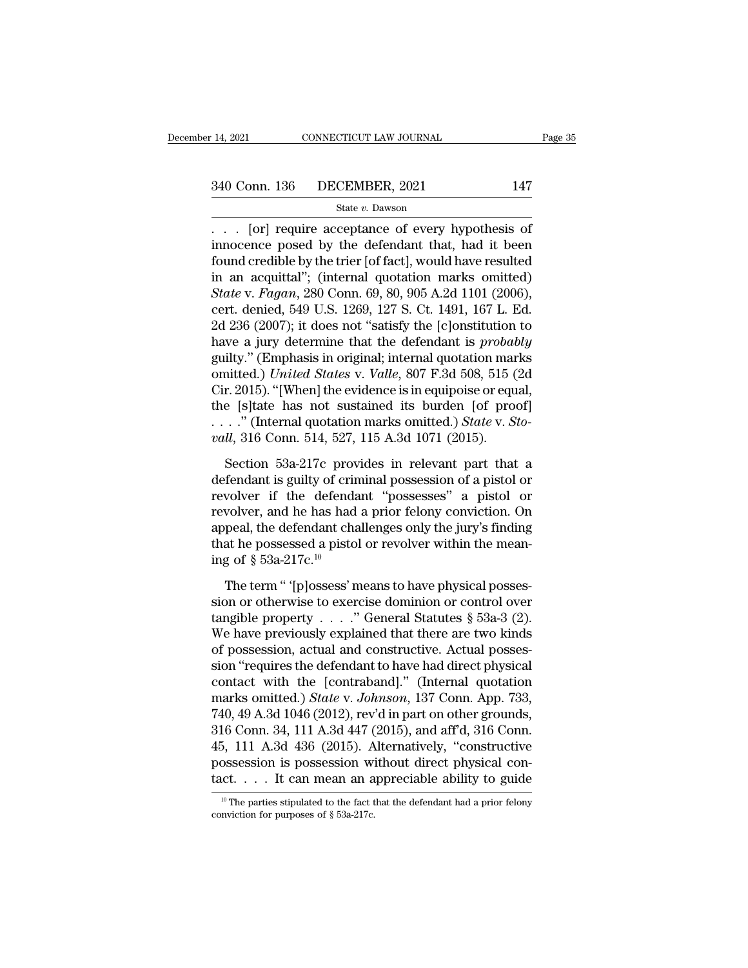# 14, 2021 CONNECTICUT LAW JOURNAL Page 35<br>340 Conn. 136 DECEMBER, 2021 147<br>State v. Dawson

### State *v.* Dawson

<sup>14, 2021</sup> CONNECTICUT LAW JOURNAL Page 3<br>
340 Conn. 136 DECEMBER, 2021 147<br>
<sup>340</sup> State *v*. Dawson<br>
. . . [or] require acceptance of every hypothesis of innocence posed by the defendant that, had it been<br>
found are dible 340 Conn. 136 DECEMBER, 2021 147<br>
State v. Dawson<br>
. . . [or] require acceptance of every hypothesis of<br>
innocence posed by the defendant that, had it been<br>
found credible by the trier [of fact], would have resulted<br>
in a 340 Conn. 136 DECEMBER, 2021 147<br>
State v. Dawson<br>
. . . [or] require acceptance of every hypothesis of<br>
innocence posed by the defendant that, had it been<br>
found credible by the trier [of fact], would have resulted<br>
in a 340 Conn. 136 DECEMBER, 2021 147<br>
State v. Dawson<br>
... [or] require acceptance of every hypothesis of<br>
innocence posed by the defendant that, had it been<br>
found credible by the trier [of fact], would have resulted<br>
in an *State v. Dawson*<br> *State v. Dawson*<br> *State v. Dawson*<br>
innocence posed by the defendant that, had it been<br>
found credible by the trier [of fact], would have resulted<br>
in an acquittal"; (internal quotation marks omitted)<br> siale v. bawson<br>
... [or] require acceptance of every hypothesis of<br>
innocence posed by the defendant that, had it been<br>
found credible by the trier [of fact], would have resulted<br>
in an acquittal"; (internal quotation ma 2011 . . . . [or] require acceptance of every hypothesis of<br>innocence posed by the defendant that, had it been<br>found credible by the trier [of fact], would have resulted<br>in an acquittal"; (internal quotation marks omitted innocence posed by the defendant that, had it been<br>found credible by the trier [of fact], would have resulted<br>in an acquittal"; (internal quotation marks omitted)<br>*State* v. *Fagan*, 280 Conn. 69, 80, 905 A.2d 1101 (2006) found credible by the trier [of fact], would have resulted<br>in an acquittal"; (internal quotation marks omitted)<br>State v. Fagan, 280 Conn. 69, 80, 905 A.2d 1101 (2006),<br>cert. denied, 549 U.S. 1269, 127 S. Ct. 1491, 167 L. in an acquittal"; (internal quotation marks omitted)<br> *State* v. *Fagan*, 280 Conn. 69, 80, 905 A.2d 1101 (2006),<br>
cert. denied, 549 U.S. 1269, 127 S. Ct. 1491, 167 L. Ed.<br>
2d 236 (2007); it does not "satisfy the [c]onstit State v. Fagan, 280 Conn. 69, 80, 905 A.2d 1101 (2006),<br>cert. denied, 549 U.S. 1269, 127 S. Ct. 1491, 167 L. Ed.<br>2d 236 (2007); it does not "satisfy the [c]onstitution to<br>have a jury determine that the defendant is *proba* cert. denied, 549 U.S. 1269, 127 S. Ct. 1491, 167 L. Ed.<br>2d 236 (2007); it does not "satisfy the [c]onstitution to<br>have a jury determine that the defendant is *probably*<br>guilty." (Emphasis in original; internal quotation 2d 236 (2007); it does not "satisfy the [c]onstitution to<br>have a jury determine that the defendant is *probably*<br>guilty." (Emphasis in original; internal quotation marks<br>omitted.) *United States* v. *Valle*, 807 F.3d 508, have a jury determine that the defendant is *probably* guilty." (Emphasis in original; internal quotation marks omitted.) *United States v. Valle*, 807 F.3d 508, 515 (2d Cir. 2015). "[When] the evidence is in equipoise or Section 53a-217c provides in relevant part that a fendant is guilty of criminal possession of a pistol or wellow if the defendant "possession of a pistol or wellow if the defendant "possession of a pistol or welver if the Cir. 2015). "[When] the evidence is in equipoise or equal,<br>the [s]tate has not sustained its burden [of proof]<br>...." (Internal quotation marks omitted.) *State v. Sto-<br>vall*, 316 Conn. 514, 527, 115 A.3d 1071 (2015).<br>Sect

the [s]tate has not sustained its burden [of proof]<br>
...." (Internal quotation marks omitted.) *State v. Sto-*<br> *vall*, 316 Conn. 514, 527, 115 A.3d 1071 (2015).<br>
Section 53a-217c provides in relevant part that a<br>
defenda revolver and interestigation marks omitted.) State v. Sto-<br>vall, 316 Conn. 514, 527, 115 A.3d 1071 (2015).<br>Section 53a-217c provides in relevant part that a<br>defendant is guilty of criminal possession of a pistol or<br>revolv *vall*, 316 Conn. 514, 527, 115 A.3d 1071 (2015).<br>Section 53a-217c provides in relevant part that a defendant is guilty of criminal possession of a pistol or revolver if the defendant "possesses" a pistol or revolver, and Section 53a-217c provides in relevant part that a defendant is guilty of criminal possession of a pistol or revolver if the defendant "possesses" a pistol or revolver, and he has had a prior felony conviction. On appeal, Section 53a-217c prov<br>defendant is guilty of crin<br>revolver if the defenda<br>revolver, and he has had<br>appeal, the defendant cha<br>that he possessed a pisto<br>ing of § 53a-217c.<sup>10</sup><br>The term " '[p]ossess' n volver if the defendant "possesses" a pistol or volver, and he has had a prior felony conviction. On peal, the defendant challenges only the jury's finding at he possessed a pistol or revolver within the mean-<br>g of  $\S$  53 revolver, and he has had a prior felony conviction. On<br>appeal, the defendant challenges only the jury's finding<br>that he possessed a pistol or revolver within the mean-<br>ing of § 53a-217c.<sup>10</sup><br>The term " '[p]ossess' means t

Expecting that the defendant challenges only the jury's finding<br>that he possessed a pistol or revolver within the mean-<br>ing of  $\S$  53a-217c.<sup>10</sup><br>The term " '[p]ossess' means to have physical posses-<br>sion or otherwise to e The processed a pistol or revolver within the mean-<br>ing of § 53a-217c.<sup>10</sup><br>The term " '[p]ossess' means to have physical posses-<br>sion or otherwise to exercise dominion or control over<br>tangible property . . . . " General S ing of  $\S$  53a-217c.<sup>10</sup><br>The term " '[p]ossess' means to have physical possession or otherwise to exercise dominion or control over<br>tangible property . . . . " General Statutes  $\S$  53a-3 (2).<br>We have previously explained The term " '[p]ossess' means to have physical possession or otherwise to exercise dominion or control over tangible property  $\ldots$  ." General Statutes § 53a-3 (2).<br>We have previously explained that there are two kinds of The term " '[p]ossess' means to have physical posses-<br>sion or otherwise to exercise dominion or control over<br>tangible property . . . . " General Statutes § 53a-3 (2).<br>We have previously explained that there are two kinds<br> sion or otherwise to exercise dominion or control over<br>tangible property  $\ldots$ ." General Statutes § 53a-3 (2).<br>We have previously explained that there are two kinds<br>of possession, actual and constructive. Actual posses-<br>s tangible property  $\ldots$  " General Statutes § 53a-3 (2).<br>We have previously explained that there are two kinds<br>of possession, actual and constructive. Actual posses-<br>sion "requires the defendant to have had direct physical We have previously explained that there are two kinds<br>of possession, actual and constructive. Actual posses-<br>sion "requires the defendant to have had direct physical<br>contact with the [contraband]." (Internal quotation<br>mark of possession, actual and constructive. Actual posses-<br>sion "requires the defendant to have had direct physical<br>contact with the [contraband]." (Internal quotation<br>marks omitted.) *State v. Johnson*, 137 Conn. App. 733,<br>74 sion "requires the defendant to have had direct physical contact with the [contraband]." (Internal quotation marks omitted.) *State* v. *Johnson*, 137 Conn. App. 733, 740, 49 A.3d 1046 (2012), rev'd in part on other groun contact with the [contraband]." (Internal quotation<br>marks omitted.) *State* v. *Johnson*, 137 Conn. App. 733,<br>740, 49 A.3d 1046 (2012), rev'd in part on other grounds,<br>316 Conn. 34, 111 A.3d 447 (2015), and aff'd, 316 Con 316 Conn. 34, 111 A.3d 447 (2015), and aff<sup>7</sup>d, 316 Conn. 45, 111 A.3d 436 (2015). Alternatively, "constructive possession is possession without direct physical contact. . . . It can mean an appreciable ability to guide  $\text{tact.} \ldots$  It can mean an appreciable ability to guide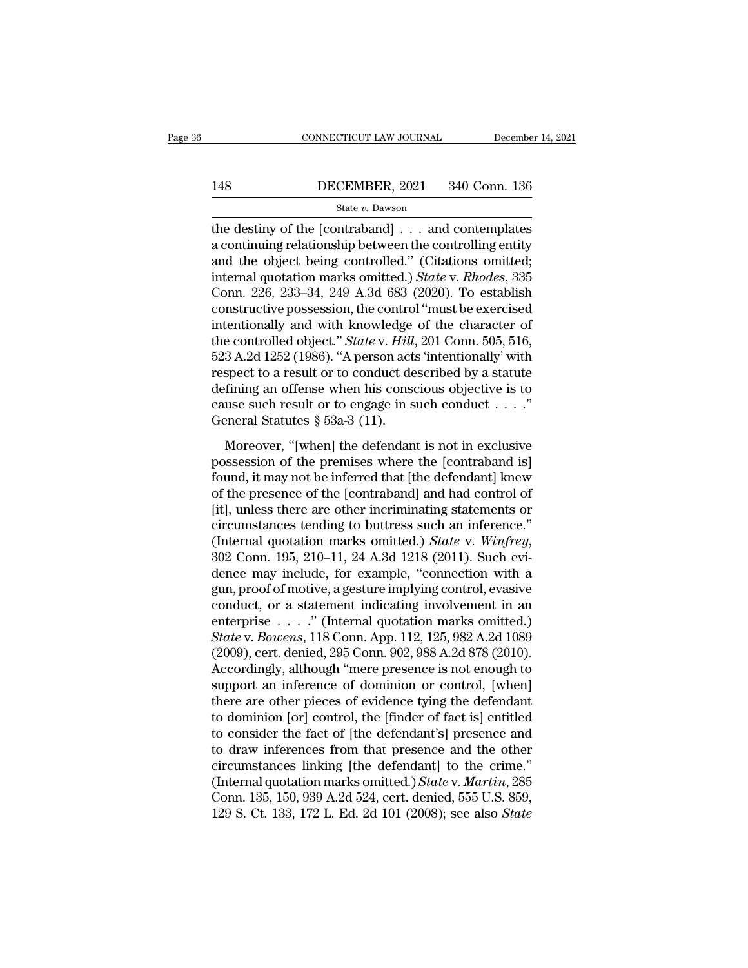# EXECUTE CONNECTICUT LAW JOURNAL December 14, 2021<br>148 DECEMBER, 2021 340 Conn. 136<br>State v. Dawson

### State *v.* Dawson

CONNECTICUT LAW JOURNAL December 14, 2021<br>
148 DECEMBER, 2021 340 Conn. 136<br>
5tate v. Dawson<br>
the destiny of the [contraband] . . . and contemplates<br>
a continuing relationship between the controlling entity<br>
and the object 148 DECEMBER, 2021 340 Conn. 136<br>
State v. Dawson<br>
the destiny of the [contraband] . . . and contemplates<br>
a continuing relationship between the controlling entity<br>
and the object being controlled." (Citations omitted;<br>
in 148 DECEMBER, 2021 340 Conn. 136<br>
state v. Dawson<br>
the destiny of the [contraband] . . . and contemplates<br>
a continuing relationship between the controlling entity<br>
and the object being controlled.'' (Citations omitted;<br> IMPLET 188 DECEMBER, 2021 340 Conn. 136<br>
State *v*. Dawson<br>
the destiny of the [contraband] . . . and contemplates<br>
a continuing relationship between the controlling entity<br>
and the object being controlled." (Citations omi State v. Dawson<br>
State v. Dawson<br>
the destiny of the [contraband] . . . and contemplates<br>
a continuing relationship between the controlling entity<br>
and the object being controlled." (Citations omitted;<br>
internal quotation state *v*. Dawson<br>the destiny of the [contraband] . . . and contemplates<br>a continuing relationship between the controlling entity<br>and the object being controlled." (Citations omitted;<br>internal quotation marks omitted.) *S* the destiny of the [contraband]  $\dots$  and contemplates<br>a continuing relationship between the controlling entity<br>and the object being controlled." (Citations omitted;<br>internal quotation marks omitted.) *State* v. *Rhodes*, a continuing relationship between the controlling entity<br>and the object being controlled." (Citations omitted;<br>internal quotation marks omitted.) *State* v. *Rhodes*, 335<br>Conn. 226, 233–34, 249 A.3d 683 (2020). To establis and the object being controlled." (Citations omitted;<br>internal quotation marks omitted.) *State* v. *Rhodes*, 335<br>Conn. 226, 233–34, 249 A.3d 683 (2020). To establish<br>constructive possession, the control "must be exercised internal quotation marks omitted.) *State* v. *Rhodes*, 335<br>Conn. 226, 233–34, 249 A.3d 683 (2020). To establish<br>constructive possession, the control "must be exercised<br>intentionally and with knowledge of the character of<br> Conn. 226, 233–34, 249 A.3d 683 (2020). To establish<br>constructive possession, the control "must be exercised<br>intentionally and with knowledge of the character of<br>the controlled object." *State* v. *Hill*, 201 Conn. 505, 5 constructive possession, the control "must be exercised<br>intentionally and with knowledge of the character of<br>the controlled object." *State* v. *Hill*, 201 Conn. 505, 516,<br>523 A.2d 1252 (1986). "A person acts 'intentional intentionally and with knowledge<br>the controlled object." *State* v. *Hill*,<br>523 A.2d 1252 (1986). "A person act<br>respect to a result or to conduct de<br>defining an offense when his conse<br>cause such result or to engage in s<br>G 3 A.2d 1252 (1986). "A person acts 'intentionally' with<br>spect to a result or to conduct described by a statute<br>fining an offense when his conscious objective is to<br>use such result or to engage in such conduct . . . ."<br>ene possible the present described by a statute<br>defining an offense when his conscious objective is to<br>cause such result or to engage in such conduct  $\dots$ ."<br>General Statutes § 53a-3 (11).<br>Moreover, "[when] the defendant is no

for the defining an offense when his conscious objective is to<br>defining an offense when his conscious objective is to<br>cause such result or to engage in such conduct . . . ."<br>General Statutes § 53a-3 (11).<br>Moreover, "[when cause such result or to engage in such conduct  $\dots$ ."<br>General Statutes § 53a-3 (11).<br>Moreover, "[when] the defendant is not in exclusive<br>possession of the premises where the [contraband is]<br>found, it may not be inferred t General Statutes § 53a-3 (11).<br>
Moreover, "[when] the defendant is not in exclusive<br>
possession of the premises where the [contraband is]<br>
found, it may not be inferred that [the defendant] knew<br>
of the presence of the [c Moreover, "[when] the defendant is not in exclusive<br>possession of the premises where the [contraband is]<br>found, it may not be inferred that [the defendant] knew<br>of the presence of the [contraband] and had control of<br>[it], Moreover, "[when] the defendant is not in exclusive<br>possession of the premises where the [contraband is]<br>found, it may not be inferred that [the defendant] knew<br>of the presence of the [contraband] and had control of<br>[it], found, it may not be inferred that [the defendant] knew<br>of the presence of the [contraband] and had control of<br>[it], unless there are other incriminating statements or<br>circumstances tending to buttress such an inference." of the presence of the [contraband] and had control of [it], unless there are other incriminating statements or circumstances tending to buttress such an inference."<br>(Internal quotation marks omitted.) *State* v. *Winfrey* [it], unless there are other incriminating statements or<br>circumstances tending to buttress such an inference."<br>(Internal quotation marks omitted.) *State* v. *Winfrey*,<br>302 Conn. 195, 210–11, 24 A.3d 1218 (2011). Such evi circumstances tending to buttress such an inference."<br>(Internal quotation marks omitted.) *State* v. *Winfrey*,<br>302 Conn. 195, 210–11, 24 A.3d 1218 (2011). Such evi-<br>dence may include, for example, "connection with a<br>gun, (Internal quotation marks omitted.) *State* v. *Winfrey*, 302 Conn. 195, 210–11, 24 A.3d 1218 (2011). Such evidence may include, for example, "connection with a gun, proof of motive, a gesture implying control, evasive con 302 Conn. 195, 210–11, 24 A.3d 1218 (2011). Such evidence may include, for example, "connection with a gun, proof of motive, a gesture implying control, evasive conduct, or a statement indicating involvement in an enterpri dence may include, for example, "connection with a<br>gun, proof of motive, a gesture implying control, evasive<br>conduct, or a statement indicating involvement in an<br>enterprise  $\ldots$ ." (Internal quotation marks omitted.)<br> $State$  gun, proof of motive, a gesture implying control, evasive<br>conduct, or a statement indicating involvement in an<br>enterprise . . . . " (Internal quotation marks omitted.)<br>State v. Bowens, 118 Conn. App. 112, 125, 982 A.2d 108 conduct, or a statement indicating involvement in an enterprise  $\ldots$ ." (Internal quotation marks omitted.)<br> *State* v. *Bowens*, 118 Conn. App. 112, 125, 982 A.2d 1089 (2009), cert. denied, 295 Conn. 902, 988 A.2d 878 (2 enterprise . . . ." (Internal quotation marks omitted.)<br> *State* v. *Bowens*, 118 Conn. App. 112, 125, 982 A.2d 1089<br>
(2009), cert. denied, 295 Conn. 902, 988 A.2d 878 (2010).<br>
Accordingly, although "mere presence is not e State v. Bowens, 118 Conn. App. 112, 125, 982 A.2d 1089<br>(2009), cert. denied, 295 Conn. 902, 988 A.2d 878 (2010).<br>Accordingly, although "mere presence is not enough to<br>support an inference of dominion or control, [when]<br>th (2009), cert. denied, 295 Conn. 902, 988 A.2d 878 (2010).<br>Accordingly, although "mere presence is not enough to<br>support an inference of dominion or control, [when]<br>there are other pieces of evidence tying the defendant<br>to Accordingly, although "mere presence is not enough to<br>support an inference of dominion or control, [when]<br>there are other pieces of evidence tying the defendant<br>to dominion [or] control, the [finder of fact is] entitled<br>t support an inference of dominion or control, [when]<br>there are other pieces of evidence tying the defendant<br>to dominion [or] control, the [finder of fact is] entitled<br>to consider the fact of [the defendant's] presence and<br>t there are other pieces of evidence tying the defendant<br>to dominion [or] control, the [finder of fact is] entitled<br>to consider the fact of [the defendant's] presence and<br>to draw inferences from that presence and the other<br>c to dominion [or] control, the [finder of fact is] entitled<br>to consider the fact of [the defendant's] presence and<br>to draw inferences from that presence and the other<br>circumstances linking [the defendant] to the crime."<br>(In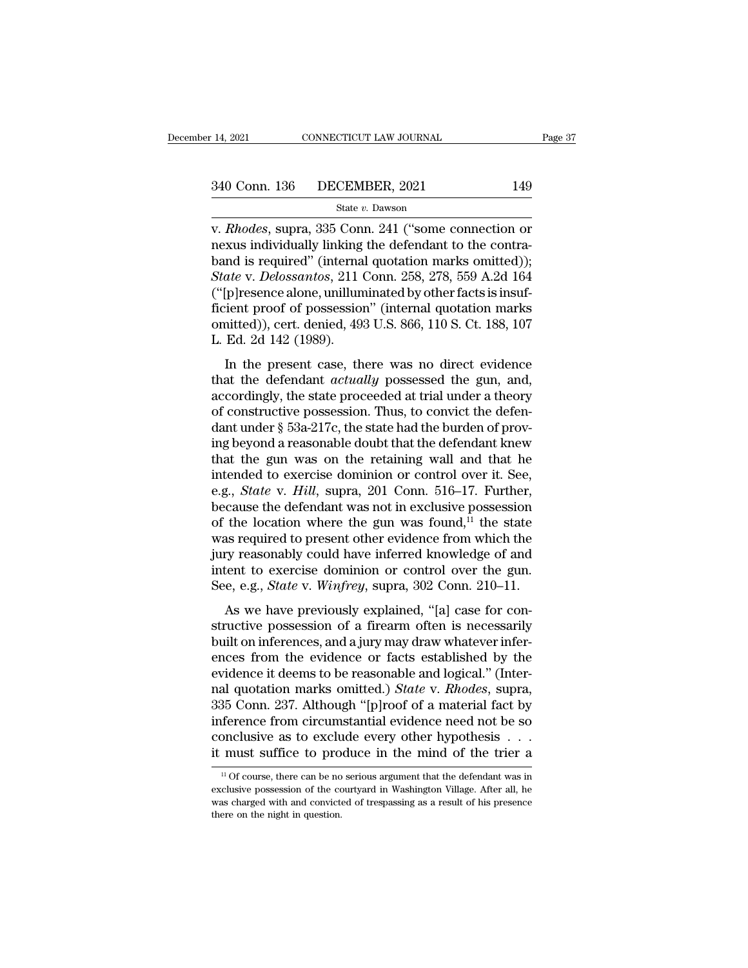### State *v.* Dawson

v. 14, 2021 CONNECTICUT LAW JOURNAL Page 37<br>
340 Conn. 136 DECEMBER, 2021 149<br>
State v. Dawson<br>
v. *Rhodes*, supra, 335 Conn. 241 ("some connection or<br>
nexus individually linking the defendant to the contra-<br>
hand is requi 340 Conn. 136 DECEMBER, 2021 149<br>
State v. Dawson<br>
v. *Rhodes*, supra, 335 Conn. 241 ("some connection or<br>
nexus individually linking the defendant to the contra-<br>
band is required" (internal quotation marks omitted));<br>
S 340 Conn. 136 DECEMBER, 2021 149<br>
State v. Dawson<br>
v. *Rhodes*, supra, 335 Conn. 241 ("some connection or<br>
nexus individually linking the defendant to the contra-<br>
band is required" (internal quotation marks omitted));<br> *State v. Dawson*<br> *State v. Dawson*<br> *State v. Dawson*<br> *State v. Dawson*<br> *States*, supra, 335 Conn. 241 ("some connection or<br>
nexus individually linking the defendant to the contra-<br>
band is required" (internal quotatio State v. Dawson<br>
(State v. Dawson<br>
(V. *Rhodes*, supra, 335 Conn. 241 ("some connection or<br>
nexus individually linking the defendant to the contra-<br>
band is required" (internal quotation marks omitted));<br> *State v. Deloss* state v. Dawson<br>
v. *Rhodes*, supra, 335 Conn. 241 ("some connection or<br>
nexus individually linking the defendant to the contra-<br>
band is required" (internal quotation marks omitted));<br> *State* v. *Delossantos*, 211 Conn. v. *Rhodes*, supra, 335 Conn. 241 ("some connection or<br>nexus individually linking the defendant to the contra-<br>band is required" (internal quotation marks omitted));<br>*State* v. *Delossantos*, 211 Conn. 258, 278, 559 A.2d 1 nexus individually linking<br>band is required" (interna<br>*State* v. *Delossantos*, 211 ("[p]resence alone, unillum<br>ficient proof of possession<br>omitted)), cert. denied, 49<br>L. Ed. 2d 142 (1989).<br>In the present case, th ate v. Delossantos, 211 Conn. 258, 278, 559 A.2d 164<br>
[p]resence alone, unilluminated by other facts is insuf-<br>
ient proof of possession" (internal quotation marks<br>
intted)), cert. denied, 493 U.S. 866, 110 S. Ct. 188, 107 that the defendant *actually* possessed the gun, and,<br>accordingly possession. The presenting of the guide of the present case, there was no direct evidence<br>that the present case, there was no direct evidence<br>that the defen

(Eppeschee alone, diminimated by other lacts is finsu-<br>ficient proof of possession" (internal quotation marks<br>omitted)), cert. denied, 493 U.S. 866, 110 S. Ct. 188, 107<br>L. Ed. 2d 142 (1989).<br>In the present case, there was netent proof of possession (internal quotation marks<br>omitted)), cert. denied, 493 U.S. 866, 110 S. Ct. 188, 107<br>L. Ed. 2d 142 (1989).<br>In the present case, there was no direct evidence<br>that the defendant *actually* possesse L. Ed. 2d 142 (1989).<br>
L. Ed. 2d 142 (1989).<br>
In the present case, there was no direct evidence<br>
that the defendant *actually* possessed the gun, and,<br>
accordingly, the state proceeded at trial under a theory<br>
of construc In the present case, there was no direct evidence<br>that the defendant *actually* possessed the gun, and,<br>accordingly, the state proceeded at trial under a theory<br>of constructive possession. Thus, to convict the defen-<br>dant In the present case, there was no direct evidence<br>that the defendant *actually* possessed the gun, and,<br>accordingly, the state proceeded at trial under a theory<br>of constructive possession. Thus, to convict the defen-<br>dant that the defendant *actually* possessed the gun, and,<br>accordingly, the state proceeded at trial under a theory<br>of constructive possession. Thus, to convict the defen-<br>dant under  $\S$  53a-217c, the state had the burden of p accordingly, the state proceeded at trial under a theory<br>of constructive possession. Thus, to convict the defen-<br>dant under § 53a-217c, the state had the burden of prov-<br>ing beyond a reasonable doubt that the defendant kne of constructive possession. Thus, to convict the defendant under  $\S$  53a-217c, the state had the burden of proving beyond a reasonable doubt that the defendant knew that the gun was on the retaining wall and that he inten dant under § 53a-217c, the state had the burden of proving beyond a reasonable doubt that the defendant knew<br>that the gun was on the retaining wall and that he<br>intended to exercise dominion or control over it. See,<br>e.g., ing beyond a reasonable doubt that the defendant knew<br>that the gun was on the retaining wall and that he<br>intended to exercise dominion or control over it. See,<br>e.g., *State* v. Hill, supra, 201 Conn. 516–17. Further,<br>becau that the gun was on the retaining wall and that he<br>intended to exercise dominion or control over it. See,<br>e.g., *State* v. *Hill*, supra, 201 Conn. 516–17. Further,<br>because the defendant was not in exclusive possession<br>of intended to exercise dominion or control over it. See,<br>e.g., *State* v. *Hill*, supra, 201 Conn. 516–17. Further,<br>because the defendant was not in exclusive possession<br>of the location where the gun was found,<sup>11</sup> the stat e.g., *State* v. *Hill*, supra, 201 Conn. 516–17. Further,<br>because the defendant was not in exclusive possession<br>of the location where the gun was found,<sup>11</sup> the state<br>was required to present other evidence from which the<br> the location where the gun was found,<sup>11</sup> the state<br>as required to present other evidence from which the<br>ry reasonably could have inferred knowledge of and<br>tent to exercise dominion or control over the gun.<br>e, e.g., *Stat* of the focation where the gun was found, the state<br>was required to present other evidence from which the<br>jury reasonably could have inferred knowledge of and<br>intent to exercise dominion or control over the gun.<br>See, e.g.,

was required to present office roller evidence from which the<br>jury reasonably could have inferred knowledge of and<br>intent to exercise dominion or control over the gun.<br>See, e.g., *State* v. *Winfrey*, supra, 302 Conn. 210– intent to exercise dominion or control over the gun.<br>See, e.g., *State* v. *Winfrey*, supra, 302 Conn. 210–11.<br>As we have previously explained, "[a] case for con-<br>structive possession of a firearm often is necessarily<br>buil See, e.g., *State* v. *Winfrey*, supra, 302 Conn. 210–11.<br>See, e.g., *State* v. *Winfrey*, supra, 302 Conn. 210–11.<br>As we have previously explained, "[a] case for constructive possession of a firearm often is necessarily<br>b nal quotation marks omitted.) *State* v. *Rhodes*, supra, supra, supra, supra, supra, supra, the constructive possession of a firearm often is necessarily built on inferences, and a jury may draw whatever inferences from t As we have previously explained, "[a] case for constructive possession of a firearm often is necessarily<br>built on inferences, and a jury may draw whatever infer-<br>ences from the evidence or facts established by the<br>evidence structive possession of a firearm often is necessarily<br>built on inferences, and a jury may draw whatever infer-<br>ences from the evidence or facts established by the<br>evidence it deems to be reasonable and logical." (Inter-<br>n built on inferences, and a jury may draw whatever inferences from the evidence or facts established by the evidence it deems to be reasonable and logical." (Internal quotation marks omitted.) *State* v. *Rhodes*, supra, 3 ences from the evidence or facts established by the evidence it deems to be reasonable and logical." (Internal quotation marks omitted.) *State* v. *Rhodes*, supra, 335 Conn. 237. Although "[p]roof of a material fact by i 35 Conn. 237. Although "[p]roof of a material fact by<br>ference from circumstantial evidence need not be so<br>onclusive as to exclude every other hypothesis . . .<br>must suffice to produce in the mind of the trier a<br> $\frac{11}{10}$ inference from circumstantial evidence need not be so<br>conclusive as to exclude every other hypothesis  $\ldots$ <br>it must suffice to produce in the mind of the trier a<br> $\frac{1}{10}$  of course, there can be no serious argument that

conclusive as to exclude every other hypothesis . . . it must suffice to produce in the mind of the trier a  $\frac{10}{10}$  of course, there can be no serious argument that the defendant was in exclusive possession of the cou it must suffice to pro<br> $\frac{11}{10}$  of course, there can be not<br>exclusive possession of the cc<br>was charged with and convicte<br>there on the night in question.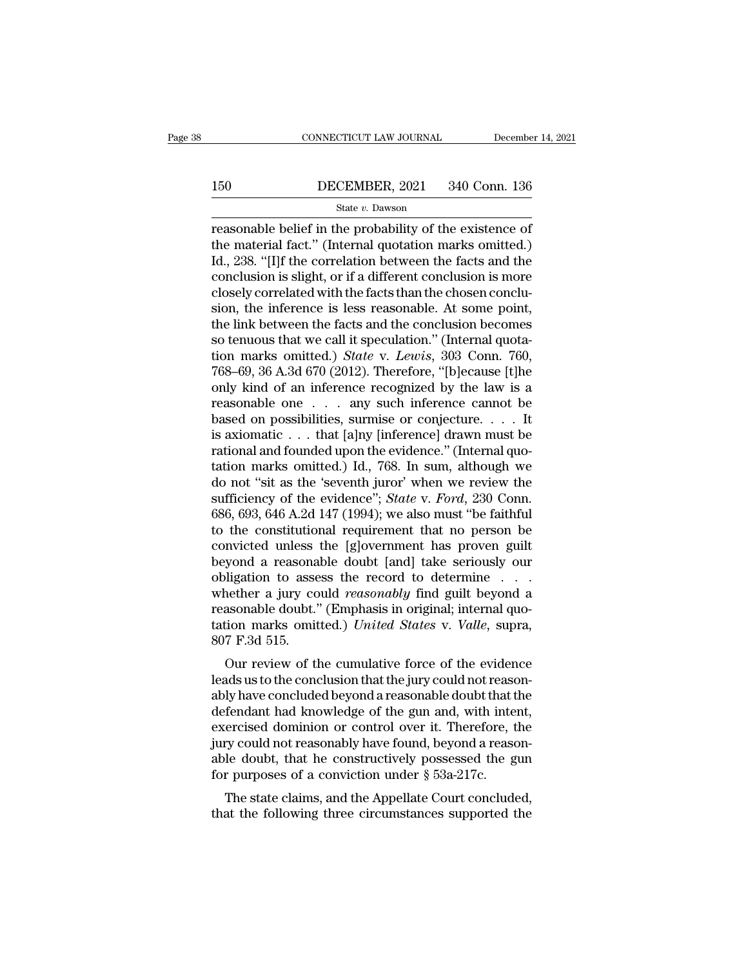# CONNECTICUT LAW JOURNAL December 14, 2021<br>150 DECEMBER, 2021 340 Conn. 136<br>State v. Dawson

### State *v.* Dawson

CONNECTICUT LAW JOURNAL December 14, 202<br>
150 DECEMBER, 2021 340 Conn. 136<br>
State v. Dawson<br>
Treasonable belief in the probability of the existence of<br>
the material fact." (Internal quotation marks omitted.)<br>
14, 228, "Ill 150 DECEMBER, 2021 340 Conn. 136<br>
State v. Dawson<br>
Teasonable belief in the probability of the existence of<br>
the material fact.'' (Internal quotation marks omitted.)<br>
Id., 238. "[I]f the correlation between the facts and t 150 DECEMBER, 2021 340 Conn. 136<br>
State v. Dawson<br>
Teasonable belief in the probability of the existence of<br>
the material fact." (Internal quotation marks omitted.)<br>
Id., 238. "[I]f the correlation between the facts and t 150 DECEMBER, 2021 340 Conn. 136<br>
State v. Dawson<br>
reasonable belief in the probability of the existence of<br>
the material fact." (Internal quotation marks omitted.)<br>
Id., 238. "[I]f the correlation between the facts and t State v. Dawson<br>
State v. Dawson<br>
reasonable belief in the probability of the existence of<br>
the material fact." (Internal quotation marks omitted.)<br>
Id., 238. "[I]f the correlation between the facts and the<br>
conclusion is state v. Dawson<br>reasonable belief in the probability of the existence of<br>the material fact." (Internal quotation marks omitted.)<br>Id., 238. "[I]f the correlation between the facts and the<br>conclusion is slight, or if a diff reasonable belief in the probability of the existence of<br>the material fact." (Internal quotation marks omitted.)<br>Id., 238. "[I]f the correlation between the facts and the<br>conclusion is slight, or if a different conclusion the material fact." (Internal quotation marks omitted.)<br>Id., 238. "[I]f the correlation between the facts and the<br>conclusion is slight, or if a different conclusion is more<br>closely correlated with the facts than the chose Id., 238. "[I]f the correlation between the facts and the conclusion is slight, or if a different conclusion is more closely correlated with the facts than the chosen conclusion, the inference is less reasonable. At some p conclusion is slight, or if a different conclusion is more<br>closely correlated with the facts than the chosen conclu-<br>sion, the inference is less reasonable. At some point,<br>the link between the facts and the conclusion beco closely correlated with the facts than the chosen conclusion, the inference is less reasonable. At some point, the link between the facts and the conclusion becomes so tenuous that we call it speculation." (Internal quota sion, the inference is less reasonable. At some point,<br>the link between the facts and the conclusion becomes<br>so tenuous that we call it speculation." (Internal quota-<br>tion marks omitted.) *State v. Lewis*, 303 Conn. 760,<br> the link between the facts and the conclusion becomes<br>so tenuous that we call it speculation." (Internal quota-<br>tion marks omitted.) *State* v. *Lewis*, 303 Conn. 760,<br>768–69, 36 A.3d 670 (2012). Therefore, "[b]ecause [t] so tenuous that we call it speculation." (Internal quotation marks omitted.) *State* v. *Lewis*, 303 Conn. 760, 768–69, 36 A.3d 670 (2012). Therefore, "[b]ecause [t]he only kind of an inference recognized by the law is a tion marks omitted.) *State* v. *Lewis*, 303 Conn. 760, 768–69, 36 A.3d 670 (2012). Therefore, "[b]ecause [t]he only kind of an inference recognized by the law is a reasonable one . . . any such inference cannot be based 768–69, 36 A.3d 670 (2012). Therefore, "[b]ecause [t]he<br>only kind of an inference recognized by the law is a<br>reasonable one . . . any such inference cannot be<br>based on possibilities, surmise or conjecture. . . . It<br>is axi only kind of an inference recognized by the law is a<br>reasonable one . . . any such inference cannot be<br>based on possibilities, surmise or conjecture. . . . It<br>is axiomatic . . . that [a]ny [inference] drawn must be<br>ration reasonable one . . . any such inference cannot be<br>based on possibilities, surmise or conjecture. . . . It<br>is axiomatic . . . that [a]ny [inference] drawn must be<br>rational and founded upon the evidence." (Internal quo-<br>tati based on possibilities, surmise or conjecture. . . . It<br>is axiomatic . . . that [a]ny [inference] drawn must be<br>rational and founded upon the evidence." (Internal quo-<br>tation marks omitted.) Id., 768. In sum, although we<br> is axiomatic . . . that [a]ny [inference] drawn must be rational and founded upon the evidence." (Internal quotation marks omitted.) Id., 768. In sum, although we do not "sit as the 'seventh juror' when we review the suff rational and founded upon the evidence." (Internal quotation marks omitted.) Id., 768. In sum, although we<br>do not "sit as the 'seventh juror' when we review the<br>sufficiency of the evidence"; *State* v. *Ford*, 230 Conn.<br>6 tation marks omitted.) Id., 768. In sum, although we<br>do not "sit as the 'seventh juror' when we review the<br>sufficiency of the evidence"; *State v. Ford*, 230 Conn.<br>686, 693, 646 A.2d 147 (1994); we also must "be faithful<br> do not "sit as the 'seventh juror" when we review the sufficiency of the evidence"; *State* v. *Ford*, 230 Conn. 686, 693, 646 A.2d 147 (1994); we also must "be faithful to the constitutional requirement that no person be sufficiency of the evidence"; *State* v. *Ford*, 230 Conn.<br>686, 693, 646 A.2d 147 (1994); we also must "be faithful<br>to the constitutional requirement that no person be<br>convicted unless the [g]overnment has proven guilt<br>bey 686, 693, 646 A.2d 147 (1994); we also must "be faithful<br>to the constitutional requirement that no person be<br>convicted unless the [g]overnment has proven guilt<br>beyond a reasonable doubt [and] take seriously our<br>obligation to the constitutional requirement that no person be<br>convicted unless the [g]overnment has proven guilt<br>beyond a reasonable doubt [and] take seriously our<br>obligation to assess the record to determine . . . .<br>whether a jury % convicted unless<br>beyond a reasona<br>obligation to asse<br>whether a jury co<br>reasonable doubt.'<br>tation marks omit<br>807 F.3d 515.<br>Our review of tl beyond a reasonable doubt [and] take seriously our<br>higation to assess the record to determine . . . .<br>nether a jury could *reasonably* find guilt beyond a<br>assonable doubt." (Emphasis in original; internal quo-<br>tion marks obingation to assess the record to determine . . . . whether a jury could *reasonably* find guilt beyond a reasonable doubt." (Emphasis in original; internal quotation marks omitted.) *United States v. Valle*, supra, 807 F

whether a jury could *reasonably* find guin beyond a<br>reasonable doubt." (Emphasis in original; internal quo-<br>tation marks omitted.) *United States* v. *Valle*, supra,<br>807 F.3d 515.<br>Our review of the cumulative force of th reasonable doubt. (Emphasis in original, internal quotation marks omitted.) United States v. Valle, supra,<br>807 F.3d 515.<br>Our review of the cumulative force of the evidence<br>leads us to the conclusion that the jury could not exercised dominion or control over it. Therefore, the dominion of the defendant had knowledge of the gun and, with intent, exercised dominion or control over it. Therefore, the jury could not reasonably have concluded beyo First state of the cumulative force of the evidence<br>leads us to the conclusion that the jury could not reason-<br>ably have concluded beyond a reasonable doubt that the<br>defendant had knowledge of the gun and, with intent,<br>ex Our review of the cumulative force of the evidence<br>leads us to the conclusion that the jury could not reason-<br>ably have concluded beyond a reasonable doubt that the<br>defendant had knowledge of the gun and, with intent,<br>exe leads us to the conclusion that the jury could not rease<br>ably have concluded beyond a reasonable doubt that t<br>defendant had knowledge of the gun and, with inte<br>exercised dominion or control over it. Therefore, t<br>jury could If the state concluded beyond a reasonable doubt that the fendant had knowledge of the gun and, with intent, ercised dominion or control over it. Therefore, the ry could not reasonably have found, beyond a reason-le doubt defendant had knowledge of the guit and, what intent, exercised dominion or control over it. Therefore, the jury could not reasonably have found, beyond a reasonable doubt, that he constructively possessed the gun for purp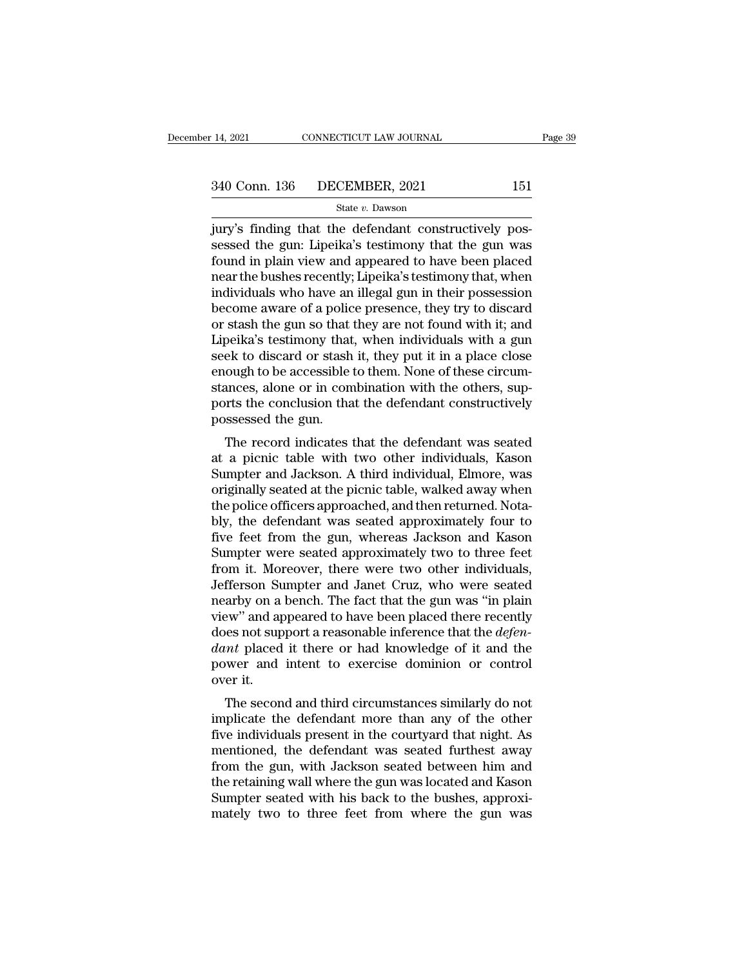14, 2021 CONNECTICUT LAW JOURNAL<br>
340 Conn. 136 DECEMBER, 2021 151<br>
<sup>51</sup> State v. Dawson<br>
jury's finding that the defendant constructively pos-<br>
sessed the gun: Lipeika's testimony that the gun was<br>
found in plain view and  $\begin{array}{ll} \text{340 Conn. 136} & \text{DECEMBER, 2021} & \text{151} \\ & \text{State } v. \text{ Dawson} \end{array}$ <br>jury's finding that the defendant constructively possessed the gun: Lipeika's testimony that the gun was found in plain view and appeared to have been placed  $\frac{340 \text{ Conn. } 136 \qquad \text{DECEMBER, } 2021 \qquad \qquad 151}{\text{State } v. \text{ Dawson}}$ <br>
jury's finding that the defendant constructively possessed the gun: Lipeika's testimony that the gun was<br>
found in plain view and appeared to have been placed<br> 340 Conn. 136 DECEMBER, 2021 151<br>
State v. Dawson<br>
jury's finding that the defendant constructively pos-<br>
sessed the gun: Lipeika's testimony that the gun was<br>
found in plain view and appeared to have been placed<br>
near th State v. Dawson<br>
jury's finding that the defendant constructively pos-<br>
sessed the gun: Lipeika's testimony that the gun was<br>
found in plain view and appeared to have been placed<br>
near the bushes recently; Lipeika's testi state v. Dawson<br>jury's finding that the defendant constructively pos-<br>sessed the gun: Lipeika's testimony that the gun was<br>found in plain view and appeared to have been placed<br>near the bushes recently; Lipeika's testimony jury's finding that the defendant constructively possessed the gun: Lipeika's testimony that the gun was<br>found in plain view and appeared to have been placed<br>near the bushes recently; Lipeika's testimony that, when<br>individ sessed the gun: Lipeika's testimony that the gun was<br>found in plain view and appeared to have been placed<br>near the bushes recently; Lipeika's testimony that, when<br>individuals who have an illegal gun in their possession<br>bec found in plain view and appeared to have been placed<br>near the bushes recently; Lipeika's testimony that, when<br>individuals who have an illegal gun in their possession<br>become aware of a police presence, they try to discard<br>o near the bushes recently; Lipeika's testimony that, when<br>individuals who have an illegal gun in their possession<br>become aware of a police presence, they try to discard<br>or stash the gun so that they are not found with it; a individuals who have an illegal gun in their possession<br>become aware of a police presence, they try to discard<br>or stash the gun so that they are not found with it; and<br>Lipeika's testimony that, when individuals with a gun<br> become aware of a police presence, they try to discard<br>or stash the gun so that they are not found with it; and<br>Lipeika's testimony that, when individuals with a gun<br>seek to discard or stash it, they put it in a place clos or stash the gun so that<br>Lipeika's testimony that<br>seek to discard or stash<br>enough to be accessible<br>stances, alone or in com<br>ports the conclusion tha<br>possessed the gun.<br>The record indicates beixa's testimoly that, when individuals with a gun<br>ek to discard or stash it, they put it in a place close<br>ough to be accessible to them. None of these circum-<br>ances, alone or in combination with the others, sup-<br>rts the seek to uscard or stash it, they put it in a piace close<br>enough to be accessible to them. None of these circum-<br>stances, alone or in combination with the others, sup-<br>ports the conclusion that the defendant constructively<br>

enough to be accessible to them. None of these circumstances, alone or in combination with the others, supports the conclusion that the defendant constructively possessed the gun.<br>The record indicates that the defendant wa stances, alone of in combination whit the others, sup-<br>ports the conclusion that the defendant constructively<br>possessed the gun.<br>The record indicates that the defendant was seated<br>at a picnic table with two other individua possessed the gun.<br>The record indicates that the defendant was seated<br>at a picnic table with two other individuals, Kason<br>Sumpter and Jackson. A third individual, Elmore, was<br>originally seated at the picnic table, walked a possessed the guit.<br>The record indicates that the defendant was seated<br>at a picnic table with two other individuals, Kason<br>Sumpter and Jackson. A third individual, Elmore, was<br>originally seated at the picnic table, walked The record indicates that the defendant was seated<br>at a picnic table with two other individuals, Kason<br>Sumpter and Jackson. A third individual, Elmore, was<br>originally seated at the picnic table, walked away when<br>the police at a picnic table with two other individuals, Kason<br>Sumpter and Jackson. A third individual, Elmore, was<br>originally seated at the picnic table, walked away when<br>the police officers approached, and then returned. Nota-<br>bly, Sumpter and Jackson. A third individual, Elmore, was originally seated at the picnic table, walked away when<br>the police officers approached, and then returned. Nota-<br>bly, the defendant was seated approximately four to<br>five originally seated at the picnic table, walked away when<br>the police officers approached, and then returned. Nota-<br>bly, the defendant was seated approximately four to<br>five feet from the gun, whereas Jackson and Kason<br>Sumpter the police officers approached, and then returned. Nota-<br>bly, the defendant was seated approximately four to<br>five feet from the gun, whereas Jackson and Kason<br>Sumpter were seated approximately two to three feet<br>from it. Mo bly, the defendant was seated approximately four to<br>five feet from the gun, whereas Jackson and Kason<br>Sumpter were seated approximately two to three feet<br>from it. Moreover, there were two other individuals,<br>Jefferson Sumpt five feet from the gun, whereas Jackson and Kason<br>Sumpter were seated approximately two to three feet<br>from it. Moreover, there were two other individuals,<br>Jefferson Sumpter and Janet Cruz, who were seated<br>nearby on a bench Sumpter were seated approximately two to three feet<br>from it. Moreover, there were two other individuals,<br>Jefferson Sumpter and Janet Cruz, who were seated<br>nearby on a bench. The fact that the gun was "in plain<br>view" and ap from it. Moreover, there were two other individuals,<br>Jefferson Sumpter and Janet Cruz, who were seated<br>nearby on a bench. The fact that the gun was "in plain<br>view" and appeared to have been placed there recently<br>does not Jefferson Su<br>nearby on a<br>view" and ap<br>does not sup<br>dant placed<br>power and<br>over it.<br>The secon Example w<sup>3</sup> and appeared to have been placed there recently<br>the second and the second and knowledge of it and the<br>twer and intent to exercise dominion or control<br>er it.<br>The second and third circumstances similarly do not Figures and appeared to have been placed there recently<br>does not support a reasonable inference that the *defen-*<br>dant placed it there or had knowledge of it and the<br>power and intent to exercise dominion or control<br>over it

dant placed it there or had knowledge of it and the<br>power and intent to exercise dominion or control<br>over it.<br>The second and third circumstances similarly do not<br>implicate the defendant more than any of the other<br>five indi mentioned in the defendant to exercise dominion or control<br>over it.<br>The second and third circumstances similarly do not<br>implicate the defendant more than any of the other<br>five individuals present in the courtyard that nigh from the gun means of the bushes approved the defendant more than any of the other<br>five individuals present in the courtyard that night. As<br>mentioned, the defendant was seated furthest away<br>from the gun, with Jackson seate The second and third circumstances similarly do not<br>implicate the defendant more than any of the other<br>five individuals present in the courtyard that night. As<br>mentioned, the defendant was seated furthest away<br>from the gun The second and third circumstances similarly do not<br>implicate the defendant more than any of the other<br>five individuals present in the courtyard that night. As<br>mentioned, the defendant was seated furthest away<br>from the gun implicate the defendant more than any of the other<br>five individuals present in the courtyard that night. As<br>mentioned, the defendant was seated furthest away<br>from the gun, with Jackson seated between him and<br>the retaining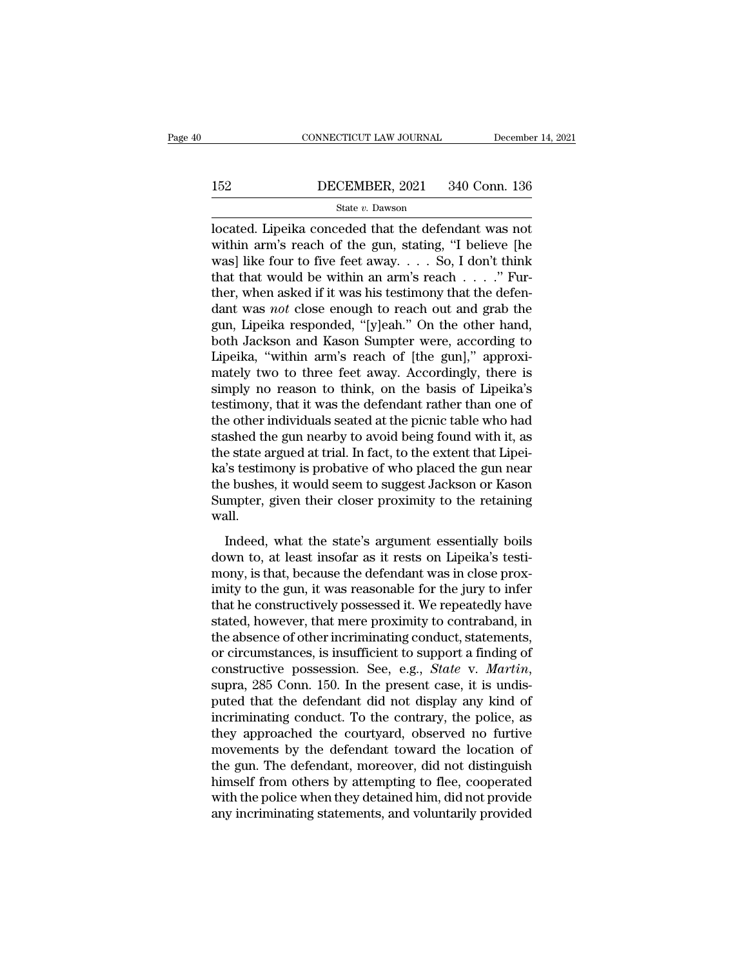# EXECUTE CONNECTICUT LAW JOURNAL December 14, 2021<br>152 DECEMBER, 2021 340 Conn. 136<br>State v. Dawson

### State *v.* Dawson

CONNECTICUT LAW JOURNAL December 14, 202<br>
152 DECEMBER, 2021 340 Conn. 136<br>
162 State v. Dawson<br>
162 State v. Dawson<br>
162 December 2021 340 Conn. 136<br>
162 State v. Dawson<br>
162 Minimum's reach of the gun, stating, "I believ DECEMBER, 2021 340 Conn. 136<br>
State v. Dawson<br>
located. Lipeika conceded that the defendant was not<br>
within arm's reach of the gun, stating, "I believe [he<br>
was] like four to five feet away.... So, I don't think<br>
that that 152 DECEMBER, 2021 340 Conn. 136<br>
State v. Dawson<br>
located. Lipeika conceded that the defendant was not<br>
within arm's reach of the gun, stating, "I believe [he<br>
was] like four to five feet away. . . . So, I don't think<br>
t 152 DECEMBER, 2021 340 Conn. 136<br>
state v. Dawson<br>
located. Lipeika conceded that the defendant was not<br>
within arm's reach of the gun, stating, "I believe [he<br>
was] like four to five feet away. . . . So, I don't think<br>
t State v. Dawson<br>
located. Lipeika conceded that the defendant was not<br>
within arm's reach of the gun, stating, "I believe [he<br>
was] like four to five feet away.... So, I don't think<br>
that that would be within an arm's rea state *v*. Dawson<br>located. Lipeika conceded that the defendant was not<br>within arm's reach of the gun, stating, "I believe [he<br>was] like four to five feet away. . . . So, I don't think<br>that that would be within an arm's rea located. Lipeika conceded that the defendant was not within arm's reach of the gun, stating, "I believe [he was] like four to five feet away. . . . So, I don't think that that would be within an arm's reach . . . ." Furth within arm's reach of the gun, stating, "I believe [he was] like four to five feet away. . . . So, I don't think that that would be within an arm's reach . . . ." Further, when asked if it was his testimony that the defen was] like four to five feet away. . . . So, I don't think<br>that that would be within an arm's reach . . . ." Fur-<br>ther, when asked if it was his testimony that the defen-<br>dant was *not* close enough to reach out and grab t that that would be within an arm's reach  $\ldots$ ." Further, when asked if it was his testimony that the defendant was *not* close enough to reach out and grab the gun, Lipeika responded, "[y]eah." On the other hand, both Ja ther, when asked if it was his testimony that the defendant was *not* close enough to reach out and grab the gun, Lipeika responded, "[y]eah." On the other hand, both Jackson and Kason Sumpter were, according to Lipeika, " dant was *not* close enough to reach out and grab the gun, Lipeika responded, "[y]eah." On the other hand, both Jackson and Kason Sumpter were, according to Lipeika, "within arm's reach of [the gun]," approximately two to gun, Lipeika responded, "[y]eah." On the other hand,<br>both Jackson and Kason Sumpter were, according to<br>Lipeika, "within arm's reach of [the gun]," approxi-<br>mately two to three feet away. Accordingly, there is<br>simply no rea both Jackson and Kason Sumpter were, according to<br>Lipeika, "within arm's reach of [the gun]," approxi-<br>mately two to three feet away. Accordingly, there is<br>simply no reason to think, on the basis of Lipeika's<br>testimony, th Lipeika, "within arm's reach of [the gun]," approximately two to three feet away. Accordingly, there is simply no reason to think, on the basis of Lipeika's testimony, that it was the defendant rather than one of the other mately two to three feet away. Accordingly, there is<br>simply no reason to think, on the basis of Lipeika's<br>testimony, that it was the defendant rather than one of<br>the other individuals seated at the picnic table who had<br>sta simply no reason to think, on the basis of Lipeika's<br>testimony, that it was the defendant rather than one of<br>the other individuals seated at the picnic table who had<br>stashed the gun nearby to avoid being found with it, as<br> testimony, that it was the defendant rather than one of<br>the other individuals seated at the picnic table who had<br>stashed the gun nearby to avoid being found with it, as<br>the state argued at trial. In fact, to the extent tha wall. Exhect are gan hearby to avoid being found what to, as<br>e state argued at trial. In fact, to the extent that Lipei-<br>'s testimony is probative of who placed the gun near<br>e bushes, it would seem to suggest Jackson or Kason<br>mp and state argued at that. In fact, to the catern that inper-<br>ka's testimony is probative of who placed the gun near<br>the bushes, it would seem to suggest Jackson or Kason<br>Sumpter, given their closer proximity to the retaini

mony, is prostance of who placed are gan hear<br>the bushes, it would seem to suggest Jackson or Kason<br>Sumpter, given their closer proximity to the retaining<br>wall.<br>Indeed, what the state's argument essentially boils<br>down to, Sumpter, given their closer proximity to the retaining<br>wall.<br>Indeed, what the state's argument essentially boils<br>down to, at least insofar as it rests on Lipeika's testi-<br>mony, is that, because the defendant was in close p bungter, given alter closer promintly to the retaining<br>wall.<br>Indeed, what the state's argument essentially boils<br>down to, at least insofar as it rests on Lipeika's testi-<br>mony, is that, because the defendant was in close p stated, what the state's argument essentially boils<br>down to, at least insofar as it rests on Lipeika's testi-<br>mony, is that, because the defendant was in close prox-<br>imity to the gun, it was reasonable for the jury to infe Indeed, what the state's argument essentially boils<br>down to, at least insofar as it rests on Lipeika's testi-<br>mony, is that, because the defendant was in close prox-<br>imity to the gun, it was reasonable for the jury to inf down to, at least insofar as it rests on Lipeika's testi-<br>mony, is that, because the defendant was in close prox-<br>imity to the gun, it was reasonable for the jury to infer<br>that he constructively possessed it. We repeatedly mony, is that, because the defendant was in close prox-<br>imity to the gun, it was reasonable for the jury to infer<br>that he constructively possessed it. We repeatedly have<br>stated, however, that mere proximity to contraband, that he constructively possessed it. We repeatedly have stated, however, that mere proximity to contraband, in the absence of other incriminating conduct, statements, or circumstances, is insufficient to support a finding stated, however, that mere proximity to contraband, in<br>the absence of other incriminating conduct, statements,<br>or circumstances, is insufficient to support a finding of<br>constructive possession. See, e.g., *State* v. *Marti* the absence of other incriminating conduct, statements,<br>or circumstances, is insufficient to support a finding of<br>constructive possession. See, e.g., *State* v. *Martin*,<br>supra, 285 Conn. 150. In the present case, it is un or circumstances, is insufficient to support a finding of<br>constructive possession. See, e.g., *State* v. *Martin*,<br>supra, 285 Conn. 150. In the present case, it is undis-<br>puted that the defendant did not display any kind o constructive possession. See, e.g., *State* v. *Martin*,<br>supra, 285 Conn. 150. In the present case, it is undis-<br>puted that the defendant did not display any kind of<br>incriminating conduct. To the contrary, the police, as<br>t supra, 285 Conn. 150. In the present case, it is undis-<br>puted that the defendant did not display any kind of<br>incriminating conduct. To the contrary, the police, as<br>they approached the courtyard, observed no furtive<br>movemen puted that the defendant did not display any kind of<br>incriminating conduct. To the contrary, the police, as<br>they approached the courtyard, observed no furtive<br>movements by the defendant toward the location of<br>the gun. The incriminating conduct. To the contrary, the police, as<br>they approached the courtyard, observed no furtive<br>movements by the defendant toward the location of<br>the gun. The defendant, moreover, did not distinguish<br>himself from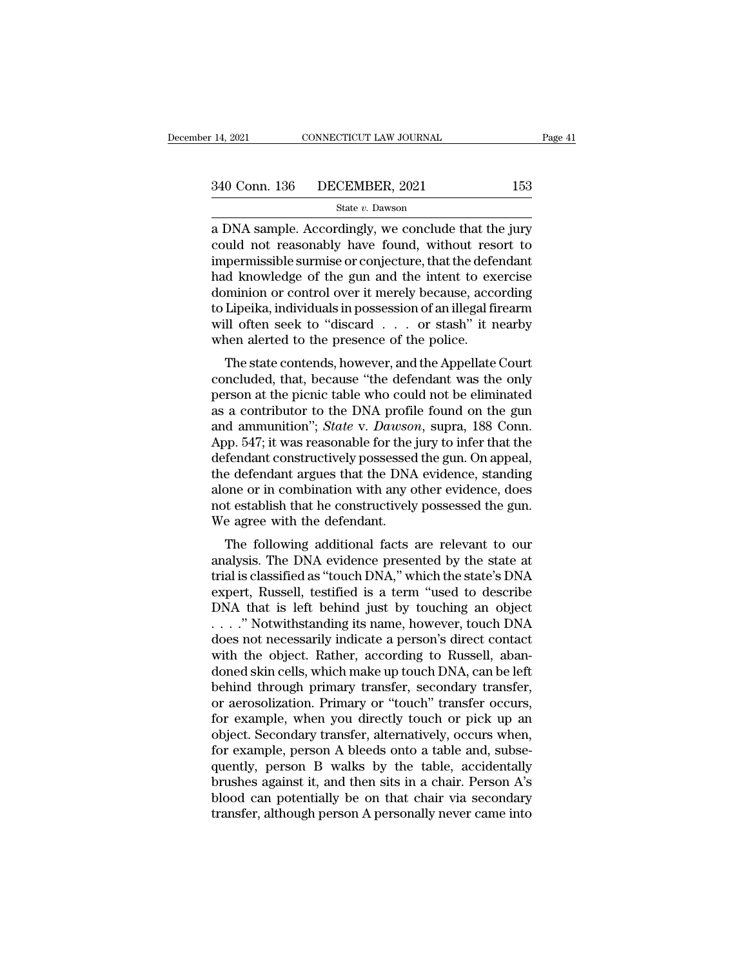24, 2021 CONNECTICUT LAW JOURNAL Page 41<br>
240 Conn. 136 DECEMBER, 2021 153<br>
240 State v. Dawson<br>
253<br>
26 DNA sample. Accordingly, we conclude that the jury<br>
26 Conclude that the jury<br>
26 Conclude that the jury<br>
26 Conclud  $\begin{array}{ll} \text{340 Conn. 136} & \text{DECEMBER, 2021} & \text{153} \\ & \text{State } v. \text{ Dawson} \end{array}$ <br>a DNA sample. Accordingly, we conclude that the jury could not reasonably have found, without resort to impermissible surmise or conjecture, that the defenda 340 Conn. 136 DECEMBER, 2021 153<br>
state v. Dawson<br>
a DNA sample. Accordingly, we conclude that the jury<br>
could not reasonably have found, without resort to<br>
impermissible surmise or conjecture, that the defendant<br>
had kno  $\frac{\text{340 Conn. 136}}{\text{State } v. \text{ Dawson}}$ <br>  $\frac{\text{State } v. \text{ Dawson}}{\text{a DNA sample. Accordingly, we conclude that the jury could not reasonably have found, without resort to impermissible surmise or conjecture, that the defendant had knowledge of the gun and the intent to exercise dominion or control over it merely because, according to I in a individual is possession of an illocal frequency.}$ State v. Dawson<br>
a DNA sample. Accordingly, we conclude that the jury<br>
could not reasonably have found, without resort to<br>
impermissible surmise or conjecture, that the defendant<br>
had knowledge of the gun and the intent t state v. Dawson<br>
a DNA sample. Accordingly, we conclude that the jury<br>
could not reasonably have found, without resort to<br>
impermissible surmise or conjecture, that the defendant<br>
had knowledge of the gun and the intent t a DNA sample. Accordingly, we conclude that the jury<br>could not reasonably have found, without resort to<br>impermissible surmise or conjecture, that the defendant<br>had knowledge of the gun and the intent to exercise<br>dominion o could not reasonably have found, without resempermissible surmise or conjecture, that the defeloral knowledge of the gun and the intent to exclusion or control over it merely because, according to Lipeika, individuals in p d knowledge of the gun and the intent to exercise<br>minion or control over it merely because, according<br>Lipeika, individuals in possession of an illegal firearm<br>Il often seek to "discard . . . or stash" it nearby<br>nen alerted concluded, that, because is the posterior of an illegal firearm<br>mill often seek to "discard  $\ldots$  or stash" it nearby<br>when alerted to the presence of the police.<br>The state contends, however, and the Appellate Court<br>conclu

dominion of control over it merety because, according<br>to Lipeika, individuals in possession of an illegal firearm<br>will often seek to "discard . . . or stash" it nearby<br>when alerted to the presence of the police.<br>The state as a contributor to the DNA profile for the jury to infor that the density of  $\mathbb{R}^n$ . And  $\mathbb{R}^n$  it is a controlled, that, because "the defendant was the only person at the picnic table who could not be eliminated win often seek to 'discard'... Or stash' it hearby<br>when alerted to the presence of the police.<br>The state contends, however, and the Appellate Court<br>concluded, that, because "the defendant was the only<br>person at the picnic When alerted to the presence of the ponce.<br>
The state contends, however, and the Appellate Court<br>
concluded, that, because "the defendant was the only<br>
person at the picnic table who could not be eliminated<br>
as a contribut The state contends, however, and the Appellate Court<br>concluded, that, because "the defendant was the only<br>person at the picnic table who could not be eliminated<br>as a contributor to the DNA profile found on the gun<br>and ammu concluded, that, because "the defendant was the only<br>person at the picnic table who could not be eliminated<br>as a contributor to the DNA profile found on the gun<br>and ammunition"; *State* v. *Dawson*, supra, 188 Conn.<br>App. 5 person at the picnic table who could not be eliminated<br>as a contributor to the DNA profile found on the gun<br>and ammunition"; *State* v. *Dawson*, supra, 188 Conn.<br>App. 547; it was reasonable for the jury to infer that the<br> as a contributor to the DNA profile found on the gun<br>and ammunition"; *State* v. *Dawson*, supra, 188 Conn.<br>App. 547; it was reasonable for the jury to infer that the<br>defendant constructively possessed the gun. On appeal,<br> and ammunition"; *State* v. *Dawson*<br>App. 547; it was reasonable for the<br>defendant constructively possessed<br>the defendant argues that the DNA<br>alone or in combination with any o<br>not establish that he constructively<br>We agree pp. 547, it was reasonable for the jury to finer that the<br>fendant constructively possessed the gun. On appeal,<br>e defendant argues that the DNA evidence, standing<br>one or in combination with any other evidence, does<br>t estab defendant constructively possessed the gun. On appear,<br>the defendant argues that the DNA evidence, standing<br>alone or in combination with any other evidence, does<br>not establish that he constructively possessed the gun.<br>We a

the defendant argues that the DNA evidence, standing<br>alone or in combination with any other evidence, does<br>not establish that he constructively possessed the gun.<br>We agree with the defendant.<br>The following additional facts alone of in combination with any other evidence, does<br>not establish that he constructively possessed the gun.<br>We agree with the defendant.<br>The following additional facts are relevant to our<br>analysis. The DNA evidence prese Not establish that he constructively possessed the guit.<br>We agree with the defendant.<br>The following additional facts are relevant to our<br>analysis. The DNA evidence presented by the state at<br>trial is classified as "touch DN We agree with the defendant.<br>
The following additional facts are relevant to our<br>
analysis. The DNA evidence presented by the state at<br>
trial is classified as "touch DNA," which the state's DNA<br>
expert, Russell, testified The following additional facts are relevant to our<br>analysis. The DNA evidence presented by the state at<br>trial is classified as "touch DNA," which the state's DNA<br>expert, Russell, testified is a term "used to describe<br>DNA t analysis. The DNA evidence presented by the state at trial is classified as "touch DNA," which the state's DNA expert, Russell, testified is a term "used to describe DNA that is left behind just by touching an object . . . trial is classified as "touch DNA," which the state's DNA<br>expert, Russell, testified is a term "used to describe<br>DNA that is left behind just by touching an object<br>...." Notwithstanding its name, however, touch DNA<br>does no expert, Russell, testified is a term "used to describe<br>DNA that is left behind just by touching an object<br>...." Notwithstanding its name, however, touch DNA<br>does not necessarily indicate a person's direct contact<br>with the DNA that is left behind just by touching an object<br>
...." Notwithstanding its name, however, touch DNA<br>
does not necessarily indicate a person's direct contact<br>
with the object. Rather, according to Russell, aban-<br>
doned s . . . . . " Notwithstanding its name, however, touch DNA<br>does not necessarily indicate a person's direct contact<br>with the object. Rather, according to Russell, aban-<br>doned skin cells, which make up touch DNA, can be left<br>b does not necessarily indicate a person's direct contact<br>with the object. Rather, according to Russell, aban-<br>doned skin cells, which make up touch DNA, can be left<br>behind through primary transfer, secondary transfer,<br>or ae with the object. Rather, according to Russell, abandoned skin cells, which make up touch DNA, can be left behind through primary transfer, secondary transfer, or aerosolization. Primary or "touch" transfer occurs, for exam doned skin cells, which make up touch DNA, can be left<br>behind through primary transfer, secondary transfer,<br>or aerosolization. Primary or "touch" transfer occurs,<br>for example, when you directly touch or pick up an<br>object. behind through primary transfer, secondary transfer,<br>or aerosolization. Primary or "touch" transfer occurs,<br>for example, when you directly touch or pick up an<br>object. Secondary transfer, alternatively, occurs when,<br>for exa or aerosolization. Primary or "touch" transfer occurs,<br>for example, when you directly touch or pick up an<br>object. Secondary transfer, alternatively, occurs when,<br>for example, person A bleeds onto a table and, subse-<br>quentl for example, when you directly touch or pick up an object. Secondary transfer, alternatively, occurs when, for example, person A bleeds onto a table and, subsequently, person B walks by the table, accidentally brushes agai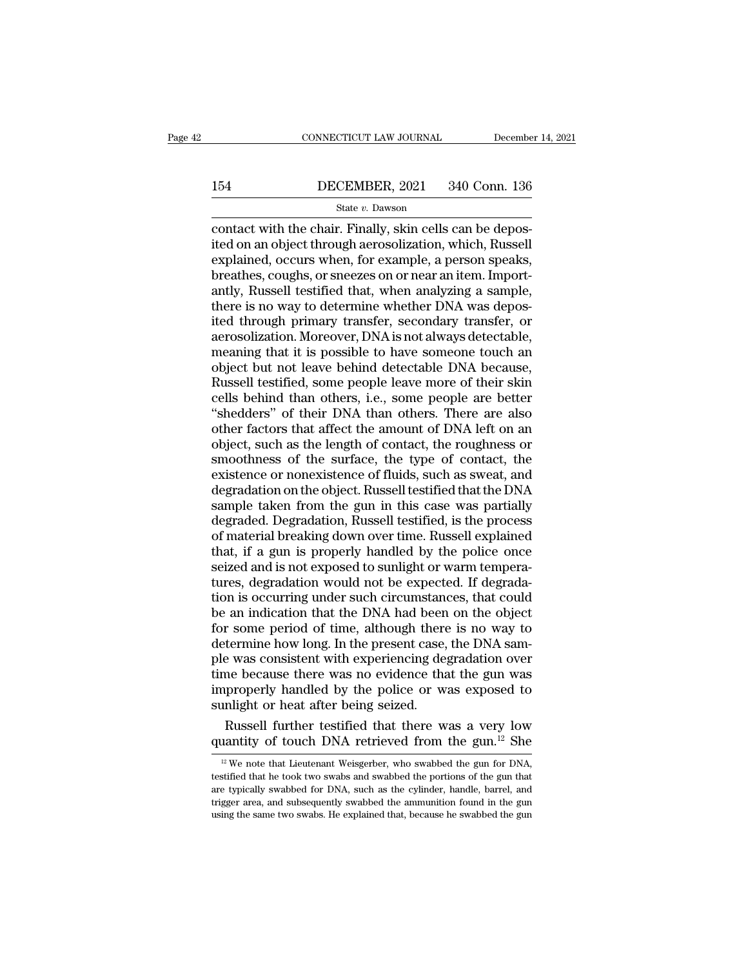# EXECUTE CONNECTICUT LAW JOURNAL December 14, 2021<br>154 DECEMBER, 2021 340 Conn. 136<br>State v. Dawson

### State *v.* Dawson

CONNECTICUT LAW JOURNAL Decembe<br>
154 DECEMBER, 2021 340 Conn. 136<br>
State v. Dawson<br>
Contact with the chair. Finally, skin cells can be depos-<br>
ited on an object through aerosolization, which, Russell<br>
explained occurs when 154 DECEMBER, 2021 340 Conn. 136<br>
State v. Dawson<br>
contact with the chair. Finally, skin cells can be depos-<br>
ited on an object through aerosolization, which, Russell<br>
explained, occurs when, for example, a person speaks,<br> 154 DECEMBER, 2021 340 Conn. 136<br>
State v. Dawson<br>
contact with the chair. Finally, skin cells can be depos-<br>
ited on an object through aerosolization, which, Russell<br>
explained, occurs when, for example, a person speaks, 154 DECEMBER, 2021 340 Conn. 136<br>
State  $v$ . Dawson<br>
contact with the chair. Finally, skin cells can be depos-<br>
ited on an object through aerosolization, which, Russell<br>
explained, occurs when, for example, a person speak BECEMBER, 2021 640 COIR. 130<br>
State v. Dawson<br>
contact with the chair. Finally, skin cells can be depos-<br>
ited on an object through aerosolization, which, Russell<br>
explained, occurs when, for example, a person speaks,<br>
br  $\begin{array}{l} \text{State $v$. Dawson} \\ \text{contact with the chair. Finally, skin cells can be deposited on an object through aerosolization, which, Russell explained, occurs when, for example, a person speaks, breathes, couples, or sneezes on or near an item. Importantly, Russell testified that, when analyzing a sample, there is no way to determine whether DNA was deposited through primary transfer, secondary transfer, or aerosolization Moreover, DNA is not always detectable. \end{array}$ contact with the chair. Finally, skin cells can be deposited on an object through aerosolization, which, Russell explained, occurs when, for example, a person speaks, breathes, coughs, or sneezes on or near an item. Import ited on an object through aerosolization, which, Russell<br>explained, occurs when, for example, a person speaks,<br>breathes, coughs, or sneezes on or near an item. Import-<br>antly, Russell testified that, when analyzing a sample explained, occurs when, for example, a person speaks,<br>breathes, coughs, or sneezes on or near an item. Import-<br>antly, Russell testified that, when analyzing a sample,<br>there is no way to determine whether DNA was depos-<br>ite breathes, coughs, or sneezes on or near an item. Import-<br>antly, Russell testified that, when analyzing a sample,<br>there is no way to determine whether DNA was depos-<br>ited through primary transfer, secondary transfer, or<br>aer antly, Russell testified that, when analyzing a sample,<br>there is no way to determine whether DNA was depos-<br>ited through primary transfer, secondary transfer, or<br>aerosolization. Moreover, DNA is not always detectable,<br>mean there is no way to determine whether DNA was deposited through primary transfer, secondary transfer, or aerosolization. Moreover, DNA is not always detectable, meaning that it is possible to have someone touch an object bu ited through primary transfer, secondary transfer, or<br>aerosolization. Moreover, DNA is not always detectable,<br>meaning that it is possible to have someone touch an<br>object but not leave behind detectable DNA because,<br>Russell aerosolization. Moreover, DNA is not always detectable,<br>meaning that it is possible to have someone touch an<br>object but not leave behind detectable DNA because,<br>Russell testified, some people leave more of their skin<br>cells meaning that it is possible to have someone touch an object but not leave behind detectable DNA because, Russell testified, some people leave more of their skin cells behind than others, i.e., some people are better "shedd object but not leave behind detectable DNA because,<br>Russell testified, some people leave more of their skin<br>cells behind than others, i.e., some people are better<br>"shedders" of their DNA than others. There are also<br>other f Russell testified, some people leave more of their skin<br>cells behind than others, i.e., some people are better<br>"shedders" of their DNA than others. There are also<br>other factors that affect the amount of DNA left on an<br>obje cells behind than others, i.e., some people are better<br>"shedders" of their DNA than others. There are also<br>other factors that affect the amount of DNA left on an<br>object, such as the length of contact, the roughness or<br>smoo "shedders" of their DNA than others. There are also<br>other factors that affect the amount of DNA left on an<br>object, such as the length of contact, the roughness or<br>smoothness of the surface, the type of contact, the<br>existen other factors that affect the amount of DNA left on an object, such as the length of contact, the roughness or smoothness of the surface, the type of contact, the existence or nonexistence of fluids, such as sweat, and deg object, such as the length of contact, the roughness or<br>smoothness of the surface, the type of contact, the<br>existence or nonexistence of fluids, such as sweat, and<br>degradation on the object. Russell testified that the DNA<br> smoothness of the surface, the type of contact, the existence or nonexistence of fluids, such as sweat, and degradation on the object. Russell testified that the DNA sample taken from the gun in this case was partially deg existence or nonexistence of fluids, such as sweat, and<br>degradation on the object. Russell testified that the DNA<br>sample taken from the gun in this case was partially<br>degraded. Degradation, Russell testified, is the proces degradation on the object. Russell testified that the DNA<br>sample taken from the gun in this case was partially<br>degraded. Degradation, Russell testified, is the process<br>of material breaking down over time. Russell explained sample taken from the gun in this case was partially<br>degraded. Degradation, Russell testified, is the process<br>of material breaking down over time. Russell explained<br>that, if a gun is properly handled by the police once<br>sei degraded. Degradation, Russell testified, is the process<br>of material breaking down over time. Russell explained<br>that, if a gun is properly handled by the police once<br>seized and is not exposed to sunlight or warm tempera-<br>t of material breaking down over time. Russell explained<br>that, if a gun is properly handled by the police once<br>seized and is not exposed to sunlight or warm tempera-<br>tures, degradation would not be expected. If degrada-<br>tion that, if a gun is properly handled by the police once<br>seized and is not exposed to sunlight or warm tempera-<br>tures, degradation would not be expected. If degrada-<br>tion is occurring under such circumstances, that could<br>be a seized and is not exposed to sunlight or warm tempera-<br>tures, degradation would not be expected. If degrada-<br>tion is occurring under such circumstances, that could<br>be an indication that the DNA had been on the object<br>for s tures, degradation would not be expected. If degradation is occurring under such circumstances, that could<br>be an indication that the DNA had been on the object<br>for some period of time, although there is no way to<br>determine tion is occurring under such circumstances, that could<br>be an indication that the DNA had been on the object<br>for some period of time, although there is no way to<br>determine how long. In the present case, the DNA sam-<br>ple was be an indication that the DNA had been<br>for some period of time, although there<br>determine how long. In the present case,<br>ple was consistent with experiencing de<br>time because there was no evidence tha<br>improperly handled by t r some period of time, although there is no way to<br>termine how long. In the present case, the DNA sam-<br>e was consistent with experiencing degradation over<br>me because there was no evidence that the gun was<br>properly handled determine how long. In the present case, the DNA sample was consistent with experiencing degradation over<br>time because there was no evidence that the gun was<br>improperly handled by the police or was exposed to<br>sunlight or

In the police of was exposed to<br>
image of the police of was exposed to<br>
image in the gun for the gun for DNA<br>
If the gun for DNA,<br>
If the gun for DNA,<br>
If the gun for DNA,<br>
if the gun for DNA,<br>
if the duant he took two swa sunlight or heat after being seized.<br>
Russell further testified that there was a very low<br>
quantity of touch DNA retrieved from the gun.<sup>12</sup> She<br>
<sup>12</sup> We note that Lieutenant Weisgerber, who swabbed the gun for DNA,<br>
test Russell further testified that there was a very low quantity of touch DNA retrieved from the gun.<sup>12</sup> She  $\frac{12}{10}$  We note that Lieutenant Weisgerber, who swabbed the gun for DNA, testified that he took two swabs and s quantity of touch DNA retrieved from the gun.<sup>12</sup> She  $\frac{12 \text{ We}}{2 \text{ We}}$  note that Lieutenant Weisgerber, who swabbed the gun for DNA, testified that he took two swabs and swabbed the portions of the gun that are typic  $^{12}$  We note that Lieutenant Weisgerber, who swabbed the gun for DNA, testified that he took two swabs and swabbed the portions of the gun that are typically swabbed for DNA, such as the cylinder, handle, barrel, and tr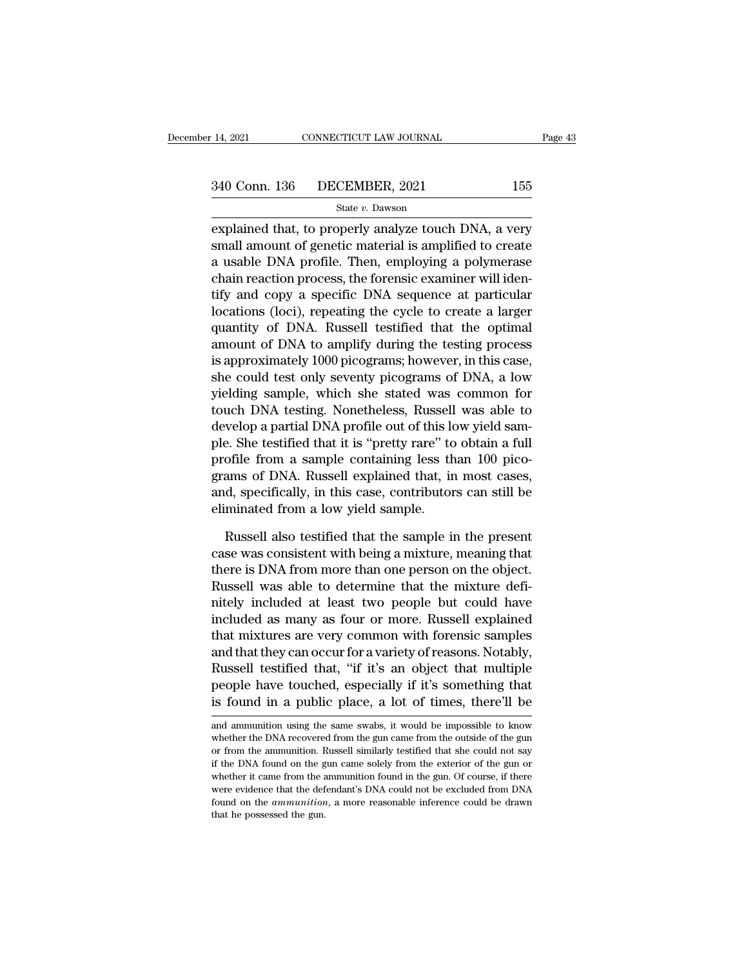explained that, to properly analyze touch DNA, a very<br>explained that, to properly analyze touch DNA, a very<br>small amount of genetic material is amplified to create<br>a veable DNA prafile. Then, employing a polymenage  $340$  Conn. 136 DECEMBER, 2021 155<br>  $$state v.$  Dawson<br>
explained that, to properly analyze touch DNA, a very<br>
small amount of genetic material is amplified to create<br>
a usable DNA profile. Then, employing a polymerase<br>
shain 340 Conn. 136 DECEMBER, 2021 155<br>
State v. Dawson<br>
explained that, to properly analyze touch DNA, a very<br>
small amount of genetic material is amplified to create<br>
a usable DNA profile. Then, employing a polymerase<br>
chain 340 Conn. 136 DECEMBER, 2021 155<br>
State v. Dawson<br>
explained that, to properly analyze touch DNA, a very<br>
small amount of genetic material is amplified to create<br>
a usable DNA profile. Then, employing a polymerase<br>
chain State v. Dawson<br>explained that, to properly analyze touch DNA, a very<br>small amount of genetic material is amplified to create<br>a usable DNA profile. Then, employing a polymerase<br>chain reaction process, the forensic examine state of Dawson<br>explained that, to properly analyze touch DNA, a very<br>small amount of genetic material is amplified to create<br>a usable DNA profile. Then, employing a polymerase<br>chain reaction process, the forensic examiner explained that, to properly analyze touch DNA, a very<br>small amount of genetic material is amplified to create<br>a usable DNA profile. Then, employing a polymerase<br>chain reaction process, the forensic examiner will iden-<br>tify small amount of genetic material is amplified to create<br>a usable DNA profile. Then, employing a polymerase<br>chain reaction process, the forensic examiner will iden-<br>tify and copy a specific DNA sequence at particular<br>locati a usable DNA profile. Then, employing a polymerase<br>chain reaction process, the forensic examiner will iden-<br>tify and copy a specific DNA sequence at particular<br>locations (loci), repeating the cycle to create a larger<br>quant chain reaction process, the forensic examiner will identify and copy a specific DNA sequence at particular locations (loci), repeating the cycle to create a larger quantity of DNA. Russell testfified that the optimal amoun tify and copy a specific DNA sequence at particular<br>locations (loci), repeating the cycle to create a larger<br>quantity of DNA. Russell testified that the optimal<br>amount of DNA to amplify during the testing process<br>is approx locations (loci), repeating the cycle to create a larger<br>quantity of DNA. Russell testified that the optimal<br>amount of DNA to amplify during the testing process<br>is approximately 1000 picograms; however, in this case,<br>she c quantity of DNA. Russell testified that the optimal<br>amount of DNA to amplify during the testing process<br>is approximately 1000 picograms; however, in this case,<br>she could test only seventy picograms of DNA, a low<br>yielding s amount of DNA to amplify during the testing process<br>is approximately 1000 picograms; however, in this case,<br>she could test only seventy picograms of DNA, a low<br>yielding sample, which she stated was common for<br>touch DNA tes is approximately 1000 picograms; however, in this case,<br>she could test only seventy picograms of DNA, a low<br>yielding sample, which she stated was common for<br>touch DNA testing. Nonetheless, Russell was able to<br>develop a par she could test only seventy picograms of DNA, a low<br>yielding sample, which she stated was common for<br>touch DNA testing. Nonetheless, Russell was able to<br>develop a partial DNA profile out of this low yield sam-<br>ple. She tes yielding sample, which she stated was common for<br>touch DNA testing. Nonetheless, Russell was able to<br>develop a partial DNA profile out of this low yield sam-<br>ple. She testified that it is "pretty rare" to obtain a full<br>pro touch DNA testing. Nonetheless, Russell<br>develop a partial DNA profile out of this lo<br>ple. She testified that it is "pretty rare" to<br>profile from a sample containing less th<br>grams of DNA. Russell explained that, ir<br>and, spe e. She testified that it is "pretty rare" to obtain a full<br>ofile from a sample containing less than 100 pico-<br>ams of DNA. Russell explained that, in most cases,<br>d, specifically, in this case, contributors can still be<br>mina profile from a sample containing less than 100 picograms of DNA. Russell explained that, in most cases, and, specifically, in this case, contributors can still be eliminated from a low yield sample.<br>Russell also testified

grams of DNA. Russell explained that, in most cases, and, specifically, in this case, contributors can still be eliminated from a low yield sample.<br>
Russell also testified that the sample in the present case was consistent and, specifically, in this case, contributors can still be<br>eliminated from a low yield sample.<br>Russell also testified that the sample in the present<br>case was consistent with being a mixture, meaning that<br>there is DNA from eliminated from a low yield sample.<br>
Russell also testified that the sample in the present<br>
case was consistent with being a mixture, meaning that<br>
there is DNA from more than one person on the object.<br>
Russell was able to Russell also testified that the sample in the present<br>case was consistent with being a mixture, meaning that<br>there is DNA from more than one person on the object.<br>Russell was able to determine that the mixture defi-<br>nitely Russell also testified that the sample in the present<br>case was consistent with being a mixture, meaning that<br>there is DNA from more than one person on the object.<br>Russell was able to determine that the mixture defi-<br>nitely case was consistent with being a mixture, meaning that<br>there is DNA from more than one person on the object.<br>Russell was able to determine that the mixture defi-<br>nitely included at least two people but could have<br>included there is DNA from more than one person on the object.<br>Russell was able to determine that the mixture defi-<br>nitely included at least two people but could have<br>included as many as four or more. Russell explained<br>that mixture Russell was able to determine that the mixture defi-<br>nitely included at least two people but could have<br>included as many as four or more. Russell explained<br>that mixtures are very common with forensic samples<br>and that they included at least two people but could have<br>included as many as four or more. Russell explained<br>that mixtures are very common with forensic samples<br>and that they can occur for a variety of reasons. Notably,<br>Russell testifi and that they can occur for a variety of reasons. Notably,<br>Russell testified that, "if it's an object that multiple<br>people have touched, especially if it's something that<br>is found in a public place, a lot of times, there'l Russell testified that, "if it's an object that multiple<br>people have touched, especially if it's something that<br>is found in a public place, a lot of times, there'll be<br>and ammunition using the same swabs, it would be impos

people have touched, especially if it's something that<br>is found in a public place, a lot of times, there'll be<br>and ammunition using the same swabs, it would be impossible to know<br>whether the DNA recovered from the gun came is found in a public place, a lot of times, there'll be<br>and ammunition using the same swabs, it would be impossible to know<br>whether the DNA recovered from the gun came from the outside of the gun<br>or from the ammunition. Ru and ammunition using the same swabs, it would be impossible to know whether the DNA recovered from the gun came from the outside of the gun or from the ammunition. Russell similarly testified that she could not say if the and ammunition using the same swabs, it would be impossible to know whether the DNA recovered from the gun came from the outside of the gun or from the ammunition. Russell similarly testified that she could not say if the whether the DNA recovered from the gun came from the outside of the gun<br>or from the ammunition. Russell similarly testified that she could not say<br>if the DNA found on the gun came solely from the exterior of the gun or<br>whe if the DNA found on the gun came solely from the exterior of the gun or whether it came from the ammunition found in the gun. Of course, if there were evidence that the defendant's DNA could not be excluded from DNA found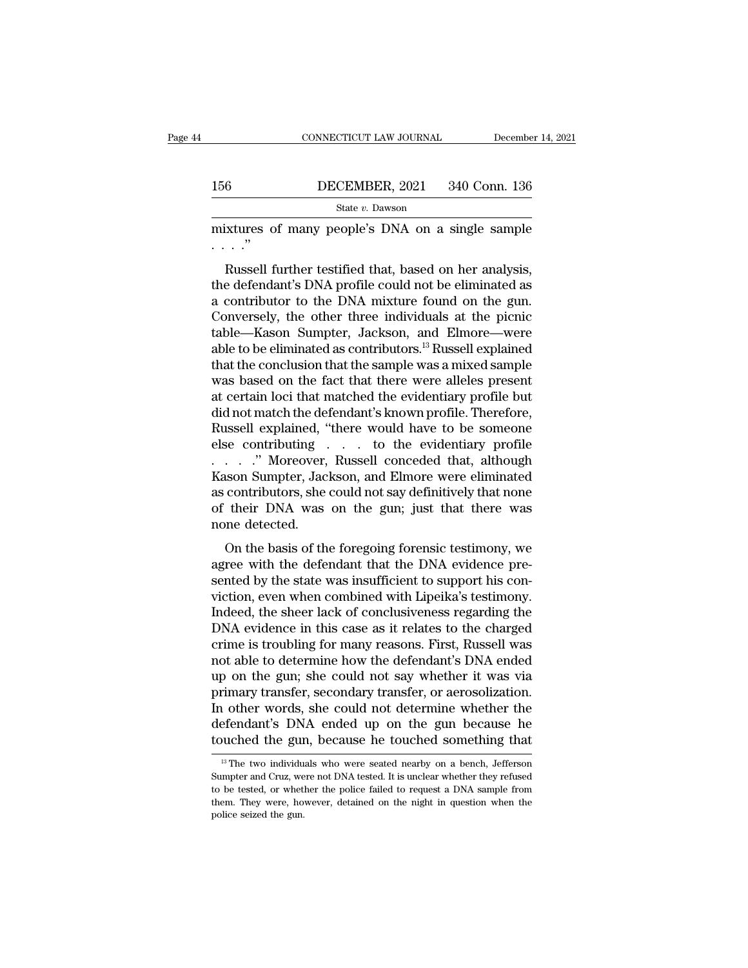|     | CONNECTICUT LAW JOURNAL | December 14, 2021 |
|-----|-------------------------|-------------------|
|     |                         |                   |
| 156 | DECEMBER, 2021          | 340 Conn. 136     |
|     | State v. Dawson         |                   |

CONNECTICUT LAW JOURNAL December 14, 2021<br>156 DECEMBER, 2021 340 Conn. 136<br>5tate v. Dawson<br>mixtures of many people's DNA on a single sample<br>...." . . . .''

BECEMBER, 2021 340 Conn. 136<br>
State v. Dawson<br>
State v. Dawson<br>
State v. Dawson<br>
Russell further testified that, based on her analysis,<br>
e defendant's DNA profile could not be eliminated as<br>
contributor to the DNA mixture 156 DECEMBER, 2021 340 Conn. 136<br>
State v. Dawson<br>
mixtures of many people's DNA on a single sample<br>
...."<br>
Russell further testified that, based on her analysis,<br>
the defendant's DNA profile could not be eliminated as<br>
a State v. Dawson<br>
mixtures of many people's DNA on a single sample<br>  $\cdots$ <br>  $\cdots$ <br>
Russell further testified that, based on her analysis,<br>
the defendant's DNA profile could not be eliminated as<br>
a contributor to the DNA mix mixtures of many people's DNA on a single sample<br>  $\ldots$ ."<br>
Russell further testified that, based on her analysis,<br>
the defendant's DNA profile could not be eliminated as<br>
a contributor to the DNA mixture found on the gun. Final and the sample state of many people state of a single sample<br>  $\ldots$ ."<br>
Russell further testified that, based on her analysis,<br>
the defendant's DNA profile could not be eliminated as<br>
a contributor to the DNA mixture Figure 1.1 Russell further testified that, based on her analysis,<br>the defendant's DNA profile could not be eliminated as<br>a contributor to the DNA mixture found on the gun.<br>Conversely, the other three individuals at the pi Russell further testified that, based on her analysis,<br>the defendant's DNA profile could not be eliminated as<br>a contributor to the DNA mixture found on the gun.<br>Conversely, the other three individuals at the picnic<br>table—K the defendant's DNA profile could not be eliminated as<br>a contributor to the DNA mixture found on the gun.<br>Conversely, the other three individuals at the picnic<br>table—Kason Sumpter, Jackson, and Elmore—were<br>able to be elimi a contributor to the DNA mixture found on the gun.<br>Conversely, the other three individuals at the picnic<br>table—Kason Sumpter, Jackson, and Elmore—were<br>able to be eliminated as contributors.<sup>13</sup> Russell explained<br>that the c Conversely, the other three individuals at the picnic<br>table—Kason Sumpter, Jackson, and Elmore—were<br>able to be eliminated as contributors.<sup>13</sup> Russell explained<br>that the conclusion that the sample was a mixed sample<br>was ba table—Kason Sumpter, Jackson, and Elmore—were<br>able to be eliminated as contributors.<sup>13</sup> Russell explained<br>that the conclusion that the sample was a mixed sample<br>was based on the fact that there were alleles present<br>at cer able to be eliminated as contributors.<sup>13</sup> Russell explained<br>that the conclusion that the sample was a mixed sample<br>was based on the fact that there were alleles present<br>at certain loci that matched the evidentiary profil that the conclusion that the sample was a mixed sample<br>was based on the fact that there were alleles present<br>at certain loci that matched the evidentiary profile but<br>did not match the defendant's known profile. Therefore,<br> was based on the fact that there were alleles present<br>at certain loci that matched the evidentiary profile but<br>did not match the defendant's known profile. Therefore,<br>Russell explained, "there would have to be someone<br>else at certain loci that matched the evidentiary profile but<br>did not match the defendant's known profile. Therefore,<br>Russell explained, "there would have to be someone<br>else contributing . . . to the evidentiary profile<br>. . . . did not match the defendant's known profile. Therefore,<br>Russell explained, "there would have to be someone<br>else contributing . . . to the evidentiary profile<br>. . . . . "Moreover, Russell conceded that, although<br>Kason Sumpt Russell explained, '<br>else contributing<br>......" Moreover,<br>Kason Sumpter, Jac<br>as contributors, she<br>of their DNA was<br>none detected.<br>On the basis of th  $\ldots$  ." Moreover, Russell conceded that, although<br>son Sumpter, Jackson, and Elmore were eliminated<br>contributors, she could not say definitively that none<br>their DNA was on the gun; just that there was<br>me detected.<br>On the Example 1.1 The defendant of the defendant that the DNA evidence with the defendant that there was none detected.<br>
On the basis of the foregoing forensic testimony, we agree with the defendant that the DNA evidence pre-<br>

Frason Sampler, sackson, and Emote were emminated<br>as contributors, she could not say definitively that none<br>of their DNA was on the gun; just that there was<br>none detected.<br>On the basis of the foregoing forensic testimony, as commators, she coald not say deminivery mathone<br>of their DNA was on the gun; just that there was<br>none detected.<br>On the basis of the foregoing forensic testimony, we<br>agree with the defendant that the DNA evidence pre-<br>se In the sheet of the sheet and the sheet was<br>
none detected.<br>
On the basis of the foregoing forensic testimony, we<br>
agree with the defendant that the DNA evidence pre-<br>
sented by the state was insufficient to support his co On the basis of the foregoing forensic testimony, we<br>agree with the defendant that the DNA evidence pre-<br>sented by the state was insufficient to support his con-<br>viction, even when combined with Lipeika's testimony.<br>Indeed On the basis of the foregoing forensic testimony, we<br>agree with the defendant that the DNA evidence pre-<br>sented by the state was insufficient to support his con-<br>viction, even when combined with Lipeika's testimony.<br>Indeed agree with the defendant that the DNA evidence presented by the state was insufficient to support his conviction, even when combined with Lipeika's testimony.<br>Indeed, the sheer lack of conclusiveness regarding the DNA evid sented by the state was insufficient to support his conviction, even when combined with Lipeika's testimony.<br>Indeed, the sheer lack of conclusiveness regarding the DNA evidence in this case as it relates to the charged<br>cri viction, even when combined with Lipeika's testimony.<br>Indeed, the sheer lack of conclusiveness regarding the<br>DNA evidence in this case as it relates to the charged<br>crime is troubling for many reasons. First, Russell was<br>no Indeed, the sheer lack of conclusiveness regarding the<br>DNA evidence in this case as it relates to the charged<br>crime is troubling for many reasons. First, Russell was<br>not able to determine how the defendant's DNA ended<br>up o DNA evidence in this case as it relates to the charged<br>crime is troubling for many reasons. First, Russell was<br>not able to determine how the defendant's DNA ended<br>up on the gun; she could not say whether it was via<br>primary crime is troubling for many reasons. First, Russell was<br>not able to determine how the defendant's DNA ended<br>up on the gun; she could not say whether it was via<br>primary transfer, secondary transfer, or aerosolization.<br>In ot rimary transfer, secondary transfer, or aerosolization.<br>
1 other words, she could not determine whether the<br>
efendant's DNA ended up on the gun because he<br>
buched the gun, because he touched something that<br>
<sup>13</sup> The two i In other words, she could not determine whether the defendant's DNA ended up on the gun because he touched something that touched the gun, because he touched something that  $\frac{18}{12}$  The two individuals who were seated n

defendant's DNA ended up on the gun because he<br>touched the gun, because he touched something that<br><sup>13</sup> The two individuals who were seated nearby on a bench, Jefferson<br>Sumpter and Cruz, were not DNA tested. It is unclear w touched the gun, because he touched something that<br><sup>13</sup> The two individuals who were seated nearby on a bench, Jefferson<br>Sumpter and Cruz, were not DNA tested. It is unclear whether they refused<br>to be tested, or whether th  $^{13}$  The two individuals who were seated nearby on a bench, Jefferson Sumpter and Cruz, were not DNA tested. It is unclear whether they refused to be tested, or whether the police failed to request a DNA sample from the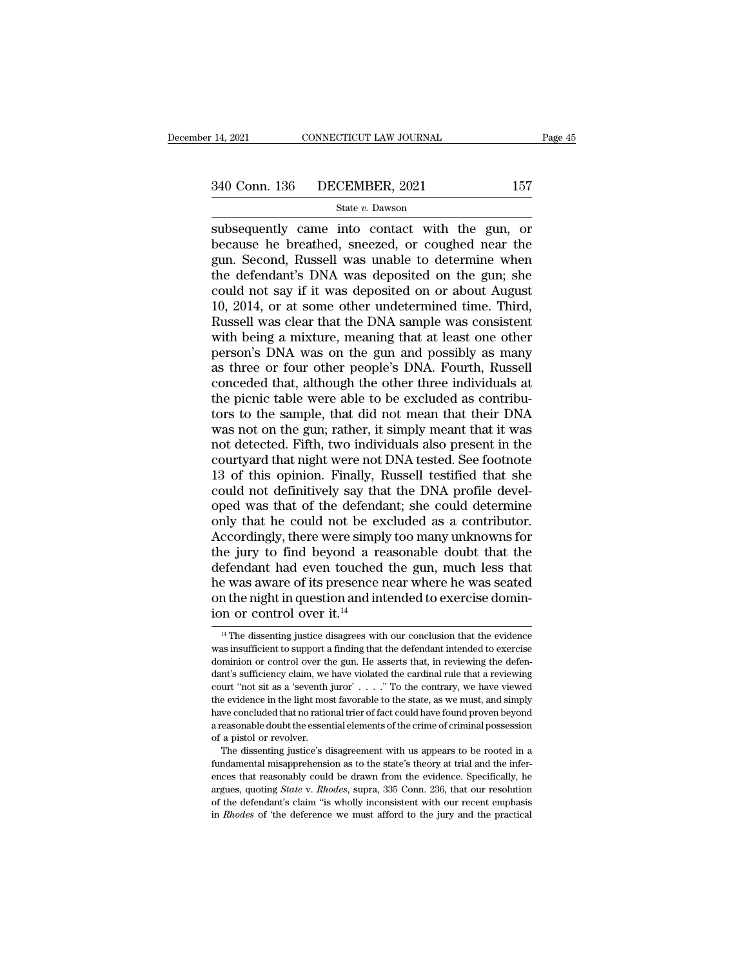$\begin{array}{r|l} \text{14, 2021} & \text{CONPECTICUT LAW JOURNAL} & \text{Page 45} \ \hline \text{340 Conn. } 136 & \text{DECEMBER, } 2021 & 157 \ \hline & \text{State } v. \text{ Dawson} \ \hline \text{subsequently came into contact with the gun, or because he breathed, sneezed, or coupled near the gun. Second, Russell was unable to determine when} \end{array}$ 340 Conn. 136 DECEMBER, 2021 157<br>
State v. Dawson<br>
subsequently came into contact with the gun, or<br>
because he breathed, sneezed, or coughed near the<br>
gun. Second, Russell was unable to determine when<br>
the defendant's DNA 340 Conn. 136 DECEMBER, 2021 157<br>
State v. Dawson<br>
subsequently came into contact with the gun, or<br>
because he breathed, sneezed, or coughed near the<br>
gun. Second, Russell was unable to determine when<br>
the defendant's DNA 340 Conn. 136 DECEMBER, 2021 157<br>
State v. Dawson<br>
Subsequently came into contact with the gun, or<br>
because he breathed, sneezed, or coughed near the<br>
gun. Second, Russell was unable to determine when<br>
the defendant's DNA STO COMET 100 BLOCKMERT, 2021<br>
State v. Dawson<br>
subsequently came into contact with the gun, or<br>
because he breathed, sneezed, or coughed near the<br>
gun. Second, Russell was unable to determine when<br>
the defendant's DNA wa State v. Dawson<br>
subsequently came into contact with the gun, or<br>
because he breathed, sneezed, or coughed near the<br>
gun. Second, Russell was unable to determine when<br>
the defendant's DNA was deposited on the gun; she<br>
co subsequently came into contact with the gun, or<br>because he breathed, sneezed, or coughed near the<br>gun. Second, Russell was unable to determine when<br>the defendant's DNA was deposited on the gun; she<br>could not say if it was because he breathed, sneezed, or coughed near the<br>gun. Second, Russell was unable to determine when<br>the defendant's DNA was deposited on the gun; she<br>could not say if it was deposited on or about August<br>10, 2014, or at som gun. Second, Russell was unable to determine when<br>the defendant's DNA was deposited on the gun; she<br>could not say if it was deposited on or about August<br>10, 2014, or at some other undetermined time. Third,<br>Russell was clea the defendant's DNA was deposited on the gun; she<br>could not say if it was deposited on or about August<br>10, 2014, or at some other undetermined time. Third,<br>Russell was clear that the DNA sample was consistent<br>with being a could not say if it was deposited on or about August<br>10, 2014, or at some other undetermined time. Third,<br>Russell was clear that the DNA sample was consistent<br>with being a mixture, meaning that at least one other<br>person's 10, 2014, or at some other undetermined time. Third,<br>Russell was clear that the DNA sample was consistent<br>with being a mixture, meaning that at least one other<br>person's DNA was on the gun and possibly as many<br>as three or f Russell was clear that the DNA sample was consistent<br>with being a mixture, meaning that at least one other<br>person's DNA was on the gun and possibly as many<br>as three or four other people's DNA. Fourth, Russell<br>conceded that with being a mixture, meaning that at least one other<br>person's DNA was on the gun and possibly as many<br>as three or four other people's DNA. Fourth, Russell<br>conceded that, although the other three individuals at<br>the picnic person's DNA was on the gun and possibly as many<br>as three or four other people's DNA. Fourth, Russell<br>conceded that, although the other three individuals at<br>the picnic table were able to be excluded as contribu-<br>tors to th as three or four other people's DNA. Fourth, Russell<br>conceded that, although the other three individuals at<br>the picnic table were able to be excluded as contribu-<br>tors to the sample, that did not mean that their DNA<br>was no conceded that, although the other three individuals at<br>the picnic table were able to be excluded as contribu-<br>tors to the sample, that did not mean that their DNA<br>was not on the gun; rather, it simply meant that it was<br>not the picnic table were able to be excluded as contributors to the sample, that did not mean that their DNA was not on the gun; rather, it simply meant that it was not detected. Fifth, two individuals also present in the cou tors to the sample, that did not mean that their DNA<br>was not on the gun; rather, it simply meant that it was<br>not detected. Fifth, two individuals also present in the<br>courtyard that night were not DNA tested. See footnote<br>1 was not on the gun; rather, it simply meant that it was<br>not detected. Fifth, two individuals also present in the<br>courtyard that night were not DNA tested. See footnote<br>13 of this opinion. Finally, Russell testified that sh not detected. Fifth, two individuals also present in the courtyard that night were not DNA tested. See footnote 13 of this opinion. Finally, Russell testified that she could not definitively say that the DNA profile develo courtyard that night were not DNA tested. See footnote<br>13 of this opinion. Finally, Russell testified that she<br>could not definitively say that the DNA profile devel-<br>oped was that of the defendant; she could determine<br>only 13 of this opinion. Finally, Russell testified that she<br>could not definitively say that the DNA profile devel-<br>oped was that of the defendant; she could determine<br>only that he could not be excluded as a contributor.<br>Accord could not definitively say that the DNA profile devel-<br>oped was that of the defendant; she could determine<br>only that he could not be excluded as a contributor.<br>Accordingly, there were simply too many unknowns for<br>the jury on the defendant; she could determine<br>only that he could not be excluded as a contributor.<br>Accordingly, there were simply too many unknowns for<br>the jury to find beyond a reasonable doubt that the<br>defendant had even touche only that he could not be ex<br>Accordingly, there were simpl<br>the jury to find beyond a re<br>defendant had even touched<br>he was aware of its presence i<br>on the night in question and in<br>ion or control over it.<sup>14</sup> efendant had even touched the gun, much less that<br>e was aware of its presence near where he was seated<br>n the night in question and intended to exercise domin-<br>n or control over it.<sup>14</sup><br><sup>14</sup> The dissenting justice disagree he was aware of its presence near where he was seated<br>on the night in question and intended to exercise domin-<br>ion or control over it.<sup>14</sup><br> $\frac{14}{11}$  The dissenting justice disagrees with our conclusion that the evidence

on the night in question and intended to exercise dominion or control over it.<sup>14</sup><br> $\frac{14}{100}$  The dissenting justice disagrees with our conclusion that the evidence was insufficient to support a finding that the defenda ion or control over it.<sup>14</sup><br>
<sup>14</sup> The dissenting justice disagrees with our conclusion that the evidence<br>
was insufficient to support a finding that the defendant intended to exercise<br>
dominion or control over the gun. He <sup>14</sup> The dissenting justice disagrees with our conclusion that the evidence was insufficient to support a finding that the defendant intended to exercise dominion or control over the gun. He asserts that, in reviewing the <sup>14</sup> The dissenting justice disagrees with our conclusion that the evidence was insufficient to support a finding that the defendant intended to exercise dominion or control over the gun. He asserts that, in reviewing the was insufficient to support a finding that the defendant intended to exercise dominion or control over the gun. He asserts that, in reviewing the defendant's sufficiency claim, we have violated the cardinal rule that a re dominion or control over the gun. He asserts that, in reviewing the defendant's sufficiency claim, we have violated the cardinal rule that a reviewing court "not sit as a 'seventh juror'...." To the contrary, we have viewe dominion or control over the gun. He asserts that, in reviewing the defendant's sufficiency claim, we have violated the cardinal rule that a reviewing court "not sit as a 'seventh juror'  $\ldots$  ". To the contrary, we have Furthermore in the light most increase with the contrary, we have viewed e evidence in the light most favorable to the state, as we must, and simply we concluded that no rational trier of fact could have found proven beyon the evidence in the light most favorable to the state, as we must, and simply have concluded that no rational trier of fact could have found proven beyond a reasonable doubt the essential elements of the crime of criminal

have concluded that no rational trier of fact could have found proven beyond<br>a reasonable doubt the essential elements of the crime of criminal possession<br>of a pistol or revolver.<br>The dissenting justice's disagreement with areasonable doubt the essential elements of the crime of criminal possession<br>of a pistol or revolver.<br>The dissenting justice's disagreement with us appears to be rooted in a<br>fundamental misapprehension as to the state's th of a pistol or revolver.<br>The dissenting justice's disagreement with us appears to be rooted in a<br>fundamental misapprehension as to the state's theory at trial and the infer-<br>ences that reasonably could be drawn from the ev The dissenting justice's disagreement with us appears to be rooted in a fundamental misapprehension as to the state's theory at trial and the inferences that reasonably could be drawn from the evidence. Specifically, he ar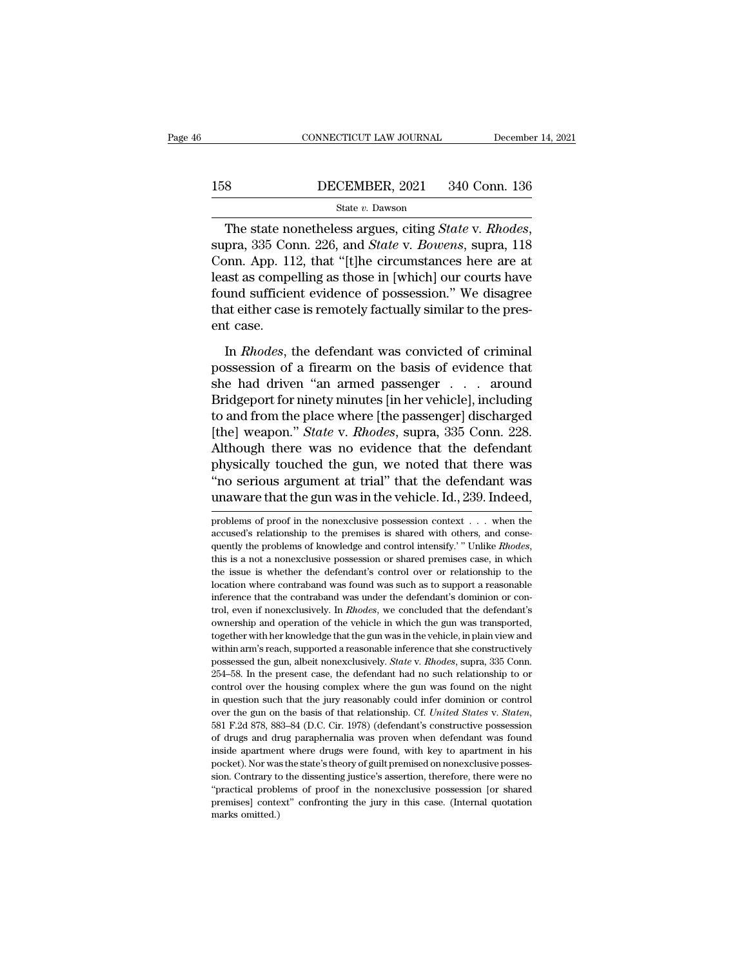# EXECUTE CONNECTICUT LAW JOURNAL December 14, 2021<br>158 DECEMBER, 2021 340 Conn. 136<br>State v. Dawson

### State *v.* Dawson

The state nonetheless argues, citing *State* v*. Rhodes*, supra, 335 Conn. 226, and *State* v*. Bowens*, supra, 118 Conn. App. 112, that "[t]he circumstances here are at least as compolling as those in [which] our courts h 158 DECEMBER, 2021 340 Conn. 136<br>
State v. Dawson<br>
The state nonetheless argues, citing *State v. Rhodes*,<br>
supra, 335 Conn. 226, and *State v. Bowens*, supra, 118<br>
Conn. App. 112, that "[t]he circumstances here are at<br>
l 158 DECEMBER, 2021 340 Conn. 136<br>
State v. Dawson<br>
The state nonetheless argues, citing *State v. Rhodes*,<br>
supra, 335 Conn. 226, and *State v. Bowens*, supra, 118<br>
Conn. App. 112, that "[t]he circumstances here are at<br>
l State v. Dawson<br>The state nonetheless argues, citing *State v. Rhodes*,<br>supra, 335 Conn. 226, and *State v. Bowens*, supra, 118<br>Conn. App. 112, that "[t]he circumstances here are at<br>least as compelling as those in [which] The state nonetheless argues, citing *State v. Rhodes*, supra, 335 Conn. 226, and *State v. Bowens*, supra, 118 Conn. App. 112, that "[t]he circumstances here are at least as compelling as those in [which] our courts have The state no<br>supra, 335 Co.<br>Conn. App. 11<br>least as compe<br>found sufficie<br>that either case.<br>In *Rhodes*, 1 Frame of the defendant was convicted of criminal<br>assession." We disagree at either case is remotely factually similar to the pres-<br>t case.<br>In *Rhodes*, the defendant was convicted of criminal<br>ssession of a firearm on the b possession is a fighter and possession." We disagree<br>that either case is remotely factually similar to the present case.<br>In *Rhodes*, the defendant was convicted of criminal<br>possession of a firearm on the basis of evidence

Found sufficient evidence of possession." We disagree<br>that either case is remotely factually similar to the present case.<br>In *Rhodes*, the defendant was convicted of criminal<br>possession of a firearm on the basis of evidenc that either case is remotely factually similar to the present case.<br>
In *Rhodes*, the defendant was convicted of criminal<br>
possession of a firearm on the basis of evidence that<br>
she had driven "an armed passenger  $\dots$  aro ent case.<br>
In *Rhodes*, the defendant was convicted of criminal<br>
possession of a firearm on the basis of evidence that<br>
she had driven "an armed passenger  $\ldots$  around<br>
Bridgeport for ninety minutes [in her vehicle], incl In *Rhodes*, the defendant was convicted of criminal possession of a firearm on the basis of evidence that she had driven "an armed passenger . . . around Bridgeport for ninety minutes [in her vehicle], including to and fr In *Rhodes*, the defendant was convicted of criminal<br>possession of a firearm on the basis of evidence that<br>she had driven "an armed passenger  $\ldots$  around<br>Bridgeport for ninety minutes [in her vehicle], including<br>to and f possession of a firearm on the basis of evidence that<br>she had driven "an armed passenger  $\ldots$  around<br>Bridgeport for ninety minutes [in her vehicle], including<br>to and from the place where [the passenger] discharged<br>[the] she had driven "an armed passenger . . . . around<br>Bridgeport for ninety minutes [in her vehicle], including<br>to and from the place where [the passenger] discharged<br>[the] weapon." *State* v. *Rhodes*, supra, 335 Conn. 228.<br>A Bridgeport for ninety minutes [in her vehicle], including<br>to and from the place where [the passenger] discharged<br>[the] weapon." *State* v. *Rhodes*, supra, 335 Conn. 228.<br>Although there was no evidence that the defendant<br>p Although there was no evidence that the defendant<br>physically touched the gun, we noted that there was<br>"no serious argument at trial" that the defendant was<br>unaware that the gun was in the vehicle. Id., 239. Indeed,<br>problem physically touched the gun, we noted that there was "no serious argument at trial" that the defendant was unaware that the gun was in the vehicle. Id., 239. Indeed, problems of proof in the nonexclusive possession context

"The serious argument at trial" that the defendant was unaware that the gun was in the vehicle. Id., 239. Indeed, problems of proof in the nonexclusive possession context . . . when the accused's relationship to the premis The issue is whether the defendant's control over or relationship to the premises is shared with others, and consequently the problems of knowledge and control intensity.' "Unlike *Rhodes*, this is a not a nonexclusive pos problems of proof in the nonexclusive possession context  $\ldots$  when the accused's relationship to the premises is shared with others, and consequently the problems of knowledge and control intensify.'" Unlike *Rhodes*, th accused's relationship to the premises is shared with others, and consequently the problems of knowledge and control intensify.' " Unlike *Rhodes*, this is a not a nonexclusive possession or shared premises case, in which quently the problems of knowledge and control intensify.'" Unlike *Rhodes*, this is a not a nonexclusive possession or shared premises case, in which the issue is whether the defendant's control over or relationship to the this is a not a nonexclusive possession or shared premises case, in which<br>the issue is whether the defendant's control over or relationship to the<br>location where contraband was found was such as to support a reasonable<br>inf the issue is whether the defendant's control over or relationship to the location where contraband was found was such as to support a reasonable inference that the contraband was under the defendant's dominion or control, Location where contraband was found was such as to support a reasonable inference that the contraband was under the defendant's dominion or control, even if nonexclusively. In *Rhodes*, we concluded that the defendant's ow possessed the gun, albeit nonexclusively. *State* v*. State* is a support a reasonal inference that the contraband was under the defendant's dominion or control, even if nonexclusively. In *Rhodes*, we concluded that the d trol, even if nonexclusively. In *Rhodes*, we concluded that the defendant's ownership and operation of the vehicle in which the gun was transported, together with her knowledge that the gun was in the vehicle, in plain vi control and operation of the vehicle in which the gun was transported, together with her knowledge that the gun was in the vehicle, in plain view and within arm's reach, supported a reasonable inference that she construct together with her knowledge that the gun was in the vehicle, in plain view and within arm's reach, supported a reasonable inference that she constructively possessed the gun, albeit nonexclusively. *State v. Rhodes*, supr over the gun on the basis of that relationship. Cf. *Basis of the constructively* possessed the gun, albeit nonexclusively. *State v. Rhodes*, supra, 335 Conn. 254–58. In the present case, the defendant had no such relatio 254–58. In the present case, the defendant had no such relationship to or control over the housing complex where the gun was found on the night in question such that the jury reasonably could infer dominion or control over control over the housing complex where the gun was found on the night<br>in question such that the jury reasonably could infer dominion or control<br>over the gun on the basis of that relationship. Cf. United States v. Staten,<br>5 in question such that the jury reasonably could infer dominion or control<br>over the gun on the basis of that relationship. Cf. *United States v. Staten*,<br>581 F.2d 878, 883–84 (D.C. Cir. 1978) (defendant's constructive posse sion. Contrary to the dissenting justice's assertion, therefore, there are no "practical Brazel" F.2d 878, 883–84 (D.C. Cir. 1978) (defendant's constructive possession of drugs and drug paraphernalia was proven when defend <sup>551</sup> F.2d 878, 883–84 (D.C. Cir. 1978) (defendant's constructive possession of drugs and drug paraphernalia was proven when defendant was found inside apartment where drugs were found, with key to apartment in his pocket) by drugs and drug paraphernalia was proven when defendant was found inside apartment where drugs were found, with key to apartment in his pocket). Nor was the state's theory of guilt premised on nonexclusive possession. Co of drugs and drug paraphernalia was proven when defendant was found<br>inside a<br>partment where drugs were found, with key to a<br>partment in his<br>pocket). Nor was the state's theory of guilt premised on nonexclusive posses-<br>sion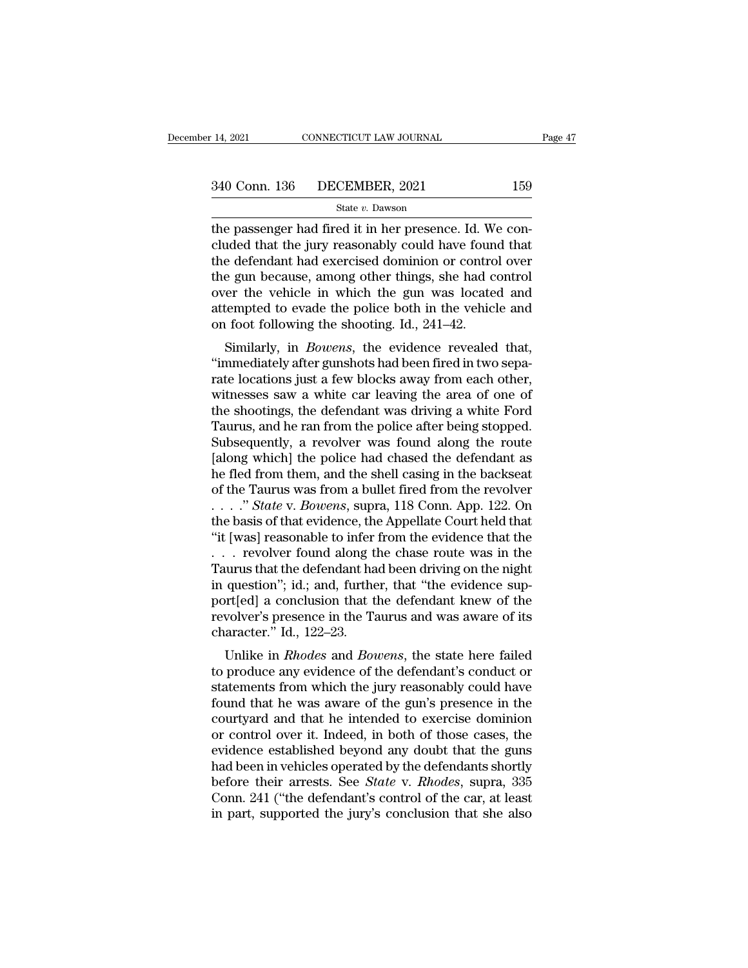the passenger had fired it in her presence. Id. We concluded that the jury reasonably could have found that<br>the defendent had exercised deminion or control events  $\begin{array}{ccc}\n 340 \text{ Conn. } 136 \quad \text{DECEMBER, } 2021 \quad \text{159}\n \text{State } v. \text{ Dawson}\n \end{array}$ the passenger had fired it in her presence. Id. We concluded that the jury reasonably could have found that<br>
the defendant had exercised dominion or cont 340 Conn. 136 DECEMBER, 2021 159<br>
State v. Dawson<br>
the passenger had fired it in her presence. Id. We concluded that the jury reasonably could have found that<br>
the defendant had exercised dominion or control over<br>
the gun 340 Conn. 136 DECEMBER, 2021 159<br>
State v. Dawson<br>
the passenger had fired it in her presence. Id. We concluded that the jury reasonably could have found that<br>
the defendant had exercised dominion or control over<br>
the gun State v. Dawson<br>
State v. Dawson<br>
the passenger had fired it in her presence. Id. We concluded that the jury reasonably could have found that<br>
the defendant had exercised dominion or control over<br>
the gun because, among o state v. Dawson<br>the passenger had fired it in her presence. Id. We concluded that the jury reasonably could have found that<br>the defendant had exercised dominion or control over<br>the gun because, among other things, she had the passenger had fired it in her presence. Id. Weluded that the jury reasonably could have foun the defendant had exercised dominion or contro the gun because, among other things, she had cover the vehicle in which the gu deed that the Jury reasonably collid have found that<br>e defendant had exercised dominion or control over<br>e gun because, among other things, she had control<br>er the vehicle in which the gun was located and<br>tempted to evade th the gun because, among other things, she had control<br>
over the vehicle in which the gun was located and<br>
attempted to evade the police both in the vehicle and<br>
on foot following the shooting. Id., 241–42.<br>
Similarly, in *B* 

rate gan because, antong other timigs, she had control<br>over the vehicle in which the gun was located and<br>attempted to evade the police both in the vehicle and<br>on foot following the shooting. Id., 241–42.<br>Similarly, in *Bow* over the ventcle in which the guit was located and<br>attempted to evade the police both in the vehicle and<br>on foot following the shooting. Id., 241–42.<br>Similarly, in *Bowens*, the evidence revealed that,<br>"immediately after g attempted to evade the police both in the venicle and<br>on foot following the shooting. Id., 241–42.<br>Similarly, in *Bowens*, the evidence revealed that,<br>"immediately after gunshots had been fired in two sepa-<br>rate locations on foot following the shooting. 1d., 241–42.<br>
Similarly, in *Bowens*, the evidence revealed that,<br>
"immediately after gunshots had been fired in two separate locations just a few blocks away from each other,<br>
witnesses saw Similarly, in *Bowens*, the evidence revealed that,<br>"immediately after gunshots had been fired in two sepa-<br>rate locations just a few blocks away from each other,<br>witnesses saw a white car leaving the area of one of<br>the sh "immediately after gunshots had been fired in two separate locations just a few blocks away from each other,<br>witnesses saw a white car leaving the area of one of<br>the shootings, the defendant was driving a white Ford<br>Taurus rate locations just a few blocks away from each other,<br>witnesses saw a white car leaving the area of one of<br>the shootings, the defendant was driving a white Ford<br>Taurus, and he ran from the police after being stopped.<br>Subs witnesses saw a white car leaving the area of one of<br>the shootings, the defendant was driving a white Ford<br>Taurus, and he ran from the police after being stopped.<br>Subsequently, a revolver was found along the route<br>[along w the shootings, the defendant was driving a white Ford<br>Taurus, and he ran from the police after being stopped.<br>Subsequently, a revolver was found along the route<br>[along which] the police had chased the defendant as<br>he fled Taurus, and he ran from the police after being stopped.<br>Subsequently, a revolver was found along the route<br>[along which] the police had chased the defendant as<br>he fled from them, and the shell casing in the backseat<br>of th Subsequently, a revolver was found along the route<br>
[along which] the police had chased the defendant as<br>
he fled from them, and the shell casing in the backseat<br>
of the Taurus was from a bullet fired from the revolver<br> [along which] the police had chased the defendant as<br>he fled from them, and the shell casing in the backseat<br>of the Taurus was from a bullet fired from the revolver<br> $\ldots$  " State v. Bowens, supra, 118 Conn. App. 122. On<br>t he fled from them, and the shell casing in the backseat<br>of the Taurus was from a bullet fired from the revolver<br>...." *State* v. *Bowens*, supra, 118 Conn. App. 122. On<br>the basis of that evidence, the Appellate Court held of the Taurus was from a bullet fired from the revolver . . . . " *State v. Bowens*, supra, 118 Conn. App. 122. On the basis of that evidence, the Appellate Court held that "it [was] reasonable to infer from the evidence ...." State v. Bowens, supra, 118 Conn. App. 122. On<br>the basis of that evidence, the Appellate Court held that<br>"it [was] reasonable to infer from the evidence that the<br>... revolver found along the chase route was in the<br>T the basis of that evidence, the Appellate Court held that<br>"it [was] reasonable to infer from the evidence that the<br>... revolver found along the chase route was in the<br>Taurus that the defendant had been driving on the nigh "it [was] reasonable to infer<br>... revolver found along the Taurus that the defendant hain question"; id.; and, further<br>port[ed] a conclusion that the revolver's presence in the Tacharacter." Id., 122–23.<br>Unlike in *Rhodes* From a state in the defendant had been driving on the night<br>question"; id.; and, further, that "the evidence sup-<br>prt[ed] a conclusion that the defendant knew of the<br>volver's presence in the Taurus and was aware of its<br>ara Faurus that the defendant had been driving on the hight<br>in question"; id.; and, further, that "the evidence sup-<br>port[ed] a conclusion that the defendant knew of the<br>revolver's presence in the Taurus and was aware of its<br>c

In question , id., and, further, that the evidence sup-<br>port[ed] a conclusion that the defendant knew of the<br>revolver's presence in the Taurus and was aware of its<br>character." Id., 122–23.<br>Unlike in *Rhodes* and *Bowens*, port<sub>l</sub>ed a conclusion that the defendant knew of the<br>revolver's presence in the Taurus and was aware of its<br>character." Id., 122–23.<br>Unlike in *Rhodes* and *Bowens*, the state here failed<br>to produce any evidence of the de revolver's presence in the Taurus and was aware of its<br>character." Id., 122–23.<br>Unlike in *Rhodes* and *Bowens*, the state here failed<br>to produce any evidence of the defendant's conduct or<br>statements from which the jury re Unlike in *Rhodes* and *Bowens*, the state here failed<br>to produce any evidence of the defendant's conduct or<br>statements from which the jury reasonably could have<br>found that he was aware of the gun's presence in the<br>courty Unlike in *Rhodes* and *Bowens*, the state here failed<br>to produce any evidence of the defendant's conduct or<br>statements from which the jury reasonably could have<br>found that he was aware of the gun's presence in the<br>courtya to produce any evidence of the defendant's conduct or<br>statements from which the jury reasonably could have<br>found that he was aware of the gun's presence in the<br>courtyard and that he intended to exercise dominion<br>or control statements from which the jury reasonably could have<br>found that he was aware of the gun's presence in the<br>courtyard and that he intended to exercise dominion<br>or control over it. Indeed, in both of those cases, the<br>evidence found that he was aware of the gun's presence in the courtyard and that he intended to exercise dominion or control over it. Indeed, in both of those cases, the evidence established beyond any doubt that the guns had been courtyard and that he intended to exercise dominion<br>or control over it. Indeed, in both of those cases, the<br>evidence established beyond any doubt that the guns<br>had been in vehicles operated by the defendants shortly<br>before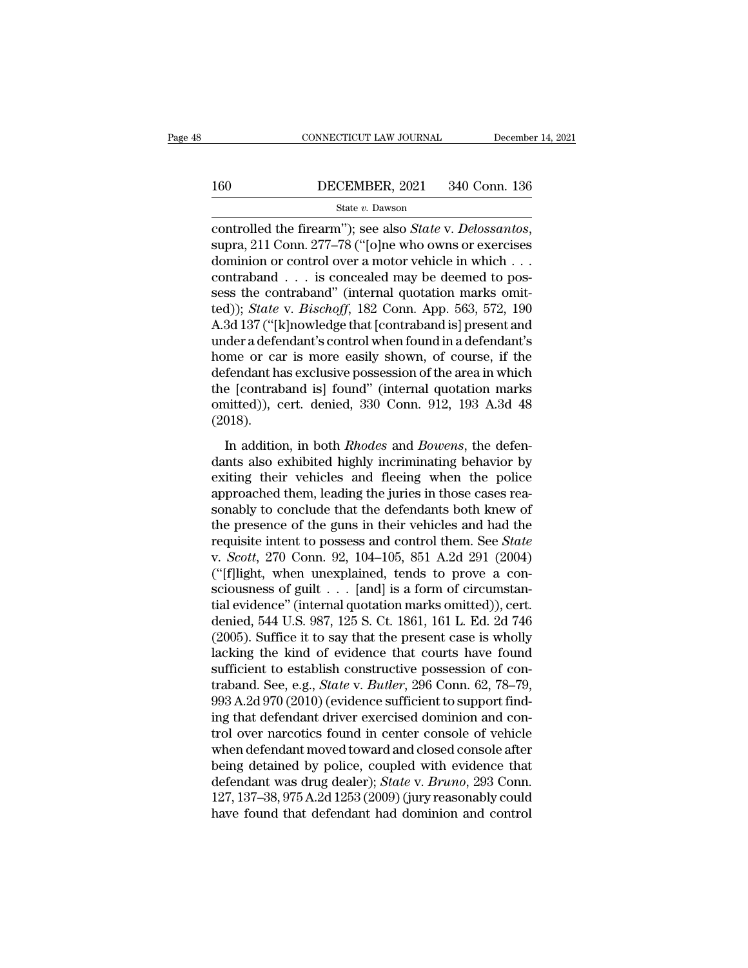# EXECUTE CONNECTICUT LAW JOURNAL December 14, 2021<br>160 DECEMBER, 2021 340 Conn. 136<br>State v. Dawson

### State *v.* Dawson

connecticut LAW JOURNAL December 14, 2021<br>
160 DECEMBER, 2021 340 Conn. 136<br>
<sup>State</sup> v. Dawson<br>
controlled the firearm''); see also *State* v. *Delossantos*,<br>
supra, 211 Conn. 277–78 ("[o]ne who owns or exercises<br>
dominion 160 DECEMBER, 2021 340 Conn. 136<br>
State v. Dawson<br>
controlled the firearm"); see also *State* v. *Delossantos*,<br>
supra, 211 Conn. 277–78 ("[o]ne who owns or exercises<br>
dominion or control over a motor vehicle in which . . 160 DECEMBER, 2021 340 Conn. 136<br>
State v. Dawson<br>
controlled the firearm"); see also *State* v. *Delossantos*,<br>
supra, 211 Conn. 277–78 ("[o]ne who owns or exercises<br>
dominion or control over a motor vehicle in which . . State v. Dawson<br>
State v. Dawson<br>
controlled the firearm"); see also *State* v. *Delossantos*,<br>
supra, 211 Conn. 277–78 ("[o]ne who owns or exercises<br>
dominion or control over a motor vehicle in which ...<br>
contraband ... state v. Dawson<br>
controlled the firearm"); see also *State* v. *Delossantos*,<br>
supra, 211 Conn. 277–78 ("[o]ne who owns or exercises<br>
dominion or control over a motor vehicle in which . . .<br>
contraband . . . is concealed m controlled the firearm"); see also *State* v. *Delossantos*,<br>supra, 211 Conn. 277–78 ("[o]ne who owns or exercises<br>dominion or contrab over a motor vehicle in which . . .<br>contraband . . . is concealed may be deemed to pos supra, 211 Conn. 277–78 ("[o]ne who owns or exercises<br>dominion or control over a motor vehicle in which . . .<br>contraband . . . is concealed may be deemed to pos-<br>sess the contraband" (internal quotation marks omit-<br>ted)); dominion or control over a motor vehicle in which . . .<br>contraband . . . is concealed may be deemed to pos-<br>sess the contraband" (internal quotation marks omit-<br>ted)); *State* v. *Bischoff*, 182 Conn. App. 563, 572, 190<br>A. contraband . . . is concealed may be deemed to pos-<br>sess the contraband" (internal quotation marks omit-<br>ted)); *State* v. *Bischoff*, 182 Conn. App. 563, 572, 190<br>A.3d 137 ("[k]nowledge that [contraband is] present and<br>u sess the contraband" (internal quotation marks omit-<br>ted)); *State* v. *Bischoff*, 182 Conn. App. 563, 572, 190<br>A.3d 137 ("[k]nowledge that [contraband is] present and<br>under a defendant's control when found in a defendant' ted)); *State* v. *Bischoff*, 182 Conn. App. 563, 572, 190<br>A.3d 137 ("[k]nowledge that [contraband is] present and<br>under a defendant's control when found in a defendant's<br>home or car is more easily shown, of course, if the (2018). In a different and *B* states when *n* and *Rhodes* and *Rhodes* and *Rhodes* and *Rhodes* and *Bowens*, the defen-<br>In addition, in both *Rhodes* and *Bowens*, the defen-<br>In addition, in both *Rhodes* and *Bowens*, the def defendant has exclusive possession of the area in which<br>defendant has exclusive possession of the area in which<br>the [contraband is] found" (internal quotation marks<br>omitted)), cert. denied, 330 Conn. 912, 193 A.3d 48<br>(2018

determination as cheralistive possession of the dieta in which<br>the [contraband is] found" (internal quotation marks<br>omitted)), cert. denied, 330 Conn. 912, 193 A.3d 48<br>(2018).<br>In addition, in both *Rhodes* and *Bowens*, th and them, and them, 1912, 193 A.3d 48<br>(2018).<br>In addition, in both *Rhodes* and *Bowens*, the defen-<br>dants also exhibited highly incriminating behavior by<br>exiting their vehicles and fleeing when the police<br>approached them, (2018).<br>In addition, in both *Rhodes* and *Bowens*, the defendants also exhibited highly incriminating behavior by<br>exiting their vehicles and fleeing when the police<br>approached them, leading the juries in those cases reas In addition, in both *Rhodes* and *Bowens*, the defendants also exhibited highly incriminating behavior by exiting their vehicles and fleeing when the police approached them, leading the juries in those cases reasonably t In addition, in both *Rhodes* and *Bowens*, the defendants also exhibited highly incriminating behavior by exiting their vehicles and fleeing when the police approached them, leading the juries in those cases reasonably to dants also exhibited highly incriminating behavior by<br>exiting their vehicles and fleeing when the police<br>approached them, leading the juries in those cases rea-<br>sonably to conclude that the defendants both knew of<br>the pres exiting their vehicles and fleeing when the police<br>approached them, leading the juries in those cases rea-<br>sonably to conclude that the defendants both knew of<br>the presence of the guns in their vehicles and had the<br>requis approached them, leading the juries in those cases reasonably to conclude that the defendants both knew of<br>the presence of the guns in their vehicles and had the<br>requisite intent to possess and control them. See *State*<br>v sonably to conclude that the defendants both knew of<br>the presence of the guns in their vehicles and had the<br>requisite intent to possess and control them. See *State*<br>v. *Scott*, 270 Conn. 92, 104–105, 851 A.2d 291 (2004)<br> the presence of the guns in their vehicles and had the requisite intent to possess and control them. See *State* v. *Scott*, 270 Conn. 92, 104–105, 851 A.2d 291 (2004) ("[f]light, when unexplained, tends to prove a consci requisite intent to possess and control them. See *State* v. *Scott*, 270 Conn. 92, 104–105, 851 A.2d 291 (2004) ("[f]light, when unexplained, tends to prove a consciousness of guilt  $\ldots$  [and] is a form of circumstantia v. *Scott*, 270 Conn. 92, 104–105, 851 A.2d 291 (2004)<br>("[f]light, when unexplained, tends to prove a consciousness of guilt . . . [and] is a form of circumstantial evidence" (internal quotation marks omitted)), cert.<br>den ("[f]light, when unexplained, tends to prove a consciousness of guilt . . . [and] is a form of circumstantial evidence" (internal quotation marks omitted)), cert.<br>denied, 544 U.S. 987, 125 S. Ct. 1861, 161 L. Ed. 2d 746<br>( sciousness of guilt . . . [and] is a form of circumstantial evidence" (internal quotation marks omitted)), cert.<br>denied, 544 U.S. 987, 125 S. Ct. 1861, 161 L. Ed. 2d 746<br>(2005). Suffice it to say that the present case is w tial evidence" (internal quotation marks omitted)), cert.<br>denied, 544 U.S. 987, 125 S. Ct. 1861, 161 L. Ed. 2d 746<br>(2005). Suffice it to say that the present case is wholly<br>lacking the kind of evidence that courts have fou denied, 544 U.S. 987, 125 S. Ct. 1861, 161 L. Ed. 2d 746 (2005). Suffice it to say that the present case is wholly lacking the kind of evidence that courts have found sufficient to establish constructive possession of cont (2005). Suffice it to say that the present case is wholly lacking the kind of evidence that courts have found sufficient to establish constructive possession of contraband. See, e.g., *State* v. *Butler*, 296 Conn. 62, 78 lacking the kind of evidence that courts have found<br>sufficient to establish constructive possession of con-<br>traband. See, e.g., *State* v. *Butler*, 296 Conn. 62, 78–79,<br>993 A.2d 970 (2010) (evidence sufficient to support sufficient to establish constructive possession of contraband. See, e.g., *State* v. *Butler*, 296 Conn. 62, 78–79, 993 A.2d 970 (2010) (evidence sufficient to support finding that defendant driver exercised dominion and c traband. See, e.g., *State* v. *Butler*, 296 Conn. 62, 78–79, 993 A.2d 970 (2010) (evidence sufficient to support finding that defendant driver exercised dominion and control over narcotics found in center console of vehic 993 A.2d 970 (2010) (evidence sufficient to support find-<br>ing that defendant driver exercised dominion and con-<br>trol over narcotics found in center console of vehicle<br>when defendant moved toward and closed console after<br>be ing that defendant driver exercised dominion and control over narcotics found in center console of vehicle<br>when defendant moved toward and closed console after<br>being detained by police, coupled with evidence that<br>defendant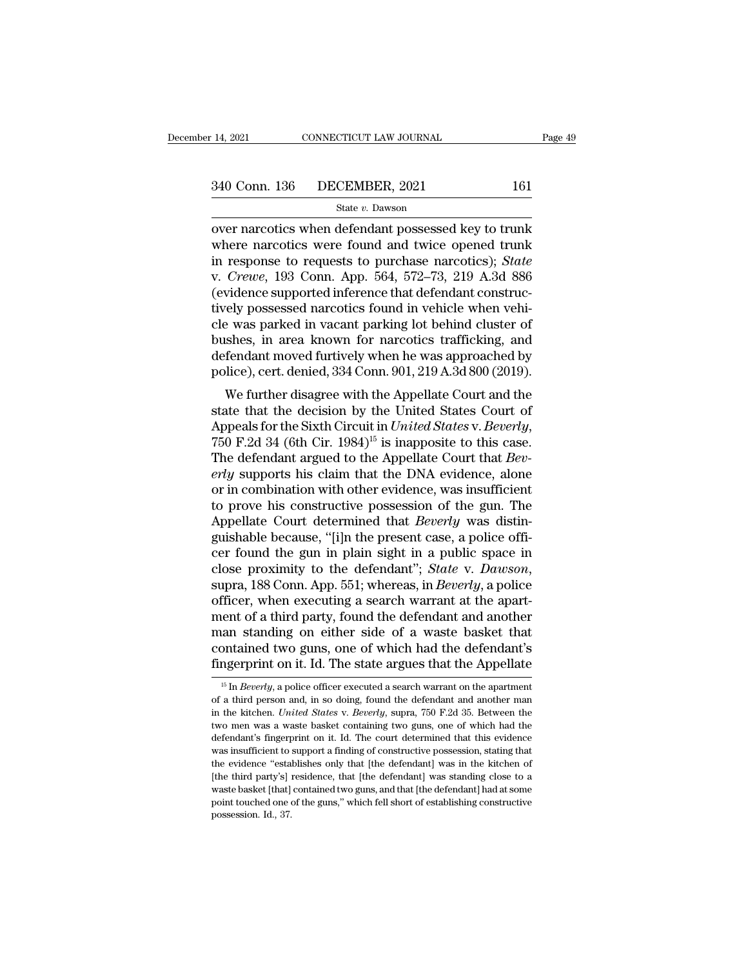14, 2021 CONNECTICUT LAW JOURNAL Page 49<br>
340 Conn. 136 DECEMBER, 2021 161<br>
State v. Dawson<br>
over narcotics when defendant possessed key to trunk<br>
where narcotics were found and twice opened trunk<br>
in response to requests  $\frac{340 \text{ Conn. } 136 \qquad \text{DECEMBER, } 2021 \qquad \qquad 161}{\text{State } v. \text{ Dawson}}$ <br>
over narcotics when defendant possessed key to trunk<br>
where narcotics were found and twice opened trunk<br>
in response to requests to purchase narcotics); *State* 340 Conn. 136 DECEMBER, 2021 161<br>
State v. Dawson<br>
over narcotics when defendant possessed key to trunk<br>
where narcotics were found and twice opened trunk<br>
in response to requests to purchase narcotics); *State*<br>
v. *Crewe* 340 Conn. 136 DECEMBER, 2021 161<br>
<sup>State v. Dawson<br>
over narcotics when defendant possessed key to trunk<br>
where narcotics were found and twice opened trunk<br>
in response to requests to purchase narcotics); *State*<br>
v. *Crew</sup>* State v. Dawson<br>
(State v. Dawson<br>
(State v. Dawson<br>
(State v. Dawson<br>
(State v. Dawson<br>
(State proported inference that defendant construc-<br>
(evidence supported inference that defendant construc-<br>
(evidence supported inf State v. Dawson<br>
over narcotics when defendant possessed key to trunk<br>
where narcotics were found and twice opened trunk<br>
in response to requests to purchase narcotics); *State*<br>
v. *Crewe*, 193 Conn. App. 564, 572–73, 21 over narcotics when defendant possessed key to trunk<br>where narcotics were found and twice opened trunk<br>in response to requests to purchase narcotics); *State*<br>v. *Crewe*, 193 Conn. App. 564, 572–73, 219 A.3d 886<br>(evidence where narcotics were found and twice opened trunk<br>in response to requests to purchase narcotics); *State*<br>v. *Crewe*, 193 Conn. App. 564, 572–73, 219 A.3d 886<br>(evidence supported inference that defendant construc-<br>tively in response to requests to purchase narcotics); *State* v. *Crewe*, 193 Conn. App. 564, 572–73, 219 A.3d 886 (evidence supported inference that defendant constructively possessed narcotics found in vehicle when vehicle was v. *Crewe*, 193 Conn. App. 564, 572–73, 219 A.3d 886<br>(evidence supported inference that defendant constructively possessed narcotics found in vehicle when vehicle was parked in vacant parking lot behind cluster of<br>bushes, vidence supported interence that detendant constructed<br>ely possessed narcotics found in vehicle when vehi-<br>e was parked in vacant parking lot behind cluster of<br>shes, in area known for narcotics trafficking, and<br>fendant mov state that the decision by the United States Court<br>The decision by the defendant moved furtively when he was approached by<br>police), cert. denied, 334 Conn. 901, 219 A.3d 800 (2019).<br>We further disagree with the Appellate C

ree was parked in vacant parking for benind cluster of<br>bushes, in area known for narcotics trafficking, and<br>defendant moved furtively when he was approached by<br>police), cert. denied, 334 Conn. 901, 219 A.3d 800 (2019).<br>We defendant moved rurivery when he was approached by<br>police), cert. denied, 334 Conn. 901, 219 A.3d 800 (2019).<br>We further disagree with the Appellate Court and the<br>state that the decision by the United States Court of<br>Appea ponce), cert. denied, 354 Coluit 301, 213 A.5d 8000 (2013).<br> *We further disagree with the Appellate Court and the*<br>
state that the decision by the United States Court of<br> *Appeals for the Sixth Circuit in United States v.* We further disagree with the Appellate Court and the<br>state that the decision by the United States Court of<br>Appeals for the Sixth Circuit in *United States v. Beverly*,<br>750 F.2d 34 (6th Cir. 1984)<sup>15</sup> is inapposite to this state that the decision by the United States Court of<br>Appeals for the Sixth Circuit in *United States v. Beverly*,<br>750 F.2d 34 (6th Cir. 1984)<sup>15</sup> is inapposite to this case.<br>The defendant argued to the Appellate Court tha Appeals for the Sixth Circuit in *United States v. Beverly,*<br>750 F.2d 34 (6th Cir. 1984)<sup>15</sup> is inapposite to this case.<br>The defendant argued to the Appellate Court that *Bev-*<br>*erly* supports his claim that the DNA eviden 750 F.2d 34 (6th Cir. 1984)<sup>15</sup> is inapposite to this case.<br>The defendant argued to the Appellate Court that *Beverly* supports his claim that the DNA evidence, alone<br>or in combination with other evidence, was insufficien The defendant argued to the Appellate Court that *Beverly* supports his claim that the DNA evidence, alone<br>or in combination with other evidence, was insufficient<br>to prove his constructive possession of the gun. The<br>Appel erly supports his claim that the DNA evidence, alone<br>or in combination with other evidence, was insufficient<br>to prove his constructive possession of the gun. The<br>Appellate Court determined that *Beverly* was distin-<br>guisha to prove his constructive possession of the gun. The Appellate Court determined that *Beverly* was distinguishable because, "[i]n the present case, a police officer found the gun in plain sight in a public space in close Appellate Court determined that *Beverly* was distinguishable because, "[i]n the present case, a police officer found the gun in plain sight in a public space in close proximity to the defendant"; *State* v. *Dawson*, supr guishable because, "[i]n the present case, a police officer found the gun in plain sight in a public space in<br>close proximity to the defendant"; *State v. Dawson*,<br>supra, 188 Conn. App. 551; whereas, in *Beverly*, a police cer found the gun in plain sight in a public space in<br>close proximity to the defendant"; *State* v. *Dawson*,<br>supra, 188 Conn. App. 551; whereas, in *Beverly*, a police<br>officer, when executing a search warrant at the apart close proximity to the defendant"; *State* v. *Dawson*,<br>supra, 188 Conn. App. 551; whereas, in *Beverly*, a police<br>officer, when executing a search warrant at the apart-<br>ment of a third party, found the defendant and anot ient of a third party, found the defendant and another<br>an standing on either side of a waste basket that<br>ontained two guns, one of which had the defendant's<br>ngerprint on it. Id. The state argues that the Appellate<br><sup>15</sup> In man standing on either side of a waste basket that<br>contained two guns, one of which had the defendant's<br>fingerprint on it. Id. The state argues that the Appellate<br> $\frac{15 \text{ In } \text{Beverly, a police officer executed a search warrant on the apartment}}{16 \text{ a third person and, in so doing, found the defendant and another man}}$ <br>in th

contained two guns, one of which had the defendant's<br>fingerprint on it. Id. The state argues that the Appellate<br><sup>15</sup> In *Beverly*, a police officer executed a search warrant on the apartment<br>of a third person and, in so do **Exhibition of the state argues that the Appellate**<br>
<sup>15</sup> In *Beverly*, a police officer executed a search warrant on the apartment<br>
of a third person and, in so doing, found the defendant and another man<br>
in the kitchen.  $\frac{16}{15}$  In *Beverly*, a police officer executed a search warrant on the apartment of a third person and, in so doing, found the defendant and another man in the kitchen. *United States v. Beverly*, supra, 750 F.2d 35. <sup>15</sup> In *Beverly*, a police officer executed a search warrant on the apartment of a third person and, in so doing, found the defendant and another man in the kitchen. *United States v. Beverly*, supra, 750 F.2d 35. Betwee of a third person and, in so doing, found the defendant and another man<br>in the kitchen. United States v. Beverly, supra, 750 F.2d 35. Between the<br>two men was a waste basket containing two guns, one of which had the<br>defend In the kitchen. United States v. Beverly, supra, 750 F.2d 35. Between the two men was a waste basket containing two guns, one of which had the defendant's fingerprint on it. Id. The court determined that this evidence was two men was a waste basket containing two guns, one of which had the defendant's fingerprint on it. Id. The court determined that this evidence was insufficient to support a finding of constructive possession, stating tha defendant's fingerprint on it. Id. The court determined that this evidence was insufficient to support a finding of constructive possession, stating that the evidence "establishes only that [the defendant] was in the kitch was insufficient to support a finding of constructive possession, stating that the evidence "establishes only that [the defendant] was in the kitchen of [the third party's] residence, that [the defendant] was standing clo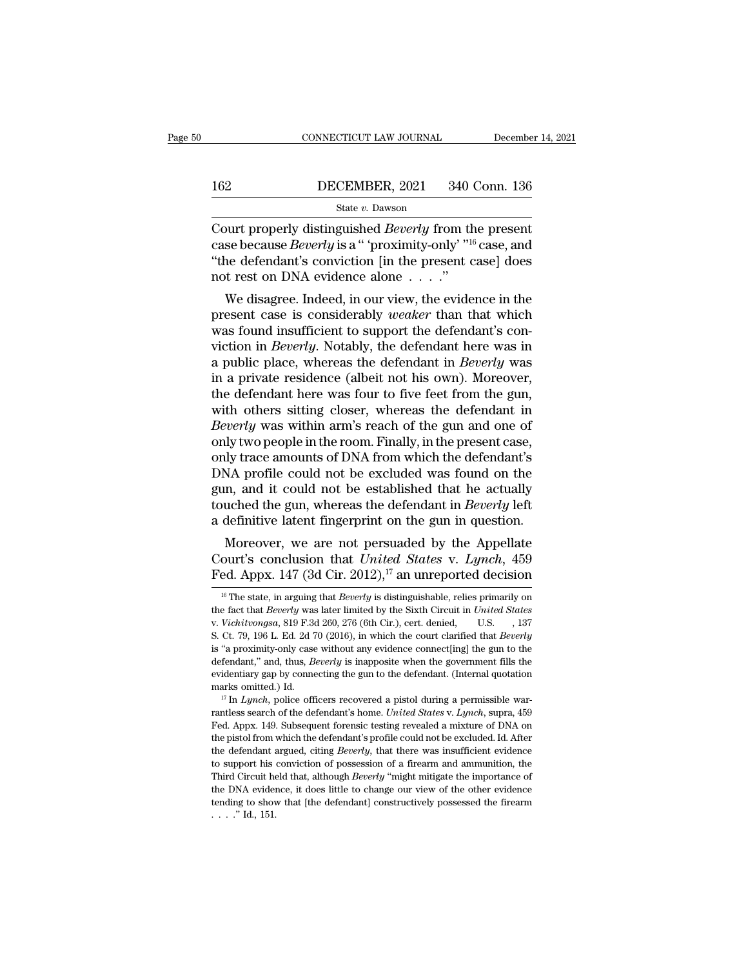# EXECUTE CONNECTICUT LAW JOURNAL December 14, 2021<br>162 DECEMBER, 2021 340 Conn. 136<br>State v. Dawson

### State *v.* Dawson

CONNECTICUT LAW JOURNAL December 14, 202<br>
162 DECEMBER, 2021 340 Conn. 136<br>
State *v*. Dawson<br>
Court properly distinguished *Beverly* from the present<br>
case because *Beverly* is a " 'proximity-only' "<sup>16</sup> case, and<br>"the de **CONTRET 162**<br> **CONTA CONTRET 162**<br> **CONT** properly distinguished *Beverly* from the present<br>
case because *Beverly* is a " 'proximity-only' "<sup>16</sup> case, and<br>
"the defendant's conviction [in the present case] does<br>
not rest <sup>162</sup> DECEMBER, 2021 340 Conn. 136<br>
<sup>State v. Dawson<br>
Court properly distinguished *Beverly* from the present<br>
case because *Beverly* is a " 'proximity-only' <sup>''16</sup> case, and<br>
"the defendant's conviction [in the present c</sup> 162 DECEMBER, 2021 340 (State v. Dawson<br>
State v. Dawson<br>
Court properly distinguished *Beverly* from the case because *Beverly* is a " 'proximity-only' "<sup>16</sup><br>
"the defendant's conviction [in the present cnot rest on DNA State v. Dawson<br>
burt properly distinguished *Beverly* from the present<br>
se because *Beverly* is a " proximity-only' <sup>"16</sup> case, and<br>
ne defendant's conviction [in the present case] does<br>
t rest on DNA evidence alone . . Court properly distinguished *Beverly* from the present case because *Beverly* is a "proximity-only"<sup>16</sup> case, and "the defendant's conviction [in the present case] does not rest on DNA evidence alone  $\dots$ ."<br>We disagree.

Court properly distinguished *Beverly* from the present case because *Beverly* is a " proximity-only' "<sup>16</sup> case, and "the defendant's conviction [in the present case] does not rest on DNA evidence alone  $\dots$ ".<br>We disagre case because *Beverry* is a proximity-only  $\sim$  case, and "the defendant's conviction [in the present case] does not rest on DNA evidence alone . . . ."<br>We disagree. Indeed, in our view, the evidence in the present case is Interaction of the present case of the and the defendant is conviction in the present case is considerably *weaker* than that which was found insufficient to support the defendant's conviction in *Beverly*. Notably, the de in a private residence alone  $\ldots$  is a weaker than that which present case is considerably *weaker* than that which was found insufficient to support the defendant's conviction in *Beverly*. Notably, the defendant here w We disagree. Indeed, in our view, the evidence in the present case is considerably *weaker* than that which was found insufficient to support the defendant's conviction in *Beverly*. Notably, the defendant here was in a pu present case is considerably *weaker* than that which<br>was found insufficient to support the defendant's con-<br>viction in *Beverly*. Notably, the defendant here was in<br>a public place, whereas the defendant in *Beverly* was<br>i was found insufficient to support the defendant's conviction in *Beverly*. Notably, the defendant here was in a public place, whereas the defendant in *Beverly* was in a private residence (albeit not his own). Moreover, th viction in *Beverly*. Notably, the defendant here was in<br>a public place, whereas the defendant in *Beverly* was<br>in a private residence (albeit not his own). Moreover,<br>the defendant here was four to five feet from the gun,<br> a public place, whereas the defendant in *Beverly* was<br>in a private residence (albeit not his own). Moreover,<br>the defendant here was four to five feet from the gun,<br>with others sitting closer, whereas the defendant in<br>*Bev* in a private residence (albeit not his own). Moreover,<br>the defendant here was four to five feet from the gun,<br>with others sitting closer, whereas the defendant in<br>*Beverly* was within arm's reach of the gun and one of<br>only the defendant here was four to five feet from the gun,<br>with others sitting closer, whereas the defendant in<br>Beverly was within arm's reach of the gun and one of<br>only two people in the room. Finally, in the present case,<br>on with others sitting closer, whereas the defendant in *Beverly* was within arm's reach of the gun and one of only two people in the room. Finally, in the present case, only trace amounts of DNA from which the defendant's DN Beverly was within arm's reach of the gun and one of only two people in the room. Finally, in the present case, only trace amounts of DNA from which the defendant's DNA profile could not be excluded was found on the gun, a If the person of DNA from which the defendant's<br>NA profile could not be excluded was found on the<br>n, and it could not be established that he actually<br>uched the gun, whereas the defendant in *Beverly* left<br>definitive laten Only trace amounts of DNA from which the defendant is<br>DNA profile could not be excluded was found on the<br>gun, and it could not be established that he actually<br>touched the gun, whereas the defendant in *Beverly* left<br>a defi DINA profile could not be excluded was found off the<br>gun, and it could not be established that he actually<br>touched the gun, whereas the defendant in *Beverly* left<br>a definitive latent fingerprint on the gun in question.<br>M

Moreover, we are not persuaded by the Appellate<br>ourt's conclusion that *United States v. Lynch*, 459<br>ed. Appx. 147 (3d Cir. 2012),<sup>17</sup> an unreported decision<br><sup>16</sup> The state, in arguing that *Beverly* is distinguishable, re

Moreover, we are not persuaded by the Appellate<br>Court's conclusion that *United States* v. *Lynch*, 459<br>Fed. Appx. 147 (3d Cir. 2012),<sup>17</sup> an unreported decision<br><sup>16</sup> The state, in arguing that *Beverly* is distinguishable Fed. Appx. 147 (3d Cir. 2012),<sup>17</sup> an unreported decision<br>
<sup>16</sup> The state, in arguing that *Beverly* is distinguishable, relies primarily on<br>
the fact that *Beverly* was later limited by the Sixth Circuit in *United State* **FEU. Appx. 147 (30 CIF.** 2012), **all ulleported decision**<br><sup>16</sup> The state, in arguing that *Beverly* is distinguishable, relies primarily on<br>the fact that *Beverly* was later limited by the Sixth Circuit in *United States* <sup>16</sup> The state, in arguing that *Beverly* is distinguishable, relies primarily on the fact that *Beverly* was later limited by the Sixth Circuit in *United States* v. *Vichitvongsa*, 819 F.3d 260, 276 (6th Cir.), cert. de the fact that *Beverly* was later limited by the Sixth Circuit in *United States* v. *Vichitvongsa*, 819 F.3d 260, 276 (6th Cir.), cert. denied, U.S. , 137 S. Ct. 79, 196 L. Ed. 2d 70 (2016), in which the court clarified w. *Vichitrongsa*, 819 F.3d 260, 276 (6th Cir.), cert. denied, U.S. 137<br>S. Ct. 79, 196 L. Ed. 2d 70 (2016), in which the court clarified that *Beverly*<br>is "a proximity-only case without any evidence connect[ing] the gun to is "a proximity-only case without any evidence connect[ing] the gun to the defendant," and, thus, *Beverly* is inapposite when the government fills the evidentiary gap by connecting the gun to the defendant. (Internal quot

defendant," and, thus, *Beverly* is inapposite when the government fills the evidentiary gap by connecting the gun to the defendant. (Internal quotation marks omitted.) Id.<br>
<sup>17</sup> In *Lynch*, police officers recovered a pis evidentiary gap by connecting the gun to the defendant. (Internal quotation marks omitted.) Id.<br>
<sup>17</sup> In *Lynch*, police officers recovered a pistol during a permissible warrantless search of the defendant's home. *United* marks omitted.) Id.<br>
<sup>17</sup> In *Lynch*, police officers recovered a pistol during a permissible war-<br>
<sup>17</sup> In *Lynch*, police officers recovered a pistol during a permissible war-<br> **Fed.** Appx. 149. Subsequent forensic test <sup>17</sup> In *Lynch*, police officers recovered a pistol during a permissible warrantless search of the defendant's home. *United States* v. *Lynch*, supra, 459 Fed. Appx. 149. Subsequent forensic testing revealed a mixture of The Circuit held that, although *Beverly* ''might mitigate the importance of DNA on the pistol from which the defendant's profile could not be excluded. Id. After the defendant argued, citing *Beverly*, that there was insu Fed. Appx. 149. Subsequent forensic testing revealed a mixture of DNA on the pistol from which the defendant's profile could not be excluded. Id. After the defendant argued, citing *Beverly*, that there was insufficient e the pistol from which the defendant's profile could not be excluded. Id. After the defendant argued, citing *Beverly*, that there was insufficient evidence to support his conviction of possession of a firearm and ammuniti the pistol from which the defendant's profile could not be excluded. Id. After the defendant argued, citing *Beverly*, that there was insufficient evidence to support his conviction of possession of a firearm and ammuniti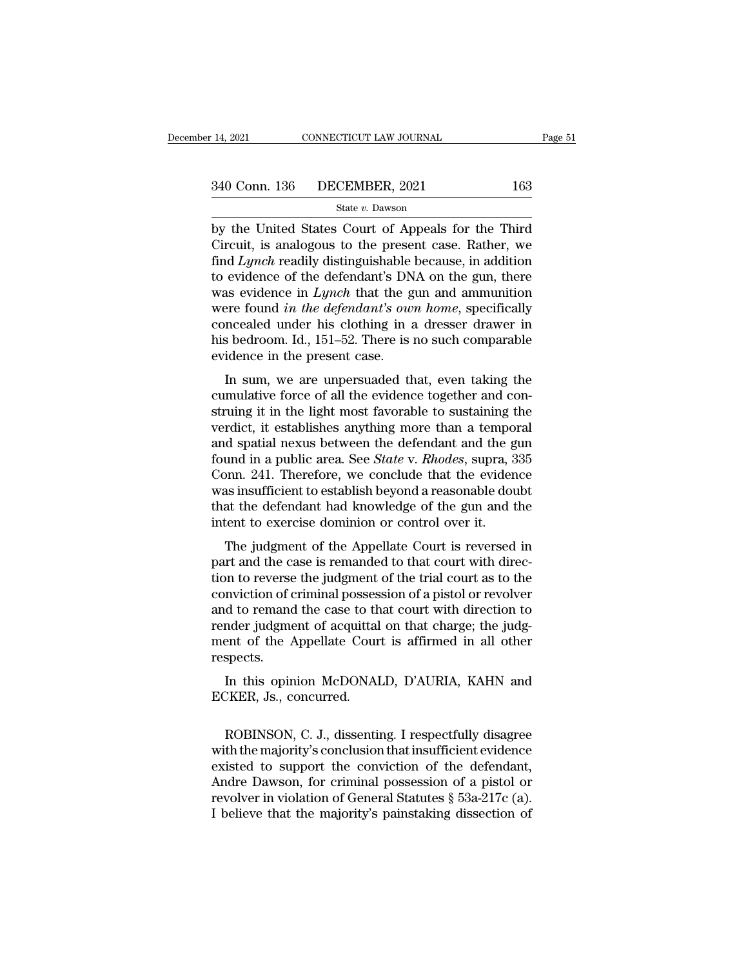14, 2021 CONNECTICUT LAW JOURNAL Page 51<br>
340 Conn. 136 DECEMBER, 2021 163<br>
State v. Dawson<br>
by the United States Court of Appeals for the Third<br>
Circuit, is analogous to the present case. Rather, we<br>
find Lamak roadily d 340 Conn. 136 DECEMBER, 2021 163<br>
State v. Dawson<br>
by the United States Court of Appeals for the Third<br>
Circuit, is analogous to the present case. Rather, we<br>
find *Lynch* readily distinguishable because, in addition<br>
to e  $\frac{340 \text{ Conn. } 136 \qquad \text{DECEMBER, } 2021 \qquad \qquad 163}{\text{State } v. \text{ Dawson}}$ <br>by the United States Court of Appeals for the Third<br>Circuit, is analogous to the present case. Rather, we<br>find *Lynch* readily distinguishable because, in additi 340 Conn. 136 DECEMBER, 2021 163<br>
State v. Dawson<br>
by the United States Court of Appeals for the Third<br>
Circuit, is analogous to the present case. Rather, we<br>
find *Lynch* readily distinguishable because, in addition<br>
to State *v. Dawson*<br>State *v. Dawson*<br>Dy the United States Court of Appeals for the Third<br>Circuit, is analogous to the present case. Rather, we<br>find *Lynch* readily distinguishable because, in addition<br>to evidence of the def state *v*. Dawson<br>by the United States Court of Appeals for the Third<br>Circuit, is analogous to the present case. Rather, we<br>find *Lynch* readily distinguishable because, in addition<br>to evidence of the defendant's DNA on th by the United States Court of Appeals for the Third<br>Circuit, is analogous to the present case. Rather, we<br>find *Lynch* readily distinguishable because, in addition<br>to evidence of the defendant's DNA on the gun, there<br>was e Circuit, is analogous to the present case. Rather, we<br>find *Lynch* readily distinguishable because, in addition<br>to evidence of the defendant's DNA on the gun, there<br>was evidence in *Lynch* that the gun and ammunition<br>were find *Lynch* readily distinguishable<br>to evidence of the defendant's DN<br>was evidence in *Lynch* that the g<br>were found *in the defendant's ow*<br>concealed under his clothing in a<br>his bedroom. Id., 151–52. There is<br>evidence in Evidence of the defendant's DNA off the guit, there<br>as evidence in *Lynch* that the gun and ammunition<br>precaled under his clothing in a dresser drawer in<br>s bedroom. Id., 151–52. There is no such comparable<br>idence in the pr was evidence in *Eyffor* that the gun and annihilation<br>were found *in the defendant's own home*, specifically<br>concealed under his clothing in a dresser drawer in<br>his bedroom. Id., 151–52. There is no such comparable<br>eviden

struct found the the digendants burn home, specificary<br>concealed under his clothing in a dresser drawer in<br>his bedroom. Id., 151–52. There is no such comparable<br>evidence in the present case.<br>In sum, we are unpersuaded that this bedroom. Id., 151–52. There is no such comparable<br>evidence in the present case.<br>In sum, we are unpersuaded that, even taking the<br>cumulative force of all the evidence together and con-<br>struing it in the light most fav and spatial nexus between the defendant and the gundance in the present case.<br>
In sum, we are unpersuaded that, even taking the cumulative force of all the evidence together and construing it in the light most favorable t In sum, we are unpersuaded that, even taking the<br>cumulative force of all the evidence together and con-<br>struing it in the light most favorable to sustaining the<br>verdict, it establishes anything more than a temporal<br>and spa In sum, we are unpersuaded that, even taking the<br>cumulative force of all the evidence together and con-<br>struing it in the light most favorable to sustaining the<br>verdict, it establishes anything more than a temporal<br>and spa cumulative force of all the evidence together and construing it in the light most favorable to sustaining the verdict, it establishes anything more than a temporal and spatial nexus between the defendant and the gun found struing it in the light most favorable to sustaining the verdict, it establishes anything more than a temporal<br>and spatial nexus between the defendant and the gun<br>found in a public area. See *State* v. *Rhodes*, supra, 335 verdict, it establishes anything more than a tempo<br>and spatial nexus between the defendant and the g<br>found in a public area. See *State* v. *Rhodes*, supra, 3<br>Conn. 241. Therefore, we conclude that the evider<br>was insuffic In a public area. See *State v. Rhodes*, supra, 335<br>pnn. 241. Therefore, we conclude that the evidence<br>as insufficient to establish beyond a reasonable doubt<br>at the defendant had knowledge of the gun and the<br>tent to exerci part and the area. See *Blate V. Hilodes*, supra, 999<br>Conn. 241. Therefore, we conclude that the evidence<br>was insufficient to establish beyond a reasonable doubt<br>that the defendant had knowledge of the gun and the<br>intent t

Fourtherman is insufficient to establish beyond a reasonable doubt<br>that the defendant had knowledge of the gun and the<br>intent to exercise dominion or control over it.<br>The judgment of the Appellate Court is reversed in<br>part was insufficient to establish beyond a reasonable doubt<br>that the defendant had knowledge of the gun and the<br>intent to exercise dominion or control over it.<br>The judgment of the Appellate Court is reversed in<br>part and the ca intent to exercise dominion or control over it.<br>The judgment of the Appellate Court is reversed in<br>part and the case is remanded to that court with direc-<br>tion to reverse the judgment of the trial court as to the<br>convictio The judgment of the Appellate Court is reversed in<br>part and the case is remanded to that court with direc-<br>tion to reverse the judgment of the trial court as to the<br>conviction of criminal possession of a pistol or revolver The judgment of the Appellate Court is reversed in<br>part and the case is remanded to that court with direc-<br>tion to reverse the judgment of the trial court as to the<br>conviction of criminal possession of a pistol or revolver respects. In to reverse the judgment of the that court as to the<br>mviction of criminal possession of a pistol or revolver<br>d to remand the case to that court with direction to<br>nder judgment of acquittal on that charge; the judg-<br>ent o ECKER, Js., concurred.<br>EXECT: The Appellate Courney respects.<br>In this opinion McDONAI<br>ECKER, Js., concurred.

ent of the Appellate Court is affirmed in all other<br>spects.<br>In this opinion McDONALD, D'AURIA, KAHN and<br>EKER, Js., concurred.<br>ROBINSON, C. J., dissenting. I respectfully disagree<br>th the majority's conclusion that insuffici respects.<br>
In this opinion McDONALD, D'AURIA, KAHN and<br>
ECKER, Js., concurred.<br>
ROBINSON, C. J., dissenting. I respectfully disagree<br>
with the majority's conclusion that insufficient evidence<br>
existed to support the convic In this opinion McDONALD, D'AURIA, KAHN and<br>ECKER, Js., concurred.<br>ROBINSON, C. J., dissenting. I respectfully disagree<br>with the majority's conclusion that insufficient evidence<br>existed to support the conviction of the de In this opinion McDONALD, DAUKIA, KAHN and<br>ECKER, Js., concurred.<br>ROBINSON, C. J., dissenting. I respectfully disagree<br>with the majority's conclusion that insufficient evidence<br>existed to support the conviction of the defe revolver, J. S., concurred.<br>ROBINSON, C. J., dissenting. I respectfully disagree<br>with the majority's conclusion that insufficient evidence<br>existed to support the conviction of the defendant,<br>Andre Dawson, for criminal poss ROBINSON, C. J., dissenting. I respectfully disagree<br>with the majority's conclusion that insufficient evidence<br>existed to support the conviction of the defendant,<br>Andre Dawson, for criminal possession of a pistol or<br>revol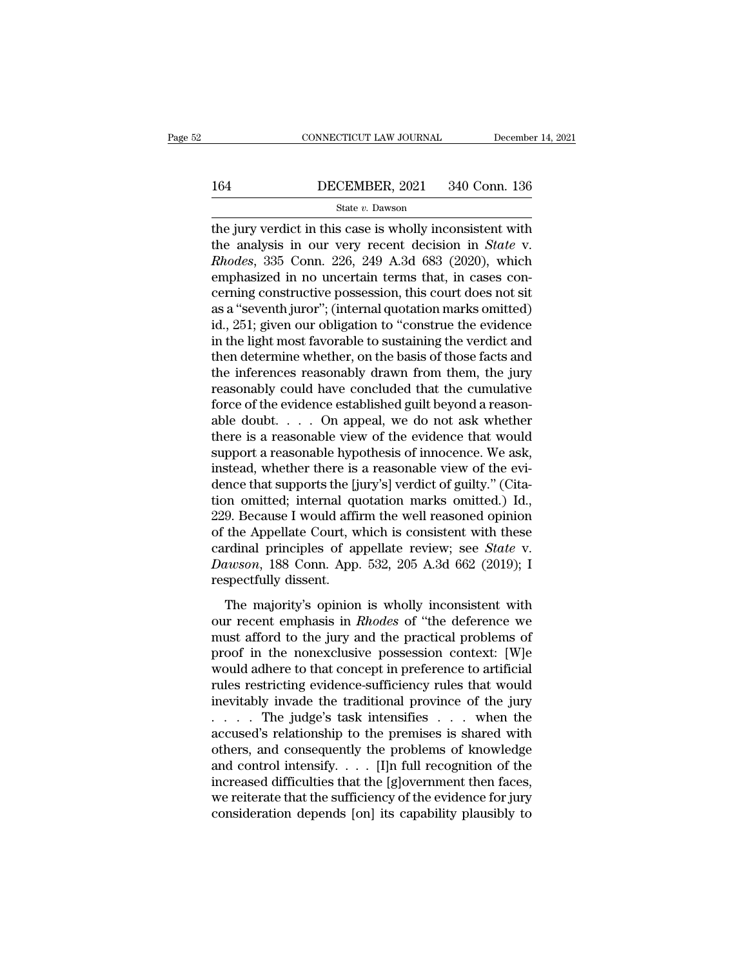# CONNECTICUT LAW JOURNAL December 14, 2021<br>164 DECEMBER, 2021 340 Conn. 136<br>State v. Dawson

### State *v.* Dawson

CONNECTICUT LAW JOURNAL December 14, 2021<br>164 DECEMBER, 2021 340 Conn. 136<br>5tate v. Dawson<br>The jury verdict in this case is wholly inconsistent with<br>the analysis in our very recent decision in *State* v.<br>Phodes 335 Conn. 164 DECEMBER, 2021 340 Conn. 136<br>
<sup>State v.</sup> Dawson<br>
the jury verdict in this case is wholly inconsistent with<br>
the analysis in our very recent decision in *State* v.<br> *Rhodes*, 335 Conn. 226, 249 A.3d 683 (2020), which<br>
e **EXEMBER, 2021** 340 Conn. 136<br> **Reference 340 Connection**<br> **Rhodes**, 335 Conn. 226, 249 A.3d 683 (2020), which<br> **Rhodes**, 335 Conn. 226, 249 A.3d 683 (2020), which<br>
emphasized in no uncertain terms that, in cases con-<br>
co 164 DECEMBER, 2021 340 Conn. 136<br>
State v. Dawson<br>
the jury verdict in this case is wholly inconsistent with<br>
the analysis in our very recent decision in *State* v.<br> *Rhodes*, 335 Conn. 226, 249 A.3d 683 (2020), which<br>
em State v. Dawson<br>
the jury verdict in this case is wholly inconsistent with<br>
the analysis in our very recent decision in *State* v.<br> *Rhodes*, 335 Conn. 226, 249 A.3d 683 (2020), which<br>
emphasized in no uncertain terms tha state v. Dawson<br>the jury verdict in this case is wholly inconsistent with<br>the analysis in our very recent decision in *State* v.<br>*Rhodes*, 335 Conn. 226, 249 A.3d 683 (2020), which<br>emphasized in no uncertain terms that, i the jury verdict in this case is wholly inconsistent with<br>the analysis in our very recent decision in *State* v.<br>*Rhodes*, 335 Conn. 226, 249 A.3d 683 (2020), which<br>emphasized in no uncertain terms that, in cases con-<br>cern the analysis in our very recent decision in *State* v.<br>*Rhodes*, 335 Conn. 226, 249 A.3d 683 (2020), which<br>emphasized in no uncertain terms that, in cases con-<br>cerning constructive possession, this court does not sit<br>as a Rhodes, 335 Conn. 226, 249 A.3d 683 (2020), which<br>emphasized in no uncertain terms that, in cases con-<br>cerning constructive possession, this court does not sit<br>as a "seventh juror"; (internal quotation marks omitted)<br>id., emphasized in no uncertain terms that, in cases concerning constructive possession, this court does not sit<br>as a "seventh juror"; (internal quotation marks omitted)<br>id., 251; given our obligation to "construe the evidence<br> cerning constructive possession, this court does not sit<br>as a "seventh juror"; (internal quotation marks omitted)<br>id., 251; given our obligation to "construe the evidence<br>in the light most favorable to sustaining the verdi as a "seventh juror"; (internal quotation marks omitted)<br>id., 251; given our obligation to "construe the evidence<br>in the light most favorable to sustaining the verdict and<br>then determine whether, on the basis of those fact id., 251; given our obligation to "construe the evidence<br>in the light most favorable to sustaining the verdict and<br>then determine whether, on the basis of those facts and<br>the inferences reasonably drawn from them, the jur in the light most favorable to sustaining the verdict and<br>then determine whether, on the basis of those facts and<br>the inferences reasonably drawn from them, the jury<br>reasonably could have concluded that the cumulative<br>for then determine whether, on the basis of those facts and<br>the inferences reasonably drawn from them, the jury<br>reasonably could have concluded that the cumulative<br>force of the evidence established guilt beyond a reason-<br>able the inferences reasonably drawn from them, the jury<br>reasonably could have concluded that the cumulative<br>force of the evidence established guilt beyond a reason-<br>able doubt. . . . . On appeal, we do not ask whether<br>there i reasonably could have concluded that the cumulative<br>force of the evidence established guilt beyond a reason-<br>able doubt. . . . . On appeal, we do not ask whether<br>there is a reasonable view of the evidence that would<br>suppo force of the evidence established guilt beyond a reasonable doubt. . . . . On appeal, we do not ask whether there is a reasonable view of the evidence that would support a reasonable hypothesis of innocence. We ask, inste able doubt. . . . On appeal, we do not ask whether<br>there is a reasonable view of the evidence that would<br>support a reasonable hypothesis of innocence. We ask,<br>instead, whether there is a reasonable view of the evi-<br>dence there is a reasonable view of the evidence that would<br>support a reasonable hypothesis of innocence. We ask,<br>instead, whether there is a reasonable view of the evi-<br>dence that supports the [jury's] verdict of guilty." (Cit support a reasonable hypothesis of innocence. We ask,<br>instead, whether there is a reasonable view of the evi-<br>dence that supports the [jury's] verdict of guilty." (Cita-<br>tion omitted; internal quotation marks omitted.) Id. instead, whether there is a reasonable view of the evidence that supports the [jury's] verdict of guilty." (Citation omitted; internal quotation marks omitted.) Id., 229. Because I would affirm the well reasoned opinion of dence that supports the [j]<br>tion omitted; internal qu<br>229. Because I would affi<br>of the Appellate Court, w<br>cardinal principles of ap<br>Dawson, 188 Conn. App.<br>respectfully dissent.<br>The majority's opinion 9. Because I would affirm the well reasoned opinion<br>the Appellate Court, which is consistent with these<br>rdinal principles of appellate review; see *State* v.<br>*uwson*, 188 Conn. App. 532, 205 A.3d 662 (2019); I<br>spectfully **Example 1 Would drift the West Processor of the Appellate Court, which is consistent with these cardinal principles of appellate review; see** *State v.***<br>***Dawson***, 188 Conn. App. 532, 205 A.3d 662 (2019); I<br>respectfully dis** 

of are rippended bodid, which is consistent with diese<br>cardinal principles of appellate review; see *State* v.<br>Dawson, 188 Conn. App. 532, 205 A.3d 662 (2019); I<br>respectfully dissent.<br>The majority's opinion is wholly incon *Proof*, 188 Conn. App. 532, 205 A.3d 662 (2019); I<br>
respectfully dissent.<br>
The majority's opinion is wholly inconsistent with<br>
our recent emphasis in *Rhodes* of "the deference we<br>
must afford to the jury and the practic Eaction, 155 South 11pp. 355 1.35 1.36 3.26 (2019), 1<br>respectfully dissent.<br>The majority's opinion is wholly inconsistent with<br>our recent emphasis in *Rhodes* of "the deference we<br>must afford to the jury and the practical respectantly also interest.<br>The majority's opinion is wholly inconsistent with<br>our recent emphasis in *Rhodes* of "the deference we<br>must afford to the jury and the practical problems of<br>proof in the nonexclusive possession The majority's opinion is wholly inconsistent with<br>our recent emphasis in *Rhodes* of "the deference we<br>must afford to the jury and the practical problems of<br>proof in the nonexclusive possession context: [W]e<br>would adhere our recent emphasis in *Rhodes* of "the deference we<br>must afford to the jury and the practical problems of<br>proof in the nonexclusive possession context: [W]e<br>would adhere to that concept in preference to artificial<br>rules must afford to the jury and the practical problems of<br>proof in the nonexclusive possession context: [W]e<br>would adhere to that concept in preference to artificial<br>rules restricting evidence-sufficiency rules that would<br>inev proof in the nonexclusive possession context: [W]e<br>would adhere to that concept in preference to artificial<br>rules restricting evidence-sufficiency rules that would<br>inevitably invade the traditional province of the jury<br> $\d$ would adhere to that concept in preference to artificial<br>rules restricting evidence-sufficiency rules that would<br>inevitably invade the traditional province of the jury<br> $\dots$  . The judge's task intensifies  $\dots$  when the<br>acc rules restricting evidence-sufficiency rules that would<br>inevitably invade the traditional province of the jury<br>......The judge's task intensifies ....when the<br>accused's relationship to the premises is shared with<br>others, inevitably invade the traditional province of the jury<br>  $\dots$  The judge's task intensifies  $\dots$  when the<br>
accused's relationship to the premises is shared with<br>
others, and consequently the problems of knowledge<br>
and contr .... The judge's task intensifies .... when the accused's relationship to the premises is shared with others, and consequently the problems of knowledge and control intensify.... [I]n full recognition of the increased dif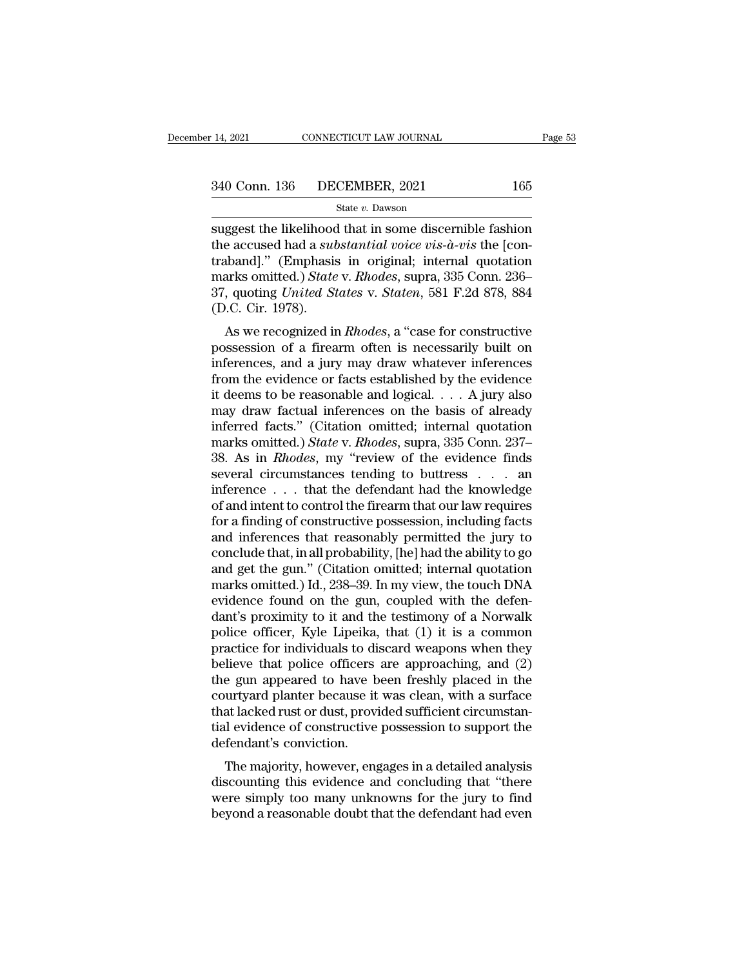14, 2021 CONNECTICUT LAW JOURNAL Page 53<br>
340 Conn. 136 DECEMBER, 2021 165<br>
State v. Dawson<br>
suggest the likelihood that in some discernible fashion<br>
the accused had a *substantial voice vis-à-vis* the [con-<br>
trabandl<sup>"</sup> 165<br>
340 Conn. 136 DECEMBER, 2021 165<br>
<sup>State v.</sup> Dawson<br>
suggest the likelihood that in some discernible fashion<br>
the accused had a *substantial voice vis-à-vis* the [con-<br>
traband]." (Emphasis in original; internal quota 340 Conn. 136 DECEMBER, 2021 165<br>
State v. Dawson<br>
Suggest the likelihood that in some discernible fashion<br>
the accused had a *substantial voice vis-à-vis* the [con-<br>
traband]." (Emphasis in original; internal quotation<br> 340 Conn. 136 DECEMBER, 2021 165<br>
State *v*. Dawson<br>
suggest the likelihood that in some discernible fashion<br>
the accused had a *substantial voice vis-à-vis* the [con-<br>
traband]." (Emphasis in original; internal quotation<br> State v. Dawson<br>
State v. Dawson<br>
suggest the likelihood that in some discernible fashion<br>
the accused had a *substantial voice vis-à-vis* the [con-<br>
traband]." (Emphasis in original; internal quotation<br>
marks omitted.) *S* suggest the likelihood<br>the accused had a sultraband]." (Emphasis<br>marks omitted.) State<br>37, quoting United St<br>(D.C. Cir. 1978).<br>As we recognized in ggest the intermood that in some discernible fashion<br>e accused had a *substantial voice vis-à-vis* the [con-<br>iband]." (Emphasis in original; internal quotation<br>arks omitted.) *State v. Rhodes*, supra, 335 Conn. 236-<br>, quot traband]." (Emphasis in original; internal quotation<br>marks omitted.) *State* v. *Rhodes*, supra, 335 Conn. 236–<br>37, quoting *United States* v. *Staten*, 581 F.2d 878, 884<br>(D.C. Cir. 1978).<br>As we recognized in *Rhodes*, a "

Traband]. (Eniphasis in original, internal quotation<br>marks omitted.) State v. Rhodes, supra, 335 Conn. 236–<br>37, quoting United States v. Staten, 581 F.2d 878, 884<br>(D.C. Cir. 1978).<br>As we recognized in Rhodes, a "case for from the evidence or facts supplementation of a final River of the evidence possession of a firearm often is necessarily built on inferences, and a jury may draw whatever inferences from the evidence or facts established 37, quoting *United States v. Staten*, 361 F.2d 318, 364<br>(D.C. Cir. 1978).<br>As we recognized in *Rhodes*, a "case for constructive<br>possession of a firearm often is necessarily built on<br>inferences, and a jury may draw whate (D.C. Cn. 1916).<br>
As we recognized in *Rhodes*, a "case for constructive<br>
possession of a firearm often is necessarily built on<br>
inferences, and a jury may draw whatever inferences<br>
from the evidence or facts established As we recognized in *Rhodes*, a "case for constructive<br>possession of a firearm often is necessarily built on<br>inferences, and a jury may draw whatever inferences<br>from the evidence or facts established by the evidence<br>it de possession of a firearm often is necessarily built on<br>inferences, and a jury may draw whatever inferences<br>from the evidence or facts established by the evidence<br>it deems to be reasonable and logical. . . . A jury also<br>may inferences, and a jury may draw whatever inferences<br>from the evidence or facts established by the evidence<br>it deems to be reasonable and logical. . . . A jury also<br>may draw factual inferences on the basis of already<br>inferr from the evidence or facts established by the evidence<br>it deems to be reasonable and logical. . . . A jury also<br>may draw factual inferences on the basis of already<br>inferred facts." (Citation omitted; internal quotation<br>ma it deems to be reasonable and logical. . . . A jury also<br>may draw factual inferences on the basis of already<br>inferred facts." (Citation omitted; internal quotation<br>marks omitted.) *State* v. *Rhodes*, supra, 335 Conn. 237 may draw factual inferences on the basis of already<br>inferred facts." (Citation omitted; internal quotation<br>marks omitted.) *State* v. *Rhodes*, supra, 335 Conn. 237–<br>38. As in *Rhodes*, my "review of the evidence finds<br>se inferred facts." (Citation omitted; internal quotation<br>marks omitted.) *State* v. *Rhodes*, supra, 335 Conn. 237–<br>38. As in *Rhodes*, my "review of the evidence finds<br>several circumstances tending to buttress . . . an<br>inf marks omitted.) *State* v. *Rhodes*, supra, 335 Conn. 237–38. As in *Rhodes*, my "review of the evidence finds several circumstances tending to buttress . . . an inference . . . that the defendant had the knowledge of and 38. As in *Rhodes*, my "review of the evidence finds<br>several circumstances tending to buttress . . . an<br>inference . . . that the defendant had the knowledge<br>of and intent to control the firearm that our law requires<br>for a several circumstances tending to buttress . . . . an<br>inference . . . that the defendant had the knowledge<br>of and intent to control the firearm that our law requires<br>for a finding of constructive possession, including facts inference . . . that the defendant had the knowledge<br>of and intent to control the firearm that our law requires<br>for a finding of constructive possession, including facts<br>and inferences that reasonably permitted the jury to of and intent to control the firearm that our law requires<br>for a finding of constructive possession, including facts<br>and inferences that reasonably permitted the jury to<br>conclude that, in all probability, [he] had the abil for a finding of constructive possession, including facts<br>and inferences that reasonably permitted the jury to<br>conclude that, in all probability, [he] had the ability to go<br>and get the gun." (Citation omitted; internal quo and inferences that reasonably permitted the jury to<br>conclude that, in all probability, [he] had the ability to go<br>and get the gun." (Citation omitted; internal quotation<br>marks omitted.) Id., 238–39. In my view, the touch conclude that, in all probability, [he] had the ability to go<br>and get the gun." (Citation omitted; internal quotation<br>marks omitted.) Id., 238–39. In my view, the touch DNA<br>evidence found on the gun, coupled with the defen and get the gun." (Citation omitted; internal quotation<br>marks omitted.) Id., 238–39. In my view, the touch DNA<br>evidence found on the gun, coupled with the defen-<br>dant's proximity to it and the testimony of a Norwalk<br>police marks omitted.) Id., 238–39. In my view, the touch DNA<br>evidence found on the gun, coupled with the defen-<br>dant's proximity to it and the testimony of a Norwalk<br>police officer, Kyle Lipeika, that (1) it is a common<br>practice evidence found on the gun, coupled with the defen-<br>dant's proximity to it and the testimony of a Norwalk<br>police officer, Kyle Lipeika, that (1) it is a common<br>practice for individuals to discard weapons when they<br>believe t dant's proximity to it and the testimony of a Norwalk<br>police officer, Kyle Lipeika, that (1) it is a common<br>practice for individuals to discard weapons when they<br>believe that police officers are approaching, and (2)<br>the gu police officer, Kyle Lipeika, that (1) it is a common practice for individuals to discard weapons when they believe that police officers are approaching, and (2) the gun appeared to have been freshly placed in the courtyar practice for individuals to different believe that police officers<br>the gun appeared to have be courtyard planter because it<br>that lacked rust or dust, provided rust or dust, provided<br>tial evidence of constructive<br>defendant' The majority, however, engages in a detailed analysis scounting this evidence and concluding that "there are a detailed analysis" and "the majority, however, engages in a detailed analysis scounting this evidence and conc the gun appeared to have been freshly placed in the<br>courtyard planter because it was clean, with a surface<br>that lacked rust or dust, provided sufficient circumstan-<br>tial evidence of constructive possession to support the<br>d

courtyard planter because it was clear, with a surface<br>that lacked rust or dust, provided sufficient circumstan-<br>tial evidence of constructive possession to support the<br>defendant's conviction.<br>The majority, however, engage tial evidence of constructive possession to support the defendant's conviction.<br>The majority, however, engages in a detailed analysis<br>discounting this evidence and concluding that "there<br>were simply too many unknowns for t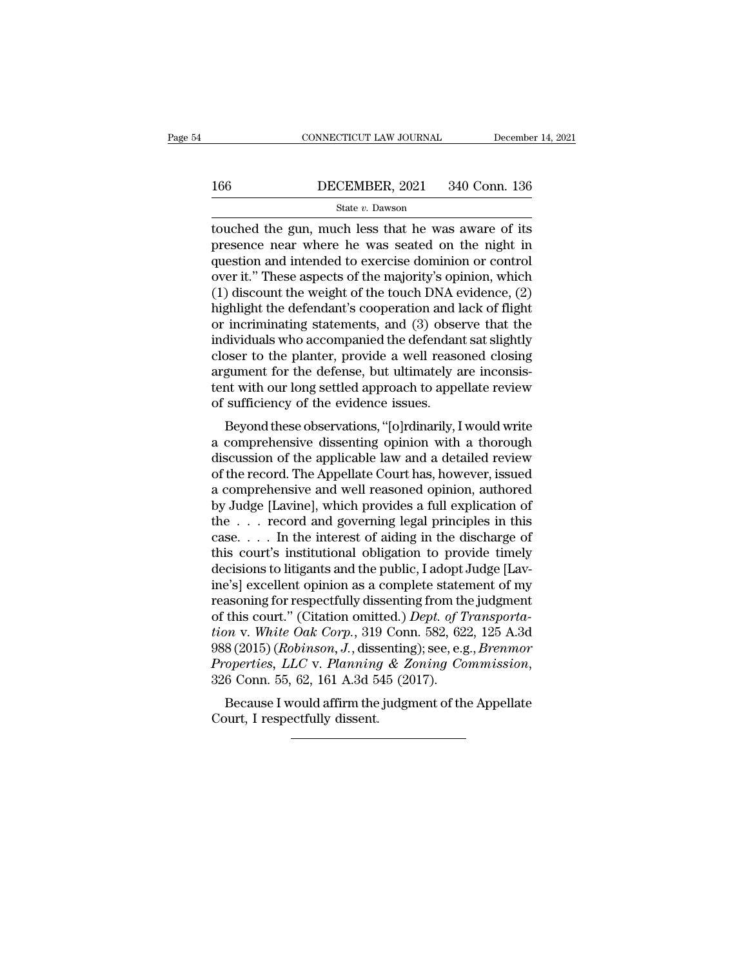# EXECUTE CONNECTICUT LAW JOURNAL December 14, 2021<br>166 DECEMBER, 2021 340 Conn. 136<br>State v. Dawson

### State *v.* Dawson

CONNECTICUT LAW JOURNAL December 14, 2021<br>166 DECEMBER, 2021 340 Conn. 136<br>5tate v. Dawson<br>touched the gun, much less that he was aware of its<br>presence near where he was seated on the night in<br>question and intended to exe DECEMBER, 2021 340 Conn. 136<br>
State v. Dawson<br>
state v. Dawson<br>
state v. Dawson<br>
state v. Dawson<br>
state communication and intended to exercise dominion or control<br>
over it. "These aspects of the majority's opinion which 166 DECEMBER, 2021 340 Conn. 136<br>
State v. Dawson<br>
touched the gun, much less that he was aware of its<br>
presence near where he was seated on the night in<br>
question and intended to exercise dominion or control<br>
over it." T **166** DECEMBER, 2021 340 Conn. 136<br>
State v. Dawson<br>
touched the gun, much less that he was aware of its<br>
presence near where he was seated on the night in<br>
question and intended to exercise dominion or control<br>
over it." (1) discount the weight of the touch DNA evidence, (2) highlight the defendant's cooperation and lack of flight or incriminating statements and  $(3)$  observe that the control over it." These aspects of the majority's opin state v. Dawson<br>touched the gun, much less that he was aware of its<br>presence near where he was seated on the night in<br>question and intended to exercise dominion or control<br>over it." These aspects of the majority's opinion touched the gun, much less that he was aware of its<br>presence near where he was seated on the night in<br>question and intended to exercise dominion or control<br>over it." These aspects of the majority's opinion, which<br>(1) disco presence near where he was seated on the night in<br>question and intended to exercise dominion or control<br>over it." These aspects of the majority's opinion, which<br>(1) discount the weight of the touch DNA evidence, (2)<br>highli question and intended to exercise dominion or control<br>over it." These aspects of the majority's opinion, which<br>(1) discount the weight of the touch DNA evidence, (2)<br>highlight the defendant's cooperation and lack of flight over it." These aspects of the majority's opinion, which (1) discount the weight of the touch DNA evidence, (2) highlight the defendant's cooperation and lack of flight or incriminating statements, and (3) observe that the (1) discount the weight of the touch DNA evidence, (2) highlight the defendant's cooperation and lack of flight or incriminating statements, and (3) observe that the individuals who accompanied the defendant sat slightly highlight the defendant's cooperation and l<br>or incriminating statements, and (3) obse<br>individuals who accompanied the defendan<br>closer to the planter, provide a well rease<br>argument for the defense, but ultimately a<br>tent wit Intriminaring statements, and (3) observe that the<br>dividuals who accompanied the defendant sat slightly<br>oser to the planter, provide a well reasoned closing<br>gument for the defense, but ultimately are inconsis-<br>nt with our marvialis who accompanied the defendant sat signtly<br>closer to the planter, provide a well reasoned closing<br>argument for the defense, but ultimately are inconsis-<br>tent with our long settled approach to appellate review<br>of s

closer to the planter, provide a well reasoned closing<br>argument for the defense, but ultimately are inconsis-<br>tent with our long settled approach to appellate review<br>of sufficiency of the evidence issues.<br>Beyond these obse argument for the defense, but unifiately are inconsistent with our long settled approach to appellate review<br>of sufficiency of the evidence issues.<br>Beyond these observations, "[o]rdinarily, I would write<br>a comprehensive di Lent with our long settled approach to appenate review<br>of sufficiency of the evidence issues.<br>Beyond these observations, "[o]rdinarily, I would write<br>a comprehensive dissenting opinion with a thorough<br>discussion of the app by Sunciency of the evidence issues.<br>Beyond these observations, "[o]rdinarily, I would write<br>a comprehensive dissenting opinion with a thorough<br>discussion of the applicable law and a detailed review<br>of the record. The Appe Beyond these observations, "[o]rdinarily, I would write<br>a comprehensive dissenting opinion with a thorough<br>discussion of the applicable law and a detailed review<br>of the record. The Appellate Court has, however, issued<br>a c a comprehensive dissenting opinion with a thorough<br>discussion of the applicable law and a detailed review<br>of the record. The Appellate Court has, however, issued<br>a comprehensive and well reasoned opinion, authored<br>by Judge discussion of the applicable law and a detailed review<br>of the record. The Appellate Court has, however, issued<br>a comprehensive and well reasoned opinion, authored<br>by Judge [Lavine], which provides a full explication of<br>the of the record. The Appellate Court has, however, issued<br>a comprehensive and well reasoned opinion, authored<br>by Judge [Lavine], which provides a full explication of<br>the . . . record and governing legal principles in this<br>ca a comprehensive and well reasoned opinion, authored<br>by Judge [Lavine], which provides a full explication of<br>the  $\ldots$  record and governing legal principles in this<br>case.  $\ldots$  In the interest of aiding in the discharge of by Judge [Lavine], which provides a full explication of<br>the  $\ldots$  record and governing legal principles in this<br>case.  $\ldots$  In the interest of aiding in the discharge of<br>this court's institutional obligation to provide ti the . . . . record and governing legal principles in this case. . . . . In the interest of aiding in the discharge of this court's institutional obligation to provide timely decisions to litigants and the public, I adopt case. . . . . In the interest of aiding in the discharge of<br>this court's institutional obligation to provide timely<br>decisions to litigants and the public, I adopt Judge [Lav-<br>ine's] excellent opinion as a complete statemen this court's institutional obligation to provide timely<br>decisions to litigants and the public, I adopt Judge [Lav-<br>ine's] excellent opinion as a complete statement of my<br>reasoning for respectfully dissenting from the judgm decisions to litigants and the public, I adopt Judge [Lavine's] excellent opinion as a complete statement of my<br>reasoning for respectfully dissenting from the judgment<br>of this court." (Citation omitted.) *Dept. of Transpor* asoning for respectrumy ussenting from the judgment<br>this court." (Citation omitted.) *Dept. of Transporta-*<br>on v. White Oak Corp., 319 Conn. 582, 622, 125 A.3d<br>8 (2015) (*Robinson, J.*, dissenting); see, e.g., *Brenmor*<br>op of this court. (Chanon official<br>tion v. White Oak Corp., 319<br>988 (2015) (Robinson, J., diss<br>Properties, LLC v. Planning<br>326 Conn. 55, 62, 161 A.3d 5<br>Because I would affirm the<br>Court, I respectfully dissent.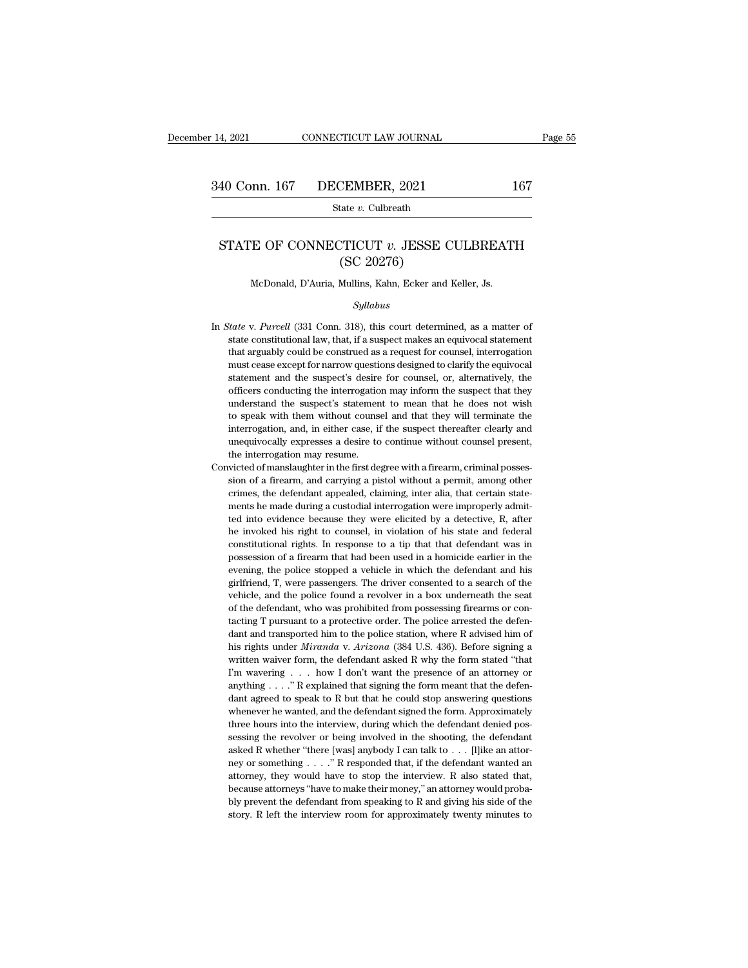### 40 Conn. 167 DECEMBER, 2021 167<br>
State *v*. Culbreath<br>
STATE OF CONNECTICUT *v*. JESSE CULBREATH<br>
(SC 20276) CEMBER, 2021<br>
tate v. Culbreath<br>
CTICUT v. JESSE C<br>
(SC 20276)<br>
Mullins, Kahn, Ecker and STATE OF CONNECTICUT  $v$ . JESSE CULBREATH<br>(SC 20276)<br>McDonald, D'Auria, Mullins, Kahn, Ecker and Keller, Js.

### *Syllabus*

- (SC 20276)<br>
McDonald, D'Auria, Mullins, Kahn, Ecker and Keller, Js.<br>
Syllabus<br>
In *State* v. *Purcell* (331 Conn. 318), this court determined, as a matter of<br>
state constitutional law, that, if a suspect makes an equivocal McDonald, D'Auria, Mullins, Kahn, Ecker and Keller, Js.<br>Syllabus<br>State v. Purcell (331 Conn. 318), this court determined, as a matter of<br>state constitutional law, that, if a suspect makes an equivocal statement<br>that arguab McDonald, D'Auria, Mullins, Kahn, Ecker and Keller, Js.<br>
Syllabus<br>
Syllabus<br>
State v. Purcell (331 Conn. 318), this court determined, as a matter of<br>
state constitutional law, that, if a suspect makes an equivocal statemen *Syllabus*<br>*Syllabus*<br>*itate* v. *Purcell* (331 Conn. 318), this court determined, as a matter of<br>state constitutional law, that, if a suspect makes an equivocal statement<br>that arguably could be construed as a request for state v. Purcell (331 Conn. 318), this court determined, as a matter of state constitutional law, that, if a suspect makes an equivocal statement that arguably could be construed as a request for counsel, interrogation mus itate v. Purcell (331 Conn. 318), this court determined, as a matter of state constitutional law, that, if a suspect makes an equivocal statement that arguably could be construed as a request for counsel, interrogation mus state constitutional law, that, if a suspect makes an equivocal statement that arguably could be construed as a request for counsel, interrogation must cease except for narrow questions designed to clarify the equivocal st that arguably could be construed as a request for counsel, interrogation must cease except for narrow questions designed to clarify the equivocal statement and the suspect's desire for counsel, or, alternatively, the offic must cease except for narrow questions designed to clarify the equivocal<br>statement and the suspect's desire for counsel, or, alternatively, the<br>officers conducting the interrogation may inform the suspect that they<br>underst statement and the suspect's desire for counsel, or, alternatively, the officers conducting the interrogation may inform the suspect that they understand the suspect's statement to mean that he does not wish to speak with t officers conducting the interrogation<br>understand the suspect's statement<br>to speak with them without couns<br>interrogation, and, in either case, if<br>unequivocally expresses a desire to<br>the interrogation may resume.<br>victed of m understand the suspect's statement to mean that he does not wish<br>to speak with them without counsel and that they will terminate the<br>interrogation, and, in either case, if the suspect thereafter clearly and<br>unequivocally e to speak with them without counsel and that they will terminate the interrogation, and, in either case, if the suspect thereafter clearly and unequivocally expresses a desire to continue without counsel present, the interr
- interrogation, and, in either case, if the suspect thereafter clearly and unequivocally expresses a desire to continue without counsel present, the interrogation may resume.<br>Witted of manslaughter in the first degree with mentally expresses a desire to continue without counsel present,<br>the interrogation may resume.<br>victed of manslaughter in the first degree with a firearm, criminal posses-<br>sion of a firearm, and carrying a pistol without a the interrogation may resume.<br>
wicted of manslaughter in the first degree with a firearm, criminal possession of a firearm, and carrying a pistol without a permit, among other crimes, the defendant appealed, claiming, inte wicted of manslaughter in the first degree with a firearm, criminal possession of a firearm, and carrying a pistol without a permit, among other crimes, the defendant appealed, claiming, inter alia, that certain statements constitutional rights. In response to a tip that that defendant was in<br>sion of a firearm, and carrying a pistol without a permit, among other<br>crimes, the defendant appealed, claiming, inter alia, that certain state-<br>ments erimes, the defendant appealed, claiming, inter alia, that certain statements he made during a custodial interrogation were improperly admitted into evidence because they were elicited by a detective, R, after he invoked h ments he made during a custodial interrogation were improperly admitted into evidence because they were elicited by a detective, R, after he invoked his right to counsel, in violation of his state and federal constitutiona free into evidence because they were elicited by a detective, R, after the invoked his right to counsel, in violation of his state and federal constitutional rights. In response to a tip that that defendant was in possessi be invoked his right to counsel, in violation of his state and federal constitutional rights. In response to a tip that that defendant was in possession of a firearm that had been used in a homicide earlier in the evening, constitutional rights. In response to a tip that that defendant was in possession of a firearm that had been used in a homicide earlier in the evening, the police stopped a vehicle in which the defendant and his girlfrien possession of a firearm that had been used in a homicide earlier in the evening, the police stopped a vehicle in which the defendant and his girlfriend, T, were passengers. The driver consented to a search of the vehicle, evening, the police stopped a vehicle in which the defendant and his girlfriend, T, were passengers. The driver consented to a search of the vehicle, and the police found a revolver in a box underneath the seat of the defe girlfriend, T, were passengers. The driver consented to a search of the vehicle, and the police found a revolver in a box underneath the seat of the defendant, who was prohibited from possessing firearms or contacting T pu wehicle, and the police found a revolver in a box underneath the seat of the defendant, who was prohibited from possessing firearms or contacting T pursuant to a protective order. The police arrested the defendant and tra of the defendant, who was prohibited from possessing firearms or contacting T pursuant to a protective order. The police arrested the defendant and transported him to the police station, where R advised him of his rights tacting T pursuant to a protective order. The police arrested the defendant and transported him to the police station, where R advised him of his rights under *Miranda* v. *Arizona* (384 U.S. 436). Before signing a writte dant and transported him to the police station, where R advised him of his rights under *Miranda* v. *Arizona* (384 U.S. 436). Before signing a written waiver form, the defendant asked R why the form stated "that I'm wave his rights under *Miranda* v. Arizona (384 U.S. 436). Before signing a written waiver form, the defendant asked R why the form stated "that I'm wavering . . . . how I don't want the presence of an attorney or anything . . written waiver form, the defendant asked R why the form stated "that I'm wavering  $\ldots$  how I don't want the presence of an attorney or anything  $\ldots$ ." R explained that signing the form meant that the defendant agreed to I'm wavering . . . how I don't want the presence of an attorney or anything . . . ." R explained that signing the form meant that the defendant agreed to speak to R but that he could stop answering questions whenever he w anything . . . ." R explained that signing the form meant that the defendant agreed to speak to R but that he could stop answering questions whenever he wanted, and the defendant signed the form. Approximately three hours dant agreed to speak to R but that he could stop answering questions<br>whenever he wanted, and the defendant signed the form. Approximately<br>three hours into the interview, during which the defendant denied pos-<br>sessing the r whenever he wanted, and the defendant signed the form. Approximately three hours into the interview, during which the defendant denied possessing the revolver or being involved in the shooting, the defendant asked R wheth three hours into the interview, during which the defendant denied possessing the revolver or being involved in the shooting, the defendant asked R whether "there [was] anybody I can talk to  $\ldots$  [I]ike an attorney or som sessing the revolver or being involved in the shooting, the defendant asked R whether "there [was] anybody I can talk to  $\ldots$  [I]ike an attorney or something  $\ldots$ ." R responded that, if the defendant wanted an attorney, asked R whether "there [was] anybody I can talk to  $\dots$  [l] ike an attor-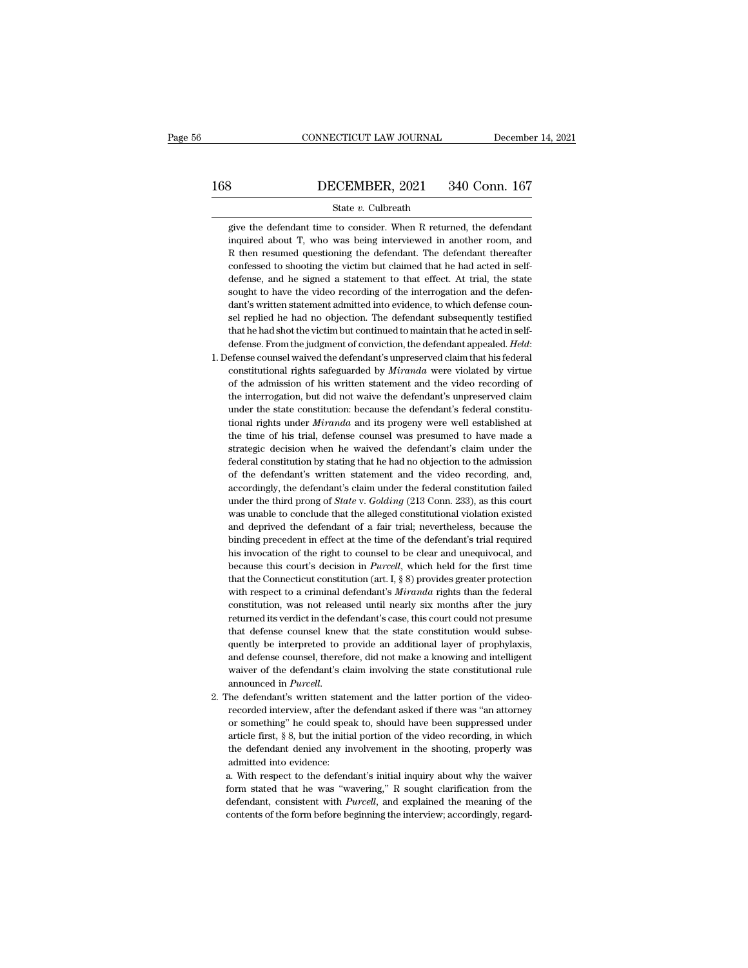# CONNECTICUT LAW JOURNAL December 14, 2021<br>168 DECEMBER, 2021 340 Conn. 167<br>State v. Culbreath

### State *v.* Culbreath

340 Conn. 167<br>
State v. Culbreath<br>
give the defendant time to consider. When R returned, the defendant<br>
give the defendant time to consider. When R returned, the defendant<br>
inquired about T, who was being interviewed in an **incereform BECEMBER, 2021** 340 Conn. 167<br>
State v. Culbreath<br>
give the defendant time to consider. When R returned, the defendant<br>
inquired about T, who was being interviewed in another room, and<br>
R then resumed question  $\begin{tabular}{ll} \multicolumn{1}{l}{{\bf BICEMBER, 2021 & 340 Conn. 167}}\\ \hline & \multicolumn{1}{l}{State $v$. Culbreath} \\ \hline \end{tabular}$  <br> give the defendant time to consider. When R returned, the defendant<br>inquired about T, who was being interviewed in another room, and<br>R then r State v. Culbreath<br>give the defendant time to consider. When R returned, the defendant<br>inquired about T, who was being interviewed in another room, and<br>R then resumed questioning the defendant. The defendant thereafter<br>con State  $v$ . Culbreath<br>give the defendant time to consider. When R returned, the defendant<br>inquired about T, who was being interviewed in another room, and<br>R then resumed questioning the defendant. The defendant thereafter<br> give the defendant time to consider. When R returned, the defendant inquired about T, who was being interviewed in another room, and R then resumed questioning the defendant. The defendant thereafter confessed to shooting inquired about T, who was being interviewed in another room, and R then resumed questioning the defendant. The defendant thereafter confessed to shooting the victim but claimed that he had acted in self-defense, and he si R then resumed questioning the defendant. The defendant thereafter confessed to shooting the victim but claimed that he had acted in self-<br>defense, and he signed a statement to that effect. At trial, the state<br>sought to ha confessed to shooting the victim but claimed that he had acted in self-<br>defense, and he signed a statement to that effect. At trial, the state<br>sought to have the video recording of the interrogation and the defen-<br>dant's defense, and he signed a statement to that effect. At trial, the state sought to have the video recording of the interrogation and the defendant's written statement admitted into evidence, to which defense counsel replied dant's written statement admitted into evidence, to which defense counsel replied he had no objection. The defendant subsequently testified that he had shot the victim but continued to maintain that he acted in self-<br>defen

- sel replied he had no objection. The defendant subsequently testified<br>that he had shot the victim but continued to maintain that he acted in self-<br>defense. From the judgment of conviction, the defendant appealed. *Held*:<br>e that he had shot the victim but continued to maintain that he acted in self-<br>defense. From the judgment of conviction, the defendant appealed. *Held*:<br>efense counsel waived the defendant's unpreserved claim that his federa defense. From the judgment of conviction, the defendant appealed. *Held*: efense counsel waived the defendant's unpreserved claim that his federal constitutional rights safeguarded by *Miranda* were violated by virtue of t efense counsel waived the defendant's unpreserved claim that his federal constitutional rights safeguarded by *Miranda* were violated by virtue of the admission of his written statement and the video recording of the inter constitutional rights safeguarded by *Miranda* were violated by virtue<br>of the admission of his written statement and the video recording of<br>the interrogation, but did not waive the defendant's unpreserved claim<br>under the s of the admission of his written statement and the video recording of the interrogation, but did not waive the defendant's unpreserved claim under the state constitution: because the defendant's federal constitutional right the interrogation, but did not waive the defendant's unpreserved claim<br>under the state constitution: because the defendant's federal constitu-<br>tional rights under *Miranda* and its progeny were well established at<br>the time under the state constitution: because the defendant's federal constitutional rights under *Miranda* and its progeny were well established at the time of his trial, defense counsel was presumed to have made a strategic deci tional rights under *Miranda* and its progeny were well established at the time of his trial, defense counsel was presumed to have made a strategic decision when he waived the defendant's claim under the federal constituti the time of his trial, defense counsel was presumed to have made a strategic decision when he waived the defendant's claim under the federal constitution by stating that he had no objection to the admission of the defendan strategic decision when he waived the defendant's claim under the federal constitution by stating that he had no objection to the admission of the defendant's written statement and the video recording, and, accordingly, th federal constitution by stating that he had no objection to the admission<br>of the defendant's written statement and the video recording, and,<br>accordingly, the defendant's claim under the federal constitution failed<br>under th of the defendant's written statement and the video recording, and, accordingly, the defendant's claim under the federal constitution failed under the third prong of *State* v. *Golding* (213 Conn. 233), as this court was u accordingly, the defendant's claim under the federal constitution failed<br>under the third prong of *State* v. *Golding* (213 Conn. 233), as this court<br>was unable to conclude that the alleged constitutional violation existed under the third prong of *State* v. *Golding* (213 Conn. 233), as this court<br>was unable to conclude that the alleged constitutional violation existed<br>and deprived the defendant of a fair trial; nevertheless, because the<br>bi was unable to conclude that the alleged constitutional violation existed and deprived the defendant of a fair trial; nevertheless, because the binding precedent in effect at the time of the defendant's trial required his and deprived the defendant of a fair trial; nevertheless, because the binding precedent in effect at the time of the defendant's trial required his invocation of the right to counsel to be clear and unequivocal, and becaus binding precedent in effect at the time of the defendant's trial required<br>his invocation of the right to counsel to be clear and unequivocal, and<br>because this court's decision in *Purcell*, which held for the first time<br>t his invocation of the right to counsel to be clear and unequivocal, and because this court's decision in *Purcell*, which held for the first time that the Connecticut constitution (art. I,  $\S$  8) provides greater protecti because this court's decision in *Purcell*, which held for the first time that the Connecticut constitution (art. I,  $\S$  8) provides greater protection with respect to a criminal defendant's *Miranda* rights than the fede that the Connecticut constitution (art. I,  $\S$  8) provides greater protection with respect to a criminal defendant's *Miranda* rights than the federal constitution, was not released until nearly six months after the jury with respect to a criminal defendant's *Miranda* rights than the federal constitution, was not released until nearly six months after the jury returned its verdict in the defendant's case, this court could not presume that constitution, was not released until nearly six months after the jury<br>returned its verdict in the defendant's case, this court could not presume<br>that defense counsel knew that the state constitution would subse-<br>quently be returned its verdict in the defendant's case, this court could not presume that defense counsel knew that the state constitution would subsequently be interpreted to provide an additional layer of prophylaxis, and defense quently be interpreted to provide an additional layer of prophylaxis, and defense counsel, therefore, did not make a knowing and intelligent waiver of the defendant's claim involving the state constitutional rule announced
- and defense counsel, therefore, did not make a knowing and intelligent waiver of the defendant's claim involving the state constitutional rule announced in *Purcell*.<br>The defendant's written statement and the latter porti waiver of the defendant's claim involving the state constitutional rule<br>announced in *Purcell*.<br>the defendant's written statement and the latter portion of the video-<br>recorded interview, after the defendant asked if there announced in *Purcell.*<br>the defendant's written statement and the latter portion of the video-<br>recorded interview, after the defendant asked if there was "an attorney<br>or something" he could speak to, should have been suppr 2. The defendant's written statement and the latter portion of the video-<br>recorded interview, after the defendant asked if there was "an attorney<br>or something" he could speak to, should have been suppressed under<br>article recorded interview, after the defendant asked if there was "an attorney or something" he could speak to, should have been suppressed under article first,  $\S$  8, but the initial portion of the video recording, in which the or something" he could speak to, should have been suppressed under<br>article first,  $\S$  8, but the initial portion of the video recording, in which<br>the defendant denied any involvement in the shooting, properly was<br>admitted

article first,  $\bar{\S}$  8, but the initial portion of the video recording, in which<br>the defendant denied any involvement in the shooting, properly was<br>admitted into evidence:<br>a. With respect to the defendant's initial inqu the defendant denied any involvement in the shooting, properly was admitted into evidence:<br>a. With respect to the defendant's initial inquiry about why the waiver<br>form stated that he was "wavering," R sought clarification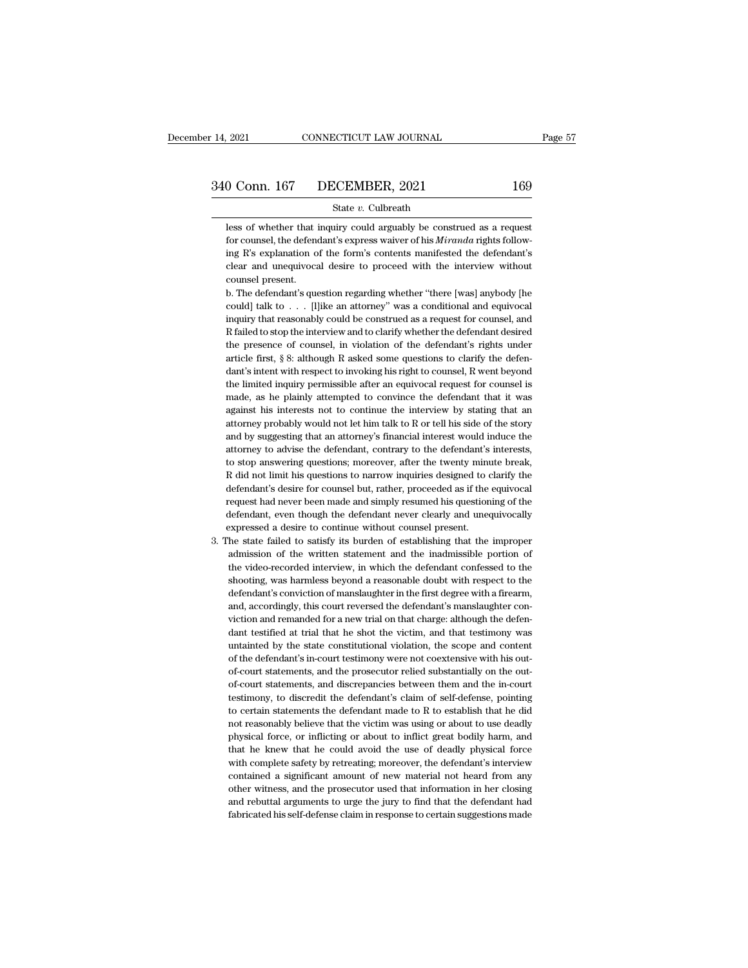# 14, 2021 CONNECTICUT LAW JOURNAL Page 57<br>340 Conn. 167 DECEMBER, 2021 169<br>State v. Culbreath

### State *v.* Culbreath

169<br>
State v. Culbreath<br>
State v. Culbreath<br>
Less of whether that inquiry could arguably be construed as a request<br>
for counsel, the defendant's express waiver of his *Miranda* rights follow-For Counsel, the defendant's express waiver of his *Miranda* rights follow-<br>less of whether that inquiry could arguably be construed as a request<br>for counsel, the defendant's express waiver of his *Miranda* rights follow-<br> **ing Comman 167 in the formal COSE COSE Set the form of the form's content and mean is explected to the form's contents manifested the defendant's clear and unequivocal desire to proceed with the interview without of th** State  $v$ . Culbreath<br>less of whether that inquiry could arguably be construed as a request<br>for counsel, the defendant's express waiver of his *Miranda* rights follow-<br>ing R's explanation of the form's contents manifested less of whether that<br>for counsel, the defen<br>ing R's explanation of<br>clear and unequivoca<br>counsel present.<br>b. The defendant's que less of whether that inquiry could arguably be construed as a request<br>for counsel, the defendant's express waiver of his *Miranda* rights follow-<br>ing R's explanation of the form's contents manifested the defendant's<br>clear for counsel, the defendant's express waiver of his *Miranda* rights following R's explanation of the form's contents manifested the defendant's clear and unequivocal desire to proceed with the interview without counsel pre

ing R's explanation of the form's contents manifested the defendant's clear and unequivocal desire to proceed with the interview without counsel present.<br>b. The defendant's question regarding whether "there [was] anybody [ clear and unequivocal desire to proceed with the interview without<br>counsel present.<br>b. The defendant's question regarding whether "there [was] anybody [he<br>could] talk to . . . [l]ike an attorney" was a conditional and equ counsel present.<br>
b. The defendant's question regarding whether "there [was] anybody [he<br>
could] talk to . . . [l]ike an attorney" was a conditional and equivocal<br>
inquiry that reasonably could be construed as a request f counsel present.<br>
b. The defendant's question regarding whether "there [was] anybody [he could] talk to . . . [l]ike an attorney" was a conditional and equivocal inquiry that reasonably could be construed as a request for could] talk to . . . [l]ike an attorney" was a conditional and equivocal<br>inquiry that reasonably could be construed as a request for counsel, and<br>R failed to stop the interview and to clarify whether the defendant desired<br> inquiry that reasonably could be construed as a request for counsel, and R failed to stop the interview and to clarify whether the defendant desired the presence of counsel, in violation of the defendant's rights under art R failed to stop the interview and to clarify whether the defendant desired the presence of counsel, in violation of the defendant's rights under article first,  $\S$  8: although R asked some questions to clarify the defend the presence of counsel, in violation of the defendant's rights under article first,  $\S$  8: although R asked some questions to clarify the defendant's internt with respect to invoking his right to counsel, R went beyond t article first, § 8: although R asked some questions to clarify the defendant's intent with respect to invoking his right to counsel, R went beyond the limited inquiry permissible after an equivocal request for counsel is m dant's intent with respect to invoking his right to counsel, R went beyond<br>the limited inquiry permissible after an equivocal request for counsel is<br>made, as he plainly attempted to convince the defendant that it was<br>again the limited inquiry permissible after an equivocal request for counsel is made, as he plainly attempted to convince the defendant that it was against his interests not to continue the interview by stating that an attorney made, as he plainly attempted to convince the defendant that it was against his interests not to continue the interview by stating that an attorney probably would not let him talk to R or tell his side of the story and by against his interests not to continue the interview by stating that an attorney probably would not let him talk to R or tell his side of the story and by suggesting that an attorney's financial interest would induce the at attorney probably would not let him talk to R or tell his side of the story<br>and by suggesting that an attorney's financial interest would induce the<br>attorney to advise the defendant, contrary to the defendant's interests,<br> and by suggesting that an attorney's financial interest would induce the attorney to advise the defendant, contrary to the defendant's interests, to stop answering questions; moreover, after the twenty minute break, R did attorney to advise the defendant, contrary to the defendant's interests, to stop answering questions; moreover, after the twenty minute break, R did not limit his questions to narrow inquiries designed to clarify the defen to stop answering questions; moreover, after the twenty min<br>R did not limit his questions to narrow inquiries designed to defendant's desire for counsel but, rather, proceeded as if the<br>request had never been made and simp R did not limit his questions to narrow inquiries designed to clarify the defendant's desire for counsel but, rather, proceeded as if the equivocal request had never been made and simply resumed his questioning of the defe defendant's desire for counsel but, rather, proceeded as if the equivocal request had never been made and simply resumed his questioning of the defendant, even though the defendant never clearly and unequivocally expressed

request had never been made and simply resumed his questioning of the defendant, even though the defendant never clearly and unequivocally expressed a desire to continue without counsel present.<br>he state failed to satisfy defendant, even though the defendant never clearly and unequivocally<br>expressed a desire to continue without counsel present.<br>he state failed to satisfy its burden of establishing that the improper<br>admission of the written expressed a desire to continue without counsel present.<br>
the state failed to satisfy its burden of establishing that the improper<br>
admission of the written statement and the inadmissible portion of<br>
the video-recorded inte he state failed to satisfy its burden of establishing that the improper admission of the written statement and the inadmissible portion of the video-recorded interview, in which the defendant confessed to the shooting, was admission of the written statement and the inadmissible portion of<br>the video-recorded interview, in which the defendant confessed to the<br>shooting, was harmless beyond a reasonable doubt with respect to the<br>defendant's conv the video-recorded interview, in which the defendant confessed to the shooting, was harmless beyond a reasonable doubt with respect to the defendant's conviction of manslaughter in the first degree with a firearm, and, acc shooting, was harmless beyond a reasonable doubt with respect to the defendant's conviction of manslaughter in the first degree with a firearm, and, accordingly, this court reversed the defendant's manslaughter conviction defendant's conviction of manslaughter in the first degree with a firearm, and, accordingly, this court reversed the defendant's manslaughter conviction and remanded for a new trial on that charge: although the defendant t and, accordingly, this court reversed the defendant's manslaughter conviction and remanded for a new trial on that charge: although the defendant testified at trial that he shot the victim, and that testimony was untainted viction and remanded for a new trial on that charge: although the defendant testified at trial that he shot the victim, and that testimony was untainted by the state constitutional violation, the scope and content of the d dant testified at trial that he shot the victim, and that testimony was untainted by the state constitutional violation, the scope and content of the defendant's in-court testimony were not coextensive with his out-of-cour untainted by the state constitutional violation, the scope and content<br>of the defendant's in-court testimony were not coextensive with his out-<br>of-court statements, and the prosecutor relied substantially on the out-<br>of-co of the defendant's in-court testimony were not coextensive with his out-<br>of-court statements, and the prosecutor relied substantially on the out-<br>of-court statements, and discrepancies between them and the in-court<br>testimo of-court statements, and the prosecutor relied substantially on the out-<br>of-court statements, and discrepancies between them and the in-court<br>testimony, to discredit the defendant's claim of self-defense, pointing<br>to certa of-court statements, and discrepancies between them and the in-court<br>testimony, to discredit the defendant's claim of self-defense, pointing<br>to certain statements the defendant made to R to establish that he did<br>not reason testimony, to discredit the defendant's claim of self-defense, pointing to certain statements the defendant made to R to establish that he did not reasonably believe that the victim was using or about to use deadly physica to certain statements the defendant made to R to establish that he did<br>not reasonably believe that the victim was using or about to use deadly<br>physical force, or inflicting or about to inflict great bodily harm, and<br>that h not reasonably believe that the victim was using or about to use deadly physical force, or inflicting or about to inflict great bodily harm, and that he knew that he could avoid the use of deadly physical force with comple physical force, or inflicting or about to inflict great bodily harm, and that he knew that he could avoid the use of deadly physical force with complete safety by retreating; moreover, the defendant's interview contained a that he knew that he could avoid the use of deadly physical force with complete safety by retreating; moreover, the defendant's interview contained a significant amount of new material not heard from any other witness, and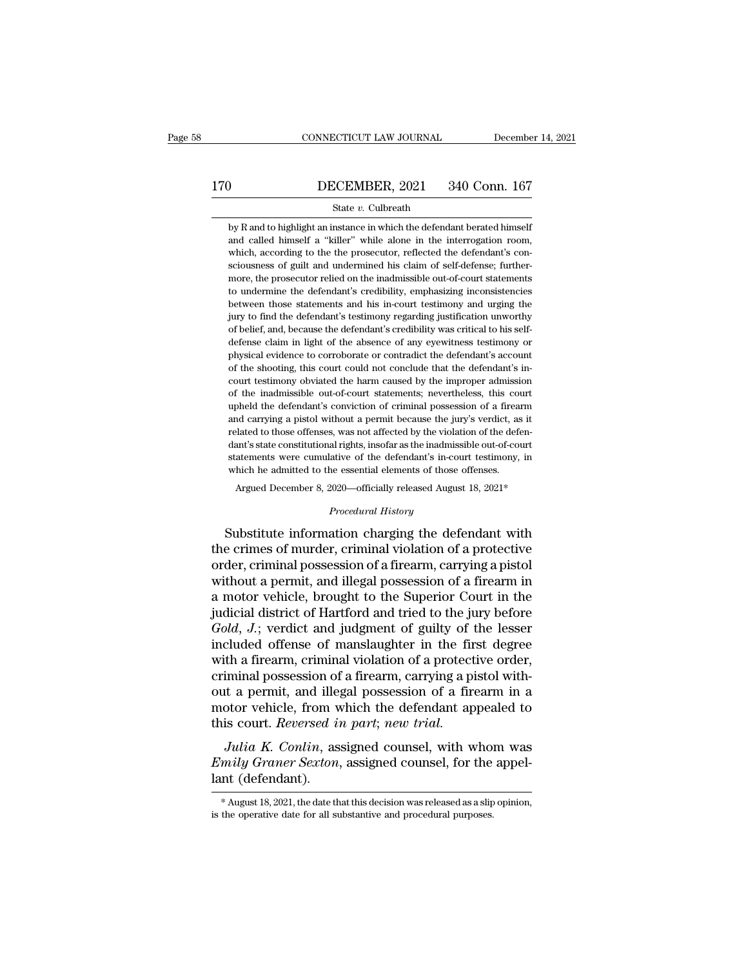# CONNECTICUT LAW JOURNAL December 14, 2021<br>170 DECEMBER, 2021 340 Conn. 167<br>State v. Culbreath

### State *v.* Culbreath

**by R** and to highlight an instance in which the defendant berated himself and called himself a "killer" while alone in the interrogation room, **EXEMBER, 2021** 340 Conn. 167<br>
State  $v$ . Culbreath<br>
by R and to highlight an instance in which the defendant berated himself<br>
and called himself a "killer" while alone in the interrogation room,<br>
which, according to the DECEMBER, 2021 340 Conn. 167<br>
State v. Culbreath<br>
by R and to highlight an instance in which the defendant berated himself<br>
and called himself a "killer" while alone in the interrogation room,<br>
which, according to the the State v. Culbreath<br>by R and to highlight an instance in which the defendant berated himself<br>and called himself a "killer" while alone in the interrogation room,<br>which, according to the the prosecutor, reflected the defenda State  $v$ . Culbreath<br>by R and to highlight an instance in which the defendant berated himself<br>and called himself a "killer" while alone in the interrogation room,<br>which, according to the the prosecutor, reflected the defe by R and to highlight an instance in which the defendant berated himself and called himself a "killer" while alone in the interrogation room, which, according to the the prosecutor, reflected the defendant's consciousness between those statements and his in-court testimony and called himself a "killer" while alone in the interrogation room, which, according to the the prosecutor, reflected the defendant's consciousness of guilt and undermin which, according to the the prosecutor, reflected the defendant's consciousness of guilt and undermined his claim of self-defense; furthermore, the prosecutor relied on the inadmissible out-of-court statements to undermine of belief, and, because the defendant's credibility, emphasizing inconsistencies<br>to undermine the defendant's credibility, emphasizing inconsistencies<br>between those statements and his in-court testimony and urging the<br>jury more, the prosecutor relied on the inadmissible out-of-court statements to undermine the defendant's credibility, emphasizing inconsistencies between those statements and his in-court testimony and urging the jury to find to undermine the defendant's credibility, emphasizing inconsistencies<br>between those statements and his in-court testimony and urging the<br>jury to find the defendant's testimony regarding justification unworthy<br>of belief, an between those statements and his in-court testimony and urging the jury to find the defendant's testimony regarding justification unworthy of belief, and, because the defendant's credibility was critical to his self-defens jury to find the defendant's testimony regarding justification unworthy<br>of belief, and, because the defendant's credibility was critical to his self-<br>defense claim in light of the absence of any eyewitness testimony or<br>phy of belief, and, because the defendant's credibility was critical to his self-<br>defense claim in light of the absence of any eyewitness testimony or<br>physical evidence to corroborate or contradict the defendant's account<br>of t defense claim in light of the absence of any eyewitness testimony or<br>physical evidence to corroborate or contradict the defendant's account<br>of the shooting, this court could not conclude that the defendant's in-<br>court test and carrying a pistol without a permit because the jury's verdiction of the shooting, this court could not conclude that the defendant's account of the shooting, this court could not conclude that the defendant's incourt t physical evidence to corroborate or contradict the defendant's account of the shooting, this court could not conclude that the defendant's incourt testimony obviated the harm caused by the improper admission of the inadmis court testimony obviated the harm caused by the improper admission<br>of the inadmissible out-of-court statements; nevertheless, this court<br>upheld the defendant's conviction of criminal possession of a firearm<br>and carrying a of the inadmissible out-of-court statements; nevertheless, this court upheld the defendant's conviction of criminal possession of a firearm and carrying a pistol without a permit because the jury's verdict, as it related t when the defendant's conviction of criminal possession of a firear and carrying a pistol without a permit because the jury's verdict, as related to those offenses, was not affected by the violation of the defedant's state argued and carrying a pistol without a permit because the jury's verdict, as it lated to those offenses, was not affected by the violation of the defenant's state constitutional rights, insofar as the inadmissible out-of-c *Propertional rights, insofar as the inadmissative of the defendant's in-counce essential elements of those*<br> *Procedural History*<br> *Procedural History*<br> **Procedural History** related to those onenses, was not ancetted by the violation of the defendant's state constitutional rights, insofar as the inadmissible out-of-court statements were cumulative of the defendant's in-court testimony, in whic

statements were cumulative of the defendant's in-court testimony, in<br>which he admitted to the essential elements of those offenses.<br>Argued December 8, 2020—officially released August 18, 2021\*<br>*Procedural History*<br>Substitu which he admitted to the essential elements of those offenses.<br>Argued December 8, 2020—officially released August 18, 2021\*<br>*Procedural History*<br>Substitute information charging the defendant with<br>the crimes of murder, crim Argued December 8, 2020—officially released August 18, 2021\*<br>
Procedural History<br>
Substitute information charging the defendant with<br>
the crimes of murder, criminal violation of a protective<br>
order, criminal possession of *Procedural History*<br>
Substitute information charging the defendant with<br>
the crimes of murder, criminal violation of a protective<br>
order, criminal possession of a firearm, carrying a pistol<br>
without a permit, and illegal Frocedural History<br>Substitute information charging the defendant with<br>the crimes of murder, criminal violation of a protective<br>order, criminal possession of a firearm, carrying a pistol<br>without a permit, and illegal posses Substitute information charging the defendant with<br>the crimes of murder, criminal violation of a protective<br>order, criminal possession of a firearm, carrying a pistol<br>without a permit, and illegal possession of a firearm i the crimes of murder, criminal violation of a protective<br>order, criminal possession of a firearm, carrying a pistol<br>without a permit, and illegal possession of a firearm in<br>a motor vehicle, brought to the Superior Court in order, criminal possession of a firearm, carrying a pistol<br>without a permit, and illegal possession of a firearm in<br>a motor vehicle, brought to the Superior Court in the<br>judicial district of Hartford and tried to the jury without a permit, and illegal possession of a firearm in<br>a motor vehicle, brought to the Superior Court in the<br>judicial district of Hartford and tried to the jury before<br>*Gold*, *J*.; verdict and judgment of guilty of the a motor vehicle, brought to the Superior Court in the<br>judicial district of Hartford and tried to the jury before<br> $Gold, J$ ; verdict and judgment of guilty of the lesser<br>included offense of manslaughter in the first degree<br>wit judicial district of Hartford and tried to the jury before  $Gold$ ,  $J$ .; verdict and judgment of guilty of the lesser included offense of manslaughter in the first degree with a firearm, criminal violation of a protective or Gold, J.; verdict and judgment of guilty of t<br>included offense of manslaughter in the fir.<br>with a firearm, criminal violation of a protect<br>criminal possession of a firearm, carrying a pi<br>out a permit, and illegal possessio France of manislagner in the first degree<br>th a firearm, criminal violation of a protective order,<br>iminal possession of a firearm, carrying a pistol with-<br>it a permit, and illegal possession of a firearm in a<br>otor vehicle, *Emily Graner Sexton*, assigned counsel, for the appel-<br> *Emily depending possession of a firearm in a*<br> *Emily Graner Sexton*, assigned counsel, for the appel-<br> *Lulia K. Conlin*, assigned counsel, with whom was<br> *Emily G* definition possession of a firearm, carrying a pistor while<br>out a permit, and illegal possession of a firearm in a<br>motor vehicle, from which the defendant appealed to<br>this court. *Reversed in part*; *new trial.*<br>Julia K. C

*Julia K. Conlin*, assigned counsel, with whom was  $Emily\ Graner Sexton$ , assigned counsel, for the appellant (defendant).<br>\* August 18, 2021, the date that this decision was released as a slip opinion, is the operative date for all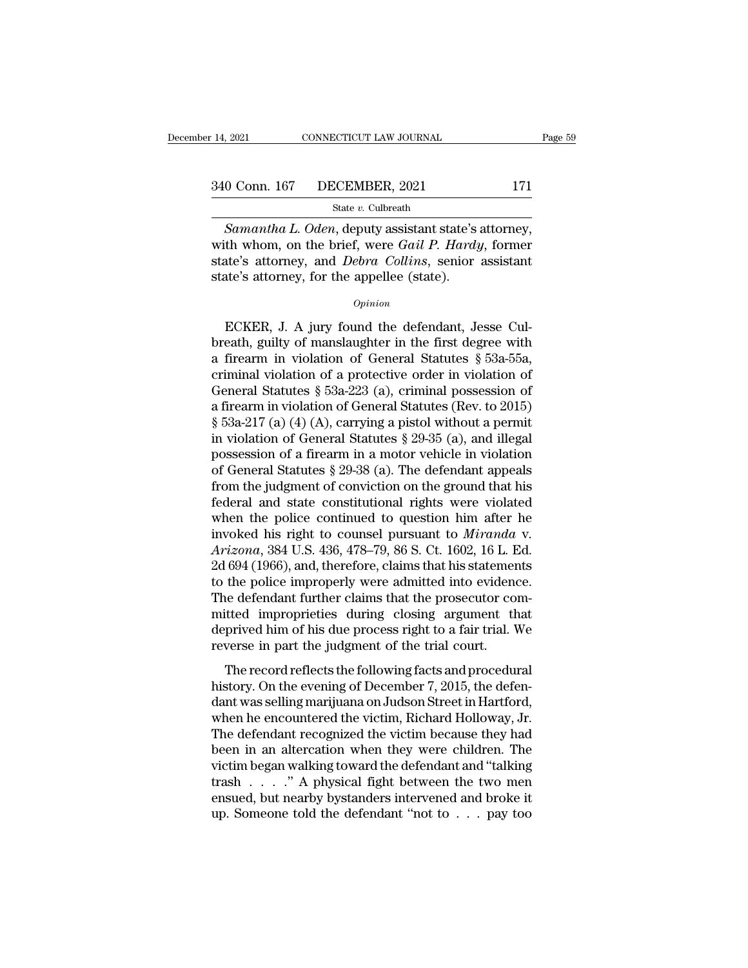# 14, 2021 CONNECTICUT LAW JOURNAL Page 59<br>340 Conn. 167 DECEMBER, 2021 171<br>State v. Culbreath

### State *v.* Culbreath

*Samantha L. Oden*, deputy assistant state's attorney,<br> *Samantha L. Oden*, deputy assistant state's attorney,<br>
th whom, on the brief, were *Gail P. Hardy*, former<br> *Samantha L. Oden*, deputy assistant state's attorney,<br>
t 340 Conn. 167 DECEMBER, 2021 171<br>
<sup>State v. Culbreath</sup><br>
Samantha L. Oden, deputy assistant state's attorney,<br>
with whom, on the brief, were *Gail P. Hardy*, former<br>
state's attorney, and *Debra Collins*, senior assistant<br> 340 Conn. 167 DECEMBER, 2021 171<br>
State v. Culbreath<br>
Samantha L. Oden, deputy assistant state's attorney,<br>
with whom, on the brief, were *Gail P. Hardy*, former<br>
state's attorney, and *Debra Collins*, senior assistant<br>
st 340 Conn. 167 DECEMBER, 2021<br>
State v. Culbreath<br>
Samantha L. Oden, deputy assistant state's<br>
with whom, on the brief, were *Gail P. Hardy*<br>
state's attorney, and *Debra Collins*, senior<br>
state's attorney, for the appellee Samantha L. Oden, deputy assistant state's attorney,<br>th whom, on the brief, were *Gail P. Hardy*, former<br>ate's attorney, and *Debra Collins*, senior assistant<br>te's attorney, for the appellee (state).<br> $o_{pinion}$ <br>ECKER, J. A j

### *Opinion*

with whom, on the brief, were *Gail P. Hardy*, former<br>state's attorney, and *Debra Collins*, senior assistant<br>state's attorney, for the appellee (state).<br> $o_{pinion}$ <br>ECKER, J. A jury found the defendant, Jesse Cul-<br>breath, gu state's attorney, and *Debra Collins*, senior assistant<br>state's attorney, for the appellee (state).<br> $opinion$ <br>ECKER, J. A jury found the defendant, Jesse Cul-<br>breath, guilty of manslaughter in the first degree with<br>a firearm i state's attorney, for the appellee (state).<br>  $\phi_{pinion}$ <br>
ECKER, J. A jury found the defendant, Jesse Cul-<br>
breath, guilty of manslaughter in the first degree with<br>
a firearm in violation of General Statutes § 53a-55a,<br>
crim General Statutes § 53a-223 (a), criminal statutes § 53a-55a, statutes § 53a-55a, criminal violation of a protective order in violation of General Statutes § 53a-55a, criminal violation of a protective order in violation o ECKER, J. A jury found the defendant, Jesse Culbreath, guilty of manslaughter in the first degree with<br>a firearm in violation of General Statutes § 53a-55a,<br>criminal violation of a protective order in violation of<br>General ECKER, J. A jury found the defendant, Jesse Culbreath, guilty of manslaughter in the first degree with<br>a firearm in violation of General Statutes § 53a-55a,<br>criminal violation of a protective order in violation of<br>General breath, guilty of manslaughter in the first degree with<br>a firearm in violation of General Statutes § 53a-55a,<br>criminal violation of a protective order in violation of<br>General Statutes § 53a-223 (a), criminal possession of a firearm in violation of General Statutes § 53a-55a,<br>criminal violation of a protective order in violation of<br>General Statutes § 53a-223 (a), criminal possession of<br>a firearm in violation of General Statutes (Rev. to 201 criminal violation of a protective order in violation of<br>General Statutes § 53a-223 (a), criminal possession of<br>a firearm in violation of General Statutes (Rev. to 2015)<br>§ 53a-217 (a) (4) (A), carrying a pistol without a General Statutes § 53a-223 (a), criminal possession of<br>a firearm in violation of General Statutes (Rev. to 2015)<br>§ 53a-217 (a) (4) (A), carrying a pistol without a permit<br>in violation of General Statutes § 29-35 (a), and a firearm in violation of General Statutes (Rev. to 2015)<br>
§ 53a-217 (a) (4) (A), carrying a pistol without a permit<br>
in violation of General Statutes § 29-35 (a), and illegal<br>
possession of a firearm in a motor vehicle i § 53a-217 (a) (4) (A), carrying a pistol without a permit<br>in violation of General Statutes § 29-35 (a), and illegal<br>possession of a firearm in a motor vehicle in violation<br>of General Statutes § 29-38 (a). The defendant ap in violation of General Statutes § 29-35 (a), and illegal<br>possession of a firearm in a motor vehicle in violation<br>of General Statutes § 29-38 (a). The defendant appeals<br>from the judgment of conviction on the ground that hi possession of a firearm in a motor vehicle in violation<br>of General Statutes § 29-38 (a). The defendant appeals<br>from the judgment of conviction on the ground that his<br>federal and state constitutional rights were violated<br>wh of General Statutes § 29-38 (a). The defendant appeals<br>from the judgment of conviction on the ground that his<br>federal and state constitutional rights were violated<br>when the police continued to question him after he<br>invoke from the judgment of conviction on the ground that his<br>federal and state constitutional rights were violated<br>when the police continued to question him after he<br>invoked his right to counsel pursuant to *Miranda* v.<br>Arizona, federal and state constitutional rights were violated<br>when the police continued to question him after he<br>invoked his right to counsel pursuant to *Miranda* v.<br> $Arizona$ , 384 U.S. 436, 478–79, 86 S. Ct. 1602, 16 L. Ed.<br>2d 694 when the police continued to question him after he<br>invoked his right to counsel pursuant to *Miranda* v.<br> $Arizona$ , 384 U.S. 436, 478–79, 86 S. Ct. 1602, 16 L. Ed.<br>2d 694 (1966), and, therefore, claims that his statements<br>to invoked his right to counsel pursuant to *Miranda* v.<br>Arizona, 384 U.S. 436, 478–79, 86 S. Ct. 1602, 16 L. Ed.<br>2d 694 (1966), and, therefore, claims that his statements<br>to the police improperly were admitted into evidence. Arizona, 384 U.S. 436, 478–79, 86 S. Ct. 1602, 16 L. F<br>2d 694 (1966), and, therefore, claims that his statement<br>to the police improperly were admitted into eviden<br>The defendant further claims that the prosecutor co<br>mitted the police improperly were admitted into evidence.<br>
ie defendant further claims that the prosecutor com-<br>
itted improprieties during closing argument that<br>
prived him of his due process right to a fair trial. We<br>
verse in the defendant further claims that the prosecutor committed improprieties during closing argument that deprived him of his due process right to a fair trial. We reverse in part the judgment of the trial court.<br>The record re

The decendant ratater elains and the prosecutor committed improprieties during closing argument that<br>deprived him of his due process right to a fair trial. We<br>reverse in part the judgment of the trial court.<br>The record ref matted improprietes daring elosing argament and<br>deprived him of his due process right to a fair trial. We<br>reverse in part the judgment of the trial court.<br>The record reflects the following facts and procedural<br>history. On reverse in part the judgment of the trial court.<br>The record reflects the following facts and procedural<br>history. On the evening of December 7, 2015, the defen-<br>dant was selling marijuana on Judson Street in Hartford,<br>when The record reflects the following facts and procedural<br>history. On the evening of December 7, 2015, the defen-<br>dant was selling marijuana on Judson Street in Hartford,<br>when he encountered the victim, Richard Holloway, Jr.<br> The record reflects the following facts and procedural<br>history. On the evening of December 7, 2015, the defen-<br>dant was selling marijuana on Judson Street in Hartford,<br>when he encountered the victim, Richard Holloway, Jr. history. On the evening of December 7, 2015, the defen-<br>dant was selling marijuana on Judson Street in Hartford,<br>when he encountered the victim, Richard Holloway, Jr.<br>The defendant recognized the victim because they had<br>be dant was selling marijuana on Judson Street in Hartford,<br>when he encountered the victim, Richard Holloway, Jr.<br>The defendant recognized the victim because they had<br>been in an altercation when they were children. The<br>victim when he encountered the victim, Richard Holloway, Jr.<br>The defendant recognized the victim because they had<br>been in an altercation when they were children. The<br>victim began walking toward the defendant and "talking<br>trash .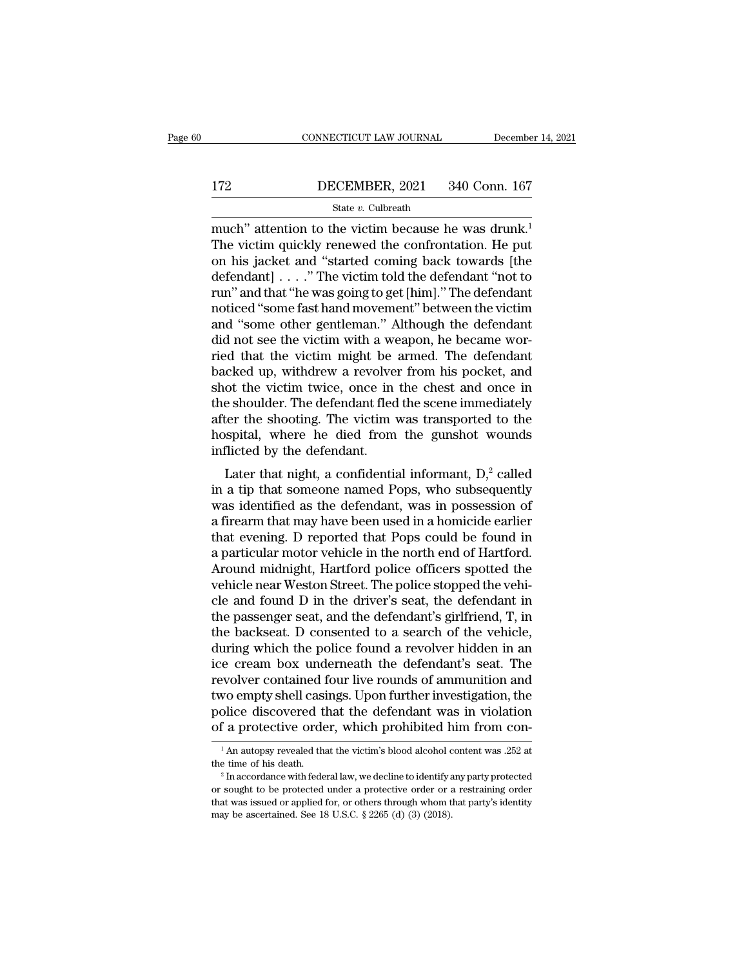# EXECUTE CONNECTICUT LAW JOURNAL December 14, 2021<br>172 DECEMBER, 2021 340 Conn. 167<br>172 State v. Culbreath

### State *v.* Culbreath

CONNECTICUT LAW JOURNAL December 14, 2021<br>
DECEMBER, 2021 340 Conn. 167<br>
State v. Culbreath<br>
much'' attention to the victim because he was drunk.<sup>1</sup><br>
The victim quickly renewed the confrontation. He put<br>
on his jocket and The victim quickly renewed the confrontation. He put<br>the victim quickly renewed the confrontation. He put<br>on his jacket and "started coming back towards [the dofondant] with a victim told the dofondant "not to DECEMBER, 2021 340 Conn. 167<br>
State v. Culbreath<br>
much'' attention to the victim because he was drunk.<sup>1</sup><br>
The victim quickly renewed the confrontation. He put<br>
on his jacket and "started coming back towards [the<br>
defenda  $\begin{array}{lll}\n 172 & \text{DECEMBER, 2021} & 340 \text{ Conn. } 167 \\
 \hline\n & \text{State } v. \text{ Cubreath} \\
 \hline\n \text{much'' attention to the victim because he was drunk.} \\
 \text{The victim quickly renewed the confrontation. He put on his jacket and "started coming back towards [the defendant] . . . . " The victim told the defendant "not to run" and that "he was going to get [him]." The defendant noticed "some fast hand movement" between the victim.\n$ State v. Culbreath<br>
much" attention to the victim because he was drunk.<sup>1</sup><br>
The victim quickly renewed the confrontation. He put<br>
on his jacket and "started coming back towards [the<br>
defendant] . . . ." The victim told th state v. Cubreath<br>
much" attention to the victim because he was drunk.<sup>1</sup><br>
The victim quickly renewed the confrontation. He put<br>
on his jacket and "started coming back towards [the<br>
defendant] . . . . " The victim told th much" attention to the victim because he was drunk.<sup>1</sup><br>The victim quickly renewed the confrontation. He put<br>on his jacket and "started coming back towards [the<br>defendant] . . . . " The victim told the defendant "not to<br>ru The victim quickly renewed the confrontation. He put<br>on his jacket and "started coming back towards [the<br>defendant]  $\ldots$ ." The victim told the defendant "not to<br>run" and that "he was going to get [him]." The defendant<br>no on his jacket and "started coming back towards [the<br>defendant] . . . . " The victim told the defendant "not to<br>run" and that "he was going to get [him]." The defendant<br>noticed "some fast hand movement" between the victim<br>a defendant] . . . ." The victim told the defendant "not to<br>run" and that "he was going to get [him]." The defendant<br>noticed "some fast hand movement" between the victim<br>and "some other gentleman." Although the defendant<br>did run" and that "he was going to get [him]." The defendant<br>noticed "some fast hand movement" between the victim<br>and "some other gentleman." Although the defendant<br>did not see the victim with a weapon, he became wor-<br>ried tha noticed "some fast hand movement" between the victim<br>and "some other gentleman." Although the defendant<br>did not see the victim with a weapon, he became wor-<br>ried that the victim might be armed. The defendant<br>backed up, wit and "some other gentleman." Although the defendant<br>did not see the victim with a weapon, he became wor-<br>ried that the victim might be armed. The defendant<br>backed up, withdrew a revolver from his pocket, and<br>shot the victim did not see the victim with a weapon, he became wor-<br>ried that the victim might be armed. The defendant<br>backed up, withdrew a revolver from his pocket, and<br>shot the victim twice, once in the chest and once in<br>the shoulder. ried that the victim might be<br>backed up, withdrew a revolve:<br>shot the victim twice, once in<br>the shoulder. The defendant fled<br>after the shooting. The victim v<br>hospital, where he died from<br>inflicted by the defendant.<br>Later t Exect up, with<br>the victim twice, once in the chest and once in eshoulder. The defendant fled the scene immediately<br>ter the shooting. The victim was transported to the<br>spital, where he died from the gunshot wounds<br>flicted shot the victim twice, once in the chest and once in<br>the shoulder. The defendant fled the scene immediately<br>after the shooting. The victim was transported to the<br>hospital, where he died from the gunshot wounds<br>inflicted b

For the shoulder. The defendant fied the scene infined<br>after the shooting. The victim was transported to the<br>hospital, where he died from the gunshot wounds<br>inflicted by the defendant.<br>Later that night, a confidential inf anter the shooting. The victim was transported to the<br>hospital, where he died from the gunshot wounds<br>inflicted by the defendant.<br>Later that night, a confidential informant,  $D_i^2$  called<br>in a tip that someone named Pops, filicted by the defendant.<br>
Later that night, a confidential informant,  $D$ ,<sup>2</sup> called<br>
in a tip that someone named Pops, who subsequently<br>
was identified as the defendant, was in possession of<br>
a firearm that may have be Later that night, a confidential informant,  $D_i^2$  called<br>in a tip that someone named Pops, who subsequently<br>was identified as the defendant, was in possession of<br>a firearm that may have been used in a homicide earlier<br>th Later that night, a confidential informant,  $D$ ,<sup>2</sup> called<br>in a tip that someone named Pops, who subsequently<br>was identified as the defendant, was in possession of<br>a firearm that may have been used in a homicide earlier<br>t in a tip that someone named Pops, who subsequently<br>was identified as the defendant, was in possession of<br>a firearm that may have been used in a homicide earlier<br>that evening. D reported that Pops could be found in<br>a partic was identified as the defendant, was in possession of<br>a firearm that may have been used in a homicide earlier<br>that evening. D reported that Pops could be found in<br>a particular motor vehicle in the north end of Hartford.<br>Ar a firearm that may have been used in a homicide earlier<br>that evening. D reported that Pops could be found in<br>a particular motor vehicle in the north end of Hartford.<br>Around midnight, Hartford police officers spotted the<br>ve that evening. D reported that Pops could be found in<br>a particular motor vehicle in the north end of Hartford.<br>Around midnight, Hartford police officers spotted the<br>vehicle near Weston Street. The police stopped the vehi-<br>c a particular motor vehicle in the north end of Hartford.<br>Around midnight, Hartford police officers spotted the<br>vehicle near Weston Street. The police stopped the vehi-<br>cle and found D in the driver's seat, the defendant in Around midnight, Hartford police officers spotted the<br>vehicle near Weston Street. The police stopped the vehi-<br>cle and found D in the driver's seat, the defendant in<br>the passenger seat, and the defendant's girlfriend, T, i vehicle near Weston Street. The police stopped the vehicle and found D in the driver's seat, the defendant in<br>the passenger seat, and the defendant's girlfriend, T, in<br>the backseat. D consented to a search of the vehicle,<br> cle and found D in the driver's seat, the defendant in<br>the passenger seat, and the defendant's girlfriend, T, in<br>the backseat. D consented to a search of the vehicle,<br>during which the police found a revolver hidden in an<br>i the passenger seat, and the defendant's girlfriend, T, in<br>the backseat. D consented to a search of the vehicle,<br>during which the police found a revolver hidden in an<br>ice cream box underneath the defendant's seat. The<br>revol the backseat. D consented to a search of the vehicle,<br>during which the police found a revolver hidden in an<br>ice cream box underneath the defendant's seat. The<br>revolver contained four live rounds of ammunition and<br>two empt volver contained four live rounds of ammunition and<br>vo empty shell casings. Upon further investigation, the<br>blice discovered that the defendant was in violation<br>f a protective order, which prohibited him from con-<br><sup>1</sup>An au two empty shell casings. Upon further investigation, the police discovered that the defendant was in violation of a protective order, which prohibited him from containing  $\frac{1}{1}$  An autopsy revealed that the victim's bl

or source that the victorial in the source of a protective order, which prohibited him from con-<br> $\frac{1}{1}$  An autopsy revealed that the victim's blood alcohol content was .252 at the time of his death.<br> $\frac{2}{1}$  In accord That was protective order, which prominded finit from con-<br>
That autopsy revealed that the victim's blood alcohol content was .252 at<br>
the time of his death.<br>
<sup>2</sup> In accordance with federal law, we decline to identify any <sup>1</sup> An autopsy revealed that the victim's blood alcohol c<br>the time of his death.<br><sup>2</sup> In accordance with federal law, we decline to identify a<br>or sought to be protected under a protective order or a<br>that was issued or appl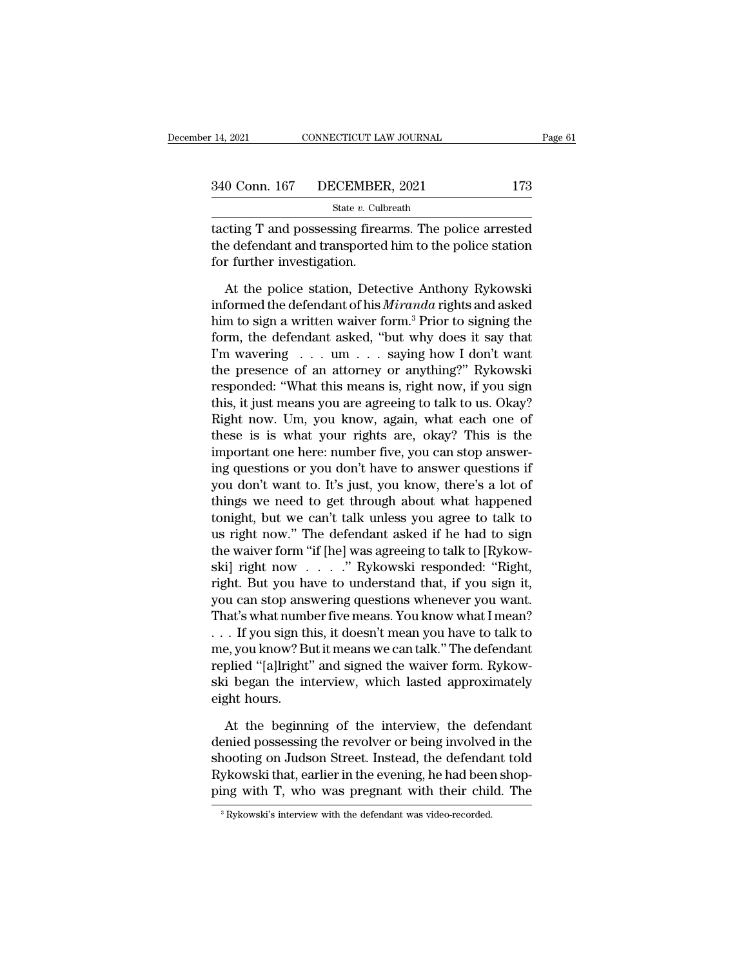| 14, 2021 | CONNECTICUT LAW JOURNAL      |     | Page 61 |
|----------|------------------------------|-----|---------|
|          |                              |     |         |
|          | 340 Conn. 167 DECEMBER, 2021 | 173 |         |
|          | State v. Culbreath           |     |         |

The 14, 2021 CONNECTICUT LAW JOURNAL Page 61<br>
340 Conn. 167 DECEMBER, 2021 173<br>
State v. Culbreath<br>
tacting T and possessing firearms. The police arrested<br>
the defendant and transported him to the police station<br>
for furth 340 Conn. 167 DECEMBER, 2021 173<br>
State v. Culbreath<br>
tacting T and possessing firearms. The police arrested<br>
the defendant and transported him to the police station<br>
for further investigation.  $\begin{array}{r} \text{340 Conn. 167} \quad \text{DECEMBER} \ \text{5tate } v. \text{ Cult } \ \text{tacting T and possessing firea} \ \text{the defendant and transported} \ \text{for further investigation.} \ \text{At the police station, Dete.} \end{array}$  $\frac{1}{10}$ <br>  $\frac{1}{10}$ <br>  $\frac{1}{10}$ <br>  $\frac{1}{10}$ <br>  $\frac{1}{10}$ <br>  $\frac{1}{10}$ <br>  $\frac{1}{10}$ <br>  $\frac{1}{10}$ <br>  $\frac{1}{10}$ <br>  $\frac{1}{10}$ <br>  $\frac{1}{10}$ <br>  $\frac{1}{10}$ <br>  $\frac{1}{10}$ <br>  $\frac{1}{10}$ <br>  $\frac{1}{10}$ <br>  $\frac{1}{10}$ <br>  $\frac{1}{10}$ <br>  $\frac{1}{10}$ <br>  $\frac{1$ 

State v. Culbreath<br>
tacting T and possessing firearms. The police arrested<br>
the defendant and transported him to the police station<br>
for further investigation.<br>
At the police station, Detective Anthony Rykowski<br>
informed t tacting T and possessing firearms. The police arrested<br>the defendant and transported him to the police station<br>for further investigation.<br>At the police station, Detective Anthony Rykowski<br>informed the defendant of his *Mir* the defendant and transported him to the police station<br>for further investigation.<br>At the police station, Detective Anthony Rykowski<br>informed the defendant of his *Miranda* rights and asked<br>him to sign a written waiver fo for further investigation.<br>
At the police station, Detective Anthony Rykowski<br>
informed the defendant of his *Miranda* rights and asked<br>
him to sign a written waiver form.<sup>3</sup> Prior to signing the<br>
form, the defendant aske At the police station, Detective Anthony Rykowski<br>informed the defendant of his *Miranda* rights and asked<br>him to sign a written waiver form.<sup>3</sup> Prior to signing the<br>form, the defendant asked, "but why does it say that<br>I' At the police station, Detective Anthony Rykowski<br>informed the defendant of his *Miranda* rights and asked<br>him to sign a written waiver form.<sup>3</sup> Prior to signing the<br>form, the defendant asked, "but why does it say that<br>I' informed the defendant of his *Miranda* rights and asked<br>him to sign a written waiver form.<sup>3</sup> Prior to signing the<br>form, the defendant asked, "but why does it say that<br>I'm wavering . . . um . . . saying how I don't want<br> him to sign a written waiver form.<sup>3</sup> Prior to signing the<br>form, the defendant asked, "but why does it say that<br>I'm wavering . . . um . . . saying how I don't want<br>the presence of an attorney or anything?" Rykowski<br>respon form, the defendant asked, "but why does it say that I'm wavering  $\dots$  um  $\dots$  saying how I don't want the presence of an attorney or anything?" Rykowski responded: "What this means is, right now, if you sign this, it jus I'm wavering  $\dots$  um  $\dots$  saying how I don't want<br>the presence of an attorney or anything?" Rykowski<br>responded: "What this means is, right now, if you sign<br>this, it just means you are agreeing to talk to us. Okay?<br>Right n the presence of an attorney or anything?" Rykowski<br>responded: "What this means is, right now, if you sign<br>this, it just means you are agreeing to talk to us. Okay?<br>Right now. Um, you know, again, what each one of<br>these is responded: "What this means is, right now, if you sign<br>this, it just means you are agreeing to talk to us. Okay?<br>Right now. Um, you know, again, what each one of<br>these is is what your rights are, okay? This is the<br>importan this, it just means you are agreeing to talk to us. Okay?<br>Right now. Um, you know, again, what each one of<br>these is is what your rights are, okay? This is the<br>important one here: number five, you can stop answer-<br>ing quest Right now. Um, you know, again, what each one of<br>these is is what your rights are, okay? This is the<br>important one here: number five, you can stop answer-<br>ing questions or you don't have to answer questions if<br>you don't wa these is is what your rights are, okay? This is the<br>important one here: number five, you can stop answer-<br>ing questions or you don't have to answer questions if<br>you don't want to. It's just, you know, there's a lot of<br>thin important one here: number five, you can stop answering questions or you don't have to answer questions if you don't want to. It's just, you know, there's a lot of things we need to get through about what happened tonight ing questions or you don't have to answer questions if<br>you don't want to. It's just, you know, there's a lot of<br>things we need to get through about what happened<br>tonight, but we can't talk unless you agree to talk to<br>us ri you don't want to. It's just, you know, there's a lot of<br>things we need to get through about what happened<br>tonight, but we can't talk unless you agree to talk to<br>us right now." The defendant asked if he had to sign<br>the wai things we need to get through about what happened<br>tonight, but we can't talk unless you agree to talk to<br>us right now." The defendant asked if he had to sign<br>the waiver form "if [he] was agreeing to talk to [Rykow-<br>ski] ri tonight, but we can't talk unless you agree to talk to<br>us right now." The defendant asked if he had to sign<br>the waiver form "if [he] was agreeing to talk to [Rykow-<br>ski] right now . . . . . " Rykowski responded: "Right,<br>ri us right now." The defendant asked if he had to sign<br>the waiver form "if [he] was agreeing to talk to [Rykow-<br>ski] right now . . . . . " Rykowski responded: "Right,<br>right. But you have to understand that, if you sign it,<br>y the waiver form "if [he] was agreeing to talk to [Rykow-<br>ski] right now . . . . . " Rykowski responded: "Right,<br>right. But you have to understand that, if you sign it,<br>you can stop answering questions whenever you want.<br>Th ski] right now . . . . . " Rykowski responded: "Right,<br>right. But you have to understand that, if you sign it,<br>you can stop answering questions whenever you want.<br>That's what number five means. You know what I mean?<br>. . . right. But you have to understand that, if you sign it,<br>you can stop answering questions whenever you want.<br>That's what number five means. You know what I mean?<br>. . . If you sign this, it doesn't mean you have to talk to<br>m you can stop ans<br>That's what numb<br>. . . If you sign th<br>me, you know? Bu<br>replied "[a]lright'<br>ski began the in<br>eight hours.<br>At the beginn . If you sign this, it doesn't mean you have to talk to<br>e, you know? But it means we can talk." The defendant<br>plied "[a]lright" and signed the waiver form. Rykow-<br>i began the interview, which lasted approximately<br>ght hours me, you know? But it means we can talk." The defendant<br>replied "[a]lright" and signed the waiver form. Rykow-<br>ski began the interview, which lasted approximately<br>eight hours.<br>At the beginning of the interview, the defendan

replied "[a]lright" and signed the waiver form. Rykowski began the interview, which lasted approximately<br>eight hours.<br>At the beginning of the interview, the defendant<br>denied possessing the revolver or being involved in the ski began the interview, which lasted approximately<br>eight hours.<br>At the beginning of the interview, the defendant<br>denied possessing the revolver or being involved in the<br>shooting on Judson Street. Instead, the defendant to eight hours.<br>
At the beginning of the interview, the defendant<br>
denied possessing the revolver or being involved in the<br>
shooting on Judson Street. Instead, the defendant told<br>
Rykowski that, earlier in the evening, he had denied possessing the revolver or being involved in the shooting on Judson Street. Instead, the defendant told Rykowski that, earlier in the evening, he had been shopping with T, who was pregnant with their child. The  $\frac$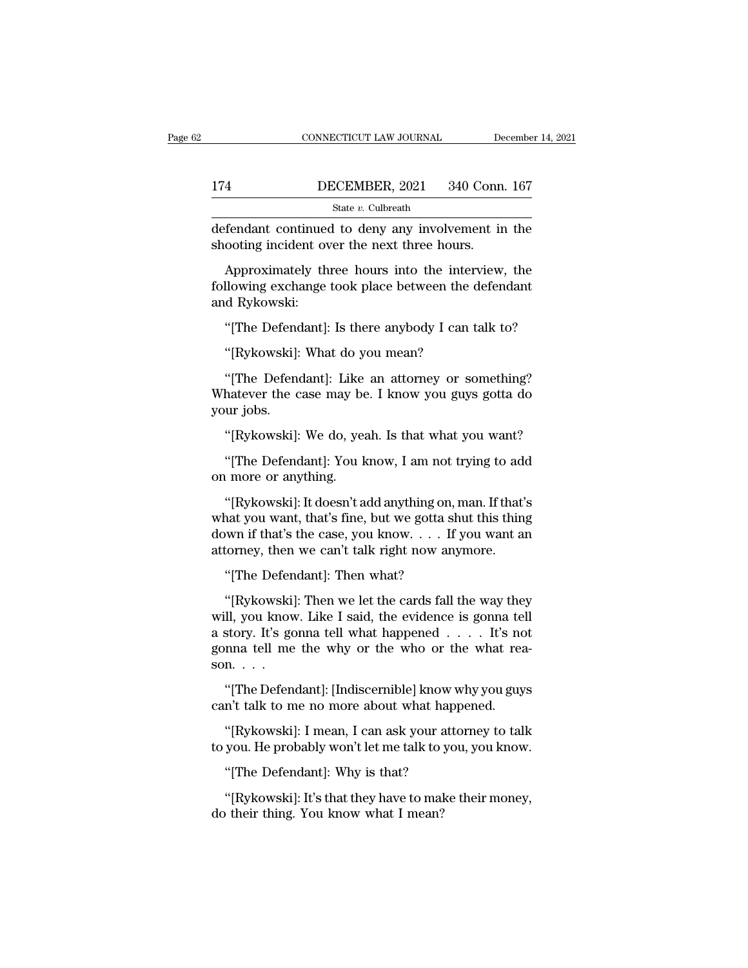|                                                                                                    | CONNECTICUT LAW JOURNAL | December 14, 2021 |  |
|----------------------------------------------------------------------------------------------------|-------------------------|-------------------|--|
| 174                                                                                                | DECEMBER, 2021          | 340 Conn. 167     |  |
|                                                                                                    | State v. Culbreath      |                   |  |
| defendant continued to deny any involvement in the<br>shooting incident over the next three hours. |                         |                   |  |
| Approximately three hours into the interview, the                                                  |                         |                   |  |

 $\frac{\text{BECEMBER, 2021}}{\text{State } v. \text{ Cubireath}}$ <br>
fendant continued to deny any involvement in the ooting incident over the next three hours.<br>
Approximately three hours into the interview, the llowing exchange took place between the defe Following the DECEMBER, 2021 340 Conn. 167<br>State v. Culbreath<br>defendant continued to deny any involvement in the<br>shooting incident over the next three hours.<br>Approximately three hours into the interview, the<br>following exc defendant continues<br>shooting incident ov<br>Approximately th<br>following exchange<br>and Rykowski:<br>"[The Defendant]: fendant continued to deny any involvement in the<br>ooting incident over the next three hours.<br>Approximately three hours into the interview, the<br>llowing exchange took place between the defendant<br>d Rykowski:<br>"[The Defendant]: Approximately three hours into the inter<br>
Ilowing exchange took place between the d<br>
d Rykowski:<br>
"[The Defendant]: Is there anybody I can t<br>
"[Rykowski]: What do you mean?<br>
"[The Defendant]: Like an attorney or so

"<br>
ilowing exchange took place between the defendant<br>
"The Defendant]: Is there anybody I can talk to?<br>
"[Rykowski]: What do you mean?<br>
"[The Defendant]: Like an attorney or something?<br>
hatever the case may be. I know you and Rykowski:<br>
"[The Defendant]: Is there anybody I can talk to?<br>
"[Rykowski]: What do you mean?<br>
"[The Defendant]: Like an attorney or something?<br>
Whatever the case may be. I know you guys gotta do<br>
your jobs. "[The Defend"<br>"[Rykowski]:<br>"[The Defend"<br>Whatever the c<br>your jobs.<br>"[Rykowski]: "[Rykowski]: What do you mean?<br>"[The Defendant]: Like an attorney or something?<br>hatever the case may be. I know you guys gotta do<br>ur jobs.<br>"[Rykowski]: We do, yeah. Is that what you want?<br>"[The Defendant]: You know, I am n "[The Defendant]: Like an attorney or something?<br>hatever the case may be. I know you guys gotta do<br>ur jobs.<br>"[Rykowski]: We do, yeah. Is that what you want?<br>"[The Defendant]: You know, I am not trying to add<br>u more or anyt "[The Defendant]: Like<br>Whatever the case may be<br>your jobs.<br>"[Rykowski]: We do, yea<br>"[The Defendant]: You k<br>on more or anything.<br>"[Rykowski]: It doesn't a

URY WARD ("The Defendant"): We do, yeah. Is that what you want?<br>
"[The Defendant]: You know, I am not trying to add<br>
"Inter or anything.<br>
"[Rykowski]: It doesn't add anything on, man. If that's<br>
at you want, that's fine, b "[Rykowski]: We do, yeah. Is that what you want?"<br>"[The Defendant]: You know, I am not trying to add<br>on more or anything.<br>"[Rykowski]: It doesn't add anything on, man. If that's<br>what you want, that's fine, but we gotta shu "[Rykowski]: We do, yeah. Is that what you want?"<br>"[The Defendant]: You know, I am not trying to add<br>on more or anything.<br>"[Rykowski]: It doesn't add anything on, man. If that's<br>what you want, that's fine, but we gotta shu "[The Defendant]: You know, I am not trying to ade<br>on more or anything.<br>"[Rykowski]: It doesn't add anything on, man. If that'<br>what you want, that's fine, but we gotta shut this thing<br>down if that's the case, you know.... I more or anything.<br>
"[Rykowski]: It doesn't add anything on,<br>
nat you want, that's fine, but we gotta sl<br>
wm if that's the case, you know. . . . If<br>
torney, then we can't talk right now any<br>"[The Defendant]: Then what?<br>"[ "[Rykowski]: It doesn't add anything on, man. If that's<br>nat you want, that's fine, but we gotta shut this thing<br>wm if that's the case, you know. . . . If you want an<br>torney, then we can't talk right now anymore.<br>"[The Defe

what you want, that's fine, but we gotta shut this thing<br>down if that's the case, you know. . . . If you want an<br>attorney, then we can't talk right now anymore.<br>"[The Defendant]: Then what?<br>"[Rykowski]: Then we let the ca down if that's the case, you know. . . . If you want an<br>attorney, then we can't talk right now anymore.<br>"[The Defendant]: Then what?<br>"[Rykowski]: Then we let the cards fall the way they<br>will, you know. Like I said, the evi attorney, then we can't talk right now anymore.<br>
"[The Defendant]: Then what?<br>
"[Rykowski]: Then we let the cards fall the way they<br>
will, you know. Like I said, the evidence is gonna tell<br>
a story. It's gonna tell what ha "[The Defen"<br>"[Rykowski]<br>will, you know<br>a story. It's go<br>gonna tell me<br>son. . . .<br>"[The Defen "[Rykowski]: Then we let the cards fall the way they ll, you know. Like I said, the evidence is gonna tell story. It's gonna tell what happened . . . . It's not nna tell me the why or the who or the what rea-<br>n. . . .<br>"[T Fragmentally, Then we fee the claral talk that way the<br>will, you know. Like I said, the evidence is gonna tell<br>a story. It's gonna tell what happened  $\dots$  It's no<br>gonna tell me the why or the who or the what rea<br>son.  $\dots$ story. It's gonna tell what happened . . . . It's not<br>nna tell me the why or the who or the what rea-<br>n. . . .<br>"[The Defendant]: [Indiscernible] know why you guys<br>n't talk to me no more about what happened.<br>"[Rykowski]: I

gonna tell me the why or the who or the what reason. . . .<br>"[The Defendant]: [Indiscernible] know why you guys can't talk to me no more about what happened.<br>"[Rykowski]: I mean, I can ask your attorney to talk to you. He p son. . . .<br>
"[The Defendant]: [Indiscernible] know why you guys<br>
can't talk to me no more about what happened.<br>
"[Rykowski]: I mean, I can ask your attorney to talk<br>
to you. He probably won't let me talk to you, you know.<br> n't talk to me no more about what happened.<br>"[Rykowski]: I mean, I can ask your attorney to talk<br>you. He probably won't let me talk to you, you know.<br>"[The Defendant]: Why is that?<br>"[Rykowski]: It's that they have to make "[Rykowski]: I mean, I can ask your a<br>to you. He probably won't let me talk to :<br>"[The Defendant]: Why is that?<br>"[Rykowski]: It's that they have to mal<br>do their thing. You know what I mean?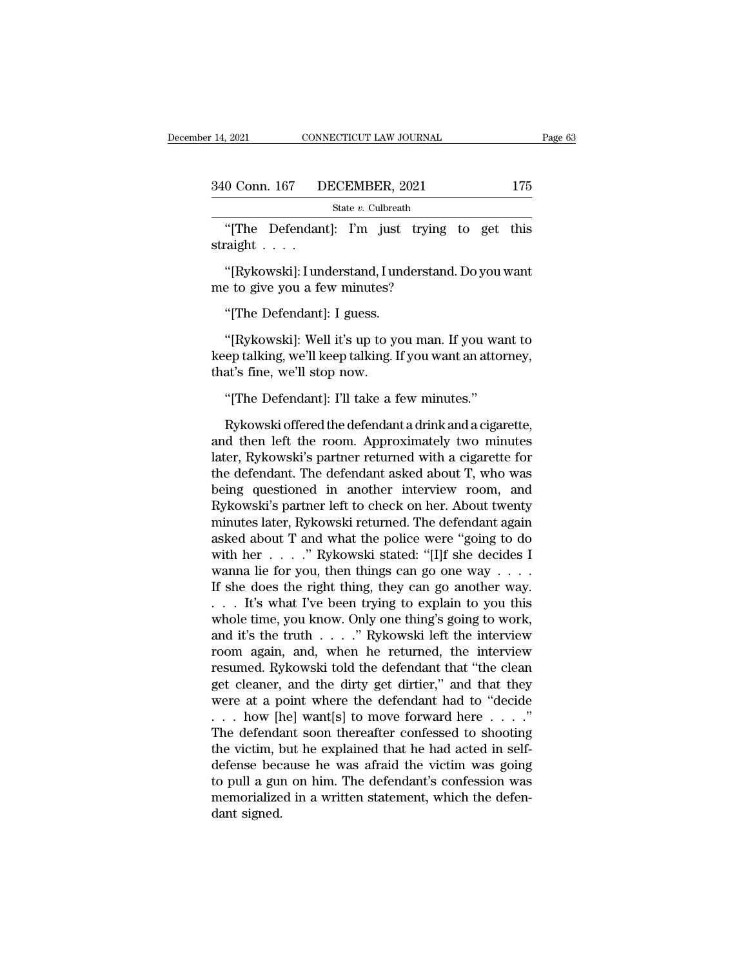| 14, 2021 | CONNECTICUT LAW JOURNAL      | Page 63 |  |
|----------|------------------------------|---------|--|
|          | 340 Conn. 167 DECEMBER, 2021 | 175     |  |
|          | State v. Culbreath           |         |  |

9021 CONNECTICUT LAW JOURNAL Page 63<br>
0 Conn. 167 DECEMBER, 2021 175<br>
State v. Culbreath<br>
"[The Defendant]: I'm just trying to get this<br>
raight . . . . 340 Conn. 167 D<br>
"[The Defendan<br>
straight . . . .<br>"[Rykowski]: I une 0 Conn. 167 DECEMBER, 2021 175<br>
State v. Culbreath<br>
"[The Defendant]: I'm just trying to get this<br>
raight . . . .<br>
"[Rykowski]: I understand, I understand. Do you want<br>
e to give you a few minutes?  $\frac{\text{State } v \text{. Cubrecht}}{\text{State } v \text{. Cubrecht}}$ <br>
"[The Defendant]: I'm just trying<br>
straight . . . .<br>
"[Rykowski]: I understand, I understand<br>
me to give you a few minutes?<br>"[The Defendant]: I guess. "[The Defendant]: I'm just<br>"aight . . . .<br>"[Rykowski]: I understand, I und<br>a to give you a few minutes?"<br>"[The Defendant]: I guess."<br>[Rykowski]: Well it's up to you

"<br>"[Rykowski]: I understand, I understand. Do you want<br>" to give you a few minutes?"<br>"[The Defendant]: I guess.<br>"[Rykowski]: Well it's up to you man. If you want to<br>ep talking, we'll keep talking. If you want an attorney, "[Rykowski]: I understand, I understand. Do you want<br>me to give you a few minutes?<br>"[The Defendant]: I guess.<br>"[Rykowski]: Well it's up to you man. If you want to<br>keep talking, we'll keep talking. If you want an attorney,<br> [KyKOWSKI]: I understand, I understand, I understand, I underselvent of the Defendant]: I guess.<br>
"[The Defendant]: I guess.<br>
"[Rykowski]: Well it's up to your be very talking, we'll keep talking. I<br>
that's fine, we'll sto "[The Defendant]: I guess.<br>"[Rykowski]: Well it's up to you man. If you wa<br>ep talking, we'll keep talking. If you want an attor<br>at's fine, we'll stop now.<br>"[The Defendant]: I'll take a few minutes."<br>Rykowski offered the de "[Rykowski]: Well it's up to you man. If you want to<br>ep talking, we'll keep talking. If you want an attorney,<br>at's fine, we'll stop now.<br>"[The Defendant]: I'll take a few minutes."<br>Rykowski offered the defendant a drink an

[KyKOWSKI]: Well it stup to you mant. If you want to<br>keep talking, we'll keep talking. If you want an attorney,<br>that's fine, we'll stop now.<br>"[The Defendant]: I'll take a few minutes."<br>Rykowski offered the defendant a dri keep taiking, we il keep taiking. If you want an attorney,<br>that's fine, we'll stop now.<br>"[The Defendant]: I'll take a few minutes."<br>Rykowski offered the defendant a drink and a cigarette,<br>and then left the room. Approximat that s line, we if stop how.<br>
"[The Defendant]: I'll take a few minutes."<br>
Rykowski offered the defendant a drink and a cigarette,<br>
and then left the room. Approximately two minutes<br>
later, Rykowski's partner returned with "[The Defendant]: I'll take a few minutes."<br>Rykowski offered the defendant a drink and a cigarette,<br>and then left the room. Approximately two minutes<br>later, Rykowski's partner returned with a cigarette for<br>the defendant. T Rykowski offered the defendant a drink and a cigarette,<br>and then left the room. Approximately two minutes<br>later, Rykowski's partner returned with a cigarette for<br>the defendant. The defendant asked about T, who was<br>being q Rykowski offered the defendant a drink and a cigarette,<br>and then left the room. Approximately two minutes<br>later, Rykowski's partner returned with a cigarette for<br>the defendant. The defendant asked about T, who was<br>being qu and then left the room. Approximately two minutes<br>later, Rykowski's partner returned with a cigarette for<br>the defendant. The defendant asked about T, who was<br>being questioned in another interview room, and<br>Rykowski's partn later, Rykowski's partner returned with a cigarette for<br>the defendant. The defendant asked about T, who was<br>being questioned in another interview room, and<br>Rykowski's partner left to check on her. About twenty<br>minutes late the defendant. The defendant asked about T, who was<br>being questioned in another interview room, and<br>Rykowski's partner left to check on her. About twenty<br>minutes later, Rykowski returned. The defendant again<br>asked about T being questioned in another interview room, and<br>Rykowski's partner left to check on her. About twenty<br>minutes later, Rykowski returned. The defendant again<br>asked about T and what the police were "going to do<br>with her . . . Rykowski's partner left to check on her. About twenty<br>minutes later, Rykowski returned. The defendant again<br>asked about T and what the police were "going to do<br>with her . . . . . " Rykowski stated: "[I]f she decides I<br>wan minutes later, Rykowski returned. The defendant again<br>asked about T and what the police were "going to do<br>with her  $\ldots$ ." Rykowski stated: "[I]f she decides I<br>wanna lie for you, then things can go one way  $\ldots$ .<br>If she d asked about T and what the police were "going to do<br>with her . . . . " Rykowski stated: "[I]f she decides I<br>wanna lie for you, then things can go one way . . . .<br>If she does the right thing, they can go another way.<br>. . . with her  $\ldots$  ." Rykowski stated: "[I]f she decides I<br>wanna lie for you, then things can go one way  $\ldots$ .<br>If she does the right thing, they can go another way.<br> $\ldots$  It's what I've been trying to explain to you this<br>who wanna lie for you, then things can go one way . . . .<br>If she does the right thing, they can go another way.<br>. . . . It's what I've been trying to explain to you this<br>whole time, you know. Only one thing's going to work,<br>a If she does the right thing, they can go another way.<br>  $\ldots$  It's what I've been trying to explain to you this<br>
whole time, you know. Only one thing's going to work,<br>
and it's the truth  $\ldots$   $\ldots$  '' Rykowski left the in . . . It's what I've been trying to explain to you this<br>whole time, you know. Only one thing's going to work,<br>and it's the truth . . . . " Rykowski left the interview<br>resumed. Rykowski told the defendant that "the clean<br>g whole time, you know. Only one thing's going to work,<br>and it's the truth . . . . ." Rykowski left the interview<br>resumed. Rykowski told the defendant that "the clean<br>get cleaner, and the dirty get dirtier," and that they<br>w and it's the truth . . . . ." Rykowski left the interview<br>room again, and, when he returned, the interview<br>resumed. Rykowski told the defendant that "the clean<br>get cleaner, and the dirty get dirtier," and that they<br>were a room again, and, when he returned, the interview<br>resumed. Rykowski told the defendant that "the clean<br>get cleaner, and the dirty get dirtier," and that they<br>were at a point where the defendant had to "decide<br> $\dots$  how [he] resumed. Rykowski told the defendant that "the clean<br>get cleaner, and the dirty get dirtier," and that they<br>were at a point where the defendant had to "decide<br> $\dots$  how [he] want[s] to move forward here  $\dots$ ."<br>The defendan get cleaner, and the dirty get dirtier," and that they<br>were at a point where the defendant had to "decide<br>... how [he] want[s] to move forward here ...."<br>The defendant soon thereafter confessed to shooting<br>the victim, but ... how [he] want[s] to move forward here ....."<br>The defendant soon thereafter confessed to shooting<br>the victim, but he explained that he had acted in self-<br>defense because he was afraid the victim was going<br>to pull a gun . . . how [ $\dagger$ The defendathe victim, b<br>defense bec<br>to pull a gun<br>memorialize<br>dant signed.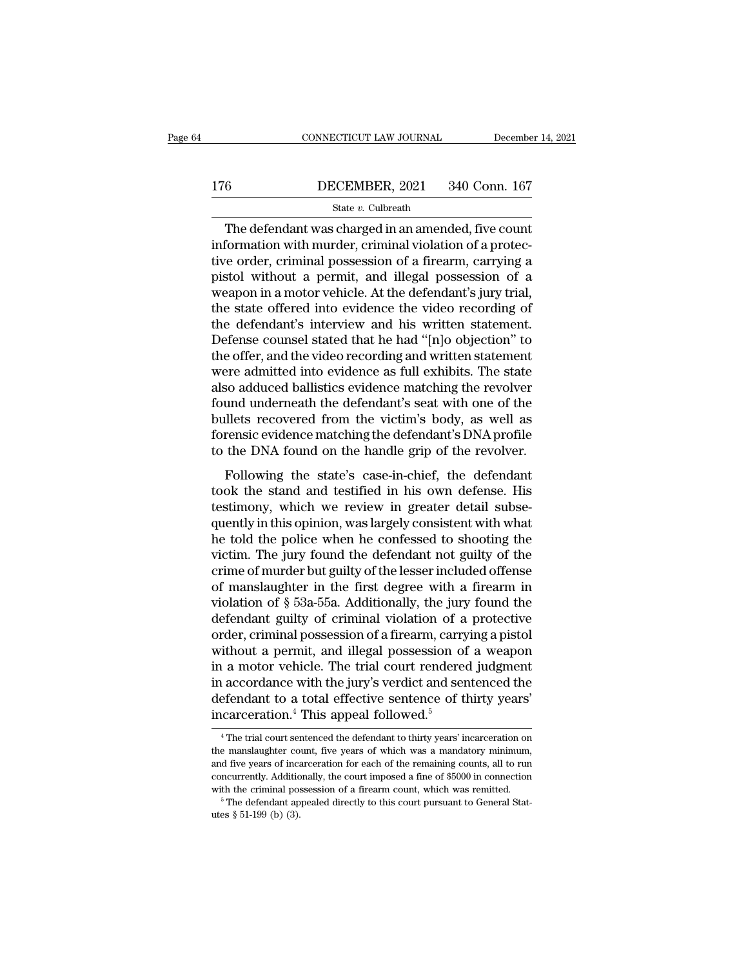# CONNECTICUT LAW JOURNAL December 14, 2021<br>176 DECEMBER, 2021 340 Conn. 167<br>State v. Culbreath

### State *v.* Culbreath

CONNECTICUT LAW JOURNAL December 14, 202<br>
6<br>
DECEMBER, 2021 340 Conn. 167<br>
State v. Culbreath<br>
The defendant was charged in an amended, five count<br>
formation with murder, criminal violation of a protec-IT6 DECEMBER, 2021 340 Conn. 167<br>
State v. Culbreath<br>
The defendant was charged in an amended, five count<br>
information with murder, criminal violation of a protec-<br>
tive order, criminal possession of a firearm, carrying a<br> 176 DECEMBER, 2021 340 Conn. 167<br>
State v. Culbreath<br>
The defendant was charged in an amended, five count<br>
information with murder, criminal violation of a protec-<br>
tive order, criminal possession of a firearm, carrying a Pistol Without a permit, and illegal possession of a protective order, criminal possession of a protective order, criminal possession of a firearm, carrying a pistol without a permit, and illegal possession of a weapon in SECRETING, 2021, 2022, 2022, 2022, 2022, 2022, 2022, 2022, 2022, 2022, 2022, 2022, 2022, 2022, 2022, 2022, 2022, 2022, 2023, 2023, 2023, 2023, 2023, 2023, 2023, 2023, 2023, 2023, 2023, 2023, 2023, 2023, 2023, 2023, 2023, State v. Culbreath<br>
The defendant was charged in an amended, five count<br>
information with murder, criminal violation of a protec-<br>
tive order, criminal possession of a firearm, carrying a<br>
pistol without a permit, and ill The defendant was charged in an amended, five count<br>information with murder, criminal violation of a protec-<br>tive order, criminal possession of a firearm, carrying a<br>pistol without a permit, and illegal possession of a<br>wea information with murder, criminal violation of a protective order, criminal possession of a firearm, carrying a pistol without a permit, and illegal possession of a weapon in a motor vehicle. At the defendant's jury trial, tive order, criminal possession of a firearm, carrying a<br>pistol without a permit, and illegal possession of a<br>weapon in a motor vehicle. At the defendant's jury trial,<br>the state offered into evidence the video recording of pistol without a permit, and illegal possession of a<br>weapon in a motor vehicle. At the defendant's jury trial,<br>the state offered into evidence the video recording of<br>the defendant's interview and his written statement.<br>Def weapon in a motor vehicle. At the defendant's jury trial,<br>the state offered into evidence the video recording of<br>the defendant's interview and his written statement.<br>Defense counsel stated that he had "[n]o objection" to<br>t the state offered into evidence the video recording of<br>the defendant's interview and his written statement.<br>Defense counsel stated that he had "[n]o objection" to<br>the offer, and the video recording and written statement<br>we the defendant's interview and his written statement.<br>Defense counsel stated that he had "[n]o objection" to<br>the offer, and the video recording and written statement<br>were admitted into evidence as full exhibits. The state<br>a Defense counsel stated that he had "[n]o objection" to<br>the offer, and the video recording and written statement<br>were admitted into evidence as full exhibits. The state<br>also adduced ballistics evidence matching the revolver the offer, and the video recording and written statement<br>were admitted into evidence as full exhibits. The state<br>also adduced ballistics evidence matching the revolver<br>found underneath the defendant's seat with one of the<br> Following the state's case-in-chief, the defendant<br>Following the revolver und underneath the defendant's seat with one of the<br>illets recovered from the victim's body, as well as<br>rensic evidence matching the defendant's DNA also additect ballistics evidence inatering the revolver<br>found underneath the defendant's seat with one of the<br>bullets recovered from the victim's body, as well as<br>forensic evidence matching the defendant's DNA profile<br>to

found underleast the determinant is seat what one of the<br>bullets recovered from the victim's body, as well as<br>forensic evidence matching the defendant's DNA profile<br>to the DNA found on the handle grip of the revolver.<br>Foll bunces recovered nom are vient is body, as wen as<br>forensic evidence matching the defendant's DNA profile<br>to the DNA found on the handle grip of the revolver.<br>Following the state's case-in-chief, the defendant<br>took the stan to the DNA found on the handle grip of the revolver.<br>Following the state's case-in-chief, the defendant<br>took the stand and testified in his own defense. His<br>testimony, which we review in greater detail subse-<br>quently in th victim. The state's case-in-chief, the defendant<br>took the stand and testified in his own defense. His<br>testimony, which we review in greater detail subse-<br>quently in this opinion, was largely consistent with what<br>he told th Following the state's case-in-chief, the defendant<br>took the stand and testified in his own defense. His<br>testimony, which we review in greater detail subse-<br>quently in this opinion, was largely consistent with what<br>he told took the stand and testified in his own defense. His<br>testimony, which we review in greater detail subse-<br>quently in this opinion, was largely consistent with what<br>he told the police when he confessed to shooting the<br>victi testimony, which we review in greater detail subsequently in this opinion, was largely consistent with what<br>he told the police when he confessed to shooting the<br>victim. The jury found the defendant not guilty of the<br>crime quently in this opinion, was largely consistent with what<br>he told the police when he confessed to shooting the<br>victim. The jury found the defendant not guilty of the<br>crime of murder but guilty of the lesser included offens he told the police when he confessed to shooting the victim. The jury found the defendant not guilty of the crime of murder but guilty of the lesser included offense of manslaughter in the first degree with a firearm in vi victim. The jury found the defendant not guilty of the crime of murder but guilty of the lesser included offense of manslaughter in the first degree with a firearm in violation of § 53a-55a. Additionally, the jury found th crime of murder but guilty of the lesser included offense<br>of manslaughter in the first degree with a firearm in<br>violation of § 53a-55a. Additionally, the jury found the<br>defendant guilty of criminal violation of a protectiv of manslaughter in the first degree with a firearm in<br>violation of § 53a-55a. Additionally, the jury found the<br>defendant guilty of criminal violation of a protective<br>order, criminal possession of a firearm, carrying a pis violation of § 53a-55a. Additionally, the jury found the defendant guilty of criminal violation of a protective order, criminal possession of a firearm, carrying a pistol without a permit, and illegal possession of a weap defendant guilty of criminal violation of a<br>order, criminal possession of a firearm, carry<br>without a permit, and illegal possession of<br>in a motor vehicle. The trial court rendered<br>in accordance with the jury's verdict and 1 a motor venicle. The trial court rendered judgment<br>accordance with the jury's verdict and sentenced the<br>efendant to a total effective sentence of thirty years'<br>carceration.<sup>4</sup> This appeal followed.<sup>5</sup><br> $\frac{4}{1}$ The trial in accordance with the jury's verdict and sentenced the defendant to a total effective sentence of thirty years' incarceration.<sup>4</sup> This appeal followed.<sup>5</sup><br> $\overline{ }$ <sup>4</sup> The trial court sentenced the defendant to thirty year

defendant to a total effective sentence of thirty years'<br>incarceration.<sup>4</sup> This appeal followed.<sup>5</sup><br><sup>4</sup> The trial court sentenced the defendant to thirty years' incarceration on<br>the manslaughter count, five years of which incarceration.<sup>4</sup> This appeal followed.<sup>5</sup><br> $^4$ The trial court sentenced the defendant to thirty years' incarceration on<br>the manslaughter count, five years of which was a mandatory minimum,<br>and five years of incarceration The criminal possession of a firearm count, which was a mandatory minimum, and five years of incarceration for each of the remaining counts, all to run concurrently. Additionally, the court imposed a fine of \$5000 in conn the manslaughter count, five years of which was a mandatory minimum, and five years of incarceration for each of the remaining counts, all to run concurrently. Additionally, the court imposed a fine of \$5000 in connection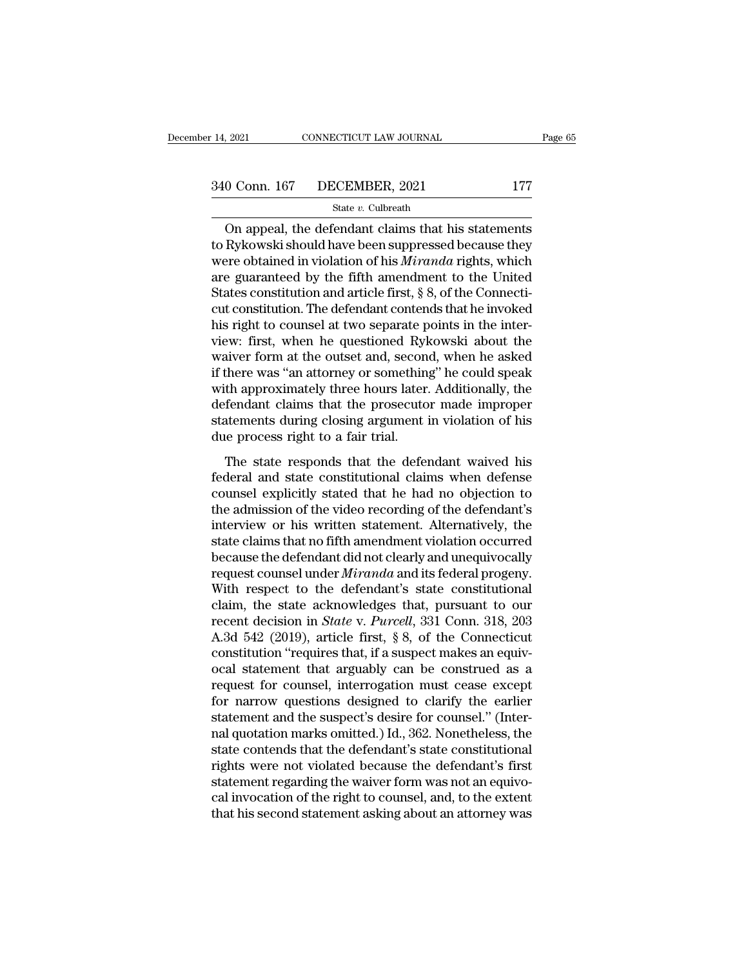$\begin{array}{ll}\n 0.2021 \quad \text{CONRECTICUT LAW JOURNAL} \quad \text{Page 65}\n 0.0 \quad \text{Conn. } 167 \quad \text{DECEMBER, } 2021 \quad \text{177}\n \text{State } v. \text{ Cubreath}\n\text{On appeal, the defendant claims that his statements }\n \text{Rykowski should have been suppressed because they are obtained in violation of his *Mixanda* rights, which\n\n
$$
\begin{array}{l}\n 0.0 \quad \text{DFGEMBER, } 2021 \quad \text{178.}\n \end{array}
$$$ 340 Conn. 167 DECEMBER, 2021 177<br>
State v. Culbreath<br>
On appeal, the defendant claims that his statements<br>
to Rykowski should have been suppressed because they<br>
were obtained in violation of his *Miranda* rights, which<br>
a 340 Conn. 167 DECEMBER, 2021 177<br>
State v. Culbreath<br>
On appeal, the defendant claims that his statements<br>
to Rykowski should have been suppressed because they<br>
were obtained in violation of his *Miranda* rights, which<br>
a 340 Conn. 167 DECEMBER, 2021 177<br>
State v. Culbreath<br>
On appeal, the defendant claims that his statements<br>
to Rykowski should have been suppressed because they<br>
were obtained in violation of his *Miranda* rights, which<br>
a State *v*. Culbreath<br>
On appeal, the defendant claims that his statements<br>
to Rykowski should have been suppressed because they<br>
were obtained in violation of his *Miranda* rights, which<br>
are guaranteed by the fifth amend State v. Culbreath<br>
Con appeal, the defendant claims that his statements<br>
to Rykowski should have been suppressed because they<br>
were obtained in violation of his *Miranda* rights, which<br>
are guaranteed by the fifth amendm On appeal, the defendant claims that his statements<br>to Rykowski should have been suppressed because they<br>were obtained in violation of his *Miranda* rights, which<br>are guaranteed by the fifth amendment to the United<br>States to Rykowski should have been suppressed because they<br>were obtained in violation of his *Miranda* rights, which<br>are guaranteed by the fifth amendment to the United<br>States constitution and article first, § 8, of the Connecti were obtained in violation of his *Miranda* rights, which<br>are guaranteed by the fifth amendment to the United<br>States constitution and article first, § 8, of the Connecti-<br>cut constitution. The defendant contends that he in are guaranteed by the fifth amendment to the United<br>States constitution and article first, § 8, of the Connecti-<br>cut constitution. The defendant contends that he invoked<br>his right to counsel at two separate points in the i States constitution and article first, § 8, of the Connecticut constitution. The defendant contends that he invoked<br>his right to counsel at two separate points in the inter-<br>view: first, when he questioned Rykowski about t cut constitution. The defendant contends that he invoked<br>his right to counsel at two separate points in the inter-<br>view: first, when he questioned Rykowski about the<br>waiver form at the outset and, second, when he asked<br>if his right to counsel at two separate points in the inter-<br>view: first, when he questioned Rykowski about the<br>waiver form at the outset and, second, when he asked<br>if there was "an attorney or something" he could speak<br>with view: first, when he questioned Ryl<br>waiver form at the outset and, secon<br>if there was "an attorney or somethin<br>with approximately three hours later<br>defendant claims that the prosecuto<br>statements during closing argument<br>due The state responds that the defendant waived his<br>there was "an attorney or something" he could speak<br>th approximately three hours later. Additionally, the<br>fendant claims that the prosecutor made improper<br>attements during c federal and state constants are constanting the constant of the defendant claims that the prosecutor made improper<br>statements during closing argument in violation of his<br>due process right to a fair trial.<br>The state respond

man approximately ance notics facel. Interactionally, are<br>defendant claims that the prosecutor made improper<br>statements during closing argument in violation of his<br>due process right to a fair trial.<br>The state responds that statements during closing argument in violation of his<br>due process right to a fair trial.<br>The state responds that the defendant waived his<br>federal and state constitutional claims when defense<br>counsel explicitly stated that But a process right to a fair trial.<br>
The state responds that the defendant waived his<br>
federal and state constitutional claims when defense<br>
counsel explicitly stated that he had no objection to<br>
the admission of the vide The state responds that the defendant waived his<br>federal and state constitutional claims when defense<br>counsel explicitly stated that he had no objection to<br>the admission of the video recording of the defendant's<br>interview The state responds that the defendant waived his<br>federal and state constitutional claims when defense<br>counsel explicitly stated that he had no objection to<br>the admission of the video recording of the defendant's<br>interview federal and state constitutional claims when defense<br>counsel explicitly stated that he had no objection to<br>the admission of the video recording of the defendant's<br>interview or his written statement. Alternatively, the<br>stat counsel explicitly stated that he had no objection to<br>the admission of the video recording of the defendant's<br>interview or his written statement. Alternatively, the<br>state claims that no fifth amendment violation occurred<br>b the admission of the video recording of the defendant's<br>interview or his written statement. Alternatively, the<br>state claims that no fifth amendment violation occurred<br>because the defendant did not clearly and unequivocall interview or his written statement. Alternatively, the state claims that no fifth amendment violation occurred<br>because the defendant did not clearly and unequivocally<br>request counsel under *Miranda* and its federal progeny state claims that no fifth amendment violation occurred<br>because the defendant did not clearly and unequivocally<br>request counsel under *Miranda* and its federal progeny.<br>With respect to the defendant's state constitutional<br> because the defendant did not clearly and unequivocally<br>request counsel under *Miranda* and its federal progeny.<br>With respect to the defendant's state constitutional<br>claim, the state acknowledges that, pursuant to our<br>rece request counsel under *Miranda* and its federal progeny.<br>With respect to the defendant's state constitutional<br>claim, the state acknowledges that, pursuant to our<br>recent decision in *State* v. *Purcell*, 331 Conn. 318, 203 With respect to the defendant's state constitutional<br>claim, the state acknowledges that, pursuant to our<br>recent decision in *State* v. *Purcell*, 331 Conn. 318, 203<br>A.3d 542 (2019), article first, § 8, of the Connecticut<br> claim, the state acknowledges that, pursuant to our<br>recent decision in *State* v. *Purcell*, 331 Conn. 318, 203<br>A.3d 542 (2019), article first, § 8, of the Connecticut<br>constitution "requires that, if a suspect makes an eq recent decision in *State* v. *Purcell*, 331 Conn. 318, 203<br>A.3d 542 (2019), article first, § 8, of the Connecticut<br>constitution "requires that, if a suspect makes an equiv-<br>ocal statement that arguably can be construed as A.3d 542 (2019), article first, § 8, of the Connecticut<br>constitution "requires that, if a suspect makes an equiv-<br>ocal statement that arguably can be construed as a<br>request for counsel, interrogation must cease except<br>for constitution "requires that, if a suspect makes an equiv-<br>ocal statement that arguably can be construed as a<br>request for counsel, interrogation must cease except<br>for narrow questions designed to clarify the earlier<br>stateme ocal statement that arguably can be construed as a<br>request for counsel, interrogation must cease except<br>for narrow questions designed to clarify the earlier<br>statement and the suspect's desire for counsel." (Inter-<br>nal quot request for counsel, interrogation must cease except<br>for narrow questions designed to clarify the earlier<br>statement and the suspect's desire for counsel." (Inter-<br>nal quotation marks omitted.) Id., 362. Nonetheless, the<br>st for narrow questions designed to clarify the earlier<br>statement and the suspect's desire for counsel." (Inter-<br>nal quotation marks omitted.) Id., 362. Nonetheless, the<br>state contends that the defendant's state constitutiona statement and the suspect's desire for counsel." (Internal quotation marks omitted.) Id., 362. Nonetheless, the state contends that the defendant's state constitutional rights were not violated because the defendant's firs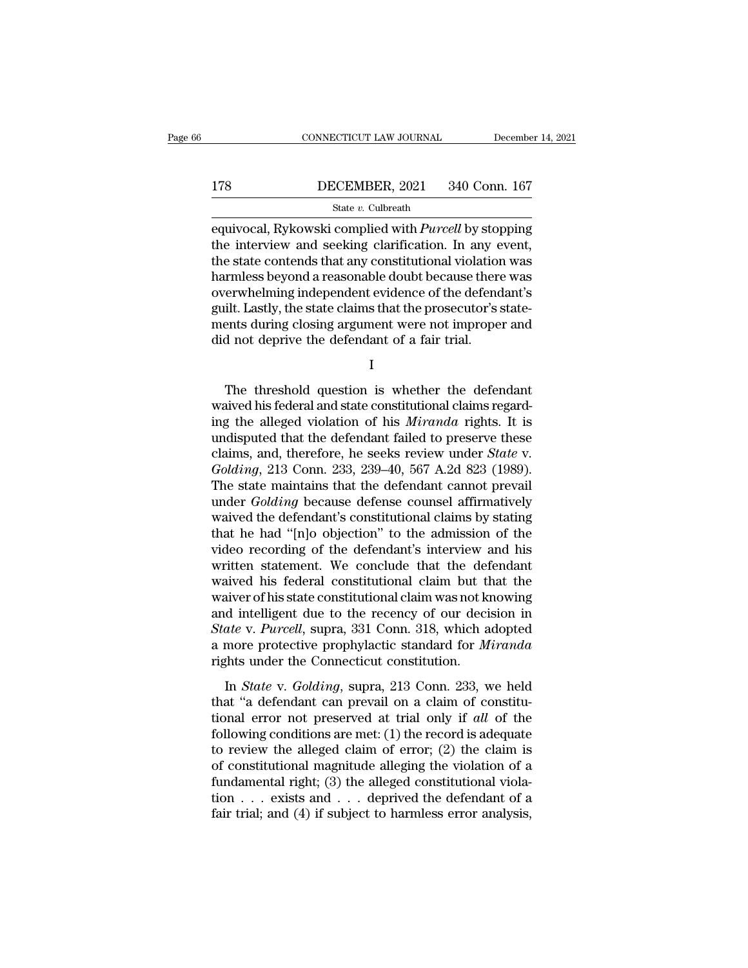# CONNECTICUT LAW JOURNAL December 14, 2021<br>178 DECEMBER, 2021 340 Conn. 167<br>State v. Culbreath

### State *v.* Culbreath

EXECUTE CONNECTICUT LAW JOURNAL December 14, 2021<br>
178 DECEMBER, 2021 340 Conn. 167<br>
State *v*. Culbreath<br>
Equivocal, Rykowski complied with *Purcell* by stopping<br>
the interview and seeking clarification. In any event,<br>
th 178 DECEMBER, 2021 340 Conn. 167<br>
State v. Culbreath<br>
Equivocal, Rykowski complied with *Purcell* by stopping<br>
the interview and seeking clarification. In any event,<br>
the state contends that any constitutional violation w 178 DECEMBER, 2021 340 Conn. 167<br>
State v. Culbreath<br>
equivocal, Rykowski complied with *Purcell* by stopping<br>
the interview and seeking clarification. In any event,<br>
the state contends that any constitutional violation w  $\begin{tabular}{ll} \bf 178 & DECEMBER, 2021 & 340 Conn. 167 \\ & \bf 167 & \bf 168 & \bf 169 \end{tabular} \end{tabular} \begin{tabular}{ll} \bf 178 & \bf 189 & \bf 189 \end{tabular} \end{tabular} \begin{tabular}{ll} \bf 189 & \bf 189 \end{tabular} \end{tabular} \begin{tabular}{ll} \bf 189 & \bf 189 \end{tabular} \end{tabular} \begin{tabular}{ll} \bf 189 & \bf 189 \end{tabular} \end{tabular} \begin{tabular}{ll} \bf 1$ SECRIMENT, 2022 CORRECT TO THE CORRECT STREET TO THE CONDITION STATE of the equivocal, Rykowski complied with *Purcell* by stopping the interview and seeking clarification. In any event, the state contends that any consti state  $v$ . Cubreath<br>equivocal, Rykowski complied with *Purcell* by stopping<br>the interview and seeking clarification. In any event,<br>the state contends that any constitutional violation was<br>harmless beyond a reasonable doub equivocal, Rykowski complied with *Purcell* by stopping<br>the interview and seeking clarification. In any event,<br>the state contends that any constitutional violation was<br>harmless beyond a reasonable doubt because there was<br>o the interview and seeking clarification. In any e<br>the state contends that any constitutional violation<br>harmless beyond a reasonable doubt because there<br>overwhelming independent evidence of the defend<br>guilt. Lastly, the sta erwhelming independent evidence of the defendant's<br>ilt. Lastly, the state claims that the prosecutor's state-<br>ents during closing argument were not improper and<br>d not deprive the defendant of a fair trial.<br>I<br>The threshold

I

guilt. Lastly, the state claims that the prosecutor's statements during closing argument were not improper and<br>did not deprive the defendant of a fair trial.<br>I<br>The threshold question is whether the defendant<br>waived his fed ments during closing argument were not improper and<br>did not deprive the defendant of a fair trial.<br>I<br>The threshold question is whether the defendant<br>waived his federal and state constitutional claims regard-<br>ing the allege did not deprive the defendant of a fair trial.<br>
I<br>
The threshold question is whether the defendant<br>
waived his federal and state constitutional claims regard-<br>
ing the alleged violation of his *Miranda* rights. It is<br>
und I<br>The threshold question is whether the defendant<br>waived his federal and state constitutional claims regard-<br>ing the alleged violation of his *Miranda* rights. It is<br>undisputed that the defendant failed to preserve these<br>c The threshold question is whether the defendant<br>waived his federal and state constitutional claims regard-<br>ing the alleged violation of his *Miranda* rights. It is<br>undisputed that the defendant failed to preserve these<br>cla The threshold question is whether the defendant<br>waived his federal and state constitutional claims regard-<br>ing the alleged violation of his *Miranda* rights. It is<br>undisputed that the defendant failed to preserve these<br>cla waived his federal and state constitutional claims regarding the alleged violation of his *Miranda* rights. It is undisputed that the defendant failed to preserve these claims, and, therefore, he seeks review under *State* ing the alleged violation of his *Miranda* rights. It is<br>undisputed that the defendant failed to preserve these<br>claims, and, therefore, he seeks review under *State* v.<br>*Golding*, 213 Conn. 233, 239–40, 567 A.2d 823 (1989) undisputed that the defendant failed to preserve these<br>claims, and, therefore, he seeks review under *State* v.<br>*Golding*, 213 Conn. 233, 239–40, 567 A.2d 823 (1989).<br>The state maintains that the defendant cannot prevail<br>u claims, and, therefore, he seeks review under *State* v.<br>Golding, 213 Conn. 233, 239–40, 567 A.2d 823 (1989).<br>The state maintains that the defendant cannot prevail<br>under *Golding* because defense counsel affirmatively<br>waiv Golding, 213 Conn. 233, 239–40, 567 A.2d 823 (1989).<br>The state maintains that the defendant cannot prevail<br>under *Golding* because defense counsel affirmatively<br>waived the defendant's constitutional claims by stating<br>that The state maintains that the defendant cannot prevail<br>under *Golding* because defense counsel affirmatively<br>waived the defendant's constitutional claims by stating<br>that he had "[n]o objection" to the admission of the<br>video under *Golding* because defense counsel affirmatively<br>waived the defendant's constitutional claims by stating<br>that he had "[n]o objection" to the admission of the<br>video recording of the defendant's interview and his<br>writt waived the defendant's constitutional claims by stating<br>that he had "[n]o objection" to the admission of the<br>video recording of the defendant's interview and his<br>written statement. We conclude that the defendant<br>waived his that he had "[n]o objection" to the admission of the<br>video recording of the defendant's interview and his<br>written statement. We conclude that the defendant<br>waived his federal constitutional claim but that the<br>waiver of his video recording of the defendant's interview and his<br>written statement. We conclude that the defendant<br>waived his federal constitutional claim but that the<br>waiver of his state constitutional claim was not knowing<br>and intel written statement. We conclude that the def<br>waived his federal constitutional claim but tl<br>waiver of his state constitutional claim was not k<br>and intelligent due to the recency of our deci<br>*State* v. *Purcell*, supra, 331 In *State Constitutional claim State and internal distribution* direction in *ate v. Purcell*, supra, 331 Conn. 318, which adopted more protective prophylactic standard for *Miranda* ghts under the Connecticut constituti and intelligent due to the recency of our decision in<br>State v. Purcell, supra, 331 Conn. 318, which adopted<br>a more protective prophylactic standard for *Miranda*<br>rights under the Connecticut constitution.<br>In *State* v. *G* 

State v. Purcell, supra, 331 Conn. 318, which adopted<br>a more protective prophylactic standard for *Miranda*<br>rights under the Connecticut constitution.<br>In *State* v. *Golding*, supra, 213 Conn. 233, we held<br>that "a defendan a more protective prophylactic standard for *Miranda*<br>rights under the Connecticut constitution.<br>In *State* v. *Golding*, supra, 213 Conn. 233, we held<br>that "a defendant can prevail on a claim of constitu-<br>tional error no Transfer the Connecticut constitution.<br>
In *State v. Golding*, supra, 213 Conn. 233, we held<br>
that "a defendant can prevail on a claim of constitu-<br>
tional error not preserved at trial only if *all* of the<br>
following cond In *State* v. *Golding*, supra, 213 Conn. 233, we held<br>that "a defendant can prevail on a claim of constitu-<br>tional error not preserved at trial only if *all* of the<br>following conditions are met: (1) the record is adequat In *State* v. *Golding*, supra, 213 Conn. 233, we held<br>that "a defendant can prevail on a claim of constitu-<br>tional error not preserved at trial only if *all* of the<br>following conditions are met: (1) the record is adequat that "a defendant can prevail on a claim of constitutional error not preserved at trial only if *all* of the following conditions are met: (1) the record is adequate to review the alleged claim of error; (2) the claim is tional error not preserved at trial only if all of the following conditions are met: (1) the record is adequate to review the alleged claim of error; (2) the claim is of constitutional magnitude alleging the violation of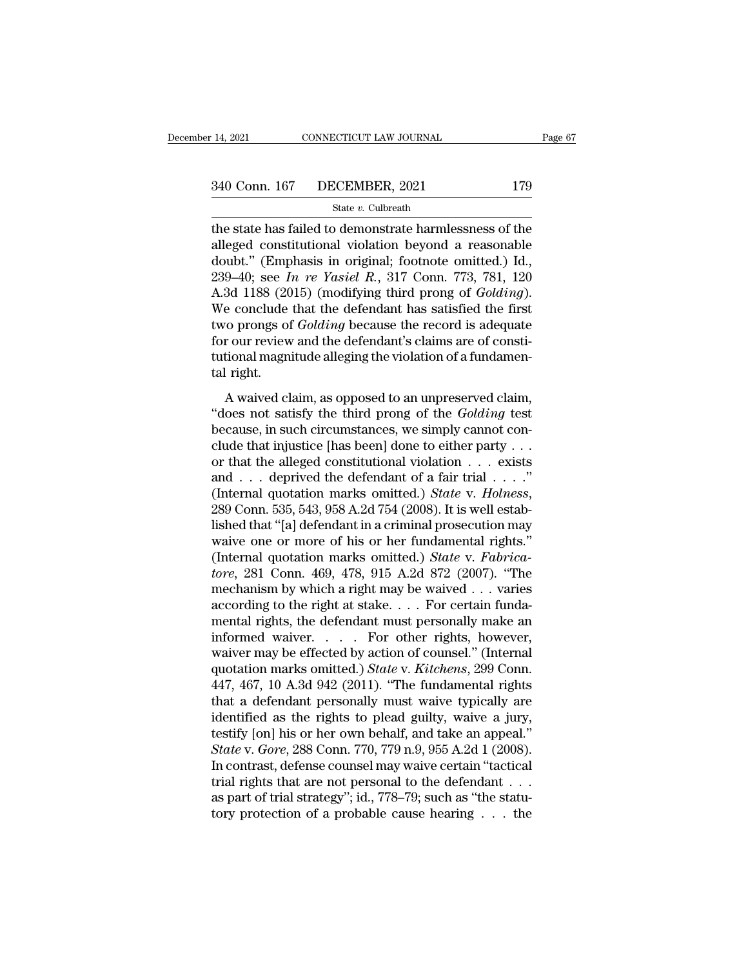The state has failed to demonstrate harmlessness of the<br>alleged constitutional violation beyond a reasonable<br>doubt." (Emphasis in crisinal: footnote emitted) Identify<br>doubt." (Emphasis in crisinal: footnote emitted) Identi 340 Conn. 167 DECEMBER, 2021 179<br>
State v. Culbreath<br>
the state has failed to demonstrate harmlessness of the<br>
alleged constitutional violation beyond a reasonable<br>
doubt." (Emphasis in original; footnote omitted.) Id.,<br> 340 Conn. 167 DECEMBER, 2021 179<br>
State v. Culbreath<br>
the state has failed to demonstrate harmlessness of the<br>
alleged constitutional violation beyond a reasonable<br>
doubt." (Emphasis in original; footnote omitted.) Id.,<br> 240 Conn. 167 DECEMBER, 2021 179<br>
<sup>2340</sup> State *v*. Culbreath<br>
2340 Conn. 167 State *v*. Culbreath<br>
2341 Connectional violation beyond a reasonable<br>
239–40; Emphasis in original; footnote omitted.) Id.,<br>
239–40; see *In re* State v. Culbreath<br>
The state has failed to demonstrate harmlessness of the<br>
alleged constitutional violation beyond a reasonable<br>
doubt." (Emphasis in original; footnote omitted.) Id.,<br>
239–40; see *In re Yasiel R.*, 317 State v. Cubreath<br>the state has failed to demonstrate harmlessness of the<br>alleged constitutional violation beyond a reasonable<br>doubt." (Emphasis in original; footnote omitted.) Id.,<br>239–40; see *In re Yasiel R.*, 317 Conn the state has failed to demonstrate harmlessness of the alleged constitutional violation beyond a reasonable doubt." (Emphasis in original; footnote omitted.) Id., 239–40; see *In re Yasiel R.*, 317 Conn. 773, 781, 120 A.3 alleged constitutional violation beyond a reasonable<br>doubt." (Emphasis in original; footnote omitted.) Id.,<br>239–40; see *In re Yasiel R.*, 317 Conn. 773, 781, 120<br>A.3d 1188 (2015) (modifying third prong of *Golding*).<br>We c doubt." (Emphasis in original; footnote omitted.) Id., 239–40; see *In re Yasiel R.*, 317 Conn. 773, 781, 120 A.3d 1188 (2015) (modifying third prong of *Golding*). We conclude that the defendant has satisfied the first t  $239-40$ ; see  $I$ <br>A.3d 1188 (20<br>We conclude<br>two prongs of<br>for our review<br>tutional magn<br>tal right.<br>A waived cl But the defendant has satisfied the first<br>conclude that the defendant has satisfied the first<br>ro prongs of *Golding* because the record is adequate<br>r our review and the defendant's claims are of consti-<br>tional magnitude a two prongs of *Golding* because the record is adequate<br>for our review and the defendant's claims are of consti-<br>tutional magnitude alleging the violation of a fundamen-<br>tal right.<br>A waived claim, as opposed to an unpreserv

because on the defendant's claims are of constitutional magnitude alleging the violation of a fundamental right.<br>A waived claim, as opposed to an unpreserved claim, "does not satisfy the third prong of the *Golding* test for our review and the detendant is elast<br>tutional magnitude alleging the violation of a fundamental right.<br>A waived claim, as opposed to an unpreserved claim,<br>"does not satisfy the third prong of the *Golding* test<br>becau full right.<br>
A waived claim, as opposed to an unpreserved claim,<br>
"does not satisfy the third prong of the *Golding* test<br>
because, in such circumstances, we simply cannot con-<br>
clude that injustice [has been] done to eit A waived claim, as opposed to an unpreserved claim,<br>
"does not satisfy the third prong of the *Golding* test<br>
because, in such circumstances, we simply cannot con-<br>
clude that injustice [has been] done to either party . . A waived claim, as opposed to an unpreserved claim,<br>
"does not satisfy the third prong of the *Golding* test<br>
because, in such circumstances, we simply cannot con-<br>
clude that injustice [has been] done to either party . . because, in such circumstances, we simply cannot conclude that injustice [has been] done to either party . . . or or that the alleged constitutional violation . . . exists and . . . deprived the defendant of a fair trial clude that injustice [has been] done to either party . . .<br>or that the alleged constitutional violation . . . exists<br>and . . . deprived the defendant of a fair trial . . . ."<br>(Internal quotation marks omitted.) *State* v. or that the alleged constitutional violation . . . exists<br>and . . . deprived the defendant of a fair trial . . . ."<br>(Internal quotation marks omitted.) *State* v. *Holness*,<br>289 Conn. 535, 543, 958 A.2d 754 (2008). It is w and . . . deprived the defendant of a fair trial . . . ."<br>
(Internal quotation marks omitted.) *State v. Holness*,<br>
289 Conn. 535, 543, 958 A.2d 754 (2008). It is well estab-<br>
lished that "[a] defendant in a criminal prose (Internal quotation marks omitted.) *State v. Holness*, 289 Conn. 535, 543, 958 A.2d 754 (2008). It is well established that "[a] defendant in a criminal prosecution may waive one or more of his or her fundamental rights. 289 Conn. 535, 543, 958 A.2d 754 (2008). It is well established that "[a] defendant in a criminal prosecution may waive one or more of his or her fundamental rights."<br>(Internal quotation marks omitted.) *State* v. *Fabric* lished that "[a] defendant in a criminal prosecution may<br>waive one or more of his or her fundamental rights."<br>(Internal quotation marks omitted.) *State* v. *Fabrica-<br>tore*, 281 Conn. 469, 478, 915 A.2d 872 (2007). "The<br>m waive one or more of his or her fundamental rights."<br>(Internal quotation marks omitted.) *State v. Fabrica-*<br>*tore*, 281 Conn. 469, 478, 915 A.2d 872 (2007). "The<br>mechanism by which a right may be waived . . . varies<br>acco (Internal quotation marks omitted.) *State v. Fabricatore,* 281 Conn. 469, 478, 915 A.2d 872 (2007). "The mechanism by which a right may be waived . . . varies according to the right at stake. . . . For certain fundamenta tore, 281 Conn. 469, 478, 915 A.2d 872 (2007). "The<br>mechanism by which a right may be waived . . . varies<br>according to the right at stake. . . . For certain funda-<br>mental rights, the defendant must personally make an<br>infor mechanism by which a right may be waived . . . varies<br>according to the right at stake. . . . For certain funda-<br>mental rights, the defendant must personally make an<br>informed waiver. . . . . For other rights, however,<br>waiv according to the right at stake. . . . For certain fundamental rights, the defendant must personally make an informed waiver. . . . . For other rights, however, waiver may be effected by action of counsel." (Internal quot mental rights, the defendant must personally make an informed waiver. . . . . For other rights, however, waiver may be effected by action of counsel." (Internal quotation marks omitted.) *State* v. *Kitchens*, 299 Conn. 4 informed waiver. . . . . For other rights, however,<br>waiver may be effected by action of counsel." (Internal<br>quotation marks omitted.) *State* v. *Kitchens*, 299 Conn.<br>447, 467, 10 A.3d 942 (2011). "The fundamental rights<br> waiver may be effected by action of counsel." (Internal<br>quotation marks omitted.) *State* v. *Kitchens*, 299 Conn.<br>447, 467, 10 A.3d 942 (2011). "The fundamental rights<br>that a defendant personally must waive typically are<br> quotation marks omitted.) *State* v. *Kitchens*, 299 Conn.<br>447, 467, 10 A.3d 942 (2011). "The fundamental rights<br>that a defendant personally must waive typically are<br>identified as the rights to plead guilty, waive a jury, 447, 467, 10 A.3d 942 (2011). "The fundamental rights<br>that a defendant personally must waive typically are<br>identified as the rights to plead guilty, waive a jury,<br>testify [on] his or her own behalf, and take an appeal."<br> that a defendant personally must waive typically are<br>identified as the rights to plead guilty, waive a jury,<br>testify [on] his or her own behalf, and take an appeal."<br>State v. Gore, 288 Conn. 770, 779 n.9, 955 A.2d 1 (2008 identified as the rights to plead guilty, waive a jury,<br>testify [on] his or her own behalf, and take an appeal."<br>State v. Gore, 288 Conn. 770, 779 n.9, 955 A.2d 1 (2008).<br>In contrast, defense counsel may waive certain "tac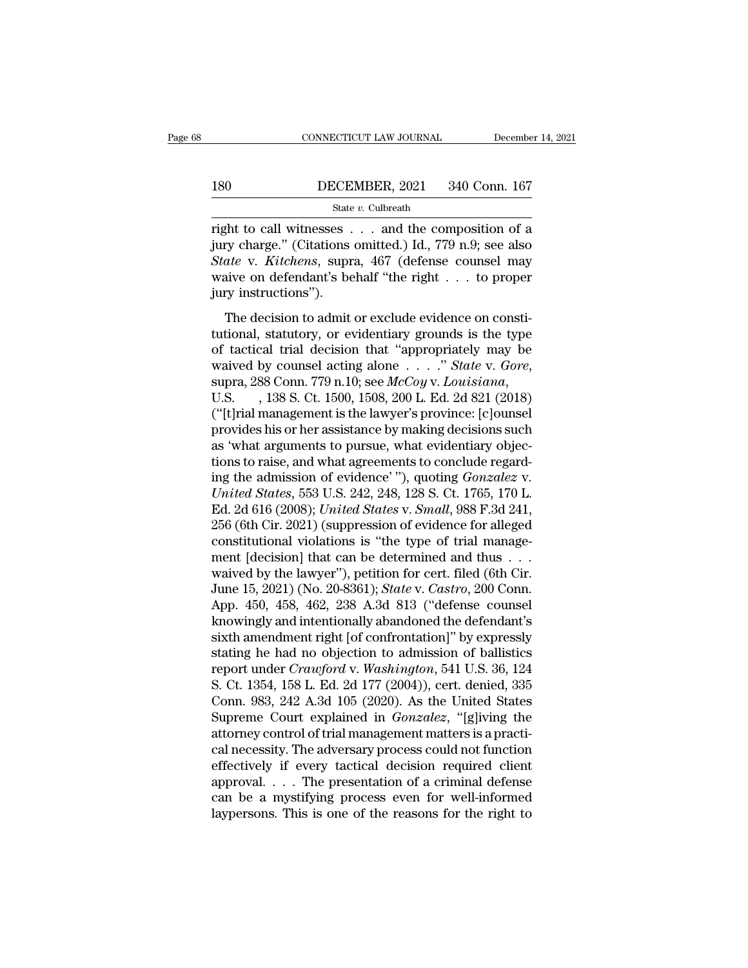# CONNECTICUT LAW JOURNAL December 14, 2021<br>180 DECEMBER, 2021 340 Conn. 167<br>180 State v. Culbreath

### State *v.* Culbreath

CONNECTICUT LAW JOURNAL December 14, 2021<br>
180 DECEMBER, 2021 340 Conn. 167<br>
State v. Culbreath<br>
Tight to call witnesses . . . and the composition of a<br>
jury charge." (Citations omitted.) Id., 779 n.9; see also<br>
State v. K 180 DECEMBER, 2021 340 Conn. 167<br>
State v. Culbreath<br>
right to call witnesses . . . and the composition of a<br>
jury charge." (Citations omitted.) Id., 779 n.9; see also<br>
State v. Kitchens, supra, 467 (defense counsel may<br> **State v. Culbreath**<br>
State v. Culbreath<br>
State v. Culbreath<br> **State v. Culbreath**<br> **State v. Citations omitted.** Id., 779 n.9; see also<br>
State v. Kitchens, supra, 467 (defense counsel may<br>
waive on defendant's behalf "the DECEMBER, 2021 340 Conn. 167<br>
State v. Culbreath<br>
right to call witnesses . . . and the composition of a<br>
jury charge." (Citations omitted.) Id., 779 n.9; see also<br>
State v. Kitchens, supra, 467 (defense counsel may<br>
waive State<br>
right to call witnesses<br>
jury charge." (Citations<br> *State* v. *Kitchens*, supr<br>
waive on defendant's be<br>
jury instructions").<br>
The decision to admit Figure 1.1 Sphere and the composition of a<br>ty charge." (Citations omitted.) Id., 779 n.9; see also<br>ate v. Kitchens, supra, 467 (defense counsel may<br>aive on defendant's behalf "the right  $\dots$  to proper<br>ty instructions").<br>T the column vector of a simple of the type of textilents, suppressed by the type of textilents, suppressed by the type of textilential, statutory, or evidentiary grounds is the type of tactical trial decision that "appropr

State v. Kitchens, supra, 467 (defense counsel may<br>waive on defendant's behalf "the right . . . to proper<br>jury instructions").<br>The decision to admit or exclude evidence on consti-<br>tutional, statutory, or evidentiary groun waive on defendant's behalf "the right . . . to proper<br>jury instructions").<br>The decision to admit or exclude evidence on consti-<br>tutional, statutory, or evidentiary grounds is the type<br>of tactical trial decision that "appr The decision to admit or exclude evidence on constitutional, statutory, or evidentiary grounds is the type<br>of tactical trial decision that "appropriately may be<br>waived by counsel acting alone  $\ldots$ ." *State* v. *Gore*,<br>su tutional, statutory, or evidentiary grounds is the type<br>of tactical trial decision that "appropriately may be<br>waived by counsel acting alone  $\ldots$ ." *State* v. *Gore*,<br>supra, 288 Conn. 779 n.10; see *McCoy* v. *Louisiana* of tactical trial decision that "appropriately may be<br>waived by counsel acting alone . . . . " State v. Gore,<br>supra, 288 Conn. 779 n.10; see  $McCoy$  v. Louisiana,<br>U.S. , 138 S. Ct. 1500, 1508, 200 L. Ed. 2d 821 (2018)<br>("[t] waived by counsel acting alone  $\ldots$  " State v. Gore,<br>supra, 288 Conn. 779 n.10; see McCoy v. Louisiana,<br>U.S. , 138 S. Ct. 1500, 1508, 200 L. Ed. 2d 821 (2018)<br>("[t]rial management is the lawyer's province: [c]ounsel<br>prov supra, 288 Conn. 779 n.10; see *McCoy v. Louisiana*,<br>U.S. , 138 S. Ct. 1500, 1508, 200 L. Ed. 2d 821 (2018)<br>("[t]rial management is the lawyer's province: [c]ounsel<br>provides his or her assistance by making decisions such<br>a U.S. , 138 S. Ct. 1500, 1508, 200 L. Ed. 2d 821 (2018)<br>("[t]rial management is the lawyer's province: [c]ounsel<br>provides his or her assistance by making decisions such<br>as 'what arguments to pursue, what evidentiary objec-<br> ("[t]rial management is the lawyer's province: [c]ounsel<br>provides his or her assistance by making decisions such<br>as 'what arguments to pursue, what evidentiary objec-<br>tions to raise, and what agreements to conclude regardprovides his or her assistance by making decisions such<br>as 'what arguments to pursue, what evidentiary objec-<br>tions to raise, and what agreements to conclude regard-<br>ing the admission of evidence' ''), quoting *Gonzalez* v as 'what arguments to pursue, what evidentiary objections to raise, and what agreements to conclude regarding the admission of evidence' "), quoting *Gonzalez* v. *United States*, 553 U.S. 242, 248, 128 S. Ct. 1765, 170 L. tions to raise, and what agreements to conclude regarding the admission of evidence'"), quoting  $Gonzalez$  v.<br>
United States, 553 U.S. 242, 248, 128 S. Ct. 1765, 170 L.<br>
Ed. 2d 616 (2008); United States v. Small, 988 F.3d 241, ing the admission of evidence'''), quoting *Gonzalez* v.<br>
United States, 553 U.S. 242, 248, 128 S. Ct. 1765, 170 L.<br>
Ed. 2d 616 (2008); United States v. Small, 988 F.3d 241,<br>
256 (6th Cir. 2021) (suppression of evidence f United States, 553 U.S. 242, 248, 128 S. Ct. 1765, 170 L.<br>Ed. 2d 616 (2008); *United States v. Small*, 988 F.3d 241,<br>256 (6th Cir. 2021) (suppression of evidence for alleged<br>constitutional violations is "the type of trial Ed. 2d 616 (2008); *United States v. Small*, 988 F.3d 241, 256 (6th Cir. 2021) (suppression of evidence for alleged constitutional violations is "the type of trial management [decision] that can be determined and thus  $\dots$ 256 (6th Cir. 2021) (suppression of evidence for alleged<br>constitutional violations is "the type of trial manage-<br>ment [decision] that can be determined and thus  $\dots$ <br>waived by the lawyer"), petition for cert. filed (6th C constitutional violations is "the type of trial management [decision] that can be determined and thus . . . waived by the lawyer"), petition for cert. filed (6th Cir. June 15, 2021) (No. 20-8361); *State* v. *Castro*, 200 ment [decision] that can be determined and thus . . . waived by the lawyer"), petition for cert. filed (6th Cir.<br>June 15, 2021) (No. 20-8361); *State v. Castro*, 200 Conn.<br>App. 450, 458, 462, 238 A.3d 813 ("defense counse waived by the lawyer"), petition for cert. filed (6th Cir.<br>June 15, 2021) (No. 20-8361); *State* v. *Castro*, 200 Conn.<br>App. 450, 458, 462, 238 A.3d 813 ("defense counsel<br>knowingly and intentionally abandoned the defendant June 15, 2021) (No. 20-8361); *State* v. *Castro*, 200 Conn.<br>App. 450, 458, 462, 238 A.3d 813 ("defense counsel<br>knowingly and intentionally abandoned the defendant's<br>sixth amendment right [of confrontation]" by expressly<br>s App. 450, 458, 462, 238 A.3d 813 ("defense counsel<br>knowingly and intentionally abandoned the defendant's<br>sixth amendment right [of confrontation]" by expressly<br>stating he had no objection to admission of ballistics<br>report knowingly and intentionally abandoned the defendant's<br>sixth amendment right [of confrontation]" by expressly<br>stating he had no objection to admission of ballistics<br>report under *Crawford* v. Washington, 541 U.S. 36, 124<br>S. sixth amendment right [of confrontation]" by expressly<br>stating he had no objection to admission of ballistics<br>report under *Crawford* v. *Washington*, 541 U.S. 36, 124<br>S. Ct. 1354, 158 L. Ed. 2d 177 (2004)), cert. denied, stating he had no objection to admission of ballistics<br>report under *Crawford* v. Washington, 541 U.S. 36, 124<br>S. Ct. 1354, 158 L. Ed. 2d 177 (2004)), cert. denied, 335<br>Conn. 983, 242 A.3d 105 (2020). As the United States<br> report under *Crawford* v. Washington, 541 U.S. 36, 124<br>S. Ct. 1354, 158 L. Ed. 2d 177 (2004)), cert. denied, 335<br>Conn. 983, 242 A.3d 105 (2020). As the United States<br>Supreme Court explained in *Gonzalez*, "[g]iving the<br>a S. Ct. 1354, 158 L. Ed. 2d 177 (2004)), cert. denied, 335<br>Conn. 983, 242 A.3d 105 (2020). As the United States<br>Supreme Court explained in *Gonzalez*, "[g]iving the<br>attorney control of trial management matters is a practi-<br> Conn. 983, 242 A.3d 105 (2020). As the United States<br>Supreme Court explained in  $Gonzalez$ , "[g]iving the<br>attorney control of trial management matters is a practi-<br>cal necessity. The adversary process could not function<br>effect Supreme Court explained in  $Gonzalez$ , "[g]iving the attorney control of trial management matters is a practical necessity. The adversary process could not function effectively if every tactical decision required client approv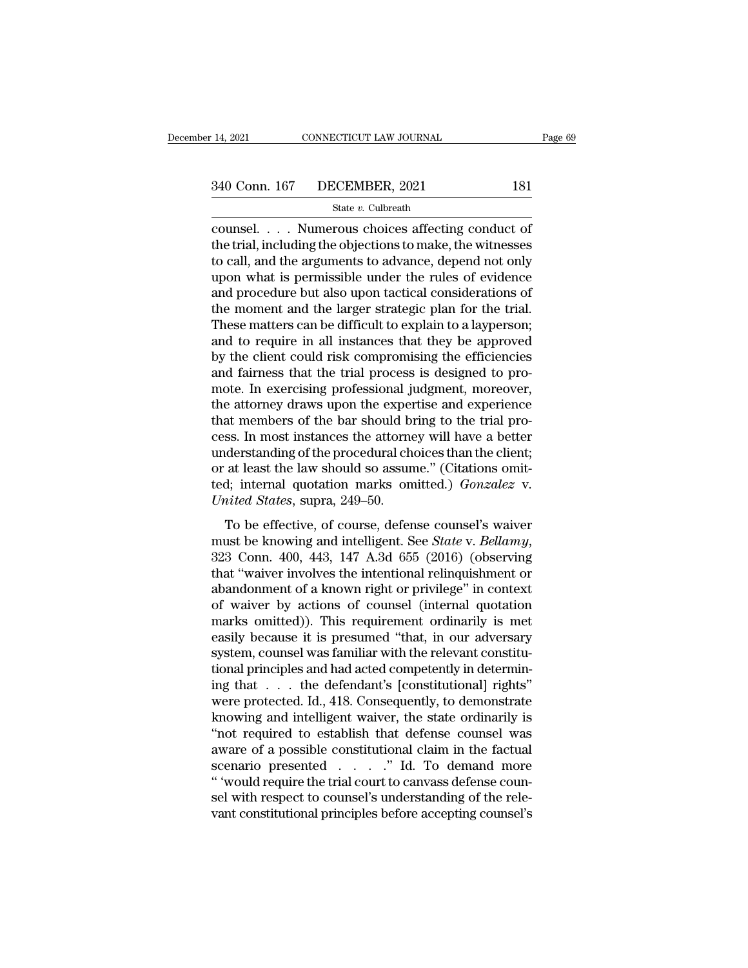Example 2021 CONNECTICUT LAW JOURNAL Page 6!<br>
340 Conn. 167 DECEMBER, 2021 181<br>
State v. Culbreath<br>
counsel.... Numerous choices affecting conduct of<br>
the trial, including the objections to make, the witnesses<br>
to call and 340 Conn. 167 DECEMBER, 2021 181<br>
State v. Culbreath<br>
counsel. . . . Numerous choices affecting conduct of<br>
the trial, including the objections to make, the witnesses<br>
to call, and the arguments to advance, depend not onl 340 Conn. 167 DECEMBER, 2021 181<br>
State v. Culbreath<br>
counsel.... Numerous choices affecting conduct of<br>
the trial, including the objections to make, the witnesses<br>
to call, and the arguments to advance, depend not only<br> 340 Conn. 167 DECEMBER, 2021 181<br>
State v. Culbreath<br>
counsel. . . . Numerous choices affecting conduct of<br>
the trial, including the objections to make, the witnesses<br>
to call, and the arguments to advance, depend not onl  $\begin{array}{l} \text{State } v. \text{ Cubirath} \\ \text{course. } \end{array}$   $\begin{array}{l} \text{State } v. \text{ Cubirath} \\ \text{course. } \end{array}$   $\begin{array}{l} \text{course.} \\ \text{the trial, including the objections to make, the witnesses} \\ \text{to call, and the arguments to advance, depend not only} \\ \text{upon what is permissible under the rules of evidence} \\ \text{and procedure but also upon tactical considerations of} \\ \text{the moment and the larger strategic plan for the trial.} \\ \text{These matters can be difficult to explain to a lumorson:} \end{array}$ state v. Cubreath<br>
counsel.... Numerous choices affecting conduct of<br>
the trial, including the objections to make, the witnesses<br>
to call, and the arguments to advance, depend not only<br>
upon what is permissible under the counsel. . . . Numerous choices affecting conduct of<br>the trial, including the objections to make, the witnesses<br>to call, and the arguments to advance, depend not only<br>upon what is permissible under the rules of evidence<br>an the trial, including the objections to make, the witnesses<br>to call, and the arguments to advance, depend not only<br>upon what is permissible under the rules of evidence<br>and procedure but also upon tactical considerations of<br> to call, and the arguments to advance, depend not only<br>upon what is permissible under the rules of evidence<br>and procedure but also upon tactical considerations of<br>the moment and the larger strategic plan for the trial.<br>The upon what is permissible under the rules of evidence<br>and procedure but also upon tactical considerations of<br>the moment and the larger strategic plan for the trial.<br>These matters can be difficult to explain to a layperson;<br> and procedure but also upon tactical considerations of<br>the moment and the larger strategic plan for the trial.<br>These matters can be difficult to explain to a layperson;<br>and to require in all instances that they be approved the moment and the larger strategic plan for the trial.<br>These matters can be difficult to explain to a layperson;<br>and to require in all instances that they be approved<br>by the client could risk compromising the efficiencies These matters can be difficult to explain to a layperson;<br>and to require in all instances that they be approved<br>by the client could risk compromising the efficiencies<br>and fairness that the trial process is designed to proand to require in all instances that they be approved<br>by the client could risk compromising the efficiencies<br>and fairness that the trial process is designed to pro-<br>mote. In exercising professional judgment, moreover,<br>the by the client could risk compromising the efficiencies<br>and fairness that the trial process is designed to pro-<br>mote. In exercising professional judgment, moreover,<br>the attorney draws upon the expertise and experience<br>that and fairness that the trial process is designed to pro-<br>mote. In exercising professional judgment, moreover,<br>the attorney draws upon the expertise and experience<br>that members of the bar should bring to the trial pro-<br>cess mote. In exercising professional judgment, moreover,<br>the attorney draws upon the expertise and experience<br>that members of the bar should bring to the trial pro-<br>cess. In most instances the attorney will have a better<br>under the attorney draws upon the experthat members of the bar should bi<br>cess. In most instances the attorne<br>understanding of the procedural ch<br>or at least the law should so assun<br>ted; internal quotation marks on<br>*United States* So the set of the set of single of the dial proses.<br>
In most instances the attorney will have a better<br>
derstanding of the procedural choices than the client;<br>
at least the law should so assume." (Citations omit-<br>
d; inte

eass. In most modulates are adorney win nave a setter<br>understanding of the procedural choices than the client;<br>or at least the law should so assume." (Citations omit-<br>ted; internal quotation marks omitted.) *Gonzalez* v.<br> ted; internal quotation marks omitted.) *Gonzalez* v.<br>
United States, supra, 249–50.<br>
To be effective, of course, defense counsel's waiver<br>
must be knowing and intelligent. See State v. Bellamy,<br>
323 Conn. 400, 443, 147 A. United States, supra, 249–50.<br>
To be effective, of course, defense counsel's waiver<br>
must be knowing and intelligent. See *State v. Bellamy*,<br>
323 Conn. 400, 443, 147 A.3d 655 (2016) (observing<br>
that "waiver involves the To be effective, of course, defense counsel's waiver<br>must be knowing and intelligent. See *State* v. *Bellamy*,<br>323 Conn. 400, 443, 147 A.3d 655 (2016) (observing<br>that "waiver involves the intentional relinquishment or<br>ab To be effective, of course, defense counsel's waiver<br>must be knowing and intelligent. See *State* v. *Bellamy*,<br>323 Conn. 400, 443, 147 A.3d 655 (2016) (observing<br>that "waiver involves the intentional relinquishment or<br>aba must be knowing and intelligent. See *State* v. *Bellamy*,<br>323 Conn. 400, 443, 147 A.3d 655 (2016) (observing<br>that "waiver involves the intentional relinquishment or<br>abandonment of a known right or privilege" in context<br>of 323 Conn. 400, 443, 147 A.3d 655 (2016) (observing<br>that "waiver involves the intentional relinquishment or<br>abandonment of a known right or privilege" in context<br>of waiver by actions of counsel (internal quotation<br>marks omi that "waiver involves the intentional relinquishment or<br>abandonment of a known right or privilege" in context<br>of waiver by actions of counsel (internal quotation<br>marks omitted)). This requirement ordinarily is met<br>easily b abandonment of a known right or privilege" in context<br>of waiver by actions of counsel (internal quotation<br>marks omitted)). This requirement ordinarily is met<br>easily because it is presumed "that, in our adversary<br>system, co of waiver by actions of counsel (internal quotation<br>marks omitted)). This requirement ordinarily is met<br>easily because it is presumed "that, in our adversary<br>system, counsel was familiar with the relevant constitu-<br>tional marks omitted)). This requirement ordinarily is met<br>easily because it is presumed "that, in our adversary<br>system, counsel was familiar with the relevant constitu-<br>tional principles and had acted competently in determin-<br>in easily because it is presumed "that, in our adversary<br>system, counsel was familiar with the relevant constitu-<br>tional principles and had acted competently in determin-<br>ing that  $\dots$  the defendant's [constitutional] rights system, counsel was familiar with the relevant constitutional principles and had acted competently in determining that . . . the defendant's [constitutional] rights" were protected. Id., 418. Consequently, to demonstrate k tional principles and had acted competently in determining that  $\dots$  the defendant's [constitutional] rights"<br>were protected. Id., 418. Consequently, to demonstrate<br>knowing and intelligent waiver, the state ordinarily is<br> ing that . . . the defendant's [constitutional] rights"<br>were protected. Id., 418. Consequently, to demonstrate<br>knowing and intelligent waiver, the state ordinarily is<br>"not required to establish that defense counsel was<br>awa were protected. Id., 418. Consequently, to demonstrate<br>knowing and intelligent waiver, the state ordinarily is<br>"not required to establish that defense counsel was<br>aware of a possible constitutional claim in the factual<br>sce knowing and intelligent waiver, the state ordinarily is<br>
"not required to establish that defense counsel was<br>
aware of a possible constitutional claim in the factual<br>
scenario presented  $\ldots$ ." Id. To demand more<br>
"would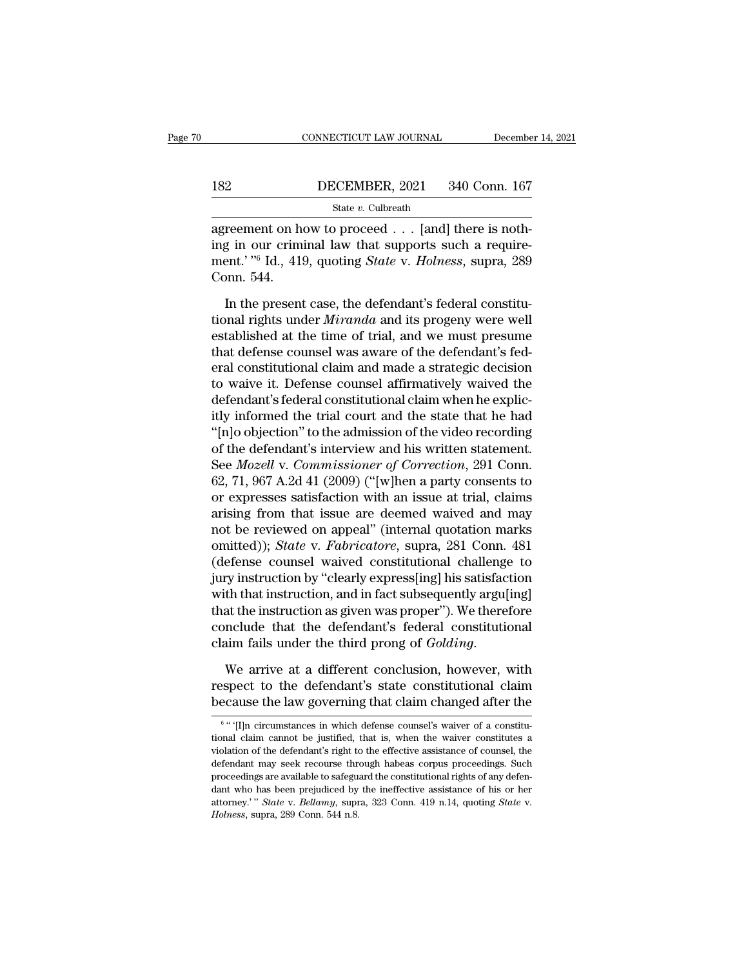# EXECUTE CONNECTICUT LAW JOURNAL December 14, 2021<br>182 DECEMBER, 2021 340 Conn. 167<br>182 State v. Culbreath

State *v.* Culbreath

CONNECTICUT LAW JOURNAL December<br>182 DECEMBER, 2021 340 Conn. 167<br>3tate v. Culbreath<br>agreement on how to proceed . . . [and] there is noth-<br>ing in our criminal law that supports such a require-<br>ment, <sup>206</sup> Id. 410 sucting **ince 182 ISBN DECEMBER, 2021** 340 Conn. 167<br>
State v. Culbreath<br> **agreement on how to proceed** . . . [and] there is noth-<br>
ing in our criminal law that supports such a require-<br>
ment.' <sup>76</sup> Id., 419, quoting *State v. H* 182 DECEMBER, 2021 340 Conn. 167<br>
State v. Culbreath<br>
agreement on how to proceed . . . [and] there is noth-<br>
ing in our criminal law that supports such a require-<br>
ment.' <sup>76</sup> Id., 419, quoting *State* v. *Holness*, supra 182<br>
<br>
agreement on h<br>
ing in our crim<br>
ment.' "<sup>6</sup> Id., 419<br>
Conn. 544.<br>
In the present State v. Culbreath<br>
In the present case, the defendant's such a require-<br>
In the present case, the defendant's federal constitu-<br>
In the present case, the defendant's federal constitu-<br>
In the present case, the defendant' agreement on how to proceed . . . [and] there is nothing in our criminal law that supports such a requirement.' "<sup>6</sup> Id., 419, quoting *State* v. *Holness*, supra, 289 Conn. 544.<br>In the present case, the defendant's federa

ing in our criminal law that supports such a requirement.' "<sup>6</sup> Id., 419, quoting *State* v. *Holness*, supra, 289 Conn. 544.<br>In the present case, the defendant's federal constitutional rights under *Miranda* and its prog ment.' "<sup>6</sup> Id., 419, quoting *State* v. *Holness*, supra, 289<br>Conn. 544.<br>In the present case, the defendant's federal constitu-<br>tional rights under *Miranda* and its progeny were well<br>established at the time of trial, and Conn. 544.<br>
In the present case, the defendant's federal constitu-<br>
tional rights under *Miranda* and its progeny were well<br>
established at the time of trial, and we must presume<br>
that defense counsel was aware of the def In the present case, the defendant's federal constitutional rights under *Miranda* and its progeny were well established at the time of trial, and we must presume that defense counsel was aware of the defendant's federal c In the present case, the defendant's federal constitutional rights under *Miranda* and its progeny were well established at the time of trial, and we must presume that defense counsel was aware of the defendant's federal c tional rights under *Miranda* and its progeny were well<br>established at the time of trial, and we must presume<br>that defense counsel was aware of the defendant's fed-<br>eral constitutional claim and made a strategic decision<br>t established at the time of trial, and we must presume<br>that defense counsel was aware of the defendant's fed-<br>eral constitutional claim and made a strategic decision<br>to waive it. Defense counsel affirmatively waived the<br>def that defense counsel was aware of the defendant's federal constitutional claim and made a strategic decision<br>to waive it. Defense counsel affirmatively waived the<br>defendant's federal constitutional claim when he explic-<br>i eral constitutional claim and made a strategic decision<br>to waive it. Defense counsel affirmatively waived the<br>defendant's federal constitutional claim when he explic-<br>itly informed the trial court and the state that he had to waive it. Defense counsel affirmatively waived the<br>defendant's federal constitutional claim when he explic-<br>itly informed the trial court and the state that he had<br>"[n]o objection" to the admission of the video recordin defendant's federal constitutional claim when he explicitly informed the trial court and the state that he had<br>"[n]o objection" to the admission of the video recording<br>of the defendant's interview and his written statement itly informed the trial court and the state that he had<br>
"[n]o objection" to the admission of the video recording<br>
of the defendant's interview and his written statement.<br>
See *Mozell* v. *Commissioner of Correction*, 291 "[n]o objection" to the admission of the video recording<br>of the defendant's interview and his written statement.<br>See *Mozell* v. *Commissioner of Correction*, 291 Conn.<br>62, 71, 967 A.2d 41 (2009) ("[w]hen a party consents of the defendant's interview and his written statement.<br>See *Mozell v. Commissioner of Correction*, 291 Conn.<br>62, 71, 967 A.2d 41 (2009) ("[w]hen a party consents to<br>or expresses satisfaction with an issue at trial, claims See *Mozell v. Commissioner of Correction*, 291 Conn.<br>62, 71, 967 A.2d 41 (2009) ("[w]hen a party consents to<br>or expresses satisfaction with an issue at trial, claims<br>arising from that issue are deemed waived and may<br>not b 62, 71, 967 A.2d 41 (2009) ("[w]hen a party consents to<br>or expresses satisfaction with an issue at trial, claims<br>arising from that issue are deemed waived and may<br>not be reviewed on appeal" (internal quotation marks<br>omitt or expresses satisfaction with an issue at trial, claims<br>arising from that issue are deemed waived and may<br>not be reviewed on appeal" (internal quotation marks<br>omitted)); *State* v. *Fabricatore*, supra, 281 Conn. 481<br>(def arising from that issue are deemed waived and may<br>not be reviewed on appeal" (internal quotation marks<br>omitted)); *State* v. *Fabricatore*, supra, 281 Conn. 481<br>(defense counsel waived constitutional challenge to<br>jury inst not be reviewed on appeal" (internal quotation marks<br>omitted)); *State* v. *Fabricatore*, supra, 281 Conn. 481<br>(defense counsel waived constitutional challenge to<br>jury instruction by "clearly express[ing] his satisfaction omitted)); *State* v. *Fabricatore*, supra, 281 Conn. 481 (defense counsel waived constitutional challenge to jury instruction by "clearly express[ing] his satisfaction with that instruction, and in fact subsequently argu[ with that instruction, and in fact subsequently argu[ing]<br>that the instruction as given was proper"). We therefore<br>conclude that the defendant's federal constitutional<br>claim fails under the third prong of *Golding*.<br>We arr that the instruction as given was proper"). We therefore<br>conclude that the defendant's federal constitutional<br>claim fails under the third prong of *Golding*.<br>We arrive at a different conclusion, however, with<br>respect to t

We arrive at a different conclusion, however, with<br>spect to the defendant's state constitutional claim<br>cause the law governing that claim changed after the<br>"'[I]n circumstances in which defense counsel's waiver of a consti We arrive at a different conclusion, however, with<br>respect to the defendant's state constitutional claim<br>because the law governing that claim changed after the<br> $\frac{6}{1}$ <br> $\frac{6}{1}$  (I]n circumstances in which defense couns

<sup>6 &</sup>lt;sup>6</sup> fHn respect to the defendant's state constitutional claim<br>because the law governing that claim changed after the<br> $\frac{6}{10}$   $\frac{6}{10}$   $\frac{1}{10}$  circumstances in which defense counsel's waiver of a constitu-<br>tional claim can because the law governing that claim changed after the  $\frac{1}{6}$   $\frac{1}{6}$   $\frac{1}{10}$  circumstances in which defense counsel's waiver of a constitutional claim cannot be justified, that is, when the waiver constitutes a v because the law governing that claim changed after the<br>
<sup>6</sup> " [I]n circumstances in which defense counsel's waiver of a constitu-<br>
tional claim cannot be justified, that is, when the waiver constitutes a<br>
violation of the <sup>6</sup> " (I]n circumstances in which defense counsel's waiver of a constitutional claim cannot be justified, that is, when the waiver constitutes a violation of the defendant's right to the effective assistance of counsel, t <sup>1</sup> <sup>1</sup> <sup>1</sup> *Chair cannot be justified, that is, when the waiver constitutes a violation of the defendant's right to the effective assistance of counsel, the defendant may seek recourse through habeas corpus proceedings. S*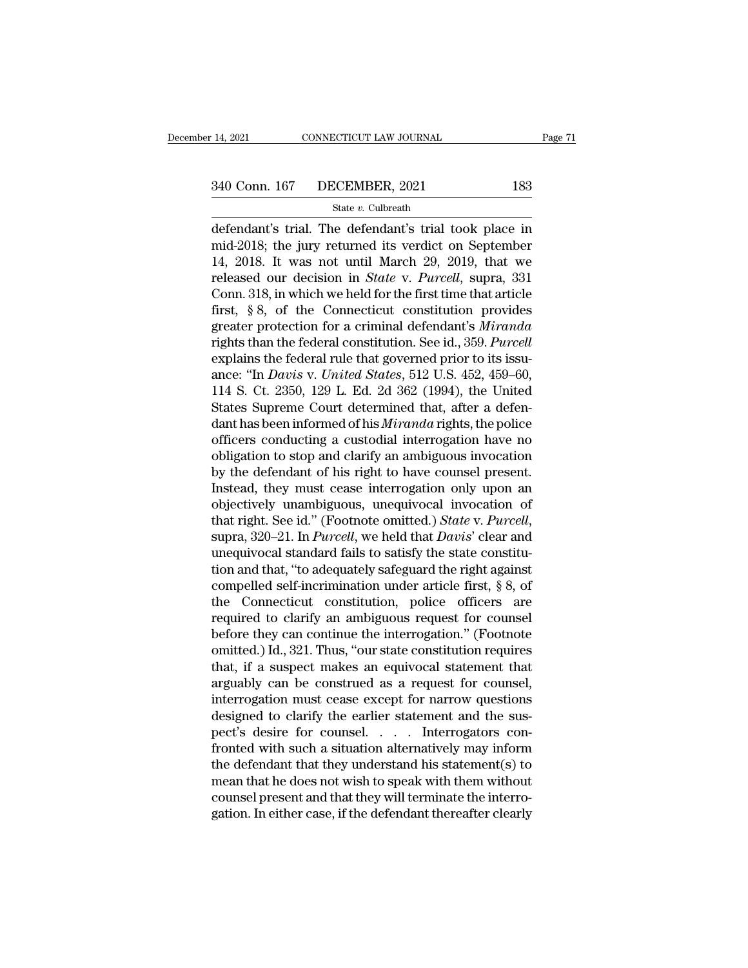14, 2021 CONNECTICUT LAW JOURNAL Page 71<br>
340 Conn. 167 DECEMBER, 2021 183<br>
State v. Culbreath<br>
defendant's trial. The defendant's trial took place in<br>
mid-2018; the jury returned its verdict on September<br>
14, 2018. It was 340 Conn. 167 DECEMBER, 2021 183<br>
State v. Culbreath<br>
defendant's trial. The defendant's trial took place in<br>
mid-2018; the jury returned its verdict on September<br>
14, 2018. It was not until March 29, 2019, that we<br>
relea 340 Conn. 167 DECEMBER, 2021 183<br>
State v. Culbreath<br>
defendant's trial. The defendant's trial took place in<br>
mid-2018; the jury returned its verdict on September<br>
14, 2018. It was not until March 29, 2019, that we<br>
relea Freliga of State v. Culbreath<br>
State v. Culbreath<br>
defendant's trial. The defendant's trial took place in<br>
mid-2018; the jury returned its verdict on September<br>
14, 2018. It was not until March 29, 2019, that we<br>
released State v. Culbreath<br>
defendant's trial. The defendant's trial took place in<br>
mid-2018; the jury returned its verdict on September<br>
14, 2018. It was not until March 29, 2019, that we<br>
released our decision in *State* v. *Pu* state v. cubreath<br>defendant's trial. The defendant's trial took place in<br>mid-2018; the jury returned its verdict on September<br>14, 2018. It was not until March 29, 2019, that we<br>released our decision in *State* v. *Purcell* defendant's trial. The defendant's trial took place in<br>mid-2018; the jury returned its verdict on September<br>14, 2018. It was not until March 29, 2019, that we<br>released our decision in *State* v. *Purcell*, supra, 331<br>Conn. mid-2018; the jury returned its verdict on September<br>14, 2018. It was not until March 29, 2019, that we<br>released our decision in *State* v. *Purcell*, supra, 331<br>Conn. 318, in which we held for the first time that article<br> 14, 2018. It was not until March 29, 2019, that we released our decision in *State* v. *Purcell*, supra, 331 Conn. 318, in which we held for the first time that article first, § 8, of the Connecticut constitution provides released our decision in *State* v. *Purcell*, supra, 331<br>Conn. 318, in which we held for the first time that article<br>first, § 8, of the Connecticut constitution provides<br>greater protection for a criminal defendant's *Mira* Conn. 318, in which we held for the first time that article<br>first, § 8, of the Connecticut constitution provides<br>greater protection for a criminal defendant's *Miranda*<br>rights than the federal constitution. See id., 359. first, § 8, of the Connecticut constitution provides<br>greater protection for a criminal defendant's *Miranda*<br>rights than the federal constitution. See id., 359. *Purcell*<br>explains the federal rule that governed prior to i greater protection for a criminal defendant's *Miranda*<br>rights than the federal constitution. See id., 359. *Purcell*<br>explains the federal rule that governed prior to its issu-<br>ance: "In *Davis v. United States*, 512 U.S. rights than the federal constitution. See id., 359. *Purcell*<br>explains the federal rule that governed prior to its issu-<br>ance: "In *Davis v. United States*, 512 U.S. 452, 459–60,<br>114 S. Ct. 2350, 129 L. Ed. 2d 362 (1994), explains the federal rule that governed prior to its issu-<br>ance: "In *Davis v. United States*, 512 U.S. 452, 459–60,<br>114 S. Ct. 2350, 129 L. Ed. 2d 362 (1994), the United<br>States Supreme Court determined that, after a defen ance: "In *Davis v. United States*, 512 U.S. 452, 459–60,<br>114 S. Ct. 2350, 129 L. Ed. 2d 362 (1994), the United<br>States Supreme Court determined that, after a defen-<br>dant has been informed of his *Miranda* rights, the polic 114 S. Ct. 2350, 129 L. Ed. 2d 362 (1994), the United<br>States Supreme Court determined that, after a defen-<br>dant has been informed of his *Miranda* rights, the police<br>officers conducting a custodial interrogation have no<br>o States Supreme Court determined that, after a defendant has been informed of his *Miranda* rights, the police officers conducting a custodial interrogation have no obligation to stop and clarify an ambiguous invocation by dant has been informed of his *Miranda* rights, the police<br>officers conducting a custodial interrogation have no<br>obligation to stop and clarify an ambiguous invocation<br>by the defendant of his right to have counsel present. obligation to stop and clarify an ambiguous invocation<br>by the defendant of his right to have counsel present.<br>Instead, they must cease interrogation only upon an<br>objectively unambiguous, unequivocal invocation of<br>that rig by the defendant of his right to have counsel present.<br>Instead, they must cease interrogation only upon an<br>objectively unambiguous, unequivocal invocation of<br>that right. See id." (Footnote omitted.) *State* v. *Purcell*,<br> Instead, they must cease interrogation only upon an objectively unambiguous, unequivocal invocation of that right. See id." (Footnote omitted.) *State* v. *Purcell*, supra, 320–21. In *Purcell*, we held that *Davis*' clea objectively unambiguous, unequivocal invocation of<br>that right. See id." (Footnote omitted.) *State* v. *Purcell*,<br>supra, 320–21. In *Purcell*, we held that *Davis*' clear and<br>unequivocal standard fails to satisfy the state that right. See id." (Footnote omitted.) *State* v. *Purcell*, supra, 320–21. In *Purcell*, we held that *Davis*' clear and unequivocal standard fails to satisfy the state constitution and that, "to adequately safeguard t supra, 320–21. In *Purcell*, we held that *Davis*' clear and<br>unequivocal standard fails to satisfy the state constitu-<br>tion and that, "to adequately safeguard the right against<br>compelled self-incrimination under article fi unequivocal standard fails to satisfy the state constitution and that, "to adequately safeguard the right against<br>compelled self-incrimination under article first, § 8, of<br>the Connecticut constitution, police officers are<br> tion and that, "to adequately safeguard the right against<br>compelled self-incrimination under article first, § 8, of<br>the Connecticut constitution, police officers are<br>required to clarify an ambiguous request for counsel<br>bef compelled self-incrimination under article first, § 8, of<br>the Connecticut constitution, police officers are<br>required to clarify an ambiguous request for counsel<br>before they can continue the interrogation." (Footnote<br>omitte the Connecticut constitution, police officers are<br>required to clarify an ambiguous request for counsel<br>before they can continue the interrogation." (Footnote<br>omitted.) Id., 321. Thus, "our state constitution requires<br>that, required to clarify an ambiguous request for counsel<br>before they can continue the interrogation." (Footnote<br>omitted.) Id., 321. Thus, "our state constitution requires<br>that, if a suspect makes an equivocal statement that<br>ar before they can continue the interrogation." (Footnote omitted.) Id., 321. Thus, "our state constitution requires that, if a suspect makes an equivocal statement that arguably can be construed as a request for counsel, int omitted.) Id., 321. Thus, "our state constitution requires<br>that, if a suspect makes an equivocal statement that<br>arguably can be construed as a request for counsel,<br>interrogation must cease except for narrow questions<br>desig that, if a suspect makes an equivocal statement that<br>arguably can be construed as a request for counsel,<br>interrogation must cease except for narrow questions<br>designed to clarify the earlier statement and the sus-<br>pect's de arguably can be construed as a request for counsel,<br>interrogation must cease except for narrow questions<br>designed to clarify the earlier statement and the sus-<br>pect's desire for counsel.....Interrogators con-<br>fronted with interrogation must cease except for narrow questions<br>designed to clarify the earlier statement and the sus-<br>pect's desire for counsel. . . . . Interrogators con-<br>fronted with such a situation alternatively may inform<br>the d designed to clarify the earlier statement and the sus-<br>pect's desire for counsel. . . . . Interrogators con-<br>fronted with such a situation alternatively may inform<br>the defendant that they understand his statement(s) to<br>mea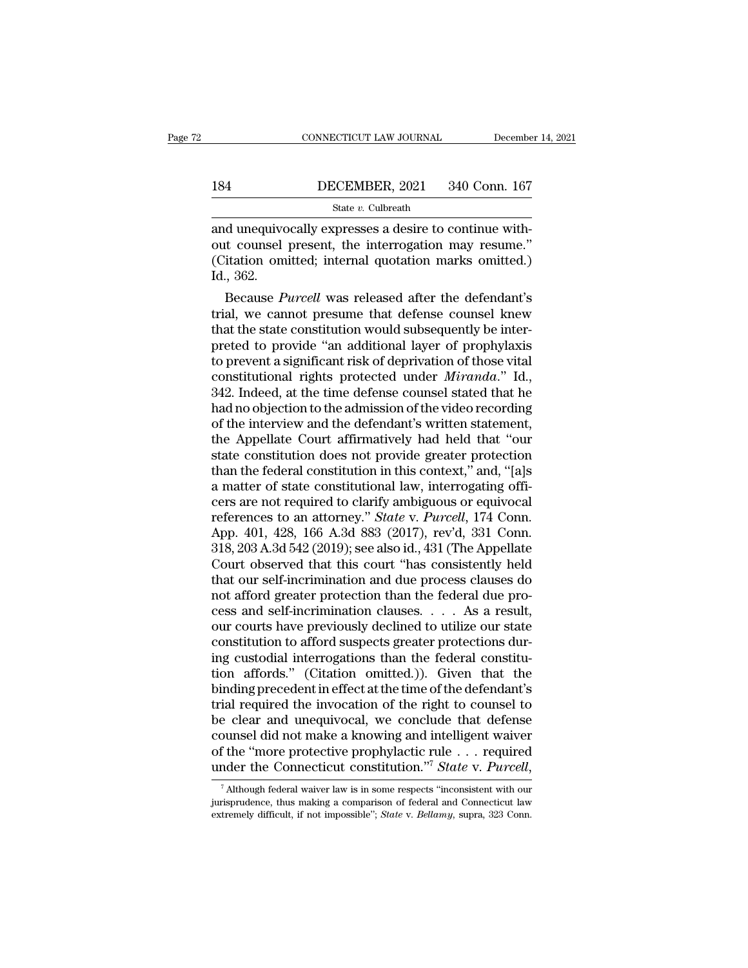# CONNECTICUT LAW JOURNAL December 14, 2021<br>184 DECEMBER, 2021 340 Conn. 167<br>184 State v. Culbreath

State *v.* Culbreath

CONNECTICUT LAW JOURNAL December<br>184 DECEMBER, 2021 340 Conn. 167<br>3tate v. Culbreath<br>and unequivocally expresses a desire to continue with-<br>out counsel present, the interrogation may resume." **OUTERE 1848**<br>
OUTER 2021 340 Conn. 167<br>
State v. Culbreath<br>
and unequivocally expresses a desire to continue with-<br>
out counsel present, the interrogation may resume.''<br>
(Citation omitted; internal quotation marks omitted (Citation omitted; internal quotation marks omitted.)<br>
184 State v. Culbreath<br>
28 State v. Culbreath<br>
28 State v. Culbreath<br>
28 Octation counsel present, the interrogation may resume."<br>
28 Citation omitted; internal quota 184<br>
and unequive<br>
out counsel<br>
(Citation om<br>
Id., 362.<br>
Because P State  $v$ . Culbreath<br>
d unequivocally expresses a desire to continue with-<br>
it counsel present, the interrogation may resume."<br>
itation omitted; internal quotation marks omitted.)<br>
., 362.<br>
Because *Purcell* was released and unequivocally expresses a desire to continue with-<br>
out counsel present, the interrogation may resume."<br>
(Citation omitted; internal quotation marks omitted.)<br>
Id., 362.<br>
Because *Purcell* was released after the defend

and unequivocally expresses a desire to continue without counsel present, the interrogation may resume."<br>(Citation omitted; internal quotation marks omitted.)<br>Id., 362.<br>Because *Purcell* was released after the defendant's<br> out counser present, the interrogation may resume.<br>(Citation omitted; internal quotation marks omitted.)<br>Id., 362.<br>Because *Purcell* was released after the defendant's<br>trial, we cannot presume that defense counsel knew<br>tha (Citation omitted; internal quotation marks omitted.)<br>Id., 362.<br>Because *Purcell* was released after the defendant's<br>trial, we cannot presume that defense counsel knew<br>that the state constitution would subsequently be int 1d., 302.<br>Because *Purcell* was released after the defendant's<br>trial, we cannot presume that defense counsel knew<br>that the state constitution would subsequently be inter-<br>preted to provide "an additional layer of prophylax Because *Purcell* was released after the defendant's<br>trial, we cannot presume that defense counsel knew<br>that the state constitution would subsequently be inter-<br>preted to provide "an additional layer of prophylaxis<br>to prev trial, we cannot presume that defense counsel knew<br>that the state constitution would subsequently be inter-<br>preted to provide "an additional layer of prophylaxis<br>to prevent a significant risk of deprivation of those vital<br> that the state constitution would subsequently be inter-<br>preted to provide "an additional layer of prophylaxis<br>to prevent a significant risk of deprivation of those vital<br>constitutional rights protected under *Miranda*." I preted to provide "an additional layer of prophylaxis<br>to prevent a significant risk of deprivation of those vital<br>constitutional rights protected under *Miranda.*" Id.,<br>342. Indeed, at the time defense counsel stated that to prevent a significant risk of deprivation of those vital<br>constitutional rights protected under *Miranda*." Id.,<br>342. Indeed, at the time defense counsel stated that he<br>had no objection to the admission of the video reco constitutional rights protected under *Miranda*." Id., 342. Indeed, at the time defense counsel stated that he had no objection to the admission of the video recording of the interview and the defendant's written statement 342. Indeed, at the time defense counsel stated that he<br>had no objection to the admission of the video recording<br>of the interview and the defendant's written statement,<br>the Appellate Court affirmatively had held that "our had no objection to the admission of the video recording<br>of the interview and the defendant's written statement,<br>the Appellate Court affirmatively had held that "our<br>state constitution does not provide greater protection<br> of the interview and the defendant's written statement,<br>the Appellate Court affirmatively had held that "our<br>state constitution does not provide greater protection<br>than the federal constitution in this context," and, "[a]s the Appellate Court affirmatively had held that "our<br>state constitution does not provide greater protection<br>than the federal constitution in this context," and, "[a]s<br>a matter of state constitutional law, interrogating off state constitution does not provide greater protection<br>than the federal constitution in this context," and, "[a]s<br>a matter of state constitutional law, interrogating offi-<br>cers are not required to clarify ambiguous or equi than the federal constitution in this context," and, "[a]s<br>a matter of state constitutional law, interrogating offi-<br>cers are not required to clarify ambiguous or equivocal<br>references to an attorney." *State* v. *Purcell*, a matter of state constitutional law, interrogating officers are not required to clarify ambiguous or equivocal<br>references to an attorney." *State* v. *Purcell*, 174 Conn.<br>App. 401, 428, 166 A.3d 883 (2017), rev'd, 331 Con cers are not required to clarify ambiguous or equivocal<br>references to an attorney." *State* v. *Purcell*, 174 Conn.<br>App. 401, 428, 166 A.3d 883 (2017), rev'd, 331 Conn.<br>318, 203 A.3d 542 (2019); see also id., 431 (The App references to an attorney." *State* v. *Purcell*, 174 Conn.<br>App. 401, 428, 166 A.3d 883 (2017), rev'd, 331 Conn.<br>318, 203 A.3d 542 (2019); see also id., 431 (The Appellate<br>Court observed that this court "has consistently h App. 401, 428, 166 A.3d 883 (2017), rev'd, 331 Conn.<br>318, 203 A.3d 542 (2019); see also id., 431 (The Appellate<br>Court observed that this court "has consistently held<br>that our self-incrimination and due process clauses do<br>n 318, 203 A.3d 542 (2019); see also id., 431 (The Appellate Court observed that this court "has consistently held that our self-incrimination and due process clauses do not afford greater protection than the federal due pr Court observed that this court "has consistently held<br>that our self-incrimination and due process clauses do<br>not afford greater protection than the federal due pro-<br>cess and self-incrimination clauses.  $\ldots$  As a result,<br> that our self-incrimination and due process clauses do<br>not afford greater protection than the federal due process and self-incrimination clauses. . . . As a result,<br>our courts have previously declined to utilize our state<br> not afford greater protection than the federal due process and self-incrimination clauses.  $\ldots$  As a result,<br>our courts have previously declined to utilize our state<br>constitution to afford suspects greater protections du cess and self-incrimination clauses. . . . As a result,<br>our courts have previously declined to utilize our state<br>constitution to afford suspects greater protections dur-<br>ing custodial interrogations than the federal consti our courts have previously declined to utilize our state<br>constitution to afford suspects greater protections dur-<br>ing custodial interrogations than the federal constitu-<br>tion affords." (Citation omitted.)). Given that the<br> constitution to afford suspects greater protections during custodial interrogations than the federal constitu-<br>tion affords." (Citation omitted.)). Given that the<br>binding precedent in effect at the time of the defendant's ing custodial interrogations than the federal constitution affords." (Citation omitted.)). Given that the binding precedent in effect at the time of the defendant's trial required the invocation of the right to counsel to tion affords." (Citation omitted.)). Given that the binding precedent in effect at the time of the defendant's trial required the invocation of the right to counsel to be clear and unequivocal, we conclude that defense co e clear and unequivocal, we conclude that defense<br>bumsel did not make a knowing and intelligent waiver<br>f the "more protective prophylactic rule . . . required<br>nder the Connecticut constitution."<sup>7</sup> State v. Purcell,<br><sup>7</sup> A counsel did not make a knowing and intelligent waiver<br>of the "more protective prophylactic rule . . . required<br>under the Connecticut constitution."<sup>7</sup> State v. Purcell,<br><sup>7</sup> Although federal waiver law is in some respects

of the "more protective prophylactic rule . . . required<br>under the Connecticut constitution."<sup>7</sup> *State* v. *Purcell*,<br><sup>7</sup> Although federal waiver law is in some respects "inconsistent with our<br>jurisprudence, thus making a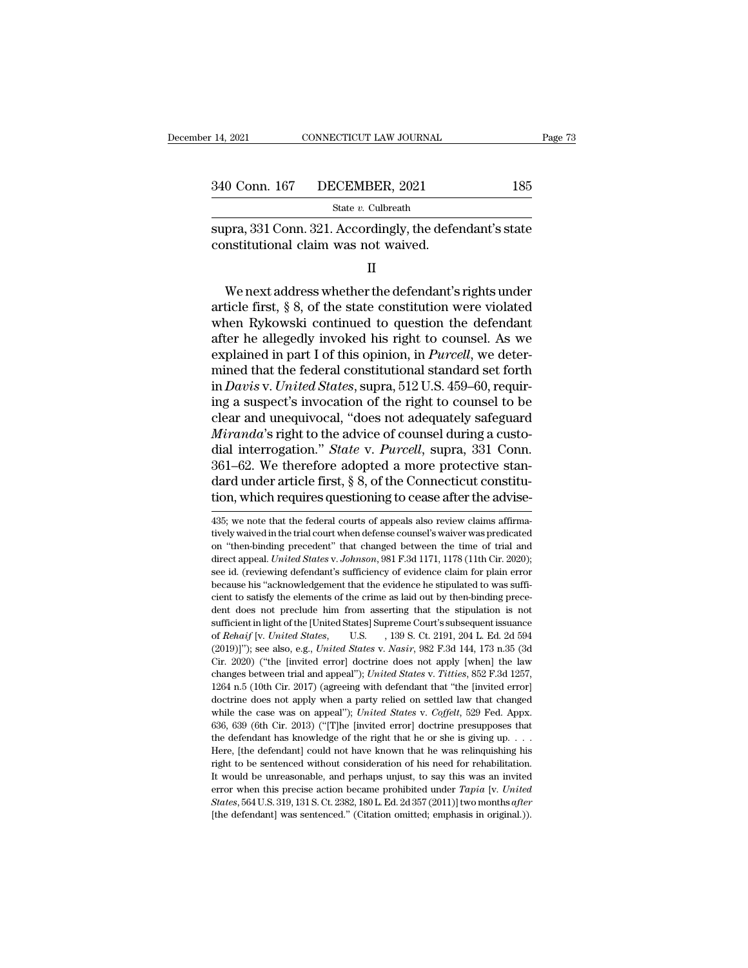| 14, 2021 | CONNECTICUT LAW JOURNAL      |     | Page 73 |
|----------|------------------------------|-----|---------|
|          |                              |     |         |
|          | 340 Conn. 167 DECEMBER, 2021 | 185 |         |
|          | State v. Culbreath           |     |         |

supra, 331 Conn. 321. Accordingly, the defendant's state<br>
supra, 331 Conn. 321. Accordingly, the defendant's state<br>
constitutional claim was not waived. 340 Conn. 167 DECEMBER, 2021<br>
State v. Culbreath<br>
supra, 331 Conn. 321. Accordingly, the defe<br>
constitutional claim was not waived.<br>
II

II

SECRIMBRIN, 2021<br>
State v. Culbreath<br>
pra, 331 Conn. 321. Accordingly, the defendant's state<br>
mstitutional claim was not waived.<br>
II<br>
We next address whether the defendant's rights under<br>
ticle first, § 8, of the state co State v. Culbreath<br>
supra, 331 Conn. 321. Accordingly, the defendant's state<br>
constitutional claim was not waived.<br>
II<br>
We next address whether the defendant's rights under<br>
article first, § 8, of the state constitution w supra, 331 Conn. 321. Accordingly, the defendant's state<br>constitutional claim was not waived.<br>II<br>We next address whether the defendant's rights under<br>article first, § 8, of the state constitution were violated<br>when Rykowsk constitutional claim was not waived.<br>
II<br>
We next address whether the defendant's rights under<br>
article first, § 8, of the state constitution were violated<br>
when Rykowski continued to question the defendant<br>
after he alle II<br>We next address whether the defendant's rights under<br>article first, § 8, of the state constitution were violated<br>when Rykowski continued to question the defendant<br>after he allegedly invoked his right to counsel. As we<br>e We next address whether the defendant's rights under<br>article first, § 8, of the state constitution were violated<br>when Rykowski continued to question the defendant<br>after he allegedly invoked his right to counsel. As we<br>exp We next address whether the defendant's rights under<br>article first, § 8, of the state constitution were violated<br>when Rykowski continued to question the defendant<br>after he allegedly invoked his right to counsel. As we<br>expl article first, § 8, of the state constitution were violated<br>when Rykowski continued to question the defendant<br>after he allegedly invoked his right to counsel. As we<br>explained in part I of this opinion, in *Purcell*, we det when Rykowski continued to question the defendant<br>after he allegedly invoked his right to counsel. As we<br>explained in part I of this opinion, in *Purcell*, we deter-<br>mined that the federal constitutional standard set forth after he allegedly invoked his right to counsel. As we explained in part I of this opinion, in *Purcell*, we determined that the federal constitutional standard set forth in *Davis v. United States*, supra, 512 U.S. 459–60 explained in part I of this opinion, in *Purcell*, we deter-<br>mined that the federal constitutional standard set forth<br>in *Davis* v. *United States*, supra, 512 U.S. 459–60, requir-<br>ing a suspect's invocation of the right t mined that the federal constitutional standard set forth<br>in *Davis* v. *United States*, supra, 512 U.S. 459–60, requir-<br>ing a suspect's invocation of the right to counsel to be<br>clear and unequivocal, "does not adequately s in *Davis* v. United States, supra, 512 U.S. 459–60, requiring a suspect's invocation of the right to counsel to be clear and unequivocal, "does not adequately safeguard *Miranda*'s right to the advice of counsel during a ing a suspect's invocation of the right to counsel to be clear and unequivocal, "does not adequately safeguard *Miranda*'s right to the advice of counsel during a custodial interrogation." *State* v. *Purcell*, supra, 331 dial interrogation." State v. Purcell, supra, 331 Conn.<br>361–62. We therefore adopted a more protective standard under article first, § 8, of the Connecticut constitu-<br>tion, which requires questioning to cease after the ad 361–62. We therefore adopted a more protective stan-<br>dard under article first, § 8, of the Connecticut constitu-<br>tion, which requires questioning to cease after the advise-<br> $\frac{435}{235}$ , we note that the federal courts o

dard under article first, § 8, of the Connecticut constitu-<br>tion, which requires questioning to cease after the advise-<br> $435$ ; we note that the federal courts of appeals also review claims affirma-<br>tively waived in the tr diana direct affect ansiet and states in the contributed solution<br>is the advise-<br>435; we note that the federal courts of appeals also review claims affirma-<br>tively waived in the trial court when defense coursel's waiver wa see id. (reviewing defendant's sufficiency of evidence claim for plain error because it is "acknowledgement" that changed between the time of trial and direct appeal. United States v. Johnson, 981 F.3d 1171, 1178 (11th Cir 435; we note that the federal courts of appeals also review claims affirmatively waived in the trial court when defense counsel's waiver was predicated on "then-binding precedent" that changed between the time of trial an tively waived in the trial court when defense counsel's waiver was predicated<br>on "then-binding precedent" that changed between the time of trial and<br>direct appeal. *United States* v. *Johnson*, 981 F.3d 1171, 1178 (11th Ci on "then-binding precedent" that changed between the time of trial and direct appeal. *United States v. Johnson*, 981 F.3d 1171, 1178 (11th Cir. 2020); see id. (reviewing defendant's sufficiency of evidence claim for plain of external United States we understand in 178 (11th Cir. 2020);<br>direct appeal. United States v. Johnson, 981 F.3d 1171, 1178 (11th Cir. 2020);<br>see id. (reviewing defendant's sufficiency of evidence claim for plain error<br>b see id. (reviewing defendant's sufficiency of evidence claim for plain error<br>because his "acknowledgement that the evidence he stipulated to was suffi-<br>cient to satisfy the elements of the crime as laid out by then-binding because his "acknowledgement that the evidence he stipulated to was sufficient to satisfy the elements of the crime as laid out by then-binding precedent does not preclude him from asserting that the stipulation is not suf cient to satisfy the elements of the crime as laid out by then-binding prece-<br>cient to satisfy the elements of the crime as laid out by then-binding prece-<br>dent does not preclude him from asserting that the stipulation is changes between trial and appeal''); *United States* v. *Titlies*, 852 F.3d 1257, 1264 n.5 (10th Cir. 2017) (agreeing with defendant that "the [invited error] and appeal"); *United States* v. *Nasir*, 982 F.3d 144, 173 n.3 sufficient in light of the [United States] Supreme Court's subsequent issuance<br>of Rehaif [v. United States, U.S., 139 S. Ct. 2191, 204 L. Ed. 2d 594<br>(2019)]"); see also, e.g., United States v. Nasir, 982 F.3d 144, 173 n.35 of *Rehaif* [v. *United States*, U.S. (1998). 139 S. Ct. 2191, 204 L. Ed. 2d 594 (2019)]"); see also, e.g., *United States* v. *Nasir*, 982 F.3d 144, 173 n.35 (3d Cir. 2020) ("the [invited error] doctrine does not apply [w of 2019)]"); see also, e.g., *United States* v. *Nasir*, 982 F.3d 144, 173 n.35 (3d Cir. 2020) ("the [invited error] doctrine does not apply [when] the law changes between trial and appeal"); *United States* v. *Titties*, Cir. 2020) ("the [invited error] doctrine does not apply [when] the law<br>changes between trial and appeal"); *United States v. Titties*, 852 F.3d 1257,<br>1264 n.5 (10th Cir. 2017) (agreeing with defendant that "the [invited e changes between trial and appeal"); *United States* v. *Titties*, 852 F.3d 1257, 1264 n.5 (10th Cir. 2017) (agreeing with defendant that "the [invited error] doctrine does not apply when a party relied on settled law that 1264 n.5 (10th Cir. 2017) (agreeing with defendant that "the [invited error] doctrine does not apply when a party relied on settled law that changed while the case was on appeal"); *United States v. Coffelt*, 529 Fed. App right to be sentenced without consideration of his need for rehabilitation.<br>Hottine does not apply when a party relied on settled law that changed<br>while the case was on appeal"); United States v. Coffelt, 529 Fed. Appx.<br>63 while the case was on appeal"); *United States v. Coffelt*, 529 Fed. Appx.<br>636, 639 (6th Cir. 2013) ("[T]he [invited error] doctrine presupposes that<br>the defendant has knowledge of the right that he or she is giving up. . 636, 639 (6th Cir. 2013) ("[T]he [invited error] doctrine presupposes that the defendant has knowledge of the right that he or she is giving up. . . . Here, [the defendant] could not have known that he was relinquishing h 636, 639 (6th Cir. 2013) ("[T]he [invited error] doctrine presupposes that the defendant has knowledge of the right that he or she is giving up. . . . Here, [the defendant] could not have known that he was relinquishing h Here, [the defendant] could not have known that he was relinquishing his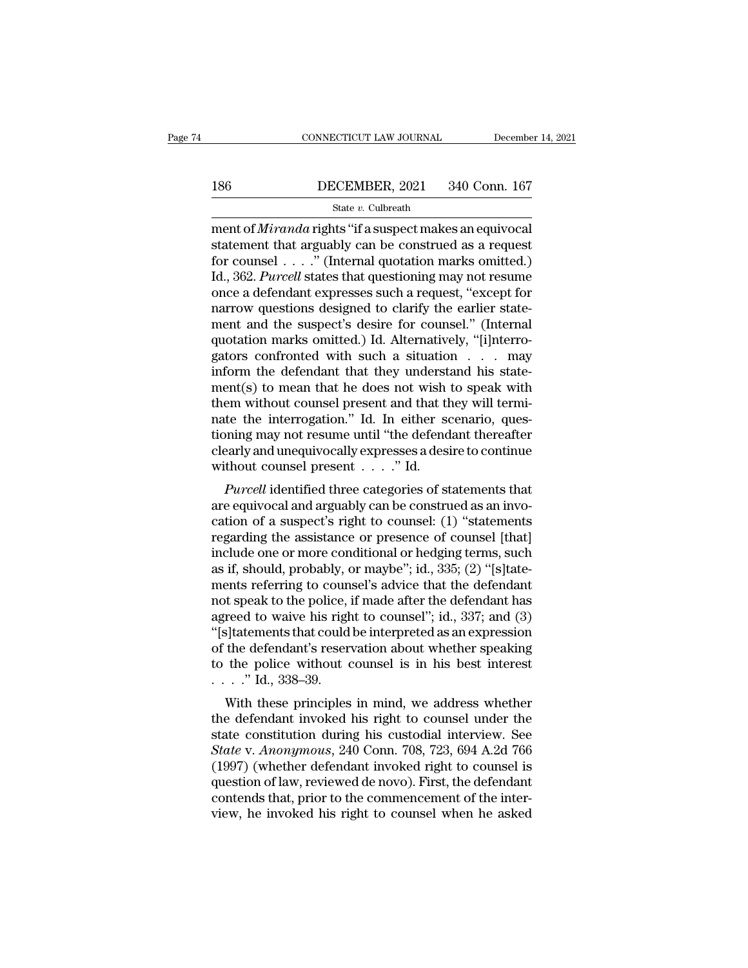# CONNECTICUT LAW JOURNAL December 14, 2021<br>186 DECEMBER, 2021 340 Conn. 167<br>18tate v. Culbreath

### State *v.* Culbreath

CONNECTICUT LAW JOURNAL December 14, 20<br>
186 DECEMBER, 2021 340 Conn. 167<br>
<sup>State v</sup>. Culbreath<br>
ment of *Miranda* rights "if a suspect makes an equivocal<br>
statement that arguably can be construed as a request<br>
for counsel 186 DECEMBER, 2021 340 Conn. 167<br>
State v. Culbreath<br>
ment of *Miranda* rights "if a suspect makes an equivocal<br>
statement that arguably can be construed as a request<br>
for counsel . . . . " (Internal quotation marks omitt for counsel . . . .'' (Internal quotation marks omitted.) IS6 DECEMBER, 2021 340 Conn. 167<br>
State v. Culbreath<br>
ment of *Miranda* rights "if a suspect makes an equivocal<br>
statement that arguably can be construed as a request<br>
for counsel . . . . ." (Internal quotation marks omitt SECRETE 2013 2021<br>
State v. Culbreath<br>
ment of *Miranda* rights "if a suspect makes an equivocal<br>
statement that arguably can be construed as a request<br>
for counsel . . . . " (Internal quotation marks omitted.)<br>
Id., 362. state v. Cubreath<br>
ment of *Miranda* rights "if a suspect makes an equivocal<br>
statement that arguably can be construed as a request<br>
for counsel  $\ldots$ ." (Internal quotation marks omitted.)<br>
Id., 362. *Purcell* states that ment of *Miranda* rights "if a suspect makes an equivocal<br>statement that arguably can be construed as a request<br>for counsel...." (Internal quotation marks omitted.)<br>Id., 362. *Purcell* states that questioning may not resu statement that arguably can be construed as a request<br>for counsel . . . . " (Internal quotation marks omitted.)<br>Id., 362. *Purcell* states that questioning may not resume<br>once a defendant expresses such a request, "except for counsel . . . ." (Internal quotation marks omitted.)<br>Id., 362. *Purcell* states that questioning may not resume<br>once a defendant expresses such a request, "except for<br>narrow questions designed to clarify the earlier s Id., 362. *Purcell* states that questioning may not resume<br>once a defendant expresses such a request, "except for<br>narrow questions designed to clarify the earlier state-<br>ment and the suspect's desire for counsel." (Intern once a defendant expresses such a request, "except for<br>narrow questions designed to clarify the earlier state-<br>ment and the suspect's desire for counsel." (Internal<br>quotation marks omitted.) Id. Alternatively, "[i]nterro-<br> narrow questions designed to clarify the earlier statement and the suspect's desire for counsel." (Internal quotation marks omitted.) Id. Alternatively, "[i]nterrogators confronted with such a situation . . . may inform th ment and the suspect's desire for counsel." (Internal quotation marks omitted.) Id. Alternatively, "[i]nterrogators confronted with such a situation . . . may inform the defendant that they understand his statement(s) to m quotation marks omitted.) Id. Alternatively, "[i]nterro-<br>gators confronted with such a situation  $\ldots$  may<br>inform the defendant that they understand his state-<br>ment(s) to mean that he does not wish to speak with<br>them with gators confronted with such a situation  $\ldots$  may<br>inform the defendant that they understand his state-<br>ment(s) to mean that he does not wish to speak with<br>them without counsel present and that they will termi-<br>nate the in inform the defendant that they underst<br>ment(s) to mean that he does not wish<br>them without counsel present and that th<br>nate the interrogation." Id. In either se<br>tioning may not resume until "the defend<br>clearly and unequivo Purcell identified three categories of statements and involved in the minimite the interrogation." Id. In either scenario, questing may not resume until "the defendant thereafter early and unequivocally expresses a desire mate the interrogation." Id. In either scenario, questioning may not resume until "the defendant thereafter<br>clearly and unequivocally expresses a desire to continue<br>without counsel present  $\dots$ ." Id.<br> $Purcell$  identified thre

rate the interrogation. Id: in entier scenario, questioning may not resume until "the defendant thereafter<br>clearly and unequivocally expresses a desire to continue<br>without counsel present  $\dots$ ." Id.<br> $Purcell$  identified three clearly and unequivocally expresses a desire to continue<br>without counsel present  $\dots$ ." Id.<br> $Purcell$  identified three categories of statements that<br>are equivocal and arguably can be construed as an invo-<br>cation of a suspect' clearly and unequivocally expresses a desire to continue<br>without counsel present  $\dots$ ." Id.<br>*Purcell* identified three categories of statements that<br>are equivocal and arguably can be construed as an invo-<br>cation of a susp matrix counser present  $\ldots$  and  $\ldots$  rate example and arguably can be construed as an invocation of a suspect's right to counsel: (1) "statements regarding the assistance or presence of counsel [that] include one or mor Purcell identified three categories of statements that<br>are equivocal and arguably can be construed as an invo-<br>cation of a suspect's right to counsel: (1) "statements<br>regarding the assistance or presence of counsel [that] are equivocal and arguably can be construed as an invo-<br>cation of a suspect's right to counsel: (1) "statements<br>regarding the assistance or presence of counsel [that]<br>include one or more conditional or hedging terms, such<br> cation of a suspect's right to counsel: (1) "statements<br>regarding the assistance or presence of counsel [that]<br>include one or more conditional or hedging terms, such<br>as if, should, probably, or maybe"; id., 335; (2) "[s]ta regarding the assistance or presence of counsel [that]<br>
include one or more conditional or hedging terms, such<br>
as if, should, probably, or maybe"; id., 335; (2) "[s]tate-<br>
ments referring to counsel's advice that the defe include one or more conditional or hedging terms, such<br>as if, should, probably, or maybe"; id., 335; (2) "[s]tate-<br>ments referring to counsel's advice that the defendant<br>not speak to the police, if made after the defendant as if, should, probably, or maybe"; id., 335; (2) "[s]tate-<br>ments referring to counsel's advice that the defendant<br>not speak to the police, if made after the defendant has<br>agreed to waive his right to counsel"; id., 337; ments referring to coun<br>not speak to the police, i<br>agreed to waive his righ<br>"[s]tatements that could<br>of the defendant's reser<br>to the police without  $\ldots$ ..." Id., 338–39.<br>With these principles where the use of the speak to the police, it induce a<br>the defendant in mind, 337; and (3)<br>s) share the defendant's reservation about whether speaking<br>the police without counsel is in his best interest<br> $\therefore$  Td., 338–39.<br>Wi defined to wave fils right to counser; i.e., 357, and (3)<br>
"[s]tatements that could be interpreted as an expression<br>
of the defendant's reservation about whether speaking<br>
to the police without counsel is in his best inte

Statements that could be interpreted as an expression<br>of the defendant's reservation about whether speaking<br>to the police without counsel is in his best interest<br> $\ldots$ ." Id., 338–39.<br>With these principles in mind, we addr of the police without counsel is in his best interest<br> *State* v. <sup>338–39</sup>.<br>
With these principles in mind, we address whether<br>
the defendant invoked his right to counsel under the<br>
state constitution during his custodial (1997) (where whilout counser is in his best interest<br>  $\ldots$   $\ddots$  Id., 338–39.<br>
With these principles in mind, we address whether<br>
the defendant invoked his right to counsel under the<br>
state constitution during his custo with these principles in mind, we address whether<br>the defendant invoked his right to counsel under the<br>state constitution during his custodial interview. See<br>*State* v. *Anonymous*, 240 Conn. 708, 723, 694 A.2d 766<br>(1997) With these principles in mind, we address whether<br>the defendant invoked his right to counsel under the<br>state constitution during his custodial interview. See<br>State v. Anonymous, 240 Conn. 708, 723, 694 A.2d 766<br>(1997) (wh the defendant invoked his right to counsel under the state constitution during his custodial interview. See State v. Anonymous, 240 Conn. 708, 723, 694 A.2d 766 (1997) (whether defendant invoked right to counsel is questio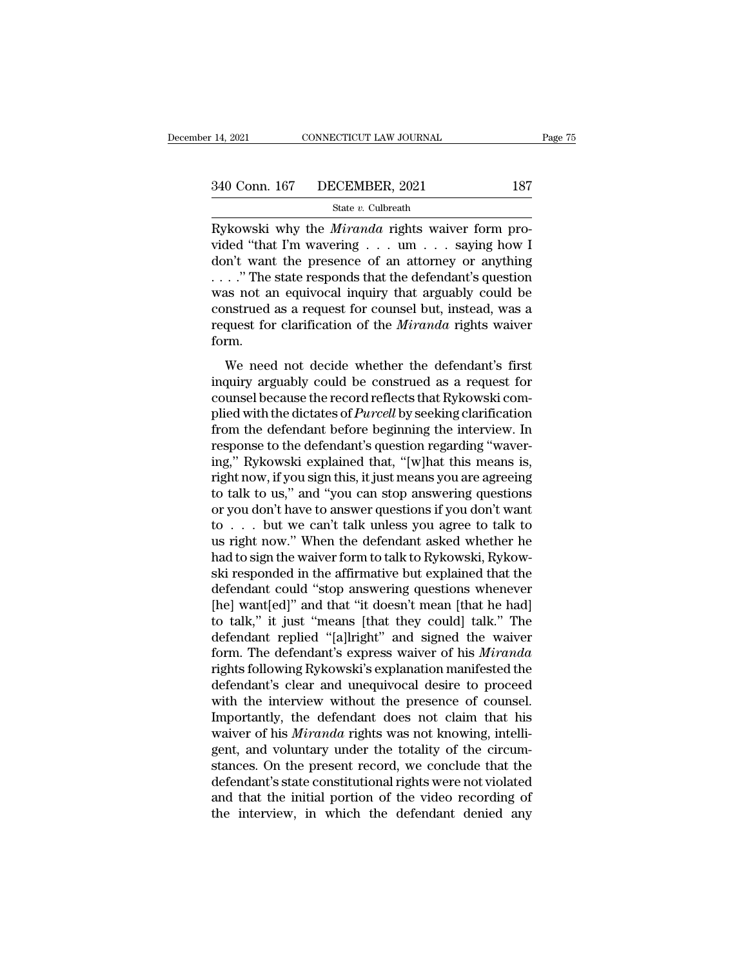State *v.* Culbreath

14, 2021 CONNECTICUT LAW JOURNAL<br>
240 Conn. 167 DECEMBER, 2021 187<br>
<sup>21</sup> State *v*. Culbreath<br>
Rykowski why the *Miranda* rights waiver form pro-<br>
2011 was viewed "that I'm wavering . . . um . . . saying how I 340 Conn. 167 DECEMBER, 2021 187<br>
State v. Culbreath<br>
Rykowski why the *Miranda* rights waiver form pro-<br>
vided "that I'm wavering . . . um . . . saying how I<br>
don't want the presence of an attorney or anything<br>
"The state 340 Conn. 167 DECEMBER, 2021 187<br>
State v. Culbreath<br>
Rykowski why the *Miranda* rights waiver form pro-<br>
vided "that I'm wavering . . . um . . . saying how I<br>
don't want the presence of an attorney or anything<br>
. . . ." 340 Conn. 167 DECEMBER, 2021 187<br>
State v. Culbreath<br>
Rykowski why the *Miranda* rights waiver form pro-<br>
vided "that I'm wavering . . . um . . . saying how I<br>
don't want the presence of an attorney or anything<br>
... ." Th State v. Culbreath<br>
Rykowski why the *Miranda* rights waiver form pro-<br>
vided "that I'm wavering . . . um . . . saying how I<br>
don't want the presence of an attorney or anything<br>
. . . ." The state responds that the defend State v. Cubreath<br>
Rykowski why the *Miranda* rights waiver form pro-<br>
vided "that I'm wavering . . . um . . . saying how I<br>
don't want the presence of an attorney or anything<br>
. . . ." The state responds that the defenda Rykowski why the *Miranda* rights waiver form pro-<br>vided "that I'm wavering . . . um . . . saying how I<br>don't want the presence of an attorney or anything<br>...." The state responds that the defendant's question<br>was not an form. which was the presence of an attorney of any antisem-<br>..." The state responds that the defendant's question<br>as not an equivocal inquiry that arguably could be<br>nstrued as a request for clarification of the *Miranda* rights was not an equivocal inquiry that arguably could be construed as a request for counsel but, instead, was a request for clarification of the *Miranda* rights waiver form.<br>We need not decide whether the defendant's first in

reconstrued as a requirectical inquiry and arguasty count be construed as a request for clarification of the *Miranda* rights waiver form.<br>We need not decide whether the defendant's first inquiry arguably could be construe plied with the dictates of *Purcell* by seeking clarification of the *Miranda* rights waiver<br>form.<br>We need not decide whether the defendant's first<br>inquiry arguably could be construed as a request for<br>counsel because the r Form.<br>
We need not decide whether the defendant's first<br>
inquiry arguably could be construed as a request for<br>
counsel because the record reflects that Rykowski com-<br>
plied with the dictates of *Purcell* by seeking clarifi We need not decide whether the defendant's first<br>inquiry arguably could be construed as a request for<br>counsel because the record reflects that Rykowski com-<br>plied with the dictates of *Purcell* by seeking clarification<br>fr We need not decide whether the defendant's first<br>inquiry arguably could be construed as a request for<br>counsel because the record reflects that Rykowski com-<br>plied with the dictates of *Purcell* by seeking clarification<br>fr inquiry arguably could be construed as a request for<br>counsel because the record reflects that Rykowski com-<br>plied with the dictates of *Purcell* by seeking clarification<br>from the defendant before beginning the interview. I counsel because the record reflects that Rykowski complied with the dictates of *Purcell* by seeking clarification<br>from the defendant before beginning the interview. In<br>response to the defendant's question regarding "waver plied with the dictates of *Purcell* by seeking clarification<br>from the defendant before beginning the interview. In<br>response to the defendant's question regarding "waver-<br>ing," Rykowski explained that, "[w]hat this means i from the defendant before beginning the interview. In<br>response to the defendant's question regarding "waver-<br>ing," Rykowski explained that, "[w]hat this means is,<br>right now, if you sign this, it just means you are agreein response to the defendant's question regarding "waver-<br>ing," Rykowski explained that, "[w]hat this means is,<br>right now, if you sign this, it just means you are agreeing<br>to talk to us," and "you can stop answering questions ing," Rykowski explained that, "[w]hat this means is, right now, if you sign this, it just means you are agreeing to talk to us," and "you can stop answering questions or you don't have to answer questions if you don't wa right now, if you sign this, it just means you are agreeing<br>to talk to us," and "you can stop answering questions<br>or you don't have to answer questions if you don't want<br>to . . . . but we can't talk unless you agree to tal to talk to us," and "you can stop answering questions<br>or you don't have to answer questions if you don't want<br>to . . . but we can't talk unless you agree to talk to<br>us right now." When the defendant asked whether he<br>had t or you don't have to answer questions if you don't want<br>to . . . but we can't talk unless you agree to talk to<br>us right now." When the defendant asked whether he<br>had to sign the waiver form to talk to Rykowski, Rykow-<br>ski to . . . but we can't talk unless you agree to talk to<br>us right now." When the defendant asked whether he<br>had to sign the waiver form to talk to Rykowski, Rykow-<br>ski responded in the affirmative but explained that the<br>def us right now." When the defendant asked whether he<br>had to sign the waiver form to talk to Rykowski, Rykow-<br>ski responded in the affirmative but explained that the<br>defendant could "stop answering questions whenever<br>[he] wan had to sign the waiver form to talk to Rykowski, Rykowski<br>ski responded in the affirmative but explained that the<br>defendant could "stop answering questions whenever<br>[he] want[ed]" and that "it doesn't mean [that he had]<br>to ski responded in the affirmative but explained that the<br>defendant could "stop answering questions whenever<br>[he] want[ed]" and that "it doesn't mean [that he had]<br>to talk," it just "means [that they could] talk." The<br>defend defendant could "stop answering questions whenever<br>
[he] want[ed]" and that "it doesn't mean [that he had]<br>
to talk," it just "means [that they could] talk." The<br>
defendant replied "[a]lright" and signed the waiver<br>
form. [he] want[ed]" and that "it doesn't mean [that he had]<br>to talk," it just "means [that they could] talk." The<br>defendant replied "[a]lright" and signed the waiver<br>form. The defendant's express waiver of his *Miranda*<br>rights to talk," it just "means [that they could] talk." The<br>defendant replied "[a]lright" and signed the waiver<br>form. The defendant's express waiver of his *Miranda*<br>rights following Rykowski's explanation manifested the<br>defenda defendant replied "[a]lright" and signed the waiver<br>form. The defendant's express waiver of his *Miranda*<br>rights following Rykowski's explanation manifested the<br>defendant's clear and unequivocal desire to proceed<br>with the form. The defendant's express waiver of his *Miranda* rights following Rykowski's explanation manifested the defendant's clear and unequivocal desire to proceed with the interview without the presence of counsel. Important rights following Rykowski's explanation manifested the<br>defendant's clear and unequivocal desire to proceed<br>with the interview without the presence of counsel.<br>Importantly, the defendant does not claim that his<br>waiver of hi defendant's clear and unequivocal desire to proceed<br>with the interview without the presence of counsel.<br>Importantly, the defendant does not claim that his<br>waiver of his *Miranda* rights was not knowing, intelli-<br>gent, and with the interview without the presence of counsel.<br>Importantly, the defendant does not claim that his<br>waiver of his *Miranda* rights was not knowing, intelli-<br>gent, and voluntary under the totality of the circum-<br>stances. Importantly, the defendant does not claim that his<br>waiver of his *Miranda* rights was not knowing, intelli-<br>gent, and voluntary under the totality of the circum-<br>stances. On the present record, we conclude that the<br>defenda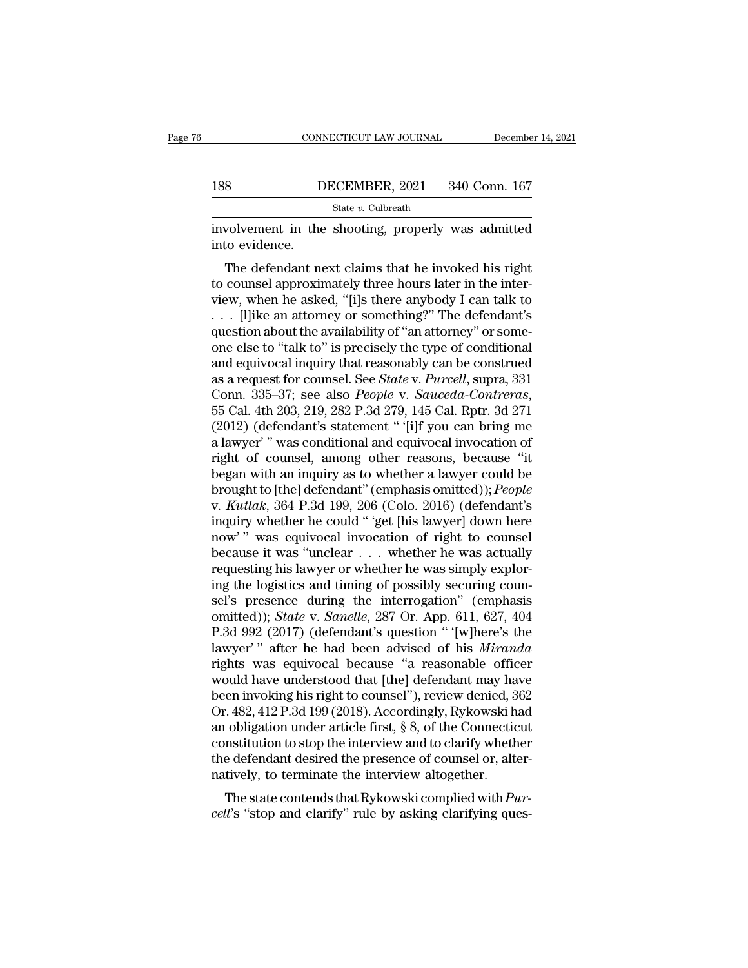|     | CONNECTICUT LAW JOURNAL | December 14, 2021 |
|-----|-------------------------|-------------------|
|     |                         |                   |
| 188 | DECEMBER, 2021          | 340 Conn. 167     |
|     | State v. Culbreath      |                   |

CONNECTICUT LAW JOURNAL December 14, 2021<br>
188 DECEMBER, 2021 340 Conn. 167<br>
5tate v. Culbreath<br>
involvement in the shooting, properly was admitted<br>
into evidence. ISS<br>
Involvement in the<br>
into evidence.<br>
The defendant ne

S<br>
State v. Culbreath<br>
State v. Culbreath<br>
Wolvement in the shooting, properly was admitted<br>
to evidence.<br>
The defendant next claims that he invoked his right<br>
counsel approximately three hours later in the inter-<br>
when h 188 DECEMBER, 2021 340 Conn. 167<br>  $\frac{\text{State } v. \text{ Cubreath}}{\text{involvement in the shooting, properly was admitted}}$ <br>
involvement in the shooting, properly was admitted<br>
into evidence.<br>
The defendant next claims that he invoked his right<br>
to counsel approximately three h State v. Culbreath<br>
involvement in the shooting, properly was admitted<br>
into evidence.<br>
The defendant next claims that he invoked his right<br>
to counsel approximately three hours later in the inter-<br>
view, when he asked, " involvement in the shooting, properly was admitted<br>into evidence.<br>The defendant next claims that he invoked his right<br>to counsel approximately three hours later in the inter-<br>view, when he asked, "[i]s there anybody I can involvement in the shooting, properly was admitted<br>into evidence.<br>The defendant next claims that he invoked his right<br>to counsel approximately three hours later in the inter-<br>view, when he asked, "[i]s there anybody I can The defendant next claims that he invoked his right<br>to counsel approximately three hours later in the inter-<br>view, when he asked, "[i]s there anybody I can talk to<br> $\ldots$  [I]ike an attorney or something?" The defendant's<br>q The defendant next claims that he invoked his right<br>to counsel approximately three hours later in the inter-<br>view, when he asked, "[i]s there anybody I can talk to<br> $\ldots$  [l]ike an attorney or something?" The defendant's<br>q to counsel approximately three hours later in the inter-<br>view, when he asked, "[i]s there anybody I can talk to<br>... [l]ike an attorney or something?" The defendant's<br>question about the availability of "an attorney" or som view, when he asked, "[i]s there anybody I can talk to<br>
... [l]ike an attorney or something?" The defendant's<br>
question about the availability of "an attorney" or some-<br>
one else to "talk to" is precisely the type of condi question about the availability of "an attorney" or some-<br>one else to "talk to" is precisely the type of conditional<br>and equivocal inquiry that reasonably can be construed<br>as a request for counsel. See *State* v. *Purcell* one else to "talk to" is precisely the type of conditional<br>and equivocal inquiry that reasonably can be construed<br>as a request for counsel. See *State* v. *Purcell*, supra, 331<br>Conn. 335–37; see also *People* v. *Sauceda-C* and equivocal inquiry that reasonably can be construed<br>as a request for counsel. See *State* v. *Purcell*, supra, 331<br>Conn. 335–37; see also *People* v. *Sauceda-Contreras*,<br>55 Cal. 4th 203, 219, 282 P.3d 279, 145 Cal. Rpt as a request for counsel. See *State* v. *Purcell*, supra, 331<br>Conn. 335–37; see also *People* v. *Sauceda-Contreras*,<br>55 Cal. 4th 203, 219, 282 P.3d 279, 145 Cal. Rptr. 3d 271<br>(2012) (defendant's statement " '[i]f you can Conn. 335–37; see also *People* v. *Sauceda-Contreras*,<br>55 Cal. 4th 203, 219, 282 P.3d 279, 145 Cal. Rptr. 3d 271<br>(2012) (defendant's statement " '[i]f you can bring me<br>a lawyer' " was conditional and equivocal invocation 55 Cal. 4th 203, 219, 282 P.3d 279, 145 Cal. Rptr. 3d 271<br>(2012) (defendant's statement " '[i]f you can bring me<br>a lawyer' " was conditional and equivocal invocation of<br>right of counsel, among other reasons, because "it<br>be (2012) (defendant's statement " '[i]f you can bring me<br>a lawyer' " was conditional and equivocal invocation of<br>right of counsel, among other reasons, because "it<br>began with an inquiry as to whether a lawyer could be<br>broug a lawyer'" was conditional and equivocal invocation of<br>right of counsel, among other reasons, because "it<br>began with an inquiry as to whether a lawyer could be<br>brought to [the] defendant" (emphasis omitted)); *People*<br>v. right of counsel, among other reasons, because "it<br>began with an inquiry as to whether a lawyer could be<br>brought to [the] defendant" (emphasis omitted)); *People*<br>v. *Kutlak*, 364 P.3d 199, 206 (Colo. 2016) (defendant's<br>in began with an inquiry as to whether a lawyer could be<br>brought to [the] defendant" (emphasis omitted)); *People*<br>v. *Kutlak*, 364 P.3d 199, 206 (Colo. 2016) (defendant's<br>inquiry whether he could "'get [his lawyer] down here brought to [the] defendant" (emphasis omitted)); *People* v. *Kutlak*, 364 P.3d 199, 206 (Colo. 2016) (defendant's inquiry whether he could " 'get [his lawyer] down here now' " was equivocal invocation of right to counsel v. *Kutlak*, 364 P.3d 199, 206 (Colo. 2016) (defendant's<br>inquiry whether he could " 'get [his lawyer] down here<br>now' " was equivocal invocation of right to counsel<br>because it was "unclear  $\ldots$  whether he was actually<br>req inquiry whether he could "'get [his lawyer] down here<br>now'" was equivocal invocation of right to counsel<br>because it was "unclear . . . whether he was actually<br>requesting his lawyer or whether he was simply explor-<br>ing the now'" was equivocal invocation of right to counsel<br>because it was "unclear . . . whether he was actually<br>requesting his lawyer or whether he was simply explor-<br>ing the logistics and timing of possibly securing coun-<br>sel's because it was "unclear . . . whether he was actually<br>requesting his lawyer or whether he was simply explor-<br>ing the logistics and timing of possibly securing coun-<br>sel's presence during the interrogation" (emphasis<br>omitte requesting his lawyer or whether he was simply exploring the logistics and timing of possibly securing counsel's presence during the interrogation" (emphasis omitted)); *State* v. *Sanelle*, 287 Or. App. 611, 627, 404 P.3d ing the logistics and timing of possibly securing counsel's presence during the interrogation" (emphasis omitted)); *State* v. *Sanelle*, 287 Or. App. 611, 627, 404<br>P.3d 992 (2017) (defendant's question "'[w]here's the law sel's presence during the interrogation" (emphasis<br>omitted)); *State* v. *Sanelle*, 287 Or. App. 611, 627, 404<br>P.3d 992 (2017) (defendant's question " '[w]here's the<br>lawyer' " after he had been advised of his *Miranda*<br>rig omitted)); *State* v. *Sanelle*, 287 Or. App. 611, 627, 404<br>P.3d 992 (2017) (defendant's question " '[w]here's the<br>lawyer' " after he had been advised of his *Miranda*<br>rights was equivocal because "a reasonable officer<br>wou P.3d 992 (2017) (defendant's question " '[w]here's the<br>lawyer' " after he had been advised of his *Miranda*<br>rights was equivocal because "a reasonable officer<br>would have understood that [the] defendant may have<br>been invoki lawyer'" after he had been advised of his *Miranda*<br>rights was equivocal because "a reasonable officer<br>would have understood that [the] defendant may have<br>been invoking his right to counsel"), review denied, 362<br>Or. 482, 4 rights was equivocal because "a reasonable officer<br>would have understood that [the] defendant may have<br>been invoking his right to counsel"), review denied, 362<br>Or. 482, 412 P.3d 199 (2018). Accordingly, Rykowski had<br>an obl would have understood that [the] defendant may have been invoking his right to counsel"), review denied, 3 Or. 482, 412 P.3d 199 (2018). Accordingly, Rykowski han obligation under article first, § 8, of the Connectic cons Extra 2.412 P.3d 199 (2018). Accordingly, Rykowski had obligation under article first, § 8, of the Connecticut institution to stop the interview and to clarify whether e defendant desired the presence of counsel or, altert *ch*: 482, 4121.30 139 (2018). Accordingly, hykowski had<br>an obligation under article first, § 8, of the Connecticut<br>constitution to stop the interview and to clarify whether<br>the defendant desired the presence of counsel or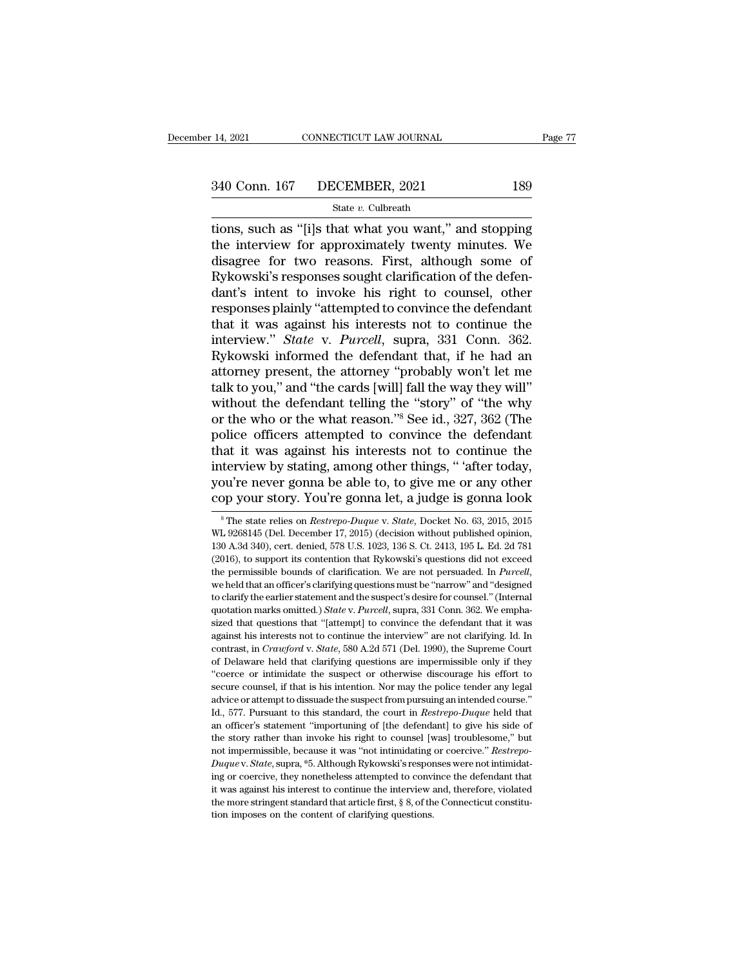# 14, 2021 CONNECTICUT LAW JOURNAL Page 77<br>340 Conn. 167 DECEMBER, 2021 189<br>State v. Culbreath

# State *v.* Culbreath

THE 14, 2021 CONNECTICUT LAW JOURNAL Page 77<br>
340 Conn. 167 DECEMBER, 2021 189<br>
State v. Culbreath<br>
tions, such as "[i]s that what you want," and stopping<br>
the interview for approximately twenty minutes. We<br>
disagree for t 340 Conn. 167 DECEMBER, 2021 189<br>
State v. Culbreath<br>
tions, such as "[i]s that what you want," and stopping<br>
the interview for approximately twenty minutes. We<br>
disagree for two reasons. First, although some of<br>
Bykowski 340 Conn. 167 DECEMBER, 2021 189<br>
State v. Culbreath<br>
tions, such as "[i]s that what you want," and stopping<br>
the interview for approximately twenty minutes. We<br>
disagree for two reasons. First, although some of<br>
Rykowski 340 Conn. 167 DECEMBER, 2021 189<br>
State v. Culbreath<br>
tions, such as "[i]s that what you want," and stopping<br>
the interview for approximately twenty minutes. We<br>
disagree for two reasons. First, although some of<br>
Rykowski State v. Culbreath<br>
tions, such as "[i]s that what you want," and stopping<br>
the interview for approximately twenty minutes. We<br>
disagree for two reasons. First, although some of<br>
Rykowski's responses sought clarification state v. Culbreath<br>tions, such as "[i]s that what you want," and stopping<br>the interview for approximately twenty minutes. We<br>disagree for two reasons. First, although some of<br>Rykowski's responses sought clarification of t tions, such as "[i]s that what you want," and stopping<br>the interview for approximately twenty minutes. We<br>disagree for two reasons. First, although some of<br>Rykowski's responses sought clarification of the defen-<br>dant's int the interview for approximately twenty minutes. We<br>disagree for two reasons. First, although some of<br>Rykowski's responses sought clarification of the defen-<br>dant's intent to invoke his right to counsel, other<br>responses pla disagree for two reasons. First, although some of<br>Rykowski's responses sought clarification of the defen-<br>dant's intent to invoke his right to counsel, other<br>responses plainly "attempted to convince the defendant<br>that it w Rykowski's responses sought clarification of the defendant's intent to invoke his right to counsel, other responses plainly "attempted to convince the defendant that it was against his interests not to continue the intervi dant's intent to invoke his right to counsel, other<br>responses plainly "attempted to convince the defendant<br>that it was against his interests not to continue the<br>interview." *State* v. *Purcell*, supra, 331 Conn. 362.<br>Ryko responses plainly "attempted to convince the defendant<br>that it was against his interests not to continue the<br>interview." *State* v. *Purcell*, supra, 331 Conn. 362.<br>Rykowski informed the defendant that, if he had an<br>attorn that it was against his interests not to continue the<br>interview." *State* v. *Purcell*, supra, 331 Conn. 362.<br>Rykowski informed the defendant that, if he had an<br>attorney present, the attorney "probably won't let me<br>talk to interview." *State* v. *Purcell*, supra, 331 Conn. 362.<br>Rykowski informed the defendant that, if he had an<br>attorney present, the attorney "probably won't let me<br>talk to you," and "the cards [will] fall the way they will"<br>w Rykowski informed the defendant that, if he had an<br>attorney present, the attorney "probably won't let me<br>talk to you," and "the cards [will] fall the way they will"<br>without the defendant telling the "story" of "the why<br>or attorney present, the attorney "probably won't let me<br>talk to you," and "the cards [will] fall the way they will"<br>without the defendant telling the "story" of "the why<br>or the who or the what reason."<sup>8</sup> See id., 327, 362 ( talk to you," and "the cards [will] fall the way they will"<br>without the defendant telling the "story" of "the why<br>or the who or the what reason."<sup>8</sup> See id., 327, 362 (The<br>police officers attempted to convince the defendan without the defendant telling the "story" of "the why<br>or the who or the what reason."<sup>8</sup> See id., 327, 362 (The<br>police officers attempted to convince the defendant<br>that it was against his interests not to continue the<br>int at it was against his interests not to continue the<br>terview by stating, among other things, " 'after today,<br>pu're never gonna be able to, to give me or any other<br>pp your story. You're gonna let, a judge is gonna look<br><sup>8</sup>Th interview by stating, among other things, " 'after today, you're never gonna be able to, to give me or any other cop your story. You're gonna let, a judge is gonna look <sup>8</sup>The state relies on *Restrepo-Duque v. State*, Doc

you're never gonna be able to, to give me or any other<br>cop your story. You're gonna let, a judge is gonna look<br><sup>\*</sup>The state relies on *Restrepo-Duque* v. *State*, Docket No. 63, 2015, 2015<br>WL 9268145 (Del. December 17, 201 (2016), to support its contention that Rykowski's questions did not exceed the permissible bounds of clarification. We are not persuaded. In *Purcell*, we held that an officer's clarifying questions must be ''narrow'' and 'designed to clarify the earlier statement and the suspect's desire for cou WL 9268145 (Del. December 17, 2015) (decision without published opinion, 130 A.3d 340), cert. denied, 578 U.S. 1023, 136 S. Ct. 2413, 195 L. Ed. 2d 781 (2016), to support its contention that Rykowski's questions did not ex 130 A.3d 340), cert. denied, 578 U.S. 1023, 136 S. Ct. 2413, 195 L. Ed. 2d 781 (2016), to support its contention that Rykowski's questions did not exceed the permissible bounds of clarification. We are not persuaded. In *P* (2016), to support its contention that Rykowski's questions did not exceed<br>the permissible bounds of clarification. We are not persuaded. In *Purcell*,<br>we held that an officer's clarifying questions must be "narrow" and " Let up the permissible bounds of clarification. We are not persuaded. In *Purcell*, we held that an officer's clarifying questions must be "narrow" and "designed to clarify the earlier statement and the suspect's desire f we held that an officer's clarifying questions must be "narrow" and "designed<br>to clarify the earlier statement and the suspect's desire for counsel." (Internal<br>quotation marks omitted.) *State* v. *Purcell*, supra, 331 Con to clarify the earlier statement and the suspect's desire for counsel." (Internal quotation marks omitted.) *State v. Purcell*, supra, 331 Conn. 362. We emphasized that questions that "[attempt] to convince the defendant outation marks omitted.) *State* v. *Purcell*, supra, 331 Conn. 362. We emphasized that questions that "[attempt] to convince the defendant that it was against his interests not to continue the interview" are not clarifyi sized that questions that "[attempt] to convince the defendant that it was against his interests not to continue the interview" are not clarifying. Id. In contrast, in *Crawford v. State*, 580 A.2d 571 (Del. 1990), the Su against his interests not to continue the interview" are not clarifying. Id. In contrast, in *Crawford v. State*, 580 A.2d 571 (Del. 1990), the Supreme Court of Delaware held that clarifying questions are impermissible on contrast, in *Crawford* v. *State*, 580 A.2d 571 (Del. 1990), the Supreme Court of Delaware held that clarifying questions are impermissible only if they "coerce or intimidate the suspect or otherwise discourage his effort of Delaware held that clarifying questions are impermissible only if they "coerce or intimidate the suspect or otherwise discourage his effort to secure counsel, if that is his intention. Nor may the police tender any lega "coerce or intimidate the suspect or otherwise discourage his effort to secure counsel, if that is his intention. Nor may the police tender any legal advice or attempt to dissuade the suspect from pursuing an intended cou secure counsel, if that is his intention. Nor may the police tender any legal advice or attempt to dissuade the suspect from pursuing an intended course." Id., 577. Pursuant to this standard, the court in *Restrepo-Duque Duque* of *Dumeon attempt to dissuade the suspect from pursuing an intended course."*<br>*Dumeon attempt to dissuade the suspect from pursuing an intended course."*<br>*Dumeon Stater in microscopy responses were not intended to* ing or coercive, they monetheless attempted to convince the defendant of the star an officer's statement "importuning of [the defendant] to give his side of the story rather than invoke his right to counsel [was] troubleso an officer's statement "importunity of [the defendant] to give his side of the story rather than invoke his right to counsel [was] troublesome," but not impermissible, because it was "not intimidating or coercive." *Restr* an officer's statement "importuning of [the defendant] to give his side of the story rather than invoke his right to counsel [was] troublesome," but not impermissible, because it was "not intimidating or coercive." *Restr* not impermissible, because it was "not intimidating or coercive." Restrepo-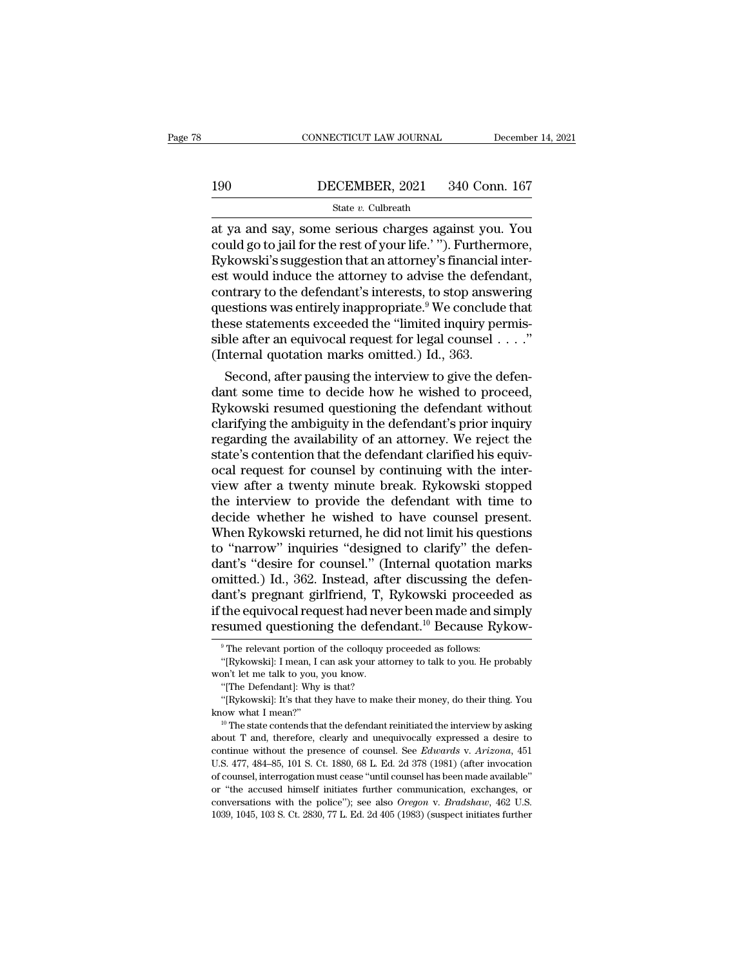# CONNECTICUT LAW JOURNAL December 14, 2021<br>190 DECEMBER, 2021 340 Conn. 167<br>State v. Culbreath

# State *v.* Culbreath

CONNECTICUT LAW JOURNAL December 14, 2021<br>
190 DECEMBER, 2021 340 Conn. 167<br>
State v. Culbreath<br>
at ya and say, some serious charges against you. You<br>
could go to jail for the rest of your life.' "). Furthermore,<br>
Rykowski 190 DECEMBER, 2021 340 Conn. 167<br>
State v. Culbreath<br>
at ya and say, some serious charges against you. You<br>
could go to jail for the rest of your life.' "). Furthermore,<br>
Rykowski's suggestion that an attorney's financial 190 DECEMBER, 2021 340 Conn. 167<br>
State v. Culbreath<br>
at ya and say, some serious charges against you. You<br>
could go to jail for the rest of your life.' "). Furthermore,<br>
Rykowski's suggestion that an attorney's financial 190 DECEMBER, 2021 340 Conn. 167<br>
State v. Culbreath<br>
at ya and say, some serious charges against you. You<br>
could go to jail for the rest of your life.' "). Furthermore,<br>
Rykowski's suggestion that an attorney's financial SECRIMBRI, 2021 2010 CORRECT (SECRIMBRI)<br>State v. Culbreath<br>at ya and say, some serious charges against you. You<br>could go to jail for the rest of your life.' "). Furthermore,<br>Rykowski's suggestion that an attorney's finan state v. Culbreath<br>at ya and say, some serious charges against you. You<br>could go to jail for the rest of your life.' "). Furthermore,<br>Rykowski's suggestion that an attorney's financial inter-<br>est would induce the attorney at ya and say, some serious charges against you. You<br>could go to jail for the rest of your life.' "). Furthermore,<br>Rykowski's suggestion that an attorney's financial inter-<br>est would induce the attorney to advise the defe could go to jail for the rest of your life.' "). Furthermore,<br>Rykowski's suggestion that an attorney's financial inter-<br>est would induce the attorney to advise the defendant,<br>contrary to the defendant's interests, to stop Rykowski's suggestion that an attorney's financial if est would induce the attorney to advise the defendent<br>contrary to the defendant's interests, to stop answeres questions was entirely inappropriate.<sup>9</sup> We conclude<br>these It would mauce the attorney to advise the defendant,<br>ntrary to the defendant's interests, to stop answering<br>estions was entirely inappropriate.<sup>9</sup> We conclude that<br>ese statements exceeded the "limited inquiry permis-<br>pleaf contrary to the defendant s interests, to stop answering<br>questions was entirely inappropriate.<sup>9</sup> We conclude that<br>these statements exceeded the "limited inquiry permis-<br>sible after an equivocal request for legal counsel

questions was entirely inappropriate." We conclude that<br>these statements exceeded the "limited inquiry permis-<br>sible after an equivocal request for legal counsel . . . ."<br>(Internal quotation marks omitted.) Id., 363.<br>Secon these statements exceeded the "limited inquiry permissible after an equivocal request for legal counsel . . . ."<br>(Internal quotation marks omitted.) Id., 363.<br>Second, after pausing the interview to give the defendant some sible after an equivocal request for legal counsel  $\ldots$ .<br>
(Internal quotation marks omitted.) Id., 363.<br>
Second, after pausing the interview to give the defendant some time to decide how he wished to proceed,<br>
Rykowski r (Internal quotation marks omitted.) Id., 363.<br>Second, after pausing the interview to give the defendant some time to decide how he wished to proceed,<br>Rykowski resumed questioning the defendant without<br>clarifying the ambigu Second, after pausing the interview to give the defendant some time to decide how he wished to proceed, Rykowski resumed questioning the defendant without clarifying the ambiguity in the defendant's prior inquiry regarding dant some time to decide how he wished to proceed,<br>Rykowski resumed questioning the defendant without<br>clarifying the ambiguity in the defendant's prior inquiry<br>regarding the availability of an attorney. We reject the<br>state Rykowski resumed questioning the defendant without<br>clarifying the ambiguity in the defendant's prior inquiry<br>regarding the availability of an attorney. We reject the<br>state's contention that the defendant clarified his equi clarifying the ambiguity in the defendant's prior inquiry<br>regarding the availability of an attorney. We reject the<br>state's contention that the defendant clarified his equiv-<br>ocal request for counsel by continuing with the regarding the availability of an attorney. We reject the state's contention that the defendant clarified his equivocal request for counsel by continuing with the interview after a twenty minute break. Rykowski stopped the state's contention that the defendant clarified his equivocal request for counsel by continuing with the interview after a twenty minute break. Rykowski stopped the interview to provide the defendant with time to decide wh ocal request for counsel by continuing with the inter-<br>view after a twenty minute break. Rykowski stopped<br>the interview to provide the defendant with time to<br>decide whether he wished to have counsel present.<br>When Rykowski view after a twenty minute break. Rykowski stopped<br>the interview to provide the defendant with time to<br>decide whether he wished to have counsel present.<br>When Rykowski returned, he did not limit his questions<br>to "narrow" in the interview to provide the defendant with time to<br>decide whether he wished to have counsel present.<br>When Rykowski returned, he did not limit his questions<br>to "narrow" inquiries "designed to clarify" the defen-<br>dant's "de decide whether he wished to have counsel present.<br>When Rykowski returned, he did not limit his questions<br>to "narrow" inquiries "designed to clarify" the defen-<br>dant's "desire for counsel." (Internal quotation marks<br>omitted When Rykowski returned, he did not limit his questions<br>to "narrow" inquiries "designed to clarify" the defen-<br>dant's "desire for counsel." (Internal quotation marks<br>omitted.) Id., 362. Instead, after discussing the defenmitted.) Id., 362. Instead, after discussing the d<br>ant's pregnant girlfriend, T, Rykowski proceede<br>the equivocal request had never been made and si<br>sumed questioning the defendant.<sup>10</sup> Because Ry<br><sup>9</sup>The relevant portion of ant's pregnant girlfriend, T, Rykowski proceeded as<br>the equivocal request had never been made and simply<br>sumed questioning the defendant.<sup>10</sup> Because Rykow-<br><sup>9</sup>The relevant portion of the colloquy proceeded as follows:<br>"[R if the equivocal request had never been made and simply<br>resumed questioning the defendant.<sup>10</sup> Because Rykow-<br><sup>9</sup> The relevant portion of the colloquy proceeded as follows:<br>"[Rykowski]: I mean, I can ask your attorney to

**resumed questioning the defendant.**<sup>10</sup> Because Rykow-<br>
<sup>9</sup> The relevant portion of the colloquy proceeded as follows:<br>
"[Rykowski]: I mean, I can ask your attorney to talk to you. He probably<br>
won't let me talk to you, "The relevant portion of the colloquy proceeded as follows:<br>
"[Rykowski]: I mean, I can ask your attorney to talk to you. He probably<br>
"[Rykowski]: I'mean, I can ask your attorney to talk to you. He probably<br>
"[The Defend

<sup>&</sup>lt;sup>9</sup> The relevant portion of the colloquy proceeded as follows:<br>
"[Rykowski]: I mean, I can ask your attorney to talk to you. He probably<br>
won't let me talk to you, you know.<br>
"[The Defendant]: Why is that?<br>
"[Rykowski]: I won't let me talk to you, you know.<br>
"[The Defendant]: Why is that?<br>
"[Rykowski]: It's that they have to make their money, do their thing. You<br>
know what I mean?"<br>
<sup>10</sup> The state contends that the defendant reinitiated th "The Defendant]: Why is that?<br>"[Rykowski]: It's that they have to make their money, do their thing. You<br>know what I mean?"<br><sup>10</sup> The state contends that the defendant reinitiated the interview by asking<br>about T and, therefo "(Rykowski): It's that they have to make their money, do their thing. You know what I mean?"<br>
<sup>10</sup> The state contends that the defendant reinitiated the interview by asking about T and, therefore, clearly and unequivocall know what I mean?"<br>
<sup>10</sup> The state contends that the defendant reinitiated the interview by asking<br>
about T and, therefore, clearly and unequivocally expressed a desire to<br>
continue without the presence of counsel. See *E* <sup>10</sup> The state contends that the defendant reinitiated the interview by asking about T and, therefore, clearly and unequivocally expressed a desire to continue without the presence of counsel. See *Edwards* v. Arizona, 45 about T and, therefore, clearly and unequivocally expressed a desire to continue without the presence of counsel. See *Edwards* v. *Arizona*, 451 U.S. 477, 484–85, 101 S. Ct. 1880, 68 L. Ed. 2d 378 (1981) (after invocation continue without the presence of counsel. See *Edwards* v. Arizona, 451 U.S. 477, 484–85, 101 S. Ct. 1880, 68 L. Ed. 2d 378 (1981) (after invocation of counsel, interrogation must cease "until counsel has been made availa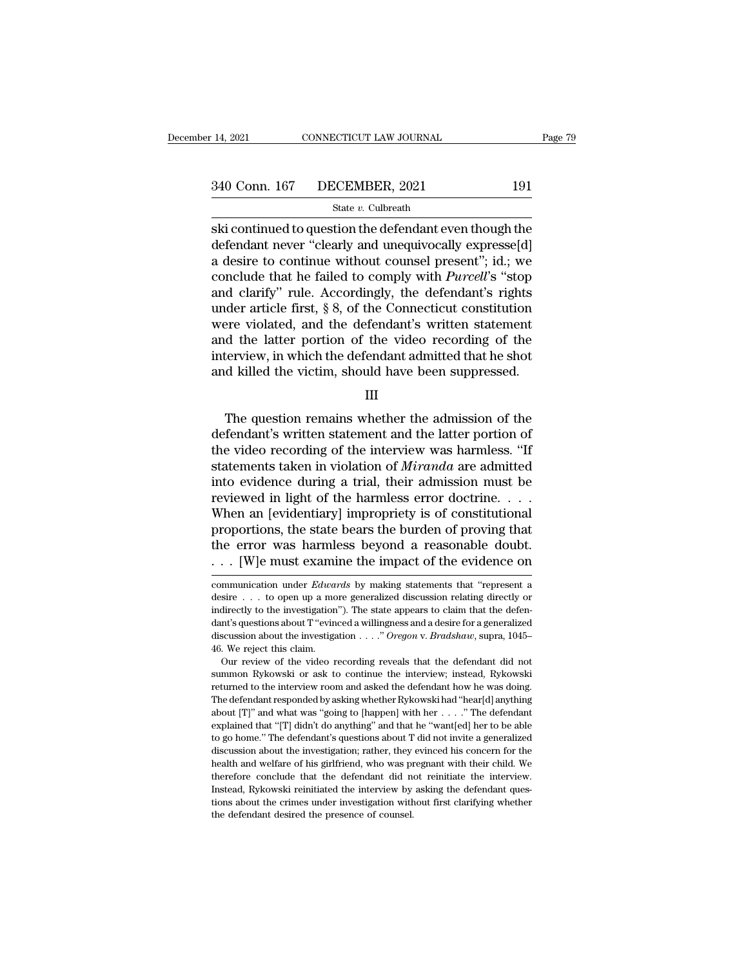# 14, 2021 CONNECTICUT LAW JOURNAL Page 79<br>340 Conn. 167 DECEMBER, 2021 191<br>State v. Culbreath

# State *v.* Culbreath

ski continued to question the defendant even though the defendant even though the defendant even though the defendant even though the defendant even though the defendant even though the defendant even though a desire to co  $\begin{array}{ll} \text{340 Conn. 167} & \text{DECEMBER, 2021} & \text{191} \\ & \text{State } v \text{. Cubbreath} \\ \text{ski continued to question the defendant even though the defendant never "clearly and unequivocally expresseld] \\ a desire to continue without course! present"; id.; we conclude that he failed to comply with Percell's "ston" \\ \end{array}$ 340 Conn. 167 DECEMBER, 2021 191<br>
State v. Culbreath<br>
Ski continued to question the defendant even though the<br>
defendant never "clearly and unequivocally expresse[d]<br>
a desire to continue without counsel present"; id.; we 340 Conn. 167 DECEMBER, 2021 191<br>
state v. Culbreath<br>
ski continued to question the defendant even though the<br>
defendant never "clearly and unequivocally expresse[d]<br>
a desire to continue without counsel present"; id.; we State v. Culbreath<br>
Ski continued to question the defendant even though the<br>
defendant never "clearly and unequivocally expresse[d]<br>
a desire to continue without counsel present"; id.; we<br>
conclude that he failed to compl state v. Culbreath<br>ski continued to question the defendant even though the<br>defendant never "clearly and unequivocally expresse[d]<br>a desire to continue without counsel present"; id.; we<br>conclude that he failed to comply wi ski continued to question the defendant even though the<br>defendant never "clearly and unequivocally expresse[d]<br>a desire to continue without counsel present"; id.; we<br>conclude that he failed to comply with *Purcell*'s "stop defendant never "clearly and unequivocally expresse[d]<br>a desire to continue without counsel present"; id.; we<br>conclude that he failed to comply with *Purcell*'s "stop<br>and clarify" rule. Accordingly, the defendant's rights<br> a desire to continue without counsel present"; id.; we conclude that he failed to comply with *Purcell's* "stop and clarify" rule. Accordingly, the defendant's rights under article first, § 8, of the Connecticut constituti % conclude that he failed to comply with *Purcell*'s "stop and clarify" rule. Accordingly, the defendant's rights under article first,  $\S$  8, of the Connecticut constitution were violated, and the defendant's written stat Pre violated, and the defendant's written statement<br>
d the latter portion of the video recording of the<br>
d killed the victim, should have been suppressed.<br>
III<br>
The question remains whether the admission of the<br>
fendant's

III

and the latter portion of the video recording of the<br>interview, in which the defendant admitted that he shot<br>and killed the victim, should have been suppressed.<br>III<br>The question remains whether the admission of the<br>defenda interview, in which the defendant admitted that he shot<br>and killed the victim, should have been suppressed.<br>III<br>The question remains whether the admission of the<br>defendant's written statement and the latter portion of<br>the and killed the victim, should have been suppressed.<br>III<br>II<br>The question remains whether the admission of the<br>defendant's written statement and the latter portion of<br>the video recording of the interview was harmless. "If<br>st III<br>
The question remains whether the admission of the<br>
defendant's written statement and the latter portion of<br>
the video recording of the interview was harmless. "If<br>
statements taken in violation of *Miranda* are admit The question remains whether the admission of the defendant's written statement and the latter portion of the video recording of the interview was harmless. "If statements taken in violation of *Miranda* are admitted into The question remains whether the admission of the defendant's written statement and the latter portion of the video recording of the interview was harmless. "If statements taken in violation of *Miranda* are admitted into defendant's written statement and the latter portion of<br>the video recording of the interview was harmless. "If<br>statements taken in violation of *Miranda* are admitted<br>into evidence during a trial, their admission must be<br>r the video recording of the interview was harmless. "If statements taken in violation of *Miranda* are admitted into evidence during a trial, their admission must be reviewed in light of the harmless error doctrine. . . . statements taken in violation of *Miranda* are admitted<br>into evidence during a trial, their admission must be<br>reviewed in light of the harmless error doctrine. . . .<br>When an [evidentiary] impropriety is of constitutional<br> When an [evidentiary] impropriety is of constitutional<br>proportions, the state bears the burden of proving that<br>the error was harmless beyond a reasonable doubt.<br>... [W]e must examine the impact of the evidence on<br>communica proportions, the state bears the burden of proving that<br>the error was harmless beyond a reasonable doubt.<br>... [W]e must examine the impact of the evidence on<br>communication under *Edwards* by making statements that "repres

the error was harmless beyond a reasonable doubt.<br>  $\ldots$  [W]e must examine the impact of the evidence on<br>
communication under *Edwards* by making statements that "represent a<br>
desire  $\ldots$  to open up a more generalized di discussions about The impact of the evidence on<br>
communication under *Edwards* by making statements that "represent a<br>
desire . . . to open up a more generalized discussion relating directly or<br>
indirectly to the investig discussion about the investigation ... . . . . . to open up a more generalized discussion relating directly or indirectly to the investigation"). The state appears to claim that the defendant's questions about T "evinced a communication under *Edwards* by making statements that "represent a desire . . . to open up a more generalized discussion relating directly or indirectly to the investigation"). The state appears to claim that the defend Summarization of the video recording reveals that the defendant of the video relating directly or directly to the investigation"). The state appears to claim that the defendant's questions about T "evinced a willingness a indirectly to the investigation"). The state appears to claim that the defendant's questions about T "evinced a willingness and a desire for a generalized discussion about the investigation . . . ." Oregon v. Bradshaw, sup

returned to the interview room and asked the defendant how he was doing.<br>The interview of the view room was desire for a generalized discussion about the investigation . . . ." Oregon v. Bradshaw, supra, 1045–46. We reject discussion about the investigation . . . ." Oregon v. Bradshaw, supra, 1045–46. We reject this claim.<br>Cour review of the video recording reveals that the defendant did not summon Rykowski or ask to continue the interview; 46. We reject this claim.<br>
Our review of the video recording reveals that the defendant did not<br>
summon Rykowski or ask to continue the interview; instead, Rykowski<br>
returned to the interview room and asked the defendant Our review of the video recording reveals that the defendant did not summon Rykowski or ask to continue the interview; instead, Rykowski returned to the interview room and asked the defendant how he was doing. The defenda summon Rykowski or ask to continue the interview; instead, Rykowski returned to the interview room and asked the defendant how he was doing.<br>The defendant responded by asking whether Rykowski had "hear[d] anything about [T between the interview room and asked the defendant how he was doing.<br>The defendant responded by asking whether Rykowski had "hear[d] anything about [T]" and what was "going to [happen] with her . . . ." The defendant expla The defendant responded by asking whether Rykowski had "hear[d] anything about [T]" and what was "going to [happen] with her  $\ldots$ ." The defendant explained that "[T] didn't do anything" and that he "want[ed] her to be ab about [T]" and what was "going to [happen] with her . . . . " The defendant explained that "[T] didn't do anything" and that he "want[ed] her to be able to go home." The defendant's questions about T did not invite a gene explained that "[T] didn't do anything" and that he "want[ed] her to be able to go home." The defendant's questions about T did not invite a generalized discussion about the investigation; rather, they evinced his concern to go home." The defendant's questions about T did not invite a generalized discussion about the investigation; rather, they evinced his concern for the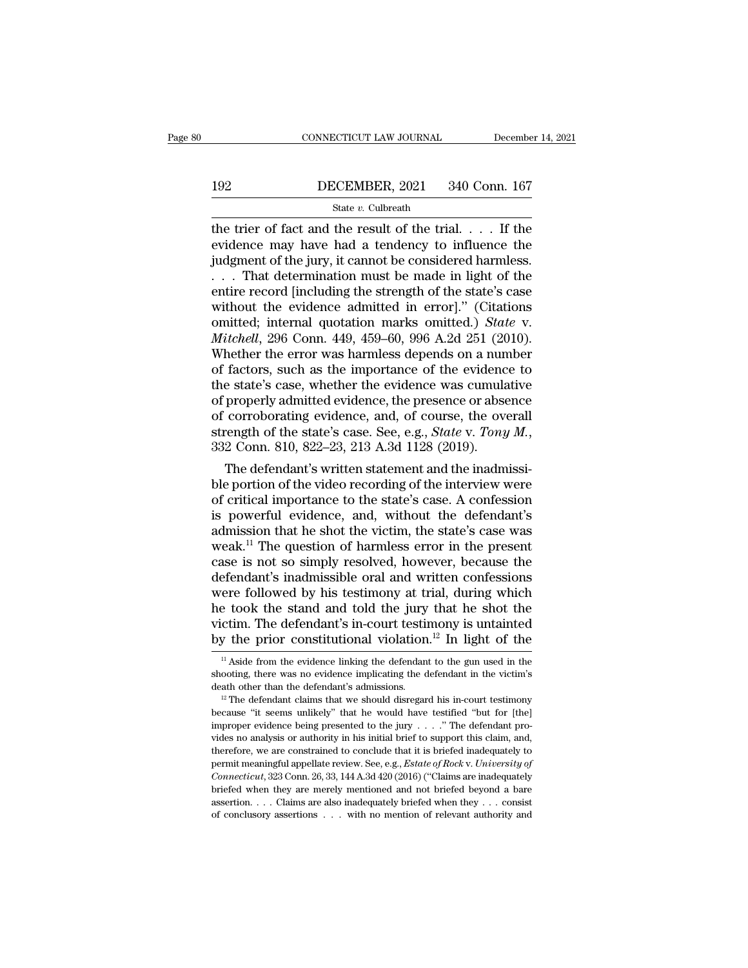# CONNECTICUT LAW JOURNAL December 14, 2021<br>192 DECEMBER, 2021 340 Conn. 167<br>State v. Culbreath

# State *v.* Culbreath

CONNECTICUT LAW JOURNAL December 14, 2021<br>192 DECEMBER, 2021 340 Conn. 167<br>5tate v. Culbreath<br>the trier of fact and the result of the trial. . . . If the<br>evidence may have had a tendency to influence the<br>indement of the j 192 DECEMBER, 2021 340 Conn. 167<br>
State v. Culbreath<br>
the trier of fact and the result of the trial. . . . If the<br>
evidence may have had a tendency to influence the<br>
judgment of the jury, it cannot be considered harmless. 192 DECEMBER, 2021 340 Conn. 167<br>
State v. Culbreath<br>
the trier of fact and the result of the trial. . . . If the<br>
evidence may have had a tendency to influence the<br>
judgment of the jury, it cannot be considered harmless. **EXEMBER, 2021** 340 Conn. 167<br>
State v. Culbreath<br>
the trier of fact and the result of the trial. . . . If the<br>
evidence may have had a tendency to influence the<br>
judgment of the jury, it cannot be considered harmless.<br>
. SECENDER, 2021 316 050.14. 101<br>
State v. Culbreath<br>
the trier of fact and the result of the trial. . . . If the<br>
evidence may have had a tendency to influence the<br>
judgment of the jury, it cannot be considered harmless.<br> State v. Culbreath<br>the trier of fact and the result of the trial. . . . If the<br>evidence may have had a tendency to influence the<br>judgment of the jury, it cannot be considered harmless.<br>. . . That determination must be mad the trier of fact and the result of the trial. . . . If the evidence may have had a tendency to influence the judgment of the jury, it cannot be considered harmless.<br>
. . . That determination must be made in light of the e evidence may have had a tendency to influence the<br>judgment of the jury, it cannot be considered harmless.<br>... That determination must be made in light of the<br>entire record [including the strength of the state's case<br>withou judgment of the jury, it cannot be considered harmless.<br>  $\dots$  That determination must be made in light of the<br>
entire record [including the strength of the state's case<br>
without the evidence admitted in error]." (Citation ... That determination must be made in light of the<br>entire record [including the strength of the state's case<br>without the evidence admitted in error]." (Citations<br>omitted; internal quotation marks omitted.) *State* v.<br>*Mi* entire record [including the strength of the state's case<br>without the evidence admitted in error]." (Citations<br>omitted; internal quotation marks omitted.) *State* v.<br>*Mitchell*, 296 Conn. 449, 459–60, 996 A.2d 251 (2010).<br> without the evidence admitted in error]." (Citations<br>omitted; internal quotation marks omitted.) *State* v.<br>*Mitchell*, 296 Conn. 449, 459–60, 996 A.2d 251 (2010).<br>Whether the error was harmless depends on a number<br>of fac omitted; internal quotation marks omitted.) *State v.*<br> *Mitchell*, 296 Conn. 449, 459–60, 996 A.2d 251 (2010).<br>
Whether the error was harmless depends on a number<br>
of factors, such as the importance of the evidence to<br>
t Mitchell, 296 Conn. 449, 459–60, 996 A.2d 251 (2010).<br>Whether the error was harmless depends on a number<br>of factors, such as the importance of the evidence to<br>the state's case, whether the evidence was cumulative<br>of proper factors, such as the importance of the evidence to<br>e state's case, whether the evidence was cumulative<br>properly admitted evidence, the presence or absence<br>corroborating evidence, and, of course, the overall<br>rength of the the state's case, whether the evidence was cumulative<br>of properly admitted evidence, the presence or absence<br>of corroborating evidence, and, of course, the overall<br>strength of the state's case. See, e.g., *State* v. *Tony* 

of properly admitted evidence, the presence or absence<br>of corroborating evidence, and, of course, the overall<br>strength of the state's case. See, e.g., *State* v. *Tony M.*,<br>332 Conn. 810, 822–23, 213 A.3d 1128 (2019).<br>The of corroborating evidence, and, of course, the overall<br>strength of the state's case. See, e.g., *State* v. *Tony M.*,<br>332 Conn. 810, 822–23, 213 A.3d 1128 (2019).<br>The defendant's written statement and the inadmissi-<br>ble p strength of the state's case. See, e.g., *State v. Tony M.*,<br>332 Conn. 810, 822–23, 213 A.3d 1128 (2019).<br>The defendant's written statement and the inadmissi-<br>ble portion of the video recording of the interview were<br>of cr 332 Conn. 810, 822–23, 213 A.3d 1128 (2019).<br>The defendant's written statement and the inadmissi-<br>ble portion of the video recording of the interview were<br>of critical importance to the state's case. A confession<br>is powerf The defendant's written statement and the inadmissi-<br>ble portion of the video recording of the interview were<br>of critical importance to the state's case. A confession<br>is powerful evidence, and, without the defendant's<br>admi ble portion of the video recording of the interview were<br>of critical importance to the state's case. A confession<br>is powerful evidence, and, without the defendant's<br>admission that he shot the victim, the state's case was<br>w of critical importance to the state's case. A confession<br>is powerful evidence, and, without the defendant's<br>admission that he shot the victim, the state's case was<br>weak.<sup>11</sup> The question of harmless error in the present<br>ca is powerful evidence, and, without the defendant's<br>admission that he shot the victim, the state's case was<br>weak.<sup>11</sup> The question of harmless error in the present<br>case is not so simply resolved, however, because the<br>defen admission that he shot the victim, the state's case was<br>weak.<sup>11</sup> The question of harmless error in the present<br>case is not so simply resolved, however, because the<br>defendant's inadmissible oral and written confessions<br>we weak.<sup>11</sup> The question of harmless error in the present case is not so simply resolved, however, because the defendant's inadmissible oral and written confessions were followed by his testimony at trial, during which he t Figure followed by his testimony at trial, during which<br>e took the stand and told the jury that he shot the<br>ctim. The defendant's in-court testimony is untainted<br>y the prior constitutional violation.<sup>12</sup> In light of the<br>he took the stand and told the jury that he shot the victim. The defendant's in-court testimony is untainted by the prior constitutional violation.<sup>12</sup> In light of the  $\frac{1}{1}$  Aside from the evidence linking the defenda

victim. The defendant's in-court testimony is untainted<br>by the prior constitutional violation.<sup>12</sup> In light of the<br> $\frac{1}{10}$  Aside from the evidence linking the defendant to the gun used in the<br>shooting, there was no evi

by the prior constitutional violation. In light of the  $\frac{1}{2}$  in Aside from the evidence linking the defendant to the gun used in the shooting, there was no evidence implicating the defendant in the victim's death othe <sup>11</sup> Aside from the evidence linking the defendant to the gun used in the shooting, there was no evidence implicating the defendant in the victim's death other than the defendant's admissions.<br><sup>12</sup> The defendant claims th shooting, there was no evidence implicating the defendant in the victim's death other than the defendant's admissions.<br><sup>12</sup> The defendant claims that we should disregard his in-court testimony because "it seems unlikely" death other than the defendant's admissions.<br>
<sup>12</sup> The defendant claims that we should disregard his in-court testimony<br>
because "it seems unlikely" that he would have testified "but for [the]<br>
improper evidence being pre <sup>12</sup> The defendant claims that we should disregard his in-court testimony because "it seems unlikely" that he would have testified "but for [the] improper evidence being presented to the jury . . . ." The defendant provid **Connecticution** is the would have testified "but for [the] improper evidence being presented to the jury . . . ." The defendant provides no analysis or authority in his initial brief to support this claim, and, therefore, improper evidence being presented to the jury  $\ldots$ ." The defendant provides no analysis or authority in his initial brief to support this claim, and, therefore, we are constrained to conclude that it is briefed inadequat improper evidence being presented to the jury . . . . " The defendant provides no analysis or authority in his initial brief to support this claim, and, therefore, we are constrained to conclude that it is briefed inadequ permit meaningful appellate review. See, e.g., Estate of Rock v. University of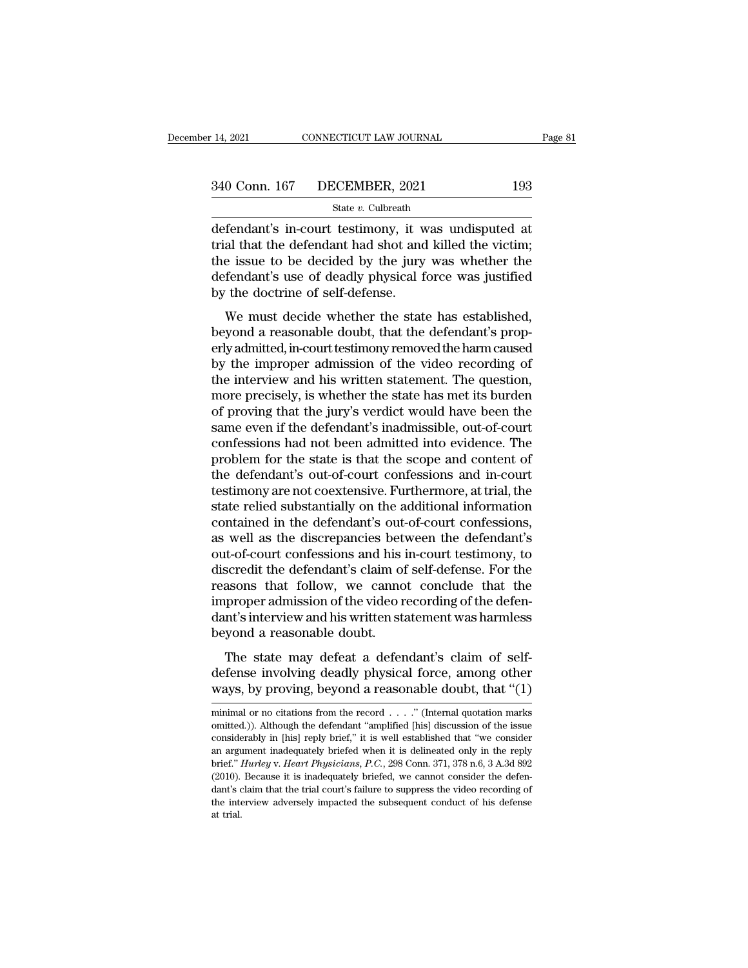State *v.* Culbreath

14, 2021 CONNECTICUT LAW JOURNAL Page 8<br>  $\frac{340 \text{ Conn. } 167 \text{ DECEMBER, } 2021}{}$  193<br>  $\frac{340 \text{ Conn. } 167 \text{ DECEMBER, } 2021}{}$  193<br>
defendant's in-court testimony, it was undisputed at<br>
trial that the defendant had shot and killed the 340 Conn. 167 DECEMBER, 2021 193<br>
State v. Culbreath<br>
defendant's in-court testimony, it was undisputed at<br>
trial that the defendant had shot and killed the victim;<br>
the issue to be decided by the jury was whether the<br>
de 340 Conn. 167 DECEMBER, 2021 193<br>
State v. Culbreath<br>
defendant's in-court testimony, it was undisputed at<br>
trial that the defendant had shot and killed the victim;<br>
the issue to be decided by the jury was whether the<br>
de 340 Conn. 167 DECEMBER, 2021 193<br>
State v. Culbreath<br>
defendant's in-court testimony, it was undisputed at<br>
trial that the defendant had shot and killed the victim;<br>
the issue to be decided by the jury was whether the<br>
de 340 Conn. 167 DECEMBER, 2021 193<br>
State v. Culbreath<br>
defendant's in-court testimony, it was undisputed at<br>
trial that the defendant had shot and killed the victim;<br>
the issue to be decided by the jury was whether the<br>
de fendant's in-court testimony, it was undisputed at<br>al that the defendant had shot and killed the victim;<br>e issue to be decided by the jury was whether the<br>fendant's use of deadly physical force was justified<br>the doctrine o defendant's in-court testimony, it was undisputed at<br>trial that the defendant had shot and killed the victim;<br>the issue to be decided by the jury was whether the<br>defendant's use of deadly physical force was justified<br>by th

Final that the determinant had shot and kined the vietint,<br>the issue to be decided by the jury was whether the<br>defendant's use of deadly physical force was justified<br>by the doctrine of self-defense.<br>We must decide whether the issue to be decided by the jury was whether the<br>defendant's use of deadly physical force was justified<br>by the doctrine of self-defense.<br>We must decide whether the state has established,<br>beyond a reasonable doubt, that the doctrine of self-defense.<br>
We must decide whether the state has established,<br>
beyond a reasonable doubt, that the defendant's prop-<br>
erly admitted, in-court testimony removed the harm caused<br>
by the improper admission by the toctrine of sen-terense.<br>We must decide whether the state has established,<br>beyond a reasonable doubt, that the defendant's prop-<br>erly admitted, in-court testimony removed the harm caused<br>by the improper admission of We must decide whether the state has established,<br>beyond a reasonable doubt, that the defendant's prop-<br>erly admitted, in-court testimony removed the harm caused<br>by the improper admission of the video recording of<br>the inte beyond a reasonable doubt, that the defendant's properly admitted, in-court testimony removed the harm caused<br>by the improper admission of the video recording of<br>the interview and his written statement. The question,<br>more erly admitted, in-court testimony removed the harm caused<br>by the improper admission of the video recording of<br>the interview and his written statement. The question,<br>more precisely, is whether the state has met its burden<br>o by the improper admission of the video recording of<br>the interview and his written statement. The question,<br>more precisely, is whether the state has met its burden<br>of proving that the jury's verdict would have been the<br>same the interview and his written statement. The question,<br>more precisely, is whether the state has met its burden<br>of proving that the jury's verdict would have been the<br>same even if the defendant's inadmissible, out-of-court<br> more precisely, is whether the state has met its burden<br>of proving that the jury's verdict would have been the<br>same even if the defendant's inadmissible, out-of-court<br>confessions had not been admitted into evidence. The<br>pr of proving that the jury's verdict would have been the<br>same even if the defendant's inadmissible, out-of-court<br>confessions had not been admitted into evidence. The<br>problem for the state is that the scope and content of<br>the same even if the defendant's inadmissible, out-of-court<br>confessions had not been admitted into evidence. The<br>problem for the state is that the scope and content of<br>the defendant's out-of-court confessions and in-court<br>test confessions had not been admitted into evidence. The<br>problem for the state is that the scope and content of<br>the defendant's out-of-court confessions and in-court<br>testimony are not coextensive. Furthermore, at trial, the<br>st problem for the state is that the scope and content of<br>the defendant's out-of-court confessions and in-court<br>testimony are not coextensive. Furthermore, at trial, the<br>state relied substantially on the additional informatio the defendant's out-of-court confessions and in-court<br>testimony are not coextensive. Furthermore, at trial, the<br>state relied substantially on the additional information<br>contained in the defendant's out-of-court confessions testimony are not coextensive. Furthermore, at trial, the<br>state relied substantially on the additional information<br>contained in the defendant's out-of-court confessions,<br>as well as the discrepancies between the defendant's state relied substantially on the additional information<br>contained in the defendant's out-of-court confessions,<br>as well as the discrepancies between the defendant's<br>out-of-court confessions and his in-court testimony, to<br>d contained in the defendant's out-of-court confessions,<br>as well as the discrepancies between the defendant's<br>out-of-court confessions and his in-court testimony, to<br>discredit the defendant's claim of self-defense. For the<br>r as well as the discrepancies bet<br>out-of-court confessions and his is<br>discredit the defendant's claim of<br>reasons that follow, we canno<br>improper admission of the video r<br>dant's interview and his written sta<br>beyond a reasonab State may defeat a defendant's claim of self-defense. For the assons that follow, we cannot conclude that the proper admission of the video recording of the defen-<br>the sinterview and his written statement was harmless yond defense involving deadly physical force, among other ways, by proving, beyond a reasonable doubt.<br>The state may defeat a defendant's claim of self-<br>defense involving deadly physical force, among other ways, by proving, bey reasons that follow, we cannot conclude that the<br>improper admission of the video recording of the defen-<br>dant's interview and his written statement was harmless<br>beyond a reasonable doubt.<br>The state may defeat a defendant'

The state may defeat a defendant's claim of self-<br>defense involving deadly physical force, among other<br>ways, by proving, beyond a reasonable doubt, that "(1)<br>minimal or no citations from the record . . . ." (Internal quot The state may defeat a defendant's claim of self-<br>defense involving deadly physical force, among other<br>ways, by proving, beyond a reasonable doubt, that "(1)<br>minimal or no citations from the record . . . . ." (Internal qu

defense involving deadly physical force, among other ways, by proving, beyond a reasonable doubt, that "(1) minimal or no citations from the record . . . ." (Internal quotation marks omitted.)). Although the defendant "am ways, by proving, beyond a reasonable doubt, that "(1)<br>minimal or no citations from the record . . . . " (Internal quotation marks<br>omitted.)). Although the defendant "amplified [his] discussion of the issue<br>considerably i ways, by proving, beyond a reasonable doubt, that (1)<br>minimal or no citations from the record . . . . " (Internal quotation marks<br>omitted.)). Although the defendant "amplified [his] discussion of the issue<br>considerably in minimal or no citations from the record  $\ldots$ ." (Internal quotation marks omitted.)). Although the defendant "amplified [his] discussion of the issue considerably in [his] reply brief," it is well established that "we con omitted.)). Although the defendant "amplified [his] discussion of the issue considerably in [his] reply brief," it is well established that "we consider an argument inadequately briefed when it is delineated only in the r considerably in [his] reply brief," it is well established that "we consider an argument inadequately briefed when it is delineated only in the reply brief." *Hurley v. Heart Physicians, P.C.*, 298 Conn. 371, 378 n.6, 3 A. an argument inadequately briefed when it is delineated only in the reply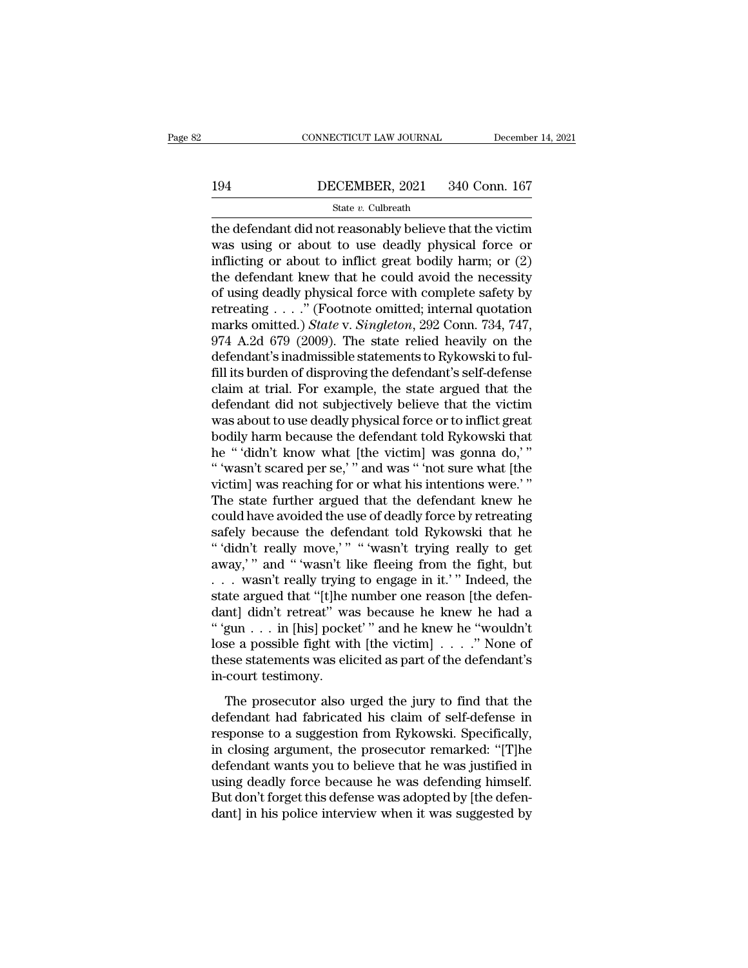# CONNECTICUT LAW JOURNAL December 14, 2021<br>194 DECEMBER, 2021 340 Conn. 167<br>State v. Culbreath

# State *v.* Culbreath

CONNECTICUT LAW JOURNAL December 14, 2021<br>
194 DECEMBER, 2021 340 Conn. 167<br>
State v. Culbreath<br>
the defendant did not reasonably believe that the victim<br>
was using or about to use deadly physical force or<br>
inflicting or 194 DECEMBER, 2021 340 Conn. 167<br>
State v. Culbreath<br>
the defendant did not reasonably believe that the victim<br>
was using or about to use deadly physical force or<br>
inflicting or about to inflict great bodily harm; or  $(2)$ **influence of the DECEMBER, 2021** 340 Conn. 167<br>
State v. Culbreath<br>
the defendant did not reasonably believe that the victim<br>
was using or about to use deadly physical force or<br>
inflicting or about to inflict great bodil 194 DECEMBER, 2021 340 Conn. 167<br>
State v. Culbreath<br>
the defendant did not reasonably believe that the victim<br>
was using or about to use deadly physical force or<br>
inflicting or about to inflict great bodily harm; or  $(2)$ State v. Culbreath<br>
the defendant did not reasonably believe that the victim<br>
was using or about to use deadly physical force or<br>
inflicting or about to inflict great bodily harm; or (2)<br>
the defendant knew that he could state v. Cubreath<br>the defendant did not reasonably believe that the victim<br>was using or about to use deadly physical force or<br>inflicting or about to inflict great bodily harm; or (2)<br>the defendant knew that he could avoid the defendant did not reasonably believe that the victim<br>was using or about to use deadly physical force or<br>inflicting or about to inflict great bodily harm; or (2)<br>the defendant knew that he could avoid the necessity<br>of u was using or about to use deadly physical force or<br>inflicting or about to inflict great bodily harm; or  $(2)$ <br>the defendant knew that he could avoid the necessity<br>of using deadly physical force with complete safety by<br>ret inflicting or about to inflict great bodily harm; or  $(2)$  the defendant knew that he could avoid the necessity of using deadly physical force with complete safety by retreating  $\ldots$ ." (Footnote omitted; internal quotati the defendant knew that he could avoid the necessity<br>of using deadly physical force with complete safety by<br>retreating  $\ldots$ ." (Footnote omitted; internal quotation<br>marks omitted.) *State* v. *Singleton*, 292 Conn. 734, 7 of using deadly physical force with complete safety by<br>retreating  $\ldots$ ." (Footnote omitted; internal quotation<br>marks omitted.) *State* v. *Singleton*, 292 Conn. 734, 747,<br>974 A.2d 679 (2009). The state relied heavily on retreating  $\ldots$  ." (Footnote omitted; internal quotation<br>marks omitted.) *State* v. *Singleton*, 292 Conn. 734, 747,<br>974 A.2d 679 (2009). The state relied heavily on the<br>defendant's inadmissible statements to Rykowski to marks omitted.) *State* v. *Singleton*, 292 Conn. 734, 747, 974 A.2d 679 (2009). The state relied heavily on the defendant's inadmissible statements to Rykowski to fulfill its burden of disproving the defendant's self-defe 974 A.2d 679 (2009). The state relied heavily on the defendant's inadmissible statements to Rykowski to fulfill its burden of disproving the defendant's self-defense claim at trial. For example, the state argued that the defendant's inadmissible statements to Rykowski to fulfill its burden of disproving the defendant's self-defense<br>claim at trial. For example, the state argued that the<br>defendant did not subjectively believe that the victim fill its burden of disproving the defendant's self-defense<br>claim at trial. For example, the state argued that the<br>defendant did not subjectively believe that the victim<br>was about to use deadly physical force or to inflict claim at trial. For example, the state argued that the defendant did not subjectively believe that the victim was about to use deadly physical force or to inflict great bodily harm because the defendant told Rykowski that defendant did not subjectively believe that the victim<br>was about to use deadly physical force or to inflict great<br>bodily harm because the defendant told Rykowski that<br>he "'didn't know what [the victim] was gonna do,'"<br>"'wa was about to use deadly physical force or to inflict great<br>bodily harm because the defendant told Rykowski that<br>he "'didn't know what [the victim] was gonna do,'"<br>"'wasn't scared per se,'" and was "'not sure what [the<br>vict bodily harm because the defendant told Rykowski that<br>he "'didn't know what [the victim] was gonna do,'"<br>"'wasn't scared per se,'" and was "'not sure what [the<br>victim] was reaching for or what his intentions were.'"<br>The sta he "'didn't know what [the victim] was gonna do,'"<br>"'wasn't scared per se,'" and was "'not sure what [the<br>victim] was reaching for or what his intentions were.'"<br>The state further argued that the defendant knew he<br>could ha "'wasn't scared per se,'" and was "'not sure what [the<br>victim] was reaching for or what his intentions were.'"<br>The state further argued that the defendant knew he<br>could have avoided the use of deadly force by retreating<br>s victim] was reaching for or what his intentions were.'"<br>The state further argued that the defendant knew he<br>could have avoided the use of deadly force by retreating<br>safely because the defendant told Rykowski that he<br>"'didn The state further argued that the defendant knew he could have avoided the use of deadly force by retreating safely because the defendant told Rykowski that he "didn't really move," "wasn't trying really to get away," and could have avoided the use of deadly force by retreating<br>safely because the defendant told Rykowski that he<br>"'didn't really move,'" "'wasn't trying really to get<br>away,'" and "'wasn't like fleeing from the fight, but<br>...was safely because the defendant told Rykowski that he<br>
"'didn't really move,'" "'wasn't trying really to get<br>
away,'" and "'wasn't like fleeing from the fight, but<br>
... wasn't really trying to engage in it.'" Indeed, the<br>
st "'didn't really move,'" "'wasn't trying really to get<br>away,'" and "'wasn't like fleeing from the fight, but<br>... wasn't really trying to engage in it.'" Indeed, the<br>state argued that "[t]he number one reason [the defen-<br>da away,'" and "'wasn't like fleeing from the fight, but<br>  $\ldots$  wasn't really trying to engage in it.'" Indeed, the<br>
state argued that "[t]he number one reason [the defen-<br>
dant] didn't retreat" was because he knew he "would . . . wasn't really trying<br>state argued that "[t]he i<br>dant] didn't retreat" wa<br>"'gun . . . in [his] pock<br>lose a possible fight wit<br>these statements was eli<br>in-court testimony.<br>The prosecutor also u The prosecutor also urged the jury to find that the<br>fendant is a possible fight with [the victim]  $\ldots$  " None of<br>see a possible fight with [the victim]  $\ldots$  ." None of<br>see statements was elicited as part of the defendan defined to the fabric mass of the fabric method is "<br>" "gun . . . in [his] pocket" and he knew he "wouldn't<br>lose a possible fight with [the victim] . . . ." None of<br>these statements was elicited as part of the defendant's

Figure 1.1. In [HB] points that it is a summer loss a possible fight with [the victim]  $\ldots$ ." None of these statements was elicited as part of the defendant's in-court testimony.<br>The prosecutor also urged the jury to fin in court testiments was elicited as part of the defendant's<br>in-court testimony.<br>The prosecutor also urged the jury to find that the<br>defendant had fabricated his claim of self-defense in<br>response to a suggestion from Rykows in-court testimony.<br>
The prosecutor also urged the jury to find that the<br>
defendant had fabricated his claim of self-defense in<br>
response to a suggestion from Rykowski. Specifically,<br>
in closing argument, the prosecutor re The prosecutor also urged the jury to find that the<br>defendant had fabricated his claim of self-defense in<br>response to a suggestion from Rykowski. Specifically,<br>in closing argument, the prosecutor remarked: "[T]he<br>defendant The prosecutor also urged the jury to find that the<br>defendant had fabricated his claim of self-defense in<br>response to a suggestion from Rykowski. Specifically,<br>in closing argument, the prosecutor remarked: "[T]he<br>defendant defendant had fabricated his claim of self-defense in response to a suggestion from Rykowski. Specifically, in closing argument, the prosecutor remarked: "[T]he defendant wants you to believe that he was justified in using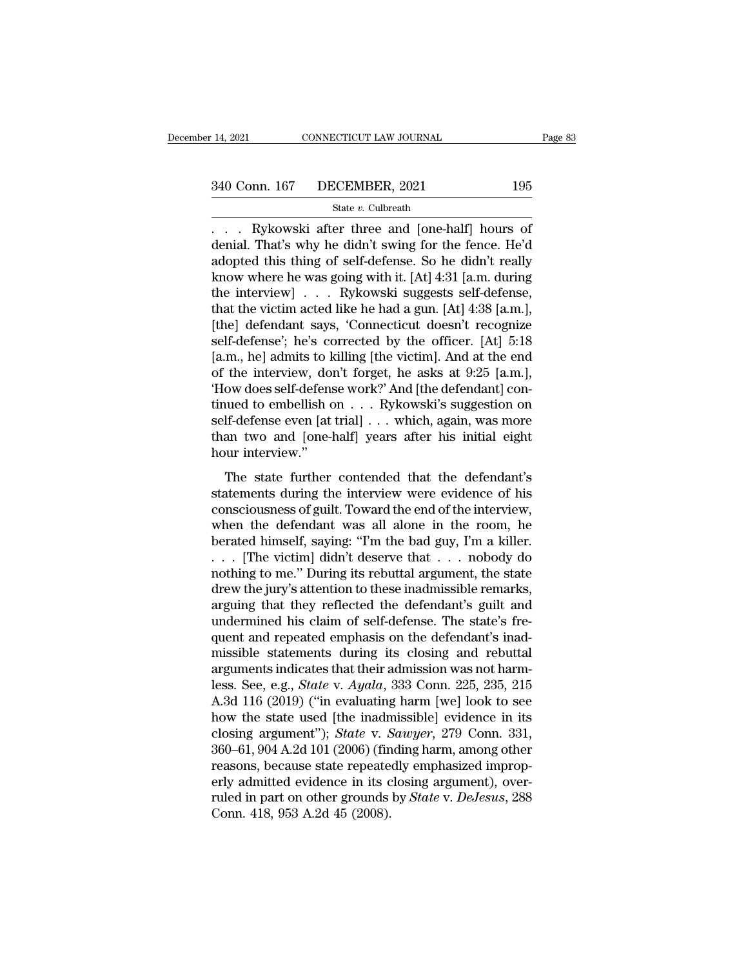# State *v.* Culbreath

14, 2021 CONNECTICUT LAW JOURNAL Page 8:<br>
340 Conn. 167 DECEMBER, 2021 195<br>
5tate v. Culbreath<br>
... Rykowski after three and [one-half] hours of denial. That's why he didn't swing for the fence. He'd  $\frac{340 \text{ Conn. } 167 \qquad \text{DECEMBER, } 2021 \qquad \qquad 195}$ <br>  $\frac{\text{State } v. \text{ Cubireath}}{\text{date. } \text{Cubic} \cdot \text{Cubic} \cdot \text{Cubic} \cdot \text{Cubic} \cdot \text{Colic}}$ <br>  $\frac{\text{denial. That's why he didn't swing for the fence. He'd adopted this thing of self-defense. So he didn't really  
know where he was going with it [A+1.4:31 [a m during the image].}$ 340 Conn. 167 DECEMBER, 2021 195<br>
State v. Culbreath<br>
... Rykowski after three and [one-half] hours of<br>
denial. That's why he didn't swing for the fence. He'd<br>
adopted this thing of self-defense. So he didn't really<br>
know 340 Conn. 167 DECEMBER, 2021 195<br>
State v. Culbreath<br>
... Rykowski after three and [one-half] hours of<br>
denial. That's why he didn't swing for the fence. He'd<br>
adopted this thing of self-defense. So he didn't really<br>
know State v. Culbreath<br>
State v. Culbreath<br>
... Rykowski after three and [one-half] hours of<br>
denial. That's why he didn't swing for the fence. He'd<br>
adopted this thing of self-defense. So he didn't really<br>
know where he was state v. Cubreath<br>
. . . . Rykowski after three and [one-half] hours of<br>
denial. That's why he didn't swing for the fence. He'd<br>
adopted this thing of self-defense. So he didn't really<br>
know where he was going with it. [A . . . Rykowski after three and [one-half] hours of<br>denial. That's why he didn't swing for the fence. He'd<br>adopted this thing of self-defense. So he didn't really<br>know where he was going with it. [At] 4:31 [a.m. during<br>the denial. That's why he didn't swing for the fence. He'd<br>adopted this thing of self-defense. So he didn't really<br>know where he was going with it. [At] 4:31 [a.m. during<br>the interview] . . . Rykowski suggests self-defense,<br>t adopted this thing of self-defense. So he didn't really<br>know where he was going with it. [At] 4:31 [a.m. during<br>the interview] . . . Rykowski suggests self-defense,<br>that the victim acted like he had a gun. [At] 4:38 [a.m. know where he was going with it. [At] 4:31 [a.m. during<br>the interview] . . . Rykowski suggests self-defense,<br>that the victim acted like he had a gun. [At] 4:38 [a.m.],<br>[the] defendant says, 'Connecticut doesn't recognize<br> the interview] . . . Rykowski suggests self-defense,<br>that the victim acted like he had a gun. [At] 4:38 [a.m.],<br>[the] defendant says, 'Connecticut doesn't recognize<br>self-defense'; he's corrected by the officer. [At] 5:18<br>[ that the victim acted like he had a gun. [At] 4:38 [a.m.],<br>[the] defendant says, 'Connecticut doesn't recognize<br>self-defense'; he's corrected by the officer. [At] 5:18<br>[a.m., he] admits to killing [the victim]. And at the [the] defendant says, 'Connecticut doesn't recognize<br>self-defense'; he's corrected by the officer. [At] 5:18<br>[a.m., he] admits to killing [the victim]. And at the end<br>of the interview, don't forget, he asks at 9:25 [a.m.], self-defense'; he's corrected by the officer. [At] 5:18 [a.m., he] admits to killing [the victim]. And at the end of the interview, don't forget, he asks at 9:25 [a.m.], 'How does self-defense work?' And [the defendant] co [a.m., he] admits to k<br>of the interview, doi<br>'How does self-defens<br>tinued to embellish c<br>self-defense even [at<br>than two and [one-l<br>hour interview."<br>The state further ow does self-defense work?' And [the defendant] con-<br>ued to embellish on  $\dots$  Rykowski's suggestion on<br>If-defense even [at trial]  $\dots$  which, again, was more<br>an two and [one-half] years after his initial eight<br>vur intervi Frow does sen defense work. This pair defectionally continued to embellish on  $\dots$  Rykowski's suggestion on self-defense even [at trial]  $\dots$  which, again, was more than two and [one-half] years after his initial eight ho

conscinuous of  $\cdot \cdot \cdot \cdot$  is the interview.<br>
Self-defense even [at trial]  $\cdot \cdot \cdot$  which, again, was more<br>
than two and [one-half] years after his initial eight<br>
hour interview."<br>
The state further contended that the defe when the defendant was increased by the defendant was all alone in the room, he bended that the defendant's statements during the interview were evidence of his consciousness of guilt. Toward the end of the interview, whe between the state further contended that the defendant's<br>statements during the interview were evidence of his<br>consciousness of guilt. Toward the end of the interview,<br>when the defendant was all alone in the room, he<br>berate The state further contended that the defendant's<br>statements during the interview were evidence of his<br>consciousness of guilt. Toward the end of the interview,<br>when the defendant was all alone in the room, he<br>berated himse The state further contended that the defendant's<br>statements during the interview were evidence of his<br>consciousness of guilt. Toward the end of the interview,<br>when the defendant was all alone in the room, he<br>berated himse statements during the interview were evidence of his consciousness of guilt. Toward the end of the interview, when the defendant was all alone in the room, he berated himself, saying: "I'm the bad guy, I'm a killer.<br>
. . . consciousness of guilt. Toward the end of the interview,<br>when the defendant was all alone in the room, he<br>berated himself, saying: "I'm the bad guy, I'm a killer.<br>... [The victim] didn't deserve that ... nobody do<br>nothing when the defendant was all alone in the room, he<br>berated himself, saying: "I'm the bad guy, I'm a killer.<br>... [The victim] didn't deserve that ... nobody do<br>nothing to me." During its rebuttal argument, the state<br>drew the berated himself, saying: "I'm the bad guy, I'm a killer.<br>  $\ldots$  [The victim] didn't deserve that  $\ldots$  nobody do<br>
nothing to me." During its rebuttal argument, the state<br>
drew the jury's attention to these inadmissible re ... [The victim] didn't deserve that ... nobody do<br>nothing to me." During its rebuttal argument, the state<br>drew the jury's attention to these inadmissible remarks,<br>arguing that they reflected the defendant's guilt and<br>und nothing to me." During its rebuttal argument, the state<br>drew the jury's attention to these inadmissible remarks,<br>arguing that they reflected the defendant's guilt and<br>undermined his claim of self-defense. The state's fredrew the jury's attention to these inadmissible remarks,<br>arguing that they reflected the defendant's guilt and<br>undermined his claim of self-defense. The state's fre-<br>quent and repeated emphasis on the defendant's inad-<br>mis arguing that they reflected the defendant's guilt and<br>undermined his claim of self-defense. The state's fre-<br>quent and repeated emphasis on the defendant's inad-<br>missible statements during its closing and rebuttal<br>argumen undermined his claim of self-defense. The state's frequent and repeated emphasis on the defendant's inadmissible statements during its closing and rebuttal arguments indicates that their admission was not harmless. See, e quent and repeated emphasis on the defendant's inad-<br>missible statements during its closing and rebuttal<br>arguments indicates that their admission was not harm-<br>less. See, e.g., *State* v. *Ayala*, 333 Conn. 225, 235, 215<br>A missible statements during its closing and rebuttal<br>arguments indicates that their admission was not harm-<br>less. See, e.g., *State* v. *Ayala*, 333 Conn. 225, 235, 215<br>A.3d 116 (2019) ("in evaluating harm [we] look to see<br> arguments indicates that their admission was not harm-<br>less. See, e.g., *State* v. *Ayala*, 333 Conn. 225, 235, 215<br>A.3d 116 (2019) ("in evaluating harm [we] look to see<br>how the state used [the inadmissible] evidence in it less. See, e.g., *State v. Ayala*, 333 Conn. 225, 235, 215<br>A.3d 116 (2019) ("in evaluating harm [we] look to see<br>how the state used [the inadmissible] evidence in its<br>closing argument"); *State v. Sawyer*, 279 Conn. 331,<br> A.3d 116 (2019) ("in evaluating harm [we] look to see<br>how the state used [the inadmissible] evidence in its<br>closing argument"); *State* v. *Sawyer*, 279 Conn. 331,<br>360–61, 904 A.2d 101 (2006) (finding harm, among other<br>rea how the state used [the inadn<br>closing argument"); *State* v. *S*<br>360–61, 904 A.2d 101 (2006) (fin<br>reasons, because state repeate<br>erly admitted evidence in its c<br>ruled in part on other grounds<br>Conn. 418, 953 A.2d 45 (2008).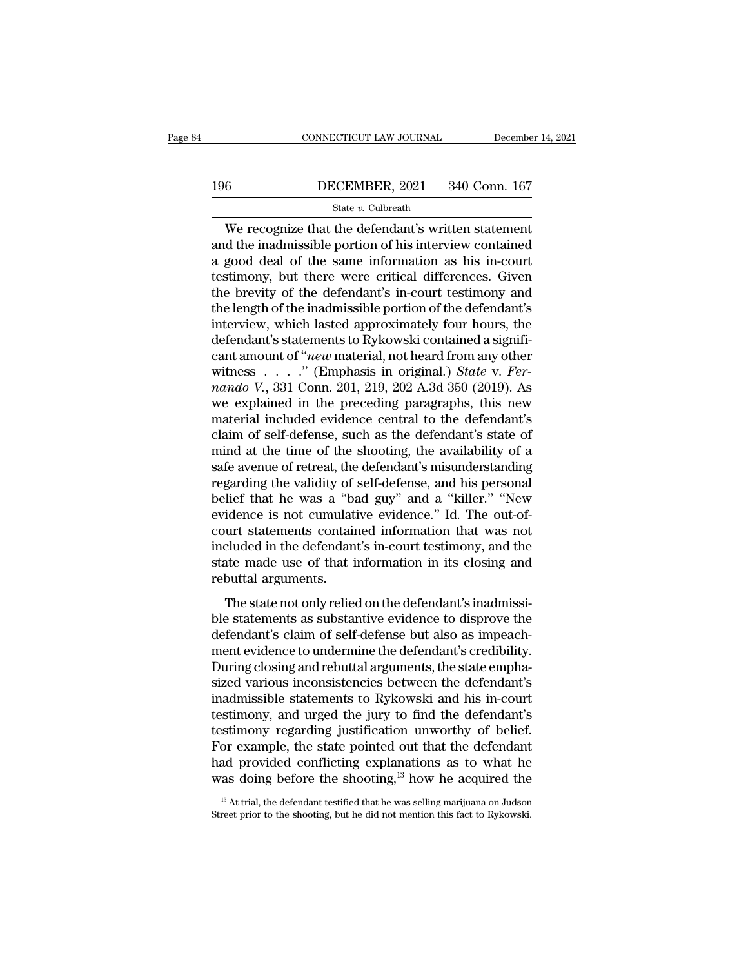# CONNECTICUT LAW JOURNAL December 14, 2021<br>196 DECEMBER, 2021 340 Conn. 167<br>State v. Culbreath

# State *v.* Culbreath

CONNECTICUT LAW JOURNAL December 14, 202<br>  $\frac{6}{5}$  DECEMBER, 2021 340 Conn. 167<br>  $\frac{6}{5}$  State v. Culbreath<br>
We recognize that the defendant's written statement<br>
d the inadmissible portion of his interview contained<br>
s 196 DECEMBER, 2021 340 Conn. 167<br>
State v. Culbreath<br>
We recognize that the defendant's written statement<br>
and the inadmissible portion of his interview contained<br>
a good deal of the same information as his in-court<br>
toti 196 DECEMBER, 2021 340 Conn. 167<br>
State v. Culbreath<br>
We recognize that the defendant's written statement<br>
and the inadmissible portion of his interview contained<br>
a good deal of the same information as his in-court<br>
test 196 DECEMBER, 2021 340 Conn. 167<br>
State v. Culbreath<br>
We recognize that the defendant's written statement<br>
and the inadmissible portion of his interview contained<br>
a good deal of the same information as his in-court<br>
test State v. Culbreath<br>State v. Culbreath<br>and the inadmissible portion of his interview contained<br>a good deal of the same information as his in-court<br>testimony, but there were critical differences. Given<br>the brevity of the de State v. Culbreath<br>
We recognize that the defendant's written statement<br>
and the inadmissible portion of his interview contained<br>
a good deal of the same information as his in-court<br>
testimony, but there were critical dif We recognize that the defendant's written statement<br>and the inadmissible portion of his interview contained<br>a good deal of the same information as his in-court<br>testimony, but there were critical differences. Given<br>the brev and the inadmissible portion of his interview contained<br>a good deal of the same information as his in-court<br>testimony, but there were critical differences. Given<br>the brevity of the defendant's in-court testimony and<br>the l a good deal of the same information as his in-court<br>testimony, but there were critical differences. Given<br>the brevity of the defendant's in-court testimony and<br>the length of the inadmissible portion of the defendant's<br>inte testimony, but there were critical differences. Given<br>the brevity of the defendant's in-court testimony and<br>the length of the inadmissible portion of the defendant's<br>interview, which lasted approximately four hours, the<br>de the brevity of the defendant's in-court testimony and<br>the length of the inadmissible portion of the defendant's<br>interview, which lasted approximately four hours, the<br>defendant's statements to Rykowski contained a signifi-<br> the length of the inadmissible portion of the defendant's<br>interview, which lasted approximately four hours, the<br>defendant's statements to Rykowski contained a signifi-<br>cant amount of "*new* material, not heard from any ot interview, which lasted approximately four hours, the<br>defendant's statements to Rykowski contained a signifi-<br>cant amount of "*new* material, not heard from any other<br>witness . . . . . " (Emphasis in original.) *State v.* defendant's statements to Rykowski contained a significant amount of "*new* material, not heard from any other witness . . . . . " (Emphasis in original.) *State v. Fernando V.*, 331 Conn. 201, 219, 202 A.3d 350 (2019). A cant amount of "*new* material, not heard from any other<br>witness . . . . . " (Emphasis in original.) *State v. Fer-*<br>*nando V.*, 331 Conn. 201, 219, 202 A.3d 350 (2019). As<br>we explained in the preceding paragraphs, this n witness . . . . . " (Emphasis in original.) *State v. Fernando V.*, 331 Conn. 201, 219, 202 A.3d 350 (2019). As<br>we explained in the preceding paragraphs, this new<br>material included evidence central to the defendant's<br>clai mando V., 331 Conn. 201, 219, 202 A.3d 350 (2019). As<br>we explained in the preceding paragraphs, this new<br>material included evidence central to the defendant's<br>claim of self-defense, such as the defendant's state of<br>mind a we explained in the preceding paragraphs, this new<br>material included evidence central to the defendant's<br>claim of self-defense, such as the defendant's state of<br>mind at the time of the shooting, the availability of a<br>safe material included evidence central to the defendant's<br>claim of self-defense, such as the defendant's state of<br>mind at the time of the shooting, the availability of a<br>safe avenue of retreat, the defendant's misunderstanding claim of self-defense, such as the defendant's state of<br>mind at the time of the shooting, the availability of a<br>safe avenue of retreat, the defendant's misunderstanding<br>regarding the validity of self-defense, and his perso mind at the time of the shooting, the availability of a<br>safe avenue of retreat, the defendant's misunderstanding<br>regarding the validity of self-defense, and his personal<br>belief that he was a "bad guy" and a "killer." "New<br> safe avenue of retreat, the defendant's misunderstanding<br>regarding the validity of self-defense, and his personal<br>belief that he was a "bad guy" and a "killer." "New<br>evidence is not cumulative evidence." Id. The out-of-<br>co regarding the validity of<br>belief that he was a "ba<br>evidence is not cumulat<br>court statements contain<br>included in the defendan<br>state made use of that i<br>rebuttal arguments.<br>The state not only relies The state is not cumulative evidence." Id. The out-of-<br>idence is not cumulative evidence." Id. The out-of-<br>urt statements contained information that was not<br>cluded in the defendant's in-court testimony, and the<br>ate made us ble statements contained information that was not<br>included in the defendant's in-court testimony, and the<br>state made use of that information in its closing and<br>rebuttal arguments.<br>The state not only relied on the defendant

included in the defendant's in-court testimony, and the<br>state made use of that information in its closing and<br>rebuttal arguments.<br>The state not only relied on the defendant's inadmissi-<br>ble statements as substantive eviden mentated in the defendant 5 in codit testimoly, and the<br>state made use of that information in its closing and<br>rebuttal arguments.<br>The state not only relied on the defendant's inadmissi-<br>ble statements as substantive eviden rebuttal arguments.<br>The state not only relied on the defendant's inadmissible statements as substantive evidence to disprove the<br>defendant's claim of self-defense but also as impeach-<br>ment evidence to undermine the defenda The state not only relied on the defendant's inadmissi-<br>ble statements as substantive evidence to disprove the<br>defendant's claim of self-defense but also as impeach-<br>ment evidence to undermine the defendant's credibility.<br> The state not only relied on the defendant's inadmissible statements as substantive evidence to disprove the defendant's claim of self-defense but also as impeachment evidence to undermine the defendant's credibility. Duri ble statements as substantive evidence to disprove the<br>defendant's claim of self-defense but also as impeach-<br>ment evidence to undermine the defendant's credibility.<br>During closing and rebuttal arguments, the state empha-<br> defendant's claim of self-defense but also as impeach-<br>ment evidence to undermine the defendant's credibility.<br>During closing and rebuttal arguments, the state empha-<br>sized various inconsistencies between the defendant's<br>i ment evidence to undermine the defendant's credibility.<br>During closing and rebuttal arguments, the state emphasized various inconsistencies between the defendant's<br>inadmissible statements to Rykowski and his in-court<br>testi During closing and rebuttal arguments, the state empha-<br>sized various inconsistencies between the defendant's<br>inadmissible statements to Rykowski and his in-court<br>testimony, and urged the jury to find the defendant's<br>testi sized various inconsistencies between the defendant's<br>inadmissible statements to Rykowski and his in-court<br>testimony, and urged the jury to find the defendant's<br>testimony regarding justification unworthy of belief.<br>For ex testimony regarding justification unworthy of belief.<br>For example, the state pointed out that the defendant<br>had provided conflicting explanations as to what he<br>was doing before the shooting,<sup>13</sup> how he acquired the<br> $\frac{13$ was doing before the shooting,  $\frac{13}{12}$  how he acquired the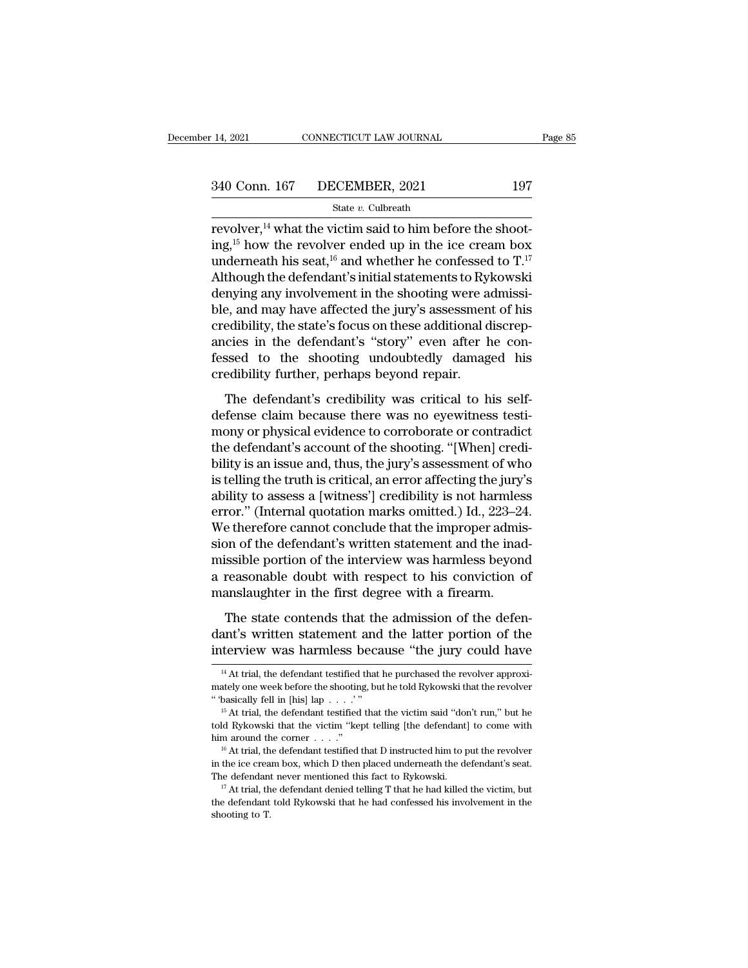# State *v.* Culbreath

14, 2021 CONNECTICUT LAW JOURNAL<br>
240 Conn. 167 DECEMBER, 2021 197<br>
<sup>21</sup> State v. Culbreath<br>
197<br>
<sup>197</sup> Tervolver,<sup>14</sup> what the victim said to him before the shoot-<br>
ing,<sup>15</sup> how the revolver ended up in the ice cream box 340 Conn. 167 DECEMBER, 2021 197<br>
State v. Culbreath<br>
revolver,<sup>14</sup> what the victim said to him before the shoot-<br>
ing,<sup>15</sup> how the revolver ended up in the ice cream box<br>
underneath his seat,<sup>16</sup> and whether he confessed 340 Conn. 167 DECEMBER, 2021 197<br>
State v. Culbreath<br>
revolver,<sup>14</sup> what the victim said to him before the shoot-<br>
ing,<sup>15</sup> how the revolver ended up in the ice cream box<br>
underneath his seat,<sup>16</sup> and whether he confessed 340 Conn. 167 DECEMBER, 2021 197<br>
State v. Culbreath<br>
revolver,<sup>14</sup> what the victim said to him before the shoot-<br>
ing,<sup>15</sup> how the revolver ended up in the ice cream box<br>
underneath his seat,<sup>16</sup> and whether he confessed State v. Culbreath<br>
revolver,<sup>14</sup> what the victim said to him before the shoot-<br>
ing,<sup>15</sup> how the revolver ended up in the ice cream box<br>
underneath his seat,<sup>16</sup> and whether he confessed to T.<sup>17</sup><br>
Although the defendant state v. Cubream<br>revolver,<sup>14</sup> what the victim said to him before the shoot-<br>ing,<sup>15</sup> how the revolver ended up in the ice cream box<br>underneath his seat,<sup>16</sup> and whether he confessed to  $T$ .<sup>17</sup><br>Although the defendant's i revolver,<sup>14</sup> what the victim said to him before the shooting,<sup>15</sup> how the revolver ended up in the ice cream box underneath his seat,<sup>16</sup> and whether he confessed to  $T$ .<sup>17</sup> Although the defendant's initial statements t ing,<sup>15</sup> how the revolver ended up in the ice cream box<br>underneath his seat,<sup>16</sup> and whether he confessed to  $T$ .<sup>17</sup><br>Although the defendant's initial statements to Rykowski<br>denying any involvement in the shooting were ad underneath his seat,<sup>16</sup> and whether he confessed to  $T^{17}$ .<br>Although the defendant's initial statements to Rykowski<br>denying any involvement in the shooting were admissi-<br>ble, and may have affected the jury's assessment Although the defendant's initial statements to Ry<br>denying any involvement in the shooting were a<br>ble, and may have affected the jury's assessmen<br>credibility, the state's focus on these additional d<br>ancies in the defendant' The defendant's credibility, the state's focus on these additional discrepcies in the defendant's "story" even after he conssed to the shooting undoubtedly damaged his edibility further, perhaps beyond repair.<br>The defendan see, and may have directed the *yary* is also<br>seedibility, the state's focus on these additional discrep-<br>ancies in the defendant's "story" even after he con-<br>fessed to the shooting undoubtedly damaged his<br>credibility furt

moles in the defendant's "story" even after he confessed to the shooting undoubtedly damaged his credibility further, perhaps beyond repair.<br>The defendant's credibility was critical to his self-<br>defense claim because there The defendant's every the line in the state<br>fessed to the shooting undoubtedly damaged his<br>credibility further, perhaps beyond repair.<br>The defendant's credibility was critical to his self-<br>defense claim because there was n beyond repair.<br>
The defendant's credibility was critical to his self-<br>
defense claim because there was no eyewitness testi-<br>
mony or physical evidence to corroborate or contradict<br>
the defendant's account of the shooting. The defendant's credibility was critical to his self-<br>defense claim because there was no eyewitness testi-<br>mony or physical evidence to corroborate or contradict<br>the defendant's account of the shooting. "[When] credi-<br>bil The defendant's credibility was critical to his self-<br>defense claim because there was no eyewitness testi-<br>mony or physical evidence to corroborate or contradict<br>the defendant's account of the shooting. "[When] credi-<br>bili defense claim because there was no eyewitness testi-<br>mony or physical evidence to corroborate or contradict<br>the defendant's account of the shooting. "[When] credi-<br>bility is an issue and, thus, the jury's assessment of who mony or physical evidence to corroborate or contradict<br>the defendant's account of the shooting. "[When] credi-<br>bility is an issue and, thus, the jury's assessment of who<br>is telling the truth is critical, an error affecting the defendant's account of the shooting. "[When] credibility is an issue and, thus, the jury's assessment of who<br>is telling the truth is critical, an error affecting the jury's<br>ability to assess a [witness'] credibility is bility is an issue and, thus, the jury's assessment of who<br>is telling the truth is critical, an error affecting the jury's<br>ability to assess a [witness'] credibility is not harmless<br>error." (Internal quotation marks omitte is telling the truth is critical, an error affecting the jury's<br>ability to assess a [witness'] credibility is not harmless<br>error." (Internal quotation marks omitted.) Id., 223–24.<br>We therefore cannot conclude that the impr ability to assess a [witness'] credibility is not harmles<br>error." (Internal quotation marks omitted.) Id., 223–24<br>We therefore cannot conclude that the improper admis<br>sion of the defendant's written statement and the inac<br> e therefore cannot conclude that the improper admis-<br>on of the defendant's written statement and the inad-<br>issible portion of the interview was harmless beyond<br>reasonable doubt with respect to his conviction of<br>anslaughter sion of the defendant's written statement and the inad-<br>missible portion of the interview was harmless beyond<br>a reasonable doubt with respect to his conviction of<br>manslaughter in the first degree with a firearm.<br>The state missible portion of the interview was harmless beyond<br>a reasonable doubt with respect to his conviction of<br>manslaughter in the first degree with a firearm.<br>The state contends that the admission of the defen-<br>dant's written

The state contends that the admission of the defenant's written statement and the latter portion of the terview was harmless because "the jury could have  $\frac{14}{14}$  At trial, the defendant testified that he purchased the The state contends that the admission of the defendant's written statement and the latter portion of the interview was harmless because "the jury could have  $\frac{14 \text{ At trial, the defendant testified that he purchased the revolver approximately one week before the shooting, but he told Rykowski that the revolver "basically fell in [his] lap. . . . ."$ 

dant's written statement and the latter portion of the<br>interview was harmless because "the jury could have<br> $\frac{14 \text{ At trial, the defendant testing that he purchased the revolver approximately one week before the shooting, but he told Rykowski that the vector "basic" is the original time, which is the original time, the original time, the original time is the standard time. The original time is the standard time, the initial time is the standard time. The final time is the standard time, the initial time is the standard time. The final time is the standard time, the total time is the standard time. The final time$ 

 $^{14}$  At trial, the defendant testified that he purchased the revolver approximately one week before the shooting, but he told Rykowski that the revolver "basically fell in [his] lap . . . . '"<br>
<sup>15</sup> At trial, the defend <sup>14</sup> At trial, the defendant testified that he purchased the revolver approximately one week before the shooting, but he told Rykowski that the revolver "basically fell in [his] lap . . . .'"<br><sup>15</sup> At trial, the defendant The defendant never mentioned this fact to Rykowski.<br>
In At trial, the defendant testified that the victim said "don't run," but he<br>
told Rykowski that the victim "kept telling [the defendant] to come with<br>  $^{16}$  At tria

told Rykowski that the victim "kept telling [the defendant] to come with him around the corner . . . ."<br><sup>16</sup> At trial, the defendant testified that D instructed him to put the revolver in the ice cream box, which D then p the defendant defendant testified that D instructed him to put the revolver in the ice cream box, which D then placed underneath the defendant's seat.<br>The defendant never mentioned this fact to Rykowski.<br><sup>17</sup> At trial, th

in the ice cream box, which D then placed underneath the defendant's seat. The defendant never mentioned this fact to Rykowski.  $\frac{17}{17}$  At trial, the defendant denied telling T that he had killed the victim, but the d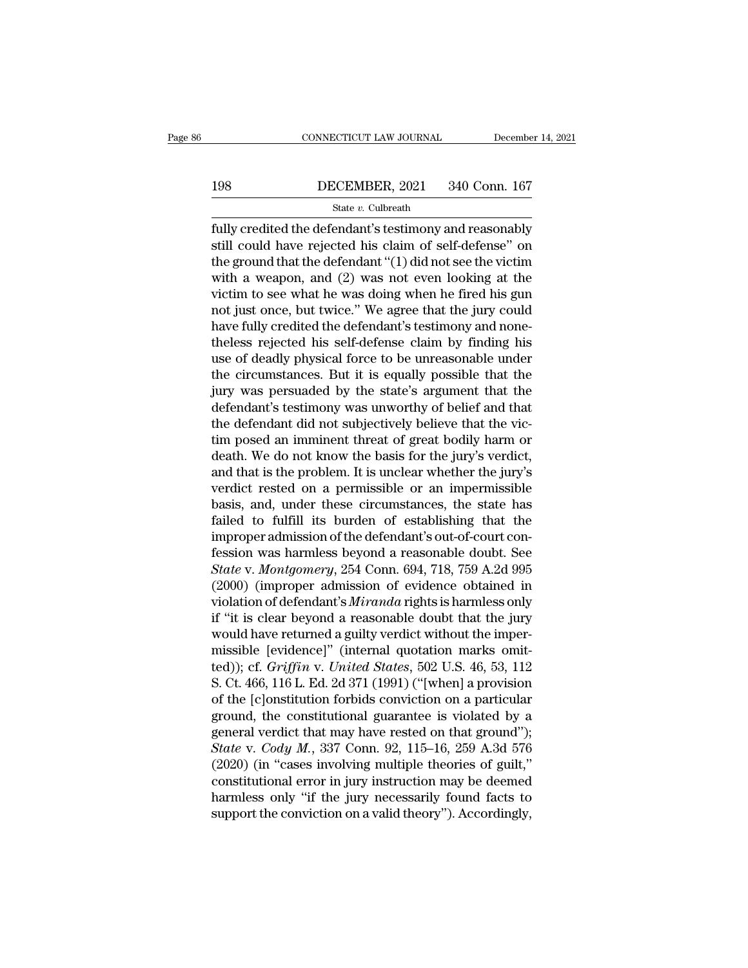# CONNECTICUT LAW JOURNAL December 14, 2021<br>198 DECEMBER, 2021 340 Conn. 167<br>State v. Culbreath

# State *v.* Culbreath

FULLER CONNECTICUT LAW JOURNAL December 14, 2021<br>
198 DECEMBER, 2021 340 Conn. 167<br>
State v. Culbreath<br>
fully credited the defendant's testimony and reasonably<br>
still could have rejected his claim of self-defense" on<br>
the 198 DECEMBER, 2021 340 Conn. 167<br>
State v. Culbreath<br>
fully credited the defendant's testimony and reasonably<br>
still could have rejected his claim of self-defense'' on<br>
the ground that the defendant "(1) did not see the v 198 DECEMBER, 2021 340 Conn. 167<br>
State v. Culbreath<br>
fully credited the defendant's testimony and reasonably<br>
still could have rejected his claim of self-defense" on<br>
the ground that the defendant "(1) did not see the vi DECEMBER, 2021 340 Conn. 167<br>
State v. Culbreath<br>
Tully credited the defendant's testimony and reasonably<br>
still could have rejected his claim of self-defense" on<br>
the ground that the defendant "(1) did not see the victim State v. Culbreath<br>
fully credited the defendant's testimony and reasonably<br>
still could have rejected his claim of self-defense" on<br>
the ground that the defendant "(1) did not see the victim<br>
with a weapon, and (2) was n state  $v$ . Cubream<br>
fully credited the defendant's testimony and reasonably<br>
still could have rejected his claim of self-defense" on<br>
the ground that the defendant "(1) did not see the victim<br>
with a weapon, and (2) was n fully credited the defendant's testimony and reasonably<br>still could have rejected his claim of self-defense" on<br>the ground that the defendant " $(1)$  did not see the victim<br>with a weapon, and  $(2)$  was not even looking at still could have rejected his claim of self-defense" on<br>the ground that the defendant "(1) did not see the victim<br>with a weapon, and (2) was not even looking at the<br>victim to see what he was doing when he fired his gun<br>not the ground that the defendant "(1) did not see the victim<br>with a weapon, and (2) was not even looking at the<br>victim to see what he was doing when he fired his gun<br>not just once, but twice." We agree that the jury could<br>hav with a weapon, and (2) was not even looking at the<br>victim to see what he was doing when he fired his gun<br>not just once, but twice." We agree that the jury could<br>have fully credited the defendant's testimony and none-<br>thele victim to see what he was doing when he fired his gun<br>not just once, but twice." We agree that the jury could<br>have fully credited the defendant's testimony and none-<br>theless rejected his self-defense claim by finding his<br>u not just once, but twice." We agree that the jury could<br>have fully credited the defendant's testimony and none-<br>theless rejected his self-defense claim by finding his<br>use of deadly physical force to be unreasonable under<br>t have fully credited the defendant's testimony and none-<br>theless rejected his self-defense claim by finding his<br>use of deadly physical force to be unreasonable under<br>the circumstances. But it is equally possible that the<br>ju theless rejected his self-defense claim by finding his<br>use of deadly physical force to be unreasonable under<br>the circumstances. But it is equally possible that the<br>jury was persuaded by the state's argument that the<br>defend use of deadly physical force to be unreasonable under<br>the circumstances. But it is equally possible that the<br>jury was persuaded by the state's argument that the<br>defendant's testimony was unworthy of belief and that<br>the def the circumstances. But it is equally possible that the<br>jury was persuaded by the state's argument that the<br>defendant's testimony was unworthy of belief and that<br>the defendant did not subjectively believe that the vic-<br>tim jury was persuaded by the state's argument that the<br>defendant's testimony was unworthy of belief and that<br>the defendant did not subjectively believe that the vic-<br>tim posed an imminent threat of great bodily harm or<br>death. defendant's testimony was unworthy of belief and that<br>the defendant did not subjectively believe that the vic-<br>tim posed an imminent threat of great bodily harm or<br>death. We do not know the basis for the jury's verdict,<br>an the defendant did not subjectively believe that the victim posed an imminent threat of great bodily harm or death. We do not know the basis for the jury's verdict, and that is the problem. It is unclear whether the jury's tim posed an imminent threat of great bodily harm or<br>death. We do not know the basis for the jury's verdict,<br>and that is the problem. It is unclear whether the jury's<br>verdict rested on a permissible or an impermissible<br>ba death. We do not know the basis for the jury's verdict,<br>and that is the problem. It is unclear whether the jury's<br>verdict rested on a permissible or an impermissible<br>basis, and, under these circumstances, the state has<br>fai and that is the problem. It is unclear whether the jury's<br>verdict rested on a permissible or an impermissible<br>basis, and, under these circumstances, the state has<br>failed to fulfill its burden of establishing that the<br>impro verdict rested on a permissible or an impermissible<br>basis, and, under these circumstances, the state has<br>failed to fulfill its burden of establishing that the<br>improper admission of the defendant's out-of-court con-<br>fession basis, and, under these circumstances, the state has<br>failed to fulfill its burden of establishing that the<br>improper admission of the defendant's out-of-court con-<br>fession was harmless beyond a reasonable doubt. See<br>*State* failed to fulfill its burden of establishing that the<br>
improper admission of the defendant's out-of-court con-<br>
fession was harmless beyond a reasonable doubt. See<br> *State* v. *Montgomery*, 254 Conn. 694, 718, 759 A.2d 995 improper admission of the defendant's out-of-court confession was harmless beyond a reasonable doubt. See<br>State v. Montgomery, 254 Conn. 694, 718, 759 A.2d 995<br>(2000) (improper admission of evidence obtained in<br>violation fession was harmless beyond a reasonable doubt. See<br> *State* v. *Montgomery*, 254 Conn. 694, 718, 759 A.2d 995<br>
(2000) (improper admission of evidence obtained in<br>
violation of defendant's *Miranda* rights is harmless onl State v. *Montgomery*, 254 Conn. 694, 718, 759 A.2d 995<br>(2000) (improper admission of evidence obtained in<br>violation of defendant's *Miranda* rights is harmless only<br>if "it is clear beyond a reasonable doubt that the jury<br> (2000) (improper admission of evidence obtained in<br>violation of defendant's *Miranda* rights is harmless only<br>if "it is clear beyond a reasonable doubt that the jury<br>would have returned a guilty verdict without the imperviolation of defendant's *Miranda* rights is harmless only<br>if "it is clear beyond a reasonable doubt that the jury<br>would have returned a guilty verdict without the imper-<br>missible [evidence]" (internal quotation marks omi if "it is clear beyond a reasonable doubt that the jury<br>would have returned a guilty verdict without the imper-<br>missible [evidence]" (internal quotation marks omit-<br>ted)); cf. *Griffin* v. *United States*, 502 U.S. 46, 53 would have returned a guilty verdict without the imper-<br>missible [evidence]" (internal quotation marks omit-<br>ted)); cf. *Griffin* v. *United States*, 502 U.S. 46, 53, 112<br>S. Ct. 466, 116 L. Ed. 2d 371 (1991) ("[when] a pr missible [evidence]" (internal quotation marks omit-<br>ted)); cf. *Griffin* v. *United States*, 502 U.S. 46, 53, 112<br>S. Ct. 466, 116 L. Ed. 2d 371 (1991) ("[when] a provision<br>of the [c]onstitution forbids conviction on a par (2020); cf. *Griffin v. United States*, 502 U.S. 46, 53, 112 S. Ct. 466, 116 L. Ed. 2d 371 (1991) ("[when] a provision of the [c]onstitution forbids conviction on a particular ground, the constitutional guarantee is viola S. Ct. 466, 116 L. Ed. 2d 371 (1991) ("[when] a provision<br>of the [c]onstitution forbids conviction on a particular<br>ground, the constitutional guarantee is violated by a<br>general verdict that may have rested on that ground" of the [c]onstitution forbids conviction on a particular<br>ground, the constitutional guarantee is violated by a<br>general verdict that may have rested on that ground");<br> $State$  v.  $Cody$  *M*., 337 Conn. 92, 115–16, 259 A.3d 576<br>(2 ground, the constitutional guarantee is violated by a general verdict that may have rested on that ground"); State v. Cody M., 337 Conn. 92, 115–16, 259 A.3d 576 (2020) (in "cases involving multiple theories of guilt," co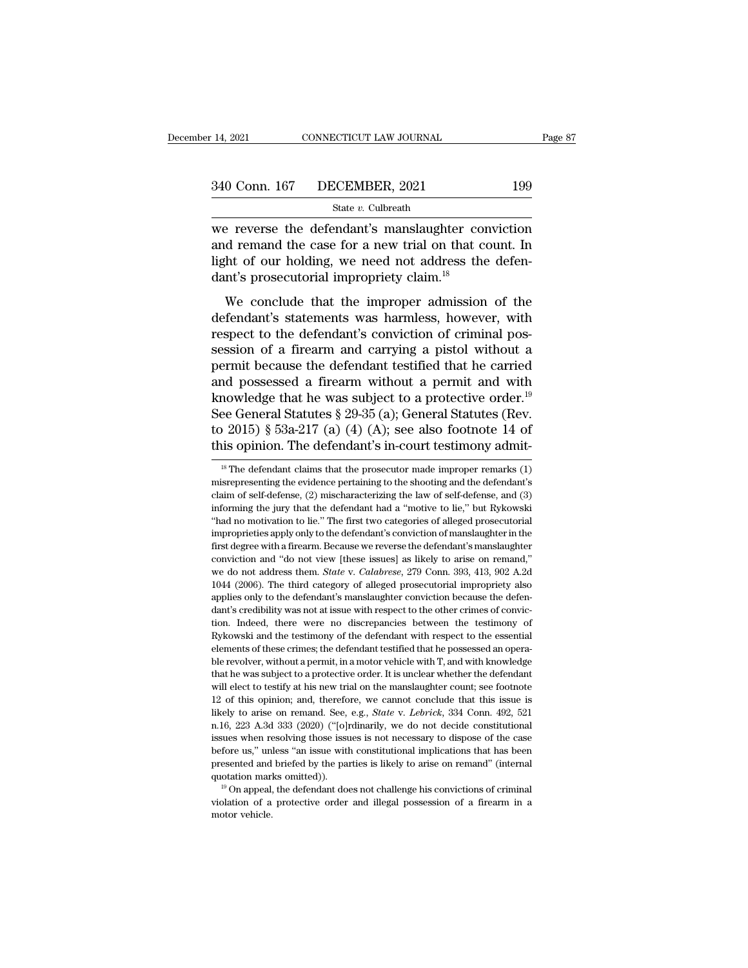State *v.* Culbreath

14, 2021 CONNECTICUT LAW JOURNAL Page 87<br>
340 Conn. 167 DECEMBER, 2021 199<br>
State v. Culbreath<br>
we reverse the defendant's manslaughter conviction<br>
and remand the case for a new trial on that count. In<br>
light of our holdin 340 Conn. 167 DECEMBER, 2021 199<br>
State v. Culbreath<br>
We reverse the defendant's manslaughter conviction<br>
and remand the case for a new trial on that count. In<br>
light of our holding, we need not address the defen-<br>
dant's 340 Conn. 167 DECEMBER, 2021 199<br>
State v. Culbreath<br>
we reverse the defendant's manslaughter conviction<br>
and remand the case for a new trial on that count. In<br>
light of our holding, we need not address the defen-<br>
dant's 340 Conn. 167 DECEMBER, 2021<br>
State v. Culbreath<br>
we reverse the defendant's manslaughter cond<br>
and remand the case for a new trial on that c<br>
light of our holding, we need not address the<br>
dant's prosecutorial impropriet State v. Culbreath<br>
Expresses the defendant's manslaughter conviction<br>
d remand the case for a new trial on that count. In<br>
the improper admission of the<br>
We conclude that the improper admission of the<br>
fendant's statemen we reverse the defendant's manslaughter conviction<br>and remand the case for a new trial on that count. In<br>light of our holding, we need not address the defen-<br>dant's prosecutorial impropriety claim.<sup>18</sup><br>We conclude that the

respective the defendant's manifologymer conviction<br>and remand the case for a new trial on that count. In<br>light of our holding, we need not address the defen-<br>dant's prosecutorial impropriety claim.<sup>18</sup><br>We conclude that th light of our holding, we need not address the defen-<br>dant's prosecutorial impropriety claim.<sup>18</sup><br>We conclude that the improper admission of the<br>defendant's statements was harmless, however, with<br>respect to the defendant's ment of surfacturial impropriety claim.<sup>18</sup><br>We conclude that the improper admission of the<br>defendant's statements was harmless, however, with<br>respect to the defendant's conviction of criminal pos-<br>session of a firearm and We conclude that the impropriety claim.<br>
defendant's statements was harmless, however, with<br>
respect to the defendant's conviction of criminal pos-<br>
session of a firearm and carrying a pistol without a<br>
permit because the We conclude that the improper admission of the<br>defendant's statements was harmless, however, with<br>respect to the defendant's conviction of criminal pos-<br>session of a firearm and carrying a pistol without a<br>permit because defendant's statements was harmless, however, with<br>respect to the defendant's conviction of criminal pos-<br>session of a firearm and carrying a pistol without a<br>permit because the defendant testified that he carried<br>and pos respect to the defendant's conviction of criminal possession of a firearm and carrying a pistol without a permit because the defendant testified that he carried and possessed a firearm without a permit and with knowledge session of a firearm and carrying a pistol without a<br>permit because the defendant testified that he carried<br>and possessed a firearm without a permit and with<br>knowledge that he was subject to a protective order.<sup>19</sup><br>See Ge nowledge that he was subject to a protective order."<br>
ee General Statutes § 29-35 (a); General Statutes (Rev.<br>
19 2015) § 53a-217 (a) (4) (A); see also footnote 14 of<br>
is opinion. The defendant's in-court testimony admit-See General Statutes § 29-35 (a); General Statutes (Rev.<br>to 2015) § 53a-217 (a) (4) (A); see also footnote 14 of<br>this opinion. The defendant's in-court testimony admit-<br><sup>18</sup> The defendant claims that the prosecutor made i

to 2015) § 53a-217 (a) (4) (A); see also footnote 14 of<br>this opinion. The defendant's in-court testimony admit-<br><sup>18</sup> The defendant claims that the prosecutor made improper remarks (1)<br>misrepresenting the evidence pertaini this opinion. The defendant's in-court testimony admit-<br>
<sup>18</sup> The defendant claims that the prosecutor made improper remarks (1)<br>
misrepresenting the evidence pertaining to the shooting and the defendant's<br>
claim of self-<sup>18</sup> The defendant claims that the prosecutor made improper remarks (1) misrepresenting the evidence pertaining to the shooting and the defendant's claim of self-defense, (2) mischaracterizing the law of self-defense, and <sup>18</sup> The defendant claims that the prosecutor made improper remarks  $(1)$  misrepresenting the evidence pertaining to the shooting and the defendant's claim of self-defense,  $(2)$  mischaracterizing the law of self-defense, misrepresenting the evidence pertaining to the shooting and the defendant's claim of self-defense, (2) mischaracterizing the law of self-defense, and (3) informing the jury that the defendant had a "motive to lie," but Ryk claim of self-defense, (2) mischaracterizing the law of self-defense, and (3) informing the jury that the defendant had a "motive to lie," but Rykowski "had no motivation to lie." The first two categories of alleged prose enforming the jury that the defendant had a "motive to lie," but Rykowski<br>"had no motivation to lie." The first two categories of alleged prosecutorial<br>""had no motivation to lie." The first two categories of alleged prose "Had no motivation to lie." The first two categories of alleged prosecutorial improprieties apply only to the defendant's conviction of manslaughter in the first degree with a firearm. Because we reverse the defendant's m improprieties apply only to the defendant's conviction of manslaughter in the first degree with a firearm. Because we reverse the defendant's manslaughter conviction and "do not view [these issues] as likely to arise on r first degree with a firearm. Because we reverse the defendant's manslaughter conviction and "do not view [these issues] as likely to arise on remand," we do not address them. *State* v. *Calabrese*, 279 Conn. 393, 413, 90 moviction and "do not view [these issues] as likely to arise on remand,"<br>conviction and "do not view [these issues] as likely to arise on remand,"<br>we do not address them. *State* v. *Calabrese*, 279 Conn. 393, 413, 902 A.2 we do not address them. *State* v. *Calabrese*, 279 Conn. 393, 413, 902 A.2d 1044 (2006). The third category of alleged prosecutorial impropriety also applies only to the defendant's manslaughter conviction because the def  $^{1044}$  (2006). The third category of alleged prosecutorial impropriety also applies only to the defendant's manslaughter conviction because the defendant's credibility was not at issue with respect to the other crimes o be revolver, with the defendant's manifold provided to the other crimes of conviction. Indeed, there were no discrepancies between the testimony of Rykowski and the testimony of the defendant with respect to the essential Express out, or the was subject to the other crimes of conviction. Indeed, there were no discrepancies between the testimony of Rykowski and the testimony of the defendant with respect to the essential elements of these cr ation. Indeed, there were no discrepancies between the testimony of Rykowski and the testimony of the defendant with respect to the essential elements of these crimes; the defendant testified that he possessed an operable Evaluation; and the testimony of the defendant with respect to the essential elements of these crimes; the defendant testified that he possessed an operable revolver, without a permit, in a motor vehicle with T, and with k elements of these crimes; the defendant testified that he possessed an opera-<br>ble revolver, without a permit, in a motor vehicle with T, and with knowledge<br>that he was subject to a protective order. It is unclear whether t ble revolver, without a permit, in a motor vehicle with T, and with knowledge that he was subject to a protective order. It is unclear whether the defendant will elect to testify at his new trial on the manslaughter count; that he was subject to a protective order. It is unclear whether the defendant will elect to testify at his new trial on the manslaughter count; see footnote 12 of this opinion; and, therefore, we cannot conclude that this will elect to testify at his new trial on the manslaughter count; see footnote 12 of this opinion; and, therefore, we cannot conclude that this issue is likely to arise on remand. See, e.g., *State v. Lebrick*, 334 Conn. 4 <sup>12</sup> of this opinion; and, therefore, we cannot conclude that this issue is likely to arise on remand. See, e.g., *State v. Lebrick*, 334 Conn. 492, 521 n.16, 223 A.3d 333 (2020) ("[o]rdinarily, we do not decide constitut Likely to arise on remand. See, e.g., *State v. Lebrick*, 334 Conn. 492, 521 n.16, 223 A.3d 333 (2020) ("[o]rdinarily, we do not decide constitutional issues when resolving those issues is not necessary to dispose of the issues when resolving those issues is not necessary to dispose of the case<br>before us," unless "an issue with constitutional implications that has been<br>presented and briefed by the parties is likely to arise on remand" (in issues when resolving those issues is not necessary to dispose of the case<br>before us," unless "an issue with constitutional implications that has been<br>presented and briefed by the parties is likely to arise on remand" (in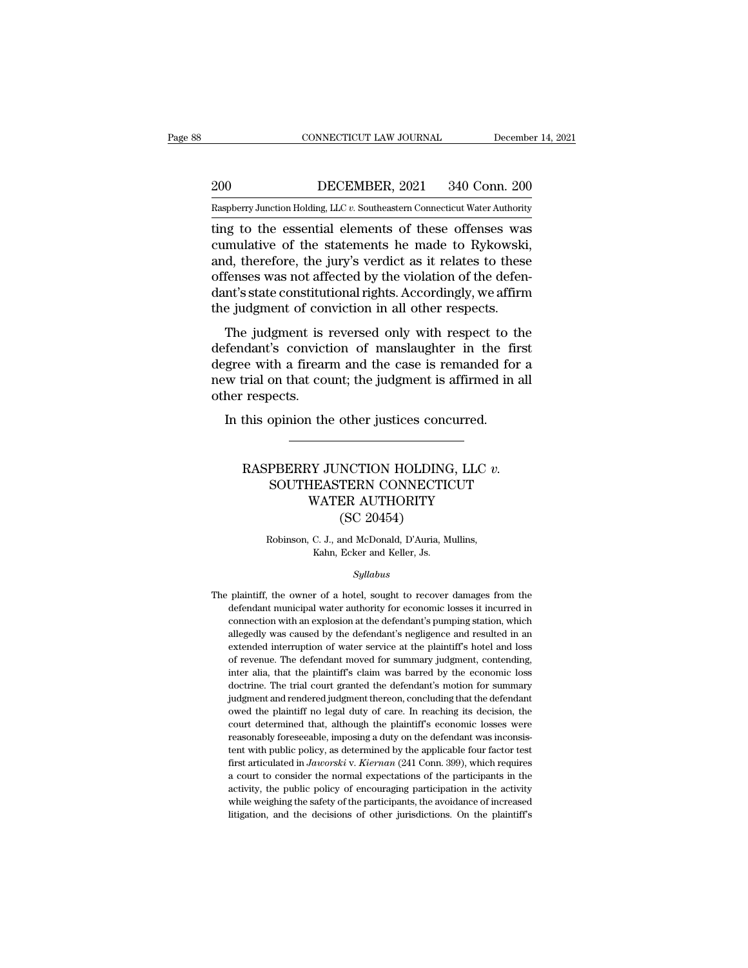EXECUTE CONNECTICUT LAW JOURNAL December 14, 2021<br>200 DECEMBER, 2021 340 Conn. 200<br>Raspberry Junction Holding, LLC v. Southeastern Connecticut Water Authority

CONNECTICUT LAW JOURNAL December 14, 2021<br>
200 DECEMBER, 2021 340 Conn. 200<br>
Raspberry Junction Holding, LLC *v.* Southeastern Connecticut Water Authority<br>
ting to the essential elements of these offenses was CONNECTICUT LAW JOURNAL December 14, 2021<br>
200 DECEMBER, 2021 340 Conn. 200<br>
Raspberry Junction Holding, LLC v. Southeastern Connecticut Water Authority<br>
ting to the essential elements of these offenses was<br>
cumulative of 200 DECEMBER, 2021 340 Conn. 200<br>
Raspberry Junction Holding, LLC v. Southeastern Connecticut Water Authority<br>
ting to the essential elements of these offenses was<br>
cumulative of the statements he made to Rykowski,<br>
and, t 200 DECEMBER, 2021 340 Conn. 200<br>
Raspberry Junction Holding, LLC v. Southeastern Connecticut Water Authority<br>
ting to the essential elements of these offenses was<br>
cumulative of the statements he made to Rykowski,<br>
and, **DECEMBER, 2021** 340 Conn. 200<br> **Example 12** Raspberry Junction Holding, LLC v. Southeastern Connecticut Water Authority<br>
ting to the essential elements of these offenses was<br>
cumulative of the statements he made to Rykows Raspberry Junction Holding, LLC v. Southeastern Connecticut Water Authority<br>
ting to the essential elements of these offenses was<br>
cumulative of the statements he made to Rykowski,<br>
and, therefore, the jury's verdict as it Example Try Junction Holding, LLC v. Southeastern Connecticut Water Authority<br>ting to the essential elements of these offenses was<br>cumulative of the statements he made to Rykowski<br>and, therefore, the jury's verdict as it r ig to the essential elements of these offenses was<br>mulative of the statements he made to Rykowski,<br>d, therefore, the jury's verdict as it relates to these<br>fenses was not affected by the violation of the defen-<br>nt's state c definition of the statements it made to hykowski,<br>and, therefore, the jury's verdict as it relates to these<br>offenses was not affected by the violation of the defen-<br>dant's state constitutional rights. Accordingly, we affir

and, therefore, the jury's vertact as it relates to these<br>offenses was not affected by the violation of the defen-<br>dant's state constitutional rights. Accordingly, we affirm<br>the judgment of conviction in all other respects oncludes was not anceted by the violation of the deferred<br>dant's state constitutional rights. Accordingly, we affirm<br>the judgment of conviction in all other respects.<br>The judgment is reversed only with respect to the<br>defen The judgment of computer<br>the judgment is<br>defendant's convict<br>degree with a firear<br>new trial on that conter respects.<br>In this opinion the The judgment is reversed only with respect to the filid fendant's conviction of manslaughter in the filid gree with a firearm and the case is remanded for wortial on that count; the judgment is affirmed in the respects.<br>In RASPBERRY JUNCTION HOLDING, LLC *v.*<br>SOUTHEASTERN CONNECTICUT<br>WATER ALTERNATION HOLDING, LLC *v.* 

# Solidate Sound, the Justices concurred.<br>
Sopinion the other justices concurred.<br>
FBERRY JUNCTION HOLDING, LLC  $v$ .<br>
SOUTHEASTERN CONNECTICUT<br>
WATER AUTHORITY<br>
(SC 20454) The other justices concurred.<br>
WATER MOLDING, LLC v.<br>
MATER AUTHORITY<br>
EASTERN CONNECTICUT<br>
WATER AUTHORITY<br>
(SC 20454) other justices conc<br>
MCTION HOLDING<br>
TERN CONNECTION<br>
ER AUTHORITY<br>
(SC 20454)<br>
and McDonald, D'Auria, M PBERRY JUNCTION HOLDING, LLC v.<br>SOUTHEASTERN CONNECTICUT<br>WATER AUTHORITY<br>(SC 20454)<br>Robinson, C. J., and McDonald, D'Auria, Mullins,<br>Kahn, Ecker and Keller, Js. EASTERN CONNECTION<br>
WATER AUTHORITY<br>
(SC 20454)<br>
C. J., and McDonald, D'Auria, M<br>
Kahn, Ecker and Keller, Js.<br>
Sullabus

# *Syllabus*

Robinson, C. J., and McDonald, D'Auria, Mullins,<br>Kahn, Ecker and Keller, Js.<br>Syllabus<br>The plaintiff, the owner of a hotel, sought to recover damages from the<br>defendant municipal water authority for economic losses it incur Robinson, C. J., and McDonald, D'Auria, Mullins,<br>Kahn, Ecker and Keller, Js.<br>Syllabus<br>plaintiff, the owner of a hotel, sought to recover damages from the<br>defendant municipal water authority for economic losses it incurred Kahn, Ecker and Keller, Js.<br>Syllabus<br>plaintiff, the owner of a hotel, sought to recover damages from the<br>defendant municipal water authority for economic losses it incurred in<br>connection with an explosion at the defendant'  $Syllabus$  plaintiff, the owner of a hotel, sought to recover damages from the defendant municipal water authority for economic losses it incurred in connection with an explosion at the defendant's pumping station, which alleg symmum symmum symmum of a hotel, sought to recover damages from the defendant municipal water authority for economic losses it incurred in connection with an explosion at the defendant's pumping station, which allegedly wa plaintiff, the owner of a hotel, sought to recover damages from the defendant municipal water authority for economic losses it incurred in connection with an explosion at the defendant's pumping station, which allegedly wa defendant municipal water authority for economic losses it incurred in connection with an explosion at the defendant's pumping station, which allegedly was caused by the defendant's negligence and resulted in an extended i connection with an explosion at the defendant's pumping station, which allegedly was caused by the defendant's negligence and resulted in an extended interruption of water service at the plaintiff's hotel and loss of reven allegedly was caused by the defendant's negligence and resulted in an extended interruption of water service at the plaintiff's hotel and loss of revenue. The defendant moved for summary judgment, contending, inter alia, t extended interruption of water service at the plaintiff's hotel and loss<br>of revenue. The defendant moved for summary judgment, contending,<br>inter alia, that the plaintiff's claim was barred by the economic loss<br>doctrine. Th of revenue. The defendant moved for summary judgment, contending,<br>inter alia, that the plaintiff's claim was barred by the economic loss<br>doctrine. The trial court granted the defendant's motion for summary<br>judgment and ren of revenue. The defendant moved for summary judgment, contending, inter alia, that the plaintiff's claim was barred by the economic loss doctrine. The trial court granted the defendant's motion for summary judgment and re doctrine. The trial court granted the defendant's motion for summary<br>judgment and rendered judgment thereon, concluding that the defendant<br>owed the plaintiff no legal duty of care. In reaching its decision, the<br>court deter judgment and rendered judgment thereon, concluding that the defendant<br>owed the plaintiff no legal duty of care. In reaching its decision, the<br>court determined that, although the plaintiff's economic losses were<br>reasonably a court determined that, although the plaintiff's economic losses were court determined that, although the plaintiff's economic losses were reasonably foreseeable, imposing a duty on the defendant was inconsistent with pu court determined that, although the plaintiff's economic losses were reasonably foreseeable, imposing a duty on the defendant was inconsistent with public policy, as determined by the applicable four factor test first arti reasonably foreseeable, imposing a duty on the defendant was inconsistent with public policy, as determined by the applicable four factor test first articulated in *Jaworski* v. *Kiernan* (241 Conn. 399), which requires a tent with public policy, as determined by the applicable four factor test first articulated in *Jaworski* v. *Kiernan* (241 Conn. 399), which requires a court to consider the normal expectations of the participants in the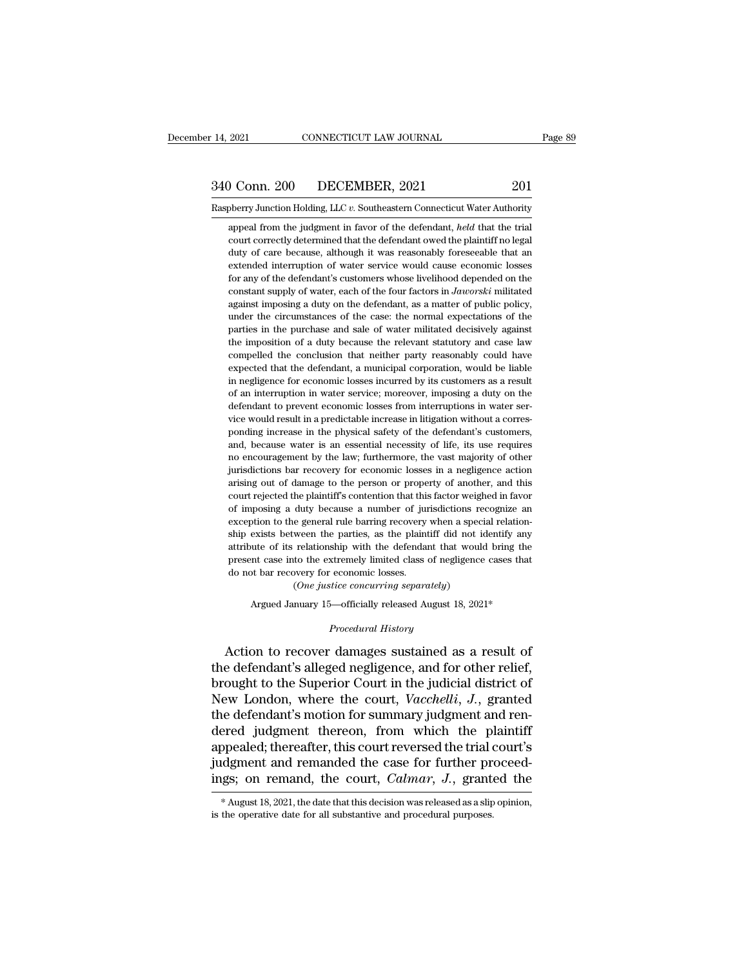# 14, 2021 CONNECTICUT LAW JOURNAL Page 89<br>340 Conn. 200 DECEMBER, 2021 201<br>Raspberry Junction Holding, LLC v. Southeastern Connecticut Water Authority 14, 2021 CONNECTICUT LAW JOURNAL Page 89<br>
201 Conn. 200 DECEMBER, 2021 201<br>
Raspberry Junction Holding, LLC *v.* Southeastern Connecticut Water Authority<br>
appeal from the judgment in favor of the defendant, *held* that the

appeal from the judgment in favor of the defendant, *held* that the trial court correctly determined that the defendant, *held* that the trial court correctly determined that the defendant owed the plaintiff no legal Court correctly determined that the defendant over the defendant of the defendant over a depend from the judgment in favor of the defendant, *held* that the trial court correctly determined that the defendant owed the pla  $\begin{array}{ll} \textbf{O} & \textbf{DECEMBER}, \textbf{2021} & \textbf{201} \\ \textbf{oberry Junction holding, LLC } v. \text{ Southern Connecticut Water Authority} \\ \textbf{append from the judgment in favor of the defendant, *held* that the trial court correctly determined that the defendant owed the plaintiff no legal duty of care because, although it was reasonably foreseable that an extended interruption of water service would cause economic losses.} \end{array}$ be be definited interruption (Fig. 2). Southeastern Connecticut Water Authority appeal from the judgment in favor of the defendant, *held* that the trial court correctly determined that the defendant owed the plaintiff no berry Junction Holding, LLC  $v$ . Southeastern Connecticut Water Authority<br>appeal from the judgment in favor of the defendant, *held* that the trial<br>court correctly determined that the defendant owed the plaintiff no legal appeal from the judgment in favor of the defendant, *held* that the trial<br>court correctly determined that the defendant owed the plaintiff no legal<br>duty of care because, although it was reasonably foreseeable that an<br>exten against imposing a duty on the defendant owed the plaintiff no legal duty of care because, although it was reasonably foreseeable that an extended interruption of water service would cause economic losses for any of the d duty of care because, although it was reasonably foreseeable that an extended interruption of water service would cause economic losses for any of the defendant's customers whose livelihood depended on the constant supply extended interruption of water service would cause economic losses<br>for any of the defendant's customers whose livelihood depended on the<br>constant supply of water, each of the four factors in *Jaworski* militated<br>against im for any of the defendant's customers whose livelihood depended on the constant supply of water, each of the four factors in *Jaworski* militated against imposing a duty on the defendant, as a matter of public policy, unde constant supply of water, each of the four factors in *Jaworski* militated against imposing a duty on the defendant, as a matter of public policy, under the circumstances of the case: the normal expectations of the parties against imposing a duty on the defendant, as a matter of public policy, under the circumstances of the case: the normal expectations of the parties in the purchase and sale of water militated decisively against the imposit in under the circumstances of the case: the normal expectations of the parties in the purchase and sale of water militated decisively against the imposition of a duty because the relevant statutory and case law compelled t parties in the purchase and sale of water militated decisively against the imposition of a duty because the relevant statutory and case law compelled the conclusion that neither party reasonably could have expected that th parties in the purchase and sale of water militated decisively against the imposition of a duty because the relevant statutory and case law compelled the conclusion that neither party reasonably could have expected that th compelled the conclusion that neither party reasonably could have expected that the defendant, a municipal corporation, would be liable in negligence for economic losses incurred by its customers as a result of an interrup expected that the defendant, a municipal corporation, would be liable<br>in negligence for economic losses incurred by its customers as a result<br>of an interruption in water service; moreover, imposing a duty on the<br>defendant and, megligence for economic losses incurred by its customers as a result of an interruption in water service; moreover, imposing a duty on the defendant to prevent economic losses from interruptions in water service would n' no encouragement by the law; furthermore, the vast majority of an interruption in water service; moreover, imposing a duty on the defendant to prevent economic losses from interruptions in water service would result in defendant to prevent economic losses from interruptions in water service would result in a predictable increase in litigation without a corresponding increase in the physical safety of the defendant's customers, and, becau wice would result in a predictable increase in litigation without a corresponding increase in the physical safety of the defendant's customers, and, because water is an essential necessity of life, its use requires no enco court is also the plaintiff's contention that this factor weighed in fronting increase in the physical safety of the defendant's customers, and, because water is an essential necessity of life, its use requires no encourag and, because water is an essential necessity of life, its use requires<br>no encouragement by the law; furthermore, the vast majority of other<br>jurisdictions bar recovery for economic losses in a negligence action<br>arising out no encouragement by the law; furthermore, the vast majority of other jurisdictions bar recovery for economic losses in a negligence action arising out of damage to the person or property of another, and this court rejected ship exists between the parties, as the parties of the parties in a negligence action arising out of damage to the person or property of another, and this court rejected the plaintiff's contention that this factor weighed attising out of damage to the person or property of another, and this court rejected the plaintiff's contention that this factor weighed in favor of imposing a duty because a number of jurisdictions recognize an exception court rejected the plaintiff's contention that this factor weighed in favor<br>of imposing a duty because a number of jurisdictions recognize an<br>exception to the general rule barring recovery when a special relation-<br>ship exi court rejected the plaintiff's contention that this factor weighed in favor of imposing a duty because a number of jurisdictions recognize an exception to the general rule barring recovery when a special relationship exis exception to the general rule barring recovery when a special relationship exists between the parties, as the plaintiff did not identify any attribute of its relationship with the defendant that would bring the present ca exists between the parties, as the plaintiff did not identify any<br>ute of its relationship with the defendant that would bring the<br>nt case into the extremely limited class of negligence cases that<br>to bar recovery for econom *Procedural Emitted class of neglig*<br> *Procedural History*<br> *Procedural History*<br> *Procedural History*<br> *Procedural History* 

The second to the extremely limited class of negligence cases that<br>
do not bar recovery for economic losses.<br>
(One justice concurring separately)<br>
Argued January 15—officially released August 18, 2021\*<br>
Procedural History<br> the defendant of the defendant of New York Concurring Separately<br>
defined January 15—officially released August 18, 2021\*<br>
Procedural History<br>
Action to recover damages sustained as a result of<br>
the defendant's alleged neg (One justice concurring separately)<br>
Argued January 15—officially released August 18, 2021\*<br>
Procedural History<br>
Action to recover damages sustained as a result of<br>
the defendant's alleged negligence, and for other relief Argued January 15—officially released August 18, 2021\*<br>
Procedural History<br>
Action to recover damages sustained as a result of<br>
the defendant's alleged negligence, and for other relief,<br>
brought to the Superior Court in th *Procedural History*<br>Action to recover damages sustained as a result of<br>the defendant's alleged negligence, and for other relief,<br>brought to the Superior Court in the judicial district of<br>New London, where the court, *Vacc* Entraration and as a result of<br>the defendant's alleged negligence, and for other relief,<br>brought to the Superior Court in the judicial district of<br>New London, where the court, *Vacchelli*, *J*., granted<br>the defendant's mot Action to recover damages sustained as a result of<br>the defendant's alleged negligence, and for other relief,<br>brought to the Superior Court in the judicial district of<br>New London, where the court, *Vacchelli*, *J.*, grante the defendant's alleged negligence, and for other relief,<br>brought to the Superior Court in the judicial district of<br>New London, where the court, *Vacchelli*, *J.*, granted<br>the defendant's motion for summary judgment and re brought to the Superior Court in the judicial district of<br>New London, where the court, *Vacchelli*, *J.*, granted<br>the defendant's motion for summary judgment and ren-<br>dered judgment thereon, from which the plaintiff<br>appeal ered judgment thereon, from which the plaintiff<br>ppealed; thereafter, this court reversed the trial court's<br>idgment and remanded the case for further proceed-<br>gs; on remand, the court, *Calmar*, *J*., granted the<br>\*August 1 appealed; thereafter, this court reversed the trial of judgment and remanded the case for further prosings; on remand, the court, *Calmar*, *J*., grantings; \* August 18, 2021, the date that this decision was released as a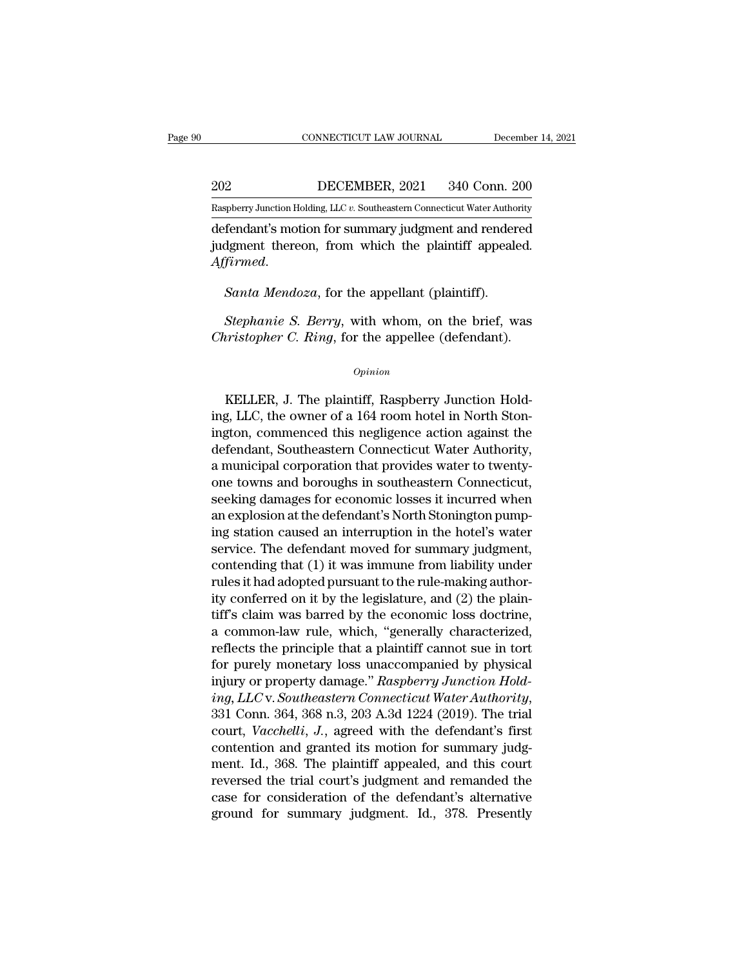EXECUTE CONNECTICUT LAW JOURNAL December 14, 2021<br>202 DECEMBER, 2021 340 Conn. 200<br>Raspberry Junction Holding, LLC v. Southeastern Connecticut Water Authority

CONNECTICUT LAW JOURNAL December 14, 2021<br>202 DECEMBER, 2021 340 Conn. 200<br>Raspberry Junction Holding, LLC *v.* Southeastern Connecticut Water Authority<br>defendant's motion for summary judgment and rendered CONNECTICUT LAW JOURNAL December 14, 2021<br>
202 DECEMBER, 2021 340 Conn. 200<br>
Raspberry Junction Holding, LLC v. Southeastern Connecticut Water Authority<br>
defendant's motion for summary judgment and rendered<br>
judgment there 202 DECEMBER, 2021 340 Conn. 200<br>
Raspberry Junction Holding, LLC v. Southeastern Connecticut Water Authority<br>
defendant's motion for summary judgment and rendered<br>
judgment thereon, from which the plaintiff appealed.<br>
Aff *Affirmed. Affirmed. Santa Mendoxa*, for the appellant (plaintiff). *Santa Mendoza*, for the appellant (plaintiff). *Stephanie S. Berry*, with whom, on the brief, w Fendant's motion for summary judgment and rendered<br>*Jament thereon, from which the plaintiff appealed.*<br>*Santa Mendoza, for the appellant (plaintiff).*<br>*Stephanie S. Berry, with whom, on the brief, was pristopher C. Ring, Christopher C. Ring, for the appellant (plaintiff appealed.*<br> *Canta Mendoza, for the appellant (plaintiff).*<br> *Christopher C. Ring, for the appellee (defendant).* 

# *Opinion*

Stephanie S. Berry, with whom, on the brief, was<br>
interaction C. Ring, for the appellee (defendant).<br>
Opinion<br>
KELLER, J. The plaintiff, Raspberry Junction Hold-<br>
ELLER, J. The plaintiff, Raspberry Junction Hold-<br>
S. LLC, Stephanie S. Berry, with whom, on the brief, was<br>Christopher C. Ring, for the appellee (defendant).<br>
opinion<br>
KELLER, J. The plaintiff, Raspberry Junction Hold-<br>
ing, LLC, the owner of a 164 room hotel in North Ston-<br>
ingt Christopher C. Ring, for the appellee (defendant).<br>
opinion<br>
KELLER, J. The plaintiff, Raspberry Junction Hold-<br>
ing, LLC, the owner of a 164 room hotel in North Ston-<br>
ington, commenced this negligence action against the<br> opinion<br>
KELLER, J. The plaintiff, Raspberry Junction Hold-<br>
ing, LLC, the owner of a 164 room hotel in North Ston-<br>
ington, commenced this negligence action against the<br>
defendant, Southeastern Connecticut Water Authority  $o$ <sub>pinion</sub><br>KELLER, J. The plaintiff, Raspberry Junction Hold-<br>ing, LLC, the owner of a 164 room hotel in North Ston-<br>ington, commenced this negligence action against the<br>defendant, Southeastern Connecticut Water Authorit KELLER, J. The plaintiff, Raspberry Junction Hold-<br>ing, LLC, the owner of a 164 room hotel in North Ston-<br>ington, commenced this negligence action against the<br>defendant, Southeastern Connecticut, Water Authority,<br>a municip KELLER, J. The plaintiff, Raspberry Junction Hold-<br>ing, LLC, the owner of a 164 room hotel in North Ston-<br>ington, commenced this negligence action against the<br>defendant, Southeastern Connecticut Water Authority,<br>a municipa ing, LLC, the owner of a 164 room hotel in North Ston-<br>ington, commenced this negligence action against the<br>defendant, Southeastern Connecticut Water Authority,<br>a municipal corporation that provides water to twenty-<br>one to ington, commenced this negligence action against the<br>defendant, Southeastern Connecticut Water Authority,<br>a municipal corporation that provides water to twenty-<br>one towns and boroughs in southeastern Connecticut,<br>seeking d defendant, Southeastern Connecticut Water Authority,<br>a municipal corporation that provides water to twenty-<br>one towns and boroughs in southeastern Connecticut,<br>seeking damages for economic losses it incurred when<br>an explos a municipal corporation that provides water to twenty-<br>one towns and boroughs in southeastern Connecticut,<br>seeking damages for economic losses it incurred when<br>an explosion at the defendant's North Stonington pump-<br>ing sta one towns and boroughs in southeastern Connecticut,<br>seeking damages for economic losses it incurred when<br>an explosion at the defendant's North Stonington pump-<br>ing station caused an interruption in the hotel's water<br>servic seeking damages for economic losses it incurred when<br>an explosion at the defendant's North Stonington pump-<br>ing station caused an interruption in the hotel's water<br>service. The defendant moved for summary judgment,<br>contend an explosion at the detendant's North Stonington pumping station caused an interruption in the hotel's water<br>service. The defendant moved for summary judgment,<br>contending that (1) it was immune from liability under<br>rules i ing station caused an interruption in the hotel's water<br>service. The defendant moved for summary judgment,<br>contending that (1) it was immune from liability under<br>rules it had adopted pursuant to the rule-making author-<br>ity service. The detendant moved for summary judgment,<br>contending that (1) it was immune from liability under<br>rules it had adopted pursuant to the rule-making author-<br>ity conferred on it by the legislature, and (2) the plain-<br> contending that (1) it was immune from liability under<br>rules it had adopted pursuant to the rule-making author-<br>ity conferred on it by the legislature, and (2) the plain-<br>tiff's claim was barred by the economic loss doctr rules it had adopted pursuant to the rule-making author-<br>ity conferred on it by the legislature, and (2) the plain-<br>tiff's claim was barred by the economic loss doctrine,<br>a common-law rule, which, "generally characterized, *iff's* claim was barred by the legislature, and (2) the plain-<br>tiff's claim was barred by the economic loss doctrine,<br>a common-law rule, which, "generally characterized,<br>reflects the principle that a plaintiff cannot sue a common-law rule, which, "generally characterized,<br>reflects the principle that a plaintiff cannot sue in tort<br>for purely monetary loss unaccompanied by physical<br>injury or property damage." Raspberry Junction Hold-<br>ing, LL reflects the principle that a plaintiff cannot sue in tort<br>for purely monetary loss unaccompanied by physical<br>injury or property damage." Raspberry Junction Hold-<br>ing, LLC v. Southeastern Connecticut Water Authority,<br>331 C for purely monetary loss unaccompanied by physical<br>injury or property damage." Raspberry Junction Hold-<br>ing, LLC v. Southeastern Connecticut Water Authority,<br>331 Conn. 364, 368 n.3, 203 A.3d 1224 (2019). The trial<br>court, mjury or property damage." Raspberry Junction Hold-<br>ing, LLC v. Southeastern Connecticut Water Authority,<br>331 Conn. 364, 368 n.3, 203 A.3d 1224 (2019). The trial<br>court, *Vacchelli*, J., agreed with the defendant's first<br>c ing, LLC v. Southeastern Connecticut Water Authority,<br>331 Conn. 364, 368 n.3, 203 A.3d 1224 (2019). The trial<br>court, *Vacchelli*, *J.*, agreed with the defendant's first<br>contention and granted its motion for summary judg-<br>  $331$  Conn.  $364$ ,  $368$  n. $3$ ,  $203$  A. $3d$  1224 ( $2019$ ). The trial court, *Vacchelli*, *J.*, agreed with the defendant's first contention and granted its motion for summary judgment. Id.,  $368$ . The plaintiff appealed,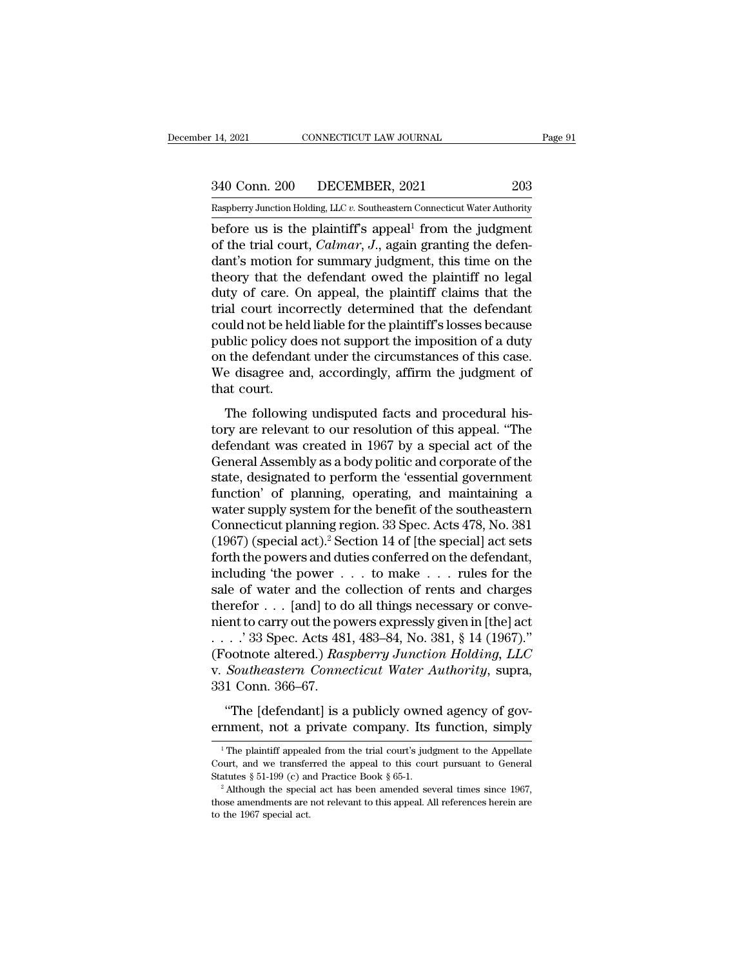14, 2021 CONNECTICUT LAW JOURNAL Page 91<br>340 Conn. 200 DECEMBER, 2021 203<br>Raspberry Junction Holding, LLC v. Southeastern Connecticut Water Authority

Pecember 14, 2021 CONNECTICUT LAW JOURNAL Page 91<br>
203<br>
Raspberry Junction Holding, LLC *v*. Southeastern Connecticut Water Authority<br>
before us is the plaintiff's appeal<sup>1</sup> from the judgment 14, 2021 CONNECTICUT LAW JOURNAL Page 9<br>  $\frac{340 \text{ Conn. } 200 \text{ DECEMBER, } 2021 \qquad \qquad 203}{\text{Raspberry Junction Holding, LLC } v. \text{ Southeastern Connecticut Water Authority}}$ <br>
before us is the plaintiff's appeal<sup>1</sup> from the judgment<br>
of the trial court, *Calmar*, *J*., again granting <sup>340</sup> Conn. 200 DECEMBER, 2021 203<br> **Example 1203**<br>
Raspberry Junction Holding, LLC v. Southeastern Connecticut Water Authority<br>
before us is the plaintiff's appeal<sup>1</sup> from the judgment<br>
of the trial court, *Calmar*, *J*.,  $\frac{340 \text{ Conn. } 200}{\text{Raspberry Junction Holding, LLC } v.$  Southeastern Connecticut Water Authority<br>before us is the plaintiff's appeal<sup>1</sup> from the judgment<br>of the trial court, *Calmar*, *J*., again granting the defen-<br>dant's motion for summar 340 Conn. 200 DECEMBER, 2021 203<br>
Raspberry Junction Holding, LLC v. Southeastern Connecticut Water Authority<br>
before us is the plaintiff's appeal<sup>1</sup> from the judgment<br>
of the trial court, *Calmar*, *J*., again granting t Raspberry Junction Holding, LLC v. Southeastern Connecticut Water Authority<br>before us is the plaintiff's appeal<sup>1</sup> from the judgment<br>of the trial court, *Calmar*, *J*., again granting the defen-<br>dant's motion for summary j Example incorrectly at the plaintiff's appeal<sup>1</sup> from the judgment<br>of the trial court, *Calmar*, *J*., again granting the defendant's motion for summary judgment, this time on the<br>theory that the defendant owed the plaint before us is the plaintiff's appeal<sup>1</sup> from the judgment<br>of the trial court, *Calmar*, *J*., again granting the defen-<br>dant's motion for summary judgment, this time on the<br>theory that the defendant owed the plaintiff no l of the trial court, *Calmar*, *J*., again granting the defendant's motion for summary judgment, this time on the theory that the defendant owed the plaintiff no legal duty of care. On appeal, the plaintiff claims that the dant's motion for summary judgment, this time on the<br>theory that the defendant owed the plaintiff no legal<br>duty of care. On appeal, the plaintiff claims that the<br>trial court incorrectly determined that the defendant<br>could theory that the defendant owed the plaintiff no legal<br>duty of care. On appeal, the plaintiff claims that the<br>trial court incorrectly determined that the defendant<br>could not be held liable for the plaintiff's losses because duty of care. O<br>trial court inco<br>could not be hel<br>public policy do<br>on the defendar<br>We disagree an<br>that court.<br>The following and court incorrectly determined that are determined<br>that in disputed in the determinism of a duty<br>the defendant under the circumstances of this case.<br>e disagree and, accordingly, affirm the judgment of<br>at court.<br>The follo by public policy does not support the imposition of a duty<br>public policy does not support the imposition of a duty<br>on the defendant under the circumstances of this case.<br>We disagree and, accordingly, affirm the judgment of

pashe pancy does not support are imposited of a daty<br>on the defendant under the circumstances of this case.<br>We disagree and, accordingly, affirm the judgment of<br>that court.<br>The following undisputed facts and procedural his General Assembly, affirm the judgment of<br>that court.<br>The following undisputed facts and procedural his-<br>tory are relevant to our resolution of this appeal. "The<br>defendant was created in 1967 by a special act of the<br>General state of the following undisputed facts and procedural history are relevant to our resolution of this appeal. "The defendant was created in 1967 by a special act of the General Assembly as a body politic and corporate of t The following undisputed facts and procedural his-<br>tory are relevant to our resolution of this appeal. "The<br>defendant was created in 1967 by a special act of the<br>General Assembly as a body politic and corporate of the<br>sta The following undisputed facts and procedural his-<br>tory are relevant to our resolution of this appeal. "The<br>defendant was created in 1967 by a special act of the<br>General Assembly as a body politic and corporate of the<br>sta tory are relevant to our resolution of this appeal. "The<br>defendant was created in 1967 by a special act of the<br>General Assembly as a body politic and corporate of the<br>state, designated to perform the 'essential government<br> defendant was created in 1967 by a special act of the<br>General Assembly as a body politic and corporate of the<br>state, designated to perform the 'essential government<br>function' of planning, operating, and maintaining a<br>water General Assembly as a body politic and corporate of the<br>state, designated to perform the 'essential government<br>function' of planning, operating, and maintaining a<br>water supply system for the benefit of the southeastern<br>Co state, designated to perform the 'essential government<br>function' of planning, operating, and maintaining a<br>water supply system for the benefit of the southeastern<br>Connecticut planning region. 33 Spec. Acts 478, No. 381<br>(19 function' of planning, operating, and maintaining a<br>water supply system for the benefit of the southeastern<br>Connecticut planning region. 33 Spec. Acts 478, No. 381<br>(1967) (special act).<sup>2</sup> Section 14 of [the special] act water supply system for the benefit of the southeastern<br>Connecticut planning region. 33 Spec. Acts 478, No. 381<br>(1967) (special act).<sup>2</sup> Section 14 of [the special] act sets<br>forth the powers and duties conferred on the de Connecticut planning region. 33 Spec. Acts 478, No. 381 (1967) (special act).<sup>2</sup> Section 14 of [the special] act sets forth the powers and duties conferred on the defendant, including 'the power  $\dots$  to make  $\dots$  rules fo (1967) (special act).<sup>2</sup> Section 14 of [the special] act sets<br>forth the powers and duties conferred on the defendant,<br>including 'the power  $\dots$  to make  $\dots$  rules for the<br>sale of water and the collection of rents and char forth the powers and duties conferred on the defendant,<br>including 'the power . . . to make . . . rules for the<br>sale of water and the collection of rents and charges<br>therefor . . . [and] to do all things necessary or conveincluding 'the power . . . to make . . . rules for the<br>sale of water and the collection of rents and charges<br>therefor . . . [and] to do all things necessary or conve-<br>nient to carry out the powers expressly given in [the] sale of water and the c<br>therefor . . . [and] to d<br>nient to carry out the po<br>. . . .' 33 Spec. Acts 481<br>(Footnote altered.) Ras<br>v. Southeastern Conne<br>331 Conn. 366–67.<br>"The [defendant] is a The flater of the powers expressly given in [the] act<br>
...' 33 Spec. Acts 481, 483–84, No. 381, § 14 (1967)."<br>
ootnote altered.) Raspberry Junction Holding, LLC<br>
Southeastern Connecticut Water Authority, supra,<br>
1 Conn. 36 ernment, not a private company. Its function, simply

<sup>1</sup> The plaintiff appealed from the trial court's judgment to the Appellate

<sup>&</sup>quot;The [defendant] is a publicly owned agency of government, not a private company. Its function, simply  $\frac{1}{1}$  The plaintiff appealed from the trial court's judgment to the Appellate Court, and we transferred the appeal "The [defendant] is a publicly owned agency of government, not a private company. Its function, simply  $\frac{1}{1}$  The plaintiff appealed from the trial court's judgment to the Appellate Court, and we transferred the appeal

The plaintiff appealed from the trial court's judgment to the Appellate Court, and we transferred the appeal to this court pursuant to General Statutes § 51-199 (c) and Practice Book § 65-1.<br><sup>2</sup> Although the special act h <sup>1</sup> The plaintiff appeal<br>Court, and we transfer<br>Statutes § 51-199 (c) are<br><sup>2</sup> Although the special<br>those amendments are<br>to the 1967 special act.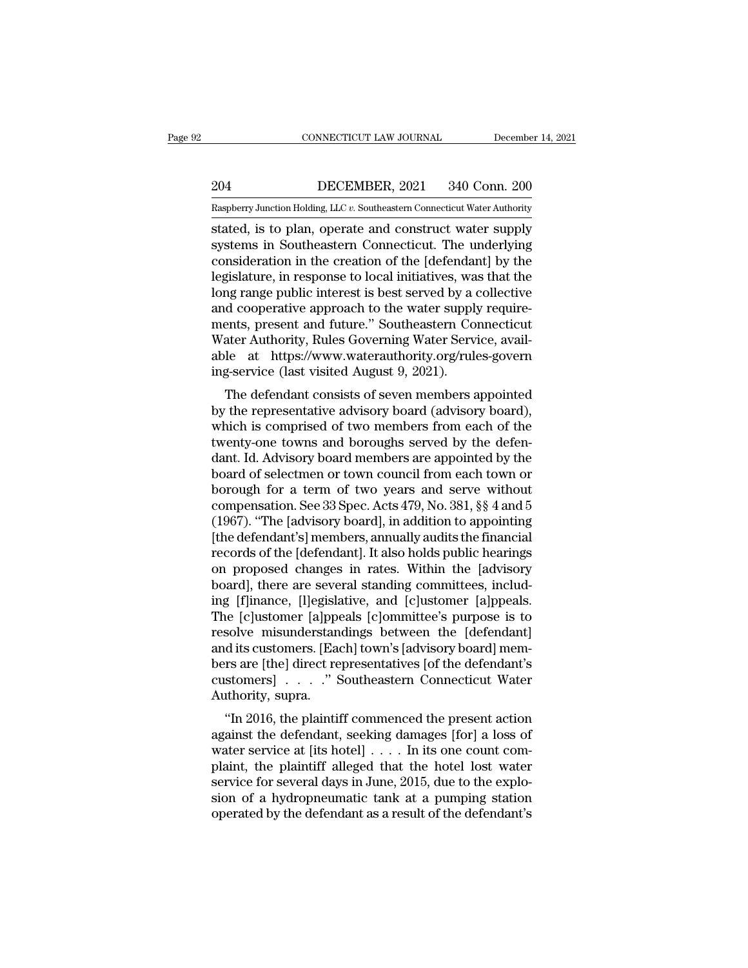EXECUTE CONNECTICUT LAW JOURNAL December 14, 2021<br>204 DECEMBER, 2021 340 Conn. 200<br>Raspberry Junction Holding, LLC v. Southeastern Connecticut Water Authority

CONNECTICUT LAW JOURNAL December 14, 2021<br>204 DECEMBER, 2021 340 Conn. 200<br>Raspberry Junction Holding, LLC *v.* Southeastern Connecticut Water Authority<br>stated, is to plan, operate and construct water supply CONNECTICUT LAW JOURNAL December 14, 2021<br>
204 DECEMBER, 2021 340 Conn. 200<br>
Raspberry Junction Holding, LLC v. Southeastern Connecticut Water Authority<br>
stated, is to plan, operate and construct water supply<br>
systems in S 204 DECEMBER, 2021 340 Conn. 200<br>
Raspberry Junction Holding, LLC v. Southeastern Connecticut Water Authority<br>
stated, is to plan, operate and construct water supply<br>
systems in Southeastern Connecticut. The underlying<br>
co 204 DECEMBER, 2021 340 Conn. 200<br>
Raspberry Junction Holding, LLC v. Southeastern Connecticut Water Authority<br>
stated, is to plan, operate and construct water supply<br>
systems in Southeastern Connecticut. The underlying<br>
c 204 DECEMBER, 2021 340 Conn. 200<br>
Raspberry Junction Holding, LLC  $v$ . Southeastern Connecticut Water Authority<br>
stated, is to plan, operate and construct water supply<br>
systems in Southeastern Connecticut. The underlying<br> Raspberry Junction Holding, LLC v. Southeastern Connecticut Water Authority<br>stated, is to plan, operate and construct water supply<br>systems in Southeastern Connecticut. The underlying<br>consideration in the creation of the [d Example Expansion Holding, LLC v. Southeastern Connecticut Water Authority<br>stated, is to plan, operate and construct water supply<br>systems in Southeastern Connecticut. The underlying<br>consideration in the creation of the [d stated, is to plan, operate and construct water supply<br>systems in Southeastern Connecticut. The underlying<br>consideration in the creation of the [defendant] by the<br>legislature, in response to local initiatives, was that the systems in Southeastern Connecticut. The underlying<br>consideration in the creation of the [defendant] by the<br>legislature, in response to local initiatives, was that the<br>long range public interest is best served by a collect consideration in the creation of the [defendant] by the legislature, in response to local initiatives, was that the long range public interest is best served by a collective and cooperative approach to the water supply req legislature, in response to local initiatives, wa<br>long range public interest is best served by a<br>and cooperative approach to the water supply<br>ments, present and future." Southeastern Co<br>Water Authority, Rules Governing Wat In the defendant consists of seven members form and the values of the values approach to the water supply require-<br>the defendant consists of soverning Water Service, avail-<br>lead https://www.waterauthority.org/rules-govern<br> and cooperative approach to the water supply require-<br>ments, present and future." Southeastern Connecticut<br>Water Authority, Rules Governing Water Service, avail-<br>able at https://www.waterauthority.org/rules-govern<br>ing-serv

ments, present and ruture. Southeastern Connecticut<br>Water Authority, Rules Governing Water Service, available<br>at https://www.waterauthority.org/rules-govern<br>ing-service (last visited August 9, 2021).<br>The defendant consists water Authority, Rules Governing water service, available at https://www.waterauthority.org/rules-govern<br>ing-service (last visited August 9, 2021).<br>The defendant consists of seven members appointed<br>by the representative ad able at Intps.//www.waterauthority.org/tules-governing-service (last visited August 9, 2021).<br>The defendant consists of seven members appointed<br>by the representative advisory board (advisory board),<br>which is comprised of t The defendant consists of seven members appointed<br>by the representative advisory board (advisory board),<br>which is comprised of two members from each of the<br>twenty-one towns and boroughs served by the defen-<br>dant. Id. Advi The defendant consists of seven members appointed<br>by the representative advisory board (advisory board),<br>which is comprised of two members from each of the<br>twenty-one towns and boroughs served by the defen-<br>dant. Id. Advi by the representative advisory board (advisory board),<br>which is comprised of two members from each of the<br>twenty-one towns and boroughs served by the defen-<br>dant. Id. Advisory board members are appointed by the<br>board of se which is comprised of two members from each of the<br>twenty-one towns and boroughs served by the defen-<br>dant. Id. Advisory board members are appointed by the<br>board of selectmen or town council from each town or<br>borough for a twenty-one towns and boroughs served by the defen-<br>dant. Id. Advisory board members are appointed by the<br>board of selectmen or town council from each town or<br>borough for a term of two years and serve without<br>compensation. dant. Id. Advisory board members are appointed by the<br>board of selectmen or town council from each town or<br>borough for a term of two years and serve without<br>compensation. See 33 Spec. Acts 479, No. 381, §§ 4 and 5<br>(1967). board of selectmen or town council from each town or<br>borough for a term of two years and serve without<br>compensation. See 33 Spec. Acts 479, No. 381, §§ 4 and 5<br>(1967). "The [advisory board], in addition to appointing<br>[the borough for a term of two years and serve without<br>compensation. See 33 Spec. Acts 479, No. 381, §§ 4 and 5<br>(1967). "The [advisory board], in addition to appointing<br>[the defendant's] members, annually audits the financial<br>r compensation. See 33 Spec. Acts 479, No. 381, §§ 4 and 5<br>(1967). "The [advisory board], in addition to appointing<br>[the defendant's] members, annually audits the financial<br>records of the [defendant]. It also holds public he (1967). "The [advisory board], in addition to appointing<br>[the defendant's] members, annually audits the financial<br>records of the [defendant]. It also holds public hearings<br>on proposed changes in rates. Within the [advisory [the defendant's] members, annually audits the financial<br>records of the [defendant]. It also holds public hearings<br>on proposed changes in rates. Within the [advisory<br>board], there are several standing committees, includ-<br>i records of the [defendant]. It also holds public hearings<br>on proposed changes in rates. Within the [advisory<br>board], there are several standing committees, includ-<br>ing [f]inance, [l]egislative, and [c]ustomer [a]ppeals.<br>Th on proposed changes in rates. Within the [advisory<br>board], there are several standing committees, includ-<br>ing [f]inance, [l]egislative, and [c]ustomer [a]ppeals.<br>The [c]ustomer [a]ppeals [c]ommittee's purpose is to<br>resolve board], there are several standing committees, includ-<br>ing [f]inance, [l]egislative, and [c]ustomer [a]ppeals.<br>The [c]ustomer [a]ppeals [c]ommittee's purpose is to<br>resolve misunderstandings between the [defendant]<br>and its ing [f]inance, [l]egisla]<br>The [c]ustomer [a]ppo<br>resolve misunderstan<br>and its customers. [Ea<br>bers are [the] direct re<br>customers] . . . . ." S<br>Authority, supra. "In 2016, the plaintif Ele [C]ustomer [a]ppears [C]ommutee's purpose is to<br>solve misunderstandings between the [defendant]<br>d its customers. [Each] town's [advisory board] mem-<br>rs are [the] direct representatives [of the defendant's<br>stomers] . . resorve inisumerstandings between the [defendant]<br>and its customers. [Each] town's [advisory board] mem-<br>bers are [the] direct representatives [of the defendant's<br>customers] . . . . " Southeastern Connecticut Water<br>Authori

and its customers. [Each] town's [advisory board] members are [the] direct representatives [of the defendant's customers]  $\ldots$  ." Southeastern Connecticut Water Authority, supra.<br>"In 2016, the plaintiff commenced the pre bers are [the] threet representatives [of the defendant s<br>customers] . . . . " Southeastern Connecticut Water<br>Authority, supra.<br>"In 2016, the plaintiff commenced the present action<br>against the defendant, seeking damages [f Eustoniers]  $\ldots$  southeastern connecticut water<br>Authority, supra.<br>"In 2016, the plaintiff commenced the present action<br>against the defendant, seeking damages [for] a loss of<br>water service at [its hotel]  $\ldots$ . In its one Fractionary, suprationally, suprationally, suprational at the present action<br>against the defendant, seeking damages [for] a loss of<br>water service at [its hotel]  $\dots$  . In its one count com-<br>plaint, the plaintiff alleged t "In 2016, the plaintiff commenced the present action<br>against the defendant, seeking damages [for] a loss of<br>water service at [its hotel]  $\dots$ . In its one count com-<br>plaint, the plaintiff alleged that the hotel lost water<br>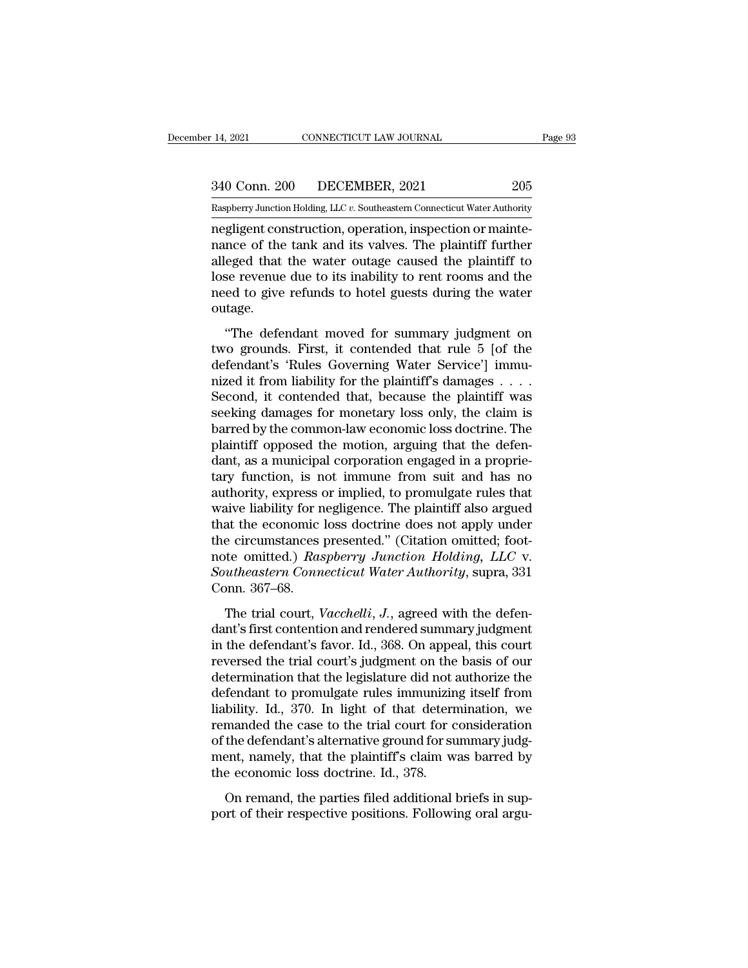14, 2021 CONNECTICUT LAW JOURNAL Page 93<br>340 Conn. 200 DECEMBER, 2021 205<br>Raspberry Junction Holding, LLC v. Southeastern Connecticut Water Authority

Pecember 14, 2021 CONNECTICUT LAW JOURNAL Page 93<br>
340 Conn. 200 DECEMBER, 2021 205<br>
Raspberry Junction Holding, LLC *v.* Southeastern Connecticut Water Authority<br>
negligent construction, operation, inspection or maintenegligent construction, operation, improvement construction, operation, improvement construction, operation, improvement construction, operation, improvement construction, operation, improvement construction, operation, im 340 Conn. 200 DECEMBER, 2021 205<br>
Raspberry Junction Holding, LLC v. Southeastern Connecticut Water Authority<br>
regligent construction, operation, inspection or mainte-<br>
nance of the tank and its valves. The plaintiff furth  $\frac{340 \text{ Conn. } 200}{\text{Raspberry Junction Holding, LLC } v.$  Southeastern Connecticut Water Authority<br>negligent construction, operation, inspection or mainte-<br>nance of the tank and its valves. The plaintiff further<br>alleged that the water outage c 340 Conn. 200 DECEMBER, 2021 205<br>
Raspberry Junction Holding, LLC  $v$ . Southeastern Connecticut Water Authority<br>
regligent construction, operation, inspection or mainte-<br>
nance of the tank and its valves. The plaintiff fu Raspberry Junction Holding, LLC v. Southeastern Connecticut Water Authority<br>negligent construction, operation, inspection or mainte-<br>nance of the tank and its valves. The plaintiff further<br>alleged that the water outage cau outage. move of the tank and its valves. The plaintiff further<br>
eged that the water outage caused the plaintiff to<br>
se revenue due to its inability to rent rooms and the<br>
ed to give refunds to hotel guests during the water<br>
ttage. rance of the tank and its varves. The plaintiff to alleged that the water outage caused the plaintiff to lose revenue due to its inability to rent rooms and the need to give refunds to hotel guests during the water outage.

definite water of the case of the plant of the plant of the need to give refunds to hotel guests during the water outage.<br>
"The defendant moved for summary judgment on two grounds. First, it contended that rule 5 [of the d need to give refunds to hotel guests during the water<br>need to give refunds to hotel guests during the water<br>outage.<br>"The defendant moved for summary judgment on<br>two grounds. First, it contended that rule 5 [of the<br>defendan Second, it contended that, because the plaintiff was "The defendant moved for summary judgment on<br>two grounds. First, it contended that rule 5 [of the<br>defendant's 'Rules Governing Water Service'] immu-<br>nized it from liability for the plaintiff's damages  $\dots$ .<br>Second, it con "The defendant moved for summary judgment on<br>two grounds. First, it contended that rule 5 [of the<br>defendant's 'Rules Governing Water Service'] immu-<br>nized it from liability for the plaintiff's damages  $\dots$ .<br>Second, it con two grounds. First, it contended that rule 5 [of the defendant's 'Rules Governing Water Service'] immu-<br>nized it from liability for the plaintiff's damages . . . .<br>Second, it contended that, because the plaintiff was<br>seeki defendant's 'Rules Governing Water Service'] immu-<br>nized it from liability for the plaintiff's damages . . . .<br>Second, it contended that, because the plaintiff was<br>seeking damages for monetary loss only, the claim is<br>barre mized it from liability for the plaintiff's damages  $\dots$ .<br>Second, it contended that, because the plaintiff was<br>seeking damages for monetary loss only, the claim is<br>barred by the common-law economic loss doctrine. The<br>plai Second, it contended that, because the plaintiff was<br>seeking damages for monetary loss only, the claim is<br>barred by the common-law economic loss doctrine. The<br>plaintiff opposed the motion, arguing that the defen-<br>dant, as seeking damages for monetary loss only, the claim is<br>barred by the common-law economic loss doctrine. The<br>plaintiff opposed the motion, arguing that the defen-<br>dant, as a municipal corporation engaged in a proprie-<br>tary fu barred by the common-law economic loss doctrine. The<br>plaintiff opposed the motion, arguing that the defen-<br>dant, as a municipal corporation engaged in a proprie-<br>tary function, is not immune from suit and has no<br>authority, plaintiff opposed the motion, arguing that the defendant, as a municipal corporation engaged in a proprietary function, is not immune from suit and has no authority, express or implied, to promulgate rules that waive liabi dant, as a municipal corporation engaged in a proprie-<br>tary function, is not immune from suit and has no<br>authority, express or implied, to promulgate rules that<br>waive liability for negligence. The plaintiff also argued<br>tha tary function, is not immune from suit and has no<br>authority, express or implied, to promulgate rules that<br>waive liability for negligence. The plaintiff also argued<br>that the economic loss doctrine does not apply under<br>the c authority, express of<br>waive liability for not<br>that the economic<br>the circumstances<br>note omitted.) Ras<br>Southeastern Conn<br>Conn. 367–68.<br>The trial court, V The trial court, *Vacchelli, J.*, agreed with the defenance of the defendant's first control of the defenance of  $\mu$  and  $\mu$  and  $\mu$  and  $\mu$  and  $\mu$  and  $\mu$  and  $\mu$  and  $\mu$  and  $\mu$  and  $\mu$  and  $\mu$  and  $\mu$  and dant the economic ross doctrine does not apply and<br>the circumstances presented." (Citation omitted; foot-<br>note omitted.) Raspberry Junction Holding, LLC v.<br>Southeastern Connecticut Water Authority, supra, 331<br>Conn. 367–68.

ince chromistances presented. (charach omitted, 1000<br>note omitted.) Raspberry Junction Holding, LLC v.<br>Southeastern Connecticut Water Authority, supra, 331<br>Conn. 367–68.<br>The trial court, Vacchelli, J., agreed with the defe Fraction Connecticut Water Authority, supra, 331<br>Conn. 367–68.<br>The trial court, *Vacchelli*, *J*., agreed with the defen-<br>dant's first contention and rendered summary judgment<br>in the defendant's favor. Id., 368. On appeal Conn. 367–68.<br>
The trial court, *Vacchelli*, *J*., agreed with the defendant's first contention and rendered summary judgment<br>
in the defendant's favor. Id., 368. On appeal, this court<br>
reversed the trial court's judgment The trial court, *Vacchelli*, *J*., agreed with the defendant's first contention and rendered summary judgment<br>in the defendant's favor. Id., 368. On appeal, this court<br>reversed the trial court's judgment on the basis of The trial court, *Vacchelli*, *J*., agreed with the defendant's first contention and rendered summary judgment<br>in the defendant's favor. Id., 368. On appeal, this court<br>reversed the trial court's judgment on the basis of o dant's first contention and rendered summary judgment<br>in the defendant's favor. Id., 368. On appeal, this court<br>reversed the trial court's judgment on the basis of our<br>determination that the legislature did not authorize t in the defendant's favor. Id., 368. On appeal, this court<br>reversed the trial court's judgment on the basis of our<br>determination that the legislature did not authorize the<br>defendant to promulgate rules immunizing itself fro reversed the trial court's judgment on the basis of our<br>determination that the legislature did not authorize the<br>defendant to promulgate rules immunizing itself from<br>liability. Id., 370. In light of that determination, we<br> determination that the legislature did not a defendant to promulgate rules immunizin liability. Id., 370. In light of that determine. Id., 379. In light of that determined the case to the trial court for cof the defendant' Francia to promagate rates minializarig issen from<br>bility. Id., 370. In light of that determination, we<br>manded the case to the trial court for consideration<br>the defendant's alternative ground for summary judg-<br>ent, namely, massing). Tal., 910. In fight of that determinated, we<br>remanded the case to the trial court for consideration<br>of the defendant's alternative ground for summary judg-<br>ment, namely, that the plaintiff's claim was barred by<br>t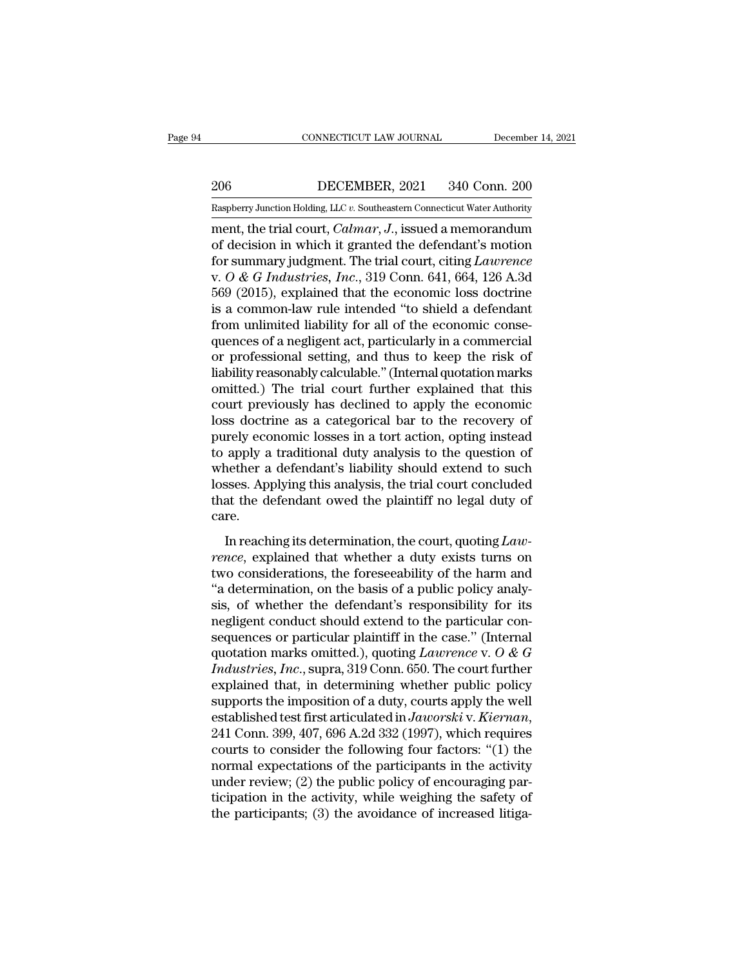EXECUTE CONNECTICUT LAW JOURNAL December 14, 2021<br>206 DECEMBER, 2021 340 Conn. 200<br>Raspberry Junction Holding, LLC v. Southeastern Connecticut Water Authority

CONNECTICUT LAW JOURNAL December 14, 2021<br>
206 DECEMBER, 2021 340 Conn. 200<br>
Raspberry Junction Holding, LLC *v.* Southeastern Connecticut Water Authority<br>
ment, the trial court, *Calmar*, *J*., issued a memorandum CONNECTICUT LAW JOURNAL December 14, 2021<br>
206 DECEMBER, 2021 340 Conn. 200<br>
Raspberry Junction Holding, LLC v. Southeastern Connecticut Water Authority<br>
ment, the trial court, *Calmar*, *J*., issued a memorandum<br>
of decis 206 DECEMBER, 2021 340 Conn. 200<br>
Raspberry Junction Holding, LLC v. Southeastern Connecticut Water Authority<br>
ment, the trial court, *Calmar*, *J*., issued a memorandum<br>
of decision in which it granted the defendant's mot For Sale and Connecticut Water Authority<br>
Raspberry Junction Holding, LLC v. Southeastern Connecticut Water Authority<br>
ment, the trial court, *Calmar*, *J*., issued a memorandum<br>
of decision in which it granted the defenda DECEMBER, 2021 340 Conn. 200<br>
Raspberry Junction Holding, LLC v. Southeastern Connecticut Water Authority<br>
ment, the trial court, *Calmar*, *J*., issued a memorandum<br>
of decision in which it granted the defendant's motion<br> Example The Collection Holding, LLC v. Southeastern Connecticut Water Authority<br>
ment, the trial court, *Calmar*, *J*., issued a memorandum<br>
of decision in which it granted the defendant's motion<br>
for summary judgment. The Example intervalsed intervalsed intervalsed a memorandum of decision in which it granted the defendant's motion for summary judgment. The trial court, citing *Lawrence* v. O & G *Industries*, *Inc.*, 319 Conn. 641, 664, 1 ment, the trial court, *Calmar*, *J*., issued a memorandum<br>of decision in which it granted the defendant's motion<br>for summary judgment. The trial court, citing *Lawrence*<br>v.  $O \& G$  *Industries, Inc.*, 319 Conn. 641, 664, of decision in which it granted the defendant's motion<br>for summary judgment. The trial court, citing *Lawrence*<br>v.  $O \& G$  Industries, Inc., 319 Conn. 641, 664, 126 A.3d<br>569 (2015), explained that the economic loss doctrin for summary judgment. The trial court, citing *Lawrence*<br>v.  $O \& G$  *Industries, Inc.*, 319 Conn. 641, 664, 126 A.3d<br>569 (2015), explained that the economic loss doctrine<br>is a common-law rule intended "to shield a defend v.  $O & G$  Industries, Inc., 319 Conn. 641, 664, 126 A.3d 569 (2015), explained that the economic loss doctrine is a common-law rule intended "to shield a defendant from unlimited liability for all of the economic consequ 569 (2015), explained that the economic loss doctrine<br>is a common-law rule intended "to shield a defendant<br>from unlimited liability for all of the economic conse-<br>quences of a negligent act, particularly in a commercial<br>or is a common-law rule intended "to shield a defendant<br>from unlimited liability for all of the economic conse-<br>quences of a negligent act, particularly in a commercial<br>or professional setting, and thus to keep the risk of<br>li from unlimited liability for all of the economic consequences of a negligent act, particularly in a commercial<br>or professional setting, and thus to keep the risk of<br>liability reasonably calculable." (Internal quotation mar quences of a negligent act, particularly in a commercial<br>or professional setting, and thus to keep the risk of<br>liability reasonably calculable." (Internal quotation marks<br>omitted.) The trial court further explained that th or professional setting, and thus to keep the risk of<br>liability reasonably calculable." (Internal quotation marks<br>omitted.) The trial court further explained that this<br>court previously has declined to apply the economic<br>lo liability reasonably calculable." (Internal quotation marks<br>omitted.) The trial court further explained that this<br>court previously has declined to apply the economic<br>loss doctrine as a categorical bar to the recovery of<br>pu omitted.) The trial court further explained that this<br>court previously has declined to apply the economic<br>loss doctrine as a categorical bar to the recovery of<br>purely economic losses in a tort action, opting instead<br>to app court previously has declined to apply the economic<br>loss doctrine as a categorical bar to the recovery of<br>purely economic losses in a tort action, opting instead<br>to apply a traditional duty analysis to the question of<br>whet care. In a term and the question, opting instead<br>apply a traditional duty analysis to the question of<br>nether a defendant's liability should extend to such<br>sses. Applying this analysis, the trial court concluded<br>at the defendant *rence*, explained that whether a defendant's liability should extend to such losses. Applying this analysis, the trial court concluded that the defendant owed the plaintiff no legal duty of care.<br>In reaching its determina

the defendant of massimum is matrix of the considerations.<br>
Iosses. Applying this analysis, the trial court concluded<br>
that the defendant owed the plaintiff no legal duty of<br>
care.<br>
In reaching its determination, the cour The basis of a public policies.<br>
that the defendant owed the plaintiff no legal duty of<br>
care.<br>
In reaching its determination, the court, quoting Law-<br>
rence, explained that whether a duty exists turns on<br>
two consideratio since the deferration of the planner in equal day of<br>care.<br>In reaching its determination, the court, quoting Law-<br>rence, explained that whether a duty exists turns on<br>two considerations, the foreseeability of the harm and<br> In reaching its determination, the court, quoting *Lawrence*, explained that whether a duty exists turns on two considerations, the foreseeability of the harm and "a determination, on the basis of a public policy analysis In reaching its determination, the court, quoting *Lawrence*, explained that whether a duty exists turns on two considerations, the foreseeability of the harm and "a determination, on the basis of a public policy analysis rence, explained that whether a duty exists turns on<br>two considerations, the foreseeability of the harm and<br>"a determination, on the basis of a public policy analy-<br>sis, of whether the defendant's responsibility for its<br>n *Industries*, the foreseeability of the harm and<br> *Industrian Incremental and the basis of a public policy analysis, of whether the defendant's responsibility for its*<br> *Industries or particular plaintiff in the case." (* "a determination, on the basis of a public policy analysis, of whether the defendant's responsibility for its negligent conduct should extend to the particular consequences or particular plaintiff in the case." (Internal sis, of whether the defendant's responsibility for its<br>negligent conduct should extend to the particular con-<br>sequences or particular plaintiff in the case." (Internal<br>quotation marks omitted.), quoting *Lawrence* v. O & negligent conduct should extend to the particular con-<br>sequences or particular plaintiff in the case." (Internal<br>quotation marks omitted.), quoting *Lawrence* v. *O* & *G*<br>*Industries, Inc.*, supra, 319 Conn. 650. The cour quotation marks omitted.), quoting *Lawrence* v. O & G<br>*Industries, Inc.*, supra, 319 Conn. 650. The court further<br>explained that, in determining whether public policy<br>supports the imposition of a duty, courts apply the w *Industries, Inc.*, supra, 319 Conn. 650. The court further<br>explained that, in determining whether public policy<br>supports the imposition of a duty, courts apply the well<br>established test first articulated in Jaworski v. K explained that, in determining whether public policy<br>supports the imposition of a duty, courts apply the well<br>established test first articulated in Jaworski v. Kiernan,<br>241 Conn. 399, 407, 696 A.2d 332 (1997), which requi supports the imposition of a duty, courts apply the well<br>established test first articulated in *Jaworski* v. *Kiernan*,<br>241 Conn. 399, 407, 696 A.2d 332 (1997), which requires<br>courts to consider the following four factors established test first articulated in *Jaworski* v. Kiernan, 241 Conn. 399, 407, 696 A.2d 332 (1997), which requires courts to consider the following four factors: "(1) the normal expectations of the participants in the ac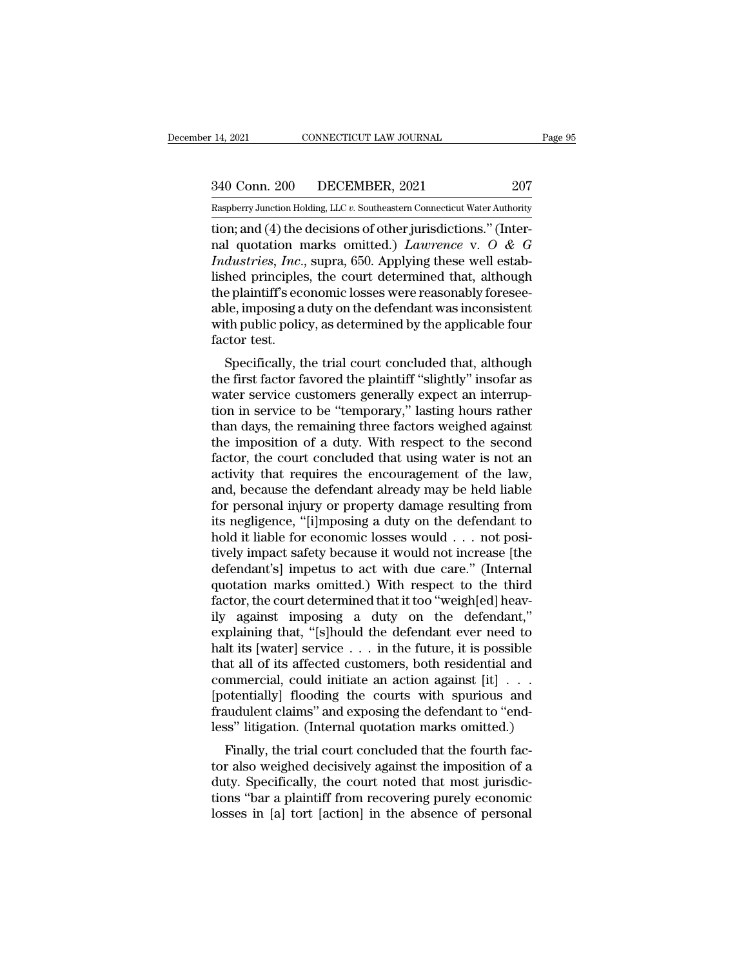14, 2021 CONNECTICUT LAW JOURNAL Page 95<br>340 Conn. 200 DECEMBER, 2021 207<br>Raspberry Junction Holding, LLC v. Southeastern Connecticut Water Authority 14, 2021 CONNECTICUT LAW JOURNAL Page 95<br>
240 Conn. 200 DECEMBER, 2021 207<br>
Raspberry Junction Holding, LLC *v.* Southeastern Connecticut Water Authority<br>
tion: and (4) the decisions of other jurisdictions " (Inter-

the decision of the decisions of other jurisdiction; and (4) the decisions of other jurisdictions.'' (Inter-<br>The decisions of other jurisdictions.'' (Inter-<br>nal quotation marks omitted.) *Lawrence* v. O & G<br>Industries. Inc 340 Conn. 200 DECEMBER, 2021 207<br>
Raspberry Junction Holding, LLC v. Southeastern Connecticut Water Authority<br>
tion; and (4) the decisions of other jurisdictions." (Inter-<br>
nal quotation marks omitted.) *Lawrence* v. *O &* <sup>207</sup><br> *Industry Junction Holding, LLC v. Southeastern Connecticut Water Authority*<br> *Inton*; and (4) the decisions of other jurisdictions." (Inter-<br> *Industries, Inc.*, supra, 650. Applying these well estab-<br> *Industries,* 340 Conn. 200 DECEMBER, 2021 207<br>
Raspberry Junction Holding, LLC v. Southeastern Connecticut Water Authority<br>
tion; and (4) the decisions of other jurisdictions." (Inter-<br>
nal quotation marks omitted.) *Lawrence* v. O & Raspberry Junction Holding, LLC v. Southeastern Connecticut Water Authority<br>
tion; and (4) the decisions of other jurisdictions." (Inter-<br>
nal quotation marks omitted.) *Lawrence* v. O & G<br> *Industries, Inc.*, supra, 650. Easpberry Junction Holding, LLC v. Southeastern Connecticut Water Authority<br>tion; and (4) the decisions of other jurisdictions." (Inter-<br>nal quotation marks omitted.) *Lawrence* v. O & G<br>*Industries*, *Inc.*, supra, 650. tion; and (4) the decisions of other jurisdictions." (Internal quotation marks omitted.) *Lawrence* v. O & G *Industries, Inc.*, supra, 650. Applying these well established principles, the court determined that, although nal quotation n<br> *Industries, Inc.,*<br>
lished principles<br>
the plaintiff's ecc<br>
able, imposing a<br>
with public polic<br>
factor test.<br>
Specifically, tl dustries, *Fnc.*, supra, 050. Applying these wen establed principles, the court determined that, although<br>e plaintiff's economic losses were reasonably foresee-<br>le, imposing a duty on the defendant was inconsistent<br>th publ the plaintiff's economic losses were reasonably foresee-<br>able, imposing a duty on the defendant was inconsistent<br>with public policy, as determined by the applicable four<br>factor test.<br>Specifically, the trial court concluded

the plantin's economic losses were reasonably loresee-<br>able, imposing a duty on the defendant was inconsistent<br>with public policy, as determined by the applicable four<br>factor test.<br>Specifically, the trial court concluded t able, imposing a duty of the defendant was inconsistent<br>with public policy, as determined by the applicable four<br>factor test.<br>Specifically, the trial court concluded that, although<br>the first factor favored the plaintiff "s with public policy, as determined by the applicable four<br>factor test.<br>Specifically, the trial court concluded that, although<br>the first factor favored the plaintiff "slightly" insofar as<br>water service customers generally ex factor test.<br>
Specifically, the trial court concluded that, although<br>
the first factor favored the plaintiff "slightly" insofar as<br>
water service customers generally expect an interrup-<br>
tion in service to be "temporary," Specifically, the trial court concluded that, although<br>the first factor favored the plaintiff "slightly" insofar as<br>water service customers generally expect an interrup-<br>tion in service to be "temporary," lasting hours rat the first factor favored the plaintiff "slightly" insofar as<br>water service customers generally expect an interrup-<br>tion in service to be "temporary," lasting hours rather<br>than days, the remaining three factors weighed agai water service customers generally expect an interruption in service to be "temporary," lasting hours rather<br>than days, the remaining three factors weighed against<br>the imposition of a duty. With respect to the second<br>factor tion in service to be "temporary," lasting hours rather<br>than days, the remaining three factors weighed against<br>the imposition of a duty. With respect to the second<br>factor, the court concluded that using water is not an<br>act than days, the remaining three factors weighed against<br>the imposition of a duty. With respect to the second<br>factor, the court concluded that using water is not an<br>activity that requires the encouragement of the law,<br>and, the imposition of a duty. With respect to the second factor, the court concluded that using water is not an activity that requires the encouragement of the law, and, because the defendant already may be held liable for per factor, the court concluded that using water is not an activity that requires the encouragement of the law, and, because the defendant already may be held liable for personal injury or property damage resulting from its n activity that requires the encouragement of the law,<br>and, because the defendant already may be held liable<br>for personal injury or property damage resulting from<br>its negligence, "[i]mposing a duty on the defendant to<br>hold i and, because the defendant already may be held liable<br>for personal injury or property damage resulting from<br>its negligence, "[i]mposing a duty on the defendant to<br>hold it liable for economic losses would . . . not posi-<br>ti for personal injury or property damage resulting from<br>its negligence, "[i]mposing a duty on the defendant to<br>hold it liable for economic losses would . . . not posi-<br>tively impact safety because it would not increase [the<br> its negligence, "[i]mposing a duty on the defendant to<br>hold it liable for economic losses would . . . not posi-<br>tively impact safety because it would not increase [the<br>defendant's] impetus to act with due care." (Internal<br> hold it liable for economic losses would . . . not posi-<br>tively impact safety because it would not increase [the<br>defendant's] impetus to act with due care." (Internal<br>quotation marks omitted.) With respect to the third<br>fa tively impact safety because it would not increase [the defendant's] impetus to act with due care." (Internal quotation marks omitted.) With respect to the third factor, the court determined that it too "weigh[ed] heavily defendant's] impetus to act with due care." (Internal<br>quotation marks omitted.) With respect to the third<br>factor, the court determined that it too "weigh[ed] heav-<br>ily against imposing a duty on the defendant,"<br>explaining quotation marks omitted.) With respect to the third factor, the court determined that it too "weigh[ed] heavily against imposing a duty on the defendant," explaining that, "[s]hould the defendant ever need to halt its [wat factor, the court determined that it too "weigh[ed] heavily against imposing a duty on the defendant,"<br>explaining that, "[s]hould the defendant ever need to<br>halt its [water] service  $\ldots$  in the future, it is possible<br>tha ily against imposing a duty on the defendant,"<br>explaining that, "[s]hould the defendant ever need to<br>halt its [water] service  $\ldots$  in the future, it is possible<br>that all of its affected customers, both residential and<br>co explaining that, "[s]hould the defendant ever need to<br>halt its [water] service  $\ldots$  in the future, it is possible<br>that all of its affected customers, both residential and<br>commercial, could initiate an action against [it] Finally is the trial court and the fourth factor<br>at all of its affected customers, both residential and<br>mmercial, could initiate an action against [it]  $\ldots$ <br>otentially] flooding the courts with spurious and<br>udulent claim that all of its affected customers, both residential and<br>commercial, could initiate an action against [it]  $\ldots$ <br>[potentially] flooding the courts with spurious and<br>fraudulent claims" and exposing the defendant to "end-<br>l

confinentially] flooding the courts with spurious and fraudulent claims" and exposing the defendant to "endless" litigation. (Internal quotation marks omitted.) Finally, the trial court concluded that the fourth factor al [potentially] hooding the courts with spurious and<br>fraudulent claims" and exposing the defendant to "end-<br>less" litigation. (Internal quotation marks omitted.)<br>Finally, the trial court concluded that the fourth fac-<br>tor al riadulation. (Internal quotation marks omitted.)<br>
Finally, the trial court concluded that the fourth fac-<br>
tor also weighed decisively against the imposition of a<br>
duty. Specifically, the court noted that most jurisdic-<br>
t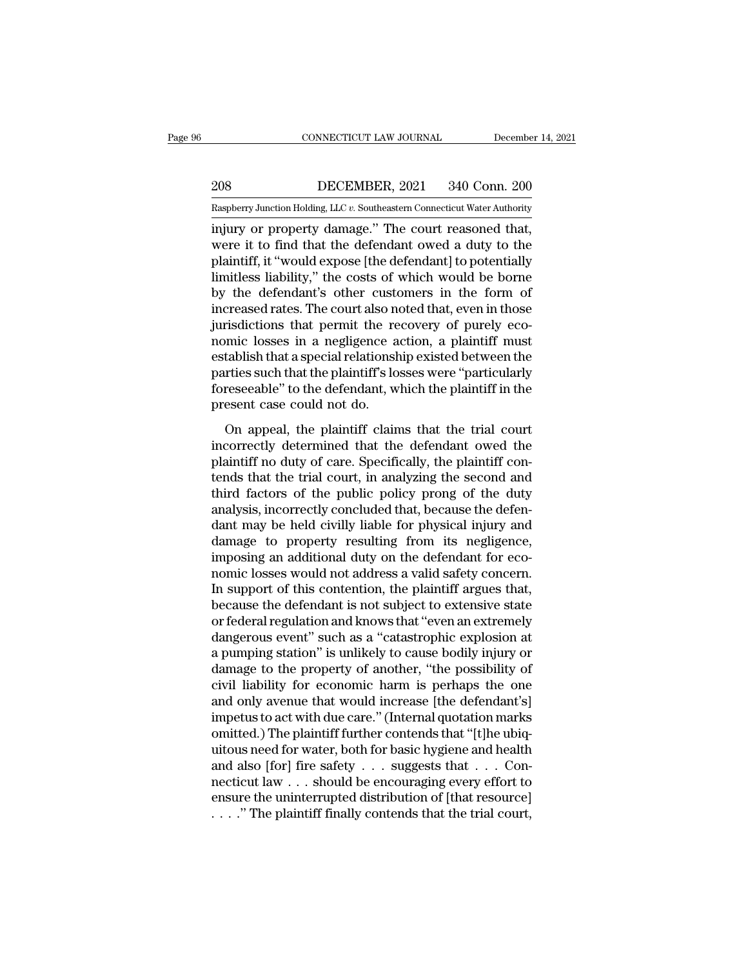EXECUTE CONNECTICUT LAW JOURNAL December 14, 2021<br>208 DECEMBER, 2021 340 Conn. 200<br>Raspberry Junction Holding, LLC v. Southeastern Connecticut Water Authority

CONNECTICUT LAW JOURNAL December 14, 2021<br>
208 DECEMBER, 2021 340 Conn. 200<br>
Raspberry Junction Holding, LLC *v.* Southeastern Connecticut Water Authority<br>
injury or property damage." The court reasoned that, CONNECTICUT LAW JOURNAL December 14, 2<br>
208 DECEMBER, 2021 340 Conn. 200<br>
Raspberry Junction Holding, LLC v. Southeastern Connecticut Water Authority<br>
injury or property damage.'' The court reasoned that,<br>
were it to find DECEMBER, 2021 340 Conn. 200<br>
Raspberry Junction Holding, LLC v. Southeastern Connecticut Water Authority<br>
injury or property damage." The court reasoned that,<br>
were it to find that the defendant owed a duty to the<br>
plaint 208 DECEMBER, 2021 340 Conn. 200<br>
Raspberry Junction Holding, LLC v. Southeastern Connecticut Water Authority<br>
injury or property damage." The court reasoned that,<br>
were it to find that the defendant owed a duty to the<br>
p 208 DECEMBER, 2021 340 Conn. 200<br>
Raspberry Junction Holding, LLC  $v$ . Southeastern Connecticut Water Authority<br>
injury or property damage." The court reasoned that,<br>
were it to find that the defendant owed a duty to the<br> Raspberry Junction Holding, LLC v. Southeastern Connecticut Water Authority<br>
injury or property damage." The court reasoned that,<br>
were it to find that the defendant owed a duty to the<br>
plaintiff, it "would expose [the def Example ry Junction Holding, LLC v. Southeastern Connecticut water Authority<br>injury or property damage." The court reasoned that,<br>were it to find that the defendant owed a duty to the<br>plaintiff, it "would expose [the defe injury or property damage." The court reasoned that,<br>were it to find that the defendant owed a duty to the<br>plaintiff, it "would expose [the defendant] to potentially<br>limitless liability," the costs of which would be borne<br> were it to find that the defendant owed a duty to the plaintiff, it "would expose [the defendant] to potentially limitless liability," the costs of which would be borne by the defendant's other customers in the form of inc plaintiff, it "would expose [the defendant] to potentially<br>limitless liability," the costs of which would be borne<br>by the defendant's other customers in the form of<br>increased rates. The court also noted that, even in those limitless liability," the costs of which would be borne<br>by the defendant's other customers in the form of<br>increased rates. The court also noted that, even in those<br>jurisdictions that permit the recovery of purely eco-<br>nomi by the defendant's other customers in the form of<br>increased rates. The court also noted that, even in those<br>jurisdictions that permit the recovery of purely eco-<br>nomic losses in a negligence action, a plaintiff must<br>establ increased rates. The court also ne<br>jurisdictions that permit the re<br>nomic losses in a negligence a<br>establish that a special relationsh<br>parties such that the plaintiff's lo<br>foreseeable'' to the defendant, w<br>present case cou mic losses in a negligence action, a plaintiff must<br>tablish that a special relationship existed between the<br>rties such that the plaintiff's losses were "particularly<br>reseeable" to the defendant, which the plaintiff in the incorrectly determined that the defendant owed the<br>parties such that the plaintiff's losses were "particularly<br>foreseeable" to the defendant, which the plaintiff in the<br>present case could not do.<br>On appeal, the plaintiff c

parties such that the plaintiff's losses were "particularly<br>foreseeable" to the defendant, which the plaintiff in the<br>present case could not do.<br>On appeal, the plaintiff claims that the trial court<br>incorrectly determined t foreseeable" to the defendant, which the plaintiff in the<br>present case could not do.<br>On appeal, the plaintiff claims that the trial court<br>incorrectly determined that the defendant owed the<br>plaintiff no duty of care. Specif the present case could not do.<br>
On appeal, the plaintiff claims that the trial court<br>
incorrectly determined that the defendant owed the<br>
plaintiff no duty of care. Specifically, the plaintiff con-<br>
tends that the trial co On appeal, the plaintiff claims that the trial court<br>incorrectly determined that the defendant owed the<br>plaintiff no duty of care. Specifically, the plaintiff con-<br>tends that the trial court, in analyzing the second and<br>th On appeal, the plaintiff claims that the trial court<br>incorrectly determined that the defendant owed the<br>plaintiff no duty of care. Specifically, the plaintiff con-<br>tends that the trial court, in analyzing the second and<br>th incorrectly determined that the defendant owed the plaintiff no duty of care. Specifically, the plaintiff contends that the trial court, in analyzing the second and third factors of the public policy prong of the duty anal plaintiff no duty of care. Specifically, the plaintiff contends that the trial court, in analyzing the second and third factors of the public policy prong of the duty analysis, incorrectly concluded that, because the defen tends that the trial court, in analyzing the second and<br>third factors of the public policy prong of the duty<br>analysis, incorrectly concluded that, because the defen-<br>dant may be held civilly liable for physical injury and<br> third factors of the public policy prong of the duty<br>analysis, incorrectly concluded that, because the defen-<br>dant may be held civilly liable for physical injury and<br>damage to property resulting from its negligence,<br>imposi analysis, incorrectly concluded that, because the defendant may be held civilly liable for physical injury and<br>damage to property resulting from its negligence,<br>imposing an additional duty on the defendant for eco-<br>nomic l dant may be held civilly liable for physical injury and<br>damage to property resulting from its negligence,<br>imposing an additional duty on the defendant for eco-<br>nomic losses would not address a valid safety concern.<br>In supp damage to property resulting from its negligence,<br>imposing an additional duty on the defendant for eco-<br>nomic losses would not address a valid safety concern.<br>In support of this contention, the plaintiff argues that,<br>becau imposing an additional duty on the defendant for eco-<br>nomic losses would not address a valid safety concern.<br>In support of this contention, the plaintiff argues that,<br>because the defendant is not subject to extensive state nomic losses would not address a valid safety concern.<br>In support of this contention, the plaintiff argues that,<br>because the defendant is not subject to extensive state<br>or federal regulation and knows that "even an extreme In support of this contention, the plaintiff argues that,<br>because the defendant is not subject to extensive state<br>or federal regulation and knows that "even an extremely<br>dangerous event" such as a "catastrophic explosion a because the defendant is not subject to extensive state<br>or federal regulation and knows that "even an extremely<br>dangerous event" such as a "catastrophic explosion at<br>a pumping station" is unlikely to cause bodily injury or or federal regulation and knows that "even an extremely<br>dangerous event" such as a "catastrophic explosion at<br>a pumping station" is unlikely to cause bodily injury or<br>damage to the property of another, "the possibility of<br> dangerous event" such as a "catastrophic explosion at a pumping station" is unlikely to cause bodily injury or damage to the property of another, "the possibility of civil liability for economic harm is perhaps the one and a pumping station" is unlikely to cause bodily injury or<br>damage to the property of another, "the possibility of<br>civil liability for economic harm is perhaps the one<br>and only avenue that would increase [the defendant's]<br>imp damage to the property of another, "the possibility of<br>civil liability for economic harm is perhaps the one<br>and only avenue that would increase [the defendant's]<br>impetus to act with due care." (Internal quotation marks<br>omi civil liability for economic harm is perhaps the one<br>and only avenue that would increase [the defendant's]<br>impetus to act with due care." (Internal quotation marks<br>omitted.) The plaintiff further contends that "[t]he ubiqand only avenue that would increase [the defendant's]<br>impetus to act with due care." (Internal quotation marks<br>omitted.) The plaintiff further contends that "[t]he ubiq-<br>uitous need for water, both for basic hygiene and h impetus to act with due care." (Internal quotation marks<br>omitted.) The plaintiff further contends that "[t]he ubiq-<br>uitous need for water, both for basic hygiene and health<br>and also [for] fire safety . . . suggests that .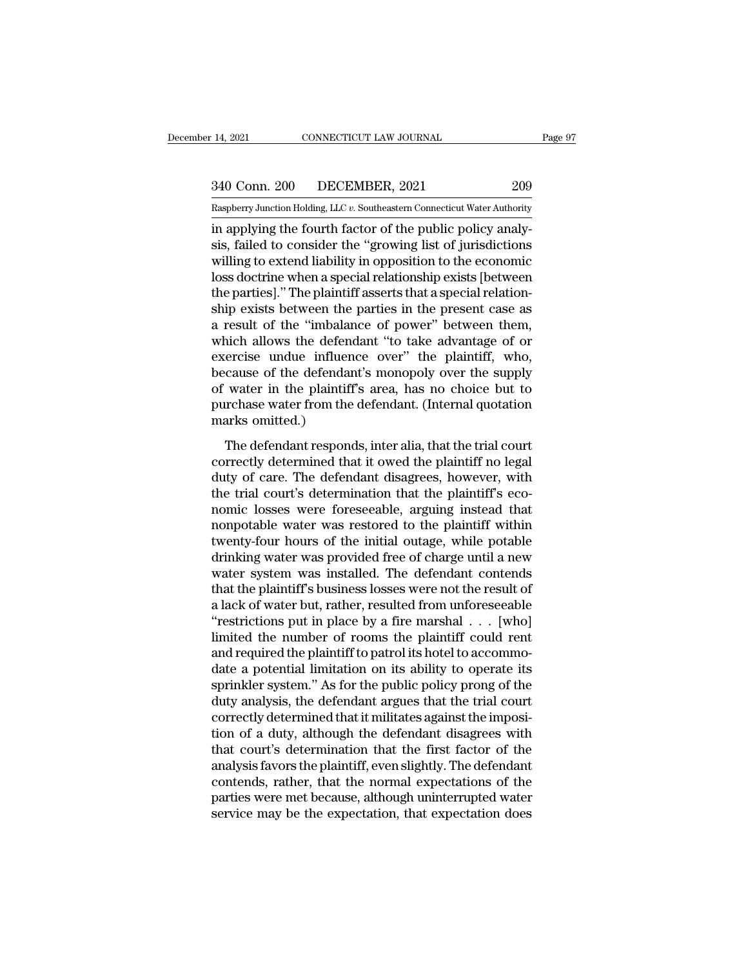14, 2021 CONNECTICUT LAW JOURNAL Page 97<br>340 Conn. 200 DECEMBER, 2021 209<br>Raspberry Junction Holding, LLC v. Southeastern Connecticut Water Authority

Pecember 14, 2021 CONNECTICUT LAW JOURNAL Page 97<br>
340 Conn. 200 DECEMBER, 2021 209<br>
Raspberry Junction Holding, LLC *v.* Southeastern Connecticut Water Authority<br>
in applying the fourth factor of the public policy analy-<sup>14, 2021</sup> CONNECTICUT LAW JOURNAL<br>
<sup>340</sup> Conn. 200 DECEMBER, 2021 <sup>209</sup><br>
<sup>Raspberry Junction Holding, LLC v. Southeastern Connecticut Water Authority<br>
in applying the fourth factor of the public policy analy-<br>
sis, failed</sup> 340 Conn. 200 DECEMBER, 2021 209<br>
Raspberry Junction Holding, LLC v. Southeastern Connecticut Water Authority<br>
in applying the fourth factor of the public policy analy-<br>
sis, failed to consider the "growing list of jurisdi  $\frac{340 \text{ Conn. } 200}{\text{Raspberry Junction Holding, LLC } v.$  Southeastern Connecticut Water Authority<br>in applying the fourth factor of the public policy analy-<br>sis, failed to consider the "growing list of jurisdictions<br>willing to extend liabilit 340 Conn. 200 DECEMBER, 2021 209<br>
Raspberry Junction Holding, LLC  $v$ . Southeastern Connecticut Water Authority<br>
in applying the fourth factor of the public policy analy-<br>
sis, failed to consider the "growing list of juri Raspberry Junction Holding, LLC v. Southeastern Connecticut Water Authority<br>
in applying the fourth factor of the public policy analy-<br>
sis, failed to consider the "growing list of jurisdictions<br>
willing to extend liabilit Example in applying the fourth factor of the public policy analysis, failed to consider the "growing list of jurisdictions willing to extend liability in opposition to the economic loss doctrine when a special relationshi in applying the fourth factor of the public policy analysis, failed to consider the "growing list of jurisdictions<br>willing to extend liability in opposition to the economic<br>loss doctrine when a special relationship exists sis, failed to consider the "growing list of jurisdictions<br>willing to extend liability in opposition to the economic<br>loss doctrine when a special relationship exists [between<br>the parties]." The plaintiff asserts that a spe willing to extend liability in opposition to the economic<br>loss doctrine when a special relationship exists [between<br>the parties]." The plaintiff asserts that a special relation-<br>ship exists between the parties in the prese loss doctrine when a special relationship exists [between<br>the parties]." The plaintiff asserts that a special relation-<br>ship exists between the parties in the present case as<br>a result of the "imbalance of power" between th the parties]." The plaintiff asserts that a special relationship exists between the parties in the present case as<br>a result of the "imbalance of power" between them,<br>which allows the defendant "to take advantage of or<br>exer ship exists between the parties in the present case as<br>a result of the "imbalance of power" between them,<br>which allows the defendant "to take advantage of or<br>exercise undue influence over" the plaintiff, who,<br>because of th a result of the "imbalance of power" between them,<br>which allows the defendant "to take advantage of or<br>exercise undue influence over" the plaintiff, who,<br>because of the defendant's monopoly over the supply<br>of water in the Fraction and the defendant responds of the plaintiff, who, cause of the defendant's monopoly over the supply water in the plaintiff's area, has no choice but to rehase water from the defendant. (Internal quotation arks omi calculate in the plaintiff's monopoly over the supply<br>of water in the plaintiff's area, has no choice but to<br>purchase water from the defendant. (Internal quotation<br>marks omitted.)<br>The defendant responds, inter alia, that t

duty of water in the plaintiff's area, has no choice but to<br>purchase water from the defendant. (Internal quotation<br>marks omitted.)<br>The defendant responds, inter alia, that the trial court<br>correctly determined that it owed of water in the plantain's dred, has no choice states<br>purchase water from the defendant. (Internal quotation<br>marks omitted.)<br>The defendant responds, inter alia, that the trial court<br>correctly determined that it owed the pl parents omitted.)<br>
The defendant responds, inter alia, that the trial court<br>
correctly determined that it owed the plaintiff no legal<br>
duty of care. The defendant disagrees, however, with<br>
the trial court's determination t The defendant responds, inter alia, that the trial court<br>correctly determined that it owed the plaintiff no legal<br>duty of care. The defendant disagrees, however, with<br>the trial court's determination that the plaintiff's ec The defendant responds, inter alia, that the trial court<br>correctly determined that it owed the plaintiff no legal<br>duty of care. The defendant disagrees, however, with<br>the trial court's determination that the plaintiff's ec correctly determined that it owed the plaintiff no legal<br>duty of care. The defendant disagrees, however, with<br>the trial court's determination that the plaintiff's eco-<br>nomic losses were foreseeable, arguing instead that<br>no duty of care. The defendant disagrees, however, with<br>the trial court's determination that the plaintiff's eco-<br>nomic losses were foreseeable, arguing instead that<br>nonpotable water was restored to the plaintiff within<br>twent the trial court's determination that the plaintiff's eco-<br>nomic losses were foreseeable, arguing instead that<br>nonpotable water was restored to the plaintiff within<br>twenty-four hours of the initial outage, while potable<br>dri nomic losses were foreseeable, arguing instead that<br>nonpotable water was restored to the plaintiff within<br>twenty-four hours of the initial outage, while potable<br>drinking water was provided free of charge until a new<br>water nonpotable water was restored to the plaintiff within<br>twenty-four hours of the initial outage, while potable<br>drinking water was provided free of charge until a new<br>water system was installed. The defendant contends<br>that th twenty-four hours of the initial outage, while potable<br>drinking water was provided free of charge until a new<br>water system was installed. The defendant contends<br>that the plaintiff's business losses were not the result of<br>a drinking water was provided free of charge until a new<br>water system was installed. The defendant contends<br>that the plaintiff's business losses were not the result of<br>a lack of water but, rather, resulted from unforeseeable water system was installed. The defendant contends<br>that the plaintiff's business losses were not the result of<br>a lack of water but, rather, resulted from unforeseeable<br>"restrictions put in place by a fire marshal . . . [wh that the plaintiff's business losses were not the result of<br>a lack of water but, rather, resulted from unforeseeable<br>"restrictions put in place by a fire marshal  $\ldots$  [who]<br>limited the number of rooms the plaintiff could a lack of water but, rather, resulted from unforeseeable<br>
"restrictions put in place by a fire marshal . . . [who]<br>
limited the number of rooms the plaintiff could rent<br>
and required the plaintiff to patrol its hotel to ac "restrictions put in place by a fire marshal  $\ldots$  [who] limited the number of rooms the plaintiff could rent and required the plaintiff to patrol its hotel to accommodate a potential limitation on its ability to operate limited the number of rooms the plaintiff could rent<br>and required the plaintiff to patrol its hotel to accommo-<br>date a potential limitation on its ability to operate its<br>sprinkler system." As for the public policy prong of and required the plaintiff to patrol its hotel to accommodate a potential limitation on its ability to operate its<br>sprinkler system." As for the public policy prong of the<br>duty analysis, the defendant argues that the trial date a potential limitation on its ability to operate its<br>sprinkler system." As for the public policy prong of the<br>duty analysis, the defendant argues that the trial court<br>correctly determined that it militates against the sprinkler system." As for the public policy prong of the<br>duty analysis, the defendant argues that the trial court<br>correctly determined that it militates against the imposi-<br>tion of a duty, although the defendant disagrees duty analysis, the defendant argues that the trial court<br>correctly determined that it militates against the imposi-<br>tion of a duty, although the defendant disagrees with<br>that court's determination that the first factor of correctly determined that it militates against the imposition of a duty, although the defendant disagrees with that court's determination that the first factor of the analysis favors the plaintiff, even slightly. The defen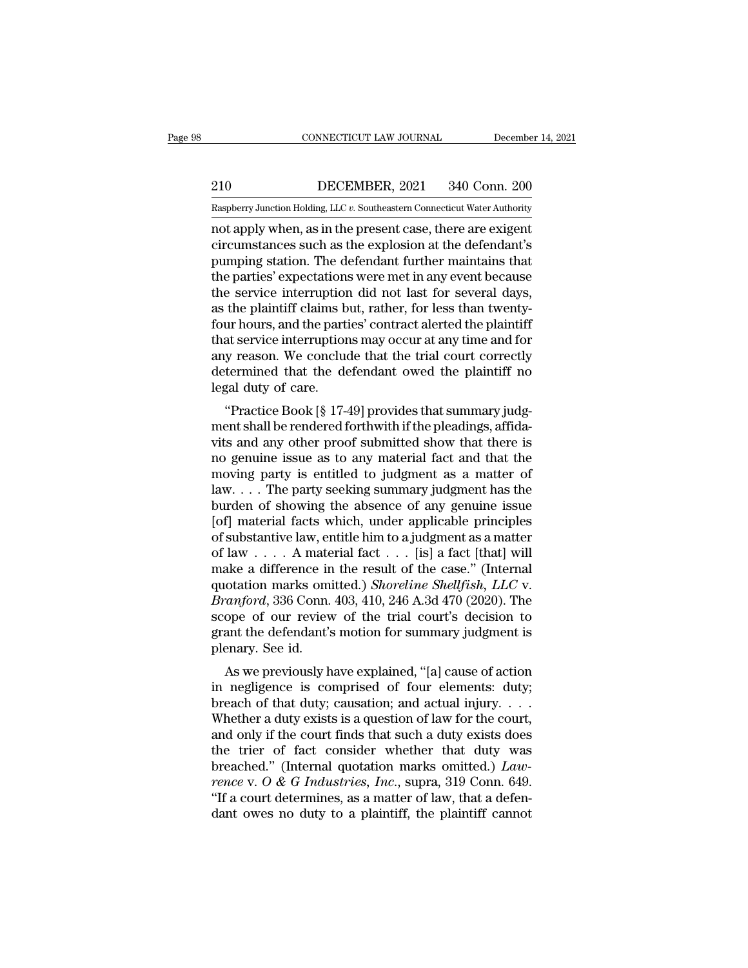EXECUTE CONNECTICUT LAW JOURNAL December 14, 2021<br>210 DECEMBER, 2021 340 Conn. 200<br>Raspberry Junction Holding, LLC v. Southeastern Connecticut Water Authority

CONNECTICUT LAW JOURNAL December 14, 2021<br>
210 DECEMBER, 2021 340 Conn. 200<br>
Raspberry Junction Holding, LLC *v.* Southeastern Connecticut Water Authority<br>
not apply when, as in the present case, there are exigent CONNECTICUT LAW JOURNAL December 14, 202<br>
210 DECEMBER, 2021 340 Conn. 200<br>
Raspberry Junction Holding, LLC v. Southeastern Connecticut Water Authority<br>
not apply when, as in the present case, there are exigent<br>
circumstan 210 DECEMBER, 2021 340 Conn. 200<br>
Raspberry Junction Holding, LLC v. Southeastern Connecticut Water Authority<br>
not apply when, as in the present case, there are exigent<br>
circumstances such as the explosion at the defendant 210 DECEMBER, 2021 340 Conn. 200<br>
Raspberry Junction Holding, LLC  $v$ . Southeastern Connecticut Water Authority<br>
not apply when, as in the present case, there are exigent<br>
circumstances such as the explosion at the defend 210 DECEMBER, 2021 340 Conn. 200<br>
Raspberry Junction Holding, LLC  $v$ . Southeastern Connecticut Water Authority<br>
not apply when, as in the present case, there are exigent<br>
circumstances such as the explosion at the defend Examples The Service interruption did not last for several days,<br>and apply when, as in the present case, there are exigent<br>circumstances such as the explosion at the defendant's<br>pumping station. The defendant further maint Raspberry Junction Holding, LLC  $v$ . Southeastern Connecticut Water Authority<br>not apply when, as in the present case, there are exigent<br>circumstances such as the explosion at the defendant's<br>pumping station. The defendant not apply when, as in the present case, there are exigent<br>circumstances such as the explosion at the defendant's<br>pumping station. The defendant further maintains that<br>the parties' expectations were met in any event because circumstances such as the explosion at the defendant's<br>pumping station. The defendant further maintains that<br>the parties' expectations were met in any event because<br>the service interruption did not last for several days,<br>a pumping station. The defendant further maintains that<br>the parties' expectations were met in any event because<br>the service interruption did not last for several days,<br>as the plaintiff claims but, rather, for less than twent the parties' expectations were met in any event because<br>the service interruption did not last for several days,<br>as the plaintiff claims but, rather, for less than twenty-<br>four hours, and the parties' contract alerted the p the service interruption<br>as the plaintiff claims b<br>four hours, and the parti<br>that service interruption<br>any reason. We conclue<br>determined that the de<br>legal duty of care.<br>"Practice Book [§ 17-4 the plantific claims but, rather, for less than twenty-<br>ur hours, and the parties' contract alerted the plaintiff<br>at service interruptions may occur at any time and for<br>y reason. We conclude that the trial court correctly<br> Fraction in the parties contract affiled the planting<br>that service interruptions may occur at any time and for<br>any reason. We conclude that the trial court correctly<br>determined that the defendant owed the plaintiff no<br>lega

Example 2013 and any decut at any time and for<br>any reason. We conclude that the trial court correctly<br>determined that the defendant owed the plaintiff no<br>legal duty of care.<br>"Practice Book [§ 17-49] provides that summary j any reason. We conclude that the that court correctly<br>determined that the defendant owed the plaintiff no<br>legal duty of care.<br>"Practice Book [§ 17-49] provides that summary judg-<br>ment shall be rendered forthwith if the ple determined that the detendant owed the plantum no<br>legal duty of care.<br>"Practice Book [§ 17-49] provides that summary judg-<br>ment shall be rendered forthwith if the pleadings, affida-<br>vits and any other proof submitted show "Practice Book [§ 17-49] provides that summary judg-<br>"Practice Book [§ 17-49] provides that summary judg-<br>ment shall be rendered forthwith if the pleadings, affida-<br>vits and any other proof submitted show that there is<br>no "Practice Book [§ 17-49] provides that summary judgment shall be rendered forthwith if the pleadings, affidavits and any other proof submitted show that there is no genuine issue as to any material fact and that the movin ment shall be rendered forthwith if the pleadings, affidavits and any other proof submitted show that there is<br>no genuine issue as to any material fact and that the<br>moving party is entitled to judgment as a matter of<br>law. vits and any other proof submitted show that there is<br>no genuine issue as to any material fact and that the<br>moving party is entitled to judgment as a matter of<br>law, ... The party seeking summary judgment has the<br>burden of no genuine issue as to any material fact and that the<br>moving party is entitled to judgment as a matter of<br>law . . . The party seeking summary judgment has the<br>burden of showing the absence of any genuine issue<br>[of] materi moving party is entitled to judgment as a matter of<br>law....The party seeking summary judgment has the<br>burden of showing the absence of any genuine issue<br>[of] material facts which, under applicable principles<br>of substantiv law. . . . The party seeking summary judgment has the<br>burden of showing the absence of any genuine issue<br>[of] material facts which, under applicable principles<br>of substantive law, entitle him to a judgment as a matter<br>of l burden of showing the absence of any genuine issue<br>[of] material facts which, under applicable principles<br>of substantive law, entitle him to a judgment as a matter<br>of law . . . . A material fact . . . [is] a fact [that] wi [of] material facts which, under applicable principles<br>of substantive law, entitle him to a judgment as a matter<br>of law  $\ldots$ . A material fact  $\ldots$  [is] a fact [that] will<br>make a difference in the result of the case." (I of substantive law, entitle him to a judgment as a matter<br>of law . . . . A material fact . . . [is] a fact [that] will<br>make a difference in the result of the case." (Internal<br>quotation marks omitted.) *Shoreline Shellfish* of law . . . . A mate<br>make a difference in<br>quotation marks omi<br>*Branford*, 336 Conn.<br>scope of our review<br>grant the defendant's<br>plenary. See id.<br>As we previously h are a unterence in the result of the case. (Internation<br>otation marks omitted.) *Shoreline Shellfish*, *LLC* v.<br>*anford*, 336 Conn. 403, 410, 246 A.3d 470 (2020). The<br>ope of our review of the trial court's decision to<br>ant quotation marks omitted.) *Shorethe Shellftsh*, *EEC* v.<br>*Branford*, 336 Conn. 403, 410, 246 A.3d 470 (2020). The<br>scope of our review of the trial court's decision to<br>grant the defendant's motion for summary judgment is<br>p

Branjora, 350 Collii. 405, 410, 240 A.5d 470 (2020). The<br>scope of our review of the trial court's decision to<br>grant the defendant's motion for summary judgment is<br>plenary. See id.<br>As we previously have explained, "[a] cau scope of our feview of the that court's decision to<br>grant the defendant's motion for summary judgment is<br>plenary. See id.<br>As we previously have explained, "[a] cause of action<br>in negligence is comprised of four elements: d grant the defendant s motion for summary judgment is<br>plenary. See id.<br>As we previously have explained, "[a] cause of action<br>in negligence is comprised of four elements: duty;<br>breach of that duty; causation; and actual inj As we previously have explained, "[a] cause of action<br>in negligence is comprised of four elements: duty;<br>breach of that duty; causation; and actual injury....<br>Whether a duty exists is a question of law for the court,<br>and As we previously have explained, "[a] cause of action<br>in negligence is comprised of four elements: duty;<br>breach of that duty; causation; and actual injury....<br>Whether a duty exists is a question of law for the court,<br>and in negligence is comprised of four elements: duty;<br>breach of that duty; causation; and actual injury. . . . .<br>Whether a duty exists is a question of law for the court,<br>and only if the court finds that such a duty exists d breach of that duty; causation; and actual injury. . . . Whether a duty exists is a question of law for the court, and only if the court finds that such a duty exists does the trier of fact consider whether that duty was Whether a duty exists is a question of law for the court,<br>and only if the court finds that such a duty exists does<br>the trier of fact consider whether that duty was<br>breached." (Internal quotation marks omitted.)  $Law-$ <br>rence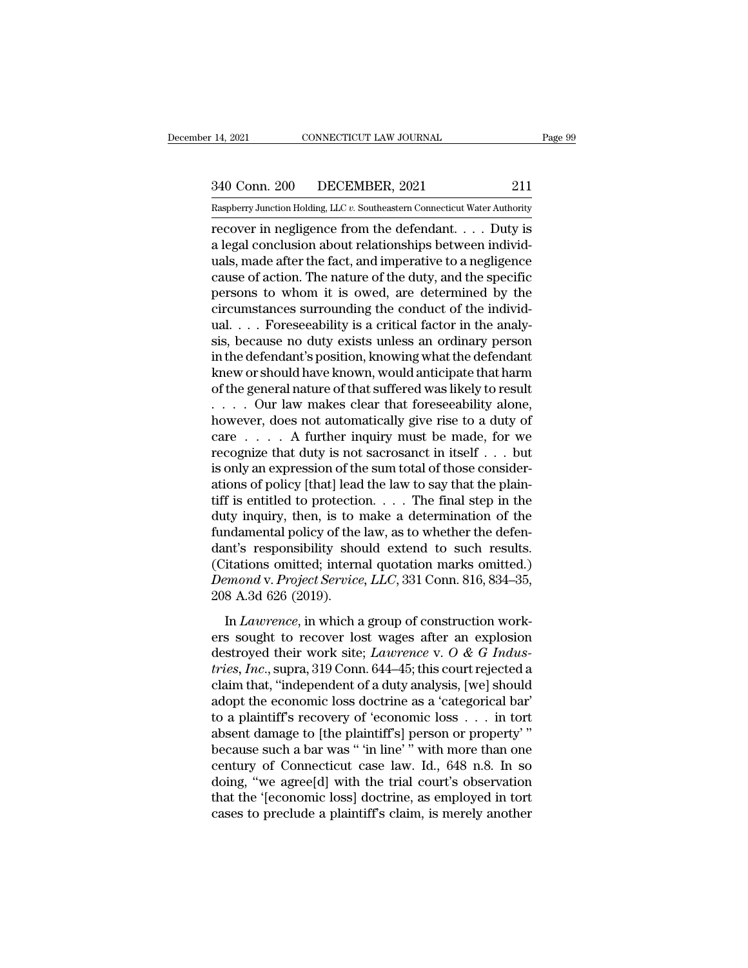14, 2021 CONNECTICUT LAW JOURNAL Page 99<br>340 Conn. 200 DECEMBER, 2021 211<br>Raspberry Junction Holding, LLC v. Southeastern Connecticut Water Authority

Pecember 14, 2021 CONNECTICUT LAW JOURNAL Page 99<br>
340 Conn. 200 DECEMBER, 2021 211<br>
Raspberry Junction Holding, LLC *v.* Southeastern Connecticut Water Authority<br>
recover in negligence from the defendant. . . . Duty is recover in negligence from the defendant. . . . Duty is<br>a legal conclusion Holding, LLC v. Southeastern Connecticut Water Authority<br>recover in negligence from the defendant. . . . Duty is<br>a legal conclusion about relations 340 Conn. 200 DECEMBER, 2021 211<br>
Raspberry Junction Holding, LLC v. Southeastern Connecticut Water Authority<br>
recover in negligence from the defendant. . . . Duty is<br>
a legal conclusion about relationships between individ 340 Conn. 200 DECEMBER, 2021 211<br>
Raspberry Junction Holding, LLC v. Southeastern Connecticut Water Authority<br>
recover in negligence from the defendant. . . . Duty is<br>
a legal conclusion about relationships between indivi 340 Conn. 200 DECEMBER, 2021 211<br>
Raspberry Junction Holding, LLC v. Southeastern Connecticut Water Authority<br>
recover in negligence from the defendant. . . . Duty is<br>
a legal conclusion about relationships between indivi Raspberry Junction Holding, LLC v. Southeastern Connecticut Water Authority<br>recover in negligence from the defendant.... Duty is<br>a legal conclusion about relationships between individ-<br>uals, made after the fact, and impera Example Try Junction Holding, LLC v. Southeastern Connecticut Water Authority<br>recover in negligence from the defendant.... Duty is<br>a legal conclusion about relationships between individ-<br>uals, made after the fact, and imp recover in negligence from the defendant. . . . Duty is<br>a legal conclusion about relationships between individ-<br>uals, made after the fact, and imperative to a negligence<br>cause of action. The nature of the duty, and the sp a legal conclusion about relationships between individuals, made after the fact, and imperative to a negligence<br>cause of action. The nature of the duty, and the specific<br>persons to whom it is owed, are determined by the<br>ci uals, made after the fact, and imperative to a negligence<br>cause of action. The nature of the duty, and the specific<br>persons to whom it is owed, are determined by the<br>circumstances surrounding the conduct of the individ-<br>ua cause of action. The nature of the duty, and the specific<br>persons to whom it is owed, are determined by the<br>circumstances surrounding the conduct of the individ-<br>ual. . . . Foreseeability is a critical factor in the analypersons to whom it is owed, are determined by the<br>circumstances surrounding the conduct of the individ-<br>ual. . . . Foreseeability is a critical factor in the analy-<br>sis, because no duty exists unless an ordinary person<br>in circumstances surrounding the conduct of the individual. . . . Foreseeability is a critical factor in the analysis, because no duty exists unless an ordinary person in the defendant's position, knowing what the defendant ual. . . . Foreseeability is a critical factor in the analysis, because no duty exists unless an ordinary person<br>in the defendant's position, knowing what the defendant<br>knew or should have known, would anticipate that har sis, because no duty exists unless an ordinary person<br>in the defendant's position, knowing what the defendant<br>knew or should have known, would anticipate that harm<br>of the general nature of that suffered was likely to resu in the defendant's position, knowing what the defendant<br>knew or should have known, would anticipate that harm<br>of the general nature of that suffered was likely to result<br> $\ldots$ . Our law makes clear that foreseeability alon knew or should have known, would anticipate that harm<br>of the general nature of that suffered was likely to result<br> $\ldots$ . Our law makes clear that foreseeability alone,<br>however, does not automatically give rise to a duty o of the general nature of that suffered was likely to result<br>  $\ldots$  Our law makes clear that foreseeability alone,<br>
however, does not automatically give rise to a duty of<br>
care  $\ldots$ . A further inquiry must be made, for we . . . . Our law makes clear that foreseeability alone,<br>however, does not automatically give rise to a duty of<br>care . . . . A further inquiry must be made, for we<br>recognize that duty is not sacrosanct in itself . . . but<br>i however, does not automatically give rise to a duty of<br>care  $\dots$  . A further inquiry must be made, for we<br>recognize that duty is not sacrosanct in itself  $\dots$  but<br>is only an expression of the sum total of those consider-<br> care  $\dots$  . A further inquiry must be made, for we<br>recognize that duty is not sacrosanct in itself  $\dots$  but<br>is only an expression of the sum total of those consider-<br>ations of policy [that] lead the law to say that the pl recognize that duty is not sacrosanct in itself . . . but<br>
is only an expression of the sum total of those consider-<br>
ations of policy [that] lead the law to say that the plain-<br>
tiff is entitled to protection. . . . The is only an expression of the sum total of those considerations of policy [that] lead the law to say that the plain-<br>tiff is entitled to protection. . . . . The final step in the<br>duty inquiry, then, is to make a determinat ations of policy [that] lead the law to say that the plaintiff is entitled to protection. . . . The final step in the duty inquiry, then, is to make a determination of the fundamental policy of the law, as to whether the d tiff is entitled to protectic<br>duty inquiry, then, is to 1<br>fundamental policy of the<br>dant's responsibility sho<br>(Citations omitted; intern<br>Demond v. Project Service<br>208 A.3d 626 (2019).<br>In Lawrence, in which a In *Lawrence*, in which a group of construction work-<br>Indian and policy of the law, as to whether the defen-<br>itations omitted; internal quotation marks omitted.)<br>*mond* v. *Project Service*, *LLC*, 331 Conn. 816, 834–35,<br>8 dant's responsibility should extend to such results.<br>
(Citations omitted; internal quotation marks omitted.)<br> *Demond* v. *Project Service*, *LLC*, 331 Conn. 816, 834–35,<br>
208 A.3d 626 (2019).<br>
In *Lawrence*, in which a g

data s responsionly should extend to such results.<br>
(Citations omitted; internal quotation marks omitted.)<br> *Demond* v. *Project Service*, *LLC*, 331 Conn. 816, 834–35,<br>
208 A.3d 626 (2019).<br>
In *Lawrence*, in which a grou *Lemond v. Project Service, LLC*, 331 Conn. 816, 834–35,<br>208 A.3d 626 (2019).<br>In *Lawrence*, in which a group of construction work-<br>ers sought to recover lost wages after an explosion<br>destroyed their work site; *Lawrence* 208 A.3d 626 (2019).<br>
In *Lawrence*, in which a group of construction work-<br>
ers sought to recover lost wages after an explosion<br>
destroyed their work site; *Lawrence* v. O & G Indus-<br>
tries, Inc., supra, 319 Conn. 644–45 In *Lawrence*, in which a group of construction work-<br>ers sought to recover lost wages after an explosion<br>destroyed their work site; *Lawrence* v. O & G *Indus-*<br>tries, *Inc.*, supra, 319 Conn. 644–45; this court rejected In *Lawrence*, in which a group of construction work-<br>ers sought to recover lost wages after an explosion<br>destroyed their work site; *Lawrence* v. O & G Indus-<br>tries, Inc., supra, 319 Conn. 644–45; this court rejected a<br>c ers sought to recover lost wages after an explosion<br>destroyed their work site; *Lawrence* v. O & G Indus-<br>*tries, Inc.*, supra, 319 Conn. 644–45; this court rejected a<br>claim that, "independent of a duty analysis, [we] sho destroyed their work site; *Lawrence* v. *O* & *G* Industries, Inc., supra, 319 Conn. 644–45; this court rejected a claim that, "independent of a duty analysis, [we] should adopt the economic loss doctrine as a 'categoric tries, *Inc.*, supra, 319 Conn. 644–45; this court rejected a<br>claim that, "independent of a duty analysis, [we] should<br>adopt the economic loss doctrine as a 'categorical bar'<br>to a plaintiff's recovery of 'economic loss . . claim that, "independent of a duty analysis, [we] should<br>adopt the economic loss doctrine as a 'categorical bar'<br>to a plaintiff's recovery of 'economic loss . . . in tort<br>absent damage to [the plaintiff's] person or prope adopt the economic loss doctrine as a 'categorical bar'<br>to a plaintiff's recovery of 'economic loss . . . in tort<br>absent damage to [the plaintiff's] person or property'"<br>because such a bar was "'in line'" with more than o to a plaintiff's recovery of 'economic loss  $\ldots$  in tort absent damage to [the plaintiff's] person or property'" because such a bar was " 'in line' " with more than one century of Connecticut case law. Id., 648 n.8. In s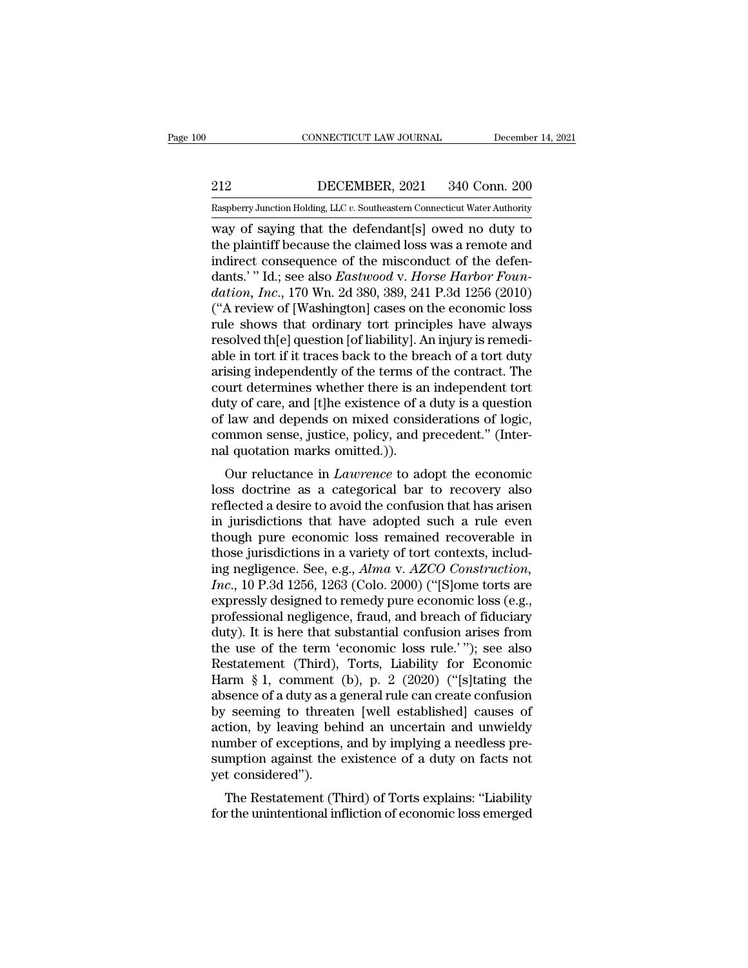EXECUTE CONNECTICUT LAW JOURNAL December 14, 2021<br>212 DECEMBER, 2021 340 Conn. 200<br>Raspberry Junction Holding, LLC v. Southeastern Connecticut Water Authority

CONNECTICUT LAW JOURNAL December 14, 2021<br>
212 DECEMBER, 2021 340 Conn. 200<br>
Raspberry Junction Holding, LLC *v.* Southeastern Connecticut Water Authority<br>
way of saying that the defendant[s] owed no duty to CONNECTICUT LAW JOURNAL December 14, 2021<br>
212 DECEMBER, 2021 340 Conn. 200<br>
Raspberry Junction Holding, LLC v. Southeastern Connecticut Water Authority<br>
way of saying that the defendant[s] owed no duty to<br>
the plaintiff b 212 DECEMBER, 2021 340 Conn. 200<br>
Raspberry Junction Holding, LLC v. Southeastern Connecticut Water Authority<br>
way of saying that the defendant[s] owed no duty to<br>
the plaintiff because the claimed loss was a remote and<br> 212 DECEMBER, 2021 340 Conn. 200<br>
Raspberry Junction Holding, LLC v. Southeastern Connecticut Water Authority<br>
way of saying that the defendant[s] owed no duty to<br>
the plaintiff because the claimed loss was a remote and<br> DECEMBER, 2021 340 Conn. 200<br>
Raspberry Junction Holding, LLC *v.* Southeastern Connecticut Water Authority<br>
way of saying that the defendant[s] owed no duty to<br>
the plaintiff because the claimed loss was a remote and<br>
ind **Example 19 Constructs:** 1992 Construction, Incorporation, Inc., 170 What the defendant [s] owed no duty to the plaintiff because the claimed loss was a remote and indirect consequence of the misconduct of the defendants.' Easpberry Junction Holding, LLC v. Southeastern Connecticut Water Authority<br>
way of saying that the defendant[s] owed no duty to<br>
the plaintiff because the claimed loss was a remote and<br>
indirect consequence of the miscon way of saying that the defendant[s] owed no duty to<br>the plaintiff because the claimed loss was a remote and<br>indirect consequence of the misconduct of the defen-<br>dants.' " Id.; see also *Eastwood v. Horse Harbor Foun-<br>datio* the plaintiff because the claimed loss was a remote and<br>indirect consequence of the misconduct of the defen-<br>dants.' " Id.; see also *Eastwood v. Horse Harbor Foun-*<br>dation, Inc., 170 Wn. 2d 380, 389, 241 P.3d 1256 (2010)<br> indirect consequence of the misconduct of the defendants.'" Id.; see also *Eastwood v. Horse Harbor Foundation, Inc.*, 170 Wn. 2d 380, 389, 241 P.3d 1256 (2010) ("A review of [Washington] cases on the economic loss rule sh dants.' " Id.; see also *Eastwood v. Horse Harbor Foun-<br>dation, Inc.*, 170 Wn. 2d 380, 389, 241 P.3d 1256 (2010)<br>("A review of [Washington] cases on the economic loss<br>rule shows that ordinary tort principles have always<br>re dation, Inc., 170 Wn. 2d 380, 389, 241 P.3d 1256 (2010)<br>("A review of [Washington] cases on the economic loss<br>rule shows that ordinary tort principles have always<br>resolved th[e] question [of liability]. An injury is remedi ("A review of [Washington] cases on the economic loss<br>rule shows that ordinary tort principles have always<br>resolved th[e] question [of liability]. An injury is remedi-<br>able in tort if it traces back to the breach of a tort rule shows that ordinary tort principles have always<br>resolved th[e] question [of liability]. An injury is remedi-<br>able in tort if it traces back to the breach of a tort duty<br>arising independently of the terms of the contra resolved th[e] question [of liability]. An injury is remediable in tort if it traces back to the breach of a tort duty arising independently of the terms of the contract. The court determines whether there is an independen able in tort if it traces back to the bre<br>arising independently of the terms of<br>court determines whether there is ar<br>duty of care, and [t]he existence of a<br>of law and depends on mixed consic<br>common sense, justice, policy, sing independently of the terms of the contract. The<br>urt determines whether there is an independent tort<br>ty of care, and [t]he existence of a duty is a question<br>law and depends on mixed considerations of logic,<br>mmon sense, Court determines whether there is an independent fort<br>duty of care, and [t]he existence of a duty is a question<br>of law and depends on mixed considerations of logic,<br>common sense, justice, policy, and precedent." (Inter-<br>na

duty of care, and [t]ne existence of a duty is a question<br>of law and depends on mixed considerations of logic,<br>common sense, justice, policy, and precedent." (Inter-<br>nal quotation marks omitted.)).<br>Our reluctance in *Lawre* or law and depends on filixed considerations of logic,<br>common sense, justice, policy, and precedent." (Inter-<br>nal quotation marks omitted.)).<br>Our reluctance in *Lawrence* to adopt the economic<br>loss doctrine as a categorica Follmon sense, justice, policy, and precedent. (Inter-<br>nal quotation marks omitted.)).<br>Our reluctance in *Lawrence* to adopt the economic<br>loss doctrine as a categorical bar to recovery also<br>reflected a desire to avoid the For the economic loss doctrine as a categorical bar to recovery also reflected a desire to avoid the confusion that has arisen in jurisdictions that have adopted such a rule even though pure economic loss remained recover Our reluctance in *Lawrence* to adopt the economic<br>loss doctrine as a categorical bar to recovery also<br>reflected a desire to avoid the confusion that has arisen<br>in jurisdictions that have adopted such a rule even<br>though pu loss doctrine as a categorical bar to recovery also<br>reflected a desire to avoid the confusion that has arisen<br>in jurisdictions that have adopted such a rule even<br>though pure economic loss remained recoverable in<br>those juri reflected a desire to avoid the confusion that has arisen<br>in jurisdictions that have adopted such a rule even<br>though pure economic loss remained recoverable in<br>those jurisdictions in a variety of tort contexts, includ-<br>in in jurisdictions that have adopted such a rule even<br>though pure economic loss remained recoverable in<br>those jurisdictions in a variety of tort contexts, includ-<br>ing negligence. See, e.g., *Alma* v. *AZCO Construction*,<br>*I* though pure economic loss remained recoverable in<br>those jurisdictions in a variety of tort contexts, includ-<br>ing negligence. See, e.g., *Alma* v. *AZCO Construction*,<br>*Inc.*, 10 P.3d 1256, 1263 (Colo. 2000) ("[S]ome torts those jurisdictions in a variety of tort contexts, includ-<br>ing negligence. See, e.g., *Alma* v. *AZCO Construction*,<br>*Inc.*, 10 P.3d 1256, 1263 (Colo. 2000) ("[S]ome torts are<br>expressly designed to remedy pure economic lo ing negligence. See, e.g., *Alma v. AZCO Construction,*<br> *Inc.*, 10 P.3d 1256, 1263 (Colo. 2000) ("[S]ome torts are<br>
expressly designed to remedy pure economic loss (e.g.,<br>
professional negligence, fraud, and breach of fi Inc., 10 P.3d 1256, 1263 (Colo. 2000) ("[S]ome torts are<br>expressly designed to remedy pure economic loss (e.g.,<br>professional negligence, fraud, and breach of fiduciary<br>duty). It is here that substantial confusion arises f expressly designed to remedy pure economic loss (e.g.,<br>professional negligence, fraud, and breach of fiduciary<br>duty). It is here that substantial confusion arises from<br>the use of the term 'economic loss rule.' "); see also professional negligence, fraud, and breach of fiduciary<br>duty). It is here that substantial confusion arises from<br>the use of the term 'economic loss rule.'"); see also<br>Restatement (Third), Torts, Liability for Economic<br>Harm duty). It is here that substantial confusion arises from<br>the use of the term 'economic loss rule.'"); see also<br>Restatement (Third), Torts, Liability for Economic<br>Harm § 1, comment (b), p. 2 (2020) ("[s]tating the<br>absence o the use of the term 'economic loss rule.'"); see also<br>Restatement (Third), Torts, Liability for Economic<br>Harm § 1, comment (b), p. 2 (2020) ("[s]tating the<br>absence of a duty as a general rule can create confusion<br>by seemin Restatement (Third), Torts, Liability for Economic<br>Harm § 1, comment (b), p. 2 (2020) ("[s]tating the<br>absence of a duty as a general rule can create confusion<br>by seeming to threaten [well established] causes of<br>action, by Harm  $\S$  1, comment (absence of a duty as a g<br>by seeming to threate<br>action, by leaving beh<br>number of exceptions,<br>sumption against the (yet considered'').<br>The Restatement (Tl Sence of a duly as a general rule can create confusion<br>
seeming to threaten [well established] causes of<br>
tion, by leaving behind an uncertain and unwieldy<br>
umber of exceptions, and by implying a needless pre-<br>
mption agai by seeming to threaten [wen established] causes of<br>action, by leaving behind an uncertain and unwieldy<br>number of exceptions, and by implying a needless pre-<br>sumption against the existence of a duty on facts not<br>yet conside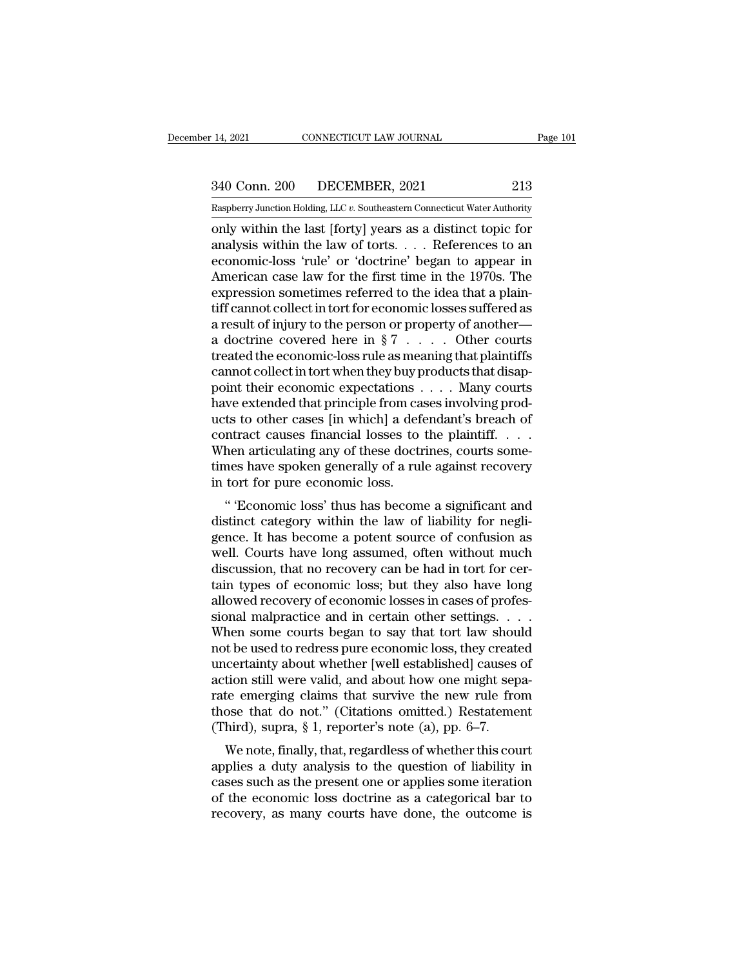14, 2021 CONNECTICUT LAW JOURNAL Page 101<br>340 Conn. 200 DECEMBER, 2021 213<br>Raspberry Junction Holding, LLC v. Southeastern Connecticut Water Authority

Pecember 14, 2021 CONNECTICUT LAW JOURNAL Page 101<br>
213<br>
Raspberry Junction Holding, LLC *v*. Southeastern Connecticut Water Authority<br>
00 Only within the last [forty] years as a distinct topic for 14, 2021 CONNECTICUT LAW JOURNAL Page 101<br>
340 Conn. 200 DECEMBER, 2021 213<br>
Raspberry Junction Holding, LLC v. Southeastern Connecticut Water Authority<br>
only within the last [forty] years as a distinct topic for<br>
analysis 340 Conn. 200 DECEMBER, 2021 213<br>
Raspberry Junction Holding, LLC v. Southeastern Connecticut Water Authority<br>
only within the last [forty] years as a distinct topic for<br>
analysis within the law of torts. . . . References 340 Conn. 200 DECEMBER, 2021 213<br>
Raspberry Junction Holding, LLC v. Southeastern Connecticut Water Authority<br>
only within the last [forty] years as a distinct topic for<br>
analysis within the law of torts. . . . References  $\frac{340 \text{ Conn. } 200}{\text{Raspberry Junction Holding, LLC } v. \text{ Southeastern Connecticut Water Authority}}$ <br>
only within the last [forty] years as a distinct topic for<br>
analysis within the law of torts. . . . References to an<br>
economic-loss 'rule' or 'doctrine' began to appear in<br>
A Expression SECRET 2012 1992<br>
Raspberry Junction Holding, LLC v. Southeastern Connecticut Water Authority<br>
only within the last [forty] years as a distinct topic for<br>
analysis within the law of torts.... References to an<br>
e Example Evaluation Holding, LLC v. Southeastern Connecticut Water Authority<br>
only within the last [forty] years as a distinct topic for<br>
analysis within the law of torts.... References to an<br>
economic-loss 'rule' or 'doct only within the last [forty] years as a distinct topic for<br>analysis within the law of torts. . . . References to an<br>economic-loss 'rule' or 'doctrine' began to appear in<br>American case law for the first time in the 1970s. analysis within the law of torts. . . . References to an<br>economic-loss 'rule' or 'doctrine' began to appear in<br>American case law for the first time in the 1970s. The<br>expression sometimes referred to the idea that a plaineconomic-loss 'rule' or 'doctrine' began to appear in<br>American case law for the first time in the 1970s. The<br>expression sometimes referred to the idea that a plain-<br>tiff cannot collect in tort for economic losses suffered American case law for the first time in the 1970s. The expression sometimes referred to the idea that a plain-<br>tiff cannot collect in tort for economic losses suffered as<br>a result of injury to the person or property of an expression sometimes referred to the idea that a plain-<br>tiff cannot collect in tort for economic losses suffered as<br>a result of injury to the person or property of another—<br>a doctrine covered here in § 7 . . . . . Other c tiff cannot collect in tort for economic losses suffered as<br>a result of injury to the person or property of another—<br>a doctrine covered here in §7 . . . . . Other courts<br>treated the economic-loss rule as meaning that plai a result of injury to the person or property of another—<br>a doctrine covered here in § 7 . . . . . Other courts<br>treated the economic-loss rule as meaning that plaintiffs<br>cannot collect in tort when they buy products that d a doctrine covered here in § 7 . . . . . Other courts<br>treated the economic-loss rule as meaning that plaintiffs<br>cannot collect in tort when they buy products that disap-<br>point their economic expectations . . . . Many cour treated the economic-loss rule as meaning that plaintiffs<br>cannot collect in tort when they buy products that disap-<br>point their economic expectations . . . . Many courts<br>have extended that principle from cases involving pr cannot collect in tort when they buy products that disappoint their economic expectations . . . . Many courts have extended that principle from cases involving products to other cases [in which] a defendant's breach of co point their economic expectations .<br>have extended that principle from ca<br>ucts to other cases [in which] a defe<br>contract causes financial losses to<br>When articulating any of these doctr<br>times have spoken generally of a rul<br>i We extended that principle from cases involving prodets to other cases [in which] a defendant's breach of intract causes financial losses to the plaintiff....<br>hen articulating any of these doctrines, courts some-<br>mes have distinct category within a detendant streach of<br>contract causes financial losses to the plaintiff....<br>When articulating any of these doctrines, courts some-<br>times have spoken generally of a rule against recovery<br>in tort fo

Followiac causes miancial losses to the plant......<br>When articulating any of these doctrines, courts some-<br>times have spoken generally of a rule against recovery<br>in tort for pure economic loss.<br>"Economic loss' thus has be when aricularing any of these doctrines, courts some-<br>times have spoken generally of a rule against recovery<br>in tort for pure economic loss.<br>" "Economic loss' thus has become a significant and<br>distinct category within the different perfection of a rule against recovery<br>in tort for pure economic loss.<br>" "Economic loss' thus has become a significant and<br>distinct category within the law of liability for negli-<br>gence. It has become a potent sou It for for pure economic loss.<br>
" "Economic loss' thus has become a significant and<br>
distinct category within the law of liability for negli-<br>
gence. It has become a potent source of confusion as<br>
well. Courts have long as " 'Economic loss' thus has become a significant and<br>distinct category within the law of liability for negli-<br>gence. It has become a potent source of confusion as<br>well. Courts have long assumed, often without much<br>discussio distinct category within the law of liability for negli-<br>gence. It has become a potent source of confusion as<br>well. Courts have long assumed, often without much<br>discussion, that no recovery can be had in tort for cer-<br>tain gence. It has become a potent source of confusion as<br>well. Courts have long assumed, often without much<br>discussion, that no recovery can be had in tort for cer-<br>tain types of economic loss; but they also have long<br>allowed well. Courts have long assumed, often without much<br>discussion, that no recovery can be had in tort for cer-<br>tain types of economic loss; but they also have long<br>allowed recovery of economic losses in cases of profes-<br>siona discussion, that no recovery can be had in tort for certain types of economic loss; but they also have long<br>allowed recovery of economic losses in cases of profes-<br>sional malpractice and in certain other settings. . . .<br>Wh tain types of economic loss; but they also have long<br>allowed recovery of economic losses in cases of profes-<br>sional malpractice and in certain other settings. . . .<br>When some courts began to say that tort law should<br>not be allowed recovery of economic losses in cases of profes-<br>sional malpractice and in certain other settings. . . .<br>When some courts began to say that tort law should<br>not be used to redress pure economic loss, they created<br>un sional malpractice and in certain other settings. . . . When some courts began to say that tort law should<br>not be used to redress pure economic loss, they created<br>uncertainty about whether [well established] causes of<br>act When some courts began to say that tort law shound to be used to redress pure economic loss, they create uncertainty about whether [well established] causes action still were valid, and about how one might sep rate emergin of the used to retriess pure economic loss, they created<br>incertainty about whether [well established] causes of<br>tion still were valid, and about how one might sepa-<br>te emerging claims that survive the new rule from<br>ose tha about whether [wen established] causes of<br>action still were valid, and about how one might sepa-<br>rate emerging claims that survive the new rule from<br>those that do not." (Citations omitted.) Restatement<br>(Third), supra, § 1,

action sun were vand, and about now one inight separate emerging claims that survive the new rule from<br>those that do not." (Citations omitted.) Restatement<br>(Third), supra, § 1, reporter's note (a), pp. 6–7.<br>We note, finall rate enterging crains that survive the new rule from<br>those that do not." (Citations omitted.) Restatement<br>(Third), supra, § 1, reporter's note (a), pp. 6–7.<br>We note, finally, that, regardless of whether this court<br>applies Third), supra,  $§$  1, reporter's note (a), pp. 6–7.<br>We note, finally, that, regardless of whether this court<br>applies a duty analysis to the question of liability in<br>cases such as the present one or applies some iteration<br>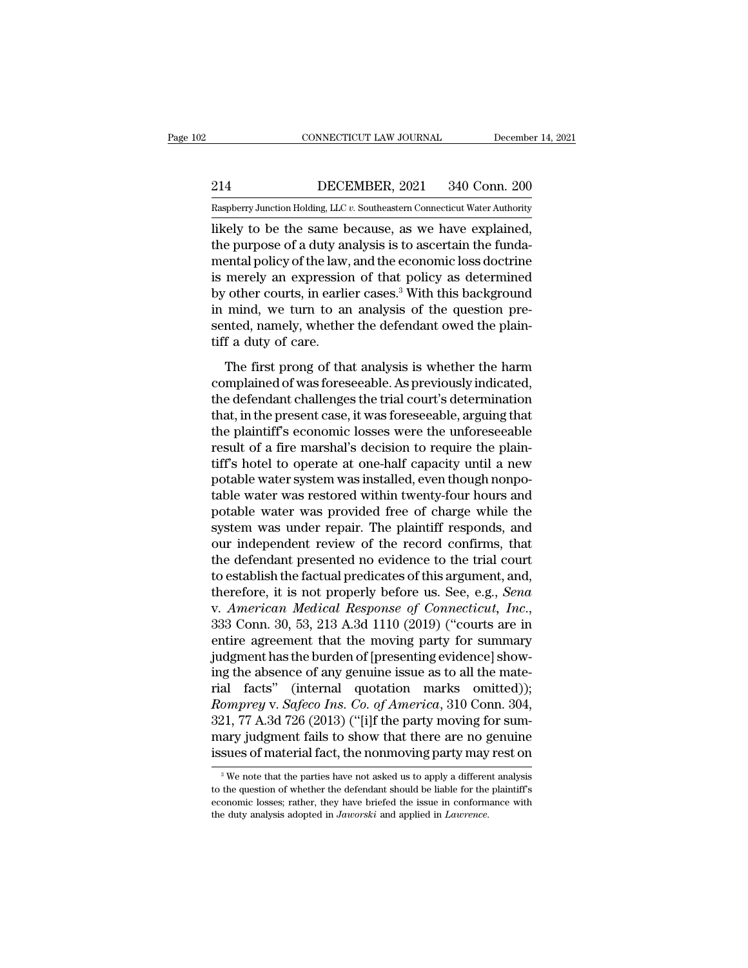EXECUTE CONNECTICUT LAW JOURNAL December 14, 2021<br>214 DECEMBER, 2021 340 Conn. 200<br>Raspberry Junction Holding, LLC v. Southeastern Connecticut Water Authority

CONNECTICUT LAW JOURNAL December 14, 2021<br>
214 DECEMBER, 2021 340 Conn. 200<br>
Raspberry Junction Holding, LLC *v.* Southeastern Connecticut Water Authority<br>
likely to be the same because, as we have explained, CONNECTICUT LAW JOURNAL December 14, 2<br>
214 DECEMBER, 2021 340 Conn. 200<br>
Raspberry Junction Holding, LLC v. Southeastern Connecticut Water Authority<br>
likely to be the same because, as we have explained,<br>
the purpose of a 214 DECEMBER, 2021 340 Conn. 200<br>
Raspberry Junction Holding, LLC v. Southeastern Connecticut Water Authority<br>
likely to be the same because, as we have explained,<br>
the purpose of a duty analysis is to ascertain the funda-214 DECEMBER, 2021 340 Conn. 200<br>
Raspberry Junction Holding, LLC v. Southeastern Connecticut Water Authority<br>
likely to be the same because, as we have explained,<br>
the purpose of a duty analysis is to ascertain the funda 214 DECEMBER, 2021 340 Conn. 200<br>
Raspberry Junction Holding, LLC  $v$ . Southeastern Connecticut Water Authority<br>
likely to be the same because, as we have explained,<br>
the purpose of a duty analysis is to ascertain the fun Example Theory Junction Holding, LLC v. Southeastern Connecticut Water Authority<br>
likely to be the same because, as we have explained,<br>
the purpose of a duty analysis is to ascertain the funda-<br>
mental policy of the law, Example Try Junction Holding, LLC v. Southeastern Connecticut water Authority<br>likely to be the same because, as we have explained,<br>the purpose of a duty analysis is to ascertain the funda-<br>mental policy of the law, and th likely to be the same because, as we have explained,<br>the purpose of a duty analysis is to ascertain the funda-<br>mental policy of the law, and the economic loss doctrine<br>is merely an expression of that policy as determined<br>b the purpose of a duty ar<br>mental policy of the law,<br>is merely an expression<br>by other courts, in earli<br>in mind, we turn to ar<br>sented, namely, whethe<br>tiff a duty of care.<br>The first prong of tha Entar persy of the faw, and the content close decarning<br>merely an expression of that policy as determined<br>other courts, in earlier cases.<sup>3</sup> With this background<br>mind, we turn to an analysis of the question pre-<br>nted, name complained of was foreseeable. As previously indicated, and we turn to an analysis of the question pre-<br>sented, namely, whether the defendant owed the plain-<br>tiff a duty of care.<br>The first prong of that analysis is whether

 $\sigma$  such courts, in standard cases. Which also state, see the displacement in mind, we turn to an analysis of the question presented, namely, whether the defendant owed the plaintiff a duty of care.<br>The first prong of th that, in the present case, it was forested the plain-<br>tiff a duty of care.<br>The first prong of that analysis is whether the harm<br>complained of was foreseeable. As previously indicated,<br>the defendant challenges the trial cou tiff a duty of care.<br>
The first prong of that analysis is whether the harm<br>
complained of was foreseeable. As previously indicated,<br>
the defendant challenges the trial court's determination<br>
that, in the present case, it w The first prong of that analysis is whether the harm<br>complained of was foreseeable. As previously indicated,<br>the defendant challenges the trial court's determination<br>that, in the present case, it was foreseeable, arguing t The first prong of that analysis is whether the harm<br>complained of was foreseeable. As previously indicated,<br>the defendant challenges the trial court's determination<br>that, in the present case, it was foreseeable, arguing t complained of was foreseeable. As previously indicated,<br>the defendant challenges the trial court's determination<br>that, in the present case, it was foreseeable, arguing that<br>the plaintiff's economic losses were the unforese the defendant challenges the trial court's determination<br>that, in the present case, it was foreseeable, arguing that<br>the plaintiff's economic losses were the unforeseeable<br>result of a fire marshal's decision to require the that, in the present case, it was foreseeable, arguing that<br>the plaintiff's economic losses were the unforeseeable<br>result of a fire marshal's decision to require the plain-<br>tiff's hotel to operate at one-half capacity unti the plaintiff's economic losses were the unforeseeable<br>result of a fire marshal's decision to require the plain-<br>tiff's hotel to operate at one-half capacity until a new<br>potable water system was installed, even though nonp result of a fire marshal's decision to require the plain-<br>tiff's hotel to operate at one-half capacity until a new<br>potable water system was installed, even though nonpo-<br>table water was restored within twenty-four hours an tiff's hotel to operate at one-half capacity until a new<br>potable water system was installed, even though nonpo-<br>table water was restored within twenty-four hours and<br>potable water was provided free of charge while the<br>syst potable water system was installed, even though nonpotable water was restored within twenty-four hours and potable water was provided free of charge while the system was under repair. The plaintiff responds, and our indepe table water was restored within twenty-four hours and<br>potable water was provided free of charge while the<br>system was under repair. The plaintiff responds, and<br>our independent review of the record confirms, that<br>the defenda potable water was provided free of charge while the<br>system was under repair. The plaintiff responds, and<br>our independent review of the record confirms, that<br>the defendant presented no evidence to the trial court<br>to establi our independent review of the record confirms, that<br>the defendant presented no evidence to the trial court<br>to establish the factual predicates of this argument, and,<br>therefore, it is not properly before us. See, e.g., *Sen* the defendant presented no evidence to the trial court<br>to establish the factual predicates of this argument, and,<br>therefore, it is not properly before us. See, e.g., *Sena*<br>v. American Medical Response of Connecticut, Inc. to establish the factual predicates of this argument, and,<br>therefore, it is not properly before us. See, e.g., *Sena*<br>v. *American Medical Response of Connecticut*, *Inc.*,<br>333 Conn. 30, 53, 213 A.3d 1110 (2019) ("courts therefore, it is not properly before us. See, e.g., *Sena*<br>v. *American Medical Response of Connecticut*, *Inc.*,<br>333 Conn. 30, 53, 213 A.3d 1110 (2019) ("courts are in<br>entire agreement that the moving party for summary<br>j *Romarican Medical Response of Connecticut, Inc.,* 333 Conn. 30, 53, 213 A.3d 1110 (2019) ("courts are in entire agreement that the moving party for summary judgment has the burden of [presenting evidence] showing the abse 333 Conn. 30, 53, 213 A.3d 1110 (2019) ("courts are in entire agreement that the moving party for summary judgment has the burden of [presenting evidence] showing the absence of any genuine issue as to all the material fa entire agreement that the moving party for summary<br>judgment has the burden of [presenting evidence] show-<br>ing the absence of any genuine issue as to all the mate-<br>rial facts" (internal quotation marks omitted));<br> $Romprey$  v. judgment has the burden of [presenting evidence] show-<br>ing the absence of any genuine issue as to all the mate-<br>rial facts" (internal quotation marks omitted));<br>*Romprey* v. *Safeco Ins. Co. of America*, 310 Conn. 304,<br>321 omprey v. Sajeco Ins. Co. of America, 310 Conn. 304, 21, 77 A.3d 726 (2013) ("[i]f the party moving for sumary judgment fails to show that there are no genuine sues of material fact, the nonmoving party may rest on  $\frac{3}{$ 321, 77 A.3d 726 (2013) ("[i]f the party moving for summary judgment fails to show that there are no genuine issues of material fact, the nonmoving party may rest on  $\frac{3}{8}$  We note that the parties have not asked us to

mary judgment fails to show that there are no genuine<br>issues of material fact, the nonmoving party may rest on<br><sup>3</sup>We note that the parties have not asked us to apply a different analysis<br>to the question of whether the def ISSUES Of material fact, the nonmoving party may<br><sup>3</sup> We note that the parties have not asked us to apply a different<br>to the question of whether the defendant should be liable for the<br>economic losses; rather, they have brie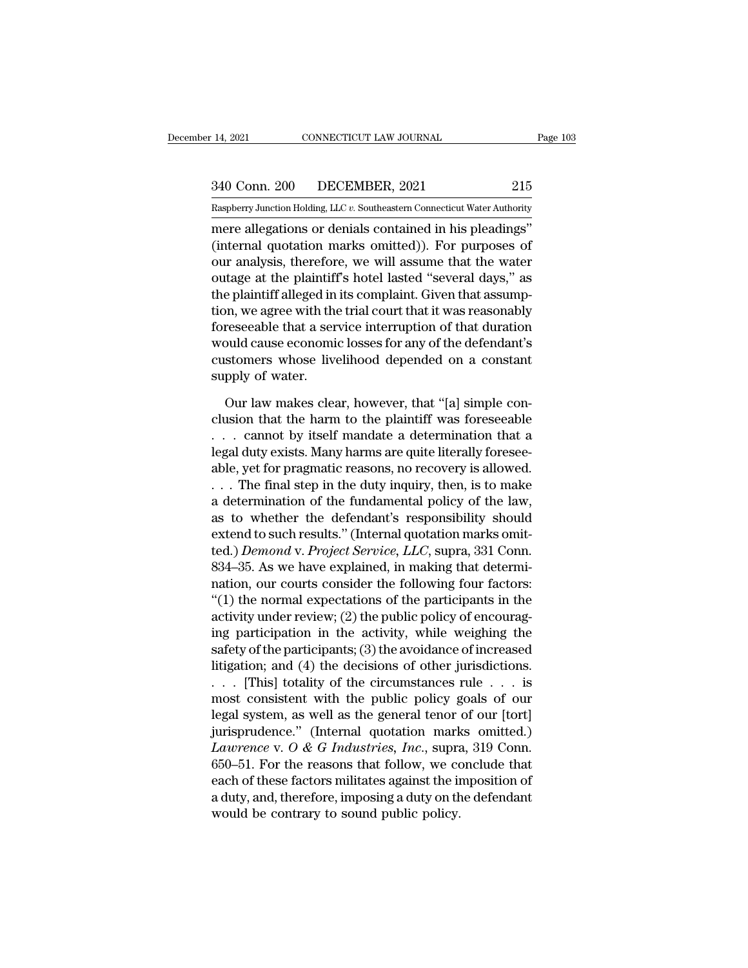14, 2021 CONNECTICUT LAW JOURNAL Page 103<br>340 Conn. 200 DECEMBER, 2021 215<br>Raspberry Junction Holding, LLC v. Southeastern Connecticut Water Authority

Pecember 14, 2021 CONNECTICUT LAW JOURNAL Page 103<br>
340 Conn. 200 DECEMBER, 2021 215<br>
Raspberry Junction Holding, LLC *v.* Southeastern Connecticut Water Authority<br>
mere allegations or denials contained in his pleadings" mere allegations or denials contained in his pleadings'<br>
mere allegations or denials contained in his pleadings''<br>
(internal quotation marks omitted)). For purposes of<br>
the analysis therefore we will essume that the water (340 Conn. 200 DECEMBER, 2021 215<br>
Raspberry Junction Holding, LLC  $v$ . Southeastern Connecticut Water Authority<br>
mere allegations or denials contained in his pleadings"<br>
(internal quotation marks omitted)). For purposes 340 Conn. 200 DECEMBER, 2021 215<br>
Raspberry Junction Holding, LLC v. Southeastern Connecticut Water Authority<br>
mere allegations or denials contained in his pleadings"<br>
(internal quotation marks omitted)). For purposes of<br> 340 Conn. 200 DECEMBER, 2021 215<br>
Raspberry Junction Holding, LLC  $v$ . Southeastern Connecticut Water Authority<br>
mere allegations or denials contained in his pleadings"<br>
(internal quotation marks omitted)). For purposes o Raspberry Junction Holding, LLC v. Southeastern Connecticut Water Authority<br>
mere allegations or denials contained in his pleadings"<br>
(internal quotation marks omitted)). For purposes of<br>
our analysis, therefore, we will a the allegation is of denials contained in his pleadings"<br>
(internal quotation marks omitted)). For purposes of<br>
our analysis, therefore, we will assume that the water<br>
outage at the plaintiff's hotel lasted "several days," mere allegations or denials contained in his pleadings"<br>(internal quotation marks omitted)). For purposes of<br>our analysis, therefore, we will assume that the water<br>outage at the plaintiff's hotel lasted "several days," as<br> (internal quotation marks omitted)). For purposes of<br>our analysis, therefore, we will assume that the water<br>outage at the plaintiff's hotel lasted "several days," as<br>the plaintiff alleged in its complaint. Given that assum our analysis, therefore, we will assume that the water<br>outage at the plaintiff's hotel lasted "several days," as<br>the plaintiff alleged in its complaint. Given that assump-<br>tion, we agree with the trial court that it was re outage at the plaintiff<br>the plaintiff alleged in<br>tion, we agree with the<br>foreseeable that a ser<br>would cause economi<br>customers whose live<br>supply of water.<br>Our law makes clea on, we agree with the trial court that it was reasonably<br>reseeable that a service interruption of that duration<br>ould cause economic losses for any of the defendant's<br>stomers whose livelihood depended on a constant<br>pply of foreseeable that a service interruption of that duration<br>would cause economic losses for any of the defendant's<br>customers whose livelihood depended on a constant<br>supply of water.<br>Our law makes clear, however, that "[a] sim

would cause economic losses for any of the defendant's<br>customers whose livelihood depended on a constant<br>supply of water.<br>Our law makes clear, however, that "[a] simple con-<br>clusion that the harm to the plaintiff was fores customers whose livelihood depended on a constant<br>supply of water.<br>Our law makes clear, however, that "[a] simple con-<br>clusion that the harm to the plaintiff was foreseeable<br>... cannot by itself mandate a determination tha supply of water.<br>
Our law makes clear, however, that "[a] simple conclusion that the harm to the plaintiff was foreseeable<br>
. . . cannot by itself mandate a determination that a<br>
legal duty exists. Many harms are quite lit Our law makes clear, however, that "[a] simple conclusion that the harm to the plaintiff was foreseeable . . . cannot by itself mandate a determination that a legal duty exists. Many harms are quite literally foreseeable, Our law makes clear, however, that "[a] simple conclusion that the harm to the plaintiff was foreseeable . . . cannot by itself mandate a determination that a legal duty exists. Many harms are quite literally foreseeable, clusion that the harm to the plaintiff was foreseeable<br>
. . . cannot by itself mandate a determination that a<br>
legal duty exists. Many harms are quite literally foresee-<br>
able, yet for pragmatic reasons, no recovery is al . . . . cannot by itself mandate a determination that a<br>legal duty exists. Many harms are quite literally foresee-<br>able, yet for pragmatic reasons, no recovery is allowed.<br>. . . The final step in the duty inquiry, then, i legal duty exists. Many harms are quite literally foresee-<br>able, yet for pragmatic reasons, no recovery is allowed.<br>. . . The final step in the duty inquiry, then, is to make<br>a determination of the fundamental policy of th able, yet for pragmatic reasons, no recovery is allowed.<br>  $\ldots$  The final step in the duty inquiry, then, is to make<br>
a determination of the fundamental policy of the law,<br>
as to whether the defendant's responsibility sho ... The final step in the duty inquiry, then, is to make<br>a determination of the fundamental policy of the law,<br>as to whether the defendant's responsibility should<br>extend to such results." (Internal quotation marks omit-<br>t a determination of the fundamental policy of the law,<br>as to whether the defendant's responsibility should<br>extend to such results." (Internal quotation marks omit-<br>ted.) *Demond* v. *Project Service*, *LLC*, supra, 331 Conn as to whether the defendant's responsibility should<br>extend to such results." (Internal quotation marks omit-<br>ted.) Demond v. Project Service, LLC, supra, 331 Conn.<br>834–35. As we have explained, in making that determi-<br>nat extend to such results." (Internal quotation marks omit-<br>ted.) *Demond v. Project Service, LLC*, supra, 331 Conn.<br>834–35. As we have explained, in making that determi-<br>nation, our courts consider the following four factors ted.) *Demond v. Project Service, LLC*, supra, 331 Conn.<br>834–35. As we have explained, in making that determi-<br>nation, our courts consider the following four factors:<br>"(1) the normal expectations of the participants in the 834–35. As we have explained, in making that determination, our courts consider the following four factors:<br>"(1) the normal expectations of the participants in the activity under review; (2) the public policy of encouragi nation, our courts consider the following four factors:<br>
"(1) the normal expectations of the participants in the<br>
activity under review; (2) the public policy of encourag-<br>
ing participation in the activity, while weighin "(1) the normal expectations of the participants in the activity under review; (2) the public policy of encouraging participation in the activity, while weighing the safety of the participants; (3) the avoidance of increa activity under review; (2) the public policy of encourag-<br>ing participation in the activity, while weighing the<br>safety of the participants; (3) the avoidance of increased<br>litigation; and (4) the decisions of other jurisdi ing participation in the activity, while weighing the<br>safety of the participants; (3) the avoidance of increased<br>litigation; and (4) the decisions of other jurisdictions.<br>... [This] totality of the circumstances rule ... safety of the participants; (3) the avoidance of increased<br>litigation; and (4) the decisions of other jurisdictions.<br>... [This] totality of the circumstances rule ... is<br>most consistent with the public policy goals of our<br> Intigation; and (4) the decisions of other jurisdictions.<br>  $\ldots$  [This] totality of the circumstances rule  $\ldots$  is<br>
most consistent with the public policy goals of our<br>
legal system, as well as the general tenor of our [ . . . [This] totality of the circumstances rule . . . is<br>most consistent with the public policy goals of our<br>legal system, as well as the general tenor of our [tort]<br>jurisprudence." (Internal quotation marks omitted.)<br>*La* most consistent with the public policy goals of our legal system, as well as the general tenor of our [tort] jurisprudence." (Internal quotation marks omitted.) *Lawrence* v.  $O \& G$  *Industries, Inc.*, supra, 319 Conn. legal system, as well as the general tenor<br>jurisprudence." (Internal quotation mark<br>*Lawrence* v.  $O \& G$  *Industries, Inc.*, supra<br>650–51. For the reasons that follow, we co<br>each of these factors militates against the in<br>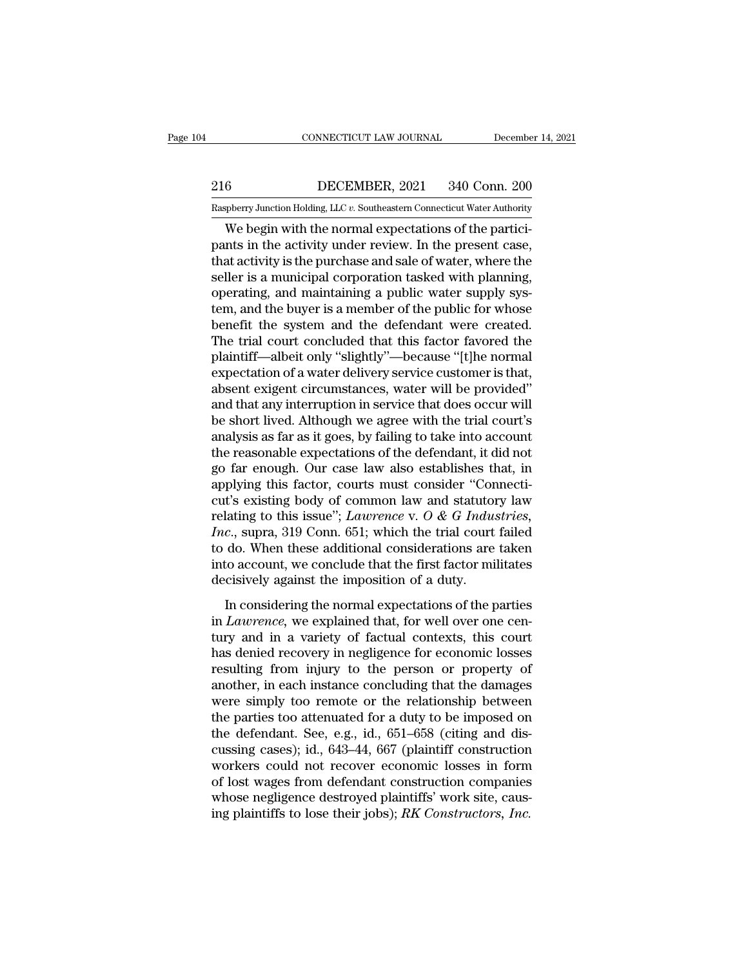# EXECUTE CONNECTICUT LAW JOURNAL December 14, 2021<br>216 DECEMBER, 2021 340 Conn. 200<br>Raspberry Junction Holding, LLC v. Southeastern Connecticut Water Authority CONNECTICUT LAW JOURNAL December 14, 2021<br>
216 DECEMBER, 2021 340 Conn. 200<br>
Raspberry Junction Holding, LLC *v.* Southeastern Connecticut Water Authority<br>
We begin with the normal expectations of the partici-

CONNECTICUT LAW JOURNAL December<br>
Seconds to the DECEMBER, 2021 340 Conn. 200<br>
Supplerry Junction Holding, LLC v. Southeastern Connecticut Water Authority<br>
We begin with the normal expectations of the partici-<br>
In the acti 216 DECEMBER, 2021 340 Conn. 200<br>
Raspberry Junction Holding, LLC  $v$ . Southeastern Connecticut Water Authority<br>
We begin with the normal expectations of the partici-<br>
pants in the activity under review. In the present ca 216 DECEMBER, 2021 340 Conn. 200<br>
Raspberry Junction Holding, LLC v. Southeastern Connecticut Water Authority<br>
We begin with the normal expectations of the partici-<br>
pants in the activity under review. In the present case  $\begin{tabular}{ll} 216 & DECEMBER, 2021 & 340 Conn. 200 \\ \hline \textsc{Raspberry Junction Holding, LLC } v. \textsc{Southeasterr Connecticut Water Authority} \\ \textsc{We begin with the normal expectations of the participants in the activity under review. In the present case, that activity is the purchase and sale of water, where the seller is a municipal corporation tasked with planning, operating, and maintaining a public water supply system, and the buyer is a member of the public for whose$ Example The Collins (Raspberry Junction Holding, LLC v. Southeastern Connecticut Water Authority<br>We begin with the normal expectations of the partici-<br>pants in the activity under review. In the present case,<br>that activity Kaspberry Junction Holding, LLC v. Southeastern Connecticut water Authority<br>We begin with the normal expectations of the partici-<br>pants in the activity under review. In the present case,<br>that activity is the purchase and s We begin with the normal expectations of the partici-<br>pants in the activity under review. In the present case,<br>that activity is the purchase and sale of water, where the<br>seller is a municipal corporation tasked with planni pants in the activity under review. In the present case,<br>that activity is the purchase and sale of water, where the<br>seller is a municipal corporation tasked with planning,<br>operating, and maintaining a public water supply s that activity is the purchase and sale of water, where the seller is a municipal corporation tasked with planning, operating, and maintaining a public water supply system, and the buyer is a member of the public for whose seller is a municipal corporation tasked with planning,<br>operating, and maintaining a public water supply sys-<br>tem, and the buyer is a member of the public for whose<br>benefit the system and the defendant were created.<br>The tr operating, and maintaining a public water supply system, and the buyer is a member of the public for whose<br>benefit the system and the defendant were created.<br>The trial court concluded that this factor favored the<br>plaintiff tem, and the buyer is a member of the public for whose<br>benefit the system and the defendant were created.<br>The trial court concluded that this factor favored the<br>plaintiff—albeit only "slightly"—because "[t]he normal<br>expect benefit the system and the defendant were created.<br>The trial court concluded that this factor favored the<br>plaintiff—albeit only "slightly"—because "[t]he normal<br>expectation of a water delivery service customer is that,<br>abs The trial court concluded that this factor favored the plaintiff—albeit only "slightly"—because "[t]he normal expectation of a water delivery service customer is that, absent exigent circumstances, water will be provided" plaintiff—albeit only "slightly"—because "[t]he normal<br>expectation of a water delivery service customer is that,<br>absent exigent circumstances, water will be provided"<br>and that any interruption in service that does occur wi expectation of a water delivery service customer is that,<br>absent exigent circumstances, water will be provided"<br>and that any interruption in service that does occur will<br>be short lived. Although we agree with the trial cou absent exigent circumstances, water will be provided"<br>and that any interruption in service that does occur will<br>be short lived. Although we agree with the trial court's<br>analysis as far as it goes, by failing to take into and that any interruption in service that does occur will<br>be short lived. Although we agree with the trial court's<br>analysis as far as it goes, by failing to take into account<br>the reasonable expectations of the defendant, be short lived. Although we agree with the trial court's<br>analysis as far as it goes, by failing to take into account<br>the reasonable expectations of the defendant, it did not<br>go far enough. Our case law also establishes tha analysis as far as it goes, by failing to take into account<br>the reasonable expectations of the defendant, it did not<br>go far enough. Our case law also establishes that, in<br>applying this factor, courts must consider "Connect the reasonable expectations of the defendant, it did not<br>go far enough. Our case law also establishes that, in<br>applying this factor, courts must consider "Connecti-<br>cut's existing body of common law and statutory law<br>rela go far enough. Our case law also establishes that, in applying this factor, courts must consider "Connecticut's existing body of common law and statutory law relating to this issue"; *Lawrence* v.  $O \& G$  *Industries*, *In* applying this factor, courts must consider "Connecticut's existing body of common law and statutory law relating to this issue"; *Lawrence* v.  $O \& G$  *Industries, Inc.*, supra, 319 Conn. 651; which the trial court failed In this canonic body of common faw and seasonly faw and the straining to this issue"; *Lawrence* v.  $O \& G$  Industries,  $c$ ., supra, 319 Conn. 651; which the trial court failed do. When these additional considerations ar Fracting to ans hold  $\epsilon$ , Examples 1.  $\sigma$  de a Thattonics, *Inc.*, supra, 319 Conn. 651; which the trial court failed to do. When these additional considerations are taken into account, we conclude that the first factor

the, sapid, size cold. 85, which are dial coard factor<br>to do. When these additional considerations are taken<br>into account, we conclude that the first factor militates<br>decisively against the imposition of a duty.<br>In conside into account, we conclude that the first factor militates<br>decisively against the imposition of a duty.<br>In considering the normal expectations of the parties<br>in *Lawrence*, we explained that, for well over one cen-<br>tury and resultively against the imposition of a duty.<br>In considering the normal expectations of the parties<br>in *Lawrence*, we explained that, for well over one cen-<br>tury and in a variety of factual contexts, this court<br>has denied In considering the normal expectations of the parties<br>in *Lawrence*, we explained that, for well over one cen-<br>tury and in a variety of factual contexts, this court<br>has denied recovery in negligence for economic losses<br>res In considering the normal expectations of the parties<br>in *Lawrence*, we explained that, for well over one cen-<br>tury and in a variety of factual contexts, this court<br>has denied recovery in negligence for economic losses<br>re in *Lawrence*, we explained that, for well over one century and in a variety of factual contexts, this court<br>has denied recovery in negligence for economic losses<br>resulting from injury to the person or property of<br>another tury and in a variety of factual contexts, this court<br>has denied recovery in negligence for economic losses<br>resulting from injury to the person or property of<br>another, in each instance concluding that the damages<br>were simp has denied recovery in negligence for economic losses<br>resulting from injury to the person or property of<br>another, in each instance concluding that the damages<br>were simply too remote or the relationship between<br>the parties resulting from injury to the person or property of<br>another, in each instance concluding that the damages<br>were simply too remote or the relationship between<br>the parties too attenuated for a duty to be imposed on<br>the defenda another, in each instance concluding that the damages<br>were simply too remote or the relationship between<br>the parties too attenuated for a duty to be imposed on<br>the defendant. See, e.g., id., 651–658 (citing and dis-<br>cussi were simply too remote or the relationship between<br>the parties too attenuated for a duty to be imposed on<br>the defendant. See, e.g., id.,  $651-658$  (citing and dis-<br>cussing cases); id.,  $643-44$ ,  $667$  (plaintiff construct the parties too attenuated for a duty to be imposed on the defendant. See, e.g., id., 651–658 (citing and discussing cases); id., 643–44, 667 (plaintiff construction workers could not recover economic losses in form of los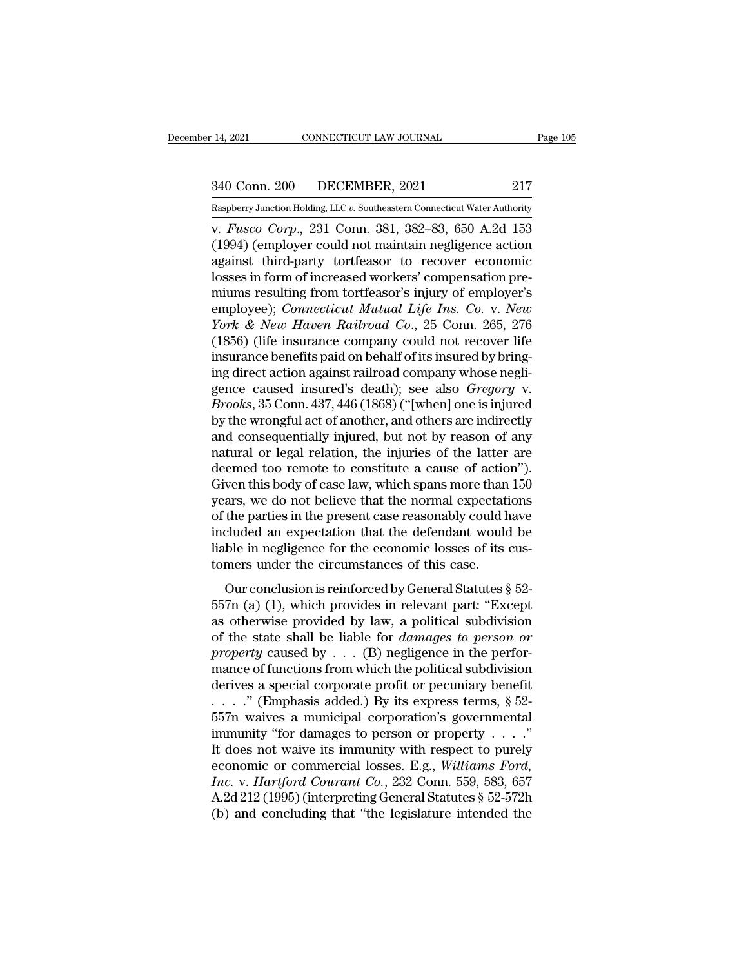# 14, 2021 CONNECTICUT LAW JOURNAL Page 105<br>340 Conn. 200 DECEMBER, 2021 217<br>Raspberry Junction Holding, LLC v. Southeastern Connecticut Water Authority

Examples 14, 2021 CONNECTICUT LAW JOURNAL Page 105<br>
240 Conn. 200 DECEMBER, 2021 217<br>
Raspberry Junction Holding, LLC *v.* Southeastern Connecticut Water Authority<br>
v. *Fusco Corp.*, 231 Conn. 381, 382–83, 650 A.2d 153 v. *Fusco* Corp., 200 Connectricular Dege 105<br>
Faspberry Junction Holding, LLC v. Southeastern Connecticut Water Authority<br>
V. *Fusco Corp.*, 231 Conn. 381, 382–83, 650 A.2d 153<br>
(1994) (employer could not maintain neglige (1994) (employer could not maintain negligence action<br>
1994) (employer could not maintain negligence action<br>
1994) (employer could not maintain negligence action<br>
1994) (employer could not maintain negligence action<br>
1993) 340 Conn. 200 DECEMBER, 2021 217<br>
Raspberry Junction Holding, LLC v. Southeastern Connecticut Water Authority<br>
v. *Fusco Corp.*, 231 Conn. 381, 382–83, 650 A.2d 153<br>
(1994) (employer could not maintain negligence action<br> 340 Conn. 200 DECEMBER, 2021 217<br>
Raspberry Junction Holding, LLC v. Southeastern Connecticut Water Authority<br>
v. *Fusco Corp.*, 231 Conn. 381, 382–83, 650 A.2d 153<br>
(1994) (employer could not maintain negligence action<br>
a Example From Holding, LLC v. Southeastern Connecticut Water Authority<br>
v. Fusco Corp., 231 Conn. 381, 382–83, 650 A.2d 153<br>
(1994) (employer could not maintain negligence action<br>
against third-party tortfeasor to recover e Example Property Junction Holding, LLC v. Southeastern Connecticut Water Authority<br>
(1994) (employer could not maintain negligence action<br>
against third-party tortfeasor to recover economic<br>
losses in form of increased wor *Y. Fusco Corp.*, 231 Conn. 381, 382–83, 650 A.2d 153<br>(1994) (employer could not maintain negligence action<br>against third-party tortfeasor to recover economic<br>losses in form of increased workers' compensation pre-<br>miums re (1994) (employer could not maintain negligence action<br>against third-party tortfeasor to recover economic<br>losses in form of increased workers' compensation pre-<br>miums resulting from tortfeasor's injury of employer's<br>employ against third-party tortfeasor to recover economic<br>losses in form of increased workers' compensation pre-<br>miums resulting from tortfeasor's injury of employer's<br>employee); *Connecticut Mutual Life Ins. Co. v. New*<br>York & N losses in form of increased workers' compensation pre-<br>miums resulting from tortfeasor's injury of employer's<br>employee); *Connecticut Mutual Life Ins. Co. v. New*<br>York & New Haven Railroad Co., 25 Conn. 265, 276<br>(1856) (l miums resulting from tortfeasor's injury of employer's<br>employee); *Connecticut Mutual Life Ins. Co. v. New*<br>*York & New Haven Railroad Co.*, 25 Conn. 265, 276<br>(1856) (life insurance company could not recover life<br>insurance employee); *Connecticut Mutual Life Ins. Co. v. New*<br> *York & New Haven Railroad Co.*, 25 Conn. 265, 276<br>
(1856) (life insurance company could not recover life<br>
insurance benefits paid on behalf of its insured by bring-<br>
i *York & New Haven Railroad Co.*, 25 Conn. 265, 276 (1856) (life insurance company could not recover life insurance benefits paid on behalf of its insured by bringing direct action against railroad company whose negligence (1856) (life insurance company could not recover life<br>insurance benefits paid on behalf of its insured by bring-<br>ing direct action against railroad company whose negli-<br>gence caused insured's death); see also *Gregory* v. insurance benefits paid on behalf of its insured by bring-<br>ing direct action against railroad company whose negli-<br>gence caused insured's death); see also *Gregory* v.<br>*Brooks*, 35 Conn. 437, 446 (1868) ("[when] one is inj ing direct action against railroad company whose negli-<br>gence caused insured's death); see also *Gregory* v.<br>*Brooks*, 35 Conn. 437, 446 (1868) ("[when] one is injured<br>by the wrongful act of another, and others are indirec gence caused insured's death); see also *Gregory* v.<br>*Brooks*, 35 Conn. 437, 446 (1868) ("[when] one is injured<br>by the wrongful act of another, and others are indirectly<br>and consequentially injured, but not by reason of an Brooks, 35 Conn. 437, 446 (1868) ("[when] one is injured<br>by the wrongful act of another, and others are indirectly<br>and consequentially injured, but not by reason of any<br>natural or legal relation, the injuries of the latter by the wrongful act of another, and others are indirectly<br>and consequentially injured, but not by reason of any<br>natural or legal relation, the injuries of the latter are<br>deemed too remote to constitute a cause of action"). and consequentially injured, but not by reason of any<br>natural or legal relation, the injuries of the latter are<br>deemed too remote to constitute a cause of action").<br>Given this body of case law, which spans more than 150<br>ye natural or legal relation, the injuries of the latter are<br>deemed too remote to constitute a cause of action").<br>Given this body of case law, which spans more than 150<br>years, we do not believe that the normal expectations<br>of deemed too remote to constitute a cause of actio<br>Given this body of case law, which spans more than<br>years, we do not believe that the normal expectati<br>of the parties in the present case reasonably could h<br>included an expec For ans body of ease har, which spans more duarities<br>ars, we do not believe that the normal expectations<br>the parties in the present case reasonably could have<br>cluded an expectation that the defendant would be<br>ble in negli from the parties in the present case reasonably could have included an expectation that the defendant would be liable in negligence for the economic losses of its customers under the circumstances of this case.<br>Our conclu

included an expectation that the defendant would be<br>liable in negligence for the economic losses of its cus-<br>tomers under the circumstances of this case.<br>Our conclusion is reinforced by General Statutes  $\S$  52-<br>557n (a) ( Itable in negligence for the economic losses of its cus-<br>tomers under the circumstances of this case.<br>Our conclusion is reinforced by General Statutes § 52-<br>557n (a) (1), which provides in relevant part: "Except<br>as otherwi *property* caused by General Statutes  $\S$  52-<br>*p* our conclusion is reinforced by General Statutes  $\S$  52-<br>557n (a) (1), which provides in relevant part: "Except<br>as otherwise provided by law, a political subdivision<br>of th Our conclusion is reinforced by General Statutes  $\S$  52-<br>557n (a) (1), which provides in relevant part: "Except<br>as otherwise provided by law, a political subdivision<br>of the state shall be liable for *damages to person or* Our conclusion is reinforced by General Statutes § 52-<br>557n (a) (1), which provides in relevant part: "Except<br>as otherwise provided by law, a political subdivision<br>of the state shall be liable for *damages to person or*<br> 557n (a) (1), which provides in relevant part: "Except<br>as otherwise provided by law, a political subdivision<br>of the state shall be liable for *damages to person or*<br>*property* caused by . . . (B) negligence in the perforas otherwise provided by law, a political subdivision<br>of the state shall be liable for *damages to person or*<br>*property* caused by . . . (B) negligence in the perfor-<br>mance of functions from which the political subdivisio of the state shall be liable for *damages to person or*<br>property caused by . . . (B) negligence in the perfor-<br>mance of functions from which the political subdivision<br>derives a special corporate profit or pecuniary benefi property caused by  $\ldots$  (B) negligence in the performance of functions from which the political subdivision<br>derives a special corporate profit or pecuniary benefit<br> $\ldots$ ." (Emphasis added.) By its express terms, § 52-<br>55 mance of functions from which the political subdivision<br>derives a special corporate profit or pecuniary benefit<br>...." (Emphasis added.) By its express terms, § 52-<br>557n waives a municipal corporation's governmental<br>immuni derives a special corporate profit or pecuniary benefit<br> *I*. *I*. <sup>*M*</sup> (Emphasis added.) By its express terms, § 52-<br>
557n waives a municipal corporation's governmental<br>
immunity "for damages to person or property . . . . . . ." (Emphasis added.) By its express terms, § 52-<br>557n waives a municipal corporation's governmental<br>immunity "for damages to person or property . . . ."<br>It does not waive its immunity with respect to purely<br>economic 557n waives a municipal corporation's governmental<br>immunity "for damages to person or property . . . ."<br>It does not waive its immunity with respect to purely<br>economic or commercial losses. E.g., *Williams Ford,<br>Inc.* v.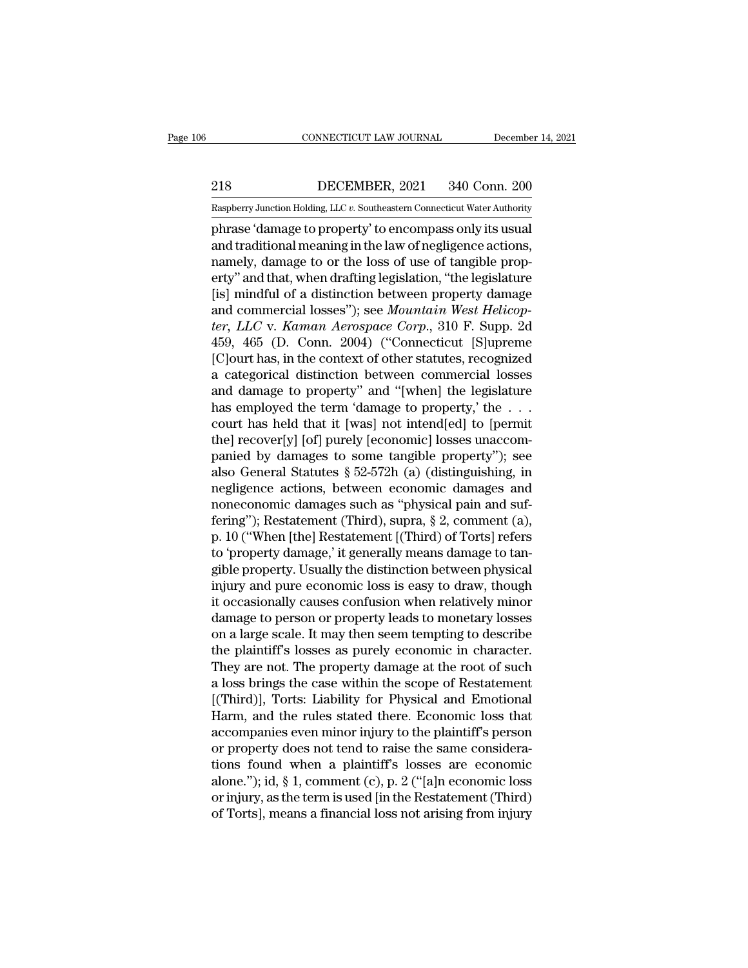EXECUTE CONNECTICUT LAW JOURNAL December 14, 2021<br>218 DECEMBER, 2021 340 Conn. 200<br>Raspberry Junction Holding, LLC v. Southeastern Connecticut Water Authority

CONNECTICUT LAW JOURNAL December 14, 2021<br>
218 DECEMBER, 2021 340 Conn. 200<br>
Raspberry Junction Holding, LLC *v*. Southeastern Connecticut Water Authority<br>
phrase 'damage to property' to encompass only its usual CONNECTICUT LAW JOURNAL December 14, 20<br>
218 DECEMBER, 2021 340 Conn. 200<br>
Raspberry Junction Holding, LLC v. Southeastern Connecticut Water Authority<br>
phrase 'damage to property' to encompass only its usual<br>
and tradition 218 DECEMBER, 2021 340 Conn. 200<br>
Raspberry Junction Holding, LLC v. Southeastern Connecticut Water Authority<br>
phrase 'damage to property' to encompass only its usual<br>
and traditional meaning in the law of negligence actio 218 DECEMBER, 2021 340 Conn. 200<br>
Raspberry Junction Holding, LLC  $v$ . Southeastern Connecticut Water Authority<br>
phrase 'damage to property' to encompass only its usual<br>
and traditional meaning in the law of negligence ac 218 DECEMBER, 2021 340 Conn. 200<br>
Raspberry Junction Holding, LLC  $v$ . Southeastern Connecticut Water Authority<br>
phrase 'damage to property' to encompass only its usual<br>
and traditional meaning in the law of negligence ac Raspberry Junction Holding, LLC  $v$ . Southeastern Connecticut Water Authority<br>phrase 'damage to property' to encompass only its usual<br>and traditional meaning in the law of negligence actions,<br>namely, damage to or the loss raspberry Junction Holding, LLC *v*. Solutions connecticut water Authority<br>
phrase 'damage to property' to encompass only its usual<br>
and traditional meaning in the law of negligence actions,<br>
namely, damage to or the loss phrase 'damage to property' to encompass only its usual<br>and traditional meaning in the law of negligence actions,<br>namely, damage to or the loss of use of tangible prop-<br>erty'' and that, when drafting legislation, "the legi and traditional meaning in the law of negligence actions,<br>namely, damage to or the loss of use of tangible prop-<br>erty" and that, when drafting legislation, "the legislature<br>[is] mindful of a distinction between property da namely, damage to or the loss of use of tangible property" and that, when drafting legislation, "the legislature [is] mindful of a distinction between property damage and commercial losses"); see *Mountain West Helicopter* erty" and that, when drafting legislation, "the legislature<br>[is] mindful of a distinction between property damage<br>and commercial losses"); see *Mountain West Helicop-<br>ter, LLC* v. *Kaman Aerospace Corp.*, 310 F. Supp. 2d<br>4 [is] mindful of a distinction between property damage<br>and commercial losses"); see *Mountain West Helicopter*, *LLC* v. *Kaman Aerospace Corp.*, 310 F. Supp. 2d<br>459, 465 (D. Conn. 2004) ("Connecticut [S]upreme<br>[C]ourt has and commercial losses"); see *Mountain West Helicopter*, *LLC* v. *Kaman Aerospace Corp.*, 310 F. Supp. 2d 459, 465 (D. Conn. 2004) ("Connecticut [S]upreme [C]ourt has, in the context of other statutes, recognized a catego ter, LLC v. Kaman Aerospace Corp., 310 F. Supp. 2d<br>459, 465 (D. Conn. 2004) ("Connecticut [S]upreme<br>[C]ourt has, in the context of other statutes, recognized<br>a categorical distinction between commercial losses<br>and damage t 459, 465 (D. Conn. 2004) ("Connecticut [S]upreme<br>[C]ourt has, in the context of other statutes, recognized<br>a categorical distinction between commercial losses<br>and damage to property" and "[when] the legislature<br>has employ [C]ourt has, in the context of other statutes, recognized<br>a categorical distinction between commercial losses<br>and damage to property'' and "[when] the legislature<br>has employed the term 'damage to property,' the . . .<br>court a categorical distinction between commercial losses<br>and damage to property" and "[when] the legislature<br>has employed the term 'damage to property,' the . . .<br>court has held that it [was] not intend[ed] to [permit<br>the] reco and damage to property" and "[when] the legislature<br>has employed the term 'damage to property,' the . . .<br>court has held that it [was] not intend[ed] to [permit<br>the] recover[y] [of] purely [economic] losses unaccom-<br>panie has employed the term 'damage to property,' the ...<br>court has held that it [was] not intend[ed] to [permit<br>the] recover[y] [of] purely [economic] losses unaccom-<br>panied by damages to some tangible property''); see<br>also Ge court has held that it [was] not intend[ed] to [permit<br>the] recover[y] [of] purely [economic] losses unaccom-<br>panied by damages to some tangible property"); see<br>also General Statutes § 52-572h (a) (distinguishing, in<br>negli the] recover[y] [of] purely [economic] losses unaccom-<br>panied by damages to some tangible property"); see<br>also General Statutes § 52-572h (a) (distinguishing, in<br>negligence actions, between economic damages and<br>noneconomic panied by damages to some tangible property"); see<br>also General Statutes  $\S~52\textrm{-}572h$  (a) (distinguishing, in<br>negligence actions, between economic damages and<br>noneconomic damages such as "physical pain and suf-<br>fering" also General Statutes § 52-572h (a) (distinguishing, in<br>negligence actions, between economic damages and<br>noneconomic damages such as "physical pain and suf-<br>fering"); Restatement (Third), supra, § 2, comment (a),<br>p. 10 ("W negligence actions, between economic damages and<br>noneconomic damages such as "physical pain and suf-<br>fering"); Restatement (Third), supra, § 2, comment (a),<br>p. 10 ("When [the] Restatement [(Third) of Torts] refers<br>to 'prop noneconomic damages such as "physical pain and suf-<br>fering"); Restatement (Third), supra, § 2, comment (a),<br>p. 10 ("When [the] Restatement [(Third) of Torts] refers<br>to 'property damage,' it generally means damage to tan-<br>g fering"); Restatement (Third), supra, § 2, comment (a),<br>p. 10 ("When [the] Restatement [(Third) of Torts] refers<br>to 'property damage,' it generally means damage to tan-<br>gible property. Usually the distinction between physi p. 10 ("When [the] Restatement [(Third) of Torts] refers<br>to 'property damage,' it generally means damage to tan-<br>gible property. Usually the distinction between physical<br>injury and pure economic loss is easy to draw, thoug to 'property damage,' it generally means damage to tangible property. Usually the distinction between physical<br>injury and pure economic loss is easy to draw, though<br>it occasionally causes confusion when relatively minor<br>da gible property. Usually the distinction between physical<br>injury and pure economic loss is easy to draw, though<br>it occasionally causes confusion when relatively minor<br>damage to person or property leads to monetary losses<br>on injury and pure economic loss is easy to draw, though<br>it occasionally causes confusion when relatively minor<br>damage to person or property leads to monetary losses<br>on a large scale. It may then seem tempting to describe<br>the it occasionally causes confusion when relatively minor<br>damage to person or property leads to monetary losses<br>on a large scale. It may then seem tempting to describe<br>the plaintiff's losses as purely economic in character.<br>T damage to person or property leads to monetary losses<br>on a large scale. It may then seem tempting to describe<br>the plaintiff's losses as purely economic in character.<br>They are not. The property damage at the root of such<br>a on a large scale. It may then seem tempting to describe<br>the plaintiff's losses as purely economic in character.<br>They are not. The property damage at the root of such<br>a loss brings the case within the scope of Restatement<br>[ the plaintiff's losses as purely economic in character.<br>They are not. The property damage at the root of such<br>a loss brings the case within the scope of Restatement<br>[(Third)], Torts: Liability for Physical and Emotional<br>H They are not. The property damage at the root of such<br>a loss brings the case within the scope of Restatement<br>[(Third)], Torts: Liability for Physical and Emotional<br>Harm, and the rules stated there. Economic loss that<br>acco a loss brings the case within the scope of Restatement<br>[(Third)], Torts: Liability for Physical and Emotional<br>Harm, and the rules stated there. Economic loss that<br>accompanies even minor injury to the plaintiff's person<br>or [(Third)], Torts: Liability for Physical and Emotional<br>Harm, and the rules stated there. Economic loss that<br>accompanies even minor injury to the plaintiff's person<br>or property does not tend to raise the same considera-<br>tio Harm, and the rules stated there. Economic loss that<br>accompanies even minor injury to the plaintiff's person<br>or property does not tend to raise the same considera-<br>tions found when a plaintiff's losses are economic<br>alone."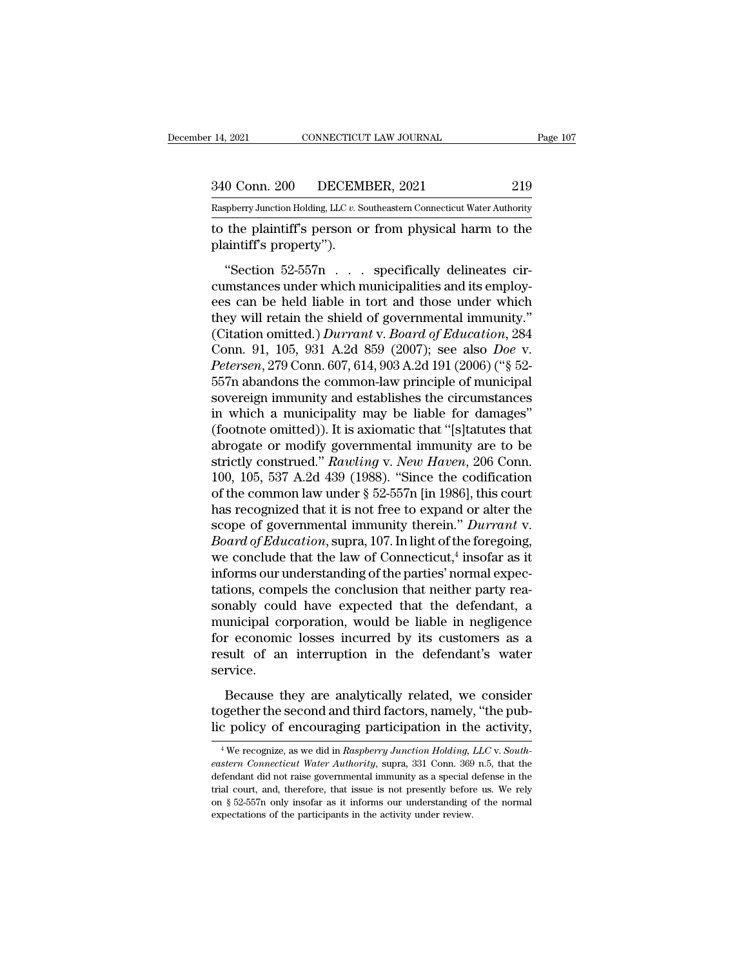14, 2021 CONNECTICUT LAW JOURNAL Page 107<br>340 Conn. 200 DECEMBER, 2021 219<br>Raspberry Junction Holding, LLC v. Southeastern Connecticut Water Authority Pecember 14, 2021 CONNECTICUT LAW JOURNAL Page 107<br>
219 Raspberry Junction Holding, LLC *v.* Southeastern Connecticut Water Authority<br>
to the plaintiff's person or from physical harm to the

the plaintiff's person or from physical harm to the plaintiff's property").<br>
The property of the plaintiff's person or from physical harm to the plaintiff's property"). 340 Conn. 200 DECEM<br>
Raspberry Junction Holding, LLC v. Sc<br>
to the plaintiff's person or<br>
plaintiff's property'').<br>
"Section 52-557n . . .

<sup>0</sup> Conn. 200 DECEMBER, 2021 219<br>
Supplerry Junction Holding, LLC v. Southeastern Connecticut Water Authority<br>
the plaintiff's person or from physical harm to the<br>
sintiff's property'').<br>
"Section 52-557n . . . specificall  $\frac{200}{218}$ <br>  $\frac{200}{218}$ <br>  $\frac{100}{218}$ <br>  $\frac{100}{218}$ <br>  $\frac{100}{218}$ <br>  $\frac{100}{218}$ <br>  $\frac{100}{218}$ <br>  $\frac{100}{218}$ <br>  $\frac{100}{218}$ <br>  $\frac{100}{218}$ <br>  $\frac{100}{218}$ <br>  $\frac{100}{218}$ <br>  $\frac{100}{218}$ <br>  $\frac{100}{218}$ <br>  $\frac{100}{218$ European Belling, LLC v. Southeastern Connecticut Water Authority<br>
to the plaintiff's person or from physical harm to the<br>
plaintiff's property").<br>
"Section 52-557n . . . specifically delineates cir-<br>
cumstances under whi to the plaintiff's person or from physical harm to the<br>plaintiff's property").<br>
"Section 52-557n  $\ldots$  specifically delineates cir-<br>
cumstances under which municipalities and its employ-<br>
ees can be held liable in tort an (Composite of Education of Education of Education of Physical nation of Physical nation of Physical nation of Compo<br>
(Composite cumstances under which municipalities and its employ-<br>
ees can be held liable in tort and thos "Section 52-557n . . . specifically delineates circumstances under which municipalities and its employ-<br>ees can be held liable in tort and those under which<br>they will retain the shield of governmental immunity."<br>(Citation "Section 52-557n . . . specifically delineates circumstances under which municipalities and its employ-<br>ees can be held liable in tort and those under which<br>they will retain the shield of governmental immunity."<br>(Citation cumstances under which municipalities and its employ-<br>ees can be held liable in tort and those under which<br>they will retain the shield of governmental immunity."<br>(Citation omitted.) *Durrant* v. *Board of Education*, 284<br>C ees can be held liable in tort and those under which<br>they will retain the shield of governmental immunity."<br>(Citation omitted.) *Durrant* v. Board of Education, 284<br>Conn. 91, 105, 931 A.2d 859 (2007); see also *Doe* v.<br>*Pe* they will retain the shield of governmental immunity."<br>
(Citation omitted.) *Durrant* v. *Board of Education*, 284<br>
Conn. 91, 105, 931 A.2d 859 (2007); see also *Doe* v.<br> *Petersen*, 279 Conn. 607, 614, 903 A.2d 191 (2006 (Citation omitted.) *Durrant* v. *Board of Education*, 284<br>Conn. 91, 105, 931 A.2d 859 (2007); see also *Doe* v.<br>*Petersen*, 279 Conn. 607, 614, 903 A.2d 191 (2006) ("§ 52-<br>557n abandons the common-law principle of munici Conn. 91, 105, 931 A.2d 859 (2007); see also *Doe* v.<br> *Petersen*, 279 Conn. 607, 614, 903 A.2d 191 (2006) ("§ 52-<br>
557n abandons the common-law principle of municipal<br>
sovereign immunity and establishes the circumstances Petersen, 279 Conn. 607, 614, 903 A.2d 191 (2006) ("§ 52-<br>557n abandons the common-law principle of municipal<br>sovereign immunity and establishes the circumstances<br>in which a municipality may be liable for damages"<br>(footnot 557n abandons the common-law principle of municipal<br>sovereign immunity and establishes the circumstances<br>in which a municipality may be liable for damages"<br>(footnote omitted)). It is axiomatic that "[s]tatutes that<br>abroga sovereign immunity and establishes the circumstances<br>in which a municipality may be liable for damages"<br>(footnote omitted)). It is axiomatic that "[s]tatutes that<br>abrogate or modify governmental immunity are to be<br>strictly in which a municipality may be liable for damages"<br>(footnote omitted)). It is axiomatic that "[s]tatutes that<br>abrogate or modify governmental immunity are to be<br>strictly construed." Rawling v. New Haven, 206 Conn.<br>100, 10 (footnote omitted)). It is axiomatic that "[s]tatutes that<br>abrogate or modify governmental immunity are to be<br>strictly construed." *Rawling v. New Haven*, 206 Conn.<br>100, 105, 537 A.2d 439 (1988). "Since the codification<br>of abrogate or modify governmental immunity are to be<br>strictly construed." *Rawling* v. *New Haven*, 206 Conn.<br>100, 105, 537 A.2d 439 (1988). "Since the codification<br>of the common law under § 52-557n [in 1986], this court<br>has strictly construed." *Rawling* v. *New Haven*, 206<br>100, 105, 537 A.2d 439 (1988). "Since the codifi<br>of the common law under § 52-557n [in 1986], this<br>has recognized that it is not free to expand or all<br>scope of government *u*, 206 Conn.<br>codification<br>i], this court<br>or alter the<br>*Durrant* v.<br>e foregoing,<br>insofar as it<br>prmal expections 100, 105, 537 A.2d 439 (1988). "Since the codification<br>of the common law under § 52-557n [in 1986], this court<br>has recognized that it is not free to expand or alter the<br>scope of governmental immunity therein." *Durrant* v of the common law under § 52-557n [in 1986], this court<br>has recognized that it is not free to expand or alter the<br>scope of governmental immunity therein." *Durrant* v.<br>*Board of Education*, supra, 107. In light of the for has recognized that it is not free to expand or alter the<br>scope of governmental immunity therein." *Durrant v.*<br>Board of Education, supra, 107. In light of the foregoing,<br>we conclude that the law of Connecticut,<sup>4</sup> insofa scope of governmental immunity therein." *Durrant* v.<br>Board of Education, supra, 107. In light of the foregoing,<br>we conclude that the law of Connecticut,<sup>4</sup> insofar as it<br>informs our understanding of the parties' normal e *Board of Education*, supra, 107. In light of the foregoing,<br>we conclude that the law of Connecticut,<sup>4</sup> insofar as it<br>informs our understanding of the parties' normal expec-<br>tations, compels the conclusion that neither p we conclude that the law of Connecticut,<sup>4</sup> insofar as it<br>informs our understanding of the parties' normal expec-<br>tations, compels the conclusion that neither party rea-<br>sonably could have expected that the defendant, a<br>m service. Finally could have expected that the defendant, a<br>maicipal corporation, would be liable in negligence<br>r economic losses incurred by its customers as a<br>sult of an interruption in the defendant's water<br>rvice.<br>Because they ar to municipal corporation, would be liable in negligence<br>for economic losses incurred by its customers as a<br>result of an interruption in the defendant's water<br>service.<br>Because they are analytically related, we consider<br>toge for economic losses incurred by its customers as a result of an interruption in the defendant's water service.<br>Because they are analytically related, we consider together the second and third factors, namely, "the pub-<br>li

Because they are analytically related, we consider<br>gether the second and third factors, namely, "the pub-<br>c policy of encouraging participation in the activity,<br><sup>4</sup>We recognize, as we did in *Raspberry Junction Holding, LL* Because they are analytically related, we consider together the second and third factors, namely, "the pub-<br>lic policy of encouraging participation in the activity,<br><sup>4</sup>We recognize, as we did in *Raspberry Junction Holding* 

together the second and third factors, namely, "the pub-<br>lic policy of encouraging participation in the activity,<br><sup>4</sup>We recognize, as we did in *Raspberry Junction Holding, LLC* v. *South-*<br>eastern Connecticut Water Author lic policy of encouraging participation in the activity,<br>
<sup>4</sup>We recognize, as we did in *Raspberry Junction Holding, LLC* v. *South-*<br> *eastern Connecticut Water Authority,* supra, 331 Conn. 369 n.5, that the<br>
defendant d The policy of encouraging participation in the activity,<br>
<sup>4</sup> We recognize, as we did in Raspberry Junction Holding, LLC v. South-<br>
eastern Connecticut Water Authority, supra, 331 Conn. 369 n.5, that the<br>
defendant did no <sup>4</sup> We recognize, as we did in *Raspberry Junction Holding*, eastern Connecticut Water Authority, supra, 331 Conn. 369 defendant did not raise governmental immunity as a special circle court, and, therefore, that issue is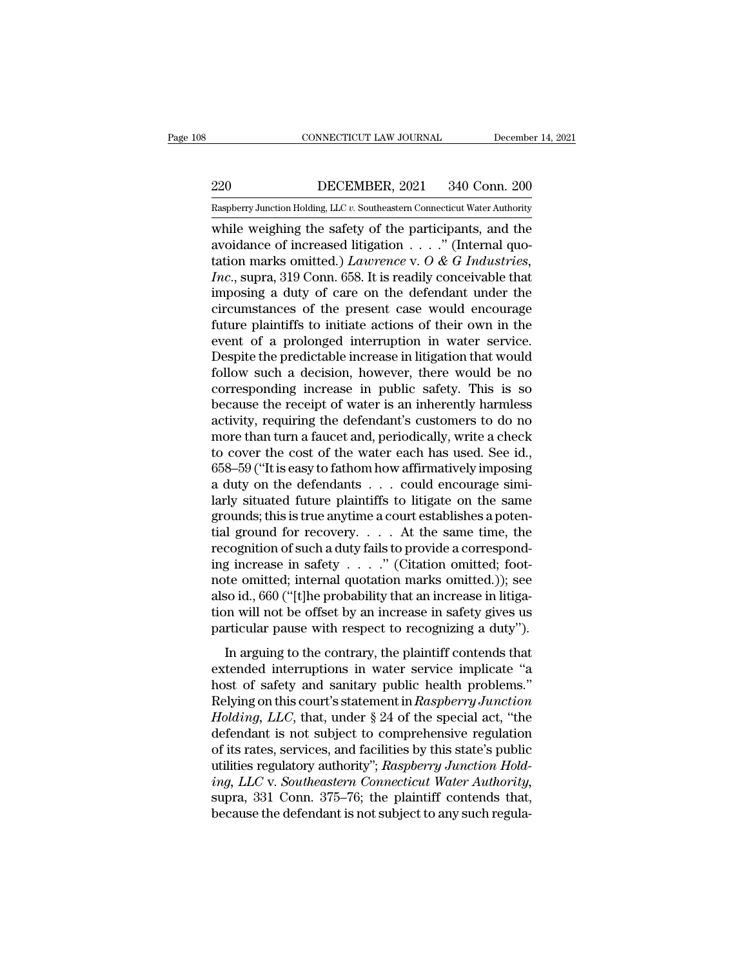# EXECUTE CONNECTICUT LAW JOURNAL December 14, 2021<br>220 DECEMBER, 2021 340 Conn. 200<br>Raspberry Junction Holding, LLC v. Southeastern Connecticut Water Authority

CONNECTICUT LAW JOURNAL December 14, 2021<br>220 DECEMBER, 2021 340 Conn. 200<br>Raspberry Junction Holding, LLC *v.* Southeastern Connecticut Water Authority<br>while weighing the safety of the participants, and the CONNECTICUT LAW JOURNAL December 14, 2021<br>
220 DECEMBER, 2021 340 Conn. 200<br>
Raspberry Junction Holding, LLC v. Southeastern Connecticut Water Authority<br>
while weighing the safety of the participants, and the<br>
avoidance o 220 DECEMBER, 2021 340 Conn. 200<br>
Raspberry Junction Holding, LLC v. Southeastern Connecticut Water Authority<br>
while weighing the safety of the participants, and the<br>
avoidance of increased litigation . . . .'' (Internal q DECEMBER, 2021 340 Conn. 200<br>
Raspberry Junction Holding, LLC v. Southeastern Connecticut Water Authority<br>
while weighing the safety of the participants, and the<br>
avoidance of increased litigation . . . ." (Internal quo-<br> *Incore BECEMBER*, 2021 340 Conn. 200<br> *Inaspherry Junction Holding, LLC v. Southeastern Connecticut Water Authority*<br>
while weighing the safety of the participants, and the<br>
avoidance of increased litigation . . . . " (In Example a during a duty of the participants, and the avoidance of increased litigation  $\ldots$ ." (Internal quotation marks omitted.) *Lawrence* v. *O* & *G* Industries, *Inc.*, supra, 319 Conn. 658. It is readily conceivabl Example Try Junction Holding, LLC v. Southeastern Connecticut water Authority<br>while weighing the safety of the participants, and the<br>avoidance of increased litigation . . . ." (Internal quo-<br>tation marks omitted.) *Lawren* while weighing the safety of the participants, and the<br>avoidance of increased litigation  $\ldots$ ." (Internal quo-<br>tation marks omitted.) *Lawrence* v. O & G Industries,<br>Inc., supra, 319 Conn. 658. It is readily conceivable avoidance of increased litigation  $\ldots$  ." (Internal quotation marks omitted.) *Lawrence* v.  $O \& G$  *Industries, Inc.*, supra, 319 Conn. 658. It is readily conceivable that imposing a duty of care on the defendant und tation marks omitted.) *Lawrence* v.  $O$  &  $G$  *Industries*, *Inc.*, supra, 319 Conn. 658. It is readily conceivable that imposing a duty of care on the defendant under the circumstances of the present case would encourag Inc., supra, 319 Conn. 658. It is readily conceivable that<br>imposing a duty of care on the defendant under the<br>circumstances of the present case would encourage<br>future plaintiffs to initiate actions of their own in the<br>even imposing a duty of care on the defendant under the<br>circumstances of the present case would encourage<br>future plaintiffs to initiate actions of their own in the<br>event of a prolonged interruption in water service.<br>Despite the circumstances of the present case would encourage<br>future plaintiffs to initiate actions of their own in the<br>event of a prolonged interruption in water service.<br>Despite the predictable increase in litigation that would<br>foll future plaintiffs to initiate actions of their own in the<br>event of a prolonged interruption in water service.<br>Despite the predictable increase in litigation that would<br>follow such a decision, however, there would be no<br>cor event of a prolonged interruption in water service.<br>Despite the predictable increase in litigation that would<br>follow such a decision, however, there would be no<br>corresponding increase in public safety. This is so<br>because t Despite the predictable increase in litigation that would<br>follow such a decision, however, there would be no<br>corresponding increase in public safety. This is so<br>because the receipt of water is an inherently harmless<br>activi follow such a decision, however, there would be no<br>corresponding increase in public safety. This is so<br>because the receipt of water is an inherently harmless<br>activity, requiring the defendant's customers to do no<br>more than corresponding increase in public safety. This is so because the receipt of water is an inherently harmless activity, requiring the defendant's customers to do no more than turn a faucet and, periodically, write a check to because the receipt of water is an inherently harmless<br>activity, requiring the defendant's customers to do no<br>more than turn a faucet and, periodically, write a check<br>to cover the cost of the water each has used. See id.,<br> activity, requiring the defendant's customers to do no<br>more than turn a faucet and, periodically, write a check<br>to cover the cost of the water each has used. See id.,<br>658–59 ("It is easy to fathom how affirmatively imposin more than turn a faucet and, periodically, write a check<br>to cover the cost of the water each has used. See id.,<br>658–59 ("It is easy to fathom how affirmatively imposing<br>a duty on the defendants . . . could encourage simito cover the cost of the water each has used. See id., 658–59 ("It is easy to fathom how affirmatively imposing a duty on the defendants . . . could encourage similarly situated future plaintiffs to litigate on the same g 658–59 ("It is easy to fathom how affirmatively imposing<br>a duty on the defendants . . . could encourage simi-<br>larly situated future plaintiffs to litigate on the same<br>grounds; this is true anytime a court establishes a po a duty on the defendants  $\ldots$  could encourage similarly situated future plaintiffs to litigate on the same<br>grounds; this is true anytime a court establishes a potential ground for recovery.  $\ldots$  At the same time, the<br>re larly situated future plaintiffs to litigate on the same<br>grounds; this is true anytime a court establishes a poten-<br>tial ground for recovery. . . . . At the same time, the<br>recognition of such a duty fails to provide a cor grounds; this is true anytime a court establishes a potential ground for recovery. . . . At the same time, the recognition of such a duty fails to provide a corresponding increase in safety . . . ." (Citation omitted; foo tial ground for recovery. . . . . At the same time, the recognition of such a duty fails to provide a corresponding increase in safety  $\ldots$ ." (Citation omitted; footnote omitted; internal quotation marks omitted.)); see In arguing to the contrary, the plaintiff contends that tends of a setter and quotation marks omitted.)); see<br>so id., 660 ("[t]he probability that an increase in litiga-<br>n will not be offset by an increase in safety gives ing increase in sarecy  $\cdot \cdot \cdot \cdot$  (character of interest, 100)<br>note omitted; internal quotation marks omitted.)); see<br>also id., 660 ("[t]he probability that an increase in litiga-<br>tion will not be offset by an increase in

hosted internal quotation matrix emittedary), see<br>also id., 660 ("[t]he probability that an increase in litiga-<br>tion will not be offset by an increase in safety gives us<br>particular pause with respect to recognizing a duty also id., soo (Tepte prosasing and an increase in hagad<br>tion will not be offset by an increase in safety gives us<br>particular pause with respect to recognizing a duty").<br>In arguing to the contrary, the plaintiff contends th particular pause with respect to recognizing a duty").<br>
In arguing to the contrary, the plaintiff contends that<br>
extended interruptions in water service implicate "a<br>
host of safety and sanitary public health problems."<br>
R In arguing to the contrary, the plaintiff contends that<br>extended interruptions in water service implicate "a<br>host of safety and sanitary public health problems."<br>Relying on this court's statement in *Raspberry Junction*<br> In arguing to the contrary, the plaintiff contends that<br>extended interruptions in water service implicate "a<br>host of safety and sanitary public health problems."<br>Relying on this court's statement in *Raspberry Junction*<br>extended interruptions in water service implicate "a<br>host of safety and sanitary public health problems."<br>*Relying* on this court's statement in *Raspberry Junction*<br>*Holding, LLC*, that, under § 24 of the special act, "th host of safety and sanitary public health problems."<br>*Relying on this court's statement in Raspberry Junction*<br>*Holding, LLC*, that, under § 24 of the special act, "the<br>defendant is not subject to comprehensive regulation<br> Relying on this court's statement in *Raspberry Junction*<br>Holding, LLC, that, under § 24 of the special act, "the<br>defendant is not subject to comprehensive regulation<br>of its rates, services, and facilities by this state's Holding, LLC, that, under § 24 of the special act, "the defendant is not subject to comprehensive regulation of its rates, services, and facilities by this state's public utilities regulatory authority"; Raspberry Junction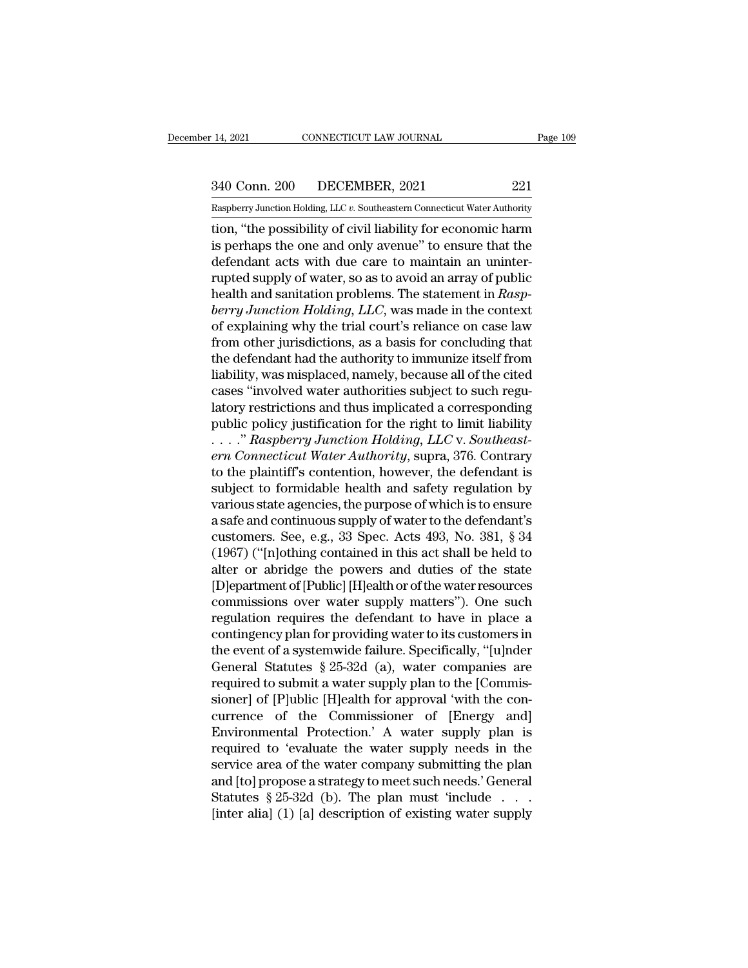# 14, 2021 CONNECTICUT LAW JOURNAL Page 109<br>340 Conn. 200 DECEMBER, 2021 221<br>Raspberry Junction Holding, LLC v. Southeastern Connecticut Water Authority

Pecember 14, 2021 CONNECTICUT LAW JOURNAL Page 109<br>
240 Conn. 200 DECEMBER, 2021 221<br>
Raspberry Junction Holding, LLC *v.* Southeastern Connecticut Water Authority<br>
tion, "the possibility of civil liability for economic ha The possibility of civil liability of change in the possibility of civil liability for economic harm<br>
is perhaps the one and only avenue" to ensure that the<br>
defendent extention are and only avenue" to ensure that the<br>
def  $\frac{340 \text{ Conn. } 200}{\text{Raspberry Junction Hodg. } \text{LLC } v. } \frac{221}{\text{Souberly Junction Hodg. } \text{LLC } v. } \frac{221}{\text{Subtheasteron Connecticut Water Authority}}$ <br>tion, "the possibility of civil liability for economic harm<br>is perhaps the one and only avenue" to ensure that the<br>defendant acts with  $\frac{340 \text{ Conn. } 200}{\text{Raspberry Junction holding, LLC } v. }$  Southeastern Connecticut Water Authority<br>tion, "the possibility of civil liability for economic harm<br>is perhaps the one and only avenue" to ensure that the<br>defendant acts with due care 340 Conn. 200 DECEMBER, 2021 221<br>
Raspberry Junction Holding, LLC v. Southeastern Connecticut Water Authority<br>
tion, "the possibility of civil liability for economic harm<br>
is perhaps the one and only avenue" to ensure tha Raspberry Junction Holding, LLC v. Southeastern Connecticut Water Authority<br>
tion, "the possibility of civil liability for economic harm<br>
is perhaps the one and only avenue" to ensure that the<br>
defendant acts with due care *berry Junction Holding, LLC*, *v.* Soundard Connecticul water Authority<br>
ion, "the possibility of civil liability for economic harm<br>
is perhaps the one and only avenue" to ensure that the<br>
defendant acts with due care to tion, "the possibility of civil liability for economic harm<br>is perhaps the one and only avenue" to ensure that the<br>defendant acts with due care to maintain an uninter-<br>rupted supply of water, so as to avoid an array of pu is perhaps the one and only avenue" to ensure that the<br>defendant acts with due care to maintain an uninter-<br>rupted supply of water, so as to avoid an array of public<br>health and sanitation problems. The statement in  $Rasp-$ <br> defendant acts with due care to maintain an uninter-<br>rupted supply of water, so as to avoid an array of public<br>health and sanitation problems. The statement in *Rasp-*<br>berry Junction Holding, LLC, was made in the context<br>o rupted supply of water, so as to avoid an array of public<br>health and sanitation problems. The statement in *Rasp-*<br>berry Junction Holding, LLC, was made in the context<br>of explaining why the trial court's reliance on case l health and sanitation problems. The statement in *Rasp-*<br>berry Junction Holding, LLC, was made in the context<br>of explaining why the trial court's reliance on case law<br>from other jurisdictions, as a basis for concluding tha berry Junction Holding, LLC, was made in the context<br>of explaining why the trial court's reliance on case law<br>from other jurisdictions, as a basis for concluding that<br>the defendant had the authority to immunize itself from of explaining why the trial court's reliance on case law<br>from other jurisdictions, as a basis for concluding that<br>the defendant had the authority to immunize itself from<br>liability, was misplaced, namely, because all of the from other jurisdictions, as a basis for concluding that<br>the defendant had the authority to immunize itself from<br>liability, was misplaced, namely, because all of the cited<br>cases "involved water authorities subject to such *the defendant had the authority to immunize itself from liability, was misplaced, namely, because all of the cited cases "involved water authorities subject to such regulatory restrictions and thus implicated a correspond* liability, was misplaced, namely, because all of the cited<br>cases "involved water authorities subject to such regu-<br>latory restrictions and thus implicated a corresponding<br>public policy justification for the right to limit cases "involved water authorities subject to such regulatory restrictions and thus implicated a corresponding<br>public policy justification for the right to limit liability<br> $\ldots$ ." Raspberry Junction Holding, LLC v. Southea latory restrictions and thus implicated a corresponding<br>public policy justification for the right to limit liability<br>...." Raspberry Junction Holding, LLC v. Southeast-<br>ern Connecticut Water Authority, supra, 376. Contrar public policy justification for the right to limit liability<br>
...." Raspberry Junction Holding, LLC v. Southeast-<br>
ern Connecticut Water Authority, supra, 376. Contrary<br>
to the plaintiff's contention, however, the defendan ...." Raspberry Junction Holding, LLC v. Southeast-<br>ern Connecticut Water Authority, supra, 376. Contrary<br>to the plaintiff's contention, however, the defendant is<br>subject to formidable health and safety regulation by<br>vari ern Connecticut Water Authority, supra, 376. Contrary<br>to the plaintiff's contention, however, the defendant is<br>subject to formidable health and safety regulation by<br>various state agencies, the purpose of which is to ensure to the plaintiff's contention, however, the defendant is<br>subject to formidable health and safety regulation by<br>various state agencies, the purpose of which is to ensure<br>a safe and continuous supply of water to the defendan subject to formidable health and safety regulation by<br>various state agencies, the purpose of which is to ensure<br>a safe and continuous supply of water to the defendant's<br>customers. See, e.g., 33 Spec. Acts 493, No. 381, § 3 various state agencies, the purpose of which is to ensure<br>a safe and continuous supply of water to the defendant's<br>customers. See, e.g., 33 Spec. Acts 493, No. 381, § 34<br>(1967) ("[n]othing contained in this act shall be he a safe and continuous supply of water to the defendant's<br>customers. See, e.g., 33 Spec. Acts 493, No. 381, § 34<br>(1967) ("[n]othing contained in this act shall be held to<br>alter or abridge the powers and duties of the state<br> customers. See, e.g., 33 Spec. Acts 493, No. 381, § 34<br>(1967) ("[n]othing contained in this act shall be held to<br>alter or abridge the powers and duties of the state<br>[D]epartment of [Public] [H]ealth or of the water resour (1967) ("[n]othing contained in this act shall be held to<br>alter or abridge the powers and duties of the state<br>[D]epartment of [Public] [H]ealth or of the water resources<br>commissions over water supply matters"). One such<br>r alter or abridge the powers and duties of the state<br>[D]epartment of [Public] [H]ealth or of the water resources<br>commissions over water supply matters"). One such<br>regulation requires the defendant to have in place a<br>conting [D]epartment of [Public] [H]ealth or of the water resources<br>commissions over water supply matters"). One such<br>regulation requires the defendant to have in place a<br>contingency plan for providing water to its customers in<br>th commissions over water supply matters"). One such<br>regulation requires the defendant to have in place a<br>contingency plan for providing water to its customers in<br>the event of a systemwide failure. Specifically, "[u]nder<br>Gene regulation requires the defendant to have in place a<br>contingency plan for providing water to its customers in<br>the event of a systemwide failure. Specifically, "[u]nder<br>General Statutes § 25-32d (a), water companies are<br>req contingency plan for providing water to its customers in<br>the event of a systemwide failure. Specifically, "[u]nder<br>General Statutes § 25-32d (a), water companies are<br>required to submit a water supply plan to the [Commis-<br>s the event of a systemwide failure. Specifically, "[u]nder<br>General Statutes  $\S 25{\text -}32d$  (a), water companies are<br>required to submit a water supply plan to the [Commis-<br>sioner] of [P]ublic [H]ealth for approval 'with the General Statutes § 25-32d (a), water companies are<br>required to submit a water supply plan to the [Commis-<br>sioner] of [P]ublic [H]ealth for approval 'with the con-<br>currence of the Commissioner of [Energy and]<br>Environmental required to submit a water supply plan to the [Commissioner] of [P]ublic [H]ealth for approval 'with the concurrence of the Commissioner of [Energy and]<br>Environmental Protection.' A water supply plan is required to 'evalua sioner] of [P]ublic [H]ealth for approval 'with the concurrence of the Commissioner of [Energy and]<br>Environmental Protection.' A water supply plan is<br>required to 'evaluate the water supply needs in the<br>service area of the currence of the Commissioner of [Energy and]<br>Environmental Protection.' A water supply plan is<br>required to 'evaluate the water supply needs in the<br>service area of the water company submitting the plan<br>and [to] propose a st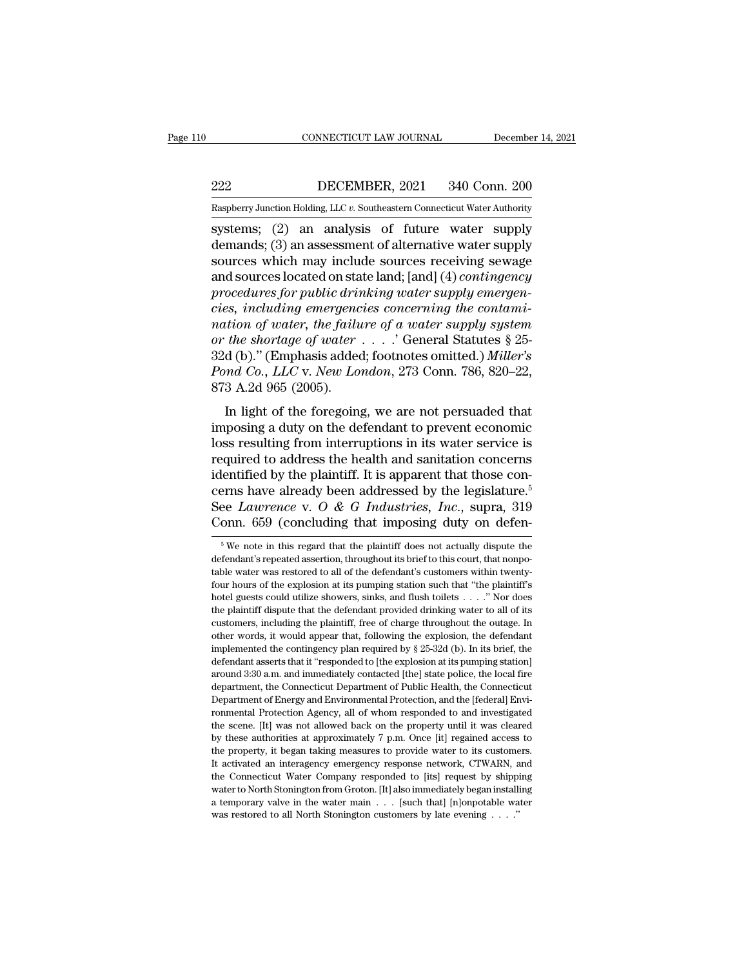EXECUTE CONNECTICUT LAW JOURNAL December 14, 2021<br>222 DECEMBER, 2021 340 Conn. 200<br>235 DECEMBER, 2021 340 Conn. 200 EXECUTE CONNECTICUT LAW JOURNAL December 14, 2021<br>222 DECEMBER, 2021 340 Conn. 200<br>Raspberry Junction Holding, LLC *v*. Southeastern Connecticut Water Authority

CONNECTICUT LAW JOURNAL December 14, 2021<br>
222 DECEMBER, 2021 340 Conn. 200<br>
Raspberry Junction Holding, LLC v. Southeastern Connecticut Water Authority<br>
systems; (2) an analysis of future water supply<br>
demands; (3) an ass DECEMBER, 2021 340 Conn. 200<br>
Raspberry Junction Holding, LLC v. Southeastern Connecticut Water Authority<br>
systems; (2) an analysis of future water supply<br>
demands; (3) an assessment of alternative water supply<br>
sources wh  $\begin{tabular}{ll} \bf 222 & DECEMBER, 2021 & 340 Conn. 200 \\ \hline \bf \textit{Raspberry Junction Holding, LLC } v. \textit{Southeastern Connecticut Water Authority} \\ \end{tabular} \begin{tabular}{ll} \hline \textit{system}; \end{tabular} \begin{tabular}{ll} \bf 2) \textit{an} \textit{analysis} \textit{of future water supply} \\ \hline \textit{demands}; \end{tabular} \end{tabular} \begin{tabular}{ll} \hline \textit{a} \textit{as} \textit{p} \textit{as} \textit{p} \textit{is} \textit{in} \\ \hline \textit{a} \$ DECEMBER, 2021 340 Conn. 200<br>
Raspberry Junction Holding, LLC v. Southeastern Connecticut Water Authority<br>
systems; (2) an analysis of future water supply<br>
demands; (3) an assessment of alternative water supply<br>
sources wh *procedures for public drinking water supply sources including mergencies, including mergencies, including emergencies, including emergencies concerning the contamination of water the following of a water supply sources fo concerning Englisherry Junction Holding, LLC v. Southeastern Connecticut Water Authority*<br>
systems; (2) an analysis of future water supply<br>
demands; (3) an assessment of alternative water supply<br>
sources which may include systems; (2) an analysis of future water supply<br>demands; (3) an assessment of alternative water supply<br>sources which may include sources receiving sewage<br>and sources located on state land; [and] (4) *contingency*<br>procedure demands; (3) an assessment of alternative water supply<br>
sources which may include sources receiving sewage<br>
and sources located on state land; [and] (4) *contingency*<br>
procedures for public drinking water supply emergen-<br> sources which may include sources receiving sewage<br>and sources located on state land; [and] (4) *contingency*<br>procedures for public drinking water supply emergen-<br>cies, including emergencies concerning the contami-<br>nation and sources located on state land; [and] (4) *contingency*<br>*procedures for public drinking water supply emergencies, including emergencies concerning the contami-<br>nation of water, the failure of a water supply system<br>or th* procedures for public drivers, including emergency<br>nation of water, the failu<br>or the shortage of water<br>32d (b)." (Emphasis addee<br>Pond Co., LLC v. New Lo<br>873 A.2d 965 (2005).<br>In light of the foregoing Example 2.1 and the formulation of water, the failure of a water supply system<br>the shortage of water  $\ldots$ . Concrete Section of the shortage of water  $\ldots$ . Concrete Section<br>d (b)." (Emphasis added; footnotes omitted.) Mi fraction by water, the jutture by a water supply system<br>or the shortage of water  $\ldots$ . Coeneral Statutes § 25-<br>32d (b)." (Emphasis added; footnotes omitted.) *Miller's*<br>Pond Co., LLC v. New London, 273 Conn. 786, 820–22,

32d (b)." (Emphasis added; footnotes omitted.) *Miller's*<br> *Pond Co., LLC v. New London,* 273 Conn. 786, 820–22,<br>
873 A.2d 965 (2005).<br>
In light of the foregoing, we are not persuaded that<br>
imposing a duty on the defendan b2d (b). (Emphasis added, footnotes ofinited:) *mater* s<br>*Pond Co., LLC v. New London,* 273 Conn. 786, 820–22,<br>873 A.2d 965 (2005).<br>In light of the foregoing, we are not persuaded that<br>imposing a duty on the defendant to Form Co., EEO v. New Loman, 210 Contr. 100, 020–22,<br>873 A.2d 965 (2005).<br>In light of the foregoing, we are not persuaded that<br>imposing a duty on the defendant to prevent economic<br>loss resulting from interruptions in its w In light of the foregoing, we are not persuaded that<br>imposing a duty on the defendant to prevent economic<br>loss resulting from interruptions in its water service is<br>required to address the health and sanitation concerns<br>id In light of the foregoing, we are not persuaded that<br>imposing a duty on the defendant to prevent economic<br>loss resulting from interruptions in its water service is<br>required to address the health and sanitation concerns<br>id imposing a duty on the defendant to prevent economic<br>loss resulting from interruptions in its water service is<br>required to address the health and sanitation concerns<br>identified by the plaintiff. It is apparent that those identified by the plaintiff. It is apparent that those concerns have already been addressed by the legislature.<sup>5</sup><br>See *Lawrence* v. *O* & *G Industries*, *Inc.*, supra, 319<br>Conn. 659 (concluding that imposing duty on d cerns have already been addressed by the legislature.<sup>5</sup><br>See *Lawrence* v. *O* & *G Industries*, *Inc.*, supra, 319<br>Conn. 659 (concluding that imposing duty on defen-<br><sup>5</sup>We note in this regard that the plaintiff does no

See *Lawrence* v. *O* & *G Industries*, *Inc.*, supra, 319 Conn. 659 (concluding that imposing duty on defendent<sup>5</sup> we note in this regard that the plaintiff does not actually dispute the defendant's repeated assertion, Conn. 659 (concluding that imposing duty on defen-<br>  $\frac{1}{5}$  We note in this regard that the plaintiff does not actually dispute the<br>
defendant's repeated assertion, throughout its brief to this court, that nonpo-<br>
table For the interest of the set of the plaintiff does not actually dispute the defendant's repeated assertion, throughout its brief to this court, that nonpotable water was restored to all of the defendant's customers within  $^\circ$  We note in this regard that the plaintiff does not actually dispute the defendant's repeated assertion, throughout its brief to this court, that nonpotable water was restored to all of the defendant's customers withi defendant's repeated assertion, throughout its brief to this court, that nonpotable water was restored to all of the defendant's customers within twenty-<br>four hours of the explosion at its pumping station such that "the pl able water was restored to all of the defendant's customers within twenty-<br>four hours of the explosion at its pumping station such that "the plaintiff's<br>hotel guests could utilize showers, sinks, and flush toilets  $\dots$ ." four hours of the explosion at its pumping station such that "the plaintiff's footel guests could utilize showers, sinks, and flush toilets  $\ldots$ ." Nor does the plaintiff dispute that the defendant provided drinking water bet a guests could utilize showers, sinks, and flush toilets  $\ldots$ ." Nor does the plaintiff dispute that the defendant provided drinking water to all of its customers, including the plaintiff, free of charge throughout th the plaintiff dispute that the defendant provided drinking water to all of its customers, including the plaintiff, free of charge throughout the outage. In other words, it would appear that, following the explosion, the d customers, including the plaintiff, free of charge throughout the outage. In other words, it would appear that, following the explosion, the defendant implemented the contingency plan required by § 25-32d (b). In its brief other words, it would appear that, following the explosion, the defendant<br>implemented the contingency plan required by § 25-32d (b). In its brief, the<br>defendant asserts that it "responded to [the explosion at its pumping s implemented the contingency plan required by § 25-32d (b). In its brief, the defendant asserts that it "responded to [the explosion at its pumping station] around 3:30 a.m. and immediately contacted [the] state police, th defendant asserts that it "responded to [the explosion at its pumping station] around 3:30 a.m. and immediately contacted [the] state police, the local fire department, the Connecticut Department of Public Health, the Conn around 3:30 a.m. and immediately contacted [the] state police, the local fire<br>department, the Connecticut Department of Public Health, the Connecticut<br>Department of Energy and Environmental Protection, and the [federal] En department, the Connecticut Department of Public Health, the Connecticut Department of Energy and Environmental Protection, and the [federal] Environmental Protection Agency, all of whom responded to and investigated the s Department of Energy and Environmental Protection, and the [federal] Environmental Protection Agency, all of whom responded to and investigated the scene. [It] was not allowed back on the property until it was cleared by t Formental Protection Agency, all of whom responded to and investigated<br>the scene. [It] was not allowed back on the property until it was cleared<br>by these authorities at approximately 7 p.m. Once [it] regained access to<br>the water to North Stonington from Groton. [It] also immediately began installing the scene. [It] was not allowed back on the property until it was cleared by these authorities at approximately 7 p.m. Once [it] regained acces the scene. [It] was not allowed back on the property until it was cleared<br>by these authorities at approximately 7 p.m. Once [it] regained access to<br>the property, it began taking measures to provide water to its customers. the property, it began taking measures to provide water to its customers.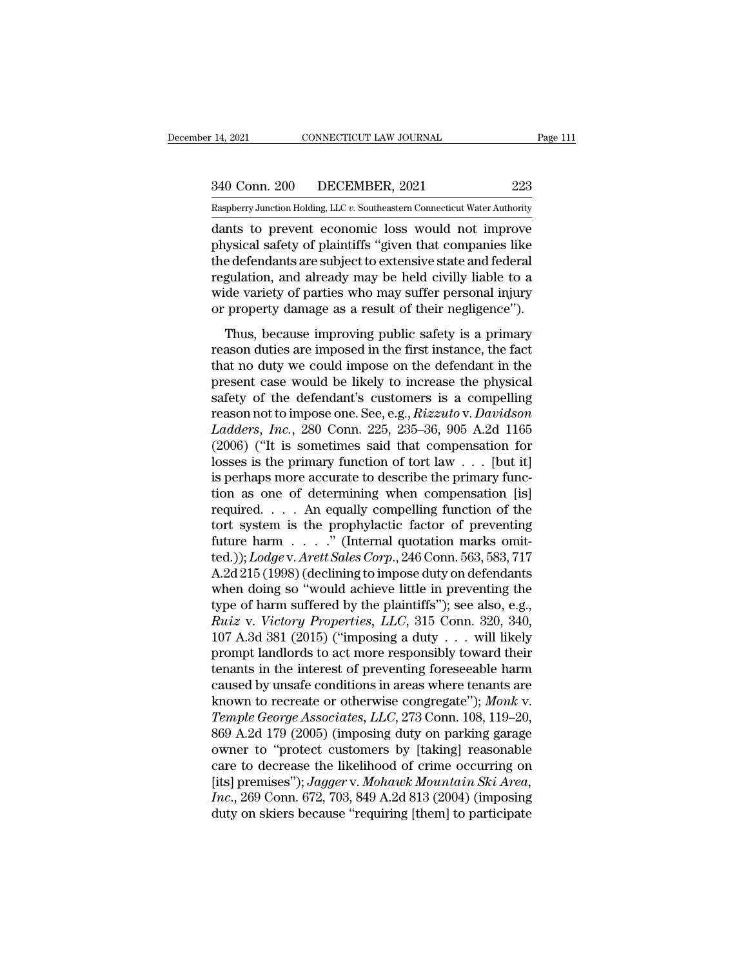14, 2021 CONNECTICUT LAW JOURNAL Page 111<br>340 Conn. 200 DECEMBER, 2021 223<br>Raspberry Junction Holding, LLC v. Southeastern Connecticut Water Authority

Pecember 14, 2021 CONNECTICUT LAW JOURNAL Page 111<br>
240 Conn. 200 DECEMBER, 2021 223<br>
Raspberry Junction Holding, LLC *v.* Southeastern Connecticut Water Authority<br>
dants to prevent economic loss would not improve 14, 2021 CONNECTICUT LAW JOURNAL Page 111<br>
340 Conn. 200 DECEMBER, 2021 223<br>
Raspberry Junction Holding, LLC v. Southeastern Connecticut Water Authority<br>
dants to prevent economic loss would not improve<br>
physical safety of 340 Conn. 200 DECEMBER, 2021 223<br>
Raspberry Junction Holding, LLC v. Southeastern Connecticut Water Authority<br>
dants to prevent economic loss would not improve<br>
physical safety of plaintiffs "given that companies like<br>
the 340 Conn. 200 DECEMBER, 2021 223<br>
Raspberry Junction Holding, LLC v. Southeastern Connecticut Water Authority<br>
dants to prevent economic loss would not improve<br>
physical safety of plaintiffs "given that companies like<br>
th 340 Conn. 200 DECEMBER, 2021 223<br>
Raspberry Junction Holding, LLC v. Southeastern Connecticut Water Authority<br>
dants to prevent economic loss would not improve<br>
physical safety of plaintiffs "given that companies like<br>
th Raspberry Junction Holding, LLC v. Southeastern Connecticut Water Authority<br>dants to prevent economic loss would not improve<br>physical safety of plaintiffs "given that companies like<br>the defendants are subject to extensive Example Try Junction Holding, LLC v. Southeastern Connecticut water Authority<br>dants to prevent economic loss would not improve<br>physical safety of plaintiffs "given that companies like<br>the defendants are subject to extensiv Thus, because improving public safety is a primary associated and federal gulation, and already may be held civilly liable to a de variety of parties who may suffer personal injury property damage as a result of their negl priystem stately of prainting given and comparies into<br>the defendants are subject to extensive state and federal<br>regulation, and already may be held civilly liable to a<br>wide variety of parties who may suffer personal injur

the detendants are stagled to checks the defendant of regulation, and already may be held civilly liable to a wide variety of parties who may suffer personal injury or property damage as a result of their negligence").<br>Thu presentation, and aready may be ried eventy haste to a<br>wide variety of parties who may suffer personal injury<br>or property damage as a result of their negligence").<br>Thus, because improving public safety is a primary<br>reason or property damage as a result of their negligence").<br>Thus, because improving public safety is a primary<br>reason duties are imposed in the first instance, the fact<br>that no duty we could impose on the defendant in the<br>prese reason duties are improving public safety is a primary<br>reason duties are imposed in the first instance, the fact<br>that no duty we could impose on the defendant in the<br>present case would be likely to increase the physical<br>sa Thus, because improving public safety is a primary<br>reason duties are imposed in the first instance, the fact<br>that no duty we could impose on the defendant in the<br>present case would be likely to increase the physical<br>safety reason duties are imposed in the first instance, the fact<br>that no duty we could impose on the defendant in the<br>present case would be likely to increase the physical<br>safety of the defendant's customers is a compelling<br>reas that no duty we could impose on the defendant in the<br>present case would be likely to increase the physical<br>safety of the defendant's customers is a compelling<br>reason not to impose one. See, e.g.,  $Rizzutov$ .  $Davidson$ <br> $Ladders$ ,  $Inc$ , present case would be likely to increase the physical<br>safety of the defendant's customers is a compelling<br>reason not to impose one. See, e.g.,  $Rizzuto v. David son$ <br>Ladders, Inc., 280 Conn. 225, 235–36, 905 A.2d 1165<br>(2006) ("It is s safety of the defendant's customers is a compelling<br>reason not to impose one. See, e.g., *Rizzuto* v. *Davidson*<br>*Ladders, Inc.*, 280 Conn. 225, 235–36, 905 A.2d 1165<br>(2006) ("It is sometimes said that compensation for<br>lo reason not to impose one. See, e.g., *Rizzuto* v. *Davidson*<br>Ladders, Inc., 280 Conn. 225, 235–36, 905 A.2d 1165<br>(2006) ("It is sometimes said that compensation for<br>losses is the primary function of tort law . . . [but it Ladders, Inc., 280 Conn. 225, 235–36, 905 A.2d 1165<br>(2006) ("It is sometimes said that compensation for<br>losses is the primary function of tort law . . . [but it]<br>is perhaps more accurate to describe the primary func-<br>tion (2006) ("It is sometimes said that compensation for<br>losses is the primary function of tort law . . . [but it]<br>is perhaps more accurate to describe the primary func-<br>tion as one of determining when compensation [is]<br>requir losses is the primary function of tort law . . . [but it]<br>is perhaps more accurate to describe the primary func-<br>tion as one of determining when compensation [is]<br>required. . . . An equally compelling function of the<br>tort is perhaps more accurate to describe the primary function as one of determining when compensation [is]<br>required.... An equally compelling function of the<br>tort system is the prophylactic factor of preventing<br>future harm .. tion as one of determining when compensation [is]<br>required.... An equally compelling function of the<br>tort system is the prophylactic factor of preventing<br>future harm ....." (Internal quotation marks omit-<br>ted.)); *Lodge* required. . . . An equally compelling function of the<br>tort system is the prophylactic factor of preventing<br>future harm . . . ." (Internal quotation marks omit-<br>ted.)); *Lodge* v. Arett Sales Corp., 246 Conn. 563, 583, 717 *Ruiz* v. *Ruiz* is the prophylactic factor of preventing future harm . . . . " (Internal quotation marks omitted.)); *Lodge* v. *Arett Sales Corp.*, 246 Conn. 563, 583, 717 A.2d 215 (1998) (declining to impose duty on def future harm  $\ldots$  ." (Internal quotation marks omit-<br>ted.));  $Lodge$  v. Arett Sales Corp., 246 Conn. 563, 583, 717<br>A.2d 215 (1998) (declining to impose duty on defendants<br>when doing so "would achieve little in preventing the ted.)); *Lodge* v. *Arett Sales Corp.*, 246 Conn. 563, 583, 717<br>A.2d 215 (1998) (declining to impose duty on defendants<br>when doing so "would achieve little in preventing the<br>type of harm suffered by the plaintiffs"); see A.2d 215 (1998) (declining to impose duty on defendants<br>when doing so "would achieve little in preventing the<br>type of harm suffered by the plaintiffs"); see also, e.g.,<br> $Ruiz$  v. Victory Properties, LLC, 315 Conn. 320, 340, when doing so "would achieve little in preventing the<br>type of harm suffered by the plaintiffs"); see also, e.g.,<br> $Ruiz$  v. *Victory Properties*,  $LLC$ , 315 Conn. 320, 340,<br>107 A.3d 381 (2015) ("imposing a duty . . . will lik type of harm suffered by the plaintiffs"); see also, e.g.,<br> *Ruiz v. Victory Properties*, *LLC*, 315 Conn. 320, 340,<br>
107 A.3d 381 (2015) ("imposing a duty . . . will likely<br>
prompt landlords to act more responsibly toward *Ruiz v. Victory Properties, LLC*, 315 Conn. 320, 340, 107 A.3d 381 (2015) ("imposing a duty . . . will likely prompt landlords to act more responsibly toward their tenants in the interest of preventing foreseeable harm ca 107 A.3d 381 (2015) ("imposing a duty  $\ldots$  will likely<br>prompt landlords to act more responsibly toward their<br>tenants in the interest of preventing foreseeable harm<br>caused by unsafe conditions in areas where tenants are<br>k prompt landlords to act more responsibly toward their<br>tenants in the interest of preventing foreseeable harm<br>caused by unsafe conditions in areas where tenants are<br>known to recreate or otherwise congregate"); *Monk v.<br>Temp* tenants in the interest of preventing foreseeable harm<br>caused by unsafe conditions in areas where tenants are<br>known to recreate or otherwise congregate"); *Monk v.<br>Temple George Associates, LLC*, 273 Conn. 108, 119–20,<br>86 caused by unsafe conditions in areas where tenants are<br>known to recreate or otherwise congregate"); *Monk v.*<br>Temple George Associates, LLC, 273 Conn. 108, 119–20,<br>869 A.2d 179 (2005) (imposing duty on parking garage<br>owner known to recreate or otherwise congregate"); *Monk v.*<br>*Iemple George Associates, LLC*, 273 Conn. 108, 119–20,<br>869 A.2d 179 (2005) (imposing duty on parking garage<br>owner to "protect customers by [taking] reasonable<br>care to Temple George Associates, LLC, 273 Conn. 108, 119–20, 869 A.2d 179 (2005) (imposing duty on parking garage owner to "protect customers by [taking] reasonable care to decrease the likelihood of crime occurring on [its] prem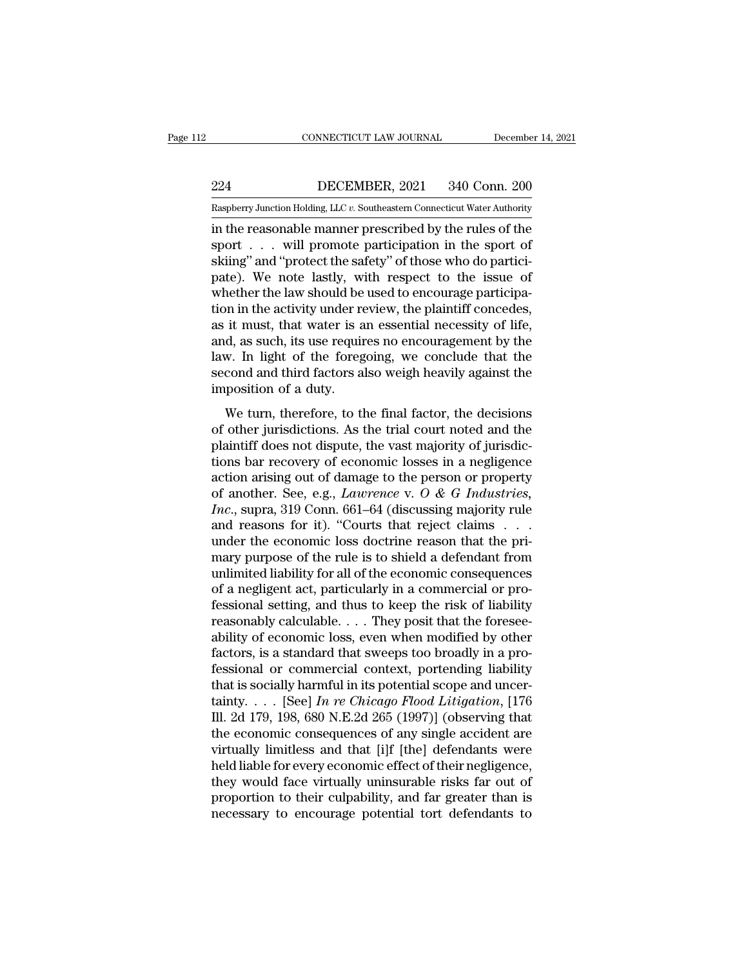EXECUTE CONNECTICUT LAW JOURNAL December 14, 2021<br>224 DECEMBER, 2021 340 Conn. 200<br>234 DECEMBER, 2021 340 Conn. 200 CONNECTICUT LAW JOURNAL December 14, 2021<br>224 DECEMBER, 2021 340 Conn. 200<br>Raspberry Junction Holding, LLC *v.* Southeastern Connecticut Water Authority<br>in the reasonable manner prescribed by the rules of the

CONNECTICUT LAW JOURNAL December 14, 2021<br>
224 DECEMBER, 2021 340 Conn. 200<br>
Raspberry Junction Holding, LLC v. Southeastern Connecticut Water Authority<br>
in the reasonable manner prescribed by the rules of the<br>
sport . . . 224 DECEMBER, 2021 340 Conn. 200<br>
Raspberry Junction Holding, LLC v. Southeastern Connecticut Water Authority<br>
in the reasonable manner prescribed by the rules of the<br>
sport . . . will promote participation in the sport of  $\begin{array}{ll}\n \textbf{224} & \textbf{DECEMBER}, \textbf{2021} & \textbf{340 Conn.} \textbf{200} \\
 \textbf{Raspberry Junction Hodg, LLC } v. \textbf{Southeastem Connecticut Water Authority} \\
 \text{in the reasonable manner prescribed by the rules of the sport . . . will promote participation in the sport of skling" and "protect the safety" of those who do participate). We note lastly, with respect to the issue of whether the law should be used to oneour of portfolio. \end{array}$ 224 DECEMBER, 2021 340 Conn. 200<br>
Raspberry Junction Holding, LLC  $v$ . Southeastern Connecticut Water Authority<br>
in the reasonable manner prescribed by the rules of the<br>
sport . . . will promote participation in the sport Raspberry Junction Holding, LLC v. Southeastern Connecticut Water Authority<br>in the reasonable manner prescribed by the rules of the<br>sport . . . will promote participation in the sport of<br>skiing" and "protect the safety" of Example in the reasonable manner prescribed by the rules of the sport  $\dots$  will promote participation in the sport of skiing" and "protect the safety" of those who do participate). We note lastly, with respect to the issu in the reasonable manner prescribed by the rules of the sport  $\ldots$  will promote participation in the sport of skiing" and "protect the safety" of those who do participate). We note lastly, with respect to the issue of wh sport  $\dots$  will promote participation in the sport of skiing" and "protect the safety" of those who do participate). We note lastly, with respect to the issue of whether the law should be used to encourage participation i skiing" and "protect the safety" of those who do partici-<br>pate). We note lastly, with respect to the issue of<br>whether the law should be used to encourage participa-<br>tion in the activity under review, the plaintiff concedes pate). We note lastly, with respect to the issue of whether the law should be used to encourage participation in the activity under review, the plaintiff concedes, as it must, that water is an essential necessity of life, whether the law should be<br>tion in the activity under re<br>as it must, that water is a<br>and, as such, its use requin<br>law. In light of the foreg<br>second and third factors a<br>imposition of a duty.<br>We turn, therefore, to tl It must, that water is an essential necessity of life,<br>it must, that water is an essential necessity of life,<br>d, as such, its use requires no encouragement by the<br>w. In light of the foregoing, we conclude that the<br>cond and as te mast, that water is an essential necessary or me,<br>and, as such, its use requires no encouragement by the<br>law. In light of the foregoing, we conclude that the<br>second and third factors also weigh heavily against the<br>im

plantificant does not dispute the conclude that the second and third factors also weigh heavily against the imposition of a duty.<br>We turn, therefore, to the final factor, the decisions of other jurisdictions. As the trial the imposition of a duty.<br>
We turn, therefore, to the final factor, the decisions<br>
of other jurisdictions. As the trial court noted and the<br>
plaintiff does not dispute, the vast majority of jurisdic-<br>
tions bar recovery o imposition of a duty.<br>
We turn, therefore, to the final factor, the decisions<br>
of other jurisdictions. As the trial court noted and the<br>
plaintiff does not dispute, the vast majority of jurisdic-<br>
tions bar recovery of ec We turn, therefore, to the final factor, the decisions<br>of other jurisdictions. As the trial court noted and the<br>plaintiff does not dispute, the vast majority of jurisdic-<br>tions bar recovery of economic losses in a negligen We turn, therefore, to the final factor, the decisions<br>of other jurisdictions. As the trial court noted and the<br>plaintiff does not dispute, the vast majority of jurisdic-<br>tions bar recovery of economic losses in a neglige of other jurisdictions. As the trial court noted and the plaintiff does not dispute, the vast majority of jurisdictions bar recovery of economic losses in a negligence action arising out of damage to the person or propert plaintiff does not dispute, the vast majority of jurisdictions bar recovery of economic losses in a negligence<br>action arising out of damage to the person or property<br>of another. See, e.g., *Lawrence* v. O & G Industries,<br> tions bar recovery of economic losses in a negligence<br>action arising out of damage to the person or property<br>of another. See, e.g., *Lawrence* v. O & G Industries,<br>Inc., supra, 319 Conn. 661–64 (discussing majority rule<br>a action arising out of damage to the person or property<br>of another. See, e.g., *Lawrence* v. O & G Industries,<br>Inc., supra, 319 Conn. 661–64 (discussing majority rule<br>and reasons for it). "Courts that reject claims . . .<br>u of another. See, e.g., *Lawrence* v. *O & G Industries, Inc.*, supra, 319 Conn. 661–64 (discussing majority rule and reasons for it). "Courts that reject claims . . . . under the economic loss doctrine reason that the p *Inc.*, supra, 319 Conn. 661–64 (discussing majority rule<br>and reasons for it). "Courts that reject claims  $\ldots$ <br>under the economic loss doctrine reason that the pri-<br>mary purpose of the rule is to shield a defendant from<br> and reasons for it). "Courts that reject claims . . . under the economic loss doctrine reason that the primary purpose of the rule is to shield a defendant from unlimited liability for all of the economic consequences of under the economic loss doctrine reason that the pri-<br>mary purpose of the rule is to shield a defendant from<br>unlimited liability for all of the economic consequences<br>of a negligent act, particularly in a commercial or promary purpose of the rule is to shield a defendant from<br>unlimited liability for all of the economic consequences<br>of a negligent act, particularly in a commercial or pro-<br>fessional setting, and thus to keep the risk of liabi unlimited liability for all of the economic consequences<br>of a negligent act, particularly in a commercial or pro-<br>fessional setting, and thus to keep the risk of liability<br>reasonably calculable.... They posit that the for of a negligent act, particularly in a commercial or professional setting, and thus to keep the risk of liability<br>reasonably calculable.... They posit that the foresee-<br>ability of economic loss, even when modified by other fessional setting, and thus to keep the risk of liability<br>reasonably calculable. . . . They posit that the foresee-<br>ability of economic loss, even when modified by other<br>factors, is a standard that sweeps too broadly in a reasonably calculable. . . . They posit that the foresee-<br>ability of economic loss, even when modified by other<br>factors, is a standard that sweeps too broadly in a pro-<br>fessional or commercial context, portending liabilit ability of economic loss, even when modified by other<br>factors, is a standard that sweeps too broadly in a pro-<br>fessional or commercial context, portending liability<br>that is socially harmful in its potential scope and unce factors, is a standard that sweeps too broadly in a professional or commercial context, portending liability<br>that is socially harmful in its potential scope and uncer-<br>tainty. . . . [See] In re Chicago Flood Litigation, [ fessional or commercial context, portending liability<br>that is socially harmful in its potential scope and uncer-<br>tainty. . . . [See] *In re Chicago Flood Litigation*, [176<br>Ill. 2d 179, 198, 680 N.E.2d 265 (1997)] (observi that is socially harmful in its potential scope and uncertainty. . . . [See] *In re Chicago Flood Litigation*, [176 III. 2d 179, 198, 680 N.E.2d 265 (1997)] (observing that the economic consequences of any single accident tainty. . . . [See] *In re Chicago Flood Litigation*, [176 Ill. 2d 179, 198, 680 N.E.2d 265 (1997)] (observing that the economic consequences of any single accident are virtually limitless and that [i]f [the] defendants w Ill. 2d 179, 198, 680 N.E.2d 265 (1997)] (observing that<br>the economic consequences of any single accident are<br>virtually limitless and that [i]f [the] defendants were<br>held liable for every economic effect of their negligenc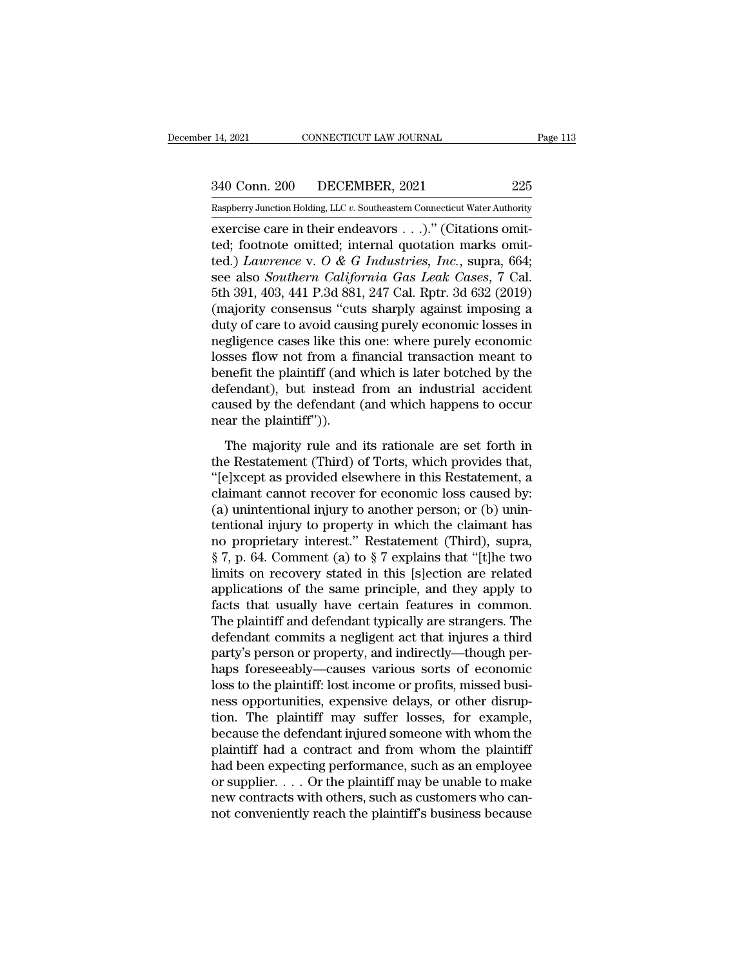14, 2021 CONNECTICUT LAW JOURNAL Page 113<br>340 Conn. 200 DECEMBER, 2021 225<br>Raspberry Junction Holding, LLC v. Southeastern Connecticut Water Authority

Pecember 14, 2021 CONNECTICUT LAW JOURNAL Page 113<br>
240 Conn. 200 DECEMBER, 2021 225<br>
Raspberry Junction Holding, LLC *v.* Southeastern Connecticut Water Authority<br>
exercise care in their endeavors . . .)." (Citations omit exercise care in their endeavors . . .)." (Citations omitted) Laurence with the internal quotation marks omitted and a summary  $\alpha$  or  $\beta$  of  $\alpha$  and  $\alpha$  is the control of  $\alpha$  is  $\alpha$  is  $\alpha$  is  $\alpha$  is  $\alpha$  is  $\alpha$  is 340 Conn. 200 DECEMBER, 2021 225<br>
Raspberry Junction Holding, LLC v. Southeastern Connecticut Water Authority<br>
exercise care in their endeavors . . .)." (Citations omit-<br>
ted.) Lawrence v. O & G Industries, Inc., supra, 66 340 Conn. 200 DECEMBER, 2021 225<br>
Raspberry Junction Holding, LLC v. Southeastern Connecticut Water Authority<br>
exercise care in their endeavors . . .)." (Citations omit-<br>
ted.) *Lawrence* v. *O & G Industries, Inc.*, supra 340 Conn. 200 DECEMBER, 2021 225<br>
Raspberry Junction Holding, LLC v. Southeastern Connecticut Water Authority<br>
exercise care in their endeavors . . .)." (Citations omit-<br>
ted.; footnote omitted; internal quotation marks om Raspberry Junction Holding, LLC v. Southeastern Connecticut Water Authority<br>exercise care in their endeavors . . .)." (Citations omit-<br>ted; footnote omitted; internal quotation marks omit-<br>ted.) *Lawrence* v. O & G Industr Example Try Junction Holding, LLC v. Southeastern Connecticut water Authority<br>
exercise care in their endeavors . . .)." (Citations omit-<br>
ted.) *Lawrence* v. *O* & *G* Industries, Inc., supra, 664;<br>
see also *Southern Ca* exercise care in their endeavors  $\ldots$ )." (Citations omitted; footnote omitted; internal quotation marks omitted.) *Lawrence* v. *O & G Industries, Inc.*, supra, 664; see also *Southern California Gas Leak Cases*, 7 Cal.<br> ted; footnote omitted; internal quotation marks omit-<br>ted.) *Lawrence* v. O & G Industries, Inc., supra, 664;<br>see also *Southern California Gas Leak Cases*, 7 Cal.<br>5th 391, 403, 441 P.3d 881, 247 Cal. Rptr. 3d 632 (2019)<br>( ted.) *Lawrence* v. O & G Industries, Inc., supra, 664;<br>see also *Southern California Gas Leak Cases*, 7 Cal.<br>5th 391, 403, 441 P.3d 881, 247 Cal. Rptr. 3d 632 (2019)<br>(majority consensus "cuts sharply against imposing a<br>du see also *Southern California Gas Leak Cases*, 7 Cal.<br>5th 391, 403, 441 P.3d 881, 247 Cal. Rptr. 3d 632 (2019)<br>(majority consensus "cuts sharply against imposing a<br>duty of care to avoid causing purely economic losses in<br>ne 5th 391, 403, 441 P.3d 881, 247 Cal. Rptr. 3d 632 (2019)<br>(majority consensus "cuts sharply against imposing a<br>duty of care to avoid causing purely economic losses in<br>negligence cases like this one: where purely economic<br>lo (majority consensus "cuts sharply against imposing a<br>duty of care to avoid causing purely economic losses in<br>negligence cases like this one: where purely economic<br>losses flow not from a financial transaction meant to<br>benef duty of care to avoid caus<br>negligence cases like this<br>losses flow not from a fi<br>benefit the plaintiff (and<br>defendant), but instead<br>caused by the defendant<br>near the plaintiff")).<br>The majority rule and ses flow not from a financial transaction meant to<br>nefit the plaintiff (and which is later botched by the<br>fendant), but instead from an industrial accident<br>used by the defendant (and which happens to occur<br>ar the plaintiff the Restatement (Third) of Torts, which provides the defendant), but instead from an industrial accident caused by the defendant (and which happens to occurrear the plaintiff")).<br>The majority rule and its rationale are set

befendant), but instead from an industrial accident<br>
caused by the defendant (and which happens to occur<br>
near the plaintiff")).<br>
The majority rule and its rationale are set forth in<br>
the Restatement (Third) of Torts, whi claimant cannot reflect that the measurement cannot caused by the defendant (and which happens to occurre in the Restatement (Third) of Torts, which provides that, "[e]xcept as provided elsewhere in this Restatement, a cla (and which happens to occur<br>
mear the plaintiff")).<br>
The majority rule and its rationale are set forth in<br>
the Restatement (Third) of Torts, which provides that,<br>
"[e]xcept as provided elsewhere in this Restatement, a<br>
cla The majority rule and its rationale are set forth in<br>the Restatement (Third) of Torts, which provides that,<br>"[e]xcept as provided elsewhere in this Restatement, a<br>claimant cannot recover for economic loss caused by:<br>(a) u The majority rule and its rationale are set forth in<br>the Restatement (Third) of Torts, which provides that,<br>''[e]xcept as provided elsewhere in this Restatement, a<br>claimant cannot recover for economic loss caused by:<br>(a) the Restatement (Third) of Torts, which provides that,<br>"[e]xcept as provided elsewhere in this Restatement, a<br>claimant cannot recover for economic loss caused by:<br>(a) unintentional injury to another person; or (b) unin-<br>te "[e]xcept as provided elsewhere in this Restatement, a<br>claimant cannot recover for economic loss caused by:<br>(a) unintentional injury to another person; or (b) unin-<br>tentional injury to property in which the claimant has<br>n claimant cannot recover for economic loss caused by:<br>
(a) unintentional injury to another person; or (b) unin-<br>
tentional injury to property in which the claimant has<br>
no proprietary interest." Restatement (Third), supra, (a) unintentional injury to another person; or (b) unin-<br>tentional injury to property in which the claimant has<br>no proprietary interest." Restatement (Third), supra,<br> $\S 7$ , p. 64. Comment (a) to  $\S 7$  explains that "[t]he tentional injury to property in which the claimant has<br>no proprietary interest." Restatement (Third), supra,<br>§ 7, p. 64. Comment (a) to § 7 explains that "[t]he two<br>limits on recovery stated in this [s]ection are related<br>a no proprietary interest." Restatement (Third), supra,  $\S 7$ , p. 64. Comment (a) to  $\S 7$  explains that "[t]he two limits on recovery stated in this [s]ection are related applications of the same principle, and they apply  $\S 7$ , p. 64. Comment (a) to  $\S 7$  explains that "[t]he two<br>limits on recovery stated in this [s]ection are related<br>applications of the same principle, and they apply to<br>facts that usually have certain features in common. limits on recovery stated in this [s]ection are related<br>applications of the same principle, and they apply to<br>facts that usually have certain features in common.<br>The plaintiff and defendant typically are strangers. The<br>def applications of the same principle, and they apply to facts that usually have certain features in common.<br>The plaintiff and defendant typically are strangers. The defendant commits a negligent act that injures a third part facts that usually have certain features in common.<br>The plaintiff and defendant typically are strangers. The<br>defendant commits a negligent act that injures a third<br>party's person or property, and indirectly—though per-<br>hap The plaintiff and defendant typically are strangers. The<br>defendant commits a negligent act that injures a third<br>party's person or property, and indirectly—though per-<br>haps foreseeably—causes various sorts of economic<br>loss defendant commits a negligent act that injures a third<br>party's person or property, and indirectly—though per-<br>haps foreseeably—causes various sorts of economic<br>loss to the plaintiff: lost income or profits, missed busi-<br>ne party's person or property, and indirectly—though perhaps foreseeably—causes various sorts of economic<br>loss to the plaintiff: lost income or profits, missed busi-<br>ness opportunities, expensive delays, or other disrup-<br>tion haps foreseeably—causes various sorts of economic<br>loss to the plaintiff: lost income or profits, missed busi-<br>ness opportunities, expensive delays, or other disrup-<br>tion. The plaintiff may suffer losses, for example,<br>beca loss to the plaintiff: lost income or profits, missed business opportunities, expensive delays, or other disruption. The plaintiff may suffer losses, for example, because the defendant injured someone with whom the plainti ness opportunities, expensive delays, or other disruption. The plaintiff may suffer losses, for example, because the defendant injured someone with whom the plaintiff had a contract and from whom the plaintiff had been exp tion. The plaintiff may suffer losses, for example, because the defendant injured someone with whom the plaintiff had a contract and from whom the plaintiff had been expecting performance, such as an employee or supplier.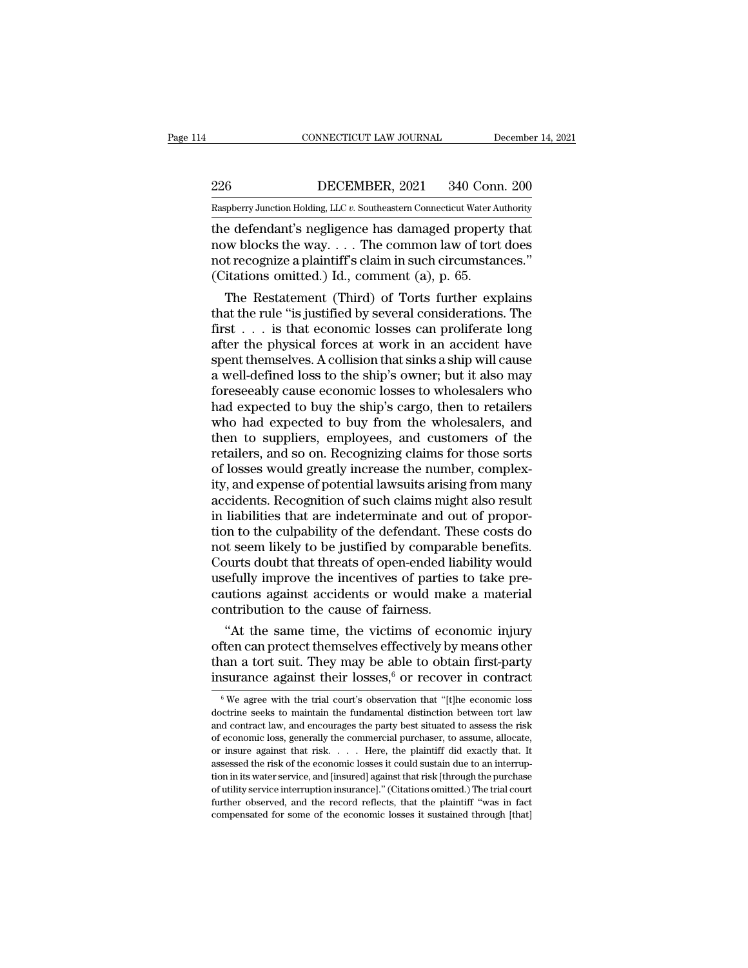EXECUTE CONNECTICUT LAW JOURNAL December 14, 2021<br>226 DECEMBER, 2021 340 Conn. 200<br>Raspberry Junction Holding, LLC v. Southeastern Connecticut Water Authority

CONNECTICUT LAW JOURNAL December 14, 2021<br>226 DECEMBER, 2021 340 Conn. 200<br>Raspberry Junction Holding, LLC *v.* Southeastern Connecticut Water Authority<br>the defendant's negligence has damaged property that CONNECTICUT LAW JOURNAL December 14, 202<br>
226 DECEMBER, 2021 340 Conn. 200<br>
Raspberry Junction Holding, LLC v. Southeastern Connecticut Water Authority<br>
the defendant's negligence has damaged property that<br>
now blocks the 226 DECEMBER, 2021 340 Conn. 200<br>
Raspberry Junction Holding, LLC v. Southeastern Connecticut Water Authority<br>
the defendant's negligence has damaged property that<br>
now blocks the way. . . . The common law of tort does<br>
no 226 DECEMBER, 2021 340 Conn. 200<br>
Raspberry Junction Holding, LLC v. Southeastern Connecticut Water Authority<br>
the defendant's negligence has damaged property that<br>
now blocks the way.... The common law of tort does<br>
not 226 DECEMBER, 2021 340 Conr<br>
Raspberry Junction Holding, LLC v. Southeastern Connecticut Water Au<br>
the defendant's negligence has damaged property<br>
now blocks the way.... The common law of tort<br>
not recognize a plaintiff' From Junction Holding, LLC v. Southeastern Connecticut Water Authority<br>
e defendant's negligence has damaged property that<br>
w blocks the way. . . . The common law of tort does<br>
it recognize a plaintiff's claim in such cir the defendant's negligence has damaged property that<br>now blocks the way.... The common law of tort does<br>not recognize a plaintiff's claim in such circumstances."<br>(Citations omitted.) Id., comment (a), p. 65.<br>The Restatemen

the detendant's negligence has damaged property that<br>now blocks the way.... The common law of tort does<br>not recognize a plaintiff's claim in such circumstances."<br>(Citations omitted.) Id., comment (a), p. 65.<br>The Restateme now blocks the way. . . . The common law of tort does<br>not recognize a plaintiff's claim in such circumstances."<br>(Citations omitted.) Id., comment (a), p. 65.<br>The Restatement (Third) of Torts further explains<br>that the rule not recognize a plaintiff sclaim in such circumstances."<br>
(Citations omitted.) Id., comment (a), p. 65.<br>
The Restatement (Third) of Torts further explains<br>
that the rule "is justified by several considerations. The<br>
first (Citations omitted.) Id., comment (a), p. 65.<br>
The Restatement (Third) of Torts further explains<br>
that the rule "is justified by several considerations. The<br>
first . . . is that economic losses can proliferate long<br>
after The Restatement (Third) of Torts further explains<br>that the rule "is justified by several considerations. The<br>first  $\ldots$  is that economic losses can proliferate long<br>after the physical forces at work in an accident have<br>s that the rule "is justified by several considerations. The<br>first  $\ldots$  is that economic losses can proliferate long<br>after the physical forces at work in an accident have<br>spent themselves. A collision that sinks a ship wil first . . . is that economic losses can proliferate long<br>after the physical forces at work in an accident have<br>spent themselves. A collision that sinks a ship will cause<br>a well-defined loss to the ship's owner; but it also after the physical forces at work in an accident have<br>spent themselves. A collision that sinks a ship will cause<br>a well-defined loss to the ship's owner; but it also may<br>foreseeably cause economic losses to wholesalers who spent themselves. A collision that sinks a ship will cause<br>a well-defined loss to the ship's owner; but it also may<br>foreseeably cause economic losses to wholesalers who<br>had expected to buy the ship's cargo, then to retaile a well-defined loss to the ship's owner; but it also may<br>foreseeably cause economic losses to wholesalers who<br>had expected to buy the ship's cargo, then to retailers<br>who had expected to buy from the wholesalers, and<br>then t foreseeably cause economic losses to wholesalers who<br>had expected to buy the ship's cargo, then to retailers<br>who had expected to buy from the wholesalers, and<br>then to suppliers, employees, and customers of the<br>retailers, a had expected to buy the ship's cargo, then to retailers<br>who had expected to buy from the wholesalers, and<br>then to suppliers, employees, and customers of the<br>retailers, and so on. Recognizing claims for those sorts<br>of losse who had expected to buy from the wholesalers, and<br>then to suppliers, employees, and customers of the<br>retailers, and so on. Recognizing claims for those sorts<br>of losses would greatly increase the number, complex-<br>ity, and e then to suppliers, employees, and customers of the retailers, and so on. Recognizing claims for those sorts of losses would greatly increase the number, complexity, and expense of potential lawsuits arising from many accid retailers, and so on. Recognizing claims for those sorts<br>of losses would greatly increase the number, complex-<br>ity, and expense of potential lawsuits arising from many<br>accidents. Recognition of such claims might also resul of losses would greatly increase the number, complex-<br>ity, and expense of potential lawsuits arising from many<br>accidents. Recognition of such claims might also result<br>in liabilities that are indeterminate and out of propor ity, and expense of potential lawsuits arising from many<br>accidents. Recognition of such claims might also result<br>in liabilities that are indeterminate and out of propor-<br>tion to the culpability of the defendant. These cost accidents. Recognition of such claims might also result<br>in liabilities that are indeterminate and out of propor-<br>tion to the culpability of the defendant. These costs do<br>not seem likely to be justified by comparable benefi in liabilities that are indeterminate and oution to the culpability of the defendant. Then<br>not seem likely to be justified by comparal<br>Courts doubt that threats of open-ended lia<br>usefully improve the incentives of parties<br> In to the culpability of the defendant. These costs do<br>
out seem likely to be justified by comparable benefits.<br>
burts doubt that threats of open-ended liability would<br>
efully improve the incentives of parties to take prenot seem likely to be justified by comparable benefits.<br>Courts doubt that threats of open-ended liability would<br>usefully improve the incentives of parties to take pre-<br>cautions against accidents or would make a material<br>c

Courts doubt that threats of open-ended lability would<br>usefully improve the incentives of parties to take pre-<br>cautions against accidents or would make a material<br>contribution to the cause of fairness.<br>"At the same time, usefully improve the incentives of parties to take pre-<br>cautions against accidents or would make a material<br>contribution to the cause of fairness.<br>"At the same time, the victims of economic injury<br>often can protect themse "At the same time, the victims of economic injury<br>ften can protect themselves effectively by means other<br>lan a tort suit. They may be able to obtain first-party<br>surance against their losses,<sup>6</sup> or recover in contract<br> $\frac{$ often can protect themselves effectively by means other<br>than a tort suit. They may be able to obtain first-party<br>insurance against their losses,<sup>6</sup> or recover in contract<br><sup>6</sup> We agree with the trial court's observation th than a tort suit. They may be able to obtain first-party insurance against their losses,<sup>6</sup> or recover in contract  $\frac{1}{\sqrt{6}}$  We agree with the trial court's observation that "[t]he economic loss doctrine seeks to maint

insurance against their losses,  $\stackrel{6}{\circ}$  or recover in contract  $\stackrel{6}{\circ}$  We agree with the trial court's observation that "[t]he economic loss doctrine seeks to maintain the fundamental distinction between tort law Insurance against their losses, or recover in contract<br>
<sup>6</sup> We agree with the trial court's observation that "[t]he economic loss<br>
doctrine seeks to maintain the fundamental distinction between tort law<br>
and contract law,  $^\circ$  We agree with the trial court's observation that "[t]he economic loss doctrine seeks to maintain the fundamental distinction between tort law and contract law, and encourages the party best situated to assess the ris doctrine seeks to maintain the fundamental distinction between tort law<br>and contract law, and encourages the party best situated to assess the risk<br>of economic loss, generally the commercial purchaser, to assume, allocate, and contract law, and encourages the party best situated to assess the risk of economic loss, generally the commercial purchaser, to assume, allocate, or insure against that risk. . . . Here, the plaintiff did exactly that of economic loss, generally the commercial purchaser, to assume, allocate, or insure against that risk. . . . . Here, the plaintiff did exactly that. It assessed the risk of the economic losses it could sustain due to an or insure against that risk. . . . Here, the plaintiff did exactly that. It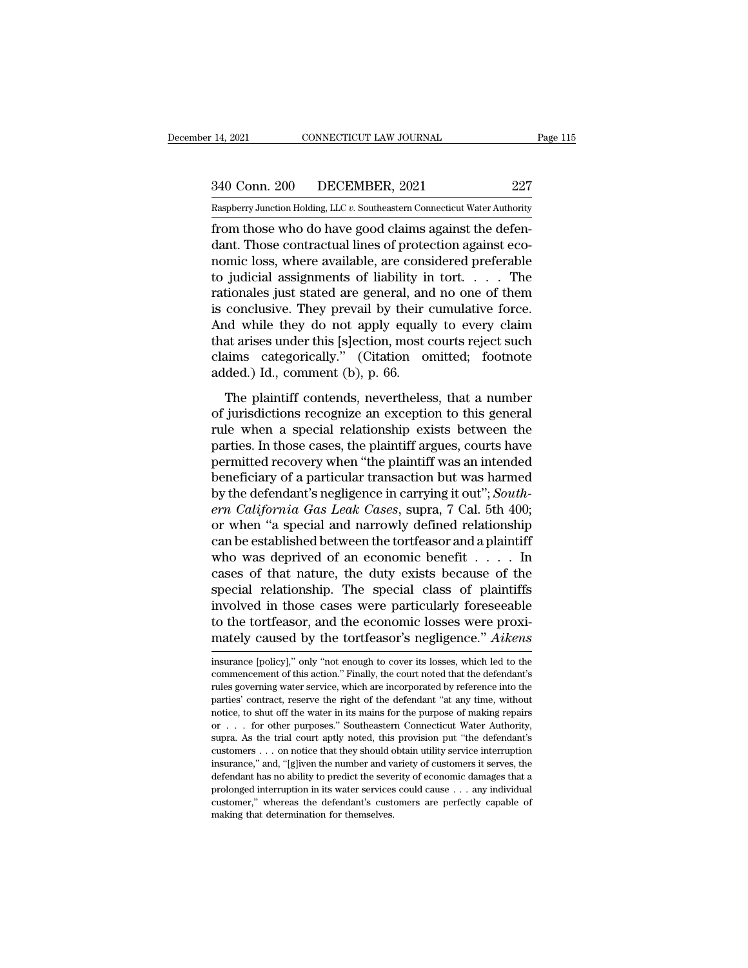14, 2021 CONNECTICUT LAW JOURNAL Page 115<br>340 Conn. 200 DECEMBER, 2021 227<br>Raspberry Junction Holding, LLC v. Southeastern Connecticut Water Authority

Pecember 14, 2021 CONNECTICUT LAW JOURNAL Page 115<br>
240 Conn. 200 DECEMBER, 2021 227<br>
Raspberry Junction Holding, LLC *v.* Southeastern Connecticut Water Authority<br>
from those who do have good claims against the defen-From those who do have good claims against the defendant. Those contractual lines of protection against economialess who averaged are considered application against the defendant. Those contractual lines of protection agai 340 Conn. 200 DECEMBER, 2021 227<br>
Raspberry Junction Holding, LLC v. Southeastern Connecticut Water Authority<br>
from those who do have good claims against the defen-<br>
dant. Those contractual lines of protection against eco-340 Conn. 200 DECEMBER, 2021 227<br>
Raspberry Junction Holding, LLC v. Southeastern Connecticut Water Authority<br>
from those who do have good claims against the defen-<br>
dant. Those contractual lines of protection against eco 340 Conn. 200 DECEMBER, 2021 227<br>
Raspberry Junction Holding, LLC v. Southeastern Connecticut Water Authority<br>
from those who do have good claims against the defen-<br>
dant. Those contractual lines of protection against eco Raspberry Junction Holding, LLC v. Southeastern Connecticut Water Authority<br>from those who do have good claims against the defen-<br>dant. Those contractual lines of protection against eco-<br>nomic loss, where available, are co Example Try Junction Holding, LLC v. Southeastern Connecticut water Authority<br>from those who do have good claims against the defen-<br>dant. Those contractual lines of protection against eco-<br>nomic loss, where available, are from those who do have good claims against the defen-<br>dant. Those contractual lines of protection against eco-<br>nomic loss, where available, are considered preferable<br>to judicial assignments of liability in tort.... The<br>rat dant. Those contractual lines of protection against eco-<br>nomic loss, where available, are considered preferable<br>to judicial assignments of liability in tort. . . . . The<br>rationales just stated are general, and no one of t nomic loss, where available, are considered preferable<br>to judicial assignments of liability in tort. . . . . The<br>rationales just stated are general, and no one of them<br>is conclusive. They prevail by their cumulative force. to judicial assignments of liability in<br>rationales just stated are general, and<br>is conclusive. They prevail by their<br>And while they do not apply equall<br>that arises under this [s]ection, most of<br>claims categorically." (Cita Frances Jase stated are general, and no one of antihican<br>conclusive. They prevail by their cumulative force.<br>nevertheles and a rises under this [s]ection, most courts reject such<br>aims categorically." (Citation omitted; foo of distribution in the solution of the sense of the state of the state and while they do not apply equally to every claim that arises under this [s]ection, most courts reject such claims categorically." (Citation omitted;

rate while and is a special relation, most courts reject such<br>claims categorically." (Citation omitted; footnote<br>added.) Id., comment (b), p. 66.<br>The plaintiff contends, nevertheless, that a number<br>of jurisdictions recogni rata anses ander ans pipecion, most courts reject start<br>claims categorically." (Citation omitted; footnote<br>added.) Id., comment (b), p. 66.<br>The plaintiff contends, nevertheless, that a number<br>of jurisdictions recognize an added.) Id., comment (b), p. 66.<br>The plaintiff contends, nevertheless, that a number<br>of jurisdictions recognize an exception to this general<br>rule when a special relationship exists between the<br>parties. In those cases, the The plaintiff contends, nevertheless, that a number<br>of jurisdictions recognize an exception to this general<br>rule when a special relationship exists between the<br>parties. In those cases, the plaintiff argues, courts have<br>pe The plaintiff contends, nevertheless, that a number<br>of jurisdictions recognize an exception to this general<br>rule when a special relationship exists between the<br>parties. In those cases, the plaintiff argues, courts have<br>per of jurisdictions recognize an exception to this general<br>rule when a special relationship exists between the<br>parties. In those cases, the plaintiff argues, courts have<br>permitted recovery when "the plaintiff was an intended<br> rule when a special relationship exists between the<br>parties. In those cases, the plaintiff argues, courts have<br>permitted recovery when "the plaintiff was an intended<br>beneficiary of a particular transaction but was harmed<br>b parties. In those cases, the plaintiff argues, courts have<br>permitted recovery when "the plaintiff was an intended<br>beneficiary of a particular transaction but was harmed<br>by the defendant's negligence in carrying it out"; permitted recovery when "the plaintiff was an intended<br>beneficiary of a particular transaction but was harmed<br>by the defendant's negligence in carrying it out"; *South-*<br>*ern California Gas Leak Cases*, supra, 7 Cal. 5th 4 beneficiary of a particular transaction but was harmed<br>by the defendant's negligence in carrying it out"; South-<br>ern California Gas Leak Cases, supra, 7 Cal. 5th 400;<br>or when "a special and narrowly defined relationship<br>c by the defendant's negligence in carrying it out"; South-<br>ern California Gas Leak Cases, supra, 7 Cal. 5th 400;<br>or when "a special and narrowly defined relationship<br>can be established between the tortfeasor and a plaintif ern California Gas Leak Cases, supra, 7 Cal. 5th 400;<br>or when "a special and narrowly defined relationship<br>can be established between the tortfeasor and a plaintiff<br>who was deprived of an economic benefit  $\dots$ . In<br>cases o or when "a special and narrowly defined relationship<br>can be established between the tortfeasor and a plaintiff<br>who was deprived of an economic benefit  $\dots$ . In<br>cases of that nature, the duty exists because of the<br>special can be established between the tortfeasor and a plaintiff<br>who was deprived of an economic benefit  $\dots$ . In<br>cases of that nature, the duty exists because of the<br>special relationship. The special class of plaintiffs<br>involve special relationship. The special class of plaintiffs<br>involved in those cases were particularly foreseeable<br>to the tortfeasor, and the economic losses were proxi-<br>mately caused by the tortfeasor's negligence." Aikens<br>insur involved in those cases were particularly foreseeable<br>to the tortfeasor, and the economic losses were proxi-<br>mately caused by the tortfeasor's negligence." Aikens<br>insurance [policy]," only "not enough to cover its losses,

to the tortfeasor, and the economic losses were proximately caused by the tortfeasor's negligence." Aikens<br>insurance [policy]," only "not enough to cover its losses, which led to the<br>commencement of this action." Finally, mately caused by the tortfeasor's negligence." Aikens<br>
insurance [policy]," only "not enough to cover its losses, which led to the<br>
commencement of this action." Finally, the court noted that the defendant's<br>
rules governi notice, to shut off the water in its mains for the water and which led to the commencement of this action." Finally, the court noted that the defendant's rules governing water service, which are incorporated by reference i insurance [policy]," only "not enough to cover its losses, which led to the commencement of this action." Finally, the court noted that the defendant's rules governing water service, which are incorporated by reference int commencement of this action." Finally, the court noted that the defendant's rules governing water service, which are incorporated by reference into the parties' contract, reserve the right of the defendant "at any time, wi customers where we respect to the defendant "at any time, without notice, to shut off the water in its mains for the purpose of making repairs or . . . for other purposes." Southeastern Connecticut Water Authority, supra. Figure 1.1 and the number and the defendant "at any time, without notice, to shut off the water in its mains for the purpose of making repairs or . . . for other purposes." Southeastern Connecticut Water Authority, supra. paration to shut off the water in its mains for the purpose of making repairs or  $\dots$  for other purposes." Southeastern Connecticut Water Authority, supra. As the trial court aptly noted, this provision put "the defendant notice, to shut off the water in its mains for the purpose of making repairs or . . . for other purposes." Southeastern Connecticut Water Authority, supra. As the trial court aptly noted, this provision put "the defendant supra. As the trial court aptly noted, this provision put "the defendant's customers . . . on notice that they should obtain utility service interruption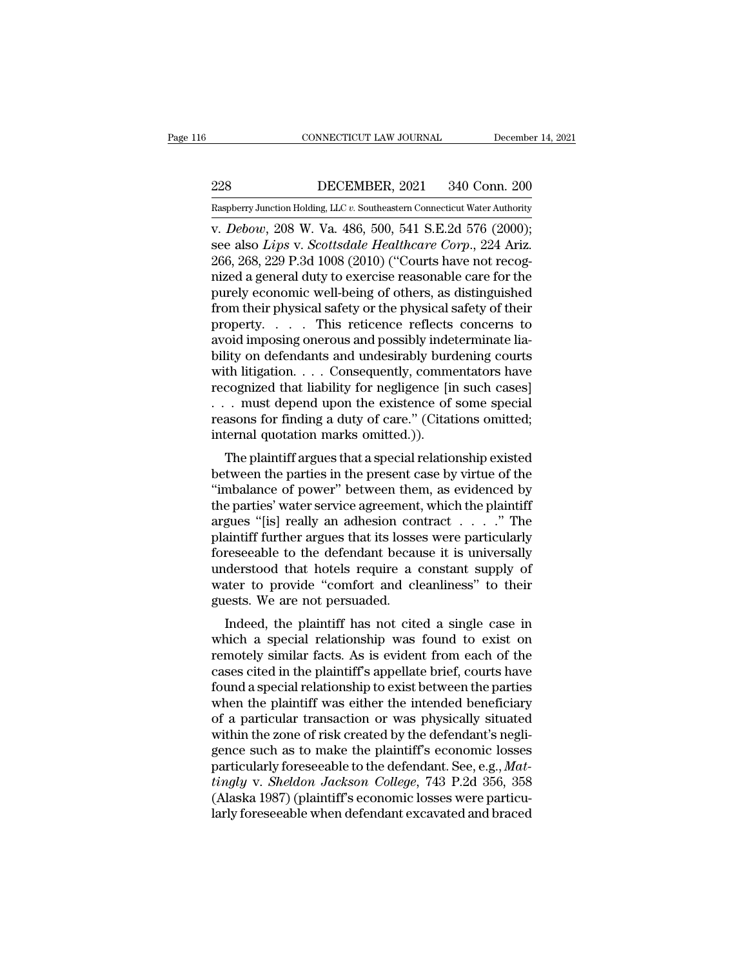EXECUTE CONNECTICUT LAW JOURNAL December 14, 2021<br>228 DECEMBER, 2021 340 Conn. 200<br>Raspberry Junction Holding, LLC v. Southeastern Connecticut Water Authority

CONNECTICUT LAW JOURNAL December 14, 2021<br>
228 DECEMBER, 2021 340 Conn. 200<br>
Raspberry Junction Holding, LLC *v.* Southeastern Connecticut Water Authority<br>
v. *Debow*, 208 W. Va. 486, 500, 541 S.E.2d 576 (2000); cONNECTICUT LAW JOURNAL December 14, 2<br>
228 DECEMBER, 2021 340 Conn. 200<br>
Raspberry Junction Holding, LLC v. Southeastern Connecticut Water Authority<br>
v. *Debow*, 208 W. Va. 486, 500, 541 S.E.2d 576 (2000);<br>
see also *Lips* EXECTED 2021 2340 Conn. 200<br>
Supplemy Junction Holding, LLC v. Southeastern Connecticut Water Authority<br>
1998 v. 200 W. Va. 486, 500, 541 S.E.2d 576 (2000);<br>
See also *Lips* v. *Scottsdale Healthcare Corp.*, 224 Ariz.<br>
266 228 DECEMBER, 2021 340 Conn. 200<br>
Raspberry Junction Holding, LLC v. Southeastern Connecticut Water Authority<br>
v. *Debow*, 208 W. Va. 486, 500, 541 S.E.2d 576 (2000);<br>
see also *Lips* v. *Scottsdale Healthcare Corp.*, 224 228 DECEMBER, 2021 340 Conn. 200<br>
Raspberry Junction Holding, LLC v. Southeastern Connecticut Water Authority<br>
v. *Debow*, 208 W. Va. 486, 500, 541 S.E.2d 576 (2000);<br>
see also *Lips* v. *Scottsdale Healthcare Corp.*, 224 Examples and Construction Holding, LLC v. Southeastern Connecticut Water Authority<br>
v. Debow, 208 W. Va. 486, 500, 541 S.E.2d 576 (2000);<br>
see also *Lips* v. *Scottsdale Healthcare Corp.*, 224 Ariz.<br>
266, 268, 229 P.3d 10 Example From Holding, LLC v. Southeastern Connecticut Water Authority<br>
v. *Debow*, 208 W. Va. 486, 500, 541 S.E.2d 576 (2000);<br>
see also *Lips* v. *Scottsdale Healthcare Corp.*, 224 Ariz.<br>
266, 268, 229 P.3d 1008 (2010) ( v. *Debow*, 208 W. Va. 486, 500, 541 S.E.2d 576 (2000);<br>see also *Lips* v. *Scottsdale Healthcare Corp*., 224 Ariz.<br>266, 268, 229 P.3d 1008 (2010) ("Courts have not recog-<br>nized a general duty to exercise reasonable care f see also *Lips* v. *Scottsdale Healthcare Corp.*, 224 Ariz.<br>266, 268, 229 P.3d 1008 (2010) ("Courts have not recognized a general duty to exercise reasonable care for the<br>purely economic well-being of others, as distinguis 266, 268, 229 P.3d 1008 (2010) ("Courts have not recognized a general duty to exercise reasonable care for the<br>purely economic well-being of others, as distinguished<br>from their physical safety or the physical safety of the nized a general duty to exercise reasonable care for the<br>purely economic well-being of others, as distinguished<br>from their physical safety or the physical safety of their<br>property. . . . . This reticence reflects concerns purely economic well-being of others, as distinguished<br>from their physical safety or the physical safety of their<br>property. . . . . This reticence reflects concerns to<br>avoid imposing onerous and possibly indeterminate liafrom their physical safety or the physical safety of their<br>property. . . . . This reticence reflects concerns to<br>avoid imposing onerous and possibly indeterminate lia-<br>bility on defendants and undesirably burdening courts property. . . . . This reticence reflects concerns to<br>avoid imposing onerous and possibly indeterminate lia-<br>bility on defendants and undesirably burdening courts<br>with litigation. . . . Consequently, commentators have<br>reco avoid imposing onerous and possibly inde<br>bility on defendants and undesirably burd<br>with litigation. . . . Consequently, comme<br>recognized that liability for negligence [in . . . must depend upon the existence of<br>reasons fo Ity on detendants and undestrably burdening courts<br>th litigation. . . . Consequently, commentators have<br>cognized that liability for negligence [in such cases]<br>. must depend upon the existence of some special<br>assons for fin with inigation.  $\ldots$  Consequentry, commentators have<br>recognized that liability for negligence [in such cases]<br> $\ldots$  must depend upon the existence of some special<br>reasons for finding a duty of care." (Citations omitted;<br>

The cognized that hability for hegigence [in such cases]<br>
... must depend upon the existence of some special<br>
reasons for finding a duty of care." (Citations omitted;<br>
internal quotation marks omitted.)).<br>
The plaintiff ar The parties of finding a duty of care." (Citations omitted;<br>internal quotation marks omitted.)).<br>The plaintiff argues that a special relationship existed<br>between the parties in the present case by virtue of the<br>"imbalance reasons for miding a duty of care. (Chanons ontited,<br>internal quotation marks omitted.)).<br>The plaintiff argues that a special relationship existed<br>between the parties in the present case by virtue of the<br>"imbalance of powe The plaintiff argues that a special relationship existed<br>between the parties in the present case by virtue of the<br>"imbalance of power" between them, as evidenced by<br>the parties' water service agreement, which the plaintif The plaintiff argues that a special relationship existed<br>between the parties in the present case by virtue of the<br>"imbalance of power" between them, as evidenced by<br>the parties' water service agreement, which the plaintif between the parties in the present case by virtue of the "imbalance of power" between them, as evidenced by the parties' water service agreement, which the plaintiff argues "[is] really an adhesion contract  $\ldots$ ." The pl "imbalance of power" between them, as evidenced by<br>the parties' water service agreement, which the plaintiff<br>argues "[is] really an adhesion contract  $\dots$ ." The<br>plaintiff further argues that its losses were particularly<br>f the parties' water service agreement<br>argues "[is] really an adhesion cor<br>plaintiff further argues that its losse<br>foreseeable to the defendant becau<br>understood that hotels require a q<br>water to provide "comfort and cla<br>guest gues [is] reany an addesion contract  $\ldots$  . The aintiff further argues that its losses were particularly reseeable to the defendant because it is universally derstood that hotels require a constant supply of ater to prov plantificant ruther argues that its losses were particularly<br>foreseeable to the defendant because it is universally<br>understood that hotels require a constant supply of<br>water to provide "comfort and cleanliness" to their<br>gu

remotes the understood that hotels require a constant supply of water to provide "comfort and cleanliness" to their guests. We are not persuaded.<br>Indeed, the plaintiff has not cited a single case in which a special relatio maerstood that hotels require a constant supply of<br>water to provide "comfort and cleanliness" to their<br>guests. We are not persuaded.<br>Indeed, the plaintiff has not cited a single case in<br>which a special relationship was fou water to provide conflort and clearniness to their<br>guests. We are not persuaded.<br>Indeed, the plaintiff has not cited a single case in<br>which a special relationship was found to exist on<br>remotely similar facts. As is evident Indeed, the plaintiff has not cited a single case in<br>which a special relationship was found to exist on<br>remotely similar facts. As is evident from each of the<br>cases cited in the plaintiff's appellate brief, courts have<br>fou Indeed, the plaintiff has not cited a single case in<br>which a special relationship was found to exist on<br>remotely similar facts. As is evident from each of the<br>cases cited in the plaintiff's appellate brief, courts have<br>fou which a special relationship was found to exist on<br>remotely similar facts. As is evident from each of the<br>cases cited in the plaintiff's appellate brief, courts have<br>found a special relationship to exist between the parti remotely similar facts. As is evident from each of the cases cited in the plaintiff's appellate brief, courts have found a special relationship to exist between the parties when the plaintiff was either the intended benef cases cited in the plaintiff's appellate brief, courts have<br>found a special relationship to exist between the parties<br>when the plaintiff was either the intended beneficiary<br>of a particular transaction or was physically sit found a special relationship to exist between the parties<br>when the plaintiff was either the intended beneficiary<br>of a particular transaction or was physically situated<br>within the zone of risk created by the defendant's neg when the plaintiff was either the intended beneficiary<br>of a particular transaction or was physically situated<br>within the zone of risk created by the defendant's negli-<br>gence such as to make the plaintiff's economic losses<br> of a particular transaction or was physically situated<br>within the zone of risk created by the defendant's negli-<br>gence such as to make the plaintiff's economic losses<br>particularly foreseeable to the defendant. See, e.g.,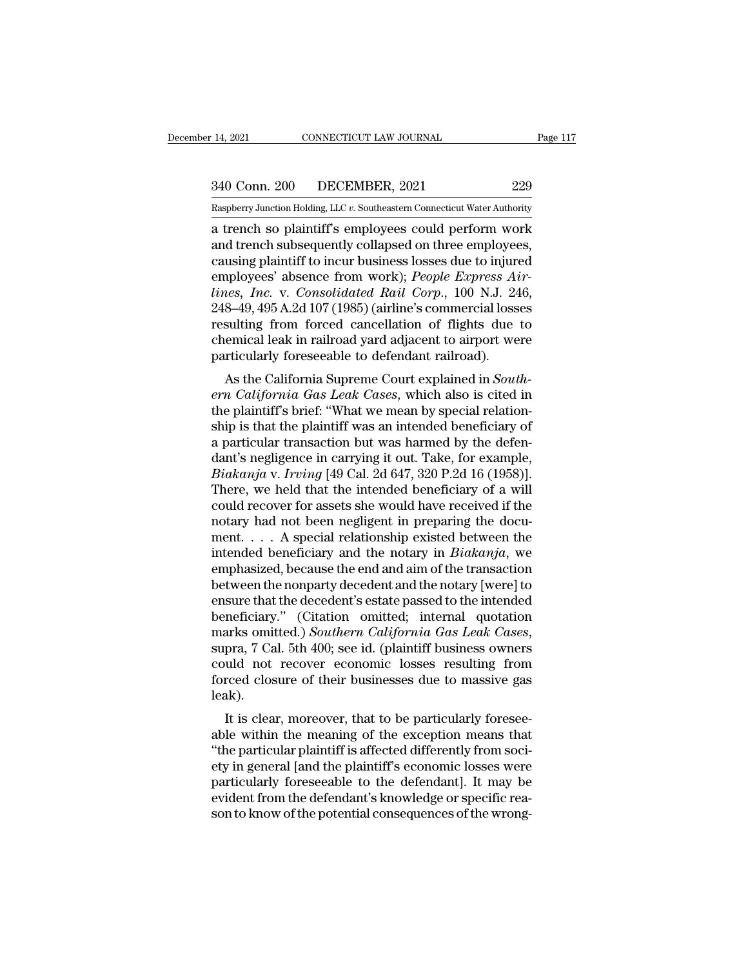14, 2021 CONNECTICUT LAW JOURNAL Page 117<br>340 Conn. 200 DECEMBER, 2021 229<br>Raspberry Junction Holding, LLC v. Southeastern Connecticut Water Authority

Pecember 14, 2021 CONNECTICUT LAW JOURNAL Page 117<br>
240 Conn. 200 DECEMBER, 2021 229<br>
Raspberry Junction Holding, LLC *v.* Southeastern Connecticut Water Authority<br>
a trench so plaintiff's employees could perform work 14, 2021 CONNECTICUT LAW JOURNAL Page 117<br>
340 Conn. 200 DECEMBER, 2021 229<br>
Raspberry Junction Holding, LLC v. Southeastern Connecticut Water Authority<br>
a trench so plaintiff's employees could perform work<br>
and trench sub 340 Conn. 200 DECEMBER, 2021 229<br>
Raspberry Junction Holding, LLC v. Southeastern Connecticut Water Authority<br>
a trench so plaintiff's employees could perform work<br>
and trench subsequently collapsed on three employees,<br>
ca 340 Conn. 200 DECEMBER, 2021 229<br>
Raspberry Junction Holding, LLC v. Southeastern Connecticut Water Authority<br>
a trench so plaintiff's employees could perform work<br>
and trench subsequently collapsed on three employees,<br>
c 229<br>
Raspberry Junction Holding, LLC v. Southeastern Connecticut Water Authority<br>
a trench so plaintiff's employees could perform work<br>
and trench subsequently collapsed on three employees,<br>
causing plaintiff to incur busi *lines of the Solian 250 DECEMERR, 2521*<br> *Raspberry Junction Holding, LLC v. Southeastern Connecticut Water Authority*<br>
a trench so plaintiff's employees could perform work<br>
and trench subsequently collapsed on three empl Easpberry Junction Holding, LLC v. Southeastern Connecticut Water Authority<br>
a trench so plaintiff's employees could perform work<br>
and trench subsequently collapsed on three employees,<br>
causing plaintiff to incur business a trench so plaintiff's employees could perform work<br>and trench subsequently collapsed on three employees,<br>causing plaintiff to incur business losses due to injured<br>employees' absence from work); *People Express Air-<br>lines* and trench subsequently collapsed on three employees,<br>causing plaintiff to incur business losses due to injured<br>employees' absence from work); *People Express Air-<br>lines, Inc.* v. *Consolidated Rail Corp.*, 100 N.J. 246,<br>2 causing plaintiff to incur business losses due to injure<br>employees' absence from work); *People Express Ai*<br>*lines, Inc.* v. *Consolidated Rail Corp.*, 100 N.J. 24<br>248–49, 495 A.2d 107 (1985) (airline's commercial loss<br>res phoyees absence from work), *Feople Express Atr-*<br>les, *Inc.* v. *Consolidated Rail Corp.*, 100 N.J. 246,<br>8–49, 495 A.2d 107 (1985) (airline's commercial losses<br>sulting from forced cancellation of flights due to<br>emical lea *ernes, Tnc. v. Consortanted Katt Corp.*, Too N.J. 240,<br>248–49, 495 A.2d 107 (1985) (airline's commercial losses<br>resulting from forced cancellation of flights due to<br>chemical leak in railroad yard adjacent to airport were<br>

 $245-48$ ,  $485$  A.2d for (1865) (all line s conflicted fosses resulting from forced cancellation of flights due to chemical leak in railroad yard adjacent to airport were particularly foreseeable to defendant railroad).<br>A resulting front forced cancellation of fights due to<br>chemical leak in railroad yard adjacent to airport were<br>particularly foreseeable to defendant railroad).<br>As the California Supreme Court explained in South-<br>ern Californ chemical leak in Tambad yard adjacent to alrport were<br>particularly foreseeable to defendant railroad).<br>As the California Supreme Court explained in *South-*<br>*ern California Gas Leak Cases*, which also is cited in<br>the plain particularly foreseeable to defendant ramboat).<br>
As the California Supreme Court explained in *South-*<br> *ern California Gas Leak Cases*, which also is cited in<br>
the plaintiff's brief: "What we mean by special relation-<br>
sh As the California Supreme Court explained in *South-*<br>*ern California Gas Leak Cases*, which also is cited in<br>the plaintiff's brief: "What we mean by special relation-<br>ship is that the plaintiff was an intended beneficiary ern California Gas Leak Cases, which also is cited in<br>the plaintiff's brief: "What we mean by special relation-<br>ship is that the plaintiff was an intended beneficiary of<br>a particular transaction but was harmed by the defen the plaintiff's brief: "What we mean by special relationship is that the plaintiff was an intended beneficiary of a particular transaction but was harmed by the defendant's negligence in carrying it out. Take, for example, ship is that the plaintiff was an intended beneficiary of<br>a particular transaction but was harmed by the defen-<br>dant's negligence in carrying it out. Take, for example,<br> $Biakanja$  v. Irving [49 Cal. 2d 647, 320 P.2d 16 (1958)] a particular transaction but was harmed by the defendant's negligence in carrying it out. Take, for example,  $Biakanja$  v.  $Irving$  [49 Cal. 2d 647, 320 P.2d 16 (1958)]. There, we held that the intended beneficiary of a will coul dant's negligence in carrying it out. Take, for example,<br> *Biakanja* v. *Irving* [49 Cal. 2d 647, 320 P.2d 16 (1958)].<br>
There, we held that the intended beneficiary of a will<br>
could recover for assets she would have receiv *Biakanja* v. *Irving* [49 Cal. 2d 647, 320 P.2d 16 (1958)].<br>There, we held that the intended beneficiary of a will<br>could recover for assets she would have received if the<br>notary had not been negligent in preparing the do There, we held that the intended beneficiary of a will<br>could recover for assets she would have received if the<br>notary had not been negligent in preparing the docu-<br>ment. . . . A special relationship existed between the<br>in could recover for assets she would have received if the<br>notary had not been negligent in preparing the docu-<br>ment. . . . A special relationship existed between the<br>intended beneficiary and the notary in *Biakanja*, we<br>emp notary had not been negligent in preparing the document. . . . A special relationship existed between the intended beneficiary and the notary in *Biakanja*, we emphasized, because the end and aim of the transaction betwee ment. . . . A special relationship existed between the<br>intended beneficiary and the notary in *Biakanja*, we<br>emphasized, because the end and aim of the transaction<br>between the nonparty decedent and the notary [were] to<br>ens emphasized, because the end and aim of the transaction<br>between the nonparty decedent and the notary [were] to<br>ensure that the decedent's estate passed to the intended<br>beneficiary." (Citation omitted; internal quotation<br>mar between the nonparty decedent and the notary [were] to<br>ensure that the decedent's estate passed to the intended<br>beneficiary." (Citation omitted; internal quotation<br>marks omitted.) *Southern California Gas Leak Cases*,<br>supr leak). Itenciary. (Chanon omitted, internal quotation<br>arks omitted.) Southern California Gas Leak Cases,<br>pra, 7 Cal. 5th 400; see id. (plaintiff business owners<br>uid not recover economic losses resulting from<br>recel closure of thei marks onlined.) Southern Catyornia Gas Leak Cases,<br>supra, 7 Cal. 5th 400; see id. (plaintiff business owners<br>could not recover economic losses resulting from<br>forced closure of their businesses due to massive gas<br>leak).<br>It

Supra, 7 Car. 5th 400, see id. (plaintiff business owners<br>
could not recover economic losses resulting from<br>
forced closure of their businesses due to massive gas<br>
leak).<br>
It is clear, moreover, that to be particularly for could not recover economic losses resulting from<br>forced closure of their businesses due to massive gas<br>leak).<br>It is clear, moreover, that to be particularly foresee-<br>able within the meaning of the exception means that<br>"the particularly foreseed to sure of their businesses due to massive gas<br>leak).<br>It is clear, moreover, that to be particularly foresee-<br>able within the meaning of the exception means that<br>"the particular plaintiff is affected reak).<br>It is clear, moreover, that to be particularly foresee-<br>able within the meaning of the exception means that<br>"the particular plaintiff is affected differently from soci-<br>ety in general [and the plaintiff's economic l It is clear, moreover, that to be particularly foresee-<br>able within the meaning of the exception means that<br>"the particular plaintiff is affected differently from soci-<br>ety in general [and the plaintiff's economic losses w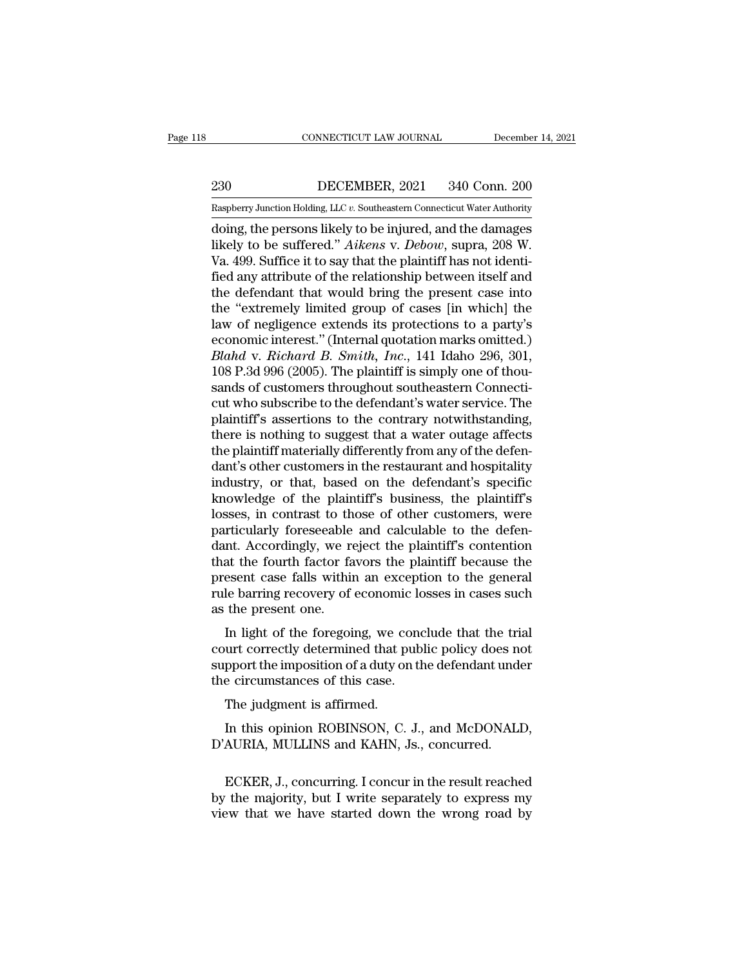EXECUTE CONNECTICUT LAW JOURNAL December 14, 2021<br>230 DECEMBER, 2021 340 Conn. 200<br>Raspberry Junction Holding, LLC v. Southeastern Connecticut Water Authority

CONNECTICUT LAW JOURNAL December 14, 2021<br>230 DECEMBER, 2021 340 Conn. 200<br>Raspberry Junction Holding, LLC *v.* Southeastern Connecticut Water Authority<br>doing, the persons likely to be injured, and the damages CONNECTICUT LAW JOURNAL December 14, 2021<br>
230 DECEMBER, 2021 340 Conn. 200<br>
Raspberry Junction Holding, LLC v. Southeastern Connecticut Water Authority<br>
doing, the persons likely to be injured, and the damages<br>
likely to DECEMBER, 2021 340 Conn. 200<br>
Raspberry Junction Holding, LLC v. Southeastern Connecticut Water Authority<br>
doing, the persons likely to be injured, and the damages<br>
likely to be suffered.'' *Aikens* v. *Debow*, supra, 208  $\frac{230}{\text{Raspberry Junction Hodg, LLC } v.$  Southeastern Connecticut Water Authority doing, the persons likely to be injured, and the damages likely to be suffered." Aikens v. Debow, supra, 208 W. Va. 499. Suffice it to say that the plaint 230 DECEMBER, 2021 340 Conn. 200<br>
Raspberry Junction Holding, LLC  $v$ . Southeastern Connecticut Water Authority<br>
doing, the persons likely to be injured, and the damages<br>
likely to be suffered." Aikens v. Debow, supra, 20 Examples and the defendant that would bring the present case in a party's doing, the persons likely to be injured, and the damages likely to be suffered." Aikens v. Debow, supra, 208 W.<br>Va. 499. Suffice it to say that the Easpberry Junction Holding, LLC v. Southeastern Connecticut Water Authority<br>
doing, the persons likely to be injured, and the damages<br>
likely to be suffered." Aikens v. Debow, supra, 208 W.<br>
Va. 499. Suffice it to say tha doing, the persons likely to be injured, and the damages<br>likely to be suffered." *Aikens v. Debow*, supra, 208 W.<br>Va. 499. Suffice it to say that the plaintiff has not identi-<br>fied any attribute of the relationship between likely to be suffered." *Aikens* v. *Debow*, supra, 208 W.<br>Va. 499. Suffice it to say that the plaintiff has not identi-<br>fied any attribute of the relationship between itself and<br>the defendant that would bring the present Va. 499. Suffice it to say that the plaintiff has not identified any attribute of the relationship between itself and the defendant that would bring the present case into the "extremely limited group of cases [in which] th fied any attribute of the relationship between itself and<br>the defendant that would bring the present case into<br>the "extremely limited group of cases [in which] the<br>law of negligence extends its protections to a party's<br>eco the defendant that would bring the present case into<br>the "extremely limited group of cases [in which] the<br>law of negligence extends its protections to a party's<br>economic interest." (Internal quotation marks omitted.)<br>*Blah* the "extremely limited group of cases [in which] the<br>law of negligence extends its protections to a party's<br>economic interest." (Internal quotation marks omitted.)<br>*Blahd* v. *Richard B. Smith*, *Inc.*, 141 Idaho 296, 301, law of negligence extends its protections to a party's<br>economic interest." (Internal quotation marks omitted.)<br>Blahd v. Richard B. Smith, Inc., 141 Idaho 296, 301,<br>108 P.3d 996 (2005). The plaintiff is simply one of thou-<br> economic interest." (Internal quotation marks omitted.)<br>Blahd v. Richard B. Smith, Inc., 141 Idaho 296, 301,<br>108 P.3d 996 (2005). The plaintiff is simply one of thou-<br>sands of customers throughout southeastern Connecti-<br>cu Blahd v. Richard B. Smith, Inc., 141 Idaho 296, 301, 108 P.3d 996 (2005). The plaintiff is simply one of thousands of customers throughout southeastern Connecticut who subscribe to the defendant's water service. The plaint 108 P.3d 996 (2005). The plaintiff is simply one of thousands of customers throughout southeastern Connecticut who subscribe to the defendant's water service. The plaintiff's assertions to the contrary notwithstanding, the sands of customers throughout southeastern Connecticut who subscribe to the defendant's water service. The plaintiff's assertions to the contrary notwithstanding, there is nothing to suggest that a water outage affects the cut who subscribe to the defendant's water service. The plaintiff's assertions to the contrary notwithstanding, there is nothing to suggest that a water outage affects the plaintiff materially differently from any of the d plaintiff's assertions to the contrary notwithstanding,<br>there is nothing to suggest that a water outage affects<br>the plaintiff materially differently from any of the defen-<br>dant's other customers in the restaurant and hospi there is nothing to suggest that a water outage affects<br>the plaintiff materially differently from any of the defen-<br>dant's other customers in the restaurant and hospitality<br>industry, or that, based on the defendant's speci the plaintiff materially differently from any of the defendant's other customers in the restaurant and hospitality industry, or that, based on the defendant's specific knowledge of the plaintiff's business, the plaintiff's dant's other customers in the restaurant and hospitality<br>industry, or that, based on the defendant's specific<br>knowledge of the plaintiff's business, the plaintiff's<br>losses, in contrast to those of other customers, were<br>par industry, or that, based on the defendant's specific<br>knowledge of the plaintiff's business, the plaintiff's<br>losses, in contrast to those of other customers, were<br>particularly foreseeable and calculable to the defen-<br>dant. knowledge of the plaintiff's business, the plaintiff's<br>losses, in contrast to those of other customers, were<br>particularly foreseeable and calculable to the defen-<br>dant. Accordingly, we reject the plaintiff's contention<br>tha losses, in contrast to th<br>particularly foreseeable<br>dant. Accordingly, we re<br>that the fourth factor fa<br>present case falls within<br>rule barring recovery of<br>as the present one.<br>In light of the foregoi Internative of the determined that the trial<br>Int. Accordingly, we reject the plaintiff's contention<br>at the fourth factor favors the plaintiff because the<br>esent case falls within an exception to the general<br>le barring recov dant. Accordingly, we reject the plaintiff because the<br>that the fourth factor favors the plaintiff because the<br>present case falls within an exception to the general<br>rule barring recovery of economic losses in cases such<br>as

suppresent case falls within an exception to the general<br>rule barring recovery of economic losses in cases such<br>as the present one.<br>In light of the foregoing, we conclude that the trial<br>court correctly determined that publ present case rans whill all except<br>rule barring recovery of economic lo<br>as the present one.<br>In light of the foregoing, we conc<br>court correctly determined that publ<br>support the imposition of a duty on th<br>the circumstances o the present one.<br>In light of the foregoing, we court correctly determined that p<br>pport the imposition of a duty one circumstances of this case.<br>The judgment is affirmed.<br>In this opinion ROBINSON, C. In light of the foregoing, we conclude that the trial<br>urt correctly determined that public policy does not<br>pport the imposition of a duty on the defendant under<br>e circumstances of this case.<br>The judgment is affirmed.<br>In th court correctly determined that public policy does not<br>support the imposition of a duty on the defendant under<br>the circumstances of this case.<br>The judgment is affirmed.<br>In this opinion ROBINSON, C. J., and McDONALI<br>D'AURIA

Free judgment is affirmed.<br>
In this opinion ROBINSON, C. J., and McDONALD,<br>
AURIA, MULLINS and KAHN, Js., concurred.<br>
ECKER, J., concurring. I concur in the result reached<br>
the majority, but I write separately to express m The judgment is affirmed.<br>
In this opinion ROBINSON, C. J., and McDONALD,<br>
D'AURIA, MULLINS and KAHN, Js., concurred.<br>
ECKER, J., concurring. I concur in the result reached<br>
by the majority, but I write separately to expre In this opinion ROBINSON, C. J., and McDONALD,<br>D'AURIA, MULLINS and KAHN, Js., concurred.<br>ECKER, J., concurring. I concur in the result reached<br>by the majority, but I write separately to express my<br>view that we have starte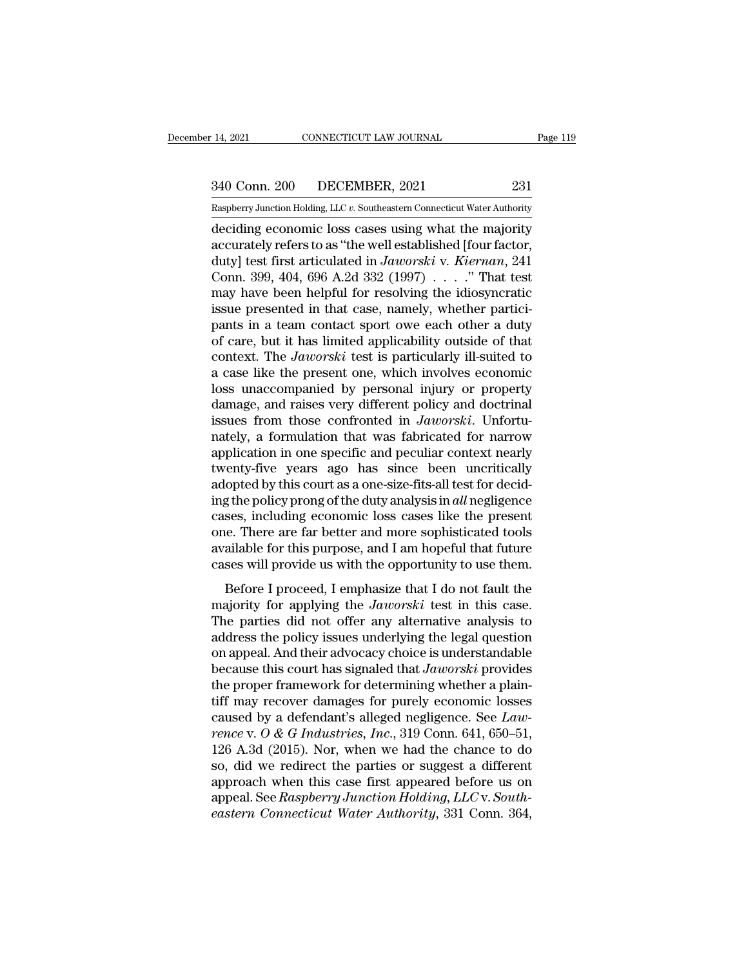14, 2021 CONNECTICUT LAW JOURNAL Page 119<br>340 Conn. 200 DECEMBER, 2021 231<br>Raspberry Junction Holding, LLC v. Southeastern Connecticut Water Authority 14, 2021 CONNECTICUT LAW JOURNAL Page 119<br>
231 Conn. 200 DECEMBER, 2021 231<br>
Raspberry Junction Holding, LLC *v.* Southeastern Connecticut Water Authority<br>
deciding economic loss cases using what the majority

14, 2021 CONNECTICUT LAW JOURNAL Page 119<br>
340 Conn. 200 DECEMBER, 2021 231<br>
Raspberry Junction Holding, LLC v. Southeastern Connecticut Water Authority<br>
deciding economic loss cases using what the majority<br>
accurately ref 340 Conn. 200 DECEMBER, 2021 231<br>
Raspberry Junction Holding, LLC v. Southeastern Connecticut Water Authority<br>
deciding economic loss cases using what the majority<br>
accurately refers to as "the well established [four facto 340 Conn. 200 DECEMBER, 2021 231<br>
Raspberry Junction Holding, LLC v. Southeastern Connecticut Water Authority<br>
deciding economic loss cases using what the majority<br>
accurately refers to as "the well established [four facto 340 Conn. 200 DECEMBER, 2021 231<br>
Raspberry Junction Holding, LLC v. Southeastern Connecticut Water Authority<br>
deciding economic loss cases using what the majority<br>
accurately refers to as "the well established [four fact Example 1222. The interaction Holding, LLC v. Southeastern Connecticut Water Authority<br>deciding economic loss cases using what the majority<br>accurately refers to as "the well established [four factor,<br>duty] test first arti Example presented in though the set of the set of that cases is a set of the well established [four factor, duty] test first articulated in *Jaworski* v. *Kiernan*, 241 Conn. 399, 404, 696 A.2d 332 (1997) . . . . " That t deciding economic loss cases using what the majority<br>accurately refers to as "the well established [four factor,<br>duty] test first articulated in  $Jaworski$  v. Kiernan, 241<br>Conn. 399, 404, 696 A.2d 332 (1997) . . . . ." That t accurately refers to as "the well established [four factor,<br>duty] test first articulated in Jaworski v. Kiernan, 241<br>Conn. 399, 404, 696 A.2d 332 (1997) . . . . ." That test<br>may have been helpful for resolving the idiosyn duty] test first articulated in *Jaworski* v. *Kiernan*, 241<br>Conn. 399, 404, 696 A.2d 332 (1997) . . . . " That test<br>may have been helpful for resolving the idiosyncratic<br>issue presented in that case, namely, whether part Conn. 399, 404, 696 A.2d 332 (1997)  $\ldots$  ." That test<br>may have been helpful for resolving the idiosyncratic<br>issue presented in that case, namely, whether partici-<br>pants in a team contact sport owe each other a duty<br>of ca may have been helpful for resolving the idiosyncratic<br>issue presented in that case, namely, whether partici-<br>pants in a team contact sport owe each other a duty<br>of care, but it has limited applicability outside of that<br>con issue presented in that case, namely, whether partici-<br>pants in a team contact sport owe each other a duty<br>of care, but it has limited applicability outside of that<br>context. The *Jaworski* test is particularly ill-suited pants in a team contact sport owe each other a duty<br>of care, but it has limited applicability outside of that<br>context. The *Jaworski* test is particularly ill-suited to<br>a case like the present one, which involves economic<br> of care, but it has limited applicability outside of that<br>context. The *Jaworski* test is particularly ill-suited to<br>a case like the present one, which involves economic<br>loss unaccompanied by personal injury or property<br>da context. The *Jaworski* test is particularly ill-suited to<br>a case like the present one, which involves economic<br>loss unaccompanied by personal injury or property<br>damage, and raises very different policy and doctrinal<br>issue a case like the present one, which involves economic<br>loss unaccompanied by personal injury or property<br>damage, and raises very different policy and doctrinal<br>issues from those confronted in *Jaworski*. Unfortu-<br>nately, a f loss unaccompanied by personal injury or property<br>damage, and raises very different policy and doctrinal<br>issues from those confronted in *Jaworski*. Unfortu-<br>nately, a formulation that was fabricated for narrow<br>application damage, and raises very different policy and doctrinal<br>issues from those confronted in *Jaworski*. Unfortu-<br>nately, a formulation that was fabricated for narrow<br>application in one specific and peculiar context nearly<br>twent issues from those confronted in *Jaworski*. Unfortunately, a formulation that was fabricated for narrow application in one specific and peculiar context nearly twenty-five years ago has since been uncritically adopted by nately, a formulation that was fabricated for narrow<br>application in one specific and peculiar context nearly<br>twenty-five years ago has since been uncritically<br>adopted by this court as a one-size-fits-all test for decid-<br>in application in one specific and peculiar context nearly<br>twenty-five years ago has since been uncritically<br>adopted by this court as a one-size-fits-all test for decid-<br>ing the policy prong of the duty analysis in *all* negl twenty-five years ago has since been uncritically<br>adopted by this court as a one-size-fits-all test for decid-<br>ing the policy prong of the duty analysis in *all* negligence<br>cases, including economic loss cases like the pre g the policy prong of the duty analysis in *all* negligence<br>ses, including economic loss cases like the present<br>e. There are far better and more sophisticated tools<br>ailable for this purpose, and I am hopeful that future<br>s majority frong or are *day* diaryski heat regingence<br>cases, including economic loss cases like the present<br>one. There are far better and more sophisticated tools<br>available for this purpose, and I am hopeful that future<br>cas

cases, meraling economic loss cases like are present<br>one. There are far better and more sophisticated tools<br>available for this purpose, and I am hopeful that future<br>cases will provide us with the opportunity to use them.<br> available for this purpose, and I am hopeful that future<br>cases will provide us with the opportunity to use them.<br>Before I proceed, I emphasize that I do not fault the<br>majority for applying the *Jaworski* test in this case cases will provide us with the opportunity to use them.<br>
Before I proceed, I emphasize that I do not fault the<br>
majority for applying the *Jaworski* test in this case.<br>
The parties did not offer any alternative analysis t Before I proceed, I emphasize that I do not fault the majority for applying the *Jaworski* test in this case.<br>The parties did not offer any alternative analysis to address the policy issues underlying the legal question on Before I proceed, I emphasize that I do not fault the majority for applying the *Jaworski* test in this case.<br>The parties did not offer any alternative analysis to address the policy issues underlying the legal question o majority for applying the *Jaworski* test in this case.<br>The parties did not offer any alternative analysis to<br>address the policy issues underlying the legal question<br>on appeal. And their advocacy choice is understandable<br> The parties did not offer any alternative analysis to<br>address the policy issues underlying the legal question<br>on appeal. And their advocacy choice is understandable<br>because this court has signaled that *Jaworski* provides<br> address the policy issues underlying the legal question<br>on appeal. And their advocacy choice is understandable<br>because this court has signaled that *Jaworski* provides<br>the proper framework for determining whether a plain-<br> on appeal. And their advocacy choice is understandable<br>because this court has signaled that  $Jaworski$  provides<br>the proper framework for determining whether a plain-<br>tiff may recover damages for purely economic losses<br>caused because this court has signaled that *Jaworski* provides<br>the proper framework for determining whether a plain-<br>tiff may recover damages for purely economic losses<br>caused by a defendant's alleged negligence. See *Law-*<br>ren the proper framework for determining whether a plain-<br>tiff may recover damages for purely economic losses<br>caused by a defendant's alleged negligence. See *Law-*<br>rence v. O & G Industries, Inc., 319 Conn. 641, 650–51,<br>126 tiff may recover damages for purely economic losses<br>caused by a defendant's alleged negligence. See *Law-*<br>rence v. O & G Industries, Inc., 319 Conn. 641, 650–51,<br>126 A.3d (2015). Nor, when we had the chance to do<br>so, did caused by a defendant's alleged negligence. See *Lawrence* v. *O & G Industries*, *Inc.*, 319 Conn. 641, 650–51, 126 A.3d (2015). Nor, when we had the chance to do so, did we redirect the parties or suggest a different app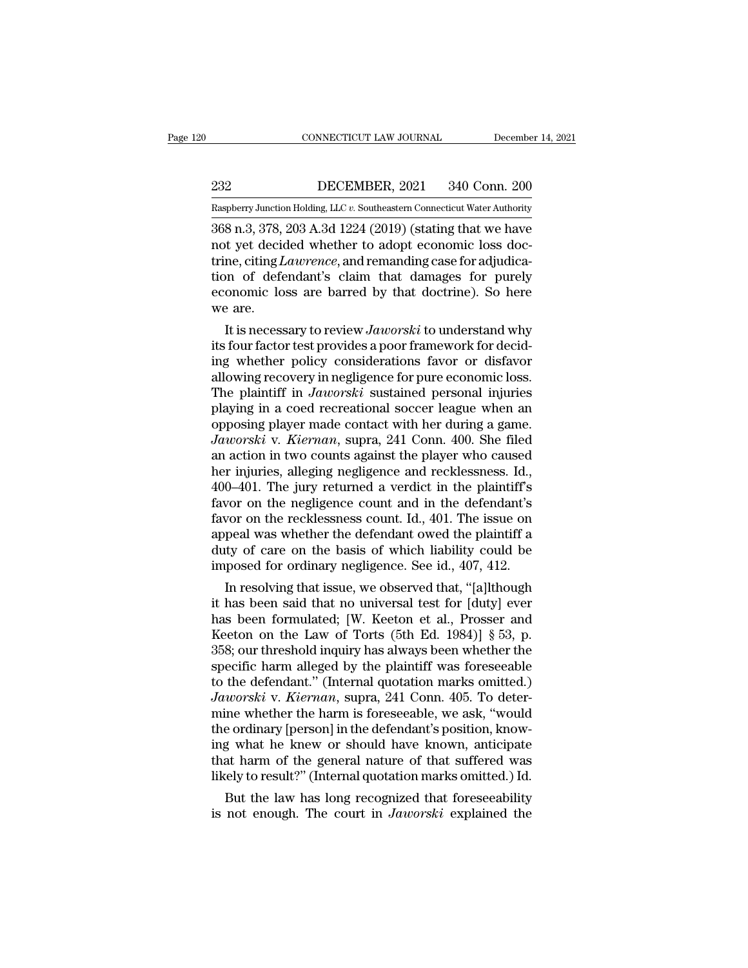EXECUTE CONNECTICUT LAW JOURNAL December 14, 2021<br>232 DECEMBER, 2021 340 Conn. 200<br>232 DECEMBER, 2021 340 Conn. 200 CONNECTICUT LAW JOURNAL December 14, 2021<br>232 DECEMBER, 2021 340 Conn. 200<br>Raspberry Junction Holding, LLC *v.* Southeastern Connecticut Water Authority<br>368 n 3 378 203 A 3d 1224 (2019) (stating that we have

CONNECTICUT LAW JOURNAL December 14, 2021<br>
232 DECEMBER, 2021 340 Conn. 200<br>
Raspberry Junction Holding, LLC v. Southeastern Connecticut Water Authority<br>
368 n.3, 378, 203 A.3d 1224 (2019) (stating that we have<br>
not yet de not the UECEMBER, 2021 340 Conn. 200<br>
Raspberry Junction Holding, LLC v. Southeastern Connecticut Water Authority<br>
368 n.3, 378, 203 A.3d 1224 (2019) (stating that we have<br>
not yet decided whether to adopt economic loss do DECEMBER, 2021 340 Conn. 200<br>
Raspberry Junction Holding, LLC v. Southeastern Connecticut Water Authority<br>
368 n.3, 378, 203 A.3d 1224 (2019) (stating that we have<br>
not yet decided whether to adopt economic loss doc-<br>
trin DECEMBER, 2021 340 Conn. 200<br>
Raspberry Junction Holding, LLC v. Southeastern Connecticut Water Authority<br>
368 n.3, 378, 203 A.3d 1224 (2019) (stating that we have<br>
not yet decided whether to adopt economic loss doc-<br>
trin Example 1922 Constructed by Constructive Raspberry Junction Holding, LLC v. Southeastern Connecticut Water Authority<br>368 n.3, 378, 203 A.3d 1224 (2019) (stating that we have<br>not yet decided whether to adopt economic loss d  $\frac{\text{Raspberry Junction}}{368 \text{ n.3, } 378,}$ <br>not yet decident<br>trine, citing *L*<br>tion of defe<br>economic lo<br>we are.<br>It is necess 8 n.3, 378, 203 A.3d 1224 (2019) (stating that we have<br>t yet decided whether to adopt economic loss doc-<br>ne, citing *Lawrence*, and remanding case for adjudica-<br>no of defendant's claim that damages for purely<br>onomic loss a mot yet decided whether to adopt economic loss doctrine, citing *Lawrence*, and remanding case for adjudication of defendant's claim that damages for purely economic loss are barred by that doctrine). So here we are.<br>It is

trine, citing *Lawrence*, and remanding case for adjudication of defendant's claim that damages for purely economic loss are barred by that doctrine). So here we are.<br>
It is necessary to review *Jaworski* to understand why tion of defendant's claim that damages for purely<br>economic loss are barred by that doctrine). So here<br>we are.<br>It is necessary to review Jaworski to understand why<br>its four factor test provides a poor framework for decid-<br>i economic loss are barred by that doctrine). So here<br>we are.<br>It is necessary to review *Jaworski* to understand why<br>its four factor test provides a poor framework for decid-<br>ing whether policy considerations favor or disfav We are.<br>
It is necessary to review *Jaworski* to understand why<br>
its four factor test provides a poor framework for decid-<br>
ing whether policy considerations favor or disfavor<br>
allowing recovery in negligence for pure eco It is necessary to review *Jaworski* to understand why<br>its four factor test provides a poor framework for decid-<br>ing whether policy considerations favor or disfavor<br>allowing recovery in negligence for pure economic loss.<br>T its four factor test provides a poor framework for deciding whether policy considerations favor or disfavor allowing recovery in negligence for pure economic loss.<br>The plaintiff in *Jaworski* sustained personal injuries pl ing whether policy considerations favor or disfavor<br>allowing recovery in negligence for pure economic loss.<br>The plaintiff in *Jaworski* sustained personal injuries<br>playing in a coed recreational soccer league when an<br>oppos allowing recovery in negligence for pure economic loss.<br>The plaintiff in *Jaworski* sustained personal injuries<br>playing in a coed recreational soccer league when an<br>opposing player made contact with her during a game.<br>*Jaw* The plaintiff in *Jaworski* sustained personal injuries<br>playing in a coed recreational soccer league when an<br>opposing player made contact with her during a game.<br>*Jaworski* v. *Kiernan*, supra, 241 Conn. 400. She filed<br>an playing in a coed recreational soccer league when an opposing player made contact with her during a game.<br>Jaworski v. Kiernan, supra, 241 Conn. 400. She filed<br>an action in two counts against the player who caused<br>her injur opposing player made contact with her during a game.<br>
Jaworski v. Kiernan, supra, 241 Conn. 400. She filed<br>
an action in two counts against the player who caused<br>
her injuries, alleging negligence and recklessness. Id.,<br>
4 Jaworski v. Kiernan, supra, 241 Conn. 400. She filed<br>an action in two counts against the player who caused<br>her injuries, alleging negligence and recklessness. Id.,<br>400–401. The jury returned a verdict in the plaintiff's<br>f an action in two counts against the player who caused<br>her injuries, alleging negligence and recklessness. Id.,<br>400–401. The jury returned a verdict in the plaintiff's<br>favor on the negligence count and in the defendant's<br>fa her injuries, alleging negligence and recklessness. Id., 400–401. The jury returned a verdict in the plaintiff's favor on the negligence count and in the defendant's favor on the recklessness count. Id., 401. The issue on 0–401. The jury returned a verdict in the plaintin's<br>vor on the negligence count and in the defendant's<br>vor on the recklessness count. Id., 401. The issue on<br>peal was whether the defendant owed the plaintiff a<br>tty of care ravor on the negligence count and in the derendant's<br>favor on the recklessness count. Id., 401. The issue on<br>appeal was whether the defendant owed the plaintiff a<br>duty of care on the basis of which liability could be<br>impo

ravor on the recklessness count. Id., 401. The issue on<br>appeal was whether the defendant owed the plaintiff a<br>duty of care on the basis of which liability could be<br>imposed for ordinary negligence. See id., 407, 412.<br>In re appear was whether the defendant owed the plaintiff at<br>duty of care on the basis of which liability could be<br>imposed for ordinary negligence. See id., 407, 412.<br>In resolving that issue, we observed that, "[a]lthough<br>it has duty of care on the basis of which hability could be<br>imposed for ordinary negligence. See id., 407, 412.<br>In resolving that issue, we observed that, "[a]lthough<br>it has been said that no universal test for [duty] ever<br>has be mposed for ordinary negligence. see id.,  $407$ ,  $412$ .<br>In resolving that issue, we observed that, "[a]lthough<br>it has been said that no universal test for [duty] ever<br>has been formulated; [W. Keeton et al., Prosser and<br>Kee In resolving that issue, we observed that, "[a]lthough<br>it has been said that no universal test for [duty] ever<br>has been formulated; [W. Keeton et al., Prosser and<br>Keeton on the Law of Torts (5th Ed. 1984)] § 53, p.<br>358; o it has been said that no universal test for [duty] ever<br>has been formulated; [W. Keeton et al., Prosser and<br>Keeton on the Law of Torts (5th Ed. 1984)] § 53, p.<br>358; our threshold inquiry has always been whether the<br>specifi has been formulated; [W. Keeton et al., Prosser and<br>Keeton on the Law of Torts (5th Ed. 1984)] § 53, p.<br>358; our threshold inquiry has always been whether the<br>specific harm alleged by the plaintiff was foreseeable<br>to the d Keeton on the Law of Torts (5th Ed. 1984)] § 53, p.<br>358; our threshold inquiry has always been whether the<br>specific harm alleged by the plaintiff was foreseeable<br>to the defendant." (Internal quotation marks omitted.)<br>Jawo 358; our threshold inquiry has always been whether the<br>specific harm alleged by the plaintiff was foreseeable<br>to the defendant." (Internal quotation marks omitted.)<br>Jaworski v. Kiernan, supra, 241 Conn. 405. To deter-<br>min specific harm alleged by the plaintiff was foreseeable<br>to the defendant." (Internal quotation marks omitted.)<br>Jaworski v. Kiernan, supra, 241 Conn. 405. To deter-<br>mine whether the harm is foreseeable, we ask, "would<br>the or to the defendant." (Internal quotation marks omitted.)<br>
Jaworski v. Kiernan, supra, 241 Conn. 405. To determine whether the harm is foreseeable, we ask, "would<br>
the ordinary [person] in the defendant's position, know-<br>
in worski v. Kiernan, supra, 241 Conn. 405. To deter-<br>ine whether the harm is foreseeable, we ask, "would<br>e ordinary [person] in the defendant's position, know-<br>g what he knew or should have known, anticipate<br>at harm of the g mine whether the narm is foreseeable, we ask, would<br>the ordinary [person] in the defendant's position, know-<br>ing what he knew or should have known, anticipate<br>that harm of the general nature of that suffered was<br>likely to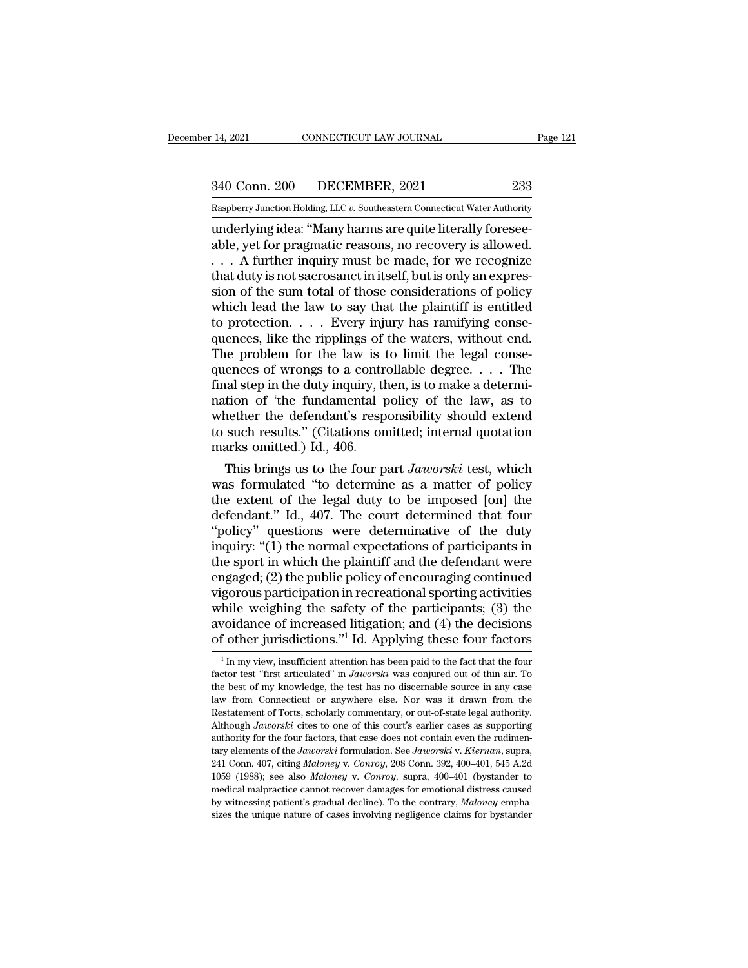## 14, 2021 CONNECTICUT LAW JOURNAL Page 121<br>340 Conn. 200 DECEMBER, 2021 233<br>Raspberry Junction Holding, LLC v. Southeastern Connecticut Water Authority Rage 121 CONNECTICUT LAW JOURNAL Page 121<br>  $\frac{340 \text{ Conn. } 200 \text{ DECEMBER, } 2021} {Raspberry Junction Holding, LLC v. Southeaster Connecticut Water Authority}}$

14, 2021 CONNECTICUT LAW JOURNAL<br>
233<br>
233<br>
233<br>
Raspberry Junction Holding, LLC v. Southeastern Connecticut Water Authority<br>
233<br>
233<br>
233<br>
233<br>
24 Raspberry Junction Holding, LLC v. Southeastern Connecticut Water Authori 340 Conn. 200 DECEMBER, 2021 233<br>
Raspberry Junction Holding, LLC v. Southeastern Connecticut Water Authority<br>
underlying idea: "Many harms are quite literally foresee-<br>
able, yet for pragmatic reasons, no recovery is allo 340 Conn. 200 DECEMBER, 2021 233<br>
Raspberry Junction Holding, LLC v. Southeastern Connecticut Water Authority<br>
underlying idea: "Many harms are quite literally foresee-<br>
able, yet for pragmatic reasons, no recovery is all 340 Conn. 200 DECEMBER, 2021 233<br>
Raspberry Junction Holding, LLC v. Southeastern Connecticut Water Authority<br>
underlying idea: "Many harms are quite literally foresee-<br>
able, yet for pragmatic reasons, no recovery is allo Examples Contains 200 DECEMBER, 2021<br>
Examples the sum to the sum total of the sum total of the sum total of the sum total of those considerations of policy<br>
which lead the law to say that the plaintiff is entitled<br>
the p Raspberry Junction Holding, LLC  $v$ . Southeastern Connecticut Water Authority<br>
underlying idea: "Many harms are quite literally foresee-<br>
able, yet for pragmatic reasons, no recovery is allowed.<br>  $\ldots$  A further inquiry m underlying idea: "Many harms are quite literally foresee-<br>able, yet for pragmatic reasons, no recovery is allowed.<br>. . . . A further inquiry must be made, for we recognize<br>that duty is not sacrosanct in itself, but is onl able, yet for pragmatic reasons, no recovery is allowed.<br>  $\ldots$  A further inquiry must be made, for we recognize<br>
that duty is not sacrosanct in itself, but is only an expres-<br>
sion of the sum total of those consideration  $\ldots$  A further inquiry must be made, for we recognize<br>that duty is not sacrosanct in itself, but is only an expres-<br>sion of the sum total of those considerations of policy<br>which lead the law to say that the plaintiff is that duty is not sacrosanct in itself, but is only an expression of the sum total of those considerations of policy<br>which lead the law to say that the plaintiff is entitled<br>to protection. . . . Every injury has ramifying sion of the sum total of those considerations of policy<br>which lead the law to say that the plaintiff is entitled<br>to protection. . . . Every injury has ramifying conse-<br>quences, like the ripplings of the waters, without en which lead the law to say that the plaintiff is entitled<br>to protection. . . . Every injury has ramifying conse-<br>quences, like the ripplings of the waters, without end.<br>The problem for the law is to limit the legal conse-<br> to protection. . . . . Every injury has ramifying consequences, like the ripplings of the waters, without end.<br>The problem for the law is to limit the legal consequences of wrongs to a controllable degree. . . . The final quences, like the ripplings of the waters, without end.<br>The problem for the law is to limit the legal consequences of wrongs to a controllable degree. . . . The final step in the duty inquiry, then, is to make a determinat The problem for the law is t<br>quences of wrongs to a contrianal step in the duty inquiry, the<br>nation of 'the fundamental p<br>whether the defendant's resp<br>to such results." (Citations on<br>marks omitted.) Id., 406.<br>This brings u ences of wrongs to a controllable degree. . . . . The<br>hal step in the duty inquiry, then, is to make a determi-<br>tion of 'the fundamental policy of the law, as to<br>nether the defendant's responsibility should extend<br>such re final step in the duty inquiry, then, is to make a determination of 'the fundamental policy of the law, as to whether the defendant's responsibility should extend to such results." (Citations omitted; internal quotation m

nation of 'the fundamental policy of the law, as to<br>whether the defendant's responsibility should extend<br>to such results." (Citations omitted; internal quotation<br>marks omitted.) Id., 406.<br>This brings us to the four part whether the defendant's responsibility should extend<br>to such results." (Citations omitted; internal quotation<br>marks omitted.) Id., 406.<br>This brings us to the four part *Jaworski* test, which<br>was formulated "to determine a to such results." (Citations omitted; internal quotation<br>
marks omitted.) Id., 406.<br>
This brings us to the four part *Jaworski* test, which<br>
was formulated "to determine as a matter of policy<br>
the extent of the legal duty marks omitted.) Id., 406.<br>
This brings us to the four part *Jaworski* test, which<br>
was formulated "to determine as a matter of policy<br>
the extent of the legal duty to be imposed [on] the<br>
defendant." Id., 407. The court d This brings us to the four part *Jaworski* test, which<br>was formulated "to determine as a matter of policy<br>the extent of the legal duty to be imposed [on] the<br>defendant." Id., 407. The court determined that four<br>"policy" q was formulated "to determine as a matter of policy<br>the extent of the legal duty to be imposed [on] the<br>defendant." Id., 407. The court determined that four<br>"policy" questions were determinative of the duty<br>inquiry: "(1) th the extent of the legal duty to be imposed [on] the<br>defendant." Id., 407. The court determined that four<br>"policy" questions were determinative of the duty<br>inquiry: "(1) the normal expectations of participants in<br>the sport defendant." Id., 407. The court determined that four<br>"policy" questions were determinative of the duty<br>inquiry: "(1) the normal expectations of participants in<br>the sport in which the plaintiff and the defendant were<br>engage "policy" questions were determinative of the duty<br>inquiry: "(1) the normal expectations of participants in<br>the sport in which the plaintiff and the defendant were<br>engaged; (2) the public policy of encouraging continued<br>vi inquiry: "(1) the normal expectations of participants in<br>the sport in which the plaintiff and the defendant were<br>engaged; (2) the public policy of encouraging continued<br>vigorous participation in recreational sporting acti gorous participation in recreational sporting activities<br>hile weighing the safety of the participants; (3) the<br>voidance of increased litigation; and (4) the decisions<br>f other jurisdictions."<sup>1</sup> Id. Applying these four fac while weighing the safety of the participants; (3) the avoidance of increased litigation; and (4) the decisions of other jurisdictions."<sup>1</sup> Id. Applying these four factors  $\frac{1}{1}$  In my view, insufficient attention has

avoidance of increased litigation; and (4) the decisions of other jurisdictions."<sup>1</sup> Id. Applying these four factors  $\frac{1}{1}$  In my view, insufficient attention has been paid to the fact that the four factor test "first of other jurisdictions."<sup>1</sup> Id. Applying these four factors  $\frac{1}{1}$  In my view, insufficient attention has been paid to the fact that the four factor test "first articulated" in *Jaworski* was conjured out of thin air. OF OTHET JUTISUICITOHS. ID. Applying these four factors<br>
<sup>1</sup> In my view, insufficient attention has been paid to the fact that the four<br>
factor test "first articulated" in *Jaworski* was conjured out of thin air. To<br>
the b <sup>1</sup> In my view, insufficient attention has been paid to the fact that the four factor test "first articulated" in *Jaworski* was conjured out of thin air. To the best of my knowledge, the test has no discernable source in factor test "first articulated" in *Jaworski* was conjured out of thin air. To the best of my knowledge, the test has no discernable source in any case law from Connecticut or anywhere else. Nor was it drawn from the Rest the best of my knowledge, the test has no discernable source in any case<br>law from Connecticut or anywhere else. Nor was it drawn from the<br>Restatement of Torts, scholarly commentary, or out-of-state legal authority.<br>Althoug law from Connecticut or anywhere else. Nor was it drawn from the Restatement of Torts, scholarly commentary, or out-of-state legal authority.<br>Although *Jaworski* cites to one of this court's earlier cases as supporting aut 1059 (Basiatement of Torts, scholarly commentary, or out-of-state legal authority.<br>Although *Jaworski* cites to one of this court's earlier cases as supporting<br>authority for the four factors, that case does not contain eve Although Jaworski cites to one of this court's earlier cases as supporting<br>authority for the four factors, that case does not contain even the rudimen-<br>tary elements of the Jaworski formulation. See Jaworski v. Kiernan, su authority for the four factors, that case does not contain even the rulinentary elements of the *Jaworski* formulation. See *Jaworski* v. *Kiernan*, supra, 241 Conn. 407, citing *Maloney* v. *Conroy*, 208 Conn. 392, 400–40 stary elements of the *Jaworski* formulation. See *Jaworski* v. *Kiernan*, supra, 241 Conn. 407, citing *Maloney* v. *Conroy*, 208 Conn. 392, 400–401, 545 A.2d 1059 (1988); see also *Maloney* v. *Conroy*, supra, 400–401 (b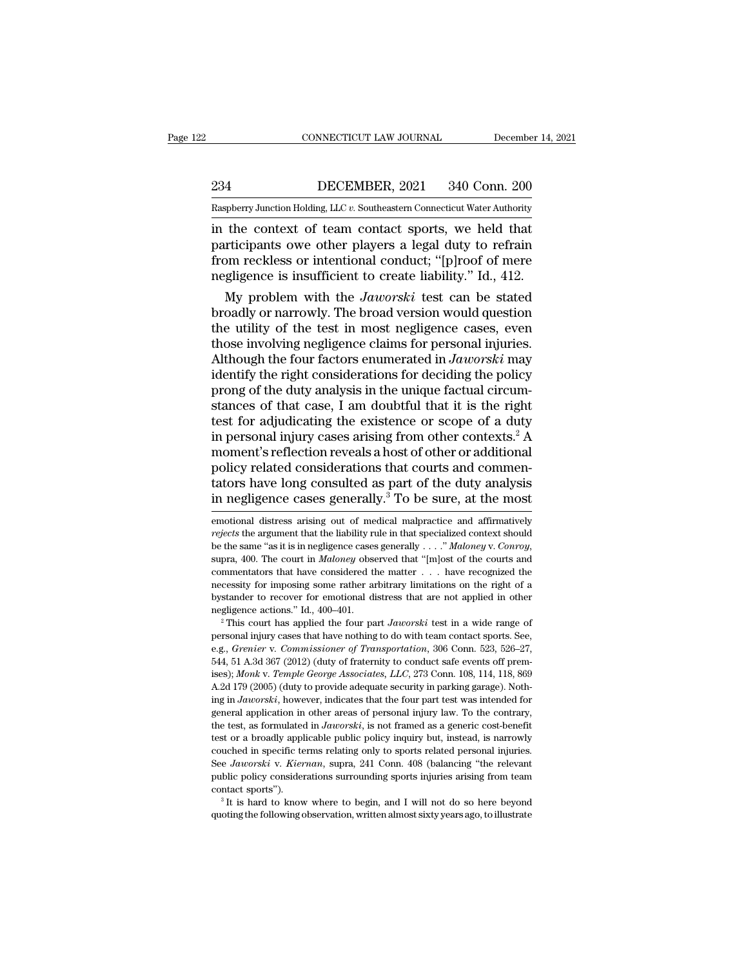EXECUTE CONNECTICUT LAW JOURNAL December 14, 2021<br>234 DECEMBER, 2021 340 Conn. 200<br>234 DECEMBER, 2021 340 Conn. 200

CONNECTICUT LAW JOURNAL December 14, 2021<br>234 DECEMBER, 2021 340 Conn. 200<br>Raspberry Junction Holding, LLC *v.* Southeastern Connecticut Water Authority<br>in the context of team contact sports, we held that CONNECTICUT LAW JOURNAL December 14, 202<br>
234 DECEMBER, 2021 340 Conn. 200<br>
Raspberry Junction Holding, LLC v. Southeastern Connecticut Water Authority<br>
in the context of team contact sports, we held that<br>
participants owe Participants owe other players a legal duty to refrain<br>
participants owe other players a legal duty to refrain<br>
participants owe other players a legal duty to refrain<br>
from reckless or intentional conduct; "[p]roof of mere 234 DECEMBER, 2021 340 Conn. 200<br>
Raspberry Junction Holding, LLC v. Southeastern Connecticut Water Authority<br>
in the context of team contact sports, we held that<br>
participants owe other players a legal duty to refrain<br>
f DECEMBER, 2021 340 Conn. 200<br>
Raspberry Junction Holding, LLC v. Southeastern Connecticut Water Authority<br>
in the context of team contact sports, we held that<br>
participants owe other players a legal duty to refrain<br>
from r spberry Junction Holding, LLC v. Southeastern Connecticut Water Authority<br>the context of team contact sports, we held that<br>rticipants owe other players a legal duty to refrain<br>om reckless or intentional conduct; "[p]roof o in the context of team contact sports, we held that<br>participants owe other players a legal duty to refrain<br>from reckless or intentional conduct; "[p]roof of mere<br>negligence is insufficient to create liability." Id., 412.<br>M

in the context of team contact sports, we held that<br>participants owe other players a legal duty to refrain<br>from reckless or intentional conduct; "[p]roof of mere<br>negligence is insufficient to create liability." Id., 412.<br> participants owe other players a legal duty to refrain<br>from reckless or intentional conduct; "[p]roof of mere<br>negligence is insufficient to create liability." Id., 412.<br>My problem with the *Jaworski* test can be stated<br>br from reckless or intentional conduct; "[p]roof of mere<br>negligence is insufficient to create liability." Id., 412.<br>My problem with the *Jaworski* test can be stated<br>broadly or narrowly. The broad version would question<br>the megligence is insufficient to create liability." Id., 412.<br>
My problem with the *Jaworski* test can be stated<br>
broadly or narrowly. The broad version would question<br>
the utility of the test in most negligence cases, even<br> My problem with the *Jaworski* test can be stated<br>broadly or narrowly. The broad version would question<br>the utility of the test in most negligence cases, even<br>those involving negligence claims for personal injuries.<br>Altho broadly or narrowly. The broad version would question<br>the utility of the test in most negligence cases, even<br>those involving negligence claims for personal injuries.<br>Although the four factors enumerated in *Jaworski* may<br> the utility of the test in most negligence cases, even<br>those involving negligence claims for personal injuries.<br>Although the four factors enumerated in *Jaworski* may<br>identify the right considerations for deciding the poli those involving negligence claims for personal injuries.<br>Although the four factors enumerated in *Jaworski* may<br>identify the right considerations for deciding the policy<br>prong of the duty analysis in the unique factual ci Although the four factors enumerated in *Jaworski* may<br>identify the right considerations for deciding the policy<br>prong of the duty analysis in the unique factual circum-<br>stances of that case, I am doubtful that it is the identify the right considerations for deciding the policy<br>prong of the duty analysis in the unique factual circum-<br>stances of that case, I am doubtful that it is the right<br>test for adjudicating the existence or scope of a prong of the duty analysis in the unique factual circum-<br>stances of that case, I am doubtful that it is the right<br>test for adjudicating the existence or scope of a duty<br>in personal injury cases arising from other contexts. stances of that case, I am doubtful that it is the right<br>test for adjudicating the existence or scope of a duty<br>in personal injury cases arising from other contexts.<sup>2</sup> A<br>moment's reflection reveals a host of other or add moment's reflection reveals a host of other or additional<br>policy related considerations that courts and commen-<br>tators have long consulted as part of the duty analysis<br>in negligence cases generally.<sup>3</sup> To be sure, at the m policy related considerations that courts and commentators have long consulted as part of the duty analysis<br>in negligence cases generally.<sup>3</sup> To be sure, at the most<br>emotional distress arising out of medical malpractice an

examinently for imposing some rather arbitrary limitations on the right of a bystander to recover for emotional distress that are not applied in other negligence actions." Id., 400–401.<br><sup>2</sup> This court has applied the four necessity for imposing some rather arbitrary limitations on the right of a<br>bystander to recover for emotional distress that are not applied in other<br>negligence actions." Id., 400–401.<br><sup>2</sup> This court has applied the four p is interestigally and the control of the control of the control of the control of the control of the four part *Jaworski* test in a wide range of personal injury cases that have nothing to do with team contact sports. See, <sup>2</sup> This court has applied the four part *Jaworski* test in a wide range of personal injury cases that have nothing to do with team contact sports. See, e.g., *Grenier v. Commissioner of Transportation*, 306 Conn. 523, 52 personal injury cases that have nothing to do with team contact sports. See, e.g., *Grenier v. Commissioner of Transportation*, 306 Conn. 523, 526–27, 544, 51 A.3d 367 (2012) (duty of fraternity to conduct safe events off e.g., *Grenier* v. *Commissioner of Transportation*, 306 Conn. 523, 526–27, 64, 51 A.3d 367 (2012) (duty of fraternity to conduct safe events off premises); *Monk* v. *Temple George Associates*, *LLC*, 273 Conn. 108, 114, 544, 51 A.3d 367 (2012) (duty of fraternity to conduct safe events off premises); *Monk v. Temple George Associates, LLC*, 273 Conn. 108, 114, 118, 869 A.2d 179 (2005) (duty to provide adequate security in parking garage) ises); *Monk v. Temple George Associates, LLC*, 273 Conn. 108, 114, 118, 869<br>A.2d 179 (2005) (duty to provide adequate security in parking garage). Noth-<br>ing in *Jaworski*, however, indicates that the four part test was in  $\Delta$ 2d 179 (2005) (duty to provide adequate security in parking garage). Nothing in *Jaworski*, however, indicates that the four part test was intended for general application in other areas of personal injury law. To the ing in *Jaworski*, however, indicates that the four part test was intended for general application in other areas of personal injury law. To the contrary, the test, as formulated in *Jaworski*, is not framed as a generic c general application in other areas of personal injury law. To the contrary, the test, as formulated in *Jaworski*, is not framed as a generic cost-benefit test or a broadly applicable public policy inquiry but, instead, i the test, as formulated in *Jaworski*, is not framed as a generic cost-benefit test or a broadly applicable public policy inquiry but, instead, is narrowly couched in specific terms relating only to sports related persona couched in specific terms relating only to sports related personal injuries.<br>See Jaworski v. Kiernan, supra, 241 Conn. 408 (balancing "the relevant<br>public policy considerations surrounding sports injuries arising from tea

**Example 1)** is in negligence cases generally.<sup>3</sup> To be sure, at the most emotional distress arising out of medical malpractice and affirmatively *rejects* the argument that the liability rule in that specialized context s mentators that the lines of medical malpractice and affirmatively<br>emotional distress arising out of medical malpractice and affirmatively<br>rejects the argument that the liability rule in that specialized context should<br>be t emotional distress arising out of medical malpractice and affirmatively<br>rejects the argument that the liability rule in that specialized context should<br>be the same "as it is in negligence cases generally ...." *Maloney* v rejects the argument that the liability rule in that specialized context should<br>be the same "as it is in negligence cases generally . . . ." *Maloney* v. *Conroy*,<br>supra, 400. The court in *Maloney* observed that "[m]ost be the same "as it is in negligence cases generally  $\ldots$ " *Maloney* v. *Conroy*, supra, 400. The court in *Maloney* observed that "[m]ost of the courts and commentators that have considered the matter  $\ldots$  have recogniz personal injury cases that have nothing to do with team completed the necessity for imposing some rather arbitrary limitations on the right of a bystander to recover for emotional distress that are not applied in other ne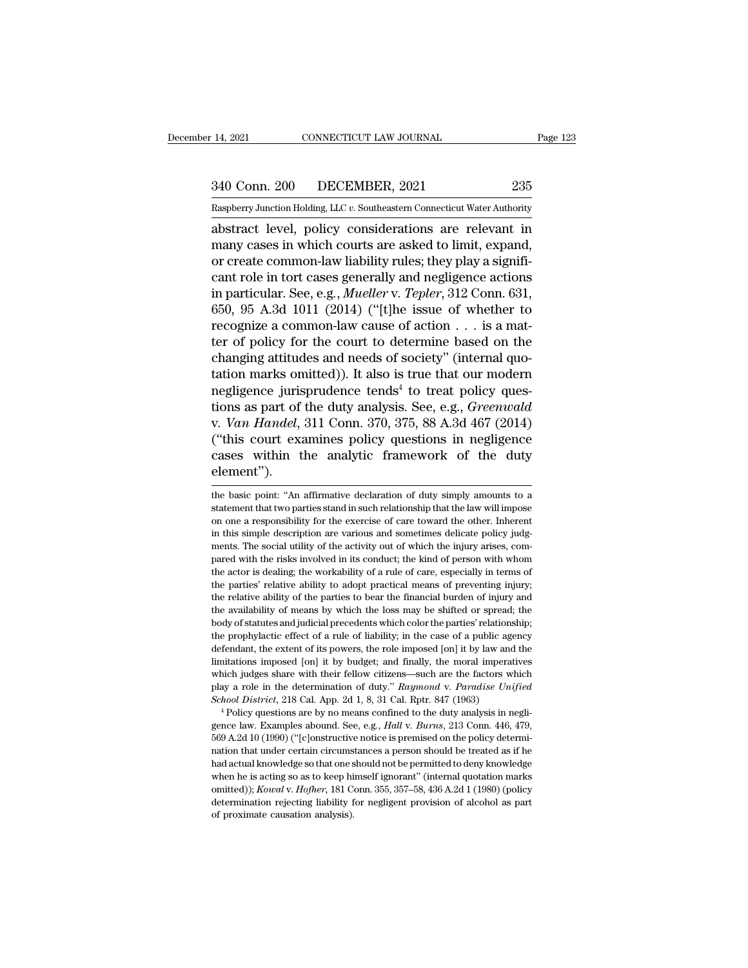14, 2021 CONNECTICUT LAW JOURNAL Page 123<br>340 Conn. 200 DECEMBER, 2021 235<br>Raspberry Junction Holding, LLC v. Southeastern Connecticut Water Authority Raspberry Junction Holding, LLC *v.* Southeastern Connecticut Water Authority<br>Raspberry Junction Holding, LLC *v.* Southeastern Connecticut Water Authority

14, 2021 CONNECTICUT LAW JOURNAL Page 123<br>
340 Conn. 200 DECEMBER, 2021 235<br>
Raspberry Junction Holding, LLC v. Southeastern Connecticut Water Authority<br>
abstract level, policy considerations are relevant in<br>
many cases in  $\frac{340 \text{ Conn. } 200}{\text{Raspberry Junction Holding, LLC } v.$  Southeastern Connecticut Water Authority<br>abstract level, policy considerations are relevant in<br>many cases in which courts are asked to limit, expand,<br>or create common-law liability rule abstract level, policy considerations are relevant in many cases in which courts are asked to limit, expand, or create common-law liability rules; they play a significant role in tort cases generally and negligence actions 340 Conn. 200 DECEMBER, 2021 235<br>
Raspberry Junction Holding, LLC v. Southeastern Connecticut Water Authority<br>
abstract level, policy considerations are relevant in<br>
many cases in which courts are asked to limit, expand,<br> Raspberry Junction Holding, LLC v. Southeastern Connecticut Water Authority<br>abstract level, policy considerations are relevant in<br>many cases in which courts are asked to limit, expand,<br>or create common-law liability rules; Example Fry Junction Holding, E.E.C. v. Southeastern Connecticut water Authority<br>abstract level, policy considerations are relevant in<br>many cases in which courts are asked to limit, expand,<br>or create common-law liability abstract level, policy considerations are relevant in<br>many cases in which courts are asked to limit, expand,<br>or create common-law liability rules; they play a signifi-<br>cant role in tort cases generally and negligence acti many cases in which courts are asked to limit, expand,<br>or create common-law liability rules; they play a signifi-<br>cant role in tort cases generally and negligence actions<br>in particular. See, e.g., *Mueller* v. *Tepler*, 3 or create common-law liability rules; they play a significant role in tort cases generally and negligence actions<br>in particular. See, e.g., *Mueller* v. *Tepler*, 312 Conn. 631,<br>650, 95 A.3d 1011 (2014) ("[t]he issue of w cant role in tort cases generally and negligence actions<br>in particular. See, e.g., *Mueller* v. *Tepler*, 312 Conn. 631,<br>650, 95 A.3d 1011 (2014) ("[t]he issue of whether to<br>recognize a common-law cause of action  $\dots$  is in particular. See, e.g., *Mueller* v. *Tepler*, 312 Conn. 631, 650, 95 A.3d 1011 (2014) ("[t]he issue of whether to recognize a common-law cause of action  $\ldots$  is a matter of policy for the court to determine based on t 650, 95 A.3d 1011 (2014) ("[t]he issue of whether to<br>recognize a common-law cause of action  $\ldots$  is a mat-<br>ter of policy for the court to determine based on the<br>changing attitudes and needs of society" (internal quo-<br>tat recognize a common-law cause of action . . . is a matter of policy for the court to determine based on the changing attitudes and needs of society" (internal quotation marks omitted)). It also is true that our modern negli ter of policy for the court to determine based on the changing attitudes and needs of society" (internal quotation marks omitted)). It also is true that our modern negligence jurisprudence tends<sup>4</sup> to treat policy question changing attitudes and needs of society" (internal quotation marks omitted)). It also is true that our modern<br>negligence jurisprudence tends<sup>4</sup> to treat policy ques-<br>tions as part of the duty analysis. See, e.g., *Greenwal* element''). v. *Van Handel*, 311 Conn. 370, 375, 88 A.3d  $467$  (2014)<br>("this court examines policy questions in negligence<br>cases within the analytic framework of the duty<br>element").<br>the basic point: "An affirmative declaration of dut ("this court examines policy questions in negligence<br>cases within the analytic framework of the duty<br>element").<br>the basic point: "An affirmative declaration of duty simply amounts to a<br>statement that two parties stand in s

cases within the analytic framework of the duty<br>element").<br>the basic point: "An affirmative declaration of duty simply amounts to a<br>statement that two parties stand in such relationship that the law will impose<br>on one a re **Example 1998**<br> **Example description are various declaration** of duty simply amounts to a<br>
statement that two parties stand in such relationship that the law will impose<br>
on one a responsibility for the exercise of care to **EXECT THEFT TO THE SOLUTE THE SOLUTE THE SOLUTE THE SOLUTE USE ALL UNITE ACTIVE INTERENT UNITELLY SET ALL UNITE ACTIVITY ON ONE A THEORY INTERED ON ONE A THEORY INTERNATION ARE SOCIAL UNITELLY OUT OF WHICH THE SOCIAL UNIT** the basic point: "An affirmative declaration of duty simply amounts to a statement that two parties stand in such relationship that the law will impose on one a responsibility for the exercise of care toward the other. Inh actor is dealing; the workability of a rule of care, especially in the statement that two parties stand in such relationship that the law will impose on one a responsibility for the exercise of care toward the other. Inher become a responsibility for the exercise of care toward the other. Inherent<br>in this simple description are various and sometimes delicate policy judg-<br>ments. The social utility of the activity out of which the injury arise in this simple description are various and sometimes delicate policy judg-<br>ments. The social utility of the activity out of which the injury arises, com-<br>pared with the risks involved in its conduct; the kind of person wit ments. The social utility of the activity out of which the injury arises, compared with the risks involved in its conduct; the kind of person with whom the actor is dealing; the workability of a rule of care, especially in meard with the risks involved in its conduct; the kind of person with whom<br>the actor is dealing; the workability of a rule of care, especially in terms of<br>the parties' relative ability to adopt practical means of preventin the actor is dealing; the workability of a rule of care, especially in terms of the actor is dealing; the workability of a rule of care, especially in terms of the parties' relative ability to adopt practical means of prev the parties' relative ability to adopt practical means of preventing injury;<br>the parties' relative ability to the parties to bear the financial burden of injury and<br>the relative ability of means by which the loss may be sh In the relative ability of the parties to bear the financial burden of injury and the relative ability of means by which the loss may be shifted or spread; the body of statutes and judicial precedents which color the parti the availability of means by which the loss may be shifted or spread; the availability of means by which the loss may be shifted or spread; the body of statutes and judicial precedents which color the parties' relationship body of statutes and judicial precedents which color the parties' relationship;<br>the prophylactic effect of a rule of liability; in the case of a public agency<br>defendant, the extent of its powers, the role imposed [on] it b body district effect of a rule of liability; in the case of a public age defendant, the extent of its powers, the role imposed [on] it by law and limitations imposed [on] it by budget; and finally, the moral imperat which  $\epsilon$  Pendant, the extent of its powers, the role imposed [on] it by law and the initiations imposed [on] it by budget; and finally, the moral imperatives inich judges share with their fellow citizens—such are the factors limitations imposed [on] it by budget; and finally, the moral imperatives<br>which judges share with their fellow citizens—such are the factors which<br>play a role in the determination of duty." *Raymond* v. *Paradise Unified*<br>

which judges share with their fellow citizens—such are the factors which<br>play a role in the determination of duty." *Raymond v. Paradise Unified*<br>*School District*, 218 Cal. App. 2d 1, 8, 31 Cal. Rptr. 847 (1963)<br><sup>4</sup> Poli nation and the determination of duty." Raymond v. Paradise Unified School District, 218 Cal. App. 2d 1, 8, 31 Cal. Rptr. 847 (1963)<br>
<sup>4</sup> Policy questions are by no means confined to the duty analysis in negligence law. Exa Exhool District, 218 Cal. App. 2d 1, 8, 31 Cal. Rptr. 847 (1963)<br>
School District, 218 Cal. App. 2d 1, 8, 31 Cal. Rptr. 847 (1963)<br>
<sup>4</sup> Policy questions are by no means confined to the duty analysis in negli-<br>
gence law. E School District, 218 Cal. App. 2d 1, 8, 31 Cal. Rptr. 847 (1963)<br><sup>4</sup> Policy questions are by no means confined to the duty analysis in negli-<br>gence law. Examples abound. See, e.g., *Hall v. Burns*, 213 Conn. 446, 479,<br>569 gence law. Examples abound. See, e.g., *Hall v. Burns*, 213 Conn. 446, 479, 569 A.2d 10 (1990) ("[c]onstructive notice is premised on the policy determination that under certain circumstances a person should be treated as 569 A.2d 10 (1990) ("[c]onstructive notice is premised on the policy determination that under certain circumstances a person should be treated as if he had actual knowledge so that one should not be permitted to deny know nation that under certain circumstances a person should be treated as if he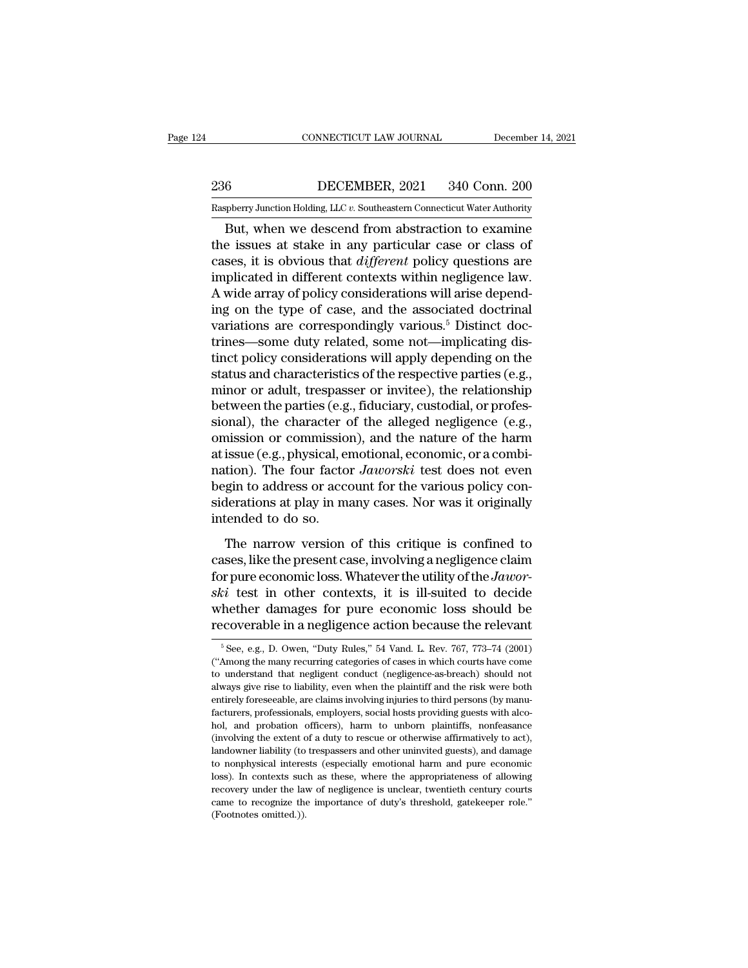## EXECUTE CONNECTICUT LAW JOURNAL December 14, 2021<br>236 DECEMBER, 2021 340 Conn. 200<br>236 DECEMBER, 2021 340 Conn. 200<br>20 Raspberry Junction Holding, LLC v. Southeastern Connecticut Water Authority CONNECTICUT LAW JOURNAL December 14, 2021<br>236 DECEMBER, 2021 340 Conn. 200<br>Raspberry Junction Holding, LLC *v.* Southeastern Connecticut Water Authority<br>But, when we descend from abstraction to examine

CONNECTICUT LAW JOURNAL December 14, 2021<br>
But, DECEMBER, 2021 340 Conn. 200<br>
Supplerry Junction Holding, LLC v. Southeastern Connecticut Water Authority<br>
But, when we descend from abstraction to examine<br>
e issues at stake 236 DECEMBER, 2021 340 Conn. 200<br>
Raspberry Junction Holding, LLC  $v$ . Southeastern Connecticut Water Authority<br>
But, when we descend from abstraction to examine<br>
the issues at stake in any particular case or class of<br>
ca **Example 19** DECEMBER, 2021 340 Conn. 200<br> **Example 19** March Holding, LLC v. Southeastern Connecticut Water Authority<br>
But, when we descend from abstraction to examine<br>
the issues at stake in any particular case or class 236 DECEMBER, 2021 340 Conn. 200<br>
Raspberry Junction Holding, LLC  $v$ . Southeastern Connecticut Water Authority<br>
But, when we descend from abstraction to examine<br>
the issues at stake in any particular case or class of<br>
ca Raspberry Junction Holding, LLC v. Southeastern Connecticut Water Authority<br>
But, when we descend from abstraction to examine<br>
the issues at stake in any particular case or class of<br>
cases, it is obvious that *different* Example of solution Holding, LLC v. Solutions<br>
the issues at stake in any particular case or class of<br>
cases, it is obvious that *different* policy questions are<br>
implicated in different contexts within negligence law.<br>
A But, when we descend from abstraction to examine<br>the issues at stake in any particular case or class of<br>cases, it is obvious that *different* policy questions are<br>implicated in different contexts within negligence law.<br>A w the issues at stake in any particular case or class of cases, it is obvious that *different* policy questions are implicated in different contexts within negligence law. A wide array of policy considerations will arise de cases, it is obvious that *different* policy questions are<br>implicated in different contexts within negligence law.<br>A wide array of policy considerations will arise depend-<br>ing on the type of case, and the associated doctri implicated in different contexts within negligence law.<br>A wide array of policy considerations will arise depending on the type of case, and the associated doctrinal<br>variations are correspondingly various.<sup>5</sup> Distinct doc-<br> A wide array of policy considerations will arise depending on the type of case, and the associated doctrinal<br>variations are correspondingly various.<sup>5</sup> Distinct doctrines—some duty related, some not—implicating dis-<br>tinct ing on the type of case, and the associated doctrinal<br>variations are correspondingly various.<sup>5</sup> Distinct doc-<br>trines—some duty related, some not—implicating dis-<br>tinct policy considerations will apply depending on the<br>sta variations are correspondingly various.<sup>5</sup> Distinct doctrines—some duty related, some not—implicating distinct policy considerations will apply depending on the status and characteristics of the respective parties (e.g., m trines—some duty related, some not—implicating distinct policy considerations will apply depending on the<br>status and characteristics of the respective parties (e.g.,<br>minor or adult, trespasser or invitee), the relationship tinct policy considerations will apply depending on the status and characteristics of the respective parties (e.g., minor or adult, trespasser or invitee), the relationship between the parties (e.g., fiduciary, custodial, status and characteristics of the respective parties (e.g.,<br>minor or adult, trespasser or invitee), the relationship<br>between the parties (e.g., fiduciary, custodial, or profes-<br>sional), the character of the alleged neglige minor or adult, trespasser or invitee), the relationship<br>between the parties (e.g., fiduciary, custodial, or profes-<br>sional), the character of the alleged negligence (e.g.,<br>omission or commission), and the nature of the ha between the parties (e.g., fiduciary, custodial, or profes-<br>sional), the character of the alleged negligence (e.g.,<br>omission or commission), and the nature of the harm<br>at issue (e.g., physical, emotional, economic, or a co sional), the character of<br>omission or commissio<br>at issue (e.g., physical, en<br>nation). The four facto<br>begin to address or acce<br>siderations at play in m<br>intended to do so.<br>The narrow version  $\epsilon$  (e.g., physical, emotional, economic, or a combi-<br>tion). The four factor *Jaworski* test does not even<br>gin to address or account for the various policy con-<br>derations at play in many cases. Nor was it originally<br>tend at above (eig., priyatear, encountar, excremently a neglinition). The four factor *Jaworski* test does not even<br>begin to address or account for the various policy considerations at play in many cases. Nor was it originall

for the various policy considerations at play in many cases. Nor was it originally intended to do so.<br>The narrow version of this critique is confined to cases, like the present case, involving a negligence claim for pure e *siderations at play in many cases. Nor was it originally*<br>intended to do so.<br>The narrow version of this critique is confined to<br>cases, like the present case, involving a negligence claim<br>for pure economic loss. Whatever t intended to do so.<br>The narrow version of this critique is confined to cases, like the present case, involving a negligence claim<br>for pure economic loss. Whatever the utility of the *Jawor-*<br>ski test in other contexts, it The narrow version of this critique is confined to cases, like the present case, involving a negligence claim for pure economic loss. Whatever the utility of the *Jawor-ski* test in other contexts, it is ill-suited to dec For pure economic loss. Whatever the utility of the *Jawor*-<br>  $\overline{\text{c}}i$  test in other contexts, it is ill-suited to decide<br>
hether damages for pure economic loss should be<br>
ecoverable in a negligence action because the *ski* test in other contexts, it is ill-suited to decide whether damages for pure economic loss should be recoverable in a negligence action because the relevant  $\frac{5}{6}$  See, e.g., D. Owen, "Duty Rules," 54 Vand. L. Rev

whether damages for pure economic loss should be<br>recoverable in a negligence action because the relevant<br> $\frac{1}{10}$ <br> $\frac{1}{10}$ <br> $\frac{1}{10}$ <br> $\frac{1}{10}$ <br> $\frac{1}{10}$ <br> $\frac{1}{10}$ <br> $\frac{1}{10}$   $\frac{1}{10}$   $\frac{1}{10}$   $\frac{1}{10}$ <br> $\frac{1}{$ recoverable in a negligence action because the relevant<br>  $\frac{1}{100}$   $\frac{1}{100}$   $\frac{1}{100}$   $\frac{1}{100}$   $\frac{1}{100}$   $\frac{1}{100}$   $\frac{1}{100}$   $\frac{1}{100}$   $\frac{1}{100}$   $\frac{1}{100}$   $\frac{1}{100}$   $\frac{1}{100}$   $\frac{1}{100}$   $\frac{1}{10$ entirely foreseeable, are claims involving injuries to third persons ("42001)<br>
("Among the many recurring categories of cases in which courts have come<br>
to understand that negligent conduct (negligence-as-breach) should no <sup>5</sup> See, e.g., D. Owen, "Duty Rules," 54 Vand. L. Rev. 767, 773–74 (2001) ("Among the many recurring categories of cases in which courts have come to understand that negligent conduct (negligence-as-breach) should not alw ("Among the many recurring categories of cases in which courts have come to understand that negligent conduct (negligence-as-breach) should not always give rise to liability, even when the plaintiff and the risk were both to understand that negligent conduct (negligence-as-breach) should not always give rise to liability, even when the plaintiff and the risk were both entirely foreseeable, are claims involving injuries to third persons (by a way sive rise to liability, even when the plaintiff and the risk were both entirely foreseeable, are claims involving injuries to third persons (by manufacturers, professionals, employers, social hosts providing guests w Entirely foreseeable, are claims involving injuries to third persons (by manufacturers, professionals, employers, social hosts providing guests with alcohol, and probation officers), harm to unborn plaintiffs, nonfeasance facturers, professionals, employers, social hosts providing guests with alcohol, and probation officers), harm to unborn plaintiffs, nonfeasance (involving the extent of a duty to rescue or otherwise affirmatively to act), facturers, professionals, employers, social hosts providing guests with alcohol, and probation officers), harm to unborn plaintiffs, nonfeasance (involving the extent of a duty to rescue or otherwise affirmatively to act) (involving the extent of a duty to rescue or otherwise affirmatively to act), landowner liability (to trespassers and other uninvited guests), and damage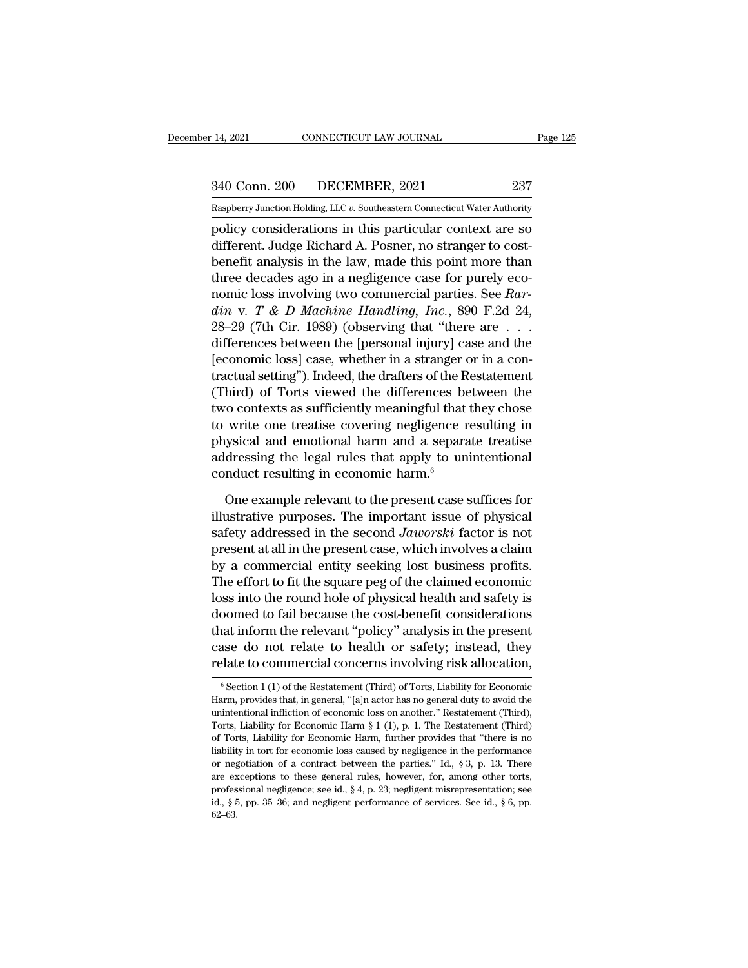14, 2021 CONNECTICUT LAW JOURNAL Page 125<br>340 Conn. 200 DECEMBER, 2021 237<br>Raspberry Junction Holding, LLC v. Southeastern Connecticut Water Authority

Pecember 14, 2021 CONNECTICUT LAW JOURNAL Page 125<br>
237 Raspberry Junction Holding, LLC *v.* Southeastern Connecticut Water Authority<br>
policy considerations in this particular context are so Page 125<br>
14, 2021 CONNECTICUT LAW JOURNAL Page 125<br>
237<br>
Raspberry Junction Holding, LLC v. Southeastern Connecticut Water Authority<br>
policy considerations in this particular context are so<br>
different. Judge Richard A. Po 340 Conn. 200 DECEMBER, 2021 237<br>
Raspberry Junction Holding, LLC v. Southeastern Connecticut Water Authority<br>
policy considerations in this particular context are so<br>
different. Judge Richard A. Posner, no stranger to cos  $\frac{340 \text{ Conn. } 200}{\text{Raspberry Junction Holding, LLC } v.$  Southeastern Connecticut Water Authority<br>policy considerations in this particular context are so<br>different. Judge Richard A. Posner, no stranger to cost-<br>benefit analysis in the law, ma 340 Conn. 200 DECEMBER, 2021 237<br>
Raspberry Junction Holding, LLC v. Southeastern Connecticut Water Authority<br>
policy considerations in this particular context are so<br>
different. Judge Richard A. Posner, no stranger to co Raspberry Junction Holding, LLC v. Southeastern Connecticut Water Authority<br>policy considerations in this particular context are so<br>different. Judge Richard A. Posner, no stranger to cost-<br>benefit analysis in the law, made *disposity sunction Holding, ELC v. Solutiessem Connecticul water Authority*<br>policy considerations in this particular context are so<br>different. Judge Richard A. Posner, no stranger to cost-<br>benefit analysis in the law, mad policy considerations in this particular context are so<br>different. Judge Richard A. Posner, no stranger to cost-<br>benefit analysis in the law, made this point more than<br>three decades ago in a negligence case for purely eco different. Judge Richard A. Posner, no stranger to cost-<br>benefit analysis in the law, made this point more than<br>three decades ago in a negligence case for purely eco-<br>nomic loss involving two commercial parties. See *Rar*benefit analysis in the law, made this point more than<br>three decades ago in a negligence case for purely eco-<br>nomic loss involving two commercial parties. See *Rar-*<br>din v. T & D Machine Handling, Inc., 890 F.2d 24,<br>28–29 three decades ago in a negligence case for purely eco-<br>nomic loss involving two commercial parties. See *Rar-*<br> $din$  v. *T* & *D* Machine Handling, Inc., 890 F.2d 24,<br>28–29 (7th Cir. 1989) (observing that "there are  $\dots$ <br>di nomic loss involving two commercial parties. See *Rar-*<br>
din v. T & D Machine Handling, Inc., 890 F.2d 24,<br>
28–29 (7th Cir. 1989) (observing that "there are . . .<br>
differences between the [personal injury] case and the<br>
[ din v. T & D Machine Handling, Inc., 890 F.2d 24,<br>28–29 (7th Cir. 1989) (observing that "there are  $\dots$  differences between the [personal injury] case and the<br>[economic loss] case, whether in a stranger or in a con-<br>tract 28–29 (7th Cir. 1989) (observing that "there are  $\dots$  differences between the [personal injury] case and the [economic loss] case, whether in a stranger or in a contractual setting"). Indeed, the drafters of the Restateme differences between the [personal injury] case and the<br>[economic loss] case, whether in a stranger or in a con-<br>tractual setting"). Indeed, the drafters of the Restatement<br>(Third) of Torts viewed the differences between t [economic loss] case, whether in a stranger or in a contractual setting"). Indeed, the drafters of the Restatement (Third) of Torts viewed the differences between the two contexts as sufficiently meaningful that they chos tractual setting"). Indeed, the drafters of the R<br>(Third) of Torts viewed the differences be<br>two contexts as sufficiently meaningful that<br>to write one treatise covering negligence r<br>physical and emotional harm and a separa For contexts as sufficiently meaningful that they chose<br>write one treatise covering negligence resulting in<br>ysical and emotional harm and a separate treatise<br>dressing the legal rules that apply to unintentional<br>mduct resu to write one treatise covering negligence resulting in<br>physical and emotional harm and a separate treatise<br>addressing the legal rules that apply to unintentional<br>conduct resulting in economic harm.<sup>6</sup><br>One example relevant

physical and emotional harm and a separate treatise<br>addressing the legal rules that apply to unintentional<br>conduct resulting in economic harm.<sup>6</sup><br>One example relevant to the present case suffices for<br>illustrative purposes. addressing the legal rules that apply to unintentional<br>conduct resulting in economic harm.<sup>6</sup><br>One example relevant to the present case suffices for<br>illustrative purposes. The important issue of physical<br>safety addressed i conduct resulting in economic harm.<sup>6</sup><br>One example relevant to the present case suffices for<br>illustrative purposes. The important issue of physical<br>safety addressed in the second *Jaworski* factor is not<br>present at all in One example relevant to the present case suffices for<br>illustrative purposes. The important issue of physical<br>safety addressed in the second Jaworski factor is not<br>present at all in the present case, which involves a claim One example relevant to the present case suffices for<br>illustrative purposes. The important issue of physical<br>safety addressed in the second Jaworski factor is not<br>present at all in the present case, which involves a claim illustrative purposes. The important issue of physical<br>safety addressed in the second *Jaworski* factor is not<br>present at all in the present case, which involves a claim<br>by a commercial entity seeking lost business profit safety addressed in the second Jaworski factor is not<br>present at all in the present case, which involves a claim<br>by a commercial entity seeking lost business profits.<br>The effort to fit the square peg of the claimed economi present at all in the present case, which involves a claim<br>by a commercial entity seeking lost business profits.<br>The effort to fit the square peg of the claimed economic<br>loss into the round hole of physical health and safe by a commercial entity seeking lost business profits.<br>The effort to fit the square peg of the claimed economic<br>loss into the round hole of physical health and safety is<br>doomed to fail because the cost-benefit consideratio doomed to fail because the cost-benefit considerations<br>that inform the relevant "policy" analysis in the present<br>case do not relate to health or safety; instead, they<br>relate to commercial concerns involving risk allocatio that inform the relevant "policy" analysis in the present<br>case do not relate to health or safety; instead, they<br>relate to commercial concerns involving risk allocation,<br> $\frac{1}{10}$  for the Restatement (Third) of Torts, Liab

case do not relate to health or safety; instead, they relate to commercial concerns involving risk allocation,<br> $$•$  Section 1 (1) of the Restatement (Third) of Torts, Liability for Economic Harm, provides that, in general relate to commercial concerns involving risk allocation,<br>  $\overline{\phantom{a}}$  Section 1 (1) of the Restatement (Third) of Torts, Liability for Economic<br>
Harm, provides that, in general, "[a]n actor has no general duty to avoid th Ferate to Confinencial concerns involving risk anocation,<br>
<sup>6</sup> Section 1 (1) of the Restatement (Third) of Torts, Liability for Economic<br>
Harm, provides that, in general, "[a]n actor has no general duty to avoid the<br>
unint <sup>6</sup> Section 1 (1) of the Restatement (Third) of Torts, Liability for Economic Harm, provides that, in general, "[a]n actor has no general duty to avoid the unintentional infliction of economic loss on another." Restatemen Harm, provides that, in general, "[a]n actor has no general duty to avoid the unintentional infliction of economic loss on another." Restatement (Third), Torts, Liability for Economic Harm § 1 (1), p. 1. The Restatement ( unintentional infliction of economic loss on another." Restatement (Third), Torts, Liability for Economic Harm,  $§ 1 (1)$ , p. 1. The Restatement (Third) of Torts, Liability for Economic Harm, further provides that "there i Torts, Liability for Economic Harm § 1 (1), p. 1. The Restatement (Third) of Torts, Liability for Economic Harm, further provides that "there is no liability in tort for economic loss caused by negligence in the performan of Torts, Liability for Economic Harm, further provides that "there is no 62–63.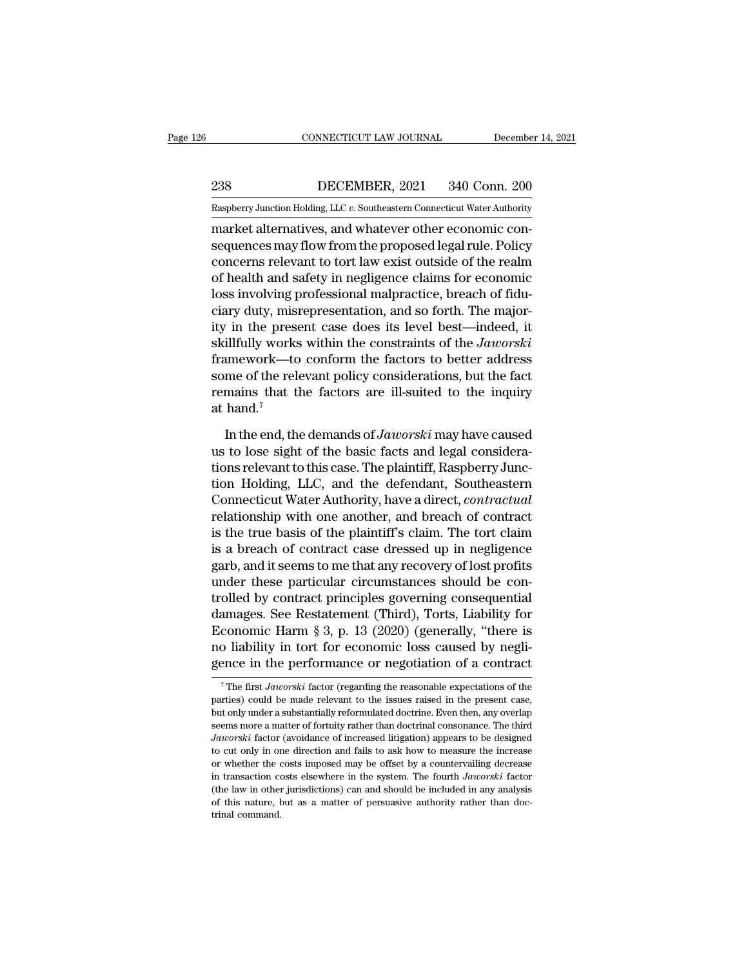EXECUTE CONNECTICUT LAW JOURNAL December 14, 2021<br>238 DECEMBER, 2021 340 Conn. 200<br>238 DECEMBER, 2021 340 Conn. 200<br>238 DECEMBER, 2021 340 Conn. 200

EXECTICUT LAW JOURNAL December 14, 2021<br>
Raspberry Junction Holding, LLC *v.* Southeastern Connecticut Water Authority<br>
Raspberry Junction Holding, LLC *v.* Southeastern Connecticut Water Authority<br>
Raspberry Junction Hold CONNECTICUT LAW JOURNAL December<br>
238 DECEMBER, 2021 340 Conn. 200<br>
Raspberry Junction Holding, LLC v. Southeastern Connecticut Water Authority<br>
market alternatives, and whatever other economic con-<br>
sequences may flow fro September 2021 2340 Conn. 200<br>
Supplemay Junction Holding, LLC v. Southeastern Connecticut Water Authority<br>
Supplemarket alternatives, and whatever other economic consequences may flow from the proposed legal rule. Policy<br>  $\frac{238}{\text{Raspberry Junction Holding, LLC } v.$  Southeastern Connecticut Water Authority<br>
market alternatives, and whatever other economic con-<br>
sequences may flow from the proposed legal rule. Policy<br>
concerns relevant to tort law exist outsi  $\frac{238}{\text{Raspberry Junction Holding, LLC } v.$  Southeastern Connecticut Water Authority<br>
market alternatives, and whatever other economic con-<br>
sequences may flow from the proposed legal rule. Policy<br>
concerns relevant to tort law exist outsi Raspberry Junction Holding, LLC v. Southeastern Connecticut Water Authority<br>
market alternatives, and whatever other economic con-<br>
sequences may flow from the proposed legal rule. Policy<br>
concerns relevant to tort law exi Example II state of Soundards Indiana, and whatever other economic consequences may flow from the proposed legal rule. Policy concerns relevant to tort law exist outside of the realm of health and safety in negligence clai market alternatives, and whatever other economic consequences may flow from the proposed legal rule. Policy concerns relevant to tort law exist outside of the realm of health and safety in negligence claims for economic lo sequences may flow from the proposed legal rule. Policy<br>concerns relevant to tort law exist outside of the realm<br>of health and safety in negligence claims for economic<br>loss involving professional malpractice, breach of fid concerns relevant to tort law exist outside of the realm<br>of health and safety in negligence claims for economic<br>loss involving professional malpractice, breach of fidu-<br>ciary duty, misrepresentation, and so forth. The majo of health and safety in negligence claims for economic<br>loss involving professional malpractice, breach of fidu-<br>ciary duty, misrepresentation, and so forth. The major-<br>ity in the present case does its level best—indeed, i loss involving professional malpractice, breach of fiduciary duty, misrepresentation, and so forth. The majority in the present case does its level best—indeed, it skillfully works within the constraints of the *Jaworski* ciary duty, misity in the prese<br>skillfully works<br>framework—to<br>some of the reli<br>remains that ti<br>at hand.<sup>7</sup><br>In the end, th illfully works within the constraints of the *Jaworski*<br>imework—to conform the factors to better address<br>me of the relevant policy considerations, but the fact<br>mains that the factors are ill-suited to the inquiry<br>hand.<sup>7</sup><br> framework—to conform the factors to better address<br>some of the relevant policy considerations, but the fact<br>remains that the factors are ill-suited to the inquiry<br>at hand.<sup>7</sup><br>In the end, the demands of *Jaworski* may have

some of the relevant policy considerations, but the fact<br>remains that the factors are ill-suited to the inquiry<br>at hand.<sup>7</sup><br>In the end, the demands of *Jaworski* may have caused<br>us to lose sight of the basic facts and leg remains that the factors are ill-suited to the inquiry<br>at hand.<sup>7</sup><br>In the end, the demands of *Jaworski* may have caused<br>us to lose sight of the basic facts and legal considera-<br>tions relevant to this case. The plaintiff, at hand.<sup>7</sup><br>In the end, the demands of *Jaworski* may have caused<br>us to lose sight of the basic facts and legal considera-<br>tions relevant to this case. The plaintiff, Raspberry Junc-<br>tion Holding, LLC, and the defendant, S In the end, the demands of *Jaworski* may have caused<br>us to lose sight of the basic facts and legal considera-<br>tions relevant to this case. The plaintiff, Raspberry Junc-<br>tion Holding, LLC, and the defendant, Southeastern<br> In the end, the demands of *Jaworski* may have caused<br>us to lose sight of the basic facts and legal considera-<br>tions relevant to this case. The plaintiff, Raspberry Junc-<br>tion Holding, LLC, and the defendant, Southeastern<br> us to lose sight of the basic facts and legal considerations relevant to this case. The plaintiff, Raspberry Junction Holding, LLC, and the defendant, Southeastern Connecticut Water Authority, have a direct, contractual re tions relevant to this case. The plaintiff, Raspberry Junction Holding, LLC, and the defendant, Southeastern<br>Connecticut Water Authority, have a direct, *contractual*<br>relationship with one another, and breach of contract<br>i tion Holding, LLC, and the defendant, Southeastern<br>Connecticut Water Authority, have a direct, *contractual*<br>relationship with one another, and breach of contract<br>is the true basis of the plaintiff's claim. The tort claim<br> Connecticut Water Authority, have a direct, *contractual*<br>relationship with one another, and breach of contract<br>is the true basis of the plaintiff's claim. The tort claim<br>is a breach of contract case dressed up in neglige relationship with one another, and breach of contract<br>is the true basis of the plaintiff's claim. The tort claim<br>is a breach of contract case dressed up in negligence<br>garb, and it seems to me that any recovery of lost prof is the true basis of the plaintiff's claim. The tort claim<br>is a breach of contract case dressed up in negligence<br>garb, and it seems to me that any recovery of lost profits<br>under these particular circumstances should be con is a breach of contract case dressed up in negligence<br>garb, and it seems to me that any recovery of lost profits<br>under these particular circumstances should be con-<br>trolled by contract principles governing consequential<br>da garb, and it seems to me that any recovery of lost profits<br>under these particular circumstances should be con-<br>trolled by contract principles governing consequential<br>damages. See Restatement (Third), Torts, Liability for<br> damages. See Restatement (Third), Torts, Liability for<br>Economic Harm § 3, p. 13 (2020) (generally, "there is<br>no liability in tort for economic loss caused by negli-<br>gence in the performance or negotiation of a contract<br> $\over$ no liability in tort for economic loss caused by negli-

no liability in tort for economic loss caused by negligence in the performance or negotiation of a contract<br> $\frac{1}{1}$  The first *Jaworski* factor (regarding the reasonable expectations of the parties) could be made releva gence in the performance or negotiation of a contract<br>
<sup>7</sup>The first *Jaworski* factor (regarding the reasonable expectations of the<br>
parties) could be made relevant to the issues raised in the present case,<br>
but only unde *Jaworski* factor (regarding the reasonable expectations of the parties) could be made relevant to the issues raised in the present case, but only under a substantially reformulated doctrine. Even then, any overlap seems m The first *Jaworski* factor (regarding the reasonable expectations of the parties) could be made relevant to the issues raised in the present case, but only under a substantially reformulated doctrine. Even then, any over parties) could be made relevant to the issues raised in the present case, but only under a substantially reformulated doctrine. Even then, any overlap seems more a matter of fortuity rather than doctrinal consonance. The put only under a substantially reformulated doctrine. Even then, any overlap seems more a matter of fortuity rather than doctrinal consonance. The third *Jaworski* factor (avoidance of increased litigation) appears to be d seems more a matter of fortuity rather than doctrinal consonance. The third *Jaworski* factor (avoidance of increased litigation) appears to be designed to cut only in one direction and fails to ask how to measure the incr Jaworski factor (avoidance of increased litigation) appears to be designed to cut only in one direction and fails to ask how to measure the increase or whether the costs imposed may be offset by a countervailing decrease or whether the costs imposed may be offset by a countervailing decrease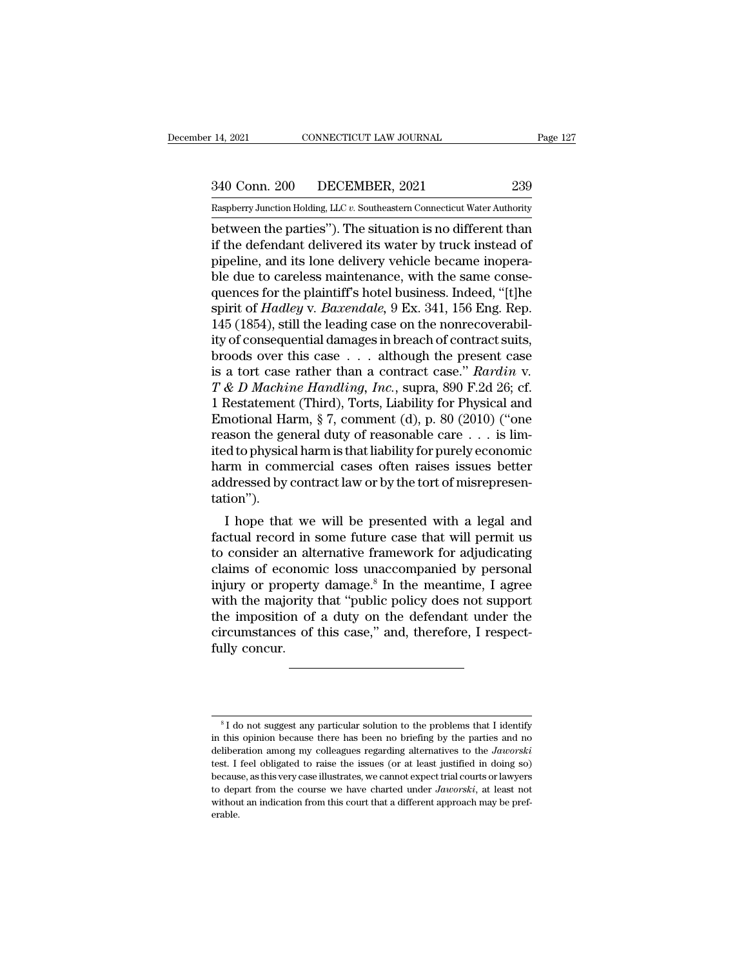14, 2021 CONNECTICUT LAW JOURNAL Page 127<br>340 Conn. 200 DECEMBER, 2021 239<br>Raspberry Junction Holding, LLC v. Southeastern Connecticut Water Authority

Pecember 14, 2021 CONNECTICUT LAW JOURNAL Page 127<br>
239 Raspberry Junction Holding, LLC *v.* Southeastern Connecticut Water Authority<br>
239 Raspberry Junction Holding, LLC *v.* Southeastern Connecticut Water Authority<br>
239 14, 2021 CONNECTICUT LAW JOURNAL Page 127<br>
340 Conn. 200 DECEMBER, 2021 239<br>
Raspberry Junction Holding, LLC v. Southeastern Connecticut Water Authority<br>
between the parties''). The situation is no different than<br>
if the d  $\frac{340 \text{ Conn. } 200}{\text{Raspberry Junction Holding, LLC } v.$  Southeastern Connecticut Water Authority<br>between the parties"). The situation is no different than<br>if the defendant delivered its water by truck instead of<br>pipeline, and its lone deliv  $\frac{340 \text{ Conn. } 200}{\text{Raspberry Junction Hodg. } \text{LLC } v. }$  Southeastern Connecticut Water Authority<br>between the parties"). The situation is no different than<br>if the defendant delivered its water by truck instead of<br>pipeline, and its lone d  $\frac{340 \text{ Conn. } 200}{\text{Raspberry Junction Holding, LLC } v.$  Southeastern Connecticut Water Authority<br>between the parties"). The situation is no different than<br>if the defendant delivered its water by truck instead of<br>pipeline, and its lone delive Raspberry Junction Holding, LLC v. Southeastern Connecticut Water Authority<br>between the parties"). The situation is no different than<br>if the defendant delivered its water by truck instead of<br>pipeline, and its lone delivery Raspberry Junction Holding, LLC *v*. Southeastern Connecticut Water Authority<br>between the parties"). The situation is no different than<br>if the defendant delivered its water by truck instead of<br>pipeline, and its lone delive between the parties"). The situation is no different than<br>if the defendant delivered its water by truck instead of<br>pipeline, and its lone delivery vehicle became inopera-<br>ble due to careless maintenance, with the same cons if the defendant delivered its water by truck instead of<br>pipeline, and its lone delivery vehicle became inopera-<br>ble due to careless maintenance, with the same conse-<br>quences for the plaintiff's hotel business. Indeed, "[ pipeline, and its lone delivery vehicle became inopera-<br>ble due to careless maintenance, with the same conse-<br>quences for the plaintiff's hotel business. Indeed, "[t]he<br>spirit of *Hadley v. Baxendale*, 9 Ex. 341, 156 Eng. ble due to careless maintenance, with the same consequences for the plaintiff's hotel business. Indeed, "[t]he<br>spirit of *Hadley v. Baxendale*, 9 Ex. 341, 156 Eng. Rep.<br>145 (1854), still the leading case on the nonrecovera spirit of *Hadley* v. *Baxendale*, 9 Ex. 341, 156 Eng. Rep.<br>145 (1854), still the leading case on the nonrecoverability of consequential damages in breach of contract suits,<br>broods over this case . . . although the presen 145 (1854), still the leading case on the nonrecoverability of consequential damages in breach of contract suits, broods over this case . . . although the present case is a tort case rather than a contract case." *Rardin* ity of consequential damages in breach of contract suits,<br>broods over this case . . . although the present case<br>is a tort case rather than a contract case." *Rardin v*.<br> $T \& D$  *Machine Handling, Inc.*, supra, 890 F.2d 26; broods over this case . . . although the present case<br>is a tort case rather than a contract case." Rardin v.<br>T & D Machine Handling, Inc., supra, 890 F.2d 26; cf.<br>1 Restatement (Third), Torts, Liability for Physical and<br>E is a tort case rather than a contract case." Rardin v.<br>
T & D Machine Handling, Inc., supra, 890 F.2d 26; cf.<br>
1 Restatement (Third), Torts, Liability for Physical and<br>
Emotional Harm, § 7, comment (d), p. 80 (2010) ("one  $T \& D$  Machine Handling, Inc., supra, 890 F.2d 26; cf.<br>1 Restatement (Third), Torts, Liability for Physical and<br>Emotional Harm, § 7, comment (d), p. 80 (2010) ("one<br>reason the general duty of reasonable care . . . is limtation''). I houtonal Harm,  $\frac{1}{2}$   $\frac{1}{2}$ , comment (d),  $\frac{1}{2}$ . So (2010) ( one asson the general duty of reasonable care  $\ldots$  is lim-<br>d to physical harm is that liability for purely economic<br>rm in commercial cases often r Feason the general duty of reasonable care  $\ldots$  is infilted to physical harm is that liability for purely economic<br>harm in commercial cases often raises issues better<br>addressed by contract law or by the tort of misrepres

the computer of physical names in alternative form alternative form and determination").<br>
I hope that we will be presented with a legal and factual record in some future case that will permit us<br>
to consider an alternative nami in commercial cases onen raises issues better<br>addressed by contract law or by the tort of misrepresen-<br>tation").<br>I hope that we will be presented with a legal and<br>factual record in some future case that will permit us addressed by contract law of by the tort of instepnesentation").<br>
I hope that we will be presented with a legal and<br>
factual record in some future case that will permit us<br>
to consider an alternative framework for adjudica I hope that we will be presented with a legal and factual record in some future case that will permit us to consider an alternative framework for adjudicating claims of economic loss unaccompanied by personal injury or pr I hope that we will be presented with a legal and<br>factual record in some future case that will permit us<br>to consider an alternative framework for adjudicating<br>claims of economic loss unaccompanied by personal<br>injury or pro factual record in some future case that will permit us<br>to consider an alternative framework for adjudicating<br>claims of economic loss unaccompanied by personal<br>injury or property damage.<sup>8</sup> In the meantime, I agree<br>with the to consider an alt<br>claims of econom<br>injury or property<br>with the majority<br>the imposition of<br>circumstances of<br>fully concur.

<sup>&</sup>lt;sup>8</sup> I do not suggest any particular solution to the problems that I identify<br><sup>8</sup> I do not suggest any particular solution to the problems that I identify<br>with this opinion because there has been no briefing by the parties  $^8$ I do not suggest any particular solution to the problems that I identify<br>in this opinion because there has been no briefing by the parties and no<br>deliberation among my colleagues regarding alternatives to the *Jaworsk* <sup>8</sup>I do not suggest any particular solution to the problems that I identify<br>in this opinion because there has been no briefing by the parties and no<br>deliberation among my colleagues regarding alternatives to the *Jaworski* <sup>8</sup> I do not suggest any particular solution to the problems that I identify<br>in this opinion because there has been no briefing by the parties and no<br>deliberation among my colleagues regarding alternatives to the *Jaworsk* <sup>8</sup> I do not suggest any particular solution to the problems that I identify<br>in this opinion because there has been no briefing by the parties and no<br>deliberation among my colleagues regarding alternatives to the *Jaworsk* <sup>8</sup> I do not suggest any particular solution to the problems that I identify<br>in this opinion because there has been no briefing by the parties and no<br>deliberation among my colleagues regarding alternatives to the *Jaworsk* in this opinion because there has been no briefing by the parties and no deliberation among my colleagues regarding alternatives to the *Jaworski* test. I feel obligated to raise the issues (or at least justified in doing erable.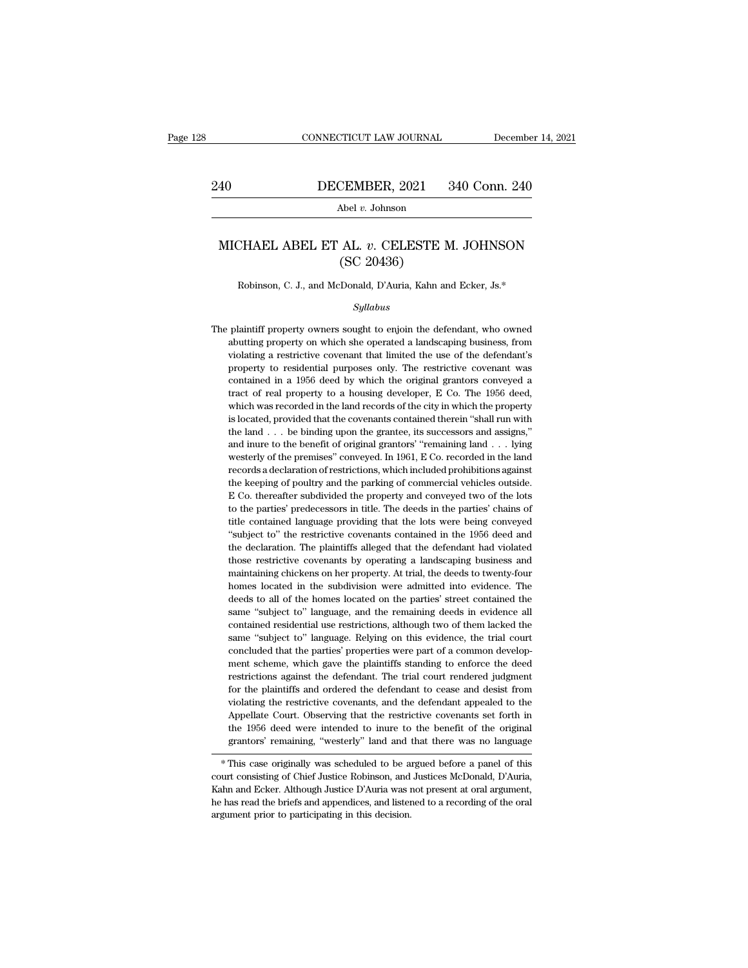# EXECUTE CONNECTICUT LAW JOURNAL December 14, 2021<br>240 DECEMBER, 2021 340 Conn. 240<br>Abel v. Johnson

Abel *v.* Johnson

## MICHAEL ABEL ET AL. *v*. CELESTE M. JOHNSON<br>(SC 20436) CEMBER, 2021<br>
Abel v. Johnson<br>
AL. v. CELESTE M<br>
(SC 20436)<br>
Donald, D'Auria, Kahn an CHAEL ABEL ET AL. *v*. CELESTE M. JOHNSON<br>(SC 20436)<br>Robinson, C. J., and McDonald, D'Auria, Kahn and Ecker, Js.\*

## *Syllabus*

 $(SC 20436)$ <br>Robinson, C. J., and McDonald, D'Auria, Kahn and Ecker, Js.\*<br>Syllabus<br>The plaintiff property owners sought to enjoin the defendant, who owned<br>abutting property on which she operated a landscaping business, fro Robinson, C. J., and McDonald, D'Auria, Kahn and Ecker, Js.\*<br>
Syllabus<br>
plaintiff property owners sought to enjoin the defendant, who owned<br>
abutting property on which she operated a landscaping business, from<br>
violating a Robinson, C. J., and McDonald, D'Auria, Kahn and Ecker, Js.\*<br>Syllabus<br>plaintiff property owners sought to enjoin the defendant, who owned<br>abutting property on which she operated a landscaping business, from<br>violating a res *Syllabus*<br>property owners sought to enjoin the defendant, who owned<br>abutting property on which she operated a landscaping business, from<br>violating a restrictive covenant that limited the use of the defendant's<br>property to syuaous<br>plaintiff property owners sought to enjoin the defendant, who owned<br>abutting property on which she operated a landscaping business, from<br>violating a restrictive covenant that limited the use of the defendant's<br>prop plaintiff property owners sought to enjoin the defendant, who owned abutting property on which she operated a landscaping business, from violating a restrictive covenant that limited the use of the defendant's property to partiting property on which she operated a landscaping business, from violating a restrictive covenant that limited the use of the defendant's property to residential purposes only. The restrictive covenant was contained i is located, provided that the covenant that limited the use of the defendant's property to residential purposes only. The restrictive covenant was contained in a 1956 deed by which the original grantors conveyed a tract of property to residential purposes only. The restrictive covenant was contained in a 1956 deed by which the original grantors conveyed a tract of real property to a housing developer, E Co. The 1956 deed, which was recorded property in a 1956 deed by which the original grantors conveyed a tract of real property to a housing developer, E Co. The 1956 deed, which was recorded in the land records of the city in which the property is located, pr tract of real property to a housing developer, E Co. The 1956 deed, which was recorded in the land records of the city in which the property is located, provided that the covenants contained therein "shall run with the la which was recorded in the land records of the city in which the property is located, provided that the covenants contained therein "shall run with the land  $\ldots$  be binding upon the grantee, its successors and assigns," a is located, provided that the covenants contained therein "shall run with<br>the land  $\ldots$  be binding upon the grantee, its successors and assigns,"<br>and inure to the benefit of original grantors' "remaining land  $\ldots$  lying the land  $\ldots$  be binding upon the grantee, its successors and assigns,"<br>and inure to the benefit of original grantors' "remaining land  $\ldots$  lying<br>westerly of the premises" conveyed. In 1961, E Co. recorded in the land<br>r and inure to the benefit of original grantors' "remaining land  $\ldots$  lying westerly of the premises" conveyed. In 1961, E Co. recorded in the land records a declaration of restrictions, which included prohibitions against westerly of the premises" conveyed. In 1961, E Co. recorded in the land<br>records a declaration of restrictions, which included prohibitions against<br>the keeping of poultry and the parking of commercial vehicles outside.<br>E Co "''' records a declaration of restrictions, which included prohibitions against the keeping of poultry and the parking of commercial vehicles outside. E Co. thereafter subdivided the property and conveyed two of the lots t the keeping of poultry and the parking of commercial vehicles outside.<br>E Co. thereafter subdivided the property and conveyed two of the lots<br>to the parties' predecessors in title. The deeds in the parties' chains of<br>title E Co. thereafter subdivided the property and conveyed two of the lots<br>to the parties' predecessors in title. The deeds in the parties' chains of<br>title contained language providing that the lots were being conveyed<br>"subject E Co. thereafter subdivided the property and conveyed two of the lots to the parties' predecessors in title. The deeds in the parties' chains of title contained language providing that the lots were being conveyed "subjec title contained language providing that the lots were being conveyed "subject to" the restrictive covenants contained in the 1956 deed and the declaration. The plaintiffs alleged that the defendant had violated those restr "subject to" the restrictive covenants contained in the 1956 deed and the declaration. The plaintiffs alleged that the defendant had violated those restrictive covenants by operating a landscaping business and maintaining the declaration. The plaintiffs alleged that the defendant had violated those restrictive covenants by operating a landscaping business and maintaining chickens on her property. At trial, the deeds to twenty-four homes loc those restrictive covenants by operating a landscaping business and<br>maintaining chickens on her property. At trial, the deeds to twenty-four<br>homes located in the subdivision were admitted into evidence. The<br>deeds to all of maintaining chickens on her property. At trial, the deeds to twenty-four homes located in the subdivision were admitted into evidence. The deeds to all of the homes located on the parties' street contained the same "subjec homes located in the subdivision were admitted into evidence. The deeds to all of the homes located on the parties' street contained the same "subject to" language, and the remaining deeds in evidence all contained residen deeds to all of the homes located on the parties' street contained the same "subject to" language, and the remaining deeds in evidence all contained residential use restrictions, although two of them lacked the same "subje same "subject to" language, and the remaining deeds in evidence all contained residential use restrictions, although two of them lacked the same "subject to" language. Relying on this evidence, the trial court concluded th contained residential use restrictions, although two of them lacked the same "subject to" language. Relying on this evidence, the trial court concluded that the parties' properties were part of a common development scheme, same "subject to" language. Relying on this evidence, the trial court concluded that the parties' properties were part of a common development scheme, which gave the plaintiffs standing to enforce the deed restrictions aga concluded that the parties' properties were part of a common development scheme, which gave the plaintiffs standing to enforce the deed restrictions against the defendant. The trial court rendered judgment for the plaintif concluded that the parties' properties were part of a common development scheme, which gave the plaintiffs standing to enforce the deed restrictions against the defendant. The trial court rendered judgment for the plaintif restrictions against the defendant. The trial court rendered judgment<br>for the plaintiffs and ordered the defendant to cease and desist from<br>violating the restrictive covenants, and the defendant appealed to the<br>Appellate C for the plantins and ordered the detendant to cease and desist from<br>violating the restrictive covenants, and the defendant appealed to the<br>Appellate Court. Observing that the restrictive covenants set forth in<br>the 1956 dee violating the restrictive coventants, and the detendant appeared to the<br>Appellate Court. Observing that the restrictive covenants set forth in<br>the 1956 deed were intended to inure to the benefit of the original<br>grantors' r

Appenate Court. Observing that the restrictive covenants set forth in<br>the 1956 deed were intended to inure to the benefit of the original<br>grantors' remaining, "westerly" land and that there was no language<br>\* This case orig different acts are members of the briefs and appendices, and that there was no language<br>
\* This case originally was scheduled to be argued before a panel of this<br>
court consisting of Chief Justice Robinson, and Justices Mc grantors remaining, westerly land and<br>
\* This case originally was scheduled to be a<br>
court consisting of Chief Justice Robinson, and<br>
Kahn and Ecker. Although Justice D'Auria was he<br>
has read the briefs and appendices, and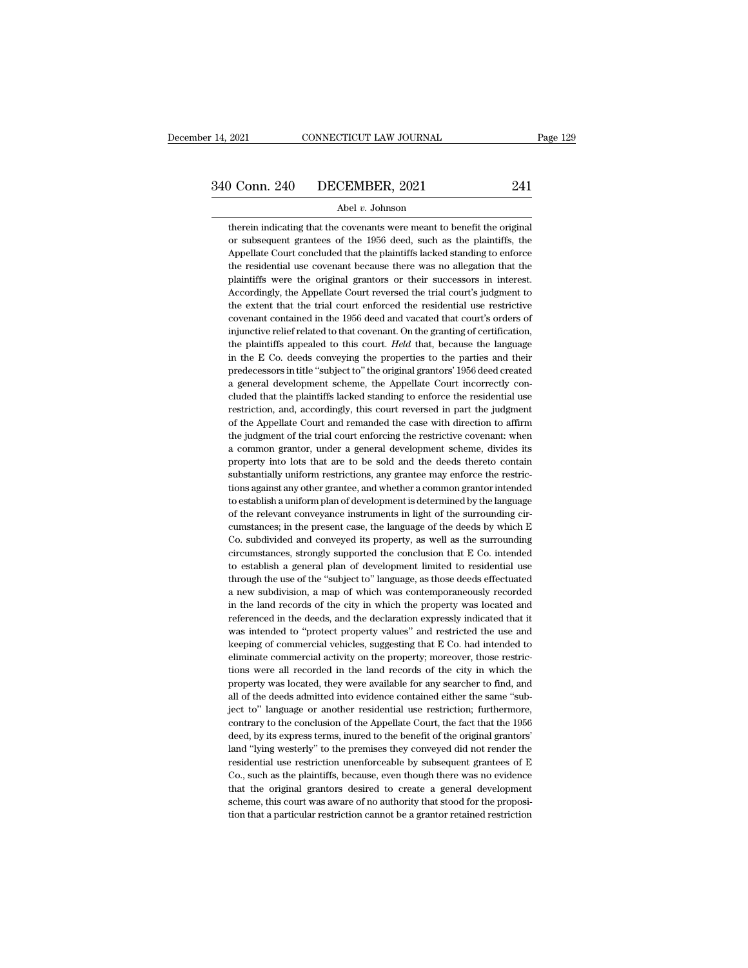therein indicating that the covenants were meant to benefit the original<br>or subsequent grantees of the 1956 deed, such as the plaintiffs, the **ORTEMBER, 2021** 241<br>Abel v. Johnson<br>therein indicating that the covenants were meant to benefit the original<br>or subsequent grantees of the 1956 deed, such as the plaintiffs, the<br>Appellate Court concluded that the plainti  $\begin{array}{r|l} \text{O} & \text{DECEMBER, 2021} & \text{241} \\ \text{Abel } v. \text{ Johnson} \end{array}$ <br>therein indicating that the covenants were meant to benefit the original<br>or subsequent grantees of the 1956 deed, such as the plaintiffs, the<br>Appellate Court concl Abel  $v$ . Johnson<br>therein indicating that the covenants were meant to benefit the original<br>or subsequent grantees of the 1956 deed, such as the plaintiffs, the<br>Appellate Court concluded that the plaintiffs lacked standing Abel v. Johnson<br>therein indicating that the covenants were meant to benefit the original<br>or subsequent grantees of the 1956 deed, such as the plaintiffs, the<br>Appellate Court concluded that the plaintiffs lacked standing to therein indicating that the covenants were meant to benefit the original<br>or subsequent grantees of the 1956 deed, such as the plaintiffs, the<br>Appellate Court concluded that the plaintiffs lacked standing to enforce<br>the res or subsequent grantees of the 1956 deed, such as the plaintiffs, the Appellate Court concluded that the plaintiffs lacked standing to enforce the residential use covenant because there was no allegation that the plaintiffs Appellate Court concluded that the plaintiffs lacked standing to enforce the residential use covenant because there was no allegation that the plaintiffs were the original grantors or their successors in interest. Accordin the residential use covenant because there was no allegation that the plaintiffs were the original grantors or their successors in interest. Accordingly, the Appellate Court reversed the trial court's judgment to the exten plaintiffs were the original grantors or their successors in interest.<br>Accordingly, the Appellate Court reversed the trial court's judgment to<br>the extent that the trial court enforced the residential use restrictive<br>covena Accordingly, the Appellate Court reversed the trial court's judgment to<br>the extent that the trial court enforced the residential use restrictive<br>covenant contained in the 1956 deed and vacated that court's orders of<br>injunc the extent that the trial court enforced the residential use restrictive<br>covenant contained in the 1956 deed and vacated that court's orders of<br>injunctive relief related to that covenant. On the granting of certification,<br> covenant contained in the 1956 deed and vacated that court's orders of<br>injunctive relief related to that covenant. On the granting of certification,<br>the plaintiffs appealed to this court. *Held* that, because the language<br> injunctive relief related to that covenant. On the granting of certification,<br>the plaintiffs appealed to this court. *Held* that, because the language<br>in the E Co. deeds conveying the properties to the parties and their<br>pr the plaintiffs appealed to this court. *Held* that, because the language in the E Co. deeds conveying the properties to the parties and their predecessors in title "subject to" the original grantors' 1956 deed created a ge in the E Co. deeds conveying the properties to the parties and their predecessors in title "subject to" the original grantors' 1956 deed created a general development scheme, the Appellate Court incorrectly concluded that predecessors in title "subject to" the original grantors' 1956 deed created<br>a general development scheme, the Appellate Court incorrectly con-<br>cluded that the plaintiffs lacked standing to enforce the residential use<br>restr predecessors in title "subject to" the original grantors' 1956 deed created a general development scheme, the Appellate Court incorrectly concluded that the plaintiffs lacked standing to enforce the residential use restric cluded that the plaintiffs lacked standing to enforce the residential use restriction, and, accordingly, this court reversed in part the judgment of the Appellate Court and remanded the case with direction to affirm the ju restriction, and, accordingly, this court reversed in part the judgment of the Appellate Court and remanded the case with direction to affirm the judgment of the trial court enforcing the restrictive covenant: when a commo of the Appellate Court and remanded the case with direction to affirm<br>the judgment of the trial court enforcing the restrictive covenant: when<br>a common grantor, under a general development scheme, divides its<br>property into the judgment of the trial court enforcing the restrictive covenant: when<br>a common grantor, under a general development scheme, divides its<br>property into lots that are to be sold and the deeds thereto contain<br>substantially a common grantor, under a general development scheme, divides its property into lots that are to be sold and the deeds thereto contain substantially uniform restrictions, any grantee may enforce the restrictions against an property into lots that are to be sold and the deeds thereto contain<br>substantially uniform restrictions, any grantee may enforce the restric-<br>tions against any other grantee, and whether a common grantor intended<br>to establ substantially uniform restrictions, any grantee may enforce the restrictions against any other grantee, and whether a common grantor intended to establish a uniform plan of development is determined by the language of the tions against any other grantee, and whether a common grantor intended<br>to establish a uniform plan of development is determined by the language<br>of the relevant conveyance instruments in light of the surrounding cir-<br>cumsta to establish a uniform plan of development is determined by the language<br>of the relevant conveyance instruments in light of the surrounding cir-<br>cumstances; in the present case, the language of the deeds by which E<br>Co. sub of the relevant conveyance instruments in light of the surrounding circumstances; in the present case, the language of the deeds by which E Co. subdivided and conveyed its property, as well as the surrounding circumstances cumstances; in the present case, the language of the deeds by which E<br>Co. subdivided and conveyed its property, as well as the surrounding<br>circumstances, strongly supported the conclusion that E Co. intended<br>to establish a Co. subdivided and conveyed its property, as well as the surrounding circumstances, strongly supported the conclusion that E Co. intended to establish a general plan of development limited to residential use through the us circumstances, strongly supported the conclusion that E Co. intended to establish a general plan of development limited to residential use through the use of the "subject to" language, as those deeds effectuated a new subd to establish a general plan of development limited to residential use<br>through the use of the "subject to" language, as those deeds effectuated<br>a new subdivision, a map of which was contemporaneously recorded<br>in the land re through the use of the "subject to" language, as those deeds effectuated<br>a new subdivision, a map of which was contemporaneously recorded<br>in the land records of the city in which the property was located and<br>referenced in a new subdivision, a map of which was contemporaneously recorded<br>in the land records of the city in which the property was located and<br>referenced in the deeds, and the declaration expressly indicated that it<br>was intended t in the land records of the city in which the property was located and referenced in the deeds, and the declaration expressly indicated that it was intended to "protect property values" and restricted the use and keeping of referenced in the deeds, and the declaration expressly indicated that it was intended to "protect property values" and restricted the use and keeping of commercial vehicles, suggesting that E Co. had intended to eliminate was intended to "protect property values" and restricted the use and<br>keeping of commercial vehicles, suggesting that E Co. had intended to<br>eliminate commercial activity on the property; moreover, those restric-<br>tions were keeping of commercial vehicles, suggesting that E Co. had intended to<br>eliminate commercial activity on the property; moreover, those restric-<br>tions were all recorded in the land records of the city in which the<br>property wa eliminate commercial activity on the property; moreover, those restrictions were all recorded in the land records of the city in which the property was located, they were available for any searcher to find, and all of the tions were all recorded in the land records of the city in which the property was located, they were available for any searcher to find, and all of the deeds admitted into evidence contained either the same "subject to" la property was located, they were available for any searcher to find, and<br>all of the deeds admitted into evidence contained either the same "sub-<br>ject to" language or another residential use restriction; furthermore,<br>contrar all of the deeds admitted into evidence contained either the same "subject to" language or another residential use restriction; furthermore, contrary to the conclusion of the Appellate Court, the fact that the 1956 deed, b ject to" language or another residential use restriction; furthermore, contrary to the conclusion of the Appellate Court, the fact that the 1956 deed, by its express terms, inured to the benefit of the original grantors' l contrary to the conclusion of the Appellate Court, the fact that the 1956 deed, by its express terms, inured to the benefit of the original grantors' land "lying westerly" to the premises they conveyed did not render the r deed, by its express terms, inured to the benefit of the original grantors'<br>land "lying westerly" to the premises they conveyed did not render the<br>residential use restriction unenforceable by subsequent grantees of E<br>Co., land "lying westerly" to the premises they conveyed did not render the residential use restriction unenforceable by subsequent grantees of E Co., such as the plaintiffs, because, even though there was no evidence that the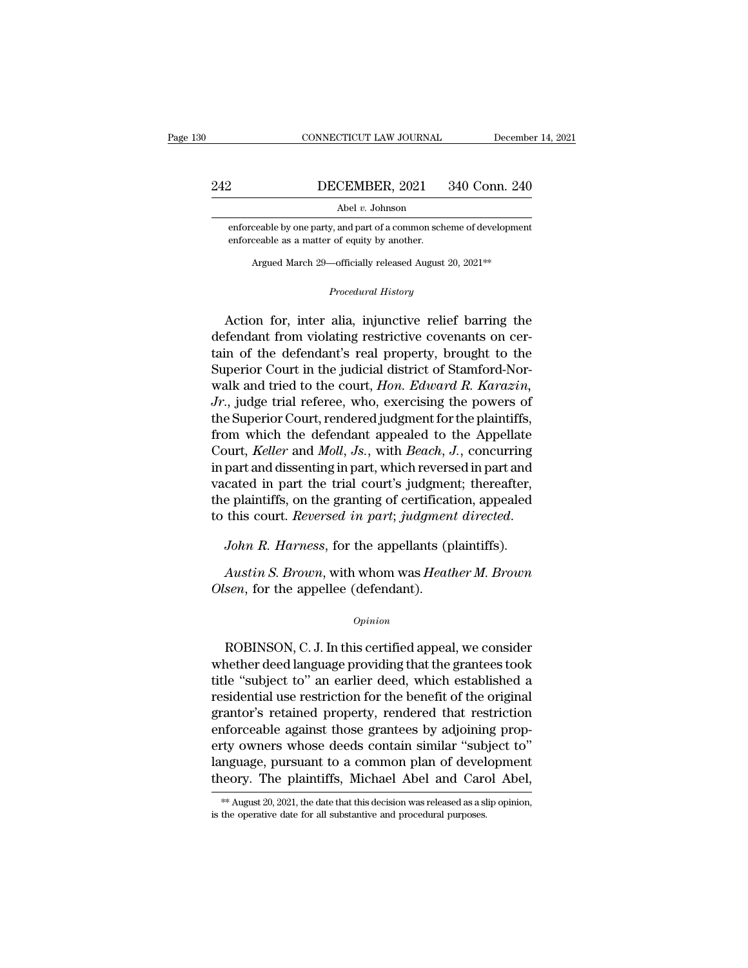# EXECUTE CONNECTICUT LAW JOURNAL December 14, 2021<br>242 DECEMBER, 2021 340 Conn. 240<br>Abel v. Johnson

Abel *v.* Johnson

enforceable by one party, and part of a common scheme of development<br>enforceable by one party, and part of a common scheme of development<br>enforceable as a matter of equity by another. **EXEMBER, 2021**<br>Abel v. Johnson<br>enforceable by one party, and part of a common schenforceable as a matter of equity by another. Abel *v*. Johnson<br>Abel *v*. Johnson<br>ceable by one party, and part of a common scheme of development<br>ceable as a matter of equity by another.<br>Argued March 29—officially released August 20, 2021<sup>\*\*</sup>

enforceable as a matter of equity by another.<br> *Argued March 29—officially released August 20, 2021<sup>\*\*</sup><br>
<i>Procedural History*<br> **Action for, inter alia, injunctive relief barring the** enforceable by one party, and part of a common scheme of development<br>enforceable as a matter of equity by another.<br>Argued March 29—officially released August 20, 2021<sup>\*\*</sup><br>*Procedural History*<br>Action for, inter alia, injunc enforceable as a matter of equity by another.<br>
Argued March 29—officially released August 20, 2021<sup>\*\*</sup><br> *Procedural History*<br> **Action for, inter alia, injunctive relief barring the defendant from violating restrictive cove** Argued March 29—officially released August 20, 2021<sup>\*\*</sup><br> *Procedural History*<br>
Action for, inter alia, injunctive relief barring the<br>
defendant from violating restrictive covenants on cer-<br>
tain of the defendant's real pro Procedural History<br>
Action for, inter alia, injunctive relief barring the<br>
defendant from violating restrictive covenants on cer-<br>
tain of the defendant's real property, brought to the<br>
Superior Court in the judicial distr *Procedural History*<br>
Action for, inter alia, injunctive relief barring the<br>
defendant from violating restrictive covenants on cer-<br>
tain of the defendant's real property, brought to the<br>
Superior Court in the judicial dis Action for, inter alia, injunctive relief barring the<br>defendant from violating restrictive covenants on cer-<br>tain of the defendant's real property, brought to the<br>Superior Court in the judicial district of Stamford-Nor-<br>wa Action for, inter alia, injunctive relief barring the<br>defendant from violating restrictive covenants on cer-<br>tain of the defendant's real property, brought to the<br>Superior Court in the judicial district of Stamford-Nor-<br>w defendant from violating restrictive covenants on certain of the defendant's real property, brought to the Superior Court in the judicial district of Stamford-Nor-<br>walk and tried to the court, *Hon. Edward R. Karazin*, *Jr* tain of the defendant's real property, brought to the<br>Superior Court in the judicial district of Stamford-Nor-<br>walk and tried to the court, *Hon. Edward R. Karazin*,<br>*Jr.*, judge trial referee, who, exercising the powers o Superior Court in the judicial district of Stamford-Nor-<br>walk and tried to the court, *Hon. Edward R. Karazin*,<br>*Jr.*, judge trial referee, who, exercising the powers of<br>the Superior Court, rendered judgment for the plain walk and tried to the court, *Hon. Edward R. Karazin*,<br>*Jr.*, judge trial referee, who, exercising the powers of<br>the Superior Court, rendered judgment for the plaintiffs,<br>from which the defendant appealed to the Appellate Jr., judge trial referee, who, exercising the powers of<br>the Superior Court, rendered judgment for the plaintiffs,<br>from which the defendant appealed to the Appellate<br>Court, *Keller* and *Moll*, Js., with *Beach*, J., concu the Superior Court, rendered judgment for the plaintiffs,<br>from which the defendant appealed to the Appellate<br>Court, *Keller* and *Moll*, *Js.*, with *Beach*, *J.*, concurring<br>in part and dissenting in part, which reversed *Austin S. Browning in part, with Wirelinstein part and* cated in part the trial court's judgment; thereafter, e plaintiffs, on the granting of certification, appealed this court. *Reversed in part; judgment directed.*<br>Joh *Charles in part and centre jagging*<br>the plaintiffs, on the granting of certificat<br>to this court. *Reversed in part*; *judgmen*<br>John R. Harness, for the appellants (p<br>Austin S. Brown, with whom was Heati<br>Olsen, for the app

*Opinion*

Francess, for the appenants (plantins).<br>
Austin S. Brown, with whom was Heather M. Brown<br>
sen, for the appellee (defendant).<br>
Opinion<br>
ROBINSON, C. J. In this certified appeal, we consider<br>
nether deed language providing t Austin S. Brown, with whom was Heather M. Brown<br>Olsen, for the appellee (defendant).<br>
opinion<br>
ROBINSON, C. J. In this certified appeal, we consider<br>
whether deed language providing that the grantees took<br>
title "subject t Olsen, for the appellee (defendant).<br>
opinion<br>
ROBINSON, C. J. In this certified appeal, we consider<br>
whether deed language providing that the grantees took<br>
title "subject to" an earlier deed, which established a<br>
residen opinion<br>
opinion<br>
ROBINSON, C. J. In this certified appeal, we consider<br>
whether deed language providing that the grantees took<br>
title "subject to" an earlier deed, which established a<br>
residential use restriction for the  $o$ <sub>pinion</sub><br>ROBINSON, C. J. In this certified appeal, we consider<br>whether deed language providing that the grantees took<br>title "subject to" an earlier deed, which established a<br>residential use restriction for the benefit ROBINSON, C. J. In this certified appeal, we consider<br>whether deed language providing that the grantees took<br>title "subject to" an earlier deed, which established a<br>residential use restriction for the benefit of the origin ROBINSON, C. J. In this certified appeal, we consider<br>whether deed language providing that the grantees took<br>title "subject to" an earlier deed, which established a<br>residential use restriction for the benefit of the origin whether deed language providing that the grantees took<br>title "subject to" an earlier deed, which established a<br>residential use restriction for the benefit of the original<br>grantor's retained property, rendered that restrict title "subject to" an earlier deed, which established a<br>residential use restriction for the benefit of the original<br>grantor's retained property, rendered that restriction<br>enforceable against those grantees by adjoining pro erty owners whose deeds contain similar "subject to"<br>language, pursuant to a common plan of development<br>theory. The plaintiffs, Michael Abel and Carol Abel,<br>\*\* August 20, 2021, the date that this decision was released as a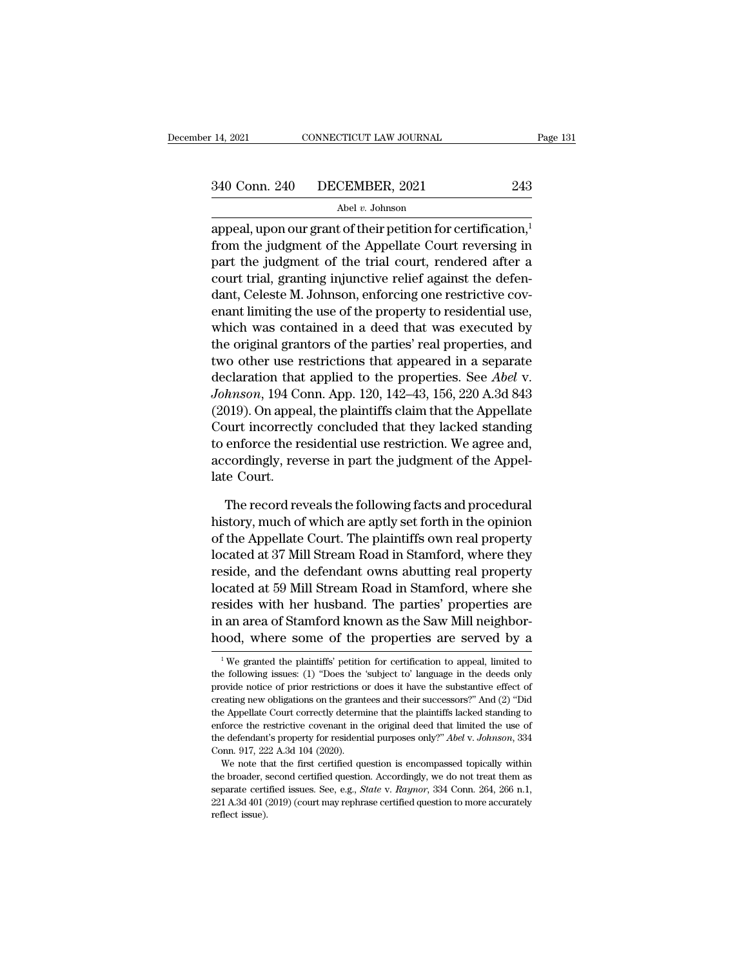14, 2021 CONNECTICUT LAW JOURNAL Page 13<br>  $\begin{array}{r}\n 340 \text{ Conn. } 240 \text{ DECEMBER, } 2021 \qquad 243 \\
 \hline\n \text{Abel } v. \text{ Johnson} \\
 \text{append, upon our grant of their pettition for certification,} \\
 \text{from the judgment of the Appellate Court reversing in part the judgment of the trivial court, non-doped often.} \n\end{array}$  $f$  340 Conn. 240 DECEMBER, 2021 243<br>
Abel v. Johnson<br>
appeal, upon our grant of their petition for certification,<sup>1</sup><br>
from the judgment of the Appellate Court reversing in<br>
part the judgment of the trial court, rendered 340 Conn. 240 DECEMBER, 2021 243<br>
Abel v. Johnson<br>
appeal, upon our grant of their petition for certification,<sup>1</sup><br>
from the judgment of the Appellate Court reversing in<br>
part the judgment of the trial court, rendered afte 340 Conn. 240 DECEMBER, 2021 243<br>
Abel v. Johnson<br>
appeal, upon our grant of their petition for certification,<sup>1</sup><br>
from the judgment of the Appellate Court reversing in<br>
part the judgment of the trial court, rendered afte  $\Delta$ <sup>Abel v.</sup> Johnson<br>appeal, upon our grant of their petition for certification,<sup>1</sup><br>from the judgment of the Appellate Court reversing in<br>part the judgment of the trial court, rendered after a<br>court trial, granting injun appeal, upon our grant of their petition for certification,<sup>1</sup><br>from the judgment of the Appellate Court reversing in<br>part the judgment of the trial court, rendered after a<br>court trial, granting injunctive relief against t appeal, upon our grant of their petition for certification,<sup>1</sup><br>from the judgment of the Appellate Court reversing in<br>part the judgment of the trial court, rendered after a<br>court trial, granting injunctive relief against th from the judgment of the Appellate Court reversing in<br>part the judgment of the trial court, rendered after a<br>court trial, granting injunctive relief against the defen-<br>dant, Celeste M. Johnson, enforcing one restrictive co part the judgment of the trial court, rendered after a<br>court trial, granting injunctive relief against the defen-<br>dant, Celeste M. Johnson, enforcing one restrictive cov-<br>enant limiting the use of the property to resident court trial, granting injunctive relief against the deten-<br>dant, Celeste M. Johnson, enforcing one restrictive cov-<br>enant limiting the use of the property to residential use,<br>which was contained in a deed that was executed dant, Celeste M. Johnson, enforcing one restrictive covenant limiting the use of the property to residential use, which was contained in a deed that was executed by the original grantors of the parties' real properties, an enant limiting the use of the property to residential use,<br>which was contained in a deed that was executed by<br>the original grantors of the parties' real properties, and<br>two other use restrictions that appeared in a separat which was contained in a deed that was executed by<br>the original grantors of the parties' real properties, and<br>two other use restrictions that appeared in a separate<br>declaration that applied to the properties. See *Abel* v the original grantors of the parties' real properties, and<br>two other use restrictions that appeared in a separate<br>declaration that applied to the properties. See *Abel* v.<br>Johnson, 194 Conn. App. 120, 142–43, 156, 220 A.3d two other use restrictions that appeared in a separate<br>declaration that applied to the properties. See *Abel v.*<br>Johnson, 194 Conn. App. 120, 142–43, 156, 220 A.3d 843<br>(2019). On appeal, the plaintiffs claim that the Appel declaration that<br>*Johnson*, 194 Co<br>(2019). On appea<br>Court incorrectl<br>to enforce the re<br>accordingly, rev<br>late Court.<br>The record re 019). On appeal, the plaintiffs claim that the Appellate<br>burt incorrectly concluded that they lacked standing<br>enforce the residential use restriction. We agree and,<br>cordingly, reverse in part the judgment of the Appel-<br>rec Court incorrectly concluded that they lacked standing<br>to enforce the residential use restriction. We agree and,<br>accordingly, reverse in part the judgment of the Appel-<br>late Court.<br>The record reveals the following facts and

to enforce the residential use restriction. We agree and,<br>accordingly, reverse in part the judgment of the Appellate Court.<br>The record reveals the following facts and procedural<br>history, much of which are aptly set forth i accordingly, reverse in part the judgment of the Appellate Court.<br>
The record reveals the following facts and procedural<br>
history, much of which are aptly set forth in the opinion<br>
of the Appellate Court. The plaintiffs ow late Court.<br>The record reveals the following facts and procedural<br>history, much of which are aptly set forth in the opinion<br>of the Appellate Court. The plaintiffs own real property<br>located at 37 Mill Stream Road in Stamfor The record reveals the following facts and procedural<br>history, much of which are aptly set forth in the opinion<br>of the Appellate Court. The plaintiffs own real property<br>located at 37 Mill Stream Road in Stamford, where the The record reveals the following facts and procedural<br>history, much of which are aptly set forth in the opinion<br>of the Appellate Court. The plaintiffs own real property<br>located at 37 Mill Stream Road in Stamford, where the history, much of which are aptly set forth in the opinion<br>of the Appellate Court. The plaintiffs own real property<br>located at 37 Mill Stream Road in Stamford, where they<br>reside, and the defendant owns abutting real propert of the Appellate Court. The plaintiffs own real property<br>located at 37 Mill Stream Road in Stamford, where they<br>reside, and the defendant owns abutting real property<br>located at 59 Mill Stream Road in Stamford, where she<br>re located at 59 Mill Stream Road in Stamford, where she resides with her husband. The parties' properties are in an area of Stamford known as the Saw Mill neighborhood, where some of the properties are served by a  $\frac{1}{1}$ resides with her husband. The parties' properties are<br>in an area of Stamford known as the Saw Mill neighbor-<br>hood, where some of the properties are served by a<br><sup>1</sup>We granted the plaintiffs' petition for certification to ap

in an area of Stamford known as the Saw Mill neighborhood, where some of the properties are served by a  $\frac{1}{1}$  We granted the plaintiffs' petition for certification to appeal, limited to the following issues: (1) "Does hood, where some of the properties are served by a<br>  $\frac{1}{1}$ We granted the plaintiffs' petition for certification to appeal, limited to<br>
the following issues: (1) "Does the 'subject to' language in the deeds only<br>
provid The Appellate Court correctly determine that the plaintiffs lacked standing issues: (1) "Does the 'subject to' language in the deeds only provide notice of prior restrictions or does it have the substantive effect of crea <sup>1</sup> We granted the plaintiffs' petition for certification to appeal, limited to the following issues: (1) "Does the 'subject to' language in the deeds only provide notice of prior restrictions or does it have the substant the following issues: (1) "Does the 'subject to' language in the deeds only<br>provide notice of prior restrictions or does it have the substantive effect of<br>creating new obligations on the grantees and their successors?" And provide notice of prior restrictions of<br>provide notice of prior restrictions of<br>creating new obligations on the grant<br>the Appellate Court correctly determined<br>enforce the restrictive covenant in the<br>defendant's property fo eating new obligations on the grantees and their successors?" And (2) "Dide Appellate Court correctly determine that the plaintiffs lacked standing to force the restrictive covenant in the original deed that limited the u the Appellate Court correctly determine that the plaintiffs lacked standing to enforce the restrictive covenant in the original deed that limited the use of the defendant's property for residential purposes only?" *Abel*

separate verticlive covenant in the original deed that limited the use of the defendant's property for residential purposes only?" *Abel* v. *Johnson*, 334 Conn. 917, 222 A.3d 104 (2020).<br>We note that the first certified q the defendant's property for residential purposes only?" *Abel* v. *Johnson*, 334 Conn. 917, 222 A.3d 104 (2020).<br>We note that the first certified question is encompassed topically within the broader, second certified ques the defendant's property for residential purposes only?" Abel v. Johnson, 334 Conn. 917, 222 A.3d 104 (2020).<br>We note that the first certified question is encompassed topically within<br>the broader, second certified questio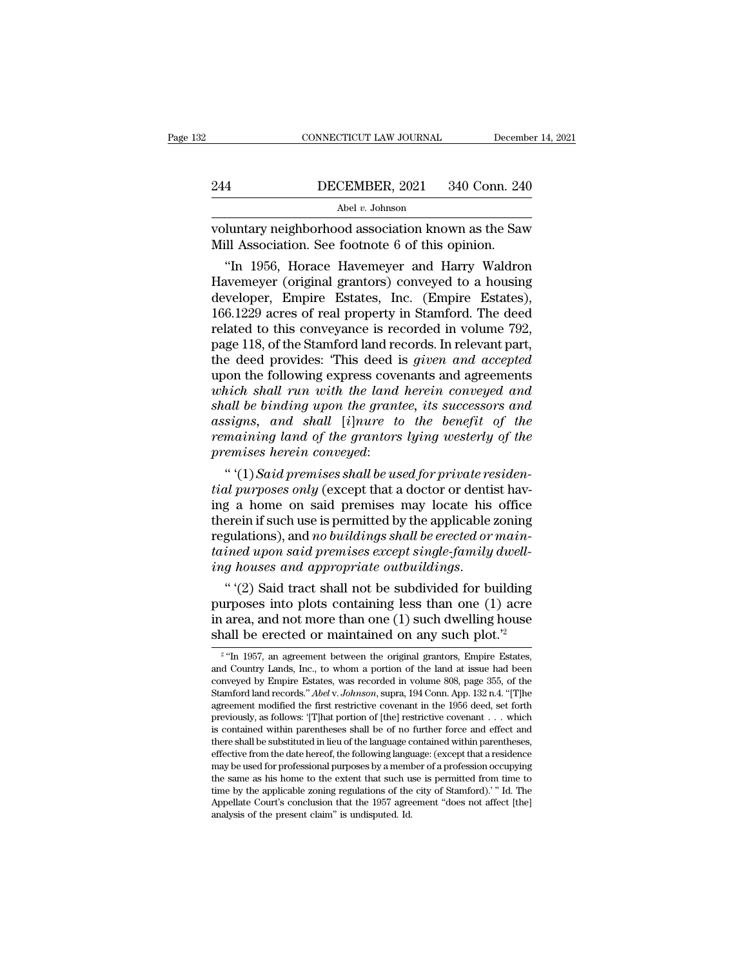CONNECTICUT LAW JOURNAL December 14, 2021<br>244 DECEMBER, 2021 340 Conn. 240<br>Abel v. Johnson<br>voluntary neighborhood association known as the Saw<br>Mill Association. See footnote 6 of this opinion. 244 DECEMBER, 2021 340 Conn. 24<br>Abel v. Johnson<br>Woluntary neighborhood association known as the Sav<br>Mill Association. See footnote 6 of this opinion.<br>"In 1956, Horace Havemeyer and Harry Waldro

<sup>Abel v</sup> Johnson<br>
<sup>Abel v</sup> Johnson<br>
luntary neighborhood association known as the Saw<br>
ill Association. See footnote 6 of this opinion.<br>
"In 1956, Horace Havemeyer and Harry Waldron<br>
wemeyer (original grantors) conveyed to 244 DECEMBER, 2021 340 Conn. 240<br>
Abel v. Johnson<br>
Voluntary neighborhood association known as the Saw<br>
Mill Association. See footnote 6 of this opinion.<br>
"In 1956, Horace Havemeyer and Harry Waldron<br>
Havemeyer (original g  $\frac{\text{Abel } v. \text{ Johnson}}{\text{Volutary neighborhood association known as the Saw}}$ <br>Will Association. See footnote 6 of this opinion.<br>"In 1956, Horace Havemeyer and Harry Waldron<br>Havemeyer (original grantors) conveyed to a housing<br>developer, Empire Estates, Inc. (Empire Est voluntary neighborhood association known as the Saw<br>Mill Association. See footnote 6 of this opinion.<br>"In 1956, Horace Havemeyer and Harry Waldron<br>Havemeyer (original grantors) conveyed to a housing<br>developer, Empire Estat voluntary neighborhood association known as the Saw<br>Mill Association. See footnote 6 of this opinion.<br>"In 1956, Horace Havemeyer and Harry Waldron<br>Havemeyer (original grantors) conveyed to a housing<br>developer, Empire Estat Mill Association. See footnote 6 of this opinion.<br>
"In 1956, Horace Havemeyer and Harry Waldron<br>
Havemeyer (original grantors) conveyed to a housing<br>
developer, Empire Estates, Inc. (Empire Estates),<br>
166.1229 acres of rea "In 1956, Horace Havemeyer and Harry Waldron<br>Havemeyer (original grantors) conveyed to a housing<br>developer, Empire Estates, Inc. (Empire Estates),<br>166.1229 acres of real property in Stamford. The deed<br>related to this conve Havemeyer (original grantors) conveyed to a housing<br>developer, Empire Estates, Inc. (Empire Estates),<br>166.1229 acres of real property in Stamford. The deed<br>related to this conveyance is recorded in volume 792,<br>page 118, of developer, Empire Estates, Inc. (Empire Estates),<br>166.1229 acres of real property in Stamford. The deed<br>related to this conveyance is recorded in volume 792,<br>page 118, of the Stamford land records. In relevant part,<br>the de 166.1229 acres of real property in Stamford. The deed<br>related to this conveyance is recorded in volume 792,<br>page 118, of the Stamford land records. In relevant part,<br>the deed provides: 'This deed is *given and accepted*<br>up related to this conveyance is recorded in volume 792,<br>page 118, of the Stamford land records. In relevant part,<br>the deed provides: 'This deed is *given and accepted*<br>upon the following express covenants and agreements<br>whic page 118, of the Stamford land records. In relevant part,<br>the deed provides: 'This deed is *given and accepted*<br>upon the following express covenants and agreements<br>which shall run with the land herein conveyed and<br>shall be This deed provides: 'This deed i<br>upon the following express cove<br>*which shall run with the land*<br>shall be binding upon the grant<br>assigns, and shall [i]nure to<br>remaining land of the grantors<br>premises herein conveyed:<br>"'(1) on the following express covenants and agreements<br>
hich shall run with the land herein conveyed and<br>
all be binding upon the grantee, its successors and<br>
signs, and shall [i]nure to the benefit of the<br>
maining land of the *the shall run with the land herein conveyed and*<br> *the binding upon the grantee, its successors and*<br> *assigns, and shall* [*i*]*nure to the benefit of the*<br> *remaining land of the grantors lying westerly of the*<br> *premis* 

shall be binding upon the grantee, its successors and<br>assigns, and shall [i]nure to the benefit of the<br>remaining land of the grantors lying westerly of the<br>premises herein conveyed:<br>"(1) Said premises shall be used for pr assigns, and shall [i]nure to the benefit of the<br>remaining land of the grantors lying westerly of the<br>premises herein conveyed:<br>"(1) Said premises shall be used for private residen-<br>tial purposes only (except that a docto remaining land of the grantors lying westerly of the<br>premises herein conveyed:<br>"(1) Said premises shall be used for private residen-<br>tial purposes only (except that a doctor or dentist hav-<br>ing a home on said premises may premises herein conveyed:<br>
"'(1) Said premises shall be used for private residential purposes only (except that a doctor or dentist having a home on said premises may locate his office<br>
therein if such use is permitted by <sup>*i*</sup> (1) *Said premises shall be used for private re* tial purposes only (except that a doctor or dentiting a home on said premises may locate his therein if such use is permitted by the applicable regulations), and no bu the purposes only (except that a doctor or dentist having a home on said premises may locate his office<br>erein if such use is permitted by the applicable zoning<br>gulations), and no buildings shall be erected or main-<br>ined u ing a home on said premises may locate his office<br>therein if such use is permitted by the applicable zoning<br>regulations), and *no buildings shall be erected or main-*<br>tained upon said premises except single-family dwell-<br>

therein if such use is permitted by the applicable zoning<br>regulations), and *no buildings shall be erected or main-*<br>tained upon said premises except single-family dwell-<br>ing houses and appropriate outbuildings.<br>"(2) Said regulations), and *no buildings shall be erected or maintained upon said premises except single-family dwelling houses and appropriate outbuildings.*<br>
"(2) Said tract shall not be subdivided for building purposes into plo "'(2) Said tract shall not be subdivided for building<br>rposes into plots containing less than one (1) acre<br>area, and not more than one (1) such dwelling house<br>all be erected or maintained on any such plot."<br>"In 1957, an ag purposes into plots containing less than one (1) acre<br>in area, and not more than one (1) such dwelling house<br>shall be erected or maintained on any such plot.<sup>22</sup><br> $\frac{2 \text{``In 1957, an agreement between the original grants, Empire Estados, and Country Lands, Inc., to whom a portion of the land at issue had been  
conveyed by Empire Estados, was recorded in volume 80$ 

 $2.4$ To  $10$ in area, and not more than one (1) such dwelling house<br>shall be erected or maintained on any such plot.<sup>72</sup><br> $\frac{2 \text{``In 1957}}{1 \text{``In 1957}},$  an agreement between the original grantors, Empire Estates,<br>and Country Lands, Inc In area, and not note than one (1) such dwelling nouse<br>
shall be erected or maintained on any such plot.<sup>72</sup><br>
<sup>2</sup> "In 1957, an agreement between the original grantors, Empire Estates,<br>
and Country Lands, Inc., to whom a po shall be erected or maintained on any such plot.<sup>72</sup><br><sup>2</sup> "In 1957, an agreement between the original grantors, Empire Estates, and Country Lands, Inc., to whom a portion of the land at issue had been conveyed by Empire Es <sup>2</sup> "In 1957, an agreement between the original grantors, Empire Estates, and Country Lands, Inc., to whom a portion of the land at issue had been conveyed by Empire Estates, was recorded in volume 808, page 355, of the S In 1957, an agreement between the original grantors, Empire Estates,<br>and Country Lands, Inc., to whom a portion of the land at issue had been<br>conveyed by Empire Estates, was recorded in volume 808, page 355, of the<br>Stamfo Stamford land records." *Abel v. Johnson*, supra, 194 Conn. App. 132 n.4. "[T]he agreement modified the first restrictive covenant in the 1956 deed, set forth previously, as follows: '[T]hat portion of [the] restrictive c conveyed by Empire Estates, was recorded in volume sos, page 355, of the Stamford land records." *Abel v. Johnson*, supra, 194 Conn. App. 132 n.4. "[T]he agreement modified the first restrictive covenant in the 1956 deed, Stantiord land records. Abet v. Johnson, supra, 194 Conti. App. 132 ft.4. [1] the agreement modified the first restrictive covenant in the 1956 deed, set forth previously, as follows: [T]hat portion of [the] restrictive c agreement moanned the inst restrictive covenant in the 1950 deed, set forth<br>previously, as follows: '[T]hat portion of [the] restrictive covenant . . . which<br>is contained within parentheses shall be of no further force and previously, as follows: [1] nat portion of [the] restrictive covenant . . . which<br>is contained within parentheses shall be of no further force and effect and<br>there shall be substituted in lieu of the language contained wit is contained within parentneses snall be of no further force and effect and<br>there shall be substituted in lieu of the language contained within parentheses,<br>effective from the date hereof, the following language: (except t effective from the date hereof, the following language: (except that a residence may be used for professional purposes by a member of a profession occupying the same as his home to the extent that such use is permitted fro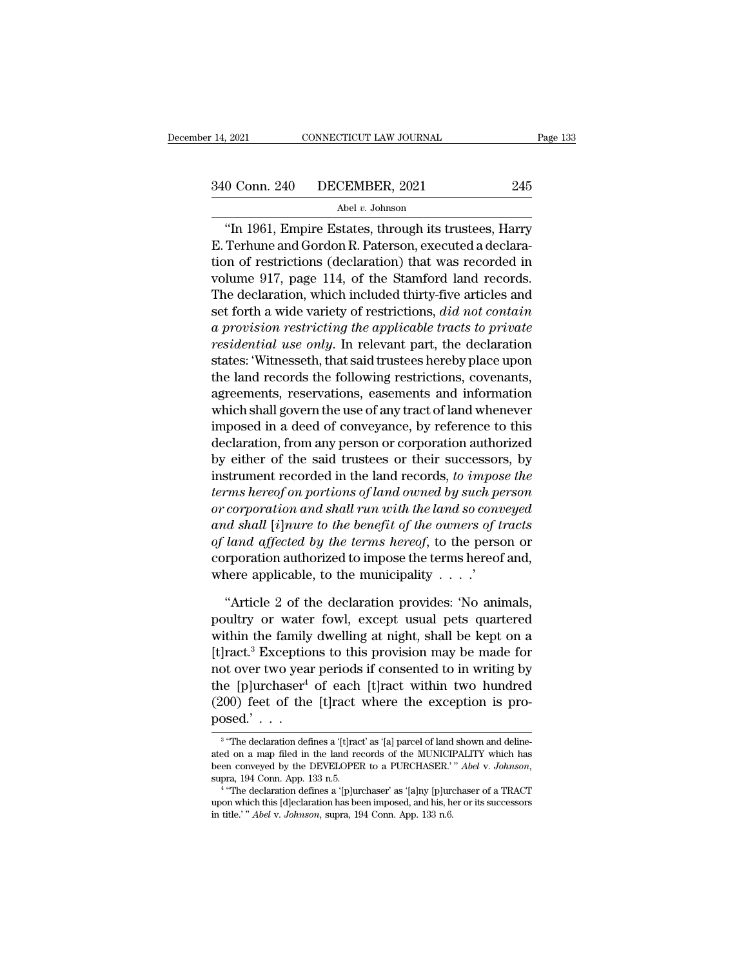2021 CONNECTICUT LAW JOURNAL Page 133<br>
0 Conn. 240 DECEMBER, 2021 245<br>
Abel v. Johnson<br>
"In 1961, Empire Estates, through its trustees, Harry<br>
Terhune and Gordon R. Paterson, executed a declara- $\frac{340 \text{ Conn. } 240 \text{ DECEMBER, } 2021}{}$  245<br>Abel v. Johnson<br>"In 1961, Empire Estates, through its trustees, Harry<br>E. Terhune and Gordon R. Paterson, executed a declara-<br>tion of restrictions (declaration) that was recorded in 340 Conn. 240 DECEMBER, 2021 245<br>Abel v. Johnson<br>
"In 1961, Empire Estates, through its trustees, Harry<br>
E. Terhune and Gordon R. Paterson, executed a declara-<br>
tion of restrictions (declaration) that was recorded in<br>
vol 340 Conn. 240 DECEMBER, 2021 245<br>
Abel v. Johnson<br>
"In 1961, Empire Estates, through its trustees, Harry<br>
E. Terhune and Gordon R. Paterson, executed a declara-<br>
tion of restrictions (declaration) that was recorded in<br>
vo Abel v. Johnson<br>
"In 1961, Empire Estates, through its trustees, Harry<br>
E. Terhune and Gordon R. Paterson, executed a declara-<br>
tion of restrictions (declaration) that was recorded in<br>
volume 917, page 114, of the Stamfor Set *v.* Johnson<br>
"In 1961, Empire Estates, through its trustees, Harry<br>
E. Terhune and Gordon R. Paterson, executed a declara-<br>
tion of restrictions (declaration) that was recorded in<br>
volume 917, page 114, of the Stamfor "In 1961, Empire Estates, through its trustees, Harry<br> *E.* Terhune and Gordon R. Paterson, executed a declara-<br>
tion of restrictions (declaration) that was recorded in<br>
volume 917, page 114, of the Stamford land records.<br> E. Terhune and Gordon R. Paterson, executed a declara-<br>tion of restrictions (declaration) that was recorded in<br>volume 917, page 114, of the Stamford land records.<br>The declaration, which included thirty-five articles and<br>se tion of restrictions (declaration) that was recorded in<br>volume 917, page 114, of the Stamford land records.<br>The declaration, which included thirty-five articles and<br>set forth a wide variety of restrictions, *did not contai* volume 917, page 114, of the Stamford land records.<br>The declaration, which included thirty-five articles and<br>set forth a wide variety of restrictions, *did not contain*<br>a provision restricting the applicable tracts to priv The declaration, which included thirty-five articles and<br>set forth a wide variety of restrictions, *did not contain*<br>a provision restricting the applicable tracts to private<br>residential use only. In relevant part, the decl set forth a wide variety of restrictions, *did not contain*<br>a provision restricting the applicable tracts to private<br>residential use only. In relevant part, the declaration<br>states: 'Witnesseth, that said trustees hereby pl a provision restricting the applicable tracts to private<br>residential use only. In relevant part, the declaration<br>states: 'Witnesseth, that said trustees hereby place upon<br>the land records the following restrictions, covena residential use only. In relevant part, the declaration<br>states: 'Witnesseth, that said trustees hereby place upon<br>the land records the following restrictions, covenants,<br>agreements, reservations, easements and information<br> states: 'Witnesseth, that said trustees hereby place upon<br>the land records the following restrictions, covenants,<br>agreements, reservations, easements and information<br>which shall govern the use of any tract of land whenever the land records the following restrictions, covenants,<br>agreements, reservations, easements and information<br>which shall govern the use of any tract of land whenever<br>imposed in a deed of conveyance, by reference to this<br>dec agreements, reservations, easements and information<br>which shall govern the use of any tract of land whenever<br>imposed in a deed of conveyance, by reference to this<br>declaration, from any person or corporation authorized<br>by e which shall govern the use of any tract of land whenever<br>imposed in a deed of conveyance, by reference to this<br>declaration, from any person or corporation authorized<br>by either of the said trustees or their successors, by<br>i imposed in a deed of conveyance, by reference to this<br>declaration, from any person or corporation authorized<br>by either of the said trustees or their successors, by<br>instrument recorded in the land records, *to impose the<br>te* declaration, from any person or corporation authorized<br>by either of the said trustees or their successors, by<br>instrument recorded in the land records, *to impose the*<br>*terms hereof on portions of land owned by such person<br>* by either of the said trustees or their successors, by<br>instrument recorded in the land records, *to impose the*<br>*terms hereof on portions of land owned by such person*<br>*or corporation and shall run with the land so convey* instrument recorded in the land records, *to umpos*<br>terms hereof on portions of land owned by such pe<br>or corporation and shall run with the land so conu<br>and shall [i]nure to the benefit of the owners of t<br>of land affected corporation and shall run with the land so conveyed<br>
and shall [i] nure to the benefit of the owners of tracts<br>
land affected by the terms hereof, to the person or<br>
rporation authorized to impose the terms hereof and,<br>
ne and shall [i]nure to the benefit of the owners of tracts<br>of land affected by the terms hereof, to the person or<br>corporation authorized to impose the terms hereof and,<br>where applicable, to the municipality  $\ldots$ .'<br>"Article

of land affected by the terms hereof, to the person or<br>corporation authorized to impose the terms hereof and,<br>where applicable, to the municipality  $\dots$ .<br>"Article 2 of the declaration provides: 'No animals,<br>poultry or wat corporation authorized to impose the terms hereof and,<br>where applicable, to the municipality  $\ldots$ .'<br>"Article 2 of the declaration provides: 'No animals,<br>poultry or water fowl, except usual pets quartered<br>within the famil where applicable, to the municipality . . . .'<br>
"Article 2 of the declaration provides: 'No animals,<br>
poultry or water fowl, except usual pets quartered<br>
within the family dwelling at night, shall be kept on a<br>
[t]ract.<sup>3</sup> "Article 2 of the declaration provides: 'No animals,<br>poultry or water fowl, except usual pets quartered<br>within the family dwelling at night, shall be kept on a<br>[t]ract.<sup>3</sup> Exceptions to this provision may be made for<br>not "Article 2 of the declaration provides: 'No animals,<br>poultry or water fowl, except usual pets quartered<br>within the family dwelling at night, shall be kept on a<br>[t]ract.<sup>3</sup> Exceptions to this provision may be made for<br>not poultry or water<br>within the family<br>[t]ract.<sup>3</sup> Exception<br>not over two year<br>the [p]urchaser<sup>4</sup><br>(200) feet of the<br>posed.'... The declaration defines a '[t]ract' as '[a] parcel of land shown and deline-<br>"The declaration defines a '[t]ract' as '[a] parcel of land shown and deline-<br>"The declaration defines a '[t]ract' as '[a] parcel of land shown the [p]urchaser<sup>4</sup> of each [t]ract within two hundred (200) feet of the [t]ract where the exception is proposed.'...<br>posed.'...<br><sup>3</sup> "The declaration defines a '[t]ract' as '[a] parcel of land shown and deline-<br>ated on a m

<sup>&</sup>lt;sup>3</sup> "The declaration defines a '[t]ract' as '[a] parcel of land shown and deline-(200) feet of the [t]ract where the exception is proposed.' . . .<br>
<sup>3</sup> "The declaration defines a '[t]ract' as '[a] parcel of land shown and deline-<br>
ated on a map filed in the land records of the MUNICIPALITY which has<br> **Sed.**  $\cdot \cdot \cdot$ <br>
"The declaration defines a '[t]ract' as '[a] parcel of land shown and deline-<br>
1 on a map filed in the land records of the MUNICIPALITY which has<br>
n conveyed by the DEVELOPER to a PURCHASER.'" *Abel* v. <sup>3</sup> "The declaration defines a '[t]ract' as '[a] parcel of land shown and deline-<br>ated on a map filed in the land records of the MUNICIPALITY which has<br>been conveyed by the DEVELOPER to a PURCHASER.' " *Abel v. Johnson*,<br> <sup>1</sup> The declaration defines a [t]ract as [a] parcel of land<br>ated on a map filed in the land records of the MUNICI<br>been conveyed by the DEVELOPER to a PURCHASER.<br><sup>2</sup> "The declaration defines a [p]urchaser' as <sup>{</sup>[a]ny [p]ur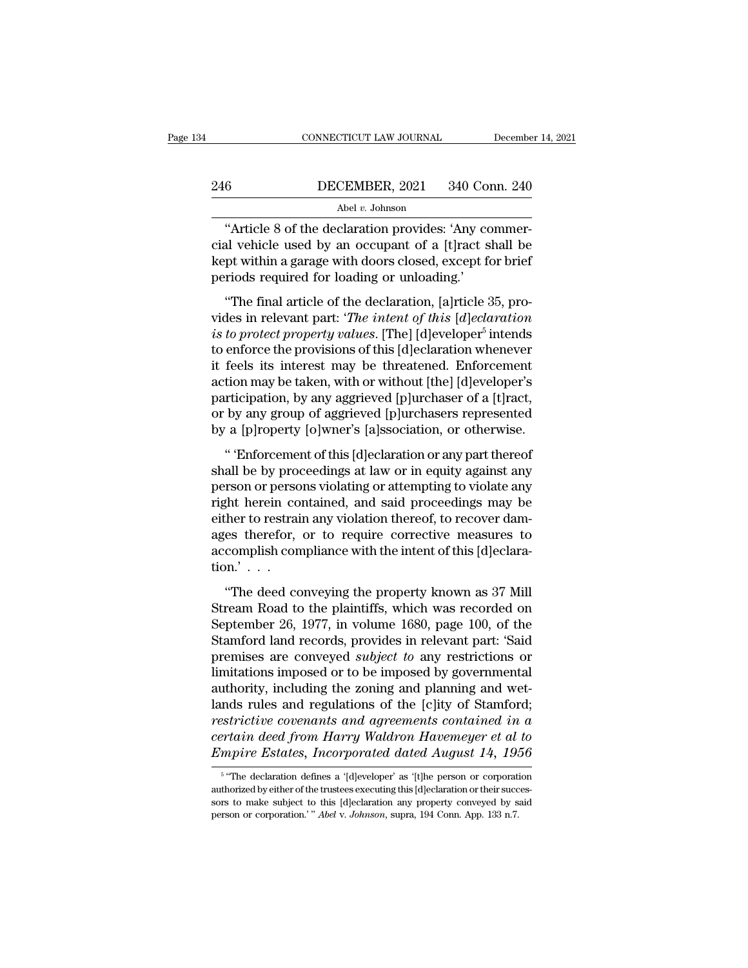## EXECUTE CONNECTICUT LAW JOURNAL December 14, 2021<br>246 DECEMBER, 2021 340 Conn. 240<br>Abel v. Johnson Abel *v.* Johnson

CONNECTICUT LAW JOURNAL December<br>
6 DECEMBER, 2021 340 Conn. 240<br>
Abel v. Johnson<br>
"Article 8 of the declaration provides: 'Any commer-<br>
al vehicle used by an occupant of a [t]ract shall be CHER 2021 340 Conn. 240<br>
Abel v. Johnson<br>
"Article 8 of the declaration provides: 'Any commer-<br>
cial vehicle used by an occupant of a [t]ract shall be<br>
kept within a garage with doors closed, except for brief<br>
poriods requ 246 DECEMBER, 2021 340 Conn. 240<br>Abel v. Johnson<br>
"Article 8 of the declaration provides: 'Any commer-<br>cial vehicle used by an occupant of a [t]ract shall be<br>
kept within a garage with doors closed, except for brief<br>
peri 246 DECEMBER, 2021 340 Com<br>Abel v. Johnson<br>
"Article 8 of the declaration provides: 'Any co<br>
cial vehicle used by an occupant of a [t]ract s<br>
kept within a garage with doors closed, except for<br>
periods required for loadin Abel v. Johnson<br>
"Article 8 of the declaration provides: 'Any commer-<br>
all vehicle used by an occupant of a [t]ract shall be<br>
pt within a garage with doors closed, except for brief<br>
riods required for loading or unloading "Article 8 of the declaration provides: 'Any commercial vehicle used by an occupant of a [t]ract shall be kept within a garage with doors closed, except for brief periods required for loading or unloading.'<br>"The final arti

rate of the declaration provides. This contract<br>cial vehicle used by an occupant of a [t]ract shall b<br>kept within a garage with doors closed, except for brit<br>periods required for loading or unloading.'<br>"The final article o *is to protect property values.* [The] [d]eveloper<sup>5</sup> intends the virtue time and  $\sigma$  of the except of the periods required for loading or unloading.'<br>
"The final article of the declaration, [a]rticle 35, provides in relevant part: '*The intent of this* [*d*]*eclaration*<br> *is to pr* it feels its interest may be the declaration, already<br>
it with final article of the declaration, [a]rticle 35, provides in relevant part: *'The intent of this* [*d*]*eclaration*<br> *is to protect property values*. [The] [d]e "The final article of the declaration, [a]rticle 35, provides in relevant part: "*The intent of this* [*d*]eclaration is to protect property values. [The] [d]eveloper<sup>5</sup> intends to enforce the provisions of this [d]eclara "The final article of the declaration, [a]rticle 35, provides in relevant part: "*The intent of this* [*d*]*eclaration is to protect property values*. [The] [d]eveloper<sup>5</sup> intends to enforce the provisions of this [d]ec vides in relevant part: '*The intent of this* [*d*]eclaration<br>is to protect property values. [The] [d]eveloper<sup>5</sup> intends<br>to enforce the provisions of this [d]eclaration whenever<br>it feels its interest may be threatened. En is to protect property values. [The] [d]eveloper<sup>5</sup> intends<br>to enforce the provisions of this [d]eclaration whenever<br>it feels its interest may be threatened. Enforcement<br>action may be taken, with or without [the] [d]evelop Enforce the provisions of this [d]eclaration whenever<br>
feels its interest may be threatened. Enforcement<br>
tion may be taken, with or without [the] [d]eveloper's<br>
rticipation, by any aggrieved [p]urchasers represented<br>
a [p shall be taken, with or without [the] [d]eveloper's<br>participation, by any aggrieved [p]urchaser of a [t]ract,<br>or by any group of aggrieved [p]urchasers represented<br>by a [p]roperty [o]wner's [a]ssociation, or otherwise.<br>"En

participation, by any aggrieved [p]urchaser of a [t]ract,<br>or by any group of aggrieved [p]urchasers represented<br>by a [p]roperty [o]wner's [a]ssociation, or otherwise.<br>"Enforcement of this [d]eclaration or any part thereof<br> paracipation, by any aggreved [p] are also of a [e] and a property of a property [o] where's [a] ssociation, or otherwise.<br>
"Enforcement of this [d] eclaration or any part thereof shall be by proceedings at law or in equit either to restrain and said proceedings may be<br>either to reflect the restriction of the restriction of the set "Enforcement of this [d]eclaration or any part thereof<br>shall be by proceedings at law or in equity against any<br>  $\alpha$  ( $\beta$ ) and  $\beta$  ( $\beta$ ) and  $\beta$  (a) also calculated, or other where the shall be by proceedings at law or in equity against any person or persons violating or attempting to violate any right herein contained, and sai " 'Enforcement of this [d]eclaration or any part thereof shall be by proceedings at law or in equity against any person or persons violating or attempting to violate any right herein contained, and said proceedings may be shall be by proor<br>person or perso<br>right herein co<br>either to restrai<br>ages therefor,<br>accomplish con<br>tion.'... The deed conveying the property known as 37 Mill<br>
"The deed conveying the property known as 37 Mill<br>
"The deed conveying the property known as 37 Mill<br>
ream Road to the plaintiffs, which was recorded on<br>
"The deed conveyi Fight Hotel, contained, and said proceedings may see<br>either to restrain any violation thereof, to recover dam-<br>ages therefor, or to require corrective measures to<br>accomplish compliance with the intent of this [d]eclara-<br>ti

ages therefor, or to require corrective measures to<br>accomplish compliance with the intent of this [d]eclara-<br>tion.'...<br>"The deed conveying the property known as 37 Mill<br>Stream Road to the plaintiffs, which was recorded on accomplish compliance with the intent of this [d]eclaration.'...<br>
"The deed conveying the property known as 37 Mill<br>
Stream Road to the plaintiffs, which was recorded on<br>
September 26, 1977, in volume 1680, page 100, of t examples are completed with the method and plycenarion.'...<br>
"The deed conveying the property known as 37 Mill<br>
Stream Road to the plaintiffs, which was recorded on<br>
September 26, 1977, in volume 1680, page 100, of the<br>
St "The deed conveying the property known as 37 Mill<br>Stream Road to the plaintiffs, which was recorded on<br>September 26, 1977, in volume 1680, page 100, of the<br>Stamford land records, provides in relevant part: 'Said<br>premises "The deed conveying the property known as 37 Mill<br>Stream Road to the plaintiffs, which was recorded on<br>September 26, 1977, in volume 1680, page 100, of the<br>Stamford land records, provides in relevant part: "Said<br>premises Stream Road to the plaintiffs, which was recorded on<br>September 26, 1977, in volume 1680, page 100, of the<br>Stamford land records, provides in relevant part: 'Said<br>premises are conveyed *subject to* any restrictions or<br>limit September 26, 1977, in volume 1680, page 100, of the<br>Stamford land records, provides in relevant part: 'Said<br>premises are conveyed *subject to* any restrictions or<br>limitations imposed or to be imposed by governmental<br>autho Stamford land records, provides in relevant part: 'Said<br>premises are conveyed *subject to* any restrictions or<br>limitations imposed or to be imposed by governmental<br>authority, including the zoning and planning and wet-<br>land premises are conveyed *subject to* any restrictions or<br>limitations imposed or to be imposed by governmental<br>authority, including the zoning and planning and wet-<br>lands rules and regulations of the [c]ity of Stamford;<br>restr nds rules and regulations of the [c]ity of Stamford;<br>strictive covenants and agreements contained in a<br>rtain deed from Harry Waldron Havemeyer et al to<br>npire Estates, Incorporated dated August 14, 1956<br>"The declaration def restrictive covenants and agreements contained in a<br>certain deed from Harry Waldron Havemeyer et al to<br>Empire Estates, Incorporated dated August 14, 1956<br><sup>5</sup> "The declaration defines a '[d]eveloper' as '[t]he person or cor

<sup>&</sup>lt;sup>5</sup> "The declaration defines a '[d]eveloper' as '[t]he person or corporation certain deed from Harry Waldron Havemeyer et al to<br>Empire Estates, Incorporated dated August 14, 1956<br><sup>5</sup> "The declaration defines a '[d]eveloper' as '[t]he person or corporation<br>authorized by either of the trustees execut Empire Estates, *Incorporated dated August 14*, 19.<br>
<sup>5</sup> "The declaration defines a '[d]eveloper' as '[t]he person or corporat authorized by either of the trustees executing this [d]eclaration or their succsors to make sub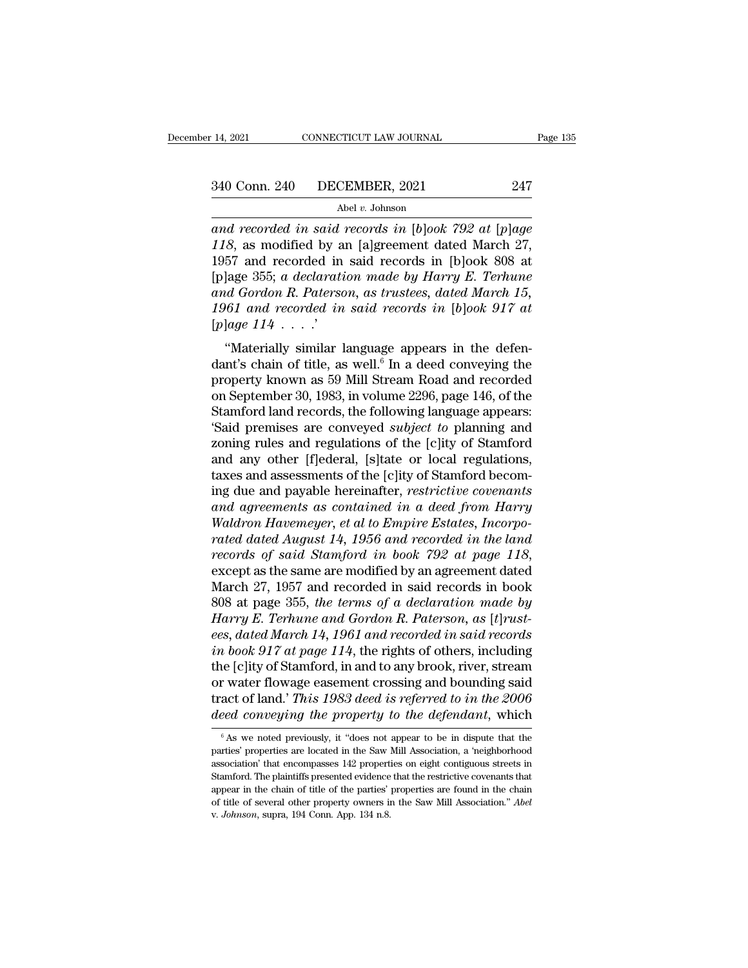<sup>2</sup> and Conn. 240 DECEMBER, 2021 <sup>247</sup><br>
<sup>240</sup> Abel *v*. Johnson<br> *and recorded in said records in* [*b*]*ook 792 at* [*p*]*age*<br>
247<br> *and recorded in said records in* [*b*]*ook 792 at* [*p*]*age*<br>
218, as modified by an [ <sup>240</sup> Conn. 240 DECEMBER, 2021 <sup>247</sup><br>
<sup>Abel v</sup>. Johnson<br> *and recorded in said records in [b]ook 792 at [p]age*<br> *118*, as modified by an [a]greement dated March 27,<br>
1957 and recorded in said records in [b]ook 808 at<br>
Jal 340 Conn. 240 DECEMBER, 2021 247<br>
Abel v. Johnson<br>
and recorded in said records in [b]ook 792 at [p]age<br>
118, as modified by an [a]greement dated March 27,<br>
1957 and recorded in said records in [b]ook 808 at<br>
[p]age 355; <sup>240</sup> Conn. 240 DECEMBER, 2021 247<br>
<sup>Abel v. Johnson<br>
and recorded in said records in [b]ook 792 at [p]age<br>
118, as modified by an [a]greement dated March 27,<br>
1957 and recorded in said records in [b]ook 808 at<br>
[p]age 355</sup> *and recorded in said records in [b]ook 792 at [p]age 118, as modified by an [a]greement dated March 27,*<br>1957 and recorded in said records in [b]ook 808 at [p]age 355; *a declaration made by Harry E. Terhune* and *Gordon* <sup>1961 *w.* Johnson<br> *118*, as modified by an [a]greement dated March 27,<br>
1957 and recorded in said records in [b]ook 808 at<br>
[p]age 355; a declaration made by Harry E. Terhune<br>
and Gordon R. Paterson, as trustees, dated M</sup> and recorded in said<br>
118, as modified by a<br>
1957 and recorded in<br>
[p]age 355; a declarati<br>
and Gordon R. Paters<br>
1961 and recorded in<br>
[p]age 114 . . . . .<br>
"Materially similar 1 57 and recorded in said records in [b]ook 808 at<br>lage 355; *a declaration made by Harry E. Terhune*<br>*dd Gordon R. Paterson, as trustees, dated March 15,*<br>61 and recorded in said records in [b]ook 917 at<br>lage 114 . . . . . (plage 355; a declaration made by Harry E. Terhune<br>
and Gordon R. Paterson, as trustees, dated March 15,<br>
1961 and recorded in said records in [b]ook 917 at<br>
[p]age 114 . . . .'<br>
"Materially similar language appears in th

proper bood, a declaration made by Harry E. Ternance<br>and Gordon R. Paterson, as trustees, dated March 15,<br>1961 and recorded in said records in [b]ook 917 at<br>[p]age 114 . . . .<br>"Materially similar language appears in the d and dordon **i**. I derison, as trastees, dated indicates 15, 1961 and recorded in said records in [b]ook 917 at [p]age 114 . . . .'<br>"Materially similar language appears in the defendant's chain of title, as well.<sup>6</sup> In a d From that records the saturations of the following the defendant's chain of title, as well.<sup>6</sup> In a deed conveying the property known as 59 Mill Stream Road and recorded on September 30, 1983, in volume 2296, page 146, of "Materially similar language appears in the defendant's chain of title, as well.<sup>6</sup> In a deed conveying the property known as 59 Mill Stream Road and recorded on September 30, 1983, in volume 2296, page 146, of the Stamfo "Materially similar language appears in the defendant's chain of title, as well.<sup>6</sup> In a deed conveying the property known as 59 Mill Stream Road and recorded on September 30, 1983, in volume 2296, page 146, of the Stamfo dant's chain of title, as well.<sup>6</sup> In a deed conveying the<br>property known as 59 Mill Stream Road and recorded<br>on September 30, 1983, in volume 2296, page 146, of the<br>Stamford land records, the following language appears:<br>' property known as 59 Mill Stream Road and recorded<br>on September 30, 1983, in volume 2296, page 146, of the<br>Stamford land records, the following language appears:<br>'Said premises are conveyed *subject to* planning and<br>zoning on September 30, 1983, in volume 2296, page 146, of the<br>Stamford land records, the following language appears:<br>'Said premises are conveyed *subject to* planning and<br>zoning rules and regulations of the [c]ity of Stamford<br>an Stamford land records, the following language appears:<br>
"Said premises are conveyed *subject to* planning and<br>
zoning rules and regulations of the [c]ity of Stamford<br>
and any other [f]ederal, [s]tate or local regulations,<br> *We Said premises are conveyed subject to planning and zoning rules and regulations of the [c]ity of Stamford and any other [f]ederal, [s]tate or local regulations, taxes and assessments of the [c]ity of Stamford becoming* zoning rules and regulations of the [c]ity of Stamford<br>and any other [f]ederal, [s]tate or local regulations,<br>taxes and assessments of the [c]ity of Stamford becom-<br>ing due and payable hereinafter, *restrictive covenants*<br> and any other [f]ederal, [s]tate or local regulations,<br>taxes and assessments of the [c]ity of Stamford becom-<br>ing due and payable hereinafter, *restrictive covenants*<br>and agreements as contained in a deed from Harry<br>Waldro ing due and payable hereinafter, restrictive covenants<br>and agreements as contained in a deed from Harry<br>Waldron Havemeyer, et al to Empire Estates, Incorpo-<br>rated dated August 14, 1956 and recorded in the land<br>records of and agreements as contained in a deed from Harry<br>Waldron Havemeyer, et al to Empire Estates, Incorpo-<br>rated dated August 14, 1956 and recorded in the land<br>records of said Stamford in book 792 at page 118,<br>except as the sam *Waldron Havemeyer, et al to Empire Estates, Incorporated dated August 14, 1956 and recorded in the land records of said Stamford in book 792 at page 118, except as the same are modified by an agreement dated March 27, 195 rated dated August 14, 1956 and recorded in the land*<br>*records of said Stamford in book 792 at page 118,*<br>except as the same are modified by an agreement dated<br>March 27, 1957 and recorded in said records in book<br>808 at pa *records of said Stamford in book 792 at page 118*,<br>except as the same are modified by an agreement dated<br>March 27, 1957 and recorded in said records in book<br>808 at page 355, *the terms of a declaration made by*<br>*Harry E.* except as the same are modified by an agreement dated<br>March 27, 1957 and recorded in said records in book<br>808 at page 355, *the terms of a declaration made by*<br>*Harry E. Terhune and Gordon R. Paterson, as* [*t*]*rust-*<br>ee March 27, 1957 and recorded in said records in book<br>808 at page 355, the terms of a declaration made by<br>Harry E. Terhune and Gordon R. Paterson, as [t]rust-<br>ees, dated March 14, 1961 and recorded in said records<br>in book 9 808 at page 355, the terms of a declaration made by<br>Harry E. Terhune and Gordon R. Paterson, as [t]rust-<br>ees, dated March 14, 1961 and recorded in said records<br>in book 917 at page 114, the rights of others, including<br>the [ *Harry E. Terhune and Gordon R. Paterson, as [t]rust-*<br>ees, dated March 14, 1961 and recorded in said records<br>in book 917 at page 114, the rights of others, including<br>the [c]ity of Stamford, in and to any brook, river, str Follow is transformed previously, in and to any brook, river, stream<br>r water flowage easement crossing and bounding said<br>act of land.' This 1983 deed is referred to in the 2006<br>eed conveying the property to the defendant, or water flowage easement crossing and bounding said<br>tract of land.' This 1983 deed is referred to in the 2006<br>deed conveying the property to the defendant, which<br> $\frac{1}{100}$   $\frac{1}{100}$   $\frac{1}{100}$   $\frac{1}{100}$   $\frac{1}{100}$ 

tract of land.' This 1983 deed is referred to in the 2006<br>deed conveying the property to the defendant, which<br> $\frac{1}{100}$   $\frac{1}{100}$   $\frac{1}{100}$   $\frac{1}{100}$   $\frac{1}{100}$   $\frac{1}{100}$   $\frac{1}{100}$   $\frac{1}{100}$   $\frac{1}{100}$   $\frac$ deed conveying the property to the defendant, which<br>  $\overline{\phantom{a}}$  as we noted previously, it "does not appear to be in dispute that the<br>
parties' properties are located in the Saw Mill Association, a 'neighborhood<br>
associa <sup>6</sup> As we noted previously, it "does not appear to be in dispute that the parties' properties are located in the Saw Mill Association, a 'neighborhood association' that encompasses 142 properties on eight contiguous stree <sup>6</sup> As we noted previously, it "does not appear to be in dispute that the parties' properties are located in the Saw Mill Association, a 'neighborhood association' that encompasses 142 properties on eight contiguous stree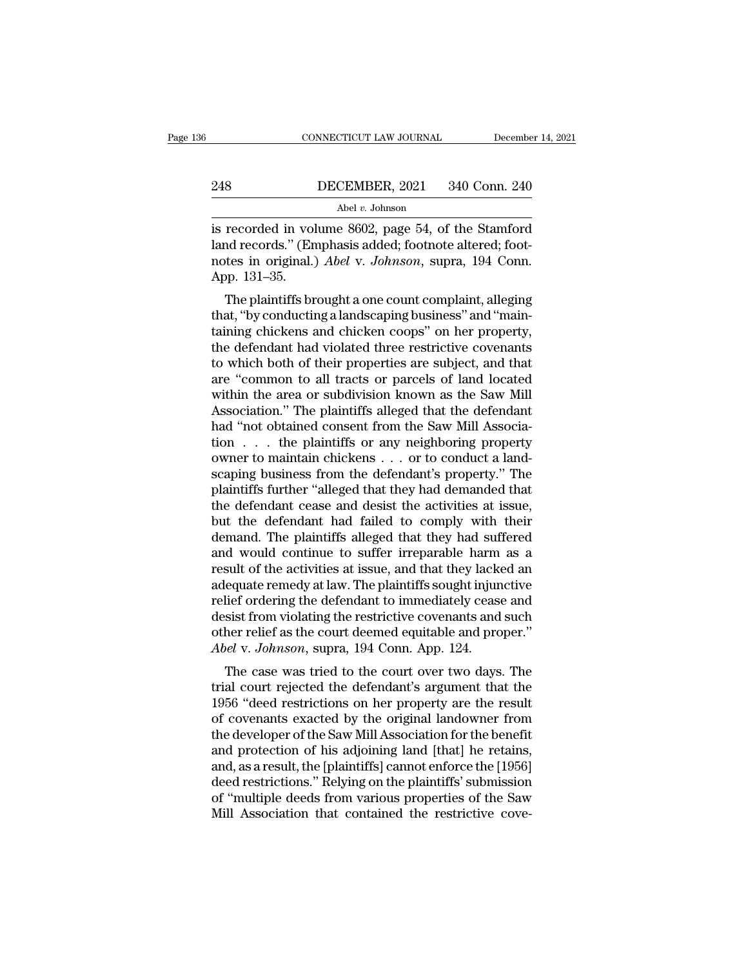# EXECUTE CONNECTICUT LAW JOURNAL December 14, 2021<br>248 DECEMBER, 2021 340 Conn. 240<br>Abel v. Johnson

## Abel *v.* Johnson

CONNECTICUT LAW JOURNAL December 14, 2021<br>
248 DECEMBER, 2021 340 Conn. 240<br>
Abel v. Johnson<br>
is recorded in volume 8602, page 54, of the Stamford<br>
land records." (Emphasis added; footnote altered; footnotes in crisinal) A 248 DECEMBER, 2021 340 Conn. 240<br>
Abel *v. Johnson*<br>
is recorded in volume 8602, page 54, of the Stamford<br>
land records." (Emphasis added; footnote altered; foot-<br>
notes in original.) *Abel v. Johnson*, supra, 194 Conn.<br>
A **notes in the U.** *Johnson*<br> **Abel** *v. Johnson*<br> **Abel** *v. Johnson*<br> **Abel** *v. Johnson*<br> **Abel** *v. Johnson*, of the Stamford<br> **Addamentary (Emphasis added; footnote altered; footnotes in original.)** *Abel* **v.** *Johnson* 248<br>is recorded in volumed records." (En notes in original.)<br>App. 131–35.<br>The plaintiffs br  $\frac{\text{Abel } v. \text{ Johnson}}{\text{recorded in volume } 8602, \text{ page } 54, \text{ of the Stanford}}$ <br>
and records." (Emphasis added; footnote altered; footnotes in original.) *Abel v. Johnson*, supra, 194 Conn.<br>
pp. 131–35.<br>
The plaintiffs brought a one count complaint, all is recorded in volume 8602, page 54, of the Stamford<br>land records." (Emphasis added; footnote altered; footnotes in original.)  $Abel$  v.  $Johnson$ , supra, 194 Conn.<br>App. 131–35.<br>The plaintiffs brought a one count complaint, alleg

the second in volume sooz, page 54, of the standard records." (Emphasis added; footnote altered; footnotes in original.) *Abel* v. *Johnson*, supra, 194 Conn.<br>App. 131–35.<br>The plaintiffs brought a one count complaint, alle rand records. (Emphasis added, foothote antered, foothotes in original.) *Abel v. Johnson*, supra, 194 Conn.<br>App. 131–35.<br>The plaintiffs brought a one count complaint, alleging<br>that, "by conducting a landscaping business" to which both of their properties are subject, and that<br>the plaintiffs brought a one count complaint, alleging<br>that, "by conducting a landscaping business" and "main-<br>taining chickens and chicken coops" on her property,<br>th App. 151–55.<br>
The plaintiffs brought a one count complaint, alleging<br>
that, "by conducting a landscaping business" and "main-<br>
taining chickens and chicken coops" on her property,<br>
the defendant had violated three restrict The plaintiffs brought a one count complaint, alleging<br>that, "by conducting a landscaping business" and "main-<br>taining chickens and chicken coops" on her property,<br>the defendant had violated three restrictive covenants<br>to that, "by conducting a landscaping business" and "main-<br>taining chickens and chicken coops" on her property,<br>the defendant had violated three restrictive covenants<br>to which both of their properties are subject, and that<br>ar taining chickens and chicken coops" on her property,<br>the defendant had violated three restrictive covenants<br>to which both of their properties are subject, and that<br>are "common to all tracts or parcels of land located<br>withi the defendant had violated three restrictive covenants<br>to which both of their properties are subject, and that<br>are "common to all tracts or parcels of land located<br>within the area or subdivision known as the Saw Mill<br>Assoc to which both of their properties are subject, and that<br>are "common to all tracts or parcels of land located<br>within the area or subdivision known as the Saw Mill<br>Association." The plaintiffs alleged that the defendant<br>had are "common to all tracts or parcels of land located<br>within the area or subdivision known as the Saw Mill<br>Association." The plaintiffs alleged that the defendant<br>had "not obtained consent from the Saw Mill Associa-<br>tion . within the area or subdivision known as the Saw Mill<br>Association." The plaintiffs alleged that the defendant<br>had "not obtained consent from the Saw Mill Associa-<br>tion  $\dots$  the plaintiffs or any neighboring property<br>owner Association." The plaintiffs alleged that the defendant<br>had "not obtained consent from the Saw Mill Associa-<br>tion  $\ldots$  the plaintiffs or any neighboring property<br>owner to maintain chickens  $\ldots$  or to conduct a land-<br>sca had "not obtained consent from the Saw Mill Association  $\ldots$  the plaintiffs or any neighboring property<br>owner to maintain chickens  $\ldots$  or to conduct a land-<br>scaping business from the defendant's property." The<br>plaintif tion  $\ldots$  the plaintiffs or any neighboring property<br>owner to maintain chickens  $\ldots$  or to conduct a land-<br>scaping business from the defendant's property." The<br>plaintiffs further "alleged that they had demanded that<br>the % owner to maintain chickens  $\dots$  or to conduct a land-<br>scaping business from the defendant's property." The<br>plaintiffs further "alleged that they had demanded that<br>the defendant cease and desist the activities at issue,<br> scaping business from the defendant's property." The plaintiffs further "alleged that they had demanded that<br>the defendant cease and desist the activities at issue,<br>but the defendant had failed to comply with their<br>demand. plaintiffs further "alleged that they had demanded that<br>the defendant cease and desist the activities at issue,<br>but the defendant had failed to comply with their<br>demand. The plaintiffs alleged that they had suffered<br>and wo the defendant cease and desist the activities at issue,<br>but the defendant had failed to comply with their<br>demand. The plaintiffs alleged that they had suffered<br>and would continue to suffer irreparable harm as a<br>result of t but the defendant had failed to comply with their<br>demand. The plaintiffs alleged that they had suffered<br>and would continue to suffer irreparable harm as a<br>result of the activities at issue, and that they lacked an<br>adequate demand. The plaintiffs alleged that they had suffered<br>and would continue to suffer irreparable harm as a<br>result of the activities at issue, and that they lacked an<br>adequate remedy at law. The plaintiffs sought injunctive<br>r and would continue to suffer irreparable harm<br>result of the activities at issue, and that they lacker<br>adequate remedy at law. The plaintiffs sought injun<br>relief ordering the defendant to immediately cease<br>desist from viola suit of the activities at issue, and that they facked an<br>equate remedy at law. The plaintiffs sought injunctive<br>lief ordering the defendant to immediately cease and<br>sist from violating the restrictive covenants and such<br>he adequate remedy at law. The plaintins sought injunctive<br>relief ordering the defendant to immediately cease and<br>desist from violating the restrictive covenants and such<br>other relief as the court deemed equitable and proper.

rener ordering the defendant to intinedately cease and<br>desist from violating the restrictive covenants and such<br>other relief as the court deemed equitable and proper."<br>Abel v. Johnson, supra, 194 Conn. App. 124.<br>The case w desist from violating the restrictive covenants and such<br>other relief as the court deemed equitable and proper."<br>Abel v. Johnson, supra, 194 Conn. App. 124.<br>The case was tried to the court over two days. The<br>trial court re other rener as the court deemed equitable and proper.<br>Abel v. Johnson, supra, 194 Conn. App. 124.<br>The case was tried to the court over two days. The<br>trial court rejected the defendant's argument that the<br>1956 "deed restric Abet v. Johnson, supra, 194 Conn. App. 124.<br>The case was tried to the court over two days. The<br>trial court rejected the defendant's argument that the<br>1956 "deed restrictions on her property are the result<br>of covenants exac The case was tried to the court over two days. The<br>trial court rejected the defendant's argument that the<br>1956 "deed restrictions on her property are the result<br>of covenants exacted by the original landowner from<br>the devel trial court rejected the defendant's argument that the<br>1956 "deed restrictions on her property are the result<br>of covenants exacted by the original landowner from<br>the developer of the Saw Mill Association for the benefit<br>an 1956 "deed restrictions on her property are the result<br>of covenants exacted by the original landowner from<br>the developer of the Saw Mill Association for the benefit<br>and protection of his adjoining land [that] he retains,<br>a of covenants exacted by the original landowner from<br>the developer of the Saw Mill Association for the benefit<br>and protection of his adjoining land [that] he retains,<br>and, as a result, the [plaintiffs] cannot enforce the [1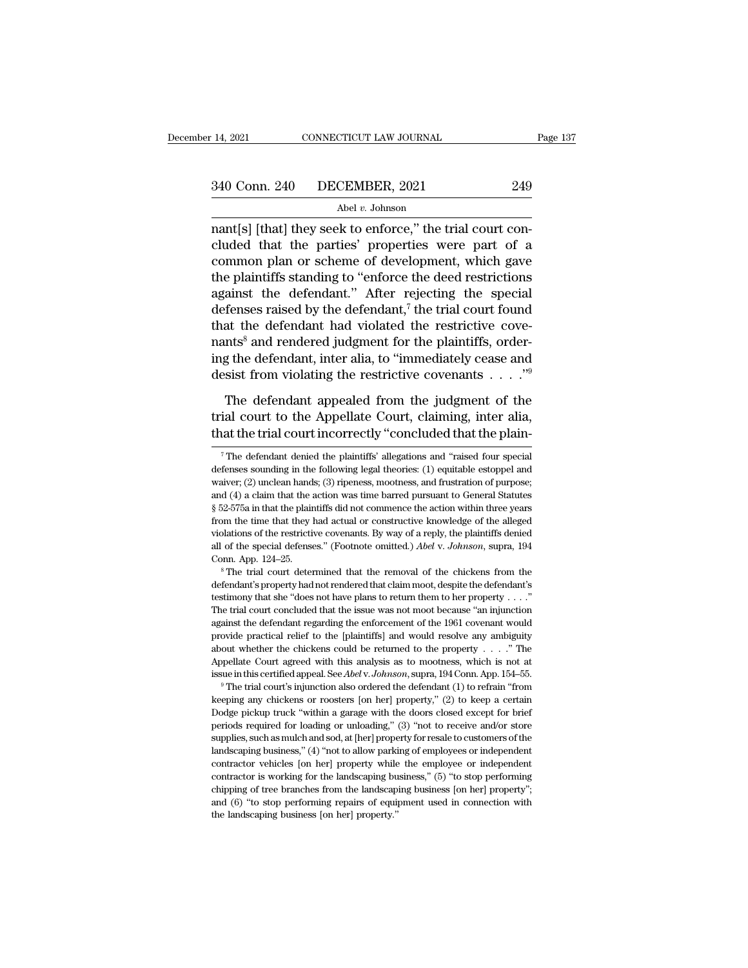nant and the particular text of the trial court of a semi-<br>
nant [s] [that] they seek to enforce," the trial court con-<br>
cluded that the parties' properties were part of a<br>
nant parties are part of a<br>
nant parties are part  $\begin{array}{ll} \text{340 Conn. 240} & \text{DECEMBER, 2021} & \text{249} \\ \text{Abel } v. \text{ Johnson} \end{array}$  had v. Johnson<br>nant[s] [that] they seek to enforce," the trial court concluded that the parties' properties were part of a<br>common plan or scheme of developme  $\begin{array}{c|c} \text{340 Conn. 240} & \text{DECEMBER, 2021} & \text{249} \\ \hline \text{Abel } v. \text{ Johnson} \\ \text{nant[s] [that] they seek to enforce," the trial court concluded that the parties' properties were part of a common plan or scheme of development, which gave the plaintiffs standing to "enforce the deed restrictions against the deformation.$ 340 Conn. 240 DECEMBER, 2021 249<br>
Abel *v*. Johnson<br>
nant[s] [that] they seek to enforce," the trial court con-<br>
cluded that the parties' properties were part of a<br>
common plan or scheme of development, which gave<br>
the pl Abel v. Johnson<br>
nant[s] [that] they seek to enforce," the trial court con-<br>
cluded that the parties' properties were part of a<br>
common plan or scheme of development, which gave<br>
the plaintiffs standing to "enforce the de Abel v. Johnson<br>
mant[s] [that] they seek to enforce," the trial court con-<br>
cluded that the parties' properties were part of a<br>
common plan or scheme of development, which gave<br>
the plaintiffs standing to "enforce the dee nant[s] [that] they seek to enforce," the trial court concluded that the parties' properties were part of a common plan or scheme of development, which gave the plaintiffs standing to "enforce the deed restrictions against cluded that the parties' properties were part of a<br>common plan or scheme of development, which gave<br>the plaintiffs standing to "enforce the deed restrictions<br>against the defendant." After rejecting the special<br>defenses rai common plan or scheme of development, which gave<br>the plaintiffs standing to "enforce the deed restrictions<br>against the defendant." After rejecting the special<br>defenses raised by the defendant,<sup>7</sup> the trial court found<br>tha the plaintiffs standing to "enforce the deed restrictions<br>against the defendant." After rejecting the special<br>defenses raised by the defendant,<sup>7</sup> the trial court found<br>that the defendant had violated the restrictive cove fenses raised by the defendant,<sup>7</sup> the trial court found<br>at the defendant had violated the restrictive cove-<br>nts<sup>8</sup> and rendered judgment for the plaintiffs, order-<br>g the defendant, inter alia, to "immediately cease and<br>s that the defendant had violated the restrictive covenants<sup>8</sup> and rendered judgment for the plaintiffs, ordering the defendant, inter alia, to "immediately cease and desist from violating the restrictive covenants  $\ldots$ ."<sup></sup> nants<sup>8</sup> and rendered judgment for the plaintiffs, ordering the defendant, inter alia, to "immediately cease and desist from violating the restrictive covenants  $\ldots$ ."<sup>9</sup><br>The defendant appealed from the judgment of the t

The defendant appealed from the judgment of the<br>ial court to the Appellate Court, claiming, inter alia,<br>at the trial court incorrectly "concluded that the plain-<br><sup>7</sup>The defendant denied the plaintiffs' allegations and "rai The defendant appealed from the judgment of the trial court to the Appellate Court, claiming, inter alia, that the trial court incorrectly "concluded that the plain-<br><sup>7</sup> The defendant denied the plaintiffs' allegations an

trial court to the Appellate Court, claiming, inter alia, that the trial court incorrectly "concluded that the plain-<br> $\frac{1}{7}$  The defendant denied the plaintiffs' allegations and "raised four special defenses sounding i That the trial court incorrectly "concluded that the plain-<br>
<sup>7</sup> The defendant denied the plaintiffs' allegations and "raised four special<br>
defenses sounding in the following legal theories: (1) equitable estoppel and<br>
wai <sup>7</sup> The defendant denied the plaintiffs' allegations and "raised four special defenses sounding in the following legal theories: (1) equitable estoppel and waiver; (2) unclean hands; (3) ripeness, mootness, and frustratio <sup>7</sup> The defendant denied the plaintiffs' allegations and "raised four special defenses sounding in the following legal theories: (1) equitable estoppel and waiver; (2) unclean hands; (3) ripeness, mootness, and frustratio defenses sounding in the following legal theories: (1) equitable estoppel and waiver; (2) unclean hands; (3) ripeness, mootness, and frustration of purpose; and (4) a claim that the action was time barred pursuant to Gene waiver; (2) unclean hands; (3) ripeness, mootness, and frustration of purpose; and (4) a claim that the action was time barred pursuant to General Statutes § 52-575a in that the plaintiffs did not commence the action withi App. 124–25. **S** The trial court determined that the removal of the chickens from the time that they had actual or constructive knowledge of the alleged violations of the restrictive covenants. By way of a reply, the plai from the time that they had actual or constructive knowledge of the alleged violations of the restrictive covenants. By way of a reply, the plaintiffs denied all of the special defenses." (Footnote omitted.) *Abel* v. *Jo* 

violations of the restrictive covenants. By way of a reply, the plaintiffs denied all of the special defenses." (Footnote omitted.) *Abel v. Johnson*, supra, 194 Conn. App. 124–25.<br><sup>8</sup> The trial court determined that the all of the special defenses." (Footnote omitted.) *Abel* v. *Johnson*, supra, 194 Conn. App. 124–25.<br><sup>8</sup> The trial court determined that the removal of the chickens from the defendant's property had not rendered that clai Conn. App. 124–25.<br>
<sup>8</sup> The trial court determined that the removal of the chickens from the defendant's property had not rendered that claim moot, despite the defendant's testimony that she "does not have plans to return <sup>9</sup> <sup>8</sup> The trial court determined that the removal of the chickens from the defendant's property had not rendered that claim moot, despite the defendant's testimony that she "does not have plans to return them to her pro defendant's property had not rendered that claim moot, despite the defendant's testimony that she "does not have plans to return them to her property . . . ."<br>The trial court concluded that the issue was not moot because Example 1989 and the "does not have plans to return them to her property . . . ."<br>The trial court concluded that the issue was not moot because "an injunction<br>against the defendant regarding the enforcement of the 1961 co The trial court concluded that the issue was not moot because "an injunction against the defendant regarding the enforcement of the 1961 covenant would provide practical relief to the [plaintiffs] and would resolve any am provide practical relief to the [plaintiffs] and would resolve any ambiguity about whether the chickens could be returned to the property . . . . " The Appellate Court agreed with this analysis as to mootness, which is no

about whether the chickens could be returned to the property  $\ldots$ ." The Appellate Court agreed with this analysis as to mootness, which is not at issue in this certified appeal. See *Abel* v. *Johnson*, supra, 194 Conn. Appellate Court agreed with this analysis as to mootness, which is not at issue in this certified appeal. See *Abel* v. *Johnson*, supra, 194 Conn. App. 154–55.<br><sup>9</sup> The trial court's injunction also ordered the defendant ( issue in this certified appeal. See *Abel* v. *Johnson*, supra, 194 Conn. App. 154–55.<br>
<sup>9</sup> The trial court's injunction also ordered the defendant (1) to refrain "from<br>
keeping any chickens or roosters [on her] property, <sup>29</sup> The trial court's injunction also ordered the defendant (1) to refrain "from keeping any chickens or roosters [on her] property," (2) to keep a certain Dodge pickup truck "within a garage with the doors closed except keeping any chickens or roosters [on her] property," (2) to keep a certain Dodge pickup truck "within a garage with the doors closed except for brief periods required for loading or unloading," (3) "not to receive and/or cologie pickup truck "within a garage with the doors closed except for brief<br>periods required for loading or unloading," (3) "not to receive and/or store<br>supplies, such as mulch and sod, at [her] property for resale to cus Dodge pickup truck "within a garage with the doors closed except for brief periods required for loading or unloading,"  $(3)$  "not to receive and/or store supplies, such as mulch and sod, at [her] property for resale to cu performing business,"  $(4)$  "not to allow parking for resale to customers of the landscaping business,"  $(4)$  "not to allow parking of employees or independent contractor vehicles [on her] property while the employee or i landscaping business," (4) "not to allow parking of employees or independent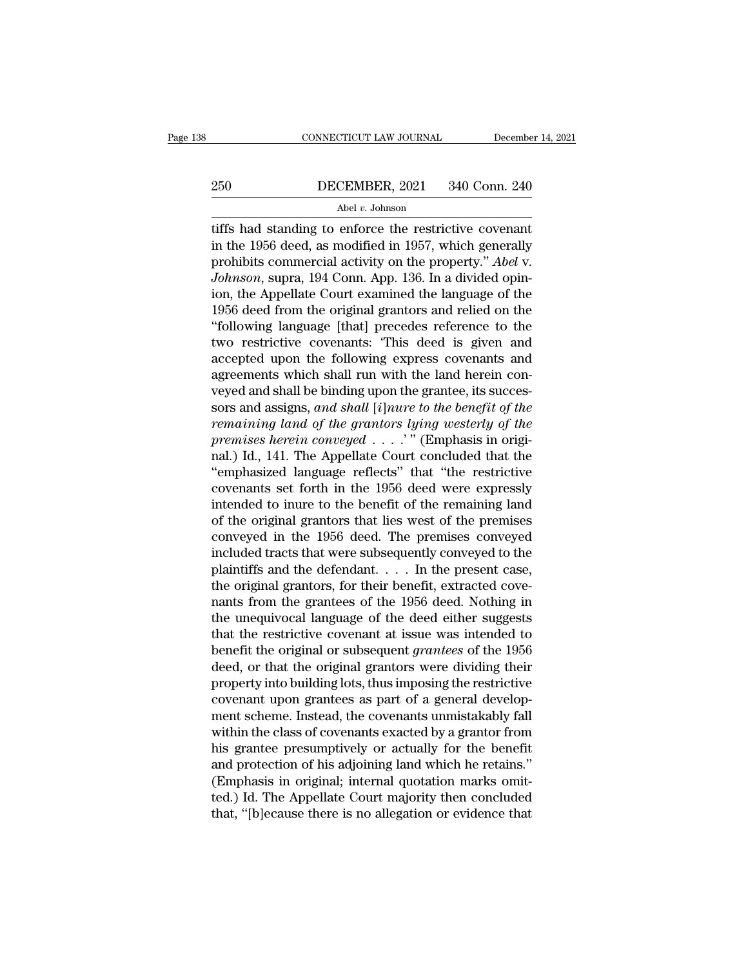# EXECUTE CONNECTICUT LAW JOURNAL December 14, 2021<br>250 DECEMBER, 2021 340 Conn. 240<br>Abel v. Johnson

## Abel *v.* Johnson

CONNECTICUT LAW JOURNAL December 14, 202<br>
DECEMBER, 2021 340 Conn. 240<br>
Abel v. Johnson<br>
tiffs had standing to enforce the restrictive covenant<br>
in the 1956 deed, as modified in 1957, which generally<br>
probibits commercial <sup>250</sup> DECEMBER, 2021 340 Conn. 240<br>
<sup>Abel v</sup>. Johnson<br>
tiffs had standing to enforce the restrictive covenant<br>
in the 1956 deed, as modified in 1957, which generally<br>
prohibits commercial activity on the property." *Abel* **PECEMBER, 2021** 340 Conn. 240<br>
Abel *v.* Johnson<br>
diffs had standing to enforce the restrictive covenant<br>
in the 1956 deed, as modified in 1957, which generally<br>
prohibits commercial activity on the property.'' *Abel* v. *Johnson*<br> *Johnson*<br> *Johnson*<br> *Johnson*<br> *Johnson*<br> *Johnson*, supra, 194 Conn. App. 136. In a divided opin-<br> *Johnson*, supra, 194 Conn. App. 136. In a divided opin-<br> *Johnson*, supra, 194 Conn. App. 136. In a divided Abel v. Johnson<br>
iiffs had standing to enforce the restrictive covenant<br>
in the 1956 deed, as modified in 1957, which generally<br>
prohibits commercial activity on the property." Abel v.<br>
Johnson, supra, 194 Conn. App. 136.  $\frac{\text{Aber } v. \text{ Jonisson}}{\text{diffs}}$  had standing to enforce the restrictive covenant<br>in the 1956 deed, as modified in 1957, which generally<br>prohibits commercial activity on the property." *Abel* v.<br>*Johnson*, supra, 194 Conn. App. 1 tiffs had standing to enforce the restrictive covenant<br>
in the 1956 deed, as modified in 1957, which generally<br>
prohibits commercial activity on the property." Abel v.<br>
Johnson, supra, 194 Conn. App. 136. In a divided opin in the 1956 deed, as modified in 1957, which generally<br>prohibits commercial activity on the property." *Abel* v.<br>Johnson, supra, 194 Conn. App. 136. In a divided opin-<br>ion, the Appellate Court examined the language of the<br> prohibits commercial activity on the property." Abel v.<br>Johnson, supra, 194 Conn. App. 136. In a divided opin-<br>ion, the Appellate Court examined the language of the<br>1956 deed from the original grantors and relied on the<br>"f Johnson, supra, 194 Conn. App. 136. In a divided opin-<br>ion, the Appellate Court examined the language of the<br>1956 deed from the original grantors and relied on the<br>"following language [that] precedes reference to the<br>two r ion, the Appellate Court examined the language of the 1956 deed from the original grantors and relied on the "following language [that] precedes reference to the two restrictive covenants: "This deed is given and accepted 1956 deed from the original grantors and relied on the<br>"following language [that] precedes reference to the<br>two restrictive covenants: "This deed is given and<br>accepted upon the following express covenants and<br>agreements wh "following language [that] precedes reference to the<br>two restrictive covenants: "This deed is given and<br>accepted upon the following express covenants and<br>agreements which shall run with the land herein con-<br>veyed and shall two restrictive covenants: 'This deed is given and accepted upon the following express covenants and agreements which shall run with the land herein conveyed and shall be binding upon the grantee, its successors and assig accepted upon the following express covenants and<br>agreements which shall run with the land herein con-<br>veyed and shall be binding upon the grantee, its succes-<br>sors and assigns, and shall [i]nure to the benefit of the<br>rem agreements which shall run with the land herein con-<br>veyed and shall be binding upon the grantee, its succes-<br>sors and assigns, and shall [i]nure to the benefit of the<br>remaining land of the grantors lying westerly of the<br>p veyed and shall be binding upon the grantee, its successors and assigns, and shall [*i*]*nure to the benefit of the remaining land of the grantors lying westerly of the premises herein conveyed*  $\ldots$ *." (Emphasis in origin* sors and assigns, and shall [*i*]nure to the benefit of the<br>remaining land of the grantors lying westerly of the<br>premises herein conveyed  $\ldots$ .'" (Emphasis in origi-<br>nal.) Id., 141. The Appellate Court concluded that the remaining land of the grantors lying westerly of the<br>premises herein conveyed  $\dots$ ." (Emphasis in origi-<br>nal.) Id., 141. The Appellate Court concluded that the<br>"emphasized language reflects" that "the restrictive<br>covenant premises herein conveyed  $\dots$ ." (Emphasis in original.) Id., 141. The Appellate Court concluded that the "emphasized language reflects" that "the restrictive covenants set forth in the 1956 deed were expressly intended to nal.) Id., 141. The Appellate Court concluded that the<br>"emphasized language reflects" that "the restrictive<br>covenants set forth in the 1956 deed were expressly<br>intended to inure to the benefit of the remaining land<br>of the "emphasized language reflects" that "the restrictive<br>covenants set forth in the 1956 deed were expressly<br>intended to inure to the benefit of the remaining land<br>of the original grantors that lies west of the premises<br>conve covenants set forth in the 1956 deed were expressly<br>intended to inure to the benefit of the remaining land<br>of the original grantors that lies west of the premises<br>conveyed in the 1956 deed. The premises conveyed<br>included t intended to inure to the benefit of the remaining land<br>of the original grantors that lies west of the premises<br>conveyed in the 1956 deed. The premises conveyed<br>included tracts that were subsequently conveyed to the<br>plainti of the original grantors that lies west of the premises<br>conveyed in the 1956 deed. The premises conveyed<br>included tracts that were subsequently conveyed to the<br>plaintiffs and the defendant. . . . . In the present case,<br>the conveyed in the 1956 deed. The premises conveyed<br>included tracts that were subsequently conveyed to the<br>plaintiffs and the defendant. . . . In the present case,<br>the original grantors, for their benefit, extracted cove-<br>na included tracts that were subsequently conveyed to the<br>plaintiffs and the defendant. . . . In the present case,<br>the original grantors, for their benefit, extracted cove-<br>nants from the grantees of the 1956 deed. Nothing in plaintiffs and the defendant. . . . . In the present case,<br>the original grantors, for their benefit, extracted cove-<br>nants from the grantees of the 1956 deed. Nothing in<br>the unequivocal language of the deed either suggest the original grantors, for their benefit, extracted cove-<br>nants from the grantees of the 1956 deed. Nothing in<br>the unequivocal language of the deed either suggests<br>that the restrictive covenant at issue was intended to<br>ben nants from the grantees of the 1956 deed. Nothing in<br>the unequivocal language of the deed either suggests<br>that the restrictive covenant at issue was intended to<br>benefit the original or subsequent *grantees* of the 1956<br>dee the unequivocal language of the deed either suggests<br>that the restrictive covenant at issue was intended to<br>benefit the original or subsequent *grantees* of the 1956<br>deed, or that the original grantors were dividing their<br> that the restrictive covenant at issue was intended to<br>benefit the original or subsequent *grantees* of the 1956<br>deed, or that the original grantors were dividing their<br>property into building lots, thus imposing the restri benefit the original or subsequent *grantees* of the 1956<br>deed, or that the original grantors were dividing their<br>property into building lots, thus imposing the restrictive<br>covenant upon grantees as part of a general devel deed, or that the original grantors were dividing their<br>property into building lots, thus imposing the restrictive<br>covenant upon grantees as part of a general develop-<br>ment scheme. Instead, the covenants unmistakably fall<br> property into building lots, thus imposing the restrictive<br>covenant upon grantees as part of a general develop-<br>ment scheme. Instead, the covenants unmistakably fall<br>within the class of covenants exacted by a grantor from<br> covenant upon grantees as part of a general development scheme. Instead, the covenants unmistakably fall within the class of covenants exacted by a grantor from his grantee presumptively or actually for the benefit and pro ment scheme. Instead, the covenants unmistakably fall<br>within the class of covenants exacted by a grantor from<br>his grantee presumptively or actually for the benefit<br>and protection of his adjoining land which he retains."<br>(E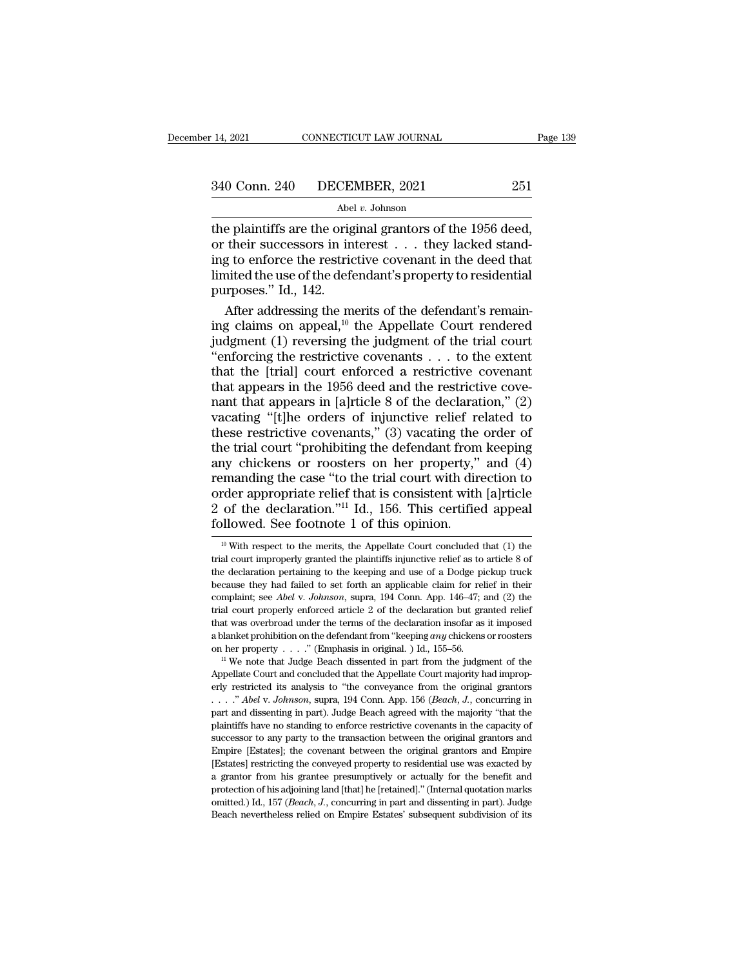14, 2021 CONNECTICUT LAW JOURNAL Page<br>  $340$  Conn. 240 DECEMBER, 2021 251<br>
Abel v. Johnson<br>
the plaintiffs are the original grantors of the 1956 deed,<br>
or their successors in interest . . . they lacked stand-<br>
ing to enfo 340 Conn. 240 DECEMBER, 2021 251<br>Abel *v*. Johnson<br>the plaintiffs are the original grantors of the 1956 deed,<br>or their successors in interest . . . they lacked stand-<br>ing to enforce the restrictive covenant in the deed th 340 Conn. 240 DECEMBER, 2021 251<br>Abel v. Johnson<br>the plaintiffs are the original grantors of the 1956 deed,<br>or their successors in interest . . . they lacked stand-<br>ing to enforce the restrictive covenant in the deed that 340 Conn. 240 DECEMBER, 2021 251<br>
Abel v. Johnson<br>
the plaintiffs are the original grantors of the 1956 deed,<br>
or their successors in interest . . . they lacked stand-<br>
ing to enforce the restrictive covenant in the deed Abel<br>
The plaintiffs are the origin<br>
the plaintiffs are the origin<br>
or their successors in in<br>
ing to enforce the restric<br>
limited the use of the defe<br>
purposes." Id., 142.<br>
After addressing the m After addressing the merits of the 1956 deed,<br>their successors in interest . . . they lacked stand-<br>g to enforce the restrictive covenant in the deed that<br>aited the use of the defendant's property to residential<br>reposes." the plaintiffs are the original grantors of the 1956 deed,<br>or their successors in interest . . . they lacked stand-<br>ing to enforce the restrictive covenant in the deed that<br>limited the use of the defendant's property to r

or their successors in interest  $\ldots$  they lacked standing to enforce the restrictive covenant in the deed that<br>limited the use of the defendant's property to residential<br>purposes." Id., 142.<br>After addressing the merits o ing to enforce the restrictive covenant in the deed that<br>
limited the use of the defendant's property to residential<br>
purposes." Id., 142.<br>
After addressing the merits of the defendant's remain-<br>
ing claims on appeal,<sup>10</sup> limited the use of the defendant's property to residential<br>purposes." Id., 142.<br>After addressing the merits of the defendant's remain-<br>ing claims on appeal,<sup>10</sup> the Appellate Court rendered<br>judgment (1) reversing the judg purposes." Id., 142.<br>
After addressing the merits of the defendant's remaining claims on appeal,<sup>10</sup> the Appellate Court rendered<br>
judgment (1) reversing the judgment of the trial court<br>
"enforcing the restrictive covenan After addressing the merits of the defendant's remaining claims on appeal,<sup>10</sup> the Appellate Court rendered judgment (1) reversing the judgment of the trial court "enforcing the restrictive covenants . . . to the extent t ing claims on appeal,<sup>10</sup> the Appellate Court rendered<br>judgment (1) reversing the judgment of the trial court<br>"enforcing the restrictive covenants . . . to the extent<br>that the [trial] court enforced a restrictive cove-<br>na judgment (1) reversing the judgment of the trial court<br>
"enforcing the restrictive covenants  $\ldots$  to the extent<br>
that the [trial] court enforced a restrictive covenant<br>
that appears in the 1956 deed and the restrictive c "enforcing the restrictive covenants  $\ldots$  to the extent<br>that the [trial] court enforced a restrictive covenant<br>that appears in the 1956 deed and the restrictive cove-<br>nant that appears in [a]rticle 8 of the declaration," that the [trial] court enforced a restrictive covenant<br>that appears in the 1956 deed and the restrictive cove-<br>nant that appears in [a]rticle 8 of the declaration," (2)<br>vacating "[t]he orders of injunctive relief related t that appears in the 1956 deed and the restrictive cove-<br>nant that appears in [a]rticle 8 of the declaration," (2)<br>vacating "[t]he orders of injunctive relief related to<br>these restrictive covenants," (3) vacating the order nant that appears in [a]rticle 8 of the declaration," (2)<br>vacating "[t]he orders of injunctive relief related to<br>these restrictive covenants," (3) vacating the order of<br>the trial court "prohibiting the defendant from keepi vacating "[t]he orders of injunctive relief related to these restrictive covenants," (3) vacating the order of the trial court "prohibiting the defendant from keeping any chickens or roosters on her property," and (4) rem vacating "[t]he orders of injunctive relief related to<br>these restrictive covenants," (3) vacating the order of<br>the trial court "prohibiting the defendant from keeping<br>any chickens or roosters on her property," and (4)<br>rem manding the case "to the trial court with direction to<br>rder appropriate relief that is consistent with [a]rticle<br>of the declaration."<sup>11</sup> Id., 156. This certified appeal<br>allowed. See footnote 1 of this opinion.<br><sup>10</sup> With order appropriate relief that is consistent with [a]rticle 2 of the declaration."<sup>11</sup> Id., 156. This certified appeal followed. See footnote 1 of this opinion.<br> $\frac{10 \text{ With respect to the merits, the Appellate Court concluded that (1) the trial court improperly granted the plaintiffs injunctive relief as to article 8 of the declaration pertaining to the keeping and use of a Dodge pickup truck.$ 

<sup>2</sup> of the declaration."<sup>11</sup> Id., 156. This certified appeal followed. See footnote 1 of this opinion.<br> $\frac{10 \text{ With respect to the merits, the Appellate Court concluded that (1) the trial court improperly granted the plaintiff's injunctive relief as to article 8 of the declaration pertaining to the keeping and use of a Dodge pickup truck because they had failed to set forth an applicable claim for relief in their$ because they had failed to set forth an applicable claim for relief in their complaint; see *Abel v. Johnson*, supra, 194 Conn. App. 146-47; and (2) the set forth an applicable claim for relief in their complaint; see *Ab* Followed. See Hoothote 1 of this opinion.<br><sup>10</sup> With respect to the merits, the Appellate Court concluded that (1) the trial court improperly granted the plaintiffs injunctive relief as to article 8 of the declaration perta <sup>10</sup> With respect to the merits, the Appellate Court concluded that (1) the trial court improperly granted the plaintiffs injunctive relief as to article 8 of the declaration pertaining to the keeping and use of a Dodge p trial court improperly granted the plaintiffs injunctive relief as to article 8 of the declaration pertaining to the keeping and use of a Dodge pickup truck because they had failed to set forth an applicable claim for rel a blanket prohibition of the defendant from "keeping *and use of a Dodge pickup truck* because they had failed to set forth an applicable claim for relief in their complaint; see *Abel v. Johnson*, supra, 194 Conn. App. 14 because they had failed to set forth an applicable claim for relief in their complaint; see *Abel v. Johnson*, supra, 194 Conn. App. 146–47; and (2) the trial court properly enforced article 2 of the declaration but grant Example Trial court properly enforced article 2 of the declaration but granted relief that was overbroad under the terms of the declaration insofar as it imposed a blanket prohibition on the defendant from "keeping *any*

that was overbroad under the terms of the declaration insofar as it imposed<br>a blanket prohibition on the defendant from "keeping *any* chickens or roosters<br>on her property . . . ." (Emphasis in original. ) Id., 155–56.<br><sup>1</sup> a blanket prohibition on the defendant from "keeping *any* chickens or roosters on her property . . . ." (Emphasis in original. ) Id., 155–56.<br>
<sup>11</sup> We note that Judge Beach dissented in part from the judgment of the Appel on her property  $\ldots$ ." (Emphasis in original. ) Id., 155-56.<br>
<sup>11</sup> We note that Judge Beach dissented in part from the judgment of the Appellate Court and concluded that the Appellate Court majority had improperly restri <sup>11</sup> We note that Judge Beach dissented in part from the judgment of the Appellate Court and concluded that the Appellate Court majority had improperly restricted its analysis to "the conveyance from the original grantors Appellate Court and concluded that the Appellate Court majority had improperly restricted its analysis to "the conveyance from the original grantors . . . ." *Abel v. Johnson*, supra, 194 Conn. App. 156 (*Beach*, *J.*, co Empire the conveysing to the conveysing from the original grantors  $\ldots$  and  $\ldots$  and  $\ldots$  and  $\ldots$  and  $\ldots$  and  $\ldots$  and  $\ldots$  and  $\ldots$  and  $\ldots$  and  $\ldots$  and  $\ldots$  and  $\ldots$  and  $\ldots$  and  $\ldots$  and  $\ldots$  and  $\ldots$ <sup>1</sup>......" Abel v. Johnson, supra, 194 Conn. App. 156 (Beach, J., concurring in part and dissenting in part). Judge Beach agreed with the majority "that the plaintiffs have no standing to enforce restrictive covenants in t part and dissenting in part). Judge Beach agreed with the majority "that the plaintiffs have no standing to enforce restrictive covenants in the capacity of successor to any party to the transaction between the original gr part and dissenting in part). Judge Beach agreed with the majority "that the plaintiffs have no standing to enforce restrictive covenants in the capacity of successor to any party to the transaction between the original g paracessor to any party to the transaction between the original grantors and Empire [Estates]; the covenant between the original grantors and Empire [Estates] restricting the conveyed property to residential use was exacte Empire [Estates]; the covenant between the original grantors and Empire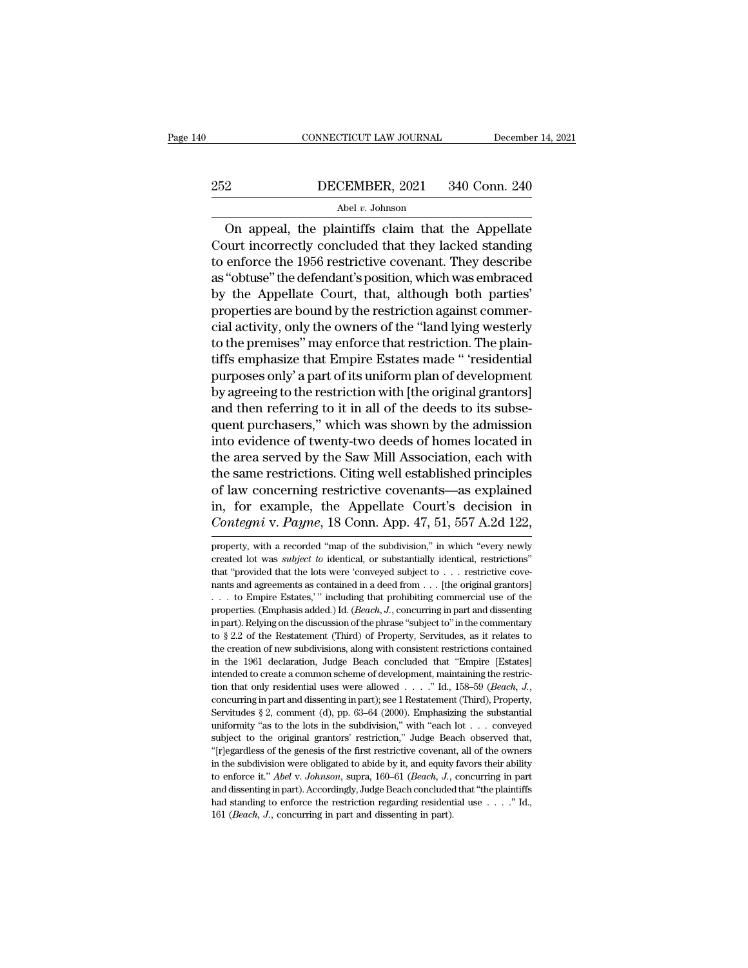# EXECUTE CONNECTICUT LAW JOURNAL December 14, 2021<br>252 DECEMBER, 2021 340 Conn. 240<br>Abel v. Johnson

## Abel *v.* Johnson

CONNECTICUT LAW JOURNAL December 14, 2021<br>
2<br>
DECEMBER, 2021 340 Conn. 240<br>
Abel v. Johnson<br>
On appeal, the plaintiffs claim that the Appellate<br>
ourt incorrectly concluded that they lacked standing<br>
onforce the 1056 notifi  $252$  DECEMBER, 2021 340 Conn. 240<br>Abel v. Johnson<br>On appeal, the plaintiffs claim that the Appellate<br>Court incorrectly concluded that they lacked standing<br>to enforce the 1956 restrictive covenant. They describe 252 DECEMBER, 2021 340 Conn. 240<br>
Abel v. Johnson<br>
On appeal, the plaintiffs claim that the Appellate<br>
Court incorrectly concluded that they lacked standing<br>
to enforce the 1956 restrictive covenant. They describe<br>
as "ob  $252$  DECEMBER, 2021 340 Conn. 240<br>
Abel v. Johnson<br>
On appeal, the plaintiffs claim that the Appellate<br>
Court incorrectly concluded that they lacked standing<br>
to enforce the 1956 restrictive covenant. They describe<br>
as "  $\frac{1}{2}$  Abel *v*. Johnson<br>
On appeal, the plaintiffs claim that the Appellate<br>
Court incorrectly concluded that they lacked standing<br>
to enforce the 1956 restrictive covenant. They describe<br>
as "obtuse" the defendant's on appeal, the plaintiffs claim that the Appellate<br>Court incorrectly concluded that they lacked standing<br>to enforce the 1956 restrictive covenant. They describe<br>as "obtuse" the defendant's position, which was embraced<br>by On appeal, the plaintiffs claim that the Appellate<br>Court incorrectly concluded that they lacked standing<br>to enforce the 1956 restrictive covenant. They describe<br>as "obtuse" the defendant's position, which was embraced<br>by t Court incorrectly concluded that they lacked standing<br>to enforce the 1956 restrictive covenant. They describe<br>as "obtuse" the defendant's position, which was embraced<br>by the Appellate Court, that, although both parties'<br>pr to enforce the 1956 restrictive covenant. They describe<br>as "obtuse" the defendant's position, which was embraced<br>by the Appellate Court, that, although both parties'<br>properties are bound by the restriction against commer-<br> as "obtuse" the defendant's position, which was embraced<br>by the Appellate Court, that, although both parties'<br>properties are bound by the restriction against commer-<br>cial activity, only the owners of the "land lying wester by the Appellate Court, that, although both parties'<br>properties are bound by the restriction against commer-<br>cial activity, only the owners of the "land lying westerly<br>to the premises" may enforce that restriction. The pla properties are bound by the restriction against commer-<br>cial activity, only the owners of the "land lying westerly<br>to the premises" may enforce that restriction. The plain-<br>tiffs emphasize that Empire Estates made " 'resid cial activity, only the owners of the "land lying westerly<br>to the premises" may enforce that restriction. The plain-<br>tiffs emphasize that Empire Estates made " 'residential<br>purposes only' a part of its uniform plan of deve to the premises" may enforce that restriction. The plain-<br>tiffs emphasize that Empire Estates made " 'residential<br>purposes only' a part of its uniform plan of development<br>by agreeing to the restriction with [the original g tiffs emphasize that Empire Estates made " 'residential<br>purposes only' a part of its uniform plan of development<br>by agreeing to the restriction with [the original grantors]<br>and then referring to it in all of the deeds to i purposes only' a part of its uniform plan of development<br>by agreeing to the restriction with [the original grantors]<br>and then referring to it in all of the deeds to its subse-<br>quent purchasers," which was shown by the admi by agreeing to the restriction with [the original grantors]<br>and then referring to it in all of the deeds to its subse-<br>quent purchasers," which was shown by the admission<br>into evidence of twenty-two deeds of homes located and then referring to it in all of the deeds to its subsequent purchasers," which was shown by the admission<br>into evidence of twenty-two deeds of homes located in<br>the area served by the Saw Mill Association, each with<br>the quent purchasers," which was shown by the admission<br>into evidence of twenty-two deeds of homes located in<br>the area served by the Saw Mill Association, each with<br>the same restrictions. Citing well established principles<br>of the same restrictions. Citing well established principles<br>of law concerning restrictive covenants—as explained<br>in, for example, the Appellate Court's decision in<br>*Contegni* v. Payne, 18 Conn. App. 47, 51, 557 A.2d 122,<br>pro of law concerning restrictive covenants—as explained<br>in, for example, the Appellate Court's decision in<br>*Contegni* v. Payne, 18 Conn. App. 47, 51, 557 A.2d 122,<br>property, with a recorded "map of the subdivision," in which

in, for example, the Appellate Court's decision in Contegni v. Payne, 18 Conn. App. 47, 51, 557 A.2d 122, property, with a recorded "map of the subdivision," in which "every newly created lot was *subject to* identical, o Contegni v. Payne, 18 Conn. App. 47, 51, 557 A.2d 122,<br>property, with a recorded "map of the subdivision," in which "every newly<br>created lot was *subject to* identical, or substantially identical, restrictions"<br>that "prov The Extra state of the subdivision," in which "every newly property, with a recorded "map of the subdivision," in which "every newly created lot was *subject to* identical, or substantially identical, restrictions" that " property, with a recorded "map of the subdivision," in which "every newly created lot was *subject to* identical, or substantially identical, restrictions" that "provided that the lots were 'conveyed subject to . . . restr freezed lot was *subject to* identical, or substantially identical, restrictions"<br>created lot was *subject to* identical, or substantially identical, restrictions"<br>that "provided that the lots were 'conveyed subject to . that "provided that the lots were "conveyed subject to . . . restrictive covenants and agreements as contained in a deed from . . . [the original grantors] . . . to Empire Estates," including that prohibiting commercial u mants and agreements as contained in a deed from . . . [the original grantors]<br>
. . . to Empire Estates,' " including that prohibiting commercial use of the<br>
properties. (Emphasis added.) Id. (*Beach*, *J*., concurring in  $\ldots$  to Empire Estates,' " including that prohibiting commercial use of the properties. (Emphasis added.) Id. (*Beach*, *J*., concurring in part and dissenting in part). Relying on the discussion of the phrase "subject t interpendent (Emphasis added.) Id. (*Beach*, *J*., concurring in part and dissenting in part). Relying on the discussion of the phrase "subject to" in the commentary to § 2.2 of the Restatement (Third) of Property, Servit in part). Relying on the discussion of the phrase "subject to" in the commentary<br>to § 2.2 of the Restatement (Third) of Property, Servitudes, as it relates to<br>the creation of new subdivisions, along with consistent restri the creation of new subdivisions, along with consistent restrictions contained in the 1961 declaration, Judge Beach concluded that "Empire [Estates] intended to create a common scheme of development, maintaining the restr in the 1961 declaration, Judge Beach concluded that "Empire [Estates]<br>intended to create a common scheme of development, maintaining the restric-<br>tion that only residential uses were allowed . . . . " Id., 158–59 (*Beach* intended to create a common scheme of development, maintaining the restriction that only residential uses were allowed . . . ." Id., 158–59 (*Beach*, *J*., concurring in part and dissenting in part); see 1 Restatement (Th ''[r]egardless of the genesis of the first restrictive covenant, all of the owners concurring in part and dissenting in part); see 1 Restatement (Third), Property, Servitudes § 2, comment (d), pp. 63-64 (2000). Emphasizing the substantial uniformity "as to the lots in the subdivision," with "each lot . concurring in part and dissenting in part); see 1 Restatement (Third), Property, Servitudes § 2, comment (d), pp. 63–64 (2000). Emphasizing the substantial uniformity "as to the lots in the subdivision," with "each lot . . uniformity "as to the lots in the subdivision," with "each lot . . . conveyed subject to the original grantors' restriction," Judge Beach observed that, "[r]egardless of the genesis of the first restrictive covenant, all subject to the original grantors' restriction," Judge Beach observed that, in the subdivision were obligated to abide by it, and equity favors their ability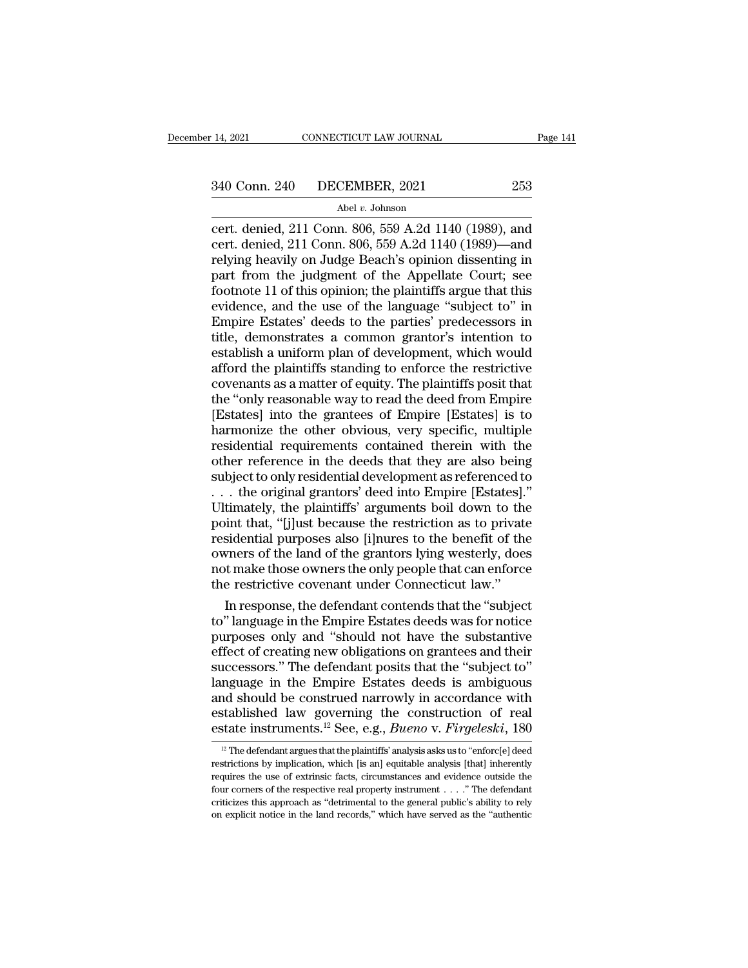# 14, 2021 CONNECTICUT LAW JOURNAL Page 141<br>340 Conn. 240 DECEMBER, 2021 253<br>Abel v. Johnson

## Abel *v.* Johnson

14, 2021 CONNECTICUT LAW JOURNAL Page 141<br>
340 Conn. 240 DECEMBER, 2021 253<br>
Abel v. Johnson<br>
cert. denied, 211 Conn. 806, 559 A.2d 1140 (1989), and<br>
cert. denied, 211 Conn. 806, 559 A.2d 1140 (1989)—and<br>
relying heavily o 340 Conn. 240 DECEMBER, 2021 253<br>Abel v. Johnson<br>Cert. denied, 211 Conn. 806, 559 A.2d 1140 (1989), and<br>cert. denied, 211 Conn. 806, 559 A.2d 1140 (1989)—and<br>relying heavily on Judge Beach's opinion dissenting in<br>part from 340 Conn. 240 DECEMBER, 2021 253<br>Abel v. Johnson<br>Cert. denied, 211 Conn. 806, 559 A.2d 1140 (1989), and<br>cert. denied, 211 Conn. 806, 559 A.2d 1140 (1989)—and<br>relying heavily on Judge Beach's opinion dissenting in<br>part fro 340 Conn. 240 DECEMBER, 2021 253<br>
Abel v. Johnson<br>
cert. denied, 211 Conn. 806, 559 A.2d 1140 (1989), and<br>
cert. denied, 211 Conn. 806, 559 A.2d 1140 (1989)—and<br>
relying heavily on Judge Beach's opinion dissenting in<br>
par For Collat. 210 DECEMBER, 2021 200<br>
Abel v. Johnson<br>
cert. denied, 211 Conn. 806, 559 A.2d 1140 (1989), and<br>
cert. denied, 211 Conn. 806, 559 A.2d 1140 (1989)—and<br>
relying heavily on Judge Beach's opinion dissenting in<br>
p Abel v. Johnson<br>
cert. denied, 211 Conn. 806, 559 A.2d 1140 (1989), and<br>
cert. denied, 211 Conn. 806, 559 A.2d 1140 (1989)—and<br>
relying heavily on Judge Beach's opinion dissenting in<br>
part from the judgment of the Appellat cert. denied, 211 Conn. 806, 559 A.2d 1140 (1989), and<br>cert. denied, 211 Conn. 806, 559 A.2d 1140 (1989)—and<br>relying heavily on Judge Beach's opinion dissenting in<br>part from the judgment of the Appellate Court; see<br>footnot cert. denied, 211 Conn. 806, 559 A.2d 1140 (1989)—and<br>relying heavily on Judge Beach's opinion dissenting in<br>part from the judgment of the Appellate Court; see<br>footnote 11 of this opinion; the plaintiffs argue that this<br>ev relying heavily on Judge Beach's opinion dissenting in<br>part from the judgment of the Appellate Court; see<br>footnote 11 of this opinion; the plaintiffs argue that this<br>evidence, and the use of the language "subject to" in<br>Em part from the judgment of the Appellate Court; see<br>footnote 11 of this opinion; the plaintiffs argue that this<br>evidence, and the use of the language "subject to" in<br>Empire Estates' deeds to the parties' predecessors in<br>tit footnote 11 of this opinion; the plaintiffs argue that this<br>evidence, and the use of the language "subject to" in<br>Empire Estates' deeds to the parties' predecessors in<br>title, demonstrates a common grantor's intention to<br>es evidence, and the use of the language "subject to" in<br>Empire Estates' deeds to the parties' predecessors in<br>title, demonstrates a common grantor's intention to<br>establish a uniform plan of development, which would<br>afford th Empire Estates' deeds to the parties' predecessors in<br>title, demonstrates a common grantor's intention to<br>establish a uniform plan of development, which would<br>afford the plaintiffs standing to enforce the restrictive<br>coven title, demonstrates a common grantor's intention to<br>establish a uniform plan of development, which would<br>afford the plaintiffs standing to enforce the restrictive<br>covenants as a matter of equity. The plaintiffs posit that<br> establish a uniform plan of development, which would<br>afford the plaintiffs standing to enforce the restrictive<br>covenants as a matter of equity. The plaintiffs posit that<br>the "only reasonable way to read the deed from Empir afford the plaintiffs standing to enforce the restrictive<br>covenants as a matter of equity. The plaintiffs posit that<br>the "only reasonable way to read the deed from Empire<br>[Estates] into the grantees of Empire [Estates] is covenants as a matter of equity. The plaintiffs posit that<br>the "only reasonable way to read the deed from Empire<br>[Estates] into the grantees of Empire [Estates] is to<br>harmonize the other obvious, very specific, multiple<br>re the "only reasonable way to read the deed from Empire [Estates] into the grantees of Empire [Estates] is to harmonize the other obvious, very specific, multiple residential requirements contained therein with the other ref [Estates] into the grantees of Empire [Estates] is to<br>harmonize the other obvious, very specific, multiple<br>residential requirements contained therein with the<br>other reference in the deeds that they are also being<br>subject t harmonize the other obvious, very specific, multiple<br>residential requirements contained therein with the<br>other reference in the deeds that they are also being<br>subject to only residential development as referenced to<br> $\dots$  residential requirements contained therein with the<br>other reference in the deeds that they are also being<br>subject to only residential development as referenced to<br>. . . the original grantors' deed into Empire [Estates]."<br>U other reference in the deeds that they are also being<br>subject to only residential development as referenced to<br>... the original grantors' deed into Empire [Estates]."<br>Ultimately, the plaintiffs' arguments boil down to the<br> subject to only residential development as referenced to . . . the original grantors' deed into Empire [Estates]."<br>Ultimately, the plaintiffs' arguments boil down to the point that, "[j]ust because the restriction as to pr ... the original grantors' deed into Empire [Estates]."<br>Ultimately, the plaintiffs' arguments boil down to the<br>point that, "[j]ust because the restriction as to private<br>residential purposes also [i]nures to the benefit of timately, the plaintiffs' arguments boil down to the<br>int that, "[j]ust because the restriction as to private<br>sidential purposes also [i]nures to the benefit of the<br>vners of the land of the grantors lying westerly, does<br>t m point that, "[j]ust because the restriction as to private<br>residential purposes also [i]nures to the benefit of the<br>owners of the land of the grantors lying westerly, does<br>not make those owners the only people that can enfo

residential purposes also [i]nures to the benefit of the<br>owners of the land of the grantors lying westerly, does<br>not make those owners the only people that can enforce<br>the restrictive covenant under Connecticut law."<br>In re owners of the land of the grantors lying westerly, does<br>not make those owners the only people that can enforce<br>the restrictive covenant under Connecticut law."<br>In response, the defendant contends that the "subject<br>to" lang not make those owners the only people that can enforce<br>the restrictive covenant under Connecticut law."<br>In response, the defendant contends that the "subject<br>to" language in the Empire Estates deeds was for notice<br>purposes the restrictive covenant under Connecticut law."<br>
In response, the defendant contends that the "subject<br>
to" language in the Empire Estates deeds was for notice<br>
purposes only and "should not have the substantive<br>
effect o In response, the defendant contends that the "subject<br>to" language in the Empire Estates deeds was for notice<br>purposes only and "should not have the substantive<br>effect of creating new obligations on grantees and their<br>suc to" language in the Empire Estates deeds was for notice<br>purposes only and "should not have the substantive<br>effect of creating new obligations on grantees and their<br>successors." The defendant posits that the "subject to"<br>l purposes only and "should not have the substantive<br>effect of creating new obligations on grantees and their<br>successors." The defendant posits that the "subject to"<br>language in the Empire Estates deeds is ambiguous<br>and shou nguage in the Empire Estates deeds is ambiguous<br>nd should be construed narrowly in accordance with<br>stablished law governing the construction of real<br>state instruments.<sup>12</sup> See, e.g., *Bueno* v. *Firgeleski*, 180<br><sup>12</sup> The and should be construed narrowly in accordance with<br>established law governing the construction of real<br>estate instruments.<sup>12</sup> See, e.g., *Bueno* v. *Firgeleski*, 180<br> $\frac{12}{12}$  The defendant argues that the plaintiffs'

established law governing the construction of real<br>estate instruments.<sup>12</sup> See, e.g., *Bueno* v. *Firgeleski*, 180<br> $\frac{p}{p}$  The defendant argues that the plaintiffs' analysis asks us to "enforc[e] deed<br>restrictions by im estate instruments.<sup>12</sup> See, e.g., *Bueno v. Firgeleski*, 180<br>
<sup>12</sup> The defendant argues that the plaintiffs' analysis asks us to "enforc[e] deed<br>
restrictions by implication, which [is an] equitable analysis [that] inher ESTALE INSTITUTENTS.<sup>23</sup> See, e.g., *Duento* v. *FurgeteSKL*, 100<br><sup>12</sup> The defendant argues that the plaintiffs' analysis asks us to "enforc[e] deed<br>restrictions by implication, which [is an] equitable analysis [that] inh <sup>12</sup> The defendant argues that the plaintiffs' analysis asks us to "enforc[e] deed restrictions by implication, which [is an] equitable analysis [that] inherently requires the use of extrinsic facts, circumstances and evi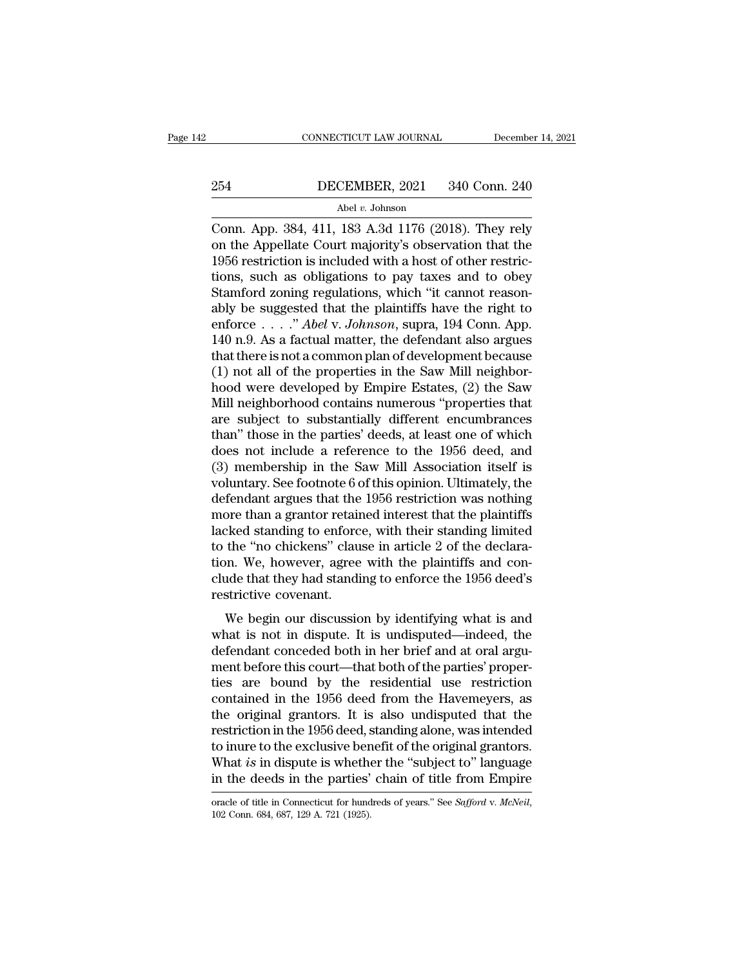# EXECUTE CONNECTICUT LAW JOURNAL December 14, 2021<br>254 DECEMBER, 2021 340 Conn. 240<br>Abel v. Johnson

## Abel *v.* Johnson

CONNECTICUT LAW JOURNAL December 14, 2021<br>
254 DECEMBER, 2021 340 Conn. 240<br>
Abel v. Johnson<br>
Conn. App. 384, 411, 183 A.3d 1176 (2018). They rely<br>
on the Appellate Court majority's observation that the<br>
1056 restriction i **DECEMBER, 2021** 340 Conn. 240<br>Abel v. Johnson<br>Conn. App. 384, 411, 183 A.3d 1176 (2018). They rely<br>on the Appellate Court majority's observation that the<br>1956 restriction is included with a host of other restric-<br>tions, s 254 DECEMBER, 2021 340 Conn. 240<br>
Abel v. Johnson<br>
Conn. App. 384, 411, 183 A.3d 1176 (2018). They rely<br>
on the Appellate Court majority's observation that the<br>
1956 restriction is included with a host of other restric-<br> 254 DECEMBER, 2021 340 Conn. 240<br>
Abel v. Johnson<br>
Conn. App. 384, 411, 183 A.3d 1176 (2018). They rely<br>
on the Appellate Court majority's observation that the<br>
1956 restriction is included with a host of other restric-<br> SECRETA, 2011 2012 0018 2013.<br>
Abel v. Johnson<br>
Conn. App. 384, 411, 183 A.3d 1176 (2018). They rely<br>
on the Appellate Court majority's observation that the<br>
1956 restriction is included with a host of other restric-<br>
tio Abel v. Johnson<br>
Conn. App. 384, 411, 183 A.3d 1176 (2018). They rely<br>
on the Appellate Court majority's observation that the<br>
1956 restriction is included with a host of other restric-<br>
tions, such as obligations to pay t Conn. App. 384, 411, 183 A.3d 1176 (2018). They rely<br>on the Appellate Court majority's observation that the<br>1956 restriction is included with a host of other restric-<br>tions, such as obligations to pay taxes and to obey<br>Sta on the Appellate Court majority's observation that the 1956 restriction is included with a host of other restrictions, such as obligations to pay taxes and to obey Stamford zoning regulations, which "it cannot reasonably 1956 restriction is included with a host of other restrictions, such as obligations to pay taxes and to obey<br>Stamford zoning regulations, which "it cannot reason-<br>ably be suggested that the plaintiffs have the right to<br>en tions, such as obligations to pay taxes and to obey<br>Stamford zoning regulations, which "it cannot reason-<br>ably be suggested that the plaintiffs have the right to<br>enforce  $\dots$ ." *Abel* v. *Johnson*, supra, 194 Conn. App.<br>1 Stamford zoning regulations, which "it cannot reason-<br>ably be suggested that the plaintiffs have the right to<br>enforce  $\dots$ ." *Abel* v. *Johnson*, supra, 194 Conn. App.<br>140 n.9. As a factual matter, the defendant also argu ably be suggested that the plaintiffs have the right to enforce  $\ldots$  " *Abel* v. *Johnson*, supra, 194 Conn. App. 140 n.9. As a factual matter, the defendant also argues that there is not a common plan of development bec enforce  $\dots$  " *Abel* v. *Johnson*, supra, 194 Conn. App.<br>140 n.9. As a factual matter, the defendant also argues<br>that there is not a common plan of development because<br>(1) not all of the properties in the Saw Mill neighb 140 n.9. As a factual matter, the defendant also argues<br>that there is not a common plan of development because<br>(1) not all of the properties in the Saw Mill neighbor-<br>hood were developed by Empire Estates, (2) the Saw<br>Mil that there is not a common plan of development because<br>
(1) not all of the properties in the Saw Mill neighbor-<br>
hood were developed by Empire Estates, (2) the Saw<br>
Mill neighborhood contains numerous "properties that<br>
are (1) not all of the properties in the Saw Mill neighborhood were developed by Empire Estates, (2) the Saw Mill neighborhood contains numerous "properties that are subject to substantially different encumbrances than" those hood were developed by Empire Estates, (2) the Saw<br>Mill neighborhood contains numerous "properties that<br>are subject to substantially different encumbrances<br>than" those in the parties' deeds, at least one of which<br>does not Mill neighborhood contains numerous "properties that<br>are subject to substantially different encumbrances<br>than" those in the parties' deeds, at least one of which<br>does not include a reference to the 1956 deed, and<br>(3) membe are subject to substantially different encumbrances<br>than" those in the parties' deeds, at least one of which<br>does not include a reference to the 1956 deed, and<br>(3) membership in the Saw Mill Association itself is<br>voluntary than" those in the parties' deeds, at least one of which<br>does not include a reference to the 1956 deed, and<br>(3) membership in the Saw Mill Association itself is<br>voluntary. See footnote 6 of this opinion. Ultimately, the<br>de does not include a reference to the 1956 deed, and<br>(3) membership in the Saw Mill Association itself is<br>voluntary. See footnote 6 of this opinion. Ultimately, the<br>defendant argues that the 1956 restriction was nothing<br>more (3) membership in the Saw Mill Association itself is<br>voluntary. See footnote 6 of this opinion. Ultimately, the<br>defendant argues that the 1956 restriction was nothing<br>more than a grantor retained interest that the plainti voluntary. See footnote 6 of this opinion. Ultimately, the<br>defendant argues that the 1956 restriction was nothing<br>more than a grantor retained interest that the plaintiffs<br>lacked standing to enforce, with their standing li defendant argues that the<br>more than a grantor retain<br>lacked standing to enforc<br>to the "no chickens" clau<br>tion. We, however, agree<br>clude that they had standi<br>restrictive covenant.<br>We begin our discussio Exed standing to enforce, with their standing limited<br>the "no chickens" clause in article 2 of the declara-<br>on. We, however, agree with the plaintiffs and con-<br>ide that they had standing to enforce the 1956 deed's<br>strictiv racked standing to emorec, whit their standing infliced<br>to the "no chickens" clause in article 2 of the declara-<br>tion. We, however, agree with the plaintiffs and con-<br>clude that they had standing to enforce the 1956 deed's

define the chockens clause in driver 2 of the declaration. We, however, agree with the plaintiffs and conclude that they had standing to enforce the 1956 deed's restrictive covenant.<br>We begin our discussion by identifying ment before the 1956 deed's<br>clude that they had standing to enforce the 1956 deed's<br>restrictive covenant.<br>We begin our discussion by identifying what is and<br>what is not in dispute. It is undisputed—indeed, the<br>defendant co restrictive covenant.<br>
We begin our discussion by identifying what is and<br>
what is not in dispute. It is undisputed—indeed, the<br>
defendant conceded both in her brief and at oral argu-<br>
ment before this court—that both of t We begin our discussion by identifying what is and<br>what is not in dispute. It is undisputed—indeed, the<br>defendant conceded both in her brief and at oral argu-<br>ment before this court—that both of the parties' proper-<br>ties a We begin our discussion by identifying what is and<br>what is not in dispute. It is undisputed—indeed, the<br>defendant conceded both in her brief and at oral argu-<br>ment before this court—that both of the parties' proper-<br>ties a what is not in dispute. It is undisputed—indeed, the<br>defendant conceded both in her brief and at oral argu-<br>ment before this court—that both of the parties' proper-<br>ties are bound by the residential use restriction<br>contain defendant conceded both in her brief and at oral argument before this court—that both of the parties' proper-<br>ties are bound by the residential use restriction<br>contained in the 1956 deed from the Havemeyers, as<br>the origina ment before this court—that both of the parties' properties are bound by the residential use restriction contained in the 1956 deed from the Havemeyers, as the original grantors. It is also undisputed that the restriction ties are bound by the residential use restriction<br>contained in the 1956 deed from the Havemeyers, as<br>the original grantors. It is also undisputed that the<br>restriction in the 1956 deed, standing alone, was intended<br>to inur restriction in the 1956 deed, standing alone, was intended<br>to inure to the exclusive benefit of the original grantors.<br>What *is* in dispute is whether the "subject to" language<br>in the deeds in the parties' chain of title f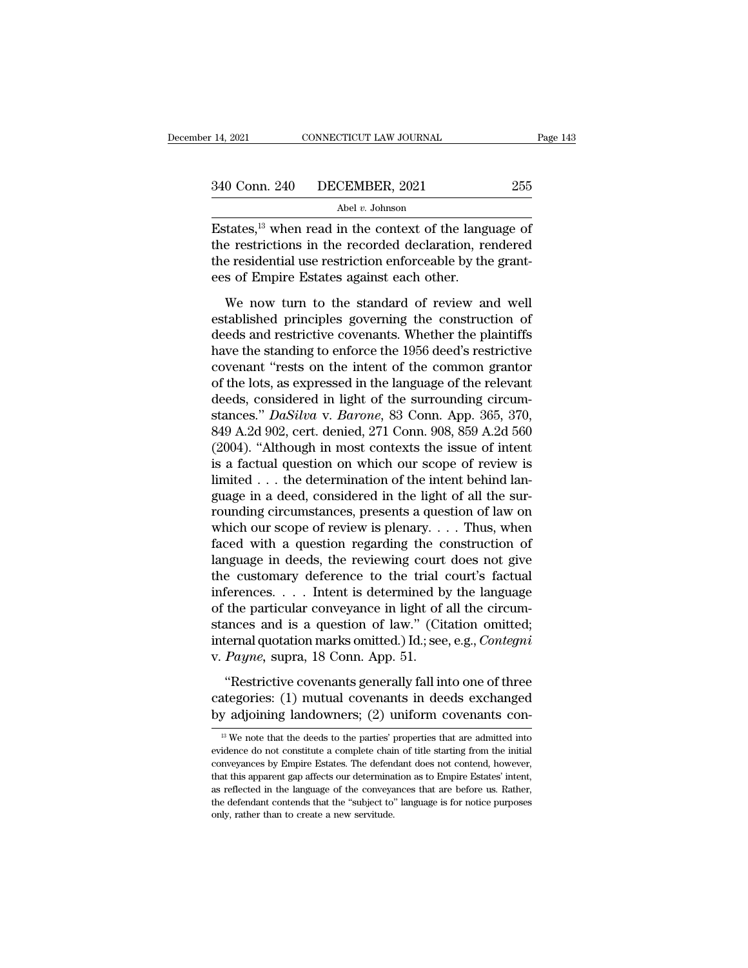14, 2021 CONNECTICUT LAW JOURNAL Page 14:<br>  $255$ <br>  $340$  Conn. 240 DECEMBER, 2021 255<br>
Abel v. Johnson<br>
Estates,<sup>13</sup> when read in the context of the language of<br>
the restrictions in the recorded declaration, rendered<br>
the  $t^{\text{340}}$  Conn. 240 DECEMBER, 2021 255<br>Abel v. Johnson<br>Estates,<sup>13</sup> when read in the context of the language of<br>the restrictions in the recorded declaration, rendered<br>the residential use restriction enforceable by the g 340 Conn. 240 DECEMBER, 2021 255<br>Abel v. Johnson<br>Estates,<sup>13</sup> when read in the context of the language of<br>the restrictions in the recorded declaration, rendered<br>the residential use restriction enforceable by the grant-<br>ee 340 Conn. 240 DECEMBER, 2021<br>
Abel v. Johnson<br>
Estates, <sup>13</sup> when read in the context of the lang<br>
the restrictions in the recorded declaration, re<br>
the residential use restriction enforceable by the<br>
ees of Empire Estate  $\frac{\text{Abel } v. \text{ Johnson}}{\text{states,}^{13} \text{ when read in the context of the language of}}$ <br>
e restrictions in the recorded declaration, rendered<br>
e residential use restriction enforceable by the grant-<br>
s of Empire Estates against each other.<br>
We now turn to the standard Estates, $^{13}$  when read in the context of the language of<br>the restrictions in the recorded declaration, rendered<br>the residential use restriction enforceable by the grant-<br>ees of Empire Estates against each other.<br>We now

metrictions in the content of the maginage of<br>the restrictions in the recorded declaration, rendered<br>the residential use restriction enforceable by the grant-<br>ees of Empire Estates against each other.<br>We now turn to the st the residential use restriction enforceable by the grant-<br>ees of Empire Estates against each other.<br>We now turn to the standard of review and well<br>established principles governing the construction of<br>deeds and restrictive coverant the interteration of the control of the construction<br>
ees of Empire Estates against each other.<br>
We now turn to the standard of review and well<br>
established principles governing the construction of<br>
deeds and rest We now turn to the standard of review and well<br>established principles governing the construction of<br>deeds and restrictive covenants. Whether the plaintiffs<br>have the standing to enforce the 1956 deed's restrictive<br>covenant We now turn to the standard of review and well<br>established principles governing the construction of<br>deeds and restrictive covenants. Whether the plaintiffs<br>have the standing to enforce the 1956 deed's restrictive<br>covenant established principles governing the construction of<br>deeds and restrictive covenants. Whether the plaintiffs<br>have the standing to enforce the 1956 deed's restrictive<br>covenant "rests on the intent of the common grantor<br>of t deeds and restrictive covenants. Whether the plaintiffs<br>have the standing to enforce the 1956 deed's restrictive<br>covenant "rests on the intent of the common grantor<br>of the lots, as expressed in the language of the relevant have the standing to enforce the 1956 deed's restrictive<br>covenant "rests on the intent of the common grantor<br>of the lots, as expressed in the language of the relevant<br>deeds, considered in light of the surrounding circum-<br>s covenant "rests on the intent of the common grantor<br>of the lots, as expressed in the language of the relevant<br>deeds, considered in light of the surrounding circum-<br>stances."  $DaSiiva$  v.  $Barone$ , 83 Conn. App. 365, 370,<br>849 A.2 of the lots, as expressed in the language of the relevant<br>deeds, considered in light of the surrounding circum-<br>stances."  $DaSiiva$  v.  $Barone$ , 83 Conn. App. 365, 370,<br>849 A.2d 902, cert. denied, 271 Conn. 908, 859 A.2d 560<br>(200 deeds, considered in light of the surrounding circum-<br>stances." *DaSilva* v. *Barone*, 83 Conn. App. 365, 370,<br>849 A.2d 902, cert. denied, 271 Conn. 908, 859 A.2d 560<br>(2004). "Although in most contexts the issue of intent stances." *DaSilva* v. *Barone*, 83 Conn. App. 365, 370, 849 A.2d 902, cert. denied, 271 Conn. 908, 859 A.2d 560 (2004). "Although in most contexts the issue of intent is a factual question on which our scope of review is 849 A.2d 902, cert. denied, 271 Conn. 908, 859 A.2d 560 (2004). "Although in most contexts the issue of intent<br>is a factual question on which our scope of review is<br>limited . . . the determination of the intent behind lan-(2004). "Although in most contexts the issue of intent<br>is a factual question on which our scope of review is<br>limited . . . the determination of the intent behind lan-<br>guage in a deed, considered in the light of all the su is a factual question on which our scope of review is<br>limited . . . the determination of the intent behind language in a deed, considered in the light of all the sur-<br>rounding circumstances, presents a question of law on<br> limited . . . the determination of the intent behind language in a deed, considered in the light of all the surrounding circumstances, presents a question of law on which our scope of review is plenary. . . . Thus, when f guage in a deed, considered in the light of all the sur-<br>rounding circumstances, presents a question of law on<br>which our scope of review is plenary. . . . Thus, when<br>faced with a question regarding the construction of<br>lang rounding circumstances, presents a question of law on<br>which our scope of review is plenary.... Thus, when<br>faced with a question regarding the construction of<br>language in deeds, the reviewing court does not give<br>the custom which our scope of review is plenary.... Thus, when<br>faced with a question regarding the construction of<br>language in deeds, the reviewing court does not give<br>the customary deference to the trial court's factual<br>inferences. faced with a question regarding the construction of language in deeds, the reviewing court does not give the customary deference to the trial court's factual inferences. . . . Intent is determined by the language of the pa language in deeds, the reviewing court<br>the customary deference to the trial<br>inferences.... Intent is determined by<br>of the particular conveyance in light of<br>stances and is a question of law." (Cit<br>internal quotation marks o Ferences. . . . Intent is determined by the language<br>the particular conveyance in light of all the circum-<br>ances and is a question of law." (Citation omitted;<br>ternal quotation marks omitted.) Id.; see, e.g., *Contegni*<br>*P* Extracted particular conveyance in light of all the circum-<br>stances and is a question of law." (Citation omitted;<br>internal quotation marks omitted.) Id.; see, e.g., *Contegni*<br>v. *Payne*, supra, 18 Conn. App. 51.<br>"Restrict stances and is a question of law." (Citation omitted;<br>internal quotation marks omitted.) Id.; see, e.g., *Contegni*<br>v. *Payne*, supra, 18 Conn. App. 51.<br>"Restrictive covenants generally fall into one of three<br>categories:

"Restrictive covenants generally fall into one of three attegories: (1) mutual covenants in deeds exchanged y adjoining landowners; (2) uniform covenants con-<br><sup>13</sup> We note that the deeds to the parties' properties that ar "Restrictive covenants generally fall into one of three categories: (1) mutual covenants in deeds exchanged by adjoining landowners; (2) uniform covenants constitute a complete chain of title starting from the initial con

categories: (1) mutual covenants in deeds exchanged<br>by adjoining landowners; (2) uniform covenants con-<br><sup>13</sup>We note that the deeds to the parties' properties that are admitted into<br>evidence do not constitute a complete ch by adjoining landowners; (2) uniform covenants con-<br> $B^{\text{B}}$  we note that the deeds to the parties' properties that are admitted into<br>evidence do not constitute a complete chain of title starting from the initial<br>conveya By adjoining randowners, (2) uniform coveriants con-<br>
<sup>13</sup> We note that the deeds to the parties' properties that are admitted into<br>
evidence do not constitute a complete chain of title starting from the initial<br>
conveyan  $^{13}$  We note that the deeds to the parties' properties that are admitted into evidence do not constitute a complete chain of title starting from the initial conveyances by Empire Estates. The defendant does not contend, evidence do not constitute a complete chain of title starting from the initial conveyances by Empire Estates. The defendant does not contend, however, that this apparent gap affects our determination as to Empire Estates'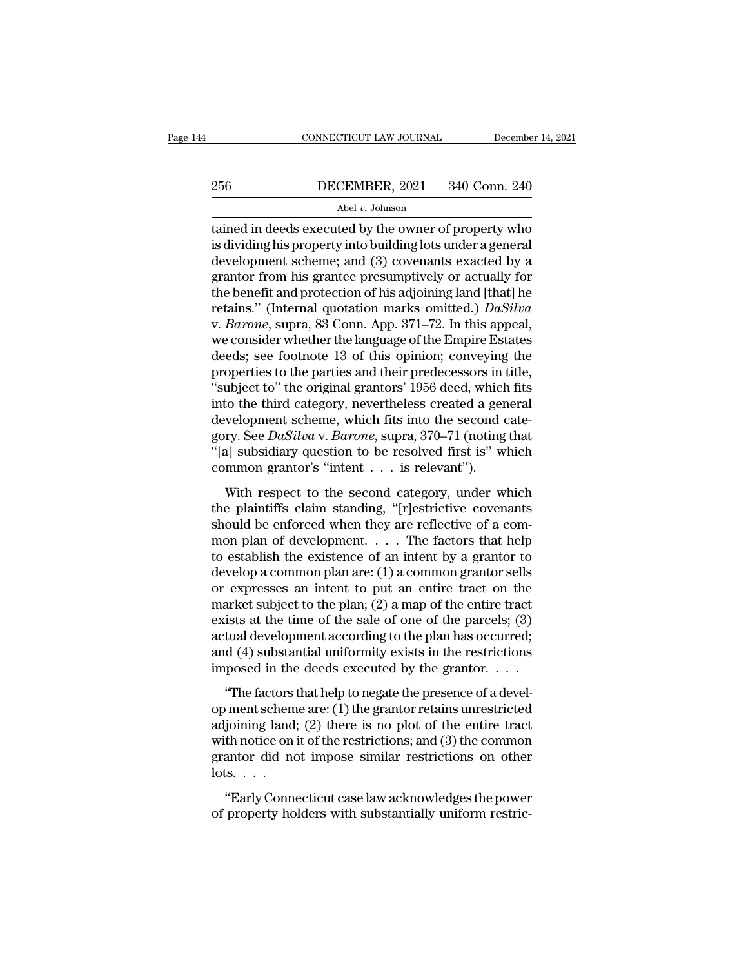# EXECUTE CONNECTICUT LAW JOURNAL December 14, 2021<br>256 DECEMBER, 2021 340 Conn. 240<br>Abel v. Johnson

## Abel *v.* Johnson

CONNECTICUT LAW JOURNAL December 14, 2021<br>
256 DECEMBER, 2021 340 Conn. 240<br>
Abel v. Johnson<br>
tained in deeds executed by the owner of property who<br>
is dividing his property into building lots under a general<br>
dovelopment  $\begin{array}{r} \text{256} \text{} \text{DECEMBER, 2021} \text{340 Conn. 240} \ \text{Abel } v \text{. Johnson} \ \text{tained in decades executed by the owner of property who is dividing his property into building lots under a general development scheme; and (3) coverants exacted by a grantor from his granto, programming by or actually for.} \end{array}$  $256$  DECEMBER, 2021 340 Conn. 240<br>
Abel v. Johnson<br>
tained in deeds executed by the owner of property who<br>
is dividing his property into building lots under a general<br>
development scheme; and (3) covenants exacted by a<br> 256 DECEMBER, 2021 340 Conn. 240<br>
Abel v. Johnson<br>
tained in deeds executed by the owner of property who<br>
is dividing his property into building lots under a general<br>
development scheme; and (3) covenants exacted by a<br>
gr Abel v. Johnson<br>
Abel v. Johnson<br>
is dividing his property into building lots under a general<br>
development scheme; and (3) covenants exacted by a<br>
grantor from his grantee presumptively or actually for<br>
the benefit and pr Abel v. Johnson<br>
tained in deeds executed by the owner of property who<br>
is dividing his property into building lots under a general<br>
development scheme; and (3) covenants exacted by a<br>
grantor from his grantee presumptivel tained in deeds executed by the owner of property who<br>is dividing his property into building lots under a general<br>development scheme; and (3) covenants exacted by a<br>grantor from his grantee presumptively or actually for<br>th is dividing his property into building lots under a general<br>development scheme; and (3) covenants exacted by a<br>grantor from his grantee presumptively or actually for<br>the benefit and protection of his adjoining land [that] development scheme; and (3) covenants exacted by a<br>grantor from his grantee presumptively or actually for<br>the benefit and protection of his adjoining land [that] he<br>retains." (Internal quotation marks omitted.) *DaSilva*<br>v grantor from his grantee presumptively or actually for<br>the benefit and protection of his adjoining land [that] he<br>retains." (Internal quotation marks omitted.) *DaSilva*<br>v. *Barone*, supra, 83 Conn. App. 371–72. In this ap the benefit and protection of his adjoining land [that] he<br>retains." (Internal quotation marks omitted.) *DaSilva*<br>v. *Barone*, supra, 83 Conn. App. 371–72. In this appeal,<br>we consider whether the language of the Empire Es retains." (Internal quotation marks omitted.)  $Da Silva$ <br>v. Barone, supra, 83 Conn. App. 371–72. In this appeal,<br>we consider whether the language of the Empire Estates<br>deeds; see footnote 13 of this opinion; conveying the<br>prope v. *Barone*, supra, 83 Conn. App. 371–72. In this appeal, we consider whether the language of the Empire Estates deeds; see footnote 13 of this opinion; conveying the properties to the parties and their predecessors in tit we consider whether the language of the Empire Estates<br>deeds; see footnote 13 of this opinion; conveying the<br>properties to the parties and their predecessors in title,<br>"subject to" the original grantors' 1956 deed, which f deeds; see footnote 13 of this opinion; conveying the<br>properties to the parties and their predecessors in title,<br>"subject to" the original grantors' 1956 deed, which fits<br>into the third category, nevertheless created a gen properties to the parties and their predecessors in "subject to" the original grantors' 1956 deed, which<br>into the third category, nevertheless created a ger<br>development scheme, which fits into the second  $gory$ . See *DaSilv* to the third category, nevertheless created a general<br>velopment scheme, which fits into the second cate-<br>ry. See DaSilva v. Barone, supra, 370–71 (noting that<br>a] subsidiary question to be resolved first is" which<br>mmon gra the and category, invertingless created a general development scheme, which fits into the second category. See *DaSilva* v. *Barone*, supra, 370–71 (noting that "[a] subsidiary question to be resolved first is" which comm

shows See DaSilva v. Barone, supra, 370–71 (noting that "[a] subsidiary question to be resolved first is" which common grantor's "intent  $\ldots$  is relevant").<br>With respect to the second category, under which the plaintiffs "[a] subsidiary question to be resolved first is" which<br>
"[a] subsidiary question to be resolved first is" which<br>
common grantor's "intent . . . is relevant").<br>
With respect to the second category, under which<br>
the plaint to exist the existent to the second internal common grantor's "intent . . . is relevant").<br>With respect to the second category, under which<br>the plaintiffs claim standing, "[r]estrictive covenants<br>should be enforced when t With respect to the second category, under which<br>the plaintiffs claim standing, "[r]estrictive covenants<br>should be enforced when they are reflective of a com-<br>mon plan of development.... The factors that help<br>to establish With respect to the second category, under which<br>the plaintiffs claim standing, "[r]estrictive covenants<br>should be enforced when they are reflective of a com-<br>mon plan of development. . . . The factors that help<br>to establ the plaintiffs claim standing, "[r]estrictive covenants<br>should be enforced when they are reflective of a com-<br>mon plan of development. . . . The factors that help<br>to establish the existence of an intent by a grantor to<br>de should be enforced when they are reflective of a com-<br>mon plan of development. . . . . The factors that help<br>to establish the existence of an intent by a grantor to<br>develop a common plan are: (1) a common grantor sells<br>or mon plan of development. . . . The factors that help<br>to establish the existence of an intent by a grantor to<br>develop a common plan are: (1) a common grantor sells<br>or expresses an intent to put an entire tract on the<br>marke to establish the existence of an intent by a grantor to<br>develop a common plan are: (1) a common grantor sells<br>or expresses an intent to put an entire tract on the<br>market subject to the plan; (2) a map of the entire tract<br> develop a common plan are: (1) a common grantor sells<br>or expresses an intent to put an entire tract on the<br>market subject to the plan; (2) a map of the entire tract<br>exists at the time of the sale of one of the parcels; (3 Expresses an internet to put an entire trace on the<br>arket subject to the plan; (2) a map of the entire tract<br>ists at the time of the sale of one of the parcels; (3)<br>tual development according to the plan has occurred;<br>d ( radiated subject to the paral, (2) a https://www.chine.com/<br>exists at the time of the sale of one of the parcels; (3)<br>actual development according to the plan has occurred;<br>and (4) substantial uniformity exists in the res

and (4) substantial uniformity exists in the restrictions<br>and (4) substantial uniformity exists in the restrictions<br>imposed in the deeds executed by the grantor....<br>"The factors that help to negate the presence of a devel actual development according to the pharmal occurred,<br>and (4) substantial uniformity exists in the restrictions<br>imposed in the deeds executed by the grantor....<br>"The factors that help to negate the presence of a devel-<br>op imposed in the deeds executed by the grantor.  $\dots$ <br>
"The factors that help to negate the presence of a develop ment scheme are: (1) the grantor retains unrestricted<br>adjoining land; (2) there is no plot of the entire tract "The factors"<br>"The factors"<br>adjoining land<br>with notice on<br>grantor did no<br>lots. . . .<br>"Early Conn The factors and help to higher are presence of a deverance of the ment scheme are: (1) the grantor retains unrestricted joining land; (2) there is no plot of the entire tract th notice on it of the restrictions; and (3) t of membericine are. (1) are grands reaans antestated<br>adjoining land; (2) there is no plot of the entire tract<br>with notice on it of the restrictions; and (3) the common<br>grantor did not impose similar restrictions on other<br>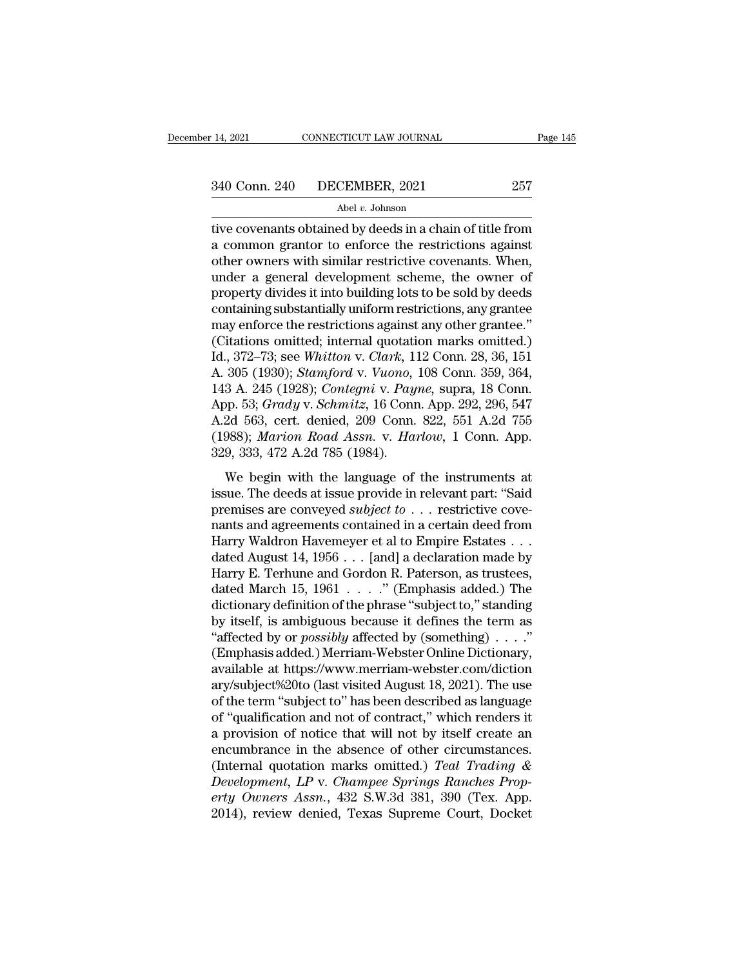14, 2021 CONNECTICUT LAW JOURNAL Page 145<br>  $340$  Conn. 240 DECEMBER, 2021 257<br>
Abel v. Johnson<br>
tive covenants obtained by deeds in a chain of title from<br>
a common grantor to enforce the restrictions against<br>
other owners  $\frac{340 \text{ Conn. } 240 \text{ DECEMBER, } 2021}$   $\frac{257}{\text{ Abel } v. \text{ Johnson}}$ <br>tive covenants obtained by deeds in a chain of title from<br>a common grantor to enforce the restrictions against<br>other owners with similar restrictive covenants. When,<br> 340 Conn. 240 DECEMBER, 2021 257<br>
Abel v. Johnson<br>
tive covenants obtained by deeds in a chain of title from<br>
a common grantor to enforce the restrictions against<br>
other owners with similar restrictive covenants. When,<br>
u  $\frac{340 \text{ Conn. } 240 \qquad \text{DECEMBER, } 2021 \qquad \qquad 257}{\text{Abel } v. \text{ Johnson}}$ <br>tive covenants obtained by deeds in a chain of title from<br>a common grantor to enforce the restrictions against<br>other owners with similar restrictive covenants. Wh Abel *v*. Johnson<br>
abel *v*. Johnson<br>
a common grantor to enforce the restrictions against<br>
other owners with similar restrictive covenants. When,<br>
under a general development scheme, the owner of<br>
property divides it into Abel *v*. Johnson<br>tive covenants obtained by deeds in a chain of title from<br>a common grantor to enforce the restrictions against<br>other owners with similar restrictive covenants. When,<br>under a general development scheme, t tive covenants obtained by deeds in a chain of title from<br>a common grantor to enforce the restrictions against<br>other owners with similar restrictive covenants. When,<br>under a general development scheme, the owner of<br>propert a common grantor to enforce the restrictions against<br>other owners with similar restrictive covenants. When,<br>under a general development scheme, the owner of<br>property divides it into building lots to be sold by deeds<br>contai other owners with similar restrictive covenants. When,<br>under a general development scheme, the owner of<br>property divides it into building lots to be sold by deeds<br>containing substantially uniform restrictions, any grantee<br> under a general development scheme, the owner of<br>property divides it into building lots to be sold by deeds<br>containing substantially uniform restrictions, any grantee<br>may enforce the restrictions against any other grantee. property divides it into building lots to be sold by deeds<br>containing substantially uniform restrictions, any grantee<br>may enforce the restrictions against any other grantee."<br>(Citations omitted; internal quotation marks om containing substantially uniform restrictions, any grantee<br>may enforce the restrictions against any other grantee."<br>(Citations omitted; internal quotation marks omitted.)<br>Id., 372–73; see Whitton v. *Clark*, 112 Conn. 28, may enforce the restrictions against any other grantee."<br>
(Citations omitted; internal quotation marks omitted.)<br>
Id., 372–73; see *Whitton v. Clark*, 112 Conn. 28, 36, 151<br>
A. 305 (1930); *Stamford v. Vuono*, 108 Conn. 35 (Citations omitted; internal quotation marks omitted.)<br>Id., 372–73; see Whitton v. *Clark*, 112 Conn. 28, 36, 151<br>A. 305 (1930); *Stamford v. Vuono*, 108 Conn. 359, 364,<br>143 A. 245 (1928); *Contegni v. Payne*, supra, 18 Co Id., 372–73; see Whitton v. Clark, 1<br>A. 305 (1930); *Stamford v. Vuono*,<br>143 A. 245 (1928); *Contegni v. Pay*<br>App. 53; *Grady v. Schmitz*, 16 Conn<br>A.2d 563, cert. denied, 209 Conn.<br>(1988); *Marion Road Assn. v. Ha*:<br>329, 3 3 A. 245 (1928); *Contegni* v. *Payne*, supra, 18 Conn.<br>
9. 53; *Grady* v. *Schmitz*, 16 Conn. App. 292, 296, 547<br>
2d 563, cert. denied, 209 Conn. 822, 551 A.2d 755<br>
988); *Marion Road Assn.* v. *Harlow*, 1 Conn. App.<br>
9, Fig. 11. 219 (1929), contight v. 1 aghe, sapid, 19 com.<br>
App. 53; *Grady v. Schmitz*, 16 Conn. App. 292, 296, 547<br>
A.2d 563, cert. denied, 209 Conn. 822, 551 A.2d 755<br>
(1988); *Marion Road Assn. v. Harlow*, 1 Conn. App.<br>

premises, arrang v. Schmitts, 10 conn. 1.pp. 202, 200, 911<br>A.2d 563, cert. denied, 209 Conn. 822, 551 A.2d 755<br>(1988); *Marion Road Assn. v. Harlow*, 1 Conn. App.<br>329, 333, 472 A.2d 785 (1984).<br>We begin with the language o (1988); *Marion Road Assn. v. Harlow*, 1 Conn. App.<br>329, 333, 472 A.2d 785 (1984).<br>We begin with the language of the instruments at<br>issue. The deeds at issue provide in relevant part: "Said<br>premises are conveyed *subject* (1888), *Individed 1886.* W. Harrow, 1 Cold. 11pp.<br>329, 333, 472 A.2d 785 (1984).<br>We begin with the language of the instruments at<br>issue. The deeds at issue provide in relevant part: "Said<br>premises are conveyed *subject t* We begin with the language of the instruments at issue. The deeds at issue provide in relevant part: "Said premises are conveyed *subject to* . . . restrictive covenants and agreements contained in a certain deed from Har We begin with the language of the instruments at<br>issue. The deeds at issue provide in relevant part: "Said<br>premises are conveyed *subject to* . . . restrictive cove-<br>nants and agreements contained in a certain deed from<br>H issue. The deeds at issue provide in relevant part: "Said<br>premises are conveyed *subject to* . . . restrictive cove-<br>nants and agreements contained in a certain deed from<br>Harry Waldron Havemeyer et al to Empire Estates . premises are conveyed *subject to* . . . restrictive cove-<br>nants and agreements contained in a certain deed from<br>Harry Waldron Havemeyer et al to Empire Estates . . .<br>dated August 14, 1956 . . . [and] a declaration made b nants and agreements contained in a certain deed from<br>Harry Waldron Havemeyer et al to Empire Estates . . .<br>dated August 14, 1956 . . . [and] a declaration made by<br>Harry E. Terhune and Gordon R. Paterson, as trustees,<br>dat Harry Waldron Havemeyer et al to Empire Estates . . .<br>
dated August 14, 1956 . . . [and] a declaration made by<br>
Harry E. Terhune and Gordon R. Paterson, as trustees,<br>
dated March 15, 1961 . . . . ." (Emphasis added.) The<br> dated August 14, 1956 . . . [and] a declaration made by<br>Harry E. Terhune and Gordon R. Paterson, as trustees,<br>dated March 15, 1961 . . . . . " (Emphasis added.) The<br>dictionary definition of the phrase "subject to," standi Harry E. Terhune and Gordon R. Paterson, as trustees,<br>dated March 15, 1961  $\dots$ ." (Emphasis added.) The<br>dictionary definition of the phrase "subject to," standing<br>by itself, is ambiguous because it defines the term as<br>"af dated March 15, 1961  $\dots$  ." (Emphasis added.) The<br>dictionary definition of the phrase "subject to," standing<br>by itself, is ambiguous because it defines the term as<br>"affected by or *possibly* affected by (something)  $\dots$ . dictionary definition of the phrase "subject to," standing<br>by itself, is ambiguous because it defines the term as<br>"affected by or *possibly* affected by (something) . . . ."<br>(Emphasis added.) Merriam-Webster Online Diction by itself, is ambiguous because it defines the term as<br>
"affected by or  $possibly$  affected by (something)  $\ldots$ ."<br>
(Emphasis added.) Merriam-Webster Online Dictionary,<br>
available at https://www.merriam-webster.com/diction<br>
ary/ "affected by or *possibly* affected by (something) . . . ."<br>(Emphasis added.) Merriam-Webster Online Dictionary,<br>available at https://www.merriam-webster.com/diction<br>ary/subject%20to (last visited August 18, 2021). The us (Emphasis added.) Merriam-Webster Online Dictionary,<br>available at https://www.merriam-webster.com/diction<br>ary/subject%20to (last visited August 18, 2021). The use<br>of the term "subject to" has been described as language<br>of available at https://www.merriam-webster.com/diction<br>ary/subject%20to (last visited August 18, 2021). The use<br>of the term "subject to" has been described as language<br>of "qualification and not of contract," which renders it ary/subject%20to (last visited August 18, 2021). The use<br>of the term "subject to" has been described as language<br>of "qualification and not of contract," which renders it<br>a provision of notice that will not by itself create of the term "subject to" has been described as language<br>of "qualification and not of contract," which renders it<br>a provision of notice that will not by itself create an<br>encumbrance in the absence of other circumstances.<br>(I of "qualification and not of contract," which renders it<br>a provision of notice that will not by itself create an<br>encumbrance in the absence of other circumstances.<br>(Internal quotation marks omitted.) *Teal Trading &<br>Develo*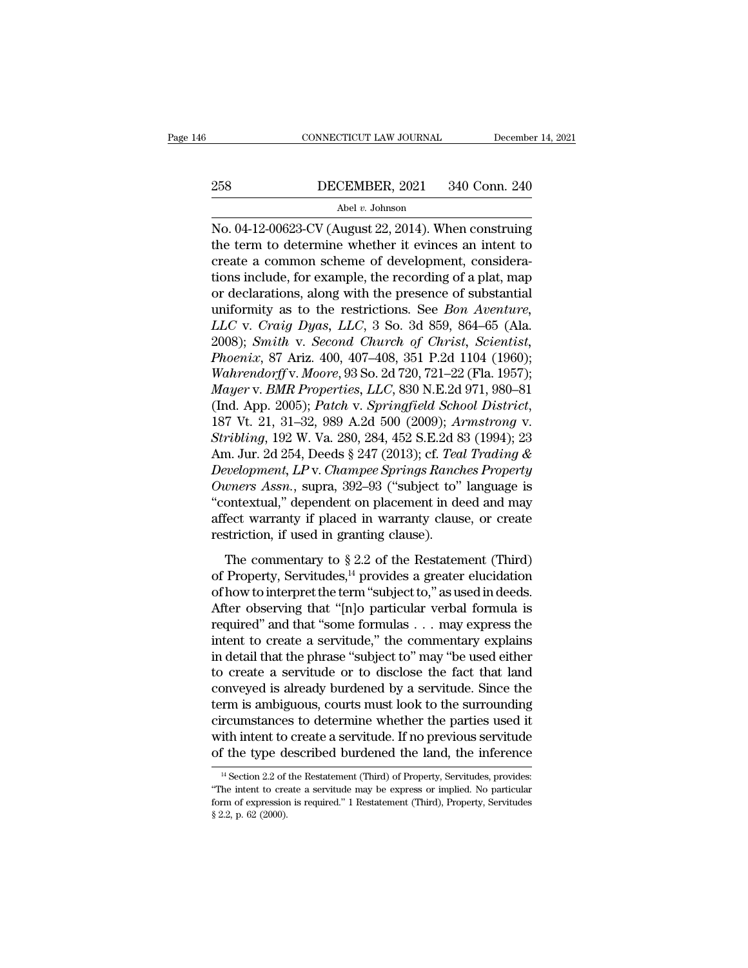# CONNECTICUT LAW JOURNAL December 14, 2021<br>258 DECEMBER, 2021 340 Conn. 240<br>Abel v. Johnson

## Abel *v.* Johnson

CONNECTICUT LAW JOURNAL December 14, 2021<br>
258 DECEMBER, 2021 340 Conn. 240<br>
Abel v. Johnson<br>
No. 04-12-00623-CV (August 22, 2014). When construing<br>
the term to determine whether it evinces an intent to 258 DECEMBER, 2021 340 Conn. 240<br>Abel v. Johnson<br>No. 04-12-00623-CV (August 22, 2014). When construing<br>the term to determine whether it evinces an intent to<br>create a common scheme of development, considera-<br>tions include 258 DECEMBER, 2021 340 Conn. 240<br>Abel v. Johnson<br>No. 04-12-00623-CV (August 22, 2014). When construing<br>the term to determine whether it evinces an intent to<br>create a common scheme of development, considera-<br>tions include, 258 DECEMBER, 2021 340 Conn. 240<br>
Abel v. Johnson<br>
No. 04-12-00623-CV (August 22, 2014). When construing<br>
the term to determine whether it evinces an intent to<br>
create a common scheme of development, considera-<br>
tions inc Abel v. Johnson<br>No. 04-12-00623-CV (August 22, 2014). When construing<br>the term to determine whether it evinces an intent to<br>create a common scheme of development, considera-<br>tions include, for example, the recording of a Abel *v.* Johnson<br>No. 04-12-00623-CV (August 22, 2014). When construing<br>the term to determine whether it evinces an intent to<br>create a common scheme of development, considera-<br>tions include, for example, the recording of a *No.* 04-12-00623-CV (August 22, 2014). When construing<br>the term to determine whether it evinces an intent to<br>create a common scheme of development, considera-<br>tions include, for example, the recording of a plat, map<br>or de the term to determine whether it evinces an intent to<br>create a common scheme of development, considera-<br>tions include, for example, the recording of a plat, map<br>or declarations, along with the presence of substantial<br>unifo create a common scheme of development, considerations include, for example, the recording of a plat, map<br>or declarations, along with the presence of substantial<br>uniformity as to the restrictions. See *Bon Aventure,*<br> $LLC$  v tions include, for example, the recording of a plat, map<br>or declarations, along with the presence of substantial<br>uniformity as to the restrictions. See *Bon Aventure*,<br>*LLC* v. *Craig Dyas*, *LLC*, 3 So. 3d 859, 864–65 (Al or declarations, along with the presence of substantial<br>uniformity as to the restrictions. See *Bon Aventure,*<br>LLC v. Craig Dyas, LLC, 3 So. 3d 859, 864–65 (Ala.<br>2008); *Smith v. Second Church of Christ, Scientist,*<br>*Phoen* uniformity as to the restrictions. See *Bon Aventure,*<br>LLC v. *Craig Dyas, LLC*, 3 So. 3d 859, 864–65 (Ala.<br>2008); *Smith v. Second Church of Christ, Scientist,*<br>*Phoenix, 87 Ariz. 400, 407–408, 351 P.2d 1104 (1960);*<br>*Wah* 2008); *Smith v. Second Church of Christ, Scientist,*<br>*Phoenix, 87 Ariz. 400, 407–408, 351 P.2d 1104 (1960);*<br>*Wahrendorff v. Moore, 93 So. 2d 720, 721–22 (Fla. 1957);*<br>*Mayer v. BMR Properties, LLC, 830 N.E.2d 971, 980–81* Phoenix, 87 Ariz. 400, 407–408, 351 P.2d 1104 (1960);<br>Wahrendorff v. Moore, 93 So. 2d 720, 721–22 (Fla. 1957);<br>Mayer v. *BMR Properties, LLC*, 830 N.E.2d 971, 980–81<br>(Ind. App. 2005); *Patch v. Springfield School District, Wahrendorff* v. *Moore*, 93 So. 2d 720, 721–22 (Fla. 1957);<br> *Mayer* v. *BMR Properties, LLC*, 830 N.E.2d 971, 980–81<br>
(Ind. App. 2005); *Patch* v. *Springfield School District*,<br>
187 Vt. 21, 31–32, 989 A.2d 500 (2009); *Mayer v. BMR Properties, LLC,* 830 N.E.2d 971, 980–81<br>
(Ind. App. 2005); *Patch v. Springfield School District,*<br>
187 Vt. 21, 31–32, 989 A.2d 500 (2009); *Armstrong v.*<br> *Stribling*, 192 W. Va. 280, 284, 452 S.E.2d 83 (19 (Ind. App. 2005); *Patch v. Springfield School District*,<br>187 Vt. 21, 31–32, 989 A.2d 500 (2009); *Armstrong v.*<br>*Stribling*, 192 W. Va. 280, 284, 452 S.E.2d 83 (1994); 23<br>Am. Jur. 2d 254, Deeds § 247 (2013); cf. *Teal Tra* 187 Vt. 21, 31–32, 989 A.2d 500 (2009); Armstrong v.<br>Stribling, 192 W. Va. 280, 284, 452 S.E.2d 83 (1994); 23<br>Am. Jur. 2d 254, Deeds § 247 (2013); cf. Teal Trading &<br>Development, LP v. Champee Springs Ranches Property<br>Own Stribling, 192 W. Va. 280, 284, 452 S.E.2d 8<br>Am. Jur. 2d 254, Deeds § 247 (2013); cf. Tea<br>Development, LP v. Champee Springs Ranch<br>Owners Assn., supra, 392–93 ("subject to"<br>"contextual," dependent on placement in de<br>affect The commentary to § 2.2 of the Restatement (Third) *Owners Assn.*, supra, 392–93 ("subject to" language is<br>
"contextual," dependent on placement in deed and may<br>
affect warranty if placed in warranty clause, or create<br>
restriction, if used in granting clause).<br>
The commen

Contextual," dependent on placement in deed and may<br>affect warranty if placed in warranty clause, or create<br>restriction, if used in granting clause).<br>The commentary to  $\S 2.2$  of the Restatement (Third)<br>of Property, Servi affect warranty if placed in warranty clause, or create<br>restriction, if used in granting clause).<br>The commentary to  $\S 2.2$  of the Restatement (Third)<br>of Property, Servitudes,<sup>14</sup> provides a greater elucidation<br>of how to restriction, if used in granting clause).<br>
The commentary to § 2.2 of the Restatement (Third)<br>
of Property, Servitudes,<sup>14</sup> provides a greater elucidation<br>
of how to interpret the term "subject to," as used in deeds.<br>
Aft The commentary to § 2.2 of the Restatement (Third)<br>of Property, Servitudes,<sup>14</sup> provides a greater elucidation<br>of how to interpret the term "subject to," as used in deeds.<br>After observing that "[n]o particular verbal form The commentary to  $\S 2.2$  of the Restatement (Third)<br>of Property, Servitudes,<sup>14</sup> provides a greater elucidation<br>of how to interpret the term "subject to," as used in deeds.<br>After observing that "[n]o particular verbal fo of Property, Servitudes,<sup>14</sup> provides a greater elucidation<br>of how to interpret the term "subject to," as used in deeds.<br>After observing that "[n]o particular verbal formula is<br>required" and that "some formulas . . . may of how to interpret the term "subject to," as used in deeds.<br>After observing that "[n]o particular verbal formula is<br>required" and that "some formulas . . . may express the<br>intent to create a servitude," the commentary exp After observing that "[n]o particular verbal formula is<br>required" and that "some formulas  $\ldots$  may express the<br>intent to create a servitude," the commentary explains<br>in detail that the phrase "subject to" may "be used ei required" and that "some formulas . . . may express the<br>intent to create a servitude," the commentary explains<br>in detail that the phrase "subject to" may "be used either<br>to create a servitude or to disclose the fact that l intent to create a servitude," the commentary explains<br>in detail that the phrase "subject to" may "be used either<br>to create a servitude or to disclose the fact that land<br>conveyed is already burdened by a servitude. Since t in detail that the phrase "subject to" may "be used either<br>to create a servitude or to disclose the fact that land<br>conveyed is already burdened by a servitude. Since the<br>term is ambiguous, courts must look to the surround term is ambiguous, courts must look to the surrounding circumstances to determine whether the parties used it with intent to create a servitude. If no previous servitude of the type described burdened the land, the infere circumstances to determine whether the parties used it<br>with intent to create a servitude. If no previous servitude<br>of the type described burdened the land, the inference<br><sup>14</sup> Section 2.2 of the Restatement (Third) of Prope

with intent to create a servitude. If no previous servitude of the type described burdened the land, the inference  $\frac{14}{}$  Section 2.2 of the Restatement (Third) of Property, Servitudes, provides: "The intent to create **Solution** 1 as  $\frac{14}{4}$  Section 2.2 of "The intent to creation of expression \$ 2.2, p. 62 (2000).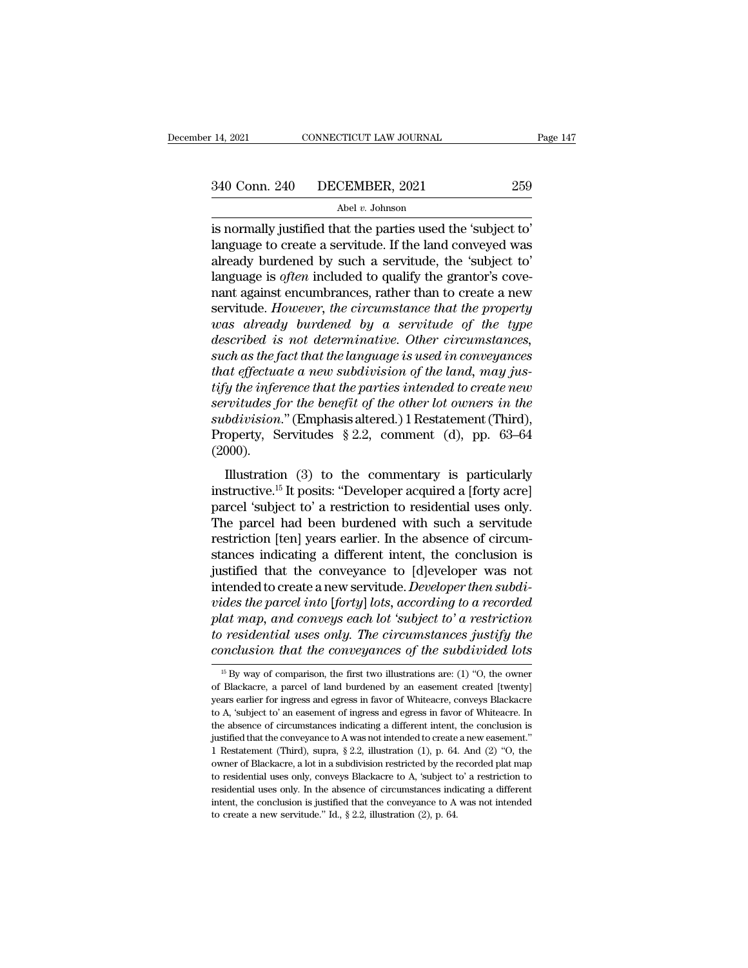<sup>14, 2021</sup> CONNECTICUT LAW JOURNAL Page<br>  $\frac{340 \text{ Conn. } 240 \text{ DECEMBER, } 2021}$  259<br>
Abel *v*. Johnson<br>
is normally justified that the parties used the 'subject to'<br>
language to create a servitude. If the land conveyed was  $\begin{array}{r} \text{340 Conn. 240} \text{ \textcolor{red}{\text{DECEMBER, 2021}}} \text{ \textcolor{red}{\text{Abel v. Johnson}}} \ \text{180} \text{~a} \text{~b} \text{~a} \text{~b} \text{~a} \text{~b} \text{~a} \text{~b} \text{~b}} \text{~a} \text{~b} \text{~b} \text{~b} \text{~b} \text{~b} \text{~b}} \text{~b} \text{~b} \text{~b} \text{~c} \text{~b}} \text{~b} \text{~b} \text{~b} \text{~b} \text$  $\begin{array}{r} \text{340 Conn. 240} \text{~DECEMBER, 2021} \text{~} \text{259} \ \text{Abel } v. \text{ Johnson} \ \text{is normally justified that the parties used the 'subject to' language to create a service. If the land conveyed was already burdened by such a service, the 'subject to' language is *often* included to qualify the grantor's cover and against an cumbersome.$ 340 Conn. 240 DECEMBER, 2021 259<br>
Abel *v.* Johnson<br>
is normally justified that the parties used the 'subject to'<br>
language to create a servitude. If the land conveyed was<br>
already burdened by such a servitude, the 'subje Abel v. Johnson<br>
is normally justified that the parties used the 'subject to'<br>
language to create a servitude. If the land conveyed was<br>
already burdened by such a servitude, the 'subject to'<br>
language is *often* included Abel v. Johnson<br>
is normally justified that the parties used the 'subject to'<br>
language to create a servitude. If the land conveyed was<br>
already burdened by such a servitude, the 'subject to'<br>
language is *often* included *is normally justified that the parties used the 'subject to'*<br>language to create a servitude. If the land conveyed was<br>already burdened by such a servitude, the 'subject to'<br>language is *often* included to qualify the gra *described is a servitude.* If the land conveyed was<br>already burdened by such a servitude, the 'subject to'<br>language is *often* included to qualify the grantor's cove-<br>nant against encumbrances, rather than to create a new already burdened by such a servitude, the 'subject to'<br>language is often included to qualify the grantor's cove-<br>nant against encumbrances, rather than to create a new<br>servitude. However, the circumstance that the property *that the grantor's covenant against encumbrances, rather than to create a new servitude. However, the circumstance that the property was already burdened by a servitude of the type described is not determinative. Other ci* restand the interpretation and the property<br> **the interpretation of the interpretation of the interpretational to the interpretational discontinuous**<br> *the described is not determinative. Other circumstances,*<br> *such as th* **servitude.** However, the circumstance that the property<br>was already burdened by a servitude of the type<br>described is not determinative. Other circumstances,<br>such as the fact that the language is used in conveyances<br>that e *u* as already burdened by a servitude of the type<br>described is not determinative. Other circumstances,<br>such as the fact that the language is used in conveyances<br>that effectuate a new subdivision of the land, may jus-<br>tify described is not determinative. Other circumstances,<br>such as the fact that the language is used in conveyances<br>that effectuate a new subdivision of the land, may jus-<br>tify the inference that the parties intended to create (2000). If  $e_{ij}$  the inference that the parties intended to create new<br>
ighthe inference that the parties intended to create new<br>
virtudes for the benefit of the other lot owners in the<br>
bdivision." (Emphasis altered.) I Restate *instructive.* For the benefit of the other lot owners in the subdivision." (Emphasis altered.) 1 Restatement (Third), Property, Servitudes § 2.2, comment (d), pp. 63–64 (2000).<br>Illustration (3) to the commentary is parti

servitates for the benefit of the biner tot burners in the<br>subdivision." (Emphasis altered.) 1 Restatement (Third),<br>Property, Servitudes § 2.2, comment (d), pp. 63–64<br>(2000).<br>Illustration (3) to the commentary is particul Property, Servitudes § 2.2, comment (d), pp. 63–64<br>(2000).<br>Illustration (3) to the commentary is particularly<br>instructive.<sup>15</sup> It posits: "Developer acquired a [forty acre]<br>parcel 'subject to' a restriction to residential restriction (3) to the commentary is particularly<br>
instructive.<sup>15</sup> It posits: "Developer acquired a [forty acre]<br>
parcel 'subject to' a restriction to residential uses only.<br>
The parcel had been burdened with such a serv Illustration (3) to the commentary is particularly<br>instructive.<sup>15</sup> It posits: "Developer acquired a [forty acre]<br>parcel 'subject to' a restriction to residential uses only.<br>The parcel had been burdened with such a servit Illustration (3) to the commentary is particularly<br>instructive.<sup>15</sup> It posits: "Developer acquired a [forty acre]<br>parcel 'subject to' a restriction to residential uses only.<br>The parcel had been burdened with such a servit instructive.<sup>15</sup> It posits: "Developer acquired a [forty acre] parcel 'subject to' a restriction to residential uses only.<br>The parcel had been burdened with such a servitude restriction [ten] years earlier. In the absence parcel 'subject to' a restriction to residential uses only.<br>The parcel had been burdened with such a servitude<br>restriction [ten] years earlier. In the absence of circum-<br>stances indicating a different intent, the conclusio The parcel had been burdened with such a servitude<br>restriction [ten] years earlier. In the absence of circum-<br>stances indicating a different intent, the conclusion is<br>justified that the conveyance to [d]eveloper was not<br>in restriction [ten] years earlier. In the absence of circum-<br>stances indicating a different intent, the conclusion is<br>justified that the conveyance to [d]eveloper was not<br>intended to create a new servitude. *Developer then s* stances indicating a different intent, the conclusion is<br>justified that the conveyance to [d]eveloper was not<br>intended to create a new servitude. *Developer then subdi-*<br>vides the parcel into [forty] lots, according to a r vides the parcel into [forty] lots, according to a recorded<br>plat map, and conveys each lot 'subject to' a restriction<br>to residential uses only. The circumstances justify the<br>conclusion that the conveyances of the subdivid plat map, and conveys each lot 'subject to' a restriction<br>to residential uses only. The circumstances justify the<br>conclusion that the conveyances of the subdivided lots<br> $\frac{15 \text{ By way of comparison, the first two illustrations are: (1) "O, the owner of Blackacre, a parcel of land burdened by an easement created [twenty] years earlier for$ 

to residential uses only. The circumstances justify the conclusion that the conveyances of the subdivided lots  $\frac{16}{12}$  By way of comparison, the first two illustrations are: (1) "O, the owner of Blackacre, a parcel of conclusion that the conveyances of the subdivided lots<br>
<sup>15</sup> By way of comparison, the first two illustrations are: (1) "O, the owner<br>
of Blackacre, a parcel of land burdened by an easement created [twenty]<br>
years earlier The absence of circumstances indicating a different intent, the conclusion is used to comparison, the first two illustrations are: (1) "O, the owner of Blackacre, a parcel of land burdened by an easement created [twenty] <sup>15</sup> By way of comparison, the first two illustrations are: (1) "O, the owner of Blackacre, a parcel of land burdened by an easement created [twenty] years earlier for ingress and egress in favor of Whiteacre, conveys Bla 1 Blackacre, a parcel of land burdened by an easement created [twenty] years earlier for ingress and egress in favor of Whiteacre, conveys Blackacre to A, 'subject to' an easement of ingress and egress in favor of Whiteac be a sensity of prices and egress in favor of Whiteacre, conveys Blackacre<br>to A, 'subject to' an easement of ingress and egress in favor of Whiteacre. In<br>the absence of circumstances indicating a different intent, the conc to A, 'subject to' an easement of ingress and egress in favor of Whiteacre. In the absence of circumstances indicating a different intent, the conclusion is justified that the conveyance to A was not intended to create a to A, 'subject to' an easement of ingress and egress in favor of Whiteacre. In the absence of circumstances indicating a different intent, the conclusion is justified that the conveyance to A was not intended to create a interior of the conveyance to A was not intended to create a new easement."<br>
1 Restatement (Third), supra, § 2.2, illustration (1), p. 64. And (2) "O, the<br>
owner of Blackacre, a lot in a subdivision restricted by the reco 1 Restatement (Third), supra,  $\S 2.2$ , illustration (1), p. 64. And (2) "O, the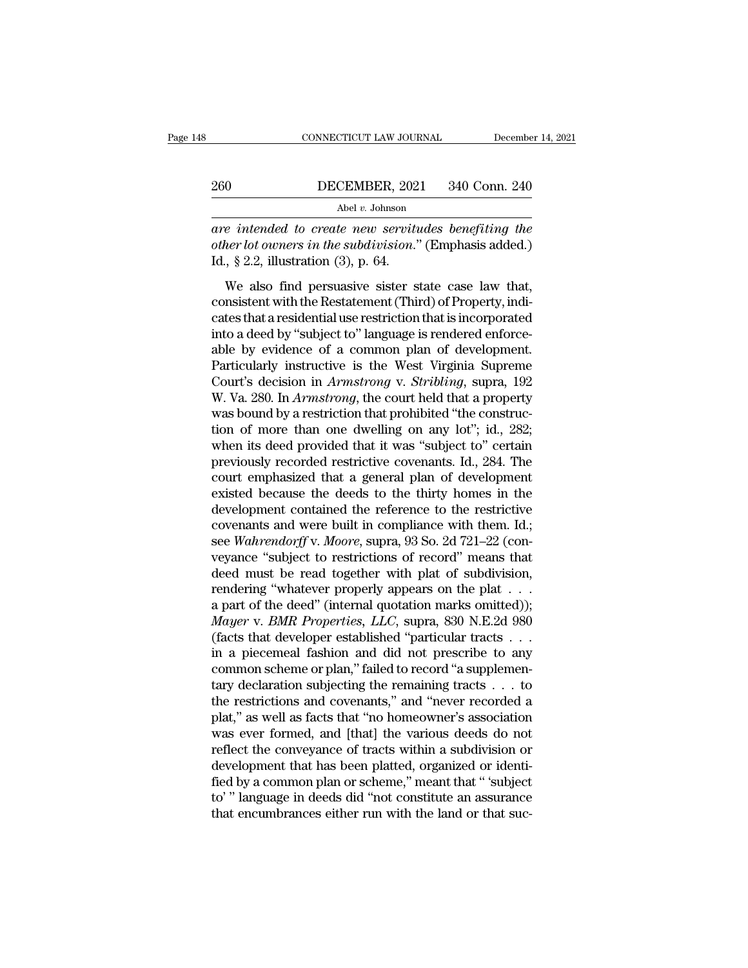# EXECUTE CONNECTICUT LAW JOURNAL December 14, 2021<br>260 DECEMBER, 2021 340 Conn. 240<br>Abel v. Johnson

Abel *v.* Johnson

CONNECTICUT LAW JOURNAL December 14, 2021<br> **are intended to create new servitudes benefiting the**<br> **are intended to create new servitudes benefiting the**<br> **other lot owners in the subdivision.**" (Emphasis added.)<br> **Id.** 8. *ourier 1990 other lot owners in the subdivision.*<br> *other lot owners in the subdivision.*" (Emphasis added.)<br>
Id., § 2.2, illustration (3), p. 64.  $\begin{array}{c} \text{260}\qquad \qquad \text{DECEMBER, 202}\ \hline \text{Abel } v. \text{ Johnson}\ \text{202}\ \text{24}\ \text{25}\ \text{26}\ \text{27}\ \text{28}\ \text{28}\ \text{28}\ \text{29}\ \text{29}\ \text{20}\ \text{20}\ \text{21}\ \text{21}\ \text{22}\ \text{25}\ \text{28}\ \text{29}\ \text{20}\ \text{21}\ \text{22}\ \text{28}\ \text{25}\ \text{26}\ \text{28}\ \text{28}\ \text{29}\ \text{20}\ \text{2$ WECEMBER, 2021 340 Conn. 240<br>
Abel *v.* Johnson<br> *Referended to create new servitudes benefiting the<br>
her lot owners in the subdivision." (Emphasis added.)*<br>  $\frac{1}{2}$ ,  $\frac{2}{3}$ , allustration (3), p. 64.<br>
We also find pe

Abel v. Johnson<br>
are intended to create new servitudes benefiting the<br>
other lot owners in the subdivision." (Emphasis added.)<br>
Id., § 2.2, illustration (3), p. 64.<br>
We also find persuasive sister state case law that,<br>
co are intended to create new servitudes benefiting the<br>other lot owners in the subdivision." (Emphasis added.)<br>Id., § 2.2, illustration (3), p. 64.<br>We also find persuasive sister state case law that,<br>consistent with the Res other lot owners in the subdivision." (Emphasis added.)<br>Id., § 2.2, illustration (3), p. 64.<br>We also find persuasive sister state case law that,<br>consistent with the Restatement (Third) of Property, indi-<br>cates that a resi Id., § 2.2, illustration (3), p. 64.<br>We also find persuasive sister state case law that,<br>consistent with the Restatement (Third) of Property, indi-<br>cates that a residential use restriction that is incorporated<br>into a deed We also find persuasive sister state case law that,<br>consistent with the Restatement (Third) of Property, indi-<br>cates that a residential use restriction that is incorporated<br>into a deed by "subject to" language is rendered We also find persuasive sister state case law that,<br>consistent with the Restatement (Third) of Property, indi-<br>cates that a residential use restriction that is incorporated<br>into a deed by "subject to" language is rendered consistent with the Restatement (Third) of Property, indicates that a residential use restriction that is incorporated<br>into a deed by "subject to" language is rendered enforce-<br>able by evidence of a common plan of developm cates that a residential use restriction that is incorporated<br>into a deed by "subject to" language is rendered enforce-<br>able by evidence of a common plan of development.<br>Particularly instructive is the West Virginia Suprem into a deed by "subject to" language is rendered enforce-<br>able by evidence of a common plan of development.<br>Particularly instructive is the West Virginia Supreme<br>Court's decision in *Armstrong* v. *Stribling*, supra, 192<br>W able by evidence of a common plan of development.<br>Particularly instructive is the West Virginia Supreme<br>Court's decision in *Armstrong* v. *Stribling*, supra, 192<br>W. Va. 280. In *Armstrong*, the court held that a property<br> Particularly instructive is the West Virginia Supreme<br>Court's decision in *Armstrong* v. *Stribling*, supra, 192<br>W. Va. 280. In *Armstrong*, the court held that a property<br>was bound by a restriction that prohibited "the co Court's decision in *Armstrong* v. *Stribling*, supra, 192<br>W. Va. 280. In *Armstrong*, the court held that a property<br>was bound by a restriction that prohibited "the construc-<br>tion of more than one dwelling on any lot"; id W. Va. 280. In *Armstrong*, the court held that a property<br>was bound by a restriction that prohibited "the construc-<br>tion of more than one dwelling on any lot"; id., 282;<br>when its deed provided that it was "subject to" ce was bound by a restriction that prohibited "the construction of more than one dwelling on any lot"; id., 282;<br>when its deed provided that it was "subject to" certain<br>previously recorded restrictive covenants. Id., 284. Th tion of more than one dwelling on any lot"; id., 282;<br>when its deed provided that it was "subject to" certain<br>previously recorded restrictive covenants. Id., 284. The<br>court emphasized that a general plan of development<br>ex when its deed provided that it was "subject to" certain<br>previously recorded restrictive covenants. Id., 284. The<br>court emphasized that a general plan of development<br>existed because the deeds to the thirty homes in the<br>deve previously recorded restrictive covenants. Id., 284. The<br>court emphasized that a general plan of development<br>existed because the deeds to the thirty homes in the<br>development contained the reference to the restrictive<br>coven court emphasized that a general plan of development<br>existed because the deeds to the thirty homes in the<br>development contained the reference to the restrictive<br>covenants and were built in compliance with them. Id.;<br>see *W* existed because the deeds to the thirty homes in the<br>development contained the reference to the restrictive<br>covenants and were built in compliance with them. Id.;<br>see *Wahrendorff* v. *Moore*, supra, 93 So. 2d 721–22 (con development contained the reference to the restrictive<br>covenants and were built in compliance with them. Id.;<br>see *Wahrendorff* v. *Moore*, supra, 93 So. 2d 721–22 (con-<br>veyance "subject to restrictions of record" means th covenants and were built in compliance with them. Id.;<br>see *Wahrendorff* v. *Moore*, supra, 93 So. 2d 721–22 (con-<br>veyance "subject to restrictions of record" means that<br>deed must be read together with plat of subdivision, see *Wahrendorff* v. *Moore*, supra, 93 So. 2d 721–22 (conveyance "subject to restrictions of record" means that deed must be read together with plat of subdivision, rendering "whatever properly appears on the plat . . . . veyance "subject to restrictions of record" means that<br>deed must be read together with plat of subdivision,<br>rendering "whatever properly appears on the plat  $\dots$ <br>a part of the deed" (internal quotation marks omitted));<br> $M$ deed must be read together with plat of subdivision, rendering "whatever properly appears on the plat  $\dots$  a part of the deed" (internal quotation marks omitted)); *Mayer* v. *BMR Properties*, *LLC*, supra, 830 N.E.2d 980 rendering "whatever properly appears on the plat  $\dots$ <br>a part of the deed" (internal quotation marks omitted));<br> $Mayer$  v.  $BMR$  Properties,  $LLC$ , supra, 830 N.E.2d 980<br>(facts that developer established "particular tracts  $\dots$ a part of the deed" (internal quotation marks omitted));<br> *Mayer* v. *BMR Properties*, *LLC*, supra, 830 N.E.2d 980<br>
(facts that developer established "particular tracts . . .<br>
in a piecemeal fashion and did not prescribe Mayer v. BMR Properties, LLC, supra, 830 N.E.2d 980 (facts that developer established "particular tracts . . . in a piecemeal fashion and did not prescribe to any common scheme or plan," failed to record "a supplementary (facts that developer established "particular tracts  $\dots$  in a piecemeal fashion and did not prescribe to any common scheme or plan," failed to record "a supplementary declaration subjecting the remaining tracts  $\dots$  to t in a piecemeal fashion and did not prescribe to any<br>common scheme or plan," failed to record "a supplemen-<br>tary declaration subjecting the remaining tracts  $\dots$  to<br>the restrictions and covenants," and "never recorded a<br>pl common scheme or plan," failed to record "a supplementary declaration subjecting the remaining tracts  $\dots$  to the restrictions and covenants," and "never recorded a plat," as well as facts that "no homeowner's association tary declaration subjecting the remaining tracts  $\ldots$  to<br>the restrictions and covenants," and "never recorded a<br>plat," as well as facts that "no homeowner's association<br>was ever formed, and [that] the various deeds do no the restrictions and covenants," and "never recorded a<br>plat," as well as facts that "no homeowner's association<br>was ever formed, and [that] the various deeds do not<br>reflect the conveyance of tracts within a subdivision or<br> plat," as well as facts that "no homeowner's association<br>was ever formed, and [that] the various deeds do not<br>reflect the conveyance of tracts within a subdivision or<br>development that has been platted, organized or identi-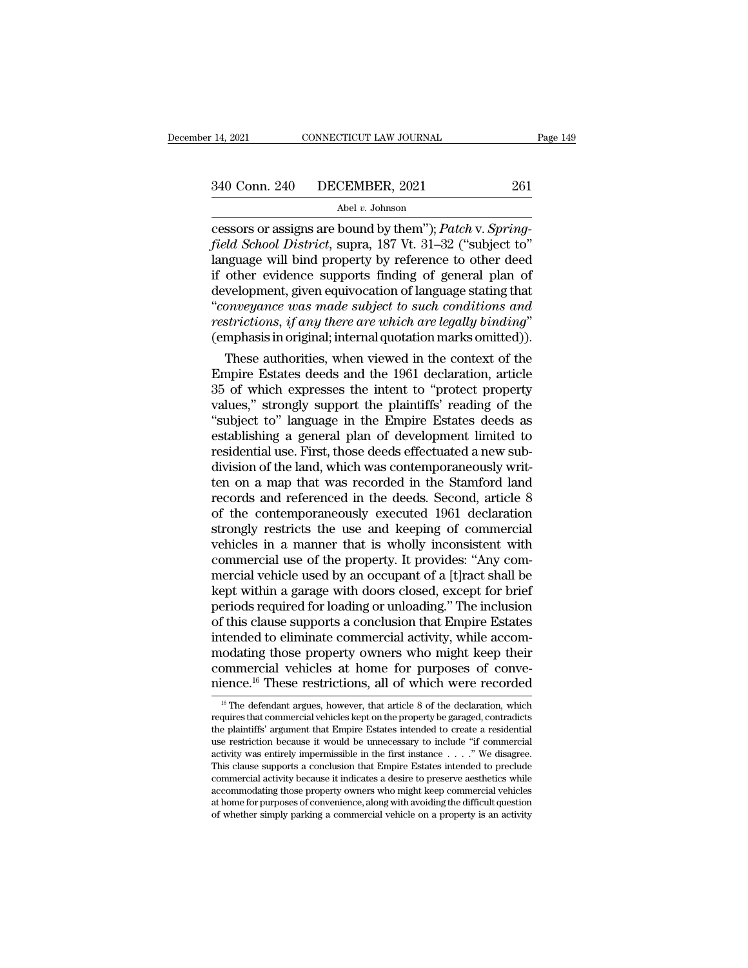cessors or assigns are bound by them''); *Patch* v. *Spring-*<sup>*field School District*, supra, 187 Vt. 31–32 ("subject to")<br> *field School District*, supra, 187 Vt. 31–32 ("subject to")<br> *field School District*, supra, 187 Vt. 31–32 ("subject to")<br>
language will bind property by refe</sup> 340 Conn. 240 DECEMBER, 2021 261<br>Abel v. Johnson<br>Cessors or assigns are bound by them''); *Patch v. Spring-<br>field School District*, supra, 187 Vt. 31–32 ("subject to"<br>language will bind property by reference to other deed 340 Conn. 240 DECEMBER, 2021 261<br>
Abel v. Johnson<br>
cessors or assigns are bound by them"); *Patch v. Spring-<br>
field School District*, supra, 187 Vt. 31–32 ("subject to"<br>
language will bind property by reference to other d  $\frac{\text{Abel } v. \text{ Johnson}}{\text{Abel } v. \text{ Johnson}}$ <br>  $\frac{\text{Abel } v. \text{ Johnson}}{\text{Cessors or assigns are bound by them''}; \text{Patch v. Spring-field School District, supra, 187 Vt. 31–32 ("subject to" language will bind property by reference to other deed if other evidence supports finding of general plan of development, given equivocation of language stating that "convergence was made subject to such conditions and restrictions if any there are which are locally binding"$ <sup>Abel v. Johnson<br>
cessors or assigns are bound by them"); *Patch* v. *Spring-<br>
field School District*, supra, 187 Vt. 31–32 ("subject to"<br>
language will bind property by reference to other deed<br>
if other evidence supports </sup> *restrictions, if any therm* are bound by the are lead field *School District*, supra, 187 Vt. 31–32 ("subject to" language will bind property by reference to other deed if other evidence supports finding of general plan o nguage will bind property by reference to other deed<br>other evidence supports finding of general plan of<br>welopment, given equivocation of language stating that<br>onveyance was made subject to such conditions and<br>strictions, i If other evidence supports finding of general plan of<br>development, given equivocation of language stating that<br>"conveyance was made subject to such conditions and<br>restrictions, if any there are which are legally binding"<br>(

development, given equivocation of language stating that<br>
"conveyance was made subject to such conditions and<br>
restrictions, if any there are which are legally binding"<br>
(emphasis in original; internal quotation marks omit "conveyance was made subject to such conditions and<br>restrictions, if any there are which are legally binding"<br>(emphasis in original; internal quotation marks omitted)).<br>These authorities, when viewed in the context of the<br> restrictions, if any there are which are legally binding"<br>(emphasis in original; internal quotation marks omitted)).<br>These authorities, when viewed in the context of the<br>Empire Estates deeds and the 1961 declaration, artic (emphasis in original; internal quotation marks omitted)).<br>
These authorities, when viewed in the context of the<br>
Empire Estates deeds and the 1961 declaration, article<br>
35 of which expresses the intent to "protect propert These authorities, when viewed in the context of the Empire Estates deeds and the 1961 declaration, article 35 of which expresses the intent to "protect property values," strongly support the plaintiffs' reading of the "su Empire Estates deeds and the 1961 declaration, article 35 of which expresses the intent to "protect property values," strongly support the plaintiffs' reading of the "subject to" language in the Empire Estates deeds as est 35 of which expresses the intent to "protect property<br>values," strongly support the plaintiffs' reading of the<br>"subject to" language in the Empire Estates deeds as<br>establishing a general plan of development limited to<br>resi values," strongly support the plaintiffs' reading of the<br>"subject to" language in the Empire Estates deeds as<br>establishing a general plan of development limited to<br>residential use. First, those deeds effectuated a new sub-"subject to" language in the Empire Estates deeds as<br>establishing a general plan of development limited to<br>residential use. First, those deeds effectuated a new sub-<br>division of the land, which was contemporaneously writ-<br> establishing a general plan of development limited to<br>residential use. First, those deeds effectuated a new sub-<br>division of the land, which was contemporaneously writ-<br>ten on a map that was recorded in the Stamford land<br>r residential use. First, those deeds effectuated a new sub-<br>division of the land, which was contemporaneously writ-<br>ten on a map that was recorded in the Stamford land<br>records and referenced in the deeds. Second, article 8<br> division of the land, which was contemporaneously written on a map that was recorded in the Stamford land<br>records and referenced in the deeds. Second, article 8<br>of the contemporaneously executed 1961 declaration<br>strongly r ten on a map that was recorded in the Stamford land<br>records and referenced in the deeds. Second, article 8<br>of the contemporaneously executed 1961 declaration<br>strongly restricts the use and keeping of commercial<br>vehicles in records and referenced in the deeds. Second, article 8<br>of the contemporaneously executed 1961 declaration<br>strongly restricts the use and keeping of commercial<br>vehicles in a manner that is wholly inconsistent with<br>commercia of the contemporaneously executed 1961 declaration<br>strongly restricts the use and keeping of commercial<br>vehicles in a manner that is wholly inconsistent with<br>commercial use of the property. It provides: "Any com-<br>mercial v strongly restricts the use and keeping of commercial<br>vehicles in a manner that is wholly inconsistent with<br>commercial use of the property. It provides: "Any com-<br>mercial vehicle used by an occupant of a [t]ract shall be<br>ke vehicles in a manner that is wholly inconsistent with<br>commercial use of the property. It provides: "Any com-<br>mercial vehicle used by an occupant of a [t]ract shall be<br>kept within a garage with doors closed, except for brie commercial use of the property. It provides: "Any commercial vehicle used by an occupant of a [t]ract shall be<br>kept within a garage with doors closed, except for brief<br>periods required for loading or unloading." The inclus mercial vehicle used by an occupant of a [t]ract shall be<br>kept within a garage with doors closed, except for brief<br>periods required for loading or unloading." The inclusion<br>of this clause supports a conclusion that Empire kept within a garage with doors closed, except for brief<br>periods required for loading or unloading." The inclusion<br>of this clause supports a conclusion that Empire Estates<br>intended to eliminate commercial activity, while tended to eliminate commercial activity, while accom-<br>odating those property owners who might keep their<br>ommercial vehicles at home for purposes of conve-<br>ience.<sup>16</sup> These restrictions, all of which were recorded<br><sup>16</sup> The modating those property owners who might keep their<br>commercial vehicles at home for purposes of conve-<br>nience.<sup>16</sup> These restrictions, all of which were recorded<br><sup>16</sup> The defendant argues, however, that article 8 of the d

the plaintiffs' argument that Empire Estates intended to create a residential vehicles at home for purposes of convenience.<sup>16</sup> These restrictions, all of which were recorded  $\frac{16}{16}$  The defendant argues, however, tha continential venicies at home for purposes of conve-<br>nience.<sup>16</sup> These restrictions, all of which were recorded<br><sup>16</sup> The defendant argues, however, that article 8 of the declaration, which<br>requires that commercial vehicle mience.<sup>10</sup> These restrictions, all of which were recorded  $\frac{16}{16}$  The defendant argues, however, that article 8 of the declaration, which requires that commercial vehicles kept on the property be garaged, contradicts <sup>16</sup> The defendant argues, however, that article 8 of the declaration, which requires that commercial vehicles kept on the property be garaged, contradicts the plaintiffs' argument that Empire Estates intended to create a <sup>co</sup> The derendant argues, nowever, that article 8 of the declaration, which requires that commercial vehicles kept on the property be garaged, contradicts the plaintiffs' argument that Empire Estates intended to create a requires that commercial vehicles kept on the property be garaged, contradicts<br>the plaintiffs' argument that Empire Estates intended to create a residential<br>use restriction because it would be unnecessary to include "if co the plantifics argument that Empire Estates intended to create a residential<br>use restriction because it would be unnecessary to include "if commercial<br>activity was entirely impermissible in the first instance  $\dots$ ." We di use restriction because it would be unnecessary to include Tr commercial<br>activity was entirely impermissible in the first instance  $\ldots$ ." We disagree.<br>This clause supports a conclusion that Empire Estates intended to pre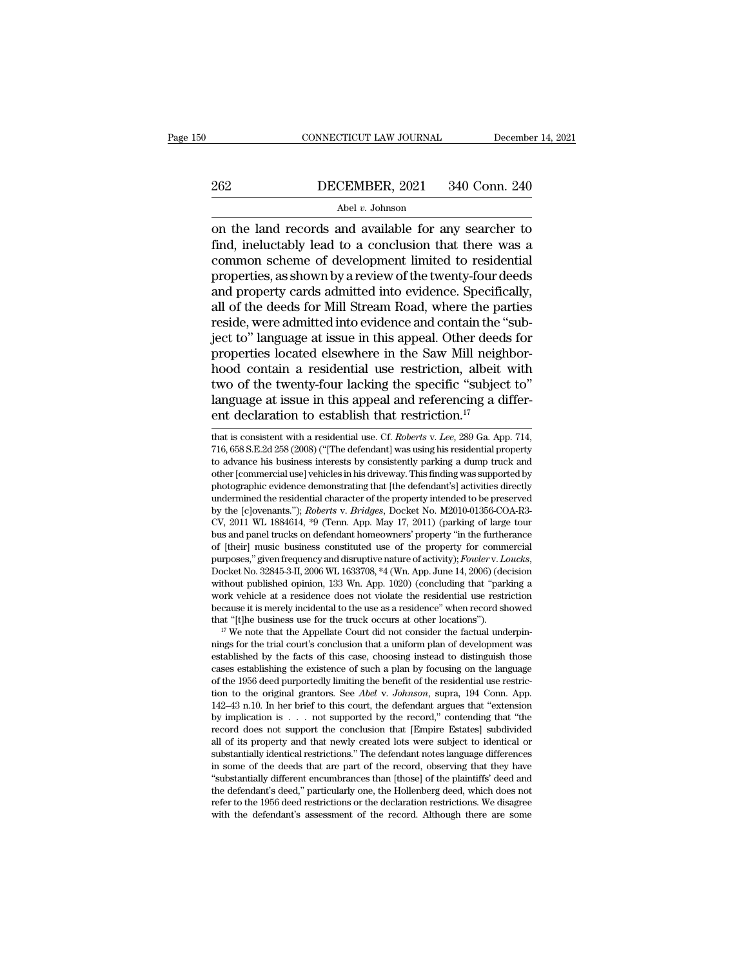# EXECUTE CONNECTICUT LAW JOURNAL December 14, 2021<br>262 DECEMBER, 2021 340 Conn. 240<br>Abel v. Johnson

## Abel *v.* Johnson

CONNECTICUT LAW JOURNAL December 14, 2021<br>
262 DECEMBER, 2021 340 Conn. 240<br>
Abel v. Johnson<br>
on the land records and available for any searcher to<br>
find, ineluctably lead to a conclusion that there was a<br>
common schome o FINDECEMBER, 2021 340 Conn. 240<br>Abel v. Johnson<br>
on the land records and available for any searcher to<br>
find, ineluctably lead to a conclusion that there was a<br>
common scheme of development limited to residential<br>
propert 262 DECEMBER, 2021 340 Conn. 240<br>
Abel v. Johnson<br>
on the land records and available for any searcher to<br>
find, ineluctably lead to a conclusion that there was a<br>
common scheme of development limited to residential<br>
prope DECEMBER, 2021 340 Conn. 240<br>
Abel *v*. Johnson<br>
on the land records and available for any searcher to<br>
find, ineluctably lead to a conclusion that there was a<br>
common scheme of development limited to residential<br>
propert  $\frac{\text{Abel } v. \text{ Johnson}}{\text{Abel } v. \text{ Johnson}}$ <br>
on the land records and available for any searcher to<br>
find, ineluctably lead to a conclusion that there was a<br>
common scheme of development limited to residential<br>
properties, as shown by Abel v. Johnson<br>
on the land records and available for any searcher to<br>
find, ineluctably lead to a conclusion that there was a<br>
common scheme of development limited to residential<br>
properties, as shown by a review of the on the land records and available for any searcher to find, ineluctably lead to a conclusion that there was a common scheme of development limited to residential properties, as shown by a review of the twenty-four deeds an find, ineluctably lead to a conclusion that there was a<br>common scheme of development limited to residential<br>properties, as shown by a review of the twenty-four deeds<br>and property cards admitted into evidence. Specifically, common scheme of development limited to residential<br>properties, as shown by a review of the twenty-four deeds<br>and property cards admitted into evidence. Specifically,<br>all of the deeds for Mill Stream Road, where the partie properties, as shown by a review of the twenty-four deeds<br>and property cards admitted into evidence. Specifically,<br>all of the deeds for Mill Stream Road, where the parties<br>reside, were admitted into evidence and contain th and property cards admitted into evidence. Specifically,<br>all of the deeds for Mill Stream Road, where the parties<br>reside, were admitted into evidence and contain the "sub-<br>ject to" language at issue in this appeal. Other all of the deeds for Mill Stream Road, where the parties<br>reside, were admitted into evidence and contain the "sub-<br>ject to" language at issue in this appeal. Other deeds for<br>properties located elsewhere in the Saw Mill ne reside, were admitted into evidence and contain the "<br>ject to" language at issue in this appeal. Other deed:<br>properties located elsewhere in the Saw Mill neigh<br>hood contain a residential use restriction, albeit<br>two of the hood contain a residential use restriction, albeit with<br>two of the twenty-four lacking the specific "subject to"<br>language at issue in this appeal and referencing a differ-<br>ent declaration to establish that restriction.<sup>17</sup> two of the twenty-four lacking the specific "subject to"<br>language at issue in this appeal and referencing a differ-<br>ent declaration to establish that restriction.<sup>17</sup><br>that is consistent with a residential use. Cf. *Roberts* 

Ianguage at issue in this appeal and referencing a different declaration to establish that restriction.<sup>17</sup><br>that is consistent with a residential use. Cf. *Roberts v. Lee*, 289 Ga. App. 714,<br>716, 658 S.E.2d 258 (2008) ("[T ranguage at issue in this appear and referencing a different declaration to establish that restriction.<sup>17</sup><br>that is consistent with a residential use. Cf. *Roberts v. Lee*, 289 Ga. App. 714,<br>716, 658 S.E.2d 258 (2008) ("[ ent declaration to establish that restriction.<sup>17</sup><br>that is consistent with a residential use. Cf. *Roberts* v. *Lee*, 289 Ga. App. 714,<br>716, 658 S.E.2d 258 (2008) ("[The defendant] was using his residential property<br>to ad That is consistent with a residential use. Cf. *Roberts v. Lee*, 289 Ga. App. 714, 716, 658 S.E.2d 258 (2008) ("[The defendant] was using his residential property to advance his business interests by consistently parking a that is consistent with a residential use. Cf. *Roberts* v. *Lee*, 289 Ga. App. 714, 716, 658 S.E.2d 258 (2008) ("[The defendant] was using his residential property to advance his business interests by consistently parking (16, 658 S.E.2d 258 (2008) ("[The defendant] was using his residential property<br>to advance his business interests by consistently parking a dump truck and<br>other [commercial use] vehicles in his driveway. This finding was to advance his business interests by consistently parking a dump truck and<br>other [commercial use] vehicles in his driveway. This finding was supported by<br>photographic evidence demonstrating that [the defendant's] activitie of flommercial use penicles in his diveway. This imaing was supported by<br>photographic evidence demonstrating that [the defendant's] activities directly<br>undermined the residential character of the property intended to be pr photographic evidence demonstrating that [the defendant s] activities directly<br>undermined the residential character of the property intended to be preserved<br>by the [c]ovenants."); *Roberts* v. *Bridges*, Docket No. M2010-0 by the [c]ovenants. *)*; *Roberts* v. *Briages*, Docket No. M2010-01356-COA-K3-CV, 2011 WL 1884614, <sup>45</sup>9 (Tenn. App. May 17, 2011) (parking of large tour bus and panel trucks on defendant homeowners' property "in the furt Cv, 2011 w. 1884014, "9 (1enh. App. may  $1i$ , 2011) (parking of large tour<br>bus and panel trucks on defendant homeowners' property "in the furtherance<br>of [their] music business constituted use of the property for commercia bus and panel trucks on derendant nomeowners property 'in the turtherance<br>of [their] music business constituted use of the property for commercial<br>purposes," given frequency and disruptive nature of activity); *Fowler* v. or [their] music business consultuted use or the property for commercial<br>purposes," given frequency and disruptive nature of activity);  $Fower$ . Loucks,<br>Docket No. 32845-3-II, 2006 WL 1633708, \*4 (Wn. App. June 14, 2006) (de Docket No. 32845-3-11, 2006 WL 1633708,  $*4$  (Wh. App. June 14, 2006) (decision without published opinion, 133 Wn. App. 1020) (concluding that "parking a work vehicle at a residence does not violate the residential use re

without published opinion, 133 wn. App. 1020) (concluding that "parking a work vehicle at a residence does not violate the residential use restriction because it is merely incidental to the use as a residence" when record work venicle at a residence does not violate the residential use restriction<br>because it is merely incidental to the use as a residence" when record showed<br>that "[t]he business use for the truck occurs at other locations") because it is inerely incidental to the use as a restatence when record showed<br>that "[t]he business use for the truck occurs at other locations").<br><sup>17</sup> We note that the Appellate Court did not consider the factual underpin that "[t]ne business use for the truck occurs at other locations ).<br><sup>17</sup> We note that the Appellate Court did not consider the factual underpin-<br>nings for the trial court's conclusion that a uniform plan of development was <sup>142</sup> we note that the Appellate Court did not consider the factual underpin-<br>nings for the trial court's conclusion that a uniform plan of development was<br>established by the facts of this case, choosing instead to disting hyper the transformal courts conclusion that a uniform plan of development was established by the facts of this case, choosing instead to distinguish those cases establishing the existence of such a plan by focusing on th establishing the racts of this case, choosing instead to distinguish those cases establishing the existence of such a plan by focusing on the language of the 1956 deed purportedly limiting the benefit of the residential us cases establishing the existence of such a plan by locusing on the language<br>of the 1956 deed purportedly limiting the benefit of the residential use restric-<br>tion to the original grantors. See *Abel* v. Johnson, supra, 194 or the 1950 deed purportedly imiting the benefit of the residential use restriction to the original grantors. See *Abel v. Johnson*, supra, 194 Conn. App. 142–43 n.10. In her brief to this court, the defendant argues that Let us the deeds that is even the record, observing that they induced all of its property and that even the record," contending that "the record does not support the conclusion that [Empire Estates] subdivided all of its 142–43 n.10. In her orier to this court, the defendant argues that "extension<br>by implication is . . . not supported by the record," contending that "the<br>record does not support the conclusion that [Empire Estates] subdivi by mpication is . . . not supported by the record, contending that "the record does not support the conclusion that [Empire Estates] subdivided all of its property and that newly created lots were subject to identical or s record does not support the conclusion that [Empire Estates] subdivided<br>all of its property and that newly created lots were subject to identical or<br>substantially identical restrictions." The defendant notes language diffe all of its property and that newly created lots were subject to identical or substantially identical restrictions." The defendant notes language differences in some of the deeds that are part of the record, observing that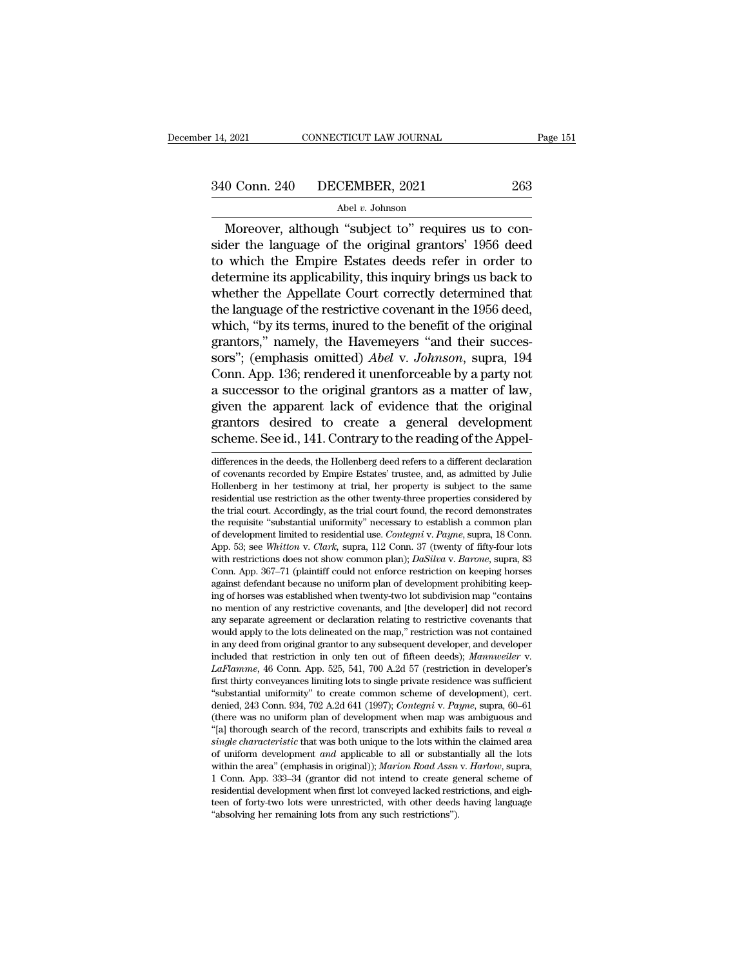Moreover, although "School and School and School and School and School and School and School and Moreover, although "subject to" requires us to con-<br>Moreover, although "subject to" requires us to con-<br>der the language of t 340 Conn. 240 DECEMBER, 2021 263<br>Abel v. Johnson<br>Moreover, although "subject to" requires us to consider the language of the original grantors' 1956 deed<br>to which the Empire Estates deeds refer in order to<br>determine its ap 340 Conn. 240 DECEMBER, 2021 263<br>
Abel v. Johnson<br>
Moreover, although "subject to" requires us to consider the language of the original grantors' 1956 deed<br>
to which the Empire Estates deeds refer in order to<br>
determine i  $\frac{\text{40}}{\text{Abel }v}$ . Johnson<br>
Moreover, although "subject to" requires us to consider the language of the original grantors' 1956 deed<br>
to which the Empire Estates deeds refer in order to<br>
determine its applicability, this  $\frac{\text{Abel } v. \text{ Johnson}}{\text{Moreover, although "subject to" requires us to consider the language of the original grantors' 1956 deed to which the Empire Estados needs refer in order to determine its applicability, this inquiry brings us back to whether the Appellate Court correctly determined that the language of the restrictive covenant in the 1956 deed, which "by its terms involved to the benefit of the original$ Abert Edmisson<br>
Moreover, although "subject to" requires us to consider the language of the original grantors' 1956 deed<br>
to which the Empire Estates deeds refer in order to<br>
determine its applicability, this inquiry bring Moreover, although "subject to" requires us to consider the language of the original grantors' 1956 deed<br>to which the Empire Estates deeds refer in order to<br>determine its applicability, this inquiry brings us back to<br>whet sider the language of the original grantors' 1956 deed<br>to which the Empire Estates deeds refer in order to<br>determine its applicability, this inquiry brings us back to<br>whether the Appellate Court correctly determined that<br> to which the Empire Estates deeds refer in order to<br>determine its applicability, this inquiry brings us back to<br>whether the Appellate Court correctly determined that<br>the language of the restrictive covenant in the 1956 dee determine its applicability, this inquiry brings us back to<br>whether the Appellate Court correctly determined that<br>the language of the restrictive covenant in the 1956 deed,<br>which, "by its terms, inured to the benefit of th whether the Appellate Court correctly determined that<br>the language of the restrictive covenant in the 1956 deed,<br>which, "by its terms, inured to the benefit of the original<br>grantors," namely, the Havemeyers "and their succ the language of the restrictive covenant in the 1956 deed,<br>which, "by its terms, inured to the benefit of the original<br>grantors," namely, the Havemeyers "and their succes-<br>sors"; (emphasis omitted) *Abel* v. Johnson, supra which, "by its terms, inured to the benefit of the original<br>grantors," namely, the Havemeyers "and their succes-<br>sors"; (emphasis omitted) *Abel* v. Johnson, supra, 194<br>Conn. App. 136; rendered it unenforceable by a party grantors," namely, the Havemeyers "and their successors"; (emphasis omitted) *Abel* v. *Johnson*, supra, 194<br>Conn. App. 136; rendered it unenforceable by a party not<br>a successor to the original grantors as a matter of law, a successor to the original grantors as a matter of law,<br>given the apparent lack of evidence that the original<br>grantors desired to create a general development<br>scheme. See id., 141. Contrary to the reading of the Appel-<br>di given the apparent lack of evidence that the original<br>grantors desired to create a general development<br>scheme. See id., 141. Contrary to the reading of the Appel-<br>differences in the deeds, the Hollenberg deed refers to a d

grantors desired to create a general development<br>scheme. See id., 141. Contrary to the reading of the Appel-<br>differences in the deeds, the Hollenberg deed refers to a different declaration<br>of covenants recorded by Empire E scheme. See id., 141. Contrary to the reading of the Appel-<br>differences in the deeds, the Hollenberg deed refers to a different declaration<br>of covenants recorded by Empire Estates' trustee, and, as admitted by Julie<br>Holle scheme. See 1d., 141. Contrary to the reading of the Appel-<br>differences in the deeds, the Hollenberg deed refers to a different declaration<br>of covenants recorded by Empire Estates' trustee, and, as admitted by Julie<br>Hollen differences in the deeds, the Hollenberg deed refers to a different declaration of covenants recorded by Empire Estates' trustee, and, as admitted by Julie Hollenberg in her testimony at trial, her property is subject to t differences in the deeds, the Hollenberg deed refers to a different declaration<br>of covenants recorded by Empire Estates' trustee, and, as admitted by Julie<br>Hollenberg in her testimony at trial, her property is subject to t or covenants recorded by Empire Estates trustee, and, as admitted by Julie Hollenberg in her testimony at trial, her property is subject to the same residential use restriction as the other twenty-three properties consider Hollenberg in her testimony at trial, her property is subject to the same<br>residential use restriction as the other twenty-three properties considered by<br>the trial court. Accordingly, as the trial court found, the record de residential use restriction as the other twenty-three properties considered by<br>the trial court. Accordingly, as the trial court found, the record demonstrates<br>the requisite "substantial uniformity" necessary to establish a the train court. Accordingly, as the trial court found, the record demonstrates<br>the requisite "substantial uniformity" necessary to establish a common plan<br>of development limited to residential use. *Contegni* v. Payne, su the requisite substantial uniformity necessary to establish a contribution plan of development limited to residential use. *Contegni* v. Payne, supra, 18 Conn. App. 53; see *Whitton v. Clark*, supra, 112 Conn. 37 (twenty o or development imuted to restaential use. Contegni v. Payne, supra, 18 Conn.<br>App. 53; see Whitton v. Clark, supra, 112 Conn. 37 (twenty of fifty-four lots<br>with restrictions does not show common plan); DaSilva v. Barone, su App. 53; see *Whitton v. Clark*, supra, 112 Conn. 37 (twenty or inty-four lots with restrictions does not show common plan); *DaSilva v. Barone*, supra, 83 Conn. App. 367–71 (plaintiff could not enforce restriction on kee with restrictions does not show common plan); *DaSuva v. Barone*, supra, 83<br>Conn. App. 367–71 (plaintiff could not enforce restriction on keeping horses<br>against defendant because no uniform plan of development prohibiting Conn. App.  $36/-1$  (plaintiff could not enforce restriction on keeping norses against defendant because no uniform plan of development prohibiting keeping of horses was established when twenty-two lot subdivision map "cont agamst derendant because no uniform pian of development prohibiting keeping of horses was established when twenty-two lot subdivision map "contains no mention of any restrictive covenants, and [the developer] did not recor no mention of any restrictive covenants, and [the developer] did not record<br>any separate agreement or declaration relating to restrictive covenants that<br>would apply to the lots delineated on the map," restriction was not would apply to the lots delineated on the map," restriction was not contained would apply to the lots demeated on the map, restriction was not contained<br>in any deed from original grantor to any subsequent developer, and developer<br>included that restriction in only ten out of fifteen deeds); *Mannweil* in any deed from original grantor to any subsequent developer, and developer<br>included that restriction in only ten out of fifteen deeds); *Mannweiler* v.<br>*LaFlamme*, 46 Conn. App. 525, 541, 700 A.2d 57 (restriction in dev metuded that restriction in only ten out of fitteen deeds); *Mannweller* v.<br> *LaFlamme*, 46 Conn. App. 525, 541, 700 A.2d 57 (restriction in developer's<br>
first thirty conveyances limiting lots to single private residence w *Lariamme*, 40 Conn. App. 525, 541, 700 A.2d 57 (restriction in developer s<br>first thirty conveyances limiting lots to single private residence was sufficient<br>"substantial uniformity" to create common scheme of development) first thirty conveyances imiting lots to single private residence was sufficient<br>
"substantial uniformity" to create common scheme of development), cert.<br>
denied, 243 Conn. 934, 702 A.2d 641 (1997); *Contegni* v. *Payne*, substantial uniformity to create common scheme of development), cert.<br>denied, 243 Conn. 934, 702 A.2d 641 (1997); *Contegni* v. *Payne*, supra, 60–61<br>(there was no uniform plan of development when map was ambiguous and<br>"[a denied, 243 Conn. 934, (02 A.2d 641 (1997); Contegni v. Payne, supra, 60–61 (there was no uniform plan of development when map was ambiguous and "[a] thorough search of the record, transcripts and exhibits fails to reveal (there was no uniform pian of development when map was ambiguous and "all thorough search of the record, transcripts and exhibits fails to reveal *a* single characteristic that was both unique to the lots within the claim [a] thorough search of the record, transcripts and exhibits rails to reveal a single characteristic that was both unique to the lots within the claimed area of uniform development and applicable to all or substantially al single characteristic that was both unique to the lots within<br>of uniform development and applicable to all or substan<br>within the area" (emphasis in original)); *Marion Road Assn*<br>1 Conn. App. 333–34 (grantor did not intend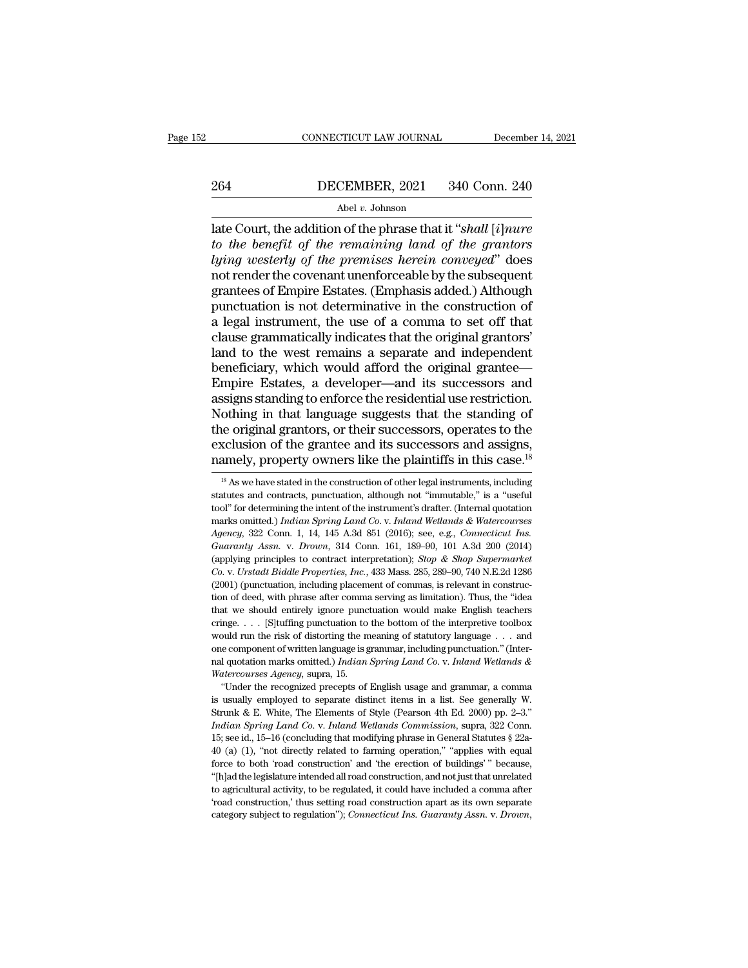# EXECUTE CONNECTICUT LAW JOURNAL December 14, 2021<br>264 DECEMBER, 2021 340 Conn. 240<br>Abel v. Johnson

## Abel *v.* Johnson

CONNECTICUT LAW JOURNAL December 14, 2021<br>
264 DECEMBER, 2021 340 Conn. 240<br>
Abel v. Johnson<br>
Late Court, the addition of the phrase that it "*shall* [*i*]*nure*<br>
to the benefit of the remaining land of the grantors<br>
Luing *to the benefit of the permises herein conveyed"*<br>*to the benefit of the remaining land of the grantors*<br>*tying westerly of the premises herein conveyed"* does<br>not render the covenant uporforceable by the subsequent  $\frac{\text{DECEMBER, 2021}}{\text{Abel } v \cdot \text{Johnson}}$ <br>
Abel  $v \cdot \text{Johnson}$ <br>
Late Court, the addition of the phrase that it "shall [*i*]*nure*<br>
to the benefit of the remaining land of the grantors<br>
lying westerly of the premises herein conveyed" do 264 DECEMBER, 2021 340 Conn. 240<br>
Abel *v*. Johnson<br>
Late Court, the addition of the phrase that it "shall [*i*]*nure*<br>
to the benefit of the remaining land of the grantors<br>
lying westerly of the premises herein conveyed" BECERTERT, 2021 910 COIN. 210<br>
Abel v. Johnson<br>
late Court, the addition of the phrase that it "shall [i]nure<br>
to the benefit of the remaining land of the grantors<br>
lying westerly of the premises herein conveyed" does<br>
no Abel v. Johnson<br>
late Court, the addition of the phrase that it "shall [i] nure<br>
to the benefit of the remaining land of the grantors<br>
lying westerly of the premises herein conveyed" does<br>
not render the covenant unenforc late Court, the addition of the phrase that it "shall [i]nure<br>to the benefit of the remaining land of the grantors<br>lying westerly of the premises herein conveyed" does<br>not render the covenant unenforceable by the subsequen to the benefit of the remaining land of the grantors<br>lying westerly of the premises herein conveyed" does<br>not render the covenant unenforceable by the subsequent<br>grantees of Empire Estates. (Emphasis added.) Although<br>punct lying westerly of the premises herein conveyed" does<br>not render the covenant unenforceable by the subsequent<br>grantees of Empire Estates. (Emphasis added.) Although<br>punctuation is not determinative in the construction of<br>a not render the covenant unenforceable by the subsequent<br>grantees of Empire Estates. (Emphasis added.) Although<br>punctuation is not determinative in the construction of<br>a legal instrument, the use of a comma to set off that<br> grantees of Empire Estates. (Emphasis added.) Although<br>punctuation is not determinative in the construction of<br>a legal instrument, the use of a comma to set off that<br>clause grammatically indicates that the original grantor punctuation is not determinative in the construction of<br>a legal instrument, the use of a comma to set off that<br>clause grammatically indicates that the original grantors'<br>land to the west remains a separate and independent<br> real instrument, the use of a comma to set off that<br>clause grammatically indicates that the original grantors'<br>land to the west remains a separate and independent<br>beneficiary, which would afford the original grantee—<br>Empir clause grammatically indicates that the original grantors'<br>land to the west remains a separate and independent<br>beneficiary, which would afford the original grantee—<br>Empire Estates, a developer—and its successors and<br>assign land to the west remains a separate and independent<br>beneficiary, which would afford the original grantee—<br>Empire Estates, a developer—and its successors and<br>assigns standing to enforce the residential use restriction.<br>Noth beneficiary, which would afford the original grantee—<br>Empire Estates, a developer—and its successors and<br>assigns standing to enforce the residential use restriction.<br>Nothing in that language suggests that the standing of<br>t othing in that language suggests that the standing of<br>he original grantors, or their successors, operates to the<br>reclusion of the grantee and its successors and assigns,<br>amely, property owners like the plaintiffs in this c the original grantors, or their successors, operates to the exclusion of the grantee and its successors and assigns, namely, property owners like the plaintiffs in this case.<sup>18</sup> <sup>18</sup> As we have stated in the construction

one component of written language is grammar, including punctuation." (Internal quotation marks omitted.) *Indian Spring Land Co. v. Inland Wetlands & Watercourses Agency*, supra, 15. "Under the recognized precepts of Engl **INTERT INTERTM INTERTM CONTROLLER IN A DETERMIN IN A UNITED AND MALER CONTROLLER WELL CONTROLLER CONTROLLER COMMISS CONTROLLER COMMISSION** Commission, supra, 12 Commission, supra, 15.<br> **IF COMMISSION**, SUPPOSE COMPARED EX Watercourses Agency, supra, 15.<br>
"Under the recognized precepts of English usage and grammar, a comma<br>
is usually employed to separate distinct items in a list. See generally W.<br>
Strunk & E. White, The Elements of Style ( "Under the recognized precepts of English usage and grammar, a comma<br>is usually employed to separate distinct items in a list. See generally W.<br>Strunk & E. White, The Elements of Style (Pearson 4th Ed. 2000) pp. 2–3."<br>Ind is usually employed to separate distinct items in a list. See generally W.<br>Strunk & E. White, The Elements of Style (Pearson 4th Ed. 2000) pp. 2–3."<br>*Indian Spring Land Co. v. Inland Wetlands Commission*, supra, 322 Conn. Strunk & E. White, The Elements of Style (Pearson 4th Ed. 2000) pp. 2–3."<br> *Indian Spring Land Co.* v. *Inland Wetlands Commission*, supra, 322 Conn.<br>
15; see id., 15–16 (concluding that modifying phrase in General Statut *Indian Spring Land Co.* v. *Inland Wetlands Commission*, supra, 322 Conn. 15; see id., 15–16 (concluding that modifying phrase in General Statutes § 22a-40 (a) (1), "not directly related to farming operation," "applies w <sup>115</sup>, see id., 15–16 (concluding that modifying phrase in General Statutes § 22a-40 (a) (1), "not directly related to farming operation," "applies with equal force to both 'road construction' and 'the erection of buildin 40 (a) (1), "not directly related to farming operation," "applies with equal

exclusion of the grantee and its successors and assigns,<br>namely, property owners like the plaintiffs in this case.<sup>18</sup><br> $^{18}$  As we have stated in the construction of other legal instruments, including<br>statutes and contra Exercision of the grantee and its successors and assigns,<br>namely, property owners like the plaintiffs in this case.<sup>18</sup><br><sup>Is</sup> As we have stated in the construction of other legal instruments, including<br>statutes and contract **Agency, Stroperty OWNETS IIKE THE DIMITILITS IN THIS Case.**<sup>22</sup><br><sup>18</sup> As we have stated in the construction of other legal instruments, including statutes and contracts, punctuation, although not "immutable," is a "useful <sup>18</sup> As we have stated in the construction of other legal instruments, including statutes and contracts, punctuation, although not "immutable," is a "useful tool" for determining the intern of the instrument's drafter. (In statutes and contracts, punctuation, although not "immutable," is a "useful tool" for determining the intent of the instrument's drafter. (Internal quotation marks omitted.) *Indian Spring Land Co. v. Inland Wetlands & Wa Co. Co. Co. Co. Co. Co. Co. Co. Co. Co. Co. Co. Co. Co. Co. Co. Co. Co. Co. Co. Co. Co. Co. Co. Co. Co. Co. Co. Co. Co. Co. Co. Co. Co. Co. Co. Co.* marks omitted.) *Indian Spring Land Co.* v. *Inland Wetlands & Watercourses Agency*, 322 Conn. 1, 14, 145 A.3d 851 (2016); see, e.g., *Connecticut Ins. Guaranty Assn.* v. *Drown*, 314 Conn. 161, 189–90, 101 A.3d 200 (20 Agency, 322 Conn. 1, 14, 145 A3d 851 (2016); see, e.g., Connecticut Ins.<br>Guaranty Assn. v. Drown, 314 Conn. 161, 189–90, 101 A.3d 200 (2014)<br>(applying principles to contract interpretation); Stop & Shop Supermarket<br>Co. v. Guaranty Assn. v. Drown, 314 Conn. 161, 189–90, 101 A.3d 200 (2014)<br>(applying principles to contract interpretation); *Stop & Shop Supermarket*<br>Co. v. Urstadt Biddle Properties, Inc., 433 Mass. 285, 289–90, 740 N.E.2d 128 capplying principles to contract interpretation); *Stop & Shop Supermarket* Co. v. Urstadt Biddle Properties, Inc., 433 Mass. 285, 289–90, 740 N.E.2d 1286 (2001) (punctuation, including placement of commas, is relevant in Co. v. Urstadt Biddle Properties, Inc., 433 Mass. 285, 289–90, 740 N.E.2d 1286 (2001) (punctuation, including placement of commas, is relevant in construction of deed, with phrase after comma serving as limitation). Thus, (2001) (punctuation, including placement of commas, is relevant in construction of deed, with phrase after comma serving as limitation). Thus, the "idea that we should entirely ignore punctuation would make English teache nal quotation, including placement of collinual, *B* relevant in construction of deed, with phrase after comma serving as limitation). Thus, the "idea that we should entirely ignore punctuation would make English teachers tion of deed, with phrase after comma serving as limitation). Thus, the "idea that we should entirely ignore punctuation would make English teachers cringe. . . . [S]tuffing punctuation to the bottom of the interpretive t inge. . . . [S]tuffing punctuation to the bottom of the interpretive toolbox ould run the risk of distorting the meaning of statutory language . . . and e component of written language is grammar, including punctuation." is usually employed to separate distinct items in a list. See generally W.<br>Summer component of written language is grammar, including punctuation." (Inter-<br>nal quotation marks omitted.) *Indian Spring Land Co. v. Inland We*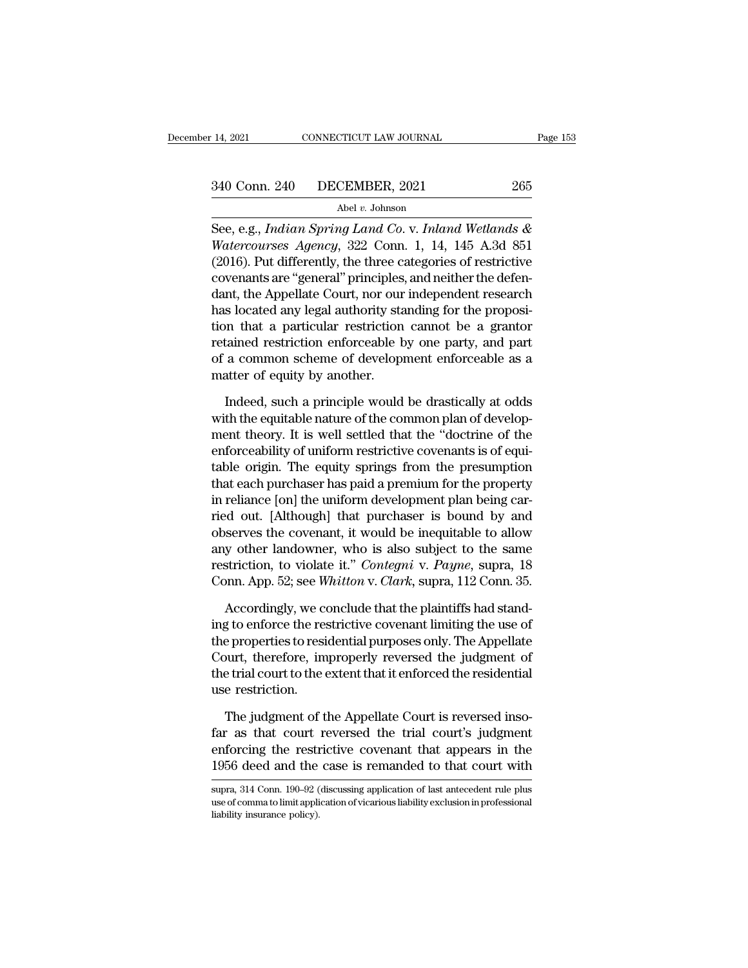14, 2021 CONNECTICUT LAW JOURNAL Page 153<br>
340 Conn. 240 DECEMBER, 2021 265<br>
Abel v. Johnson<br>
See, e.g., *Indian Spring Land Co.* v. *Inland Wetlands &*<br> *Watercourses Agency*, 322 Conn. 1, 14, 145 A.3d 851<br>
(2016) But dif <sup>240</sup> Conn. 240 DECEMBER, 2021 265<br>
<sup>Abel v</sup>. Johnson<br>
See, e.g., *Indian Spring Land Co. v. Inland Wetlands &*<br> *Watercourses Agency*, 322 Conn. 1, 14, 145 A.3d 851<br>
(2016). Put differently, the three categories of restri (2016). Put differently, the three categories of restrictive<br>covenants are "general" put differently, the three categories of restrictive<br>covenants are "general" principles, and neither the defendent the Appellate Court n 340 Conn. 240 DECEMBER, 2021 265<br>
Abel v. Johnson<br>
See, e.g., *Indian Spring Land Co. v. Inland Wetlands &*<br> *Watercourses Agency*, 322 Conn. 1, 14, 145 A.3d 851<br>
(2016). Put differently, the three categories of restricti Abel v. Johnson<br>
See, e.g., *Indian Spring Land Co.* v. *Inland Wetlands &*<br> *Watercourses Agency*, 322 Conn. 1, 14, 145 A.3d 851<br>
(2016). Put differently, the three categories of restrictive<br>
covenants are "general" prin has located any legal authority standard and the proposition.<br>
See, e.g., *Indian Spring Land Co.v. Inland Wetlands &*<br>
Watercourses Agency, 322 Conn. 1, 14, 145 A.3d 851<br>
(2016). Put differently, the three categories of r See, e.g., *Indian Spring Land Co.* v. *Inland Wetlands & Watercourses Agency*, 322 Conn. 1, 14, 145 A.3d 851 (2016). Put differently, the three categories of restrictive covenants are "general" principles, and neither the Watercourses Agency, 322 Conn. 1, 14, 145 A.3d 851 (2016). Put differently, the three categories of restrictive covenants are "general" principles, and neither the defendant, the Appellate Court, nor our independent resear (2016). Put differently, the three categories of restrictive<br>covenants are "general" principles, and neither the defen-<br>dant, the Appellate Court, nor our independent research<br>has located any legal authority standing for t covenants are "general" principles<br>dant, the Appellate Court, nor our<br>has located any legal authority station<br>that a particular restriction<br>retained restriction enforceable b<br>of a common scheme of developi<br>matter of equity In that a particular restriction cannot be a grantor<br>In that a particular restriction cannot be a grantor<br>tained restriction enforceable by one party, and part<br>a common scheme of development enforceable as a<br>atter of equit tion that a particular restriction cannot be a grantor<br>retained restriction enforceable by one party, and part<br>of a common scheme of development enforceable as a<br>matter of equity by another.<br>Indeed, such a principle would

retained restriction enforceable by one party, and part<br>of a common scheme of development enforceable as a<br>matter of equity by another.<br>Indeed, such a principle would be drastically at odds<br>with the equitable nature of the of a common scheme of development enforceable as a<br>matter of equity by another.<br>Indeed, such a principle would be drastically at odds<br>with the equitable nature of the common plan of develop-<br>ment theory. It is well settled matter of equity by another.<br>
Indeed, such a principle would be drastically at odds<br>
with the equitable nature of the common plan of develop-<br>
ment theory. It is well settled that the "doctrine of the<br>
enforceability of un Indeed, such a principle would be drastically at odds<br>with the equitable nature of the common plan of develop-<br>ment theory. It is well settled that the "doctrine of the<br>enforceability of uniform restrictive covenants is of Indeed, such a principle would be drastically at odds<br>with the equitable nature of the common plan of develop-<br>ment theory. It is well settled that the "doctrine of the<br>enforceability of uniform restrictive covenants is of with the equitable nature of the common plan of development theory. It is well settled that the "doctrine of the enforceability of uniform restrictive covenants is of equitable origin. The equity springs from the presumpti ment theory. It is well settled that the "doctrine of the<br>enforceability of uniform restrictive covenants is of equi-<br>table origin. The equity springs from the presumption<br>that each purchaser has paid a premium for the pro enforceability of uniform restrictive covenants is of equi-<br>table origin. The equity springs from the presumption<br>that each purchaser has paid a premium for the property<br>in reliance [on] the uniform development plan being table origin. The equity springs from the presumption<br>that each purchaser has paid a premium for the property<br>in reliance [on] the uniform development plan being car-<br>ried out. [Although] that purchaser is bound by and<br>obs that each purchaser has paid a premium for the property<br>in reliance [on] the uniform development plan being car-<br>ried out. [Although] that purchaser is bound by and<br>observes the covenant, it would be inequitable to allow<br>a red out. [Although] that purchaser is bound by and serves the covenant, it would be inequitable to allow y other landowner, who is also subject to the same striction, to violate it." *Contegni* v. *Payne*, supra, 18 pp. 52 observes the covenant, it would be inequitable to allow<br>any other landowner, who is also subject to the same<br>restriction, to violate it." *Contegni* v. Payne, supra, 18<br>Conn. App. 52; see *Whitton* v. *Clark*, supra, 112 C

any other landowner, who is also subject to the same<br>restriction, to violate it." *Contegni* v. *Payne*, supra, 18<br>Conn. App. 52; see *Whitton* v. *Clark*, supra, 112 Conn. 35.<br>Accordingly, we conclude that the plaintiffs restriction, to violate it." *Contegni* v. *Payne*, supra, 18<br>Conn. App. 52; see *Whitton* v. *Clark*, supra, 112 Conn. 35.<br>Accordingly, we conclude that the plaintiffs had stand-<br>ing to enforce the restrictive covenant li Conn. App. 52; see *Whitton v. Clark*, supra, 112 Conn. 35.<br>Accordingly, we conclude that the plaintiffs had stand-<br>ing to enforce the restrictive covenant limiting the use of<br>the properties to residential purposes only. T Accordingly, we compute the properties to restriction.<br>Court, therefore, implies the trial court to the  $\epsilon$  use restriction.<br>The judgment of t Expected the restrictive covenant limiting the use of<br>e properties to residential purposes only. The Appellate<br>ourt, therefore, improperly reversed the judgment of<br>e trial court to the extent that it enforced the residenti the properties to residential purposes only. The Appellate<br>Court, therefore, improperly reversed the judgment of<br>the trial court to the extent that it enforced the residential<br>use restriction.<br>The judgment of the Appellate

Court, therefore, improperly reversed the judgment of<br>the trial court to the extent that it enforced the residential<br>use restriction.<br>The judgment of the Appellate Court is reversed inso-<br>far as that court reversed the tri the trial court to the extent that it enforced the residential<br>use restriction.<br>The judgment of the Appellate Court is reversed inso-<br>far as that court reversed the trial court's judgment<br>enforcing the restrictive covenant The judgment of the Appellate Court is reversed insofar as that court reversed the trial court's judgment enforcing the restrictive covenant that appears in the 1956 deed and the case is remanded to that court with supra, far as that court reversed the trial court's judgment<br>enforcing the restrictive covenant that appears in the<br>1956 deed and the case is remanded to that court with<br>supra, 314 Conn. 190–92 (discussing application of last ant

enforcing the rest<br>1956 deed and the<br>supra, 314 Conn. 190–92 (<br>use of comma to limit appli<br>liability insurance policy).